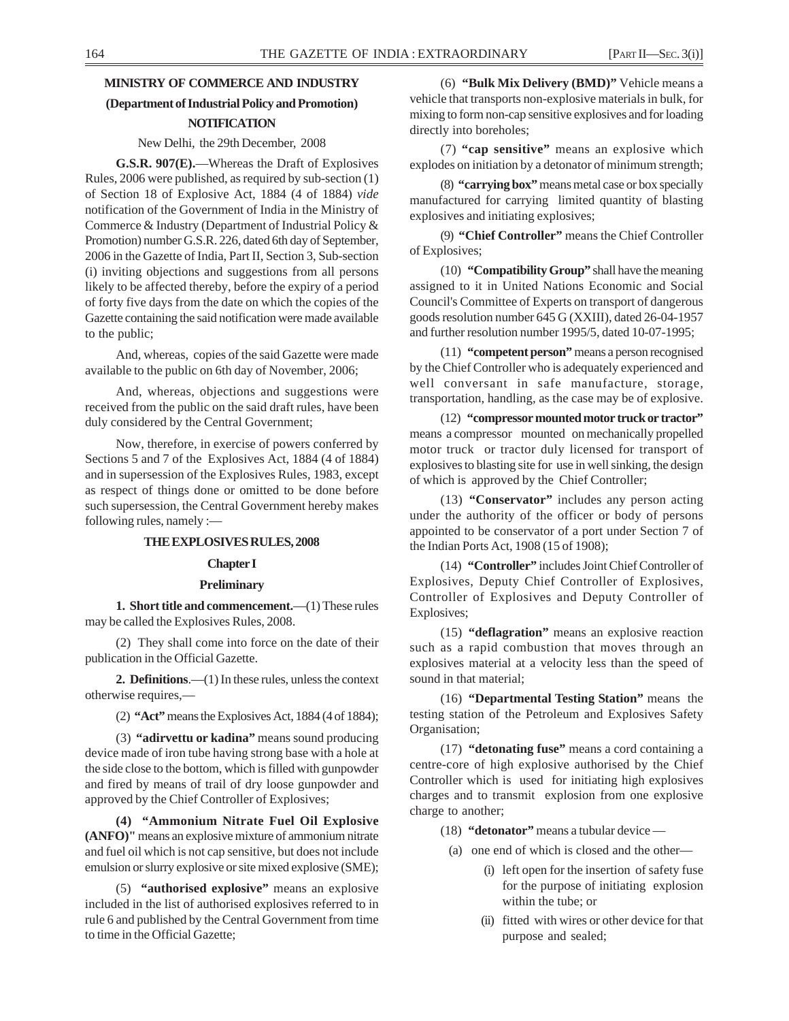# **MINISTRY OF COMMERCE AND INDUSTRY (Department of Industrial Policy and Promotion) NOTIFICATION**

#### New Delhi, the 29th December, 2008

**G.S.R. 907(E).**—Whereas the Draft of Explosives Rules, 2006 were published, as required by sub-section (1) of Section 18 of Explosive Act, 1884 (4 of 1884) *vide* notification of the Government of India in the Ministry of Commerce & Industry (Department of Industrial Policy & Promotion) number G.S.R. 226, dated 6th day of September, 2006 in the Gazette of India, Part II, Section 3, Sub-section (i) inviting objections and suggestions from all persons likely to be affected thereby, before the expiry of a period of forty five days from the date on which the copies of the Gazette containing the said notification were made available to the public;

And, whereas, copies of the said Gazette were made available to the public on 6th day of November, 2006;

And, whereas, objections and suggestions were received from the public on the said draft rules, have been duly considered by the Central Government;

Now, therefore, in exercise of powers conferred by Sections 5 and 7 of the Explosives Act, 1884 (4 of 1884) and in supersession of the Explosives Rules, 1983, except as respect of things done or omitted to be done before such supersession, the Central Government hereby makes following rules, namely :—

#### **THE EXPLOSIVES RULES, 2008**

#### **Chapter I**

#### **Preliminary**

**1. Short title and commencement.**—(1) These rules may be called the Explosives Rules, 2008.

(2) They shall come into force on the date of their publication in the Official Gazette.

**2. Definitions**.—(1) In these rules, unless the context otherwise requires,—

(2) **"Act"** means the Explosives Act, 1884 (4 of 1884);

(3) **"adirvettu or kadina"** means sound producing device made of iron tube having strong base with a hole at the side close to the bottom, which is filled with gunpowder and fired by means of trail of dry loose gunpowder and approved by the Chief Controller of Explosives;

**(4) "Ammonium Nitrate Fuel Oil Explosive (ANFO)"** means an explosive mixture of ammonium nitrate and fuel oil which is not cap sensitive, but does not include emulsion or slurry explosive or site mixed explosive (SME);

(5) **"authorised explosive"** means an explosive included in the list of authorised explosives referred to in rule 6 and published by the Central Government from time to time in the Official Gazette;

(6) **"Bulk Mix Delivery (BMD)"** Vehicle means a vehicle that transports non-explosive materials in bulk, for mixing to form non-cap sensitive explosives and for loading directly into boreholes;

(7) **"cap sensitive"** means an explosive which explodes on initiation by a detonator of minimum strength;

(8) **"carrying box"** means metal case or box specially manufactured for carrying limited quantity of blasting explosives and initiating explosives;

(9) **"Chief Controller"** means the Chief Controller of Explosives;

(10) **"Compatibility Group"** shall have the meaning assigned to it in United Nations Economic and Social Council's Committee of Experts on transport of dangerous goods resolution number 645 G (XXIII), dated 26-04-1957 and further resolution number 1995/5, dated 10-07-1995;

(11) **"competent person"** means a person recognised by the Chief Controller who is adequately experienced and well conversant in safe manufacture, storage, transportation, handling, as the case may be of explosive.

(12) **"compressor mounted motor truck or tractor"** means a compressor mounted on mechanically propelled motor truck or tractor duly licensed for transport of explosives to blasting site for use in well sinking, the design of which is approved by the Chief Controller;

(13) **"Conservator"** includes any person acting under the authority of the officer or body of persons appointed to be conservator of a port under Section 7 of the Indian Ports Act, 1908 (15 of 1908);

(14) **"Controller"** includes Joint Chief Controller of Explosives, Deputy Chief Controller of Explosives, Controller of Explosives and Deputy Controller of Explosives;

(15) **"deflagration"** means an explosive reaction such as a rapid combustion that moves through an explosives material at a velocity less than the speed of sound in that material;

(16) **"Departmental Testing Station"** means the testing station of the Petroleum and Explosives Safety Organisation;

(17) **"detonating fuse"** means a cord containing a centre-core of high explosive authorised by the Chief Controller which is used for initiating high explosives charges and to transmit explosion from one explosive charge to another;

(18) **"detonator"** means a tubular device —

- (a) one end of which is closed and the other—
	- (i) left open for the insertion of safety fuse for the purpose of initiating explosion within the tube; or
	- (ii) fitted with wires or other device for that purpose and sealed;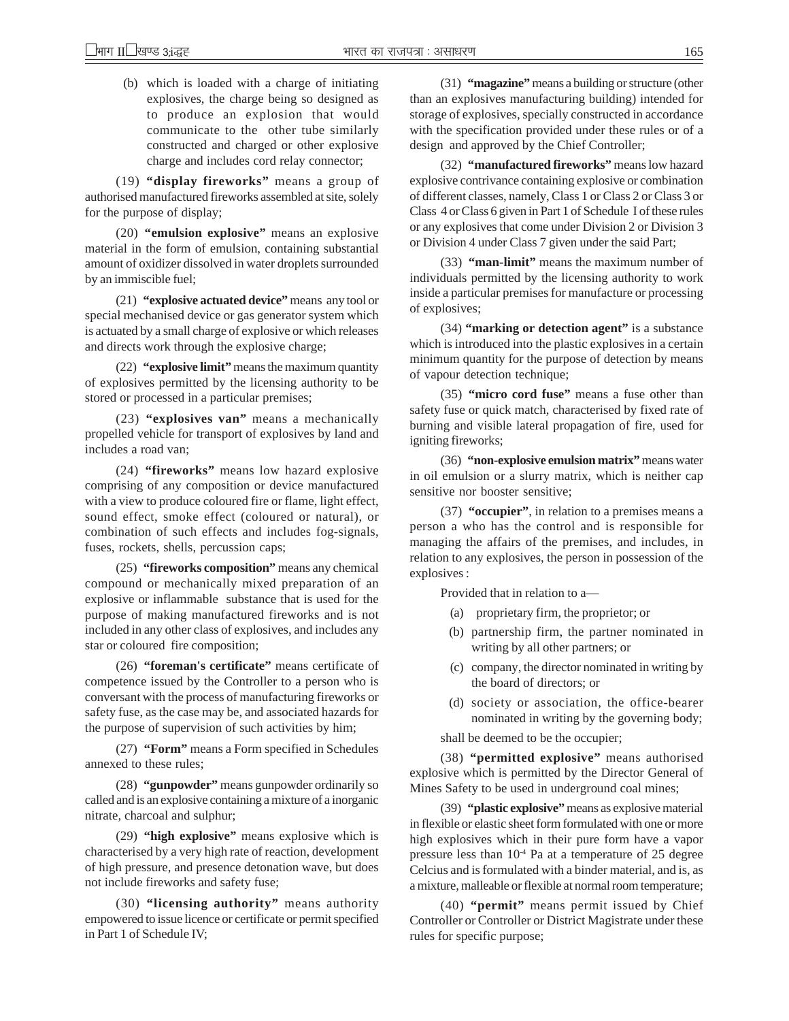(b) which is loaded with a charge of initiating explosives, the charge being so designed as to produce an explosion that would communicate to the other tube similarly constructed and charged or other explosive charge and includes cord relay connector;

(19) **"display fireworks"** means a group of authorised manufactured fireworks assembled at site, solely for the purpose of display;

(20) **"emulsion explosive"** means an explosive material in the form of emulsion, containing substantial amount of oxidizer dissolved in water droplets surrounded by an immiscible fuel;

(21) **"explosive actuated device"** means any tool or special mechanised device or gas generator system which is actuated by a small charge of explosive or which releases and directs work through the explosive charge;

(22) **"explosive limit"** means the maximum quantity of explosives permitted by the licensing authority to be stored or processed in a particular premises;

(23) **"explosives van"** means a mechanically propelled vehicle for transport of explosives by land and includes a road van;

(24) **"fireworks"** means low hazard explosive comprising of any composition or device manufactured with a view to produce coloured fire or flame, light effect, sound effect, smoke effect (coloured or natural), or combination of such effects and includes fog-signals, fuses, rockets, shells, percussion caps;

(25) **"fireworks composition"** means any chemical compound or mechanically mixed preparation of an explosive or inflammable substance that is used for the purpose of making manufactured fireworks and is not included in any other class of explosives, and includes any star or coloured fire composition;

(26) **"foreman's certificate"** means certificate of competence issued by the Controller to a person who is conversant with the process of manufacturing fireworks or safety fuse, as the case may be, and associated hazards for the purpose of supervision of such activities by him;

(27) **"Form"** means a Form specified in Schedules annexed to these rules;

(28) **"gunpowder"** means gunpowder ordinarily so called and is an explosive containing a mixture of a inorganic nitrate, charcoal and sulphur;

(29) **"high explosive"** means explosive which is characterised by a very high rate of reaction, development of high pressure, and presence detonation wave, but does not include fireworks and safety fuse;

(30) **"licensing authority"** means authority empowered to issue licence or certificate or permit specified in Part 1 of Schedule IV;

(31) **"magazine"** means a building or structure (other than an explosives manufacturing building) intended for storage of explosives, specially constructed in accordance with the specification provided under these rules or of a design and approved by the Chief Controller;

(32) **"manufactured fireworks"** means low hazard explosive contrivance containing explosive or combination of different classes, namely, Class 1 or Class 2 or Class 3 or Class 4 or Class 6 given in Part 1 of Schedule I of these rules or any explosives that come under Division 2 or Division 3 or Division 4 under Class 7 given under the said Part;

(33) **"man-limit"** means the maximum number of individuals permitted by the licensing authority to work inside a particular premises for manufacture or processing of explosives;

(34) **"marking or detection agent"** is a substance which is introduced into the plastic explosives in a certain minimum quantity for the purpose of detection by means of vapour detection technique;

(35) **"micro cord fuse"** means a fuse other than safety fuse or quick match, characterised by fixed rate of burning and visible lateral propagation of fire, used for igniting fireworks;

(36) **"non-explosive emulsion matrix"** means water in oil emulsion or a slurry matrix, which is neither cap sensitive nor booster sensitive;

(37) **"occupier"**, in relation to a premises means a person a who has the control and is responsible for managing the affairs of the premises, and includes, in relation to any explosives, the person in possession of the explosives :

Provided that in relation to a—

- (a) proprietary firm, the proprietor; or
- (b) partnership firm, the partner nominated in writing by all other partners; or
- (c) company, the director nominated in writing by the board of directors; or
- (d) society or association, the office-bearer nominated in writing by the governing body;

shall be deemed to be the occupier;

(38) **"permitted explosive"** means authorised explosive which is permitted by the Director General of Mines Safety to be used in underground coal mines;

(39) **"plastic explosive"** means as explosive material in flexible or elastic sheet form formulated with one or more high explosives which in their pure form have a vapor pressure less than  $10<sup>-4</sup>$  Pa at a temperature of 25 degree Celcius and is formulated with a binder material, and is, as a mixture, malleable or flexible at normal room temperature;

(40) **"permit"** means permit issued by Chief Controller or Controller or District Magistrate under these rules for specific purpose;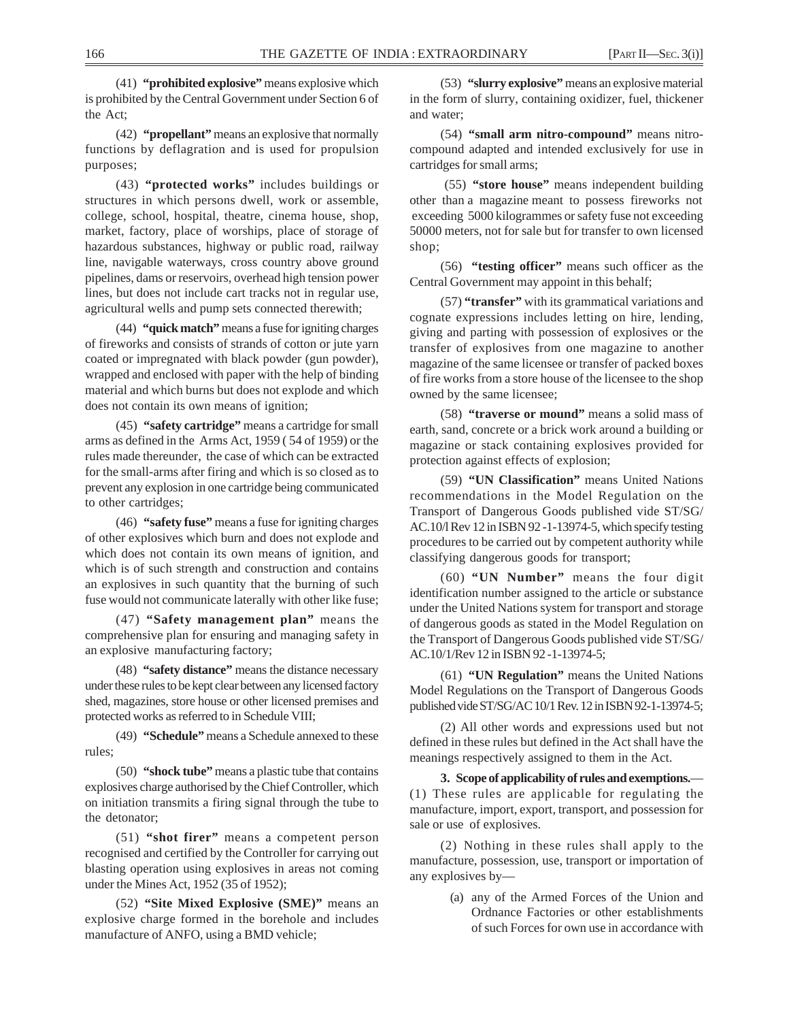(41) **"prohibited explosive"** means explosive which is prohibited by the Central Government under Section 6 of the Act;

(42) **"propellant"** means an explosive that normally functions by deflagration and is used for propulsion purposes;

(43) **"protected works"** includes buildings or structures in which persons dwell, work or assemble, college, school, hospital, theatre, cinema house, shop, market, factory, place of worships, place of storage of hazardous substances, highway or public road, railway line, navigable waterways, cross country above ground pipelines, dams or reservoirs, overhead high tension power lines, but does not include cart tracks not in regular use, agricultural wells and pump sets connected therewith;

(44) **"quick match"** means a fuse for igniting charges of fireworks and consists of strands of cotton or jute yarn coated or impregnated with black powder (gun powder), wrapped and enclosed with paper with the help of binding material and which burns but does not explode and which does not contain its own means of ignition;

(45) **"safety cartridge"** means a cartridge for small arms as defined in the Arms Act, 1959 ( 54 of 1959) or the rules made thereunder, the case of which can be extracted for the small-arms after firing and which is so closed as to prevent any explosion in one cartridge being communicated to other cartridges;

(46) **"safety fuse"** means a fuse for igniting charges of other explosives which burn and does not explode and which does not contain its own means of ignition, and which is of such strength and construction and contains an explosives in such quantity that the burning of such fuse would not communicate laterally with other like fuse;

(47) **"Safety management plan"** means the comprehensive plan for ensuring and managing safety in an explosive manufacturing factory;

(48) **"safety distance"** means the distance necessary under these rules to be kept clear between any licensed factory shed, magazines, store house or other licensed premises and protected works as referred to in Schedule VIII;

(49) **"Schedule"** means a Schedule annexed to these rules;

(50) **"shock tube"** means a plastic tube that contains explosives charge authorised by the Chief Controller, which on initiation transmits a firing signal through the tube to the detonator;

(51) **"shot firer"** means a competent person recognised and certified by the Controller for carrying out blasting operation using explosives in areas not coming under the Mines Act, 1952 (35 of 1952);

(52) **"Site Mixed Explosive (SME)"** means an explosive charge formed in the borehole and includes manufacture of ANFO, using a BMD vehicle;

(53) **"slurry explosive"** means an explosive material in the form of slurry, containing oxidizer, fuel, thickener and water;

(54) **"small arm nitro-compound"** means nitrocompound adapted and intended exclusively for use in cartridges for small arms;

(55) **"store house"** means independent building other than a magazine meant to possess fireworks not exceeding 5000 kilogrammes or safety fuse not exceeding 50000 meters, not for sale but for transfer to own licensed shop;

(56) **"testing officer"** means such officer as the Central Government may appoint in this behalf;

(57) **"transfer"** with its grammatical variations and cognate expressions includes letting on hire, lending, giving and parting with possession of explosives or the transfer of explosives from one magazine to another magazine of the same licensee or transfer of packed boxes of fire works from a store house of the licensee to the shop owned by the same licensee;

(58) **"traverse or mound"** means a solid mass of earth, sand, concrete or a brick work around a building or magazine or stack containing explosives provided for protection against effects of explosion;

(59) **"UN Classification"** means United Nations recommendations in the Model Regulation on the Transport of Dangerous Goods published vide ST/SG/ AC.10/l Rev 12 in ISBN 92 -1-13974-5, which specify testing procedures to be carried out by competent authority while classifying dangerous goods for transport;

(60) **"UN Number"** means the four digit identification number assigned to the article or substance under the United Nations system for transport and storage of dangerous goods as stated in the Model Regulation on the Transport of Dangerous Goods published vide ST/SG/ AC.10/1/Rev 12 in ISBN 92 -1-13974-5;

(61) **"UN Regulation"** means the United Nations Model Regulations on the Transport of Dangerous Goods published vide ST/SG/AC 10/1 Rev. 12 in ISBN 92-1-13974-5;

(2) All other words and expressions used but not defined in these rules but defined in the Act shall have the meanings respectively assigned to them in the Act.

**3. Scope of applicability of rules and exemptions.**— (1) These rules are applicable for regulating the manufacture, import, export, transport, and possession for sale or use of explosives.

(2) Nothing in these rules shall apply to the manufacture, possession, use, transport or importation of any explosives by—

> (a) any of the Armed Forces of the Union and Ordnance Factories or other establishments of such Forces for own use in accordance with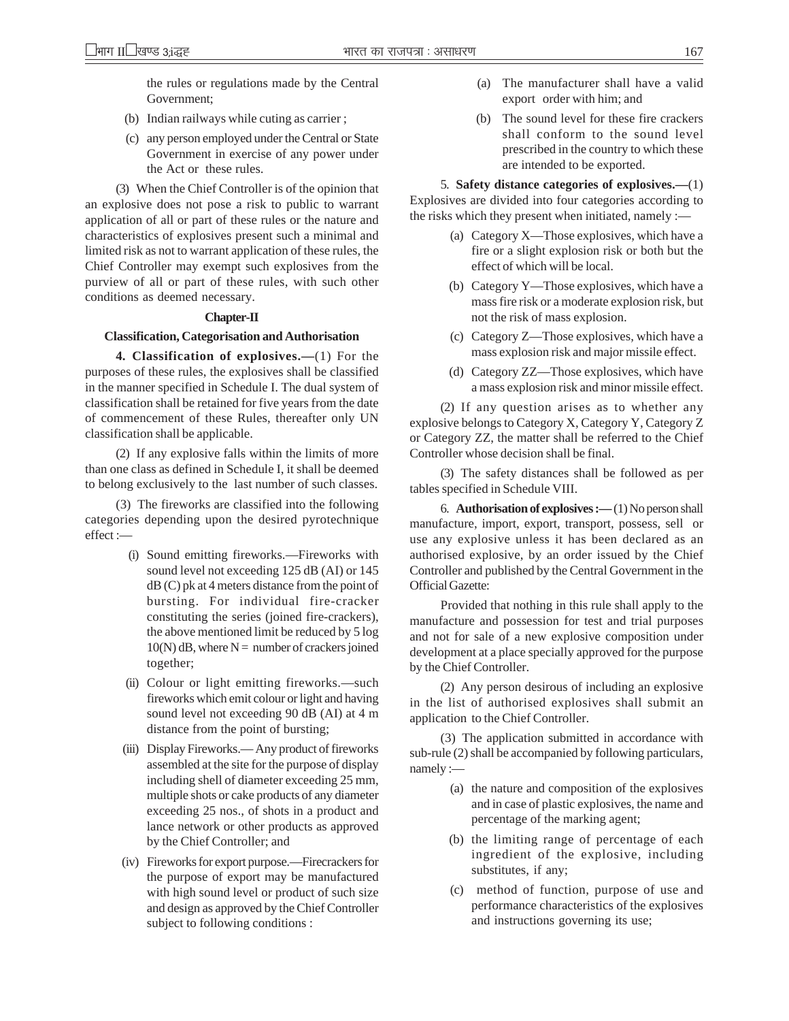the rules or regulations made by the Central Government;

- (b) Indian railways while cuting as carrier ;
- (c) any person employed under the Central or State Government in exercise of any power under the Act or these rules.

(3) When the Chief Controller is of the opinion that an explosive does not pose a risk to public to warrant application of all or part of these rules or the nature and characteristics of explosives present such a minimal and limited risk as not to warrant application of these rules, the Chief Controller may exempt such explosives from the purview of all or part of these rules, with such other conditions as deemed necessary.

#### **Chapter-II**

#### **Classification, Categorisation and Authorisation**

**4. Classification of explosives.—**(1) For the purposes of these rules, the explosives shall be classified in the manner specified in Schedule I. The dual system of classification shall be retained for five years from the date of commencement of these Rules, thereafter only UN classification shall be applicable.

(2) If any explosive falls within the limits of more than one class as defined in Schedule I, it shall be deemed to belong exclusively to the last number of such classes.

(3) The fireworks are classified into the following categories depending upon the desired pyrotechnique effect :—

- (i) Sound emitting fireworks.—Fireworks with sound level not exceeding 125 dB (AI) or 145 dB (C) pk at 4 meters distance from the point of bursting. For individual fire-cracker constituting the series (joined fire-crackers), the above mentioned limit be reduced by 5 log  $10(N)$  dB, where N = number of crackers joined together;
- (ii) Colour or light emitting fireworks.—such fireworks which emit colour or light and having sound level not exceeding 90 dB (AI) at 4 m distance from the point of bursting;
- (iii) Display Fireworks.— Any product of fireworks assembled at the site for the purpose of display including shell of diameter exceeding 25 mm, multiple shots or cake products of any diameter exceeding 25 nos., of shots in a product and lance network or other products as approved by the Chief Controller; and
- (iv) Fireworks for export purpose.—Firecrackers for the purpose of export may be manufactured with high sound level or product of such size and design as approved by the Chief Controller subject to following conditions :
- (a) The manufacturer shall have a valid export order with him; and
- (b) The sound level for these fire crackers shall conform to the sound level prescribed in the country to which these are intended to be exported.

5. **Safety distance categories of explosives.—**(1) Explosives are divided into four categories according to the risks which they present when initiated, namely :—

- (a) Category X—Those explosives, which have a fire or a slight explosion risk or both but the effect of which will be local.
- (b) Category Y—Those explosives, which have a mass fire risk or a moderate explosion risk, but not the risk of mass explosion.
- (c) Category Z—Those explosives, which have a mass explosion risk and major missile effect.
- (d) Category ZZ—Those explosives, which have a mass explosion risk and minor missile effect.

(2) If any question arises as to whether any explosive belongs to Category X, Category Y, Category Z or Category ZZ, the matter shall be referred to the Chief Controller whose decision shall be final.

(3) The safety distances shall be followed as per tables specified in Schedule VIII.

6. **Authorisation of explosives :—** (1) No person shall manufacture, import, export, transport, possess, sell or use any explosive unless it has been declared as an authorised explosive, by an order issued by the Chief Controller and published by the Central Government in the Official Gazette:

Provided that nothing in this rule shall apply to the manufacture and possession for test and trial purposes and not for sale of a new explosive composition under development at a place specially approved for the purpose by the Chief Controller.

(2) Any person desirous of including an explosive in the list of authorised explosives shall submit an application to the Chief Controller.

(3) The application submitted in accordance with sub-rule (2) shall be accompanied by following particulars, namely :—

- (a) the nature and composition of the explosives and in case of plastic explosives, the name and percentage of the marking agent;
- (b) the limiting range of percentage of each ingredient of the explosive, including substitutes, if any;
- (c) method of function, purpose of use and performance characteristics of the explosives and instructions governing its use;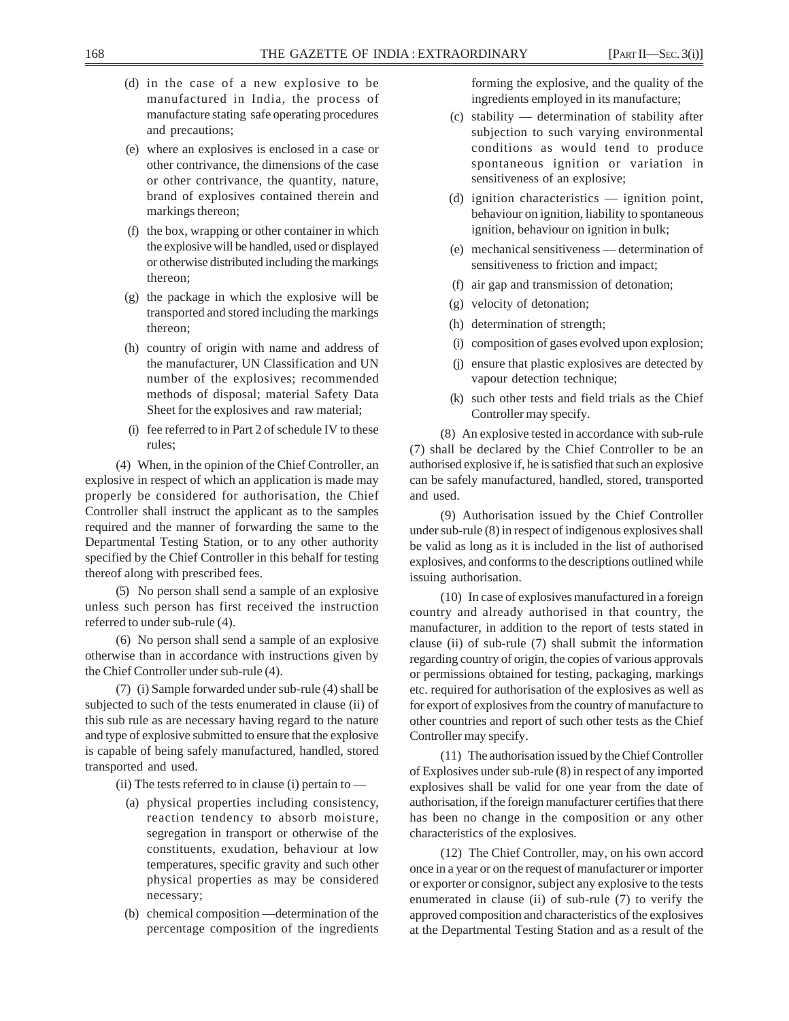- (d) in the case of a new explosive to be manufactured in India, the process of manufacture stating safe operating procedures and precautions;
- (e) where an explosives is enclosed in a case or other contrivance, the dimensions of the case or other contrivance, the quantity, nature, brand of explosives contained therein and markings thereon;
- (f) the box, wrapping or other container in which the explosive will be handled, used or displayed or otherwise distributed including the markings thereon;
- (g) the package in which the explosive will be transported and stored including the markings thereon;
- (h) country of origin with name and address of the manufacturer, UN Classification and UN number of the explosives; recommended methods of disposal; material Safety Data Sheet for the explosives and raw material;
- (i) fee referred to in Part 2 of schedule IV to these rules;

(4) When, in the opinion of the Chief Controller, an explosive in respect of which an application is made may properly be considered for authorisation, the Chief Controller shall instruct the applicant as to the samples required and the manner of forwarding the same to the Departmental Testing Station, or to any other authority specified by the Chief Controller in this behalf for testing thereof along with prescribed fees.

(5) No person shall send a sample of an explosive unless such person has first received the instruction referred to under sub-rule (4).

(6) No person shall send a sample of an explosive otherwise than in accordance with instructions given by the Chief Controller under sub-rule (4).

(7) (i) Sample forwarded under sub-rule (4) shall be subjected to such of the tests enumerated in clause (ii) of this sub rule as are necessary having regard to the nature and type of explosive submitted to ensure that the explosive is capable of being safely manufactured, handled, stored transported and used.

(ii) The tests referred to in clause (i) pertain to —

- (a) physical properties including consistency, reaction tendency to absorb moisture, segregation in transport or otherwise of the constituents, exudation, behaviour at low temperatures, specific gravity and such other physical properties as may be considered necessary;
- (b) chemical composition —determination of the percentage composition of the ingredients

forming the explosive, and the quality of the ingredients employed in its manufacture;

- (c) stability determination of stability after subjection to such varying environmental conditions as would tend to produce spontaneous ignition or variation in sensitiveness of an explosive;
- (d) ignition characteristics ignition point, behaviour on ignition, liability to spontaneous ignition, behaviour on ignition in bulk;
- (e) mechanical sensitiveness determination of sensitiveness to friction and impact;
- (f) air gap and transmission of detonation;
- (g) velocity of detonation;
- (h) determination of strength;
- (i) composition of gases evolved upon explosion;
- (j) ensure that plastic explosives are detected by vapour detection technique;
- (k) such other tests and field trials as the Chief Controller may specify.

(8) An explosive tested in accordance with sub-rule (7) shall be declared by the Chief Controller to be an authorised explosive if, he is satisfied that such an explosive can be safely manufactured, handled, stored, transported and used.

(9) Authorisation issued by the Chief Controller under sub-rule (8) in respect of indigenous explosives shall be valid as long as it is included in the list of authorised explosives, and conforms to the descriptions outlined while issuing authorisation.

(10) In case of explosives manufactured in a foreign country and already authorised in that country, the manufacturer, in addition to the report of tests stated in clause (ii) of sub-rule (7) shall submit the information regarding country of origin, the copies of various approvals or permissions obtained for testing, packaging, markings etc. required for authorisation of the explosives as well as for export of explosives from the country of manufacture to other countries and report of such other tests as the Chief Controller may specify.

(11) The authorisation issued by the Chief Controller of Explosives under sub-rule (8) in respect of any imported explosives shall be valid for one year from the date of authorisation, if the foreign manufacturer certifies that there has been no change in the composition or any other characteristics of the explosives.

(12) The Chief Controller, may, on his own accord once in a year or on the request of manufacturer or importer or exporter or consignor, subject any explosive to the tests enumerated in clause (ii) of sub-rule (7) to verify the approved composition and characteristics of the explosives at the Departmental Testing Station and as a result of the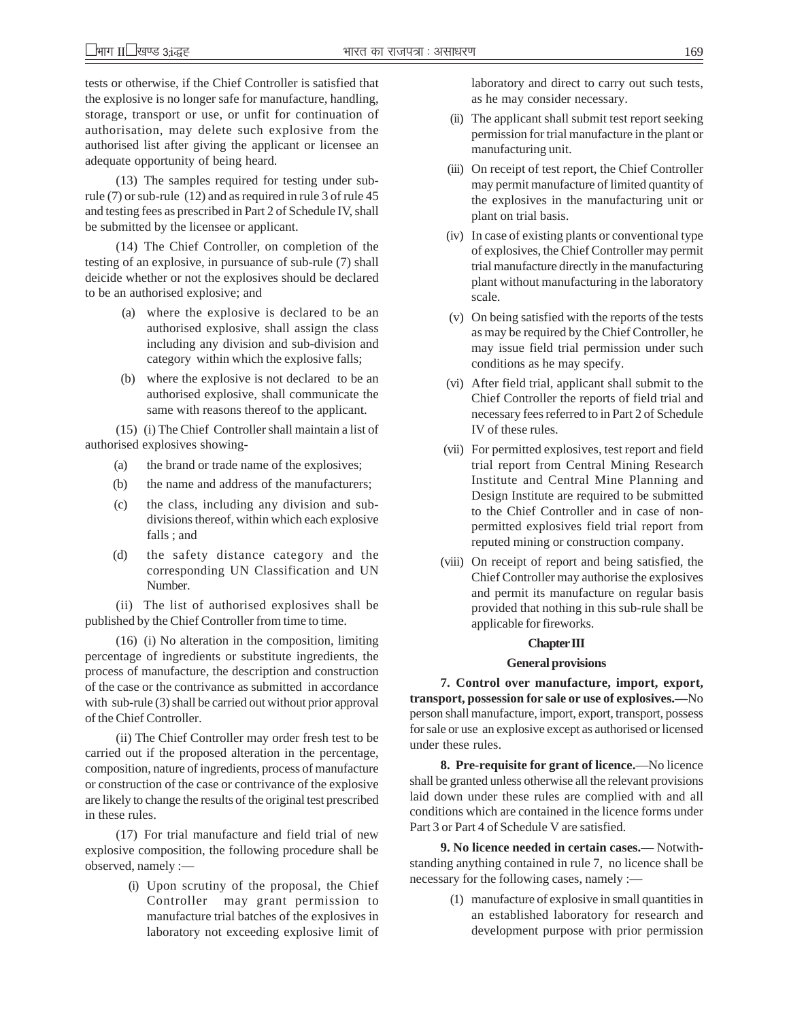tests or otherwise, if the Chief Controller is satisfied that the explosive is no longer safe for manufacture, handling, storage, transport or use, or unfit for continuation of authorisation, may delete such explosive from the authorised list after giving the applicant or licensee an adequate opportunity of being heard.

(13) The samples required for testing under subrule (7) or sub-rule (12) and as required in rule 3 of rule 45 and testing fees as prescribed in Part 2 of Schedule IV, shall be submitted by the licensee or applicant.

(14) The Chief Controller, on completion of the testing of an explosive, in pursuance of sub-rule (7) shall deicide whether or not the explosives should be declared to be an authorised explosive; and

- (a) where the explosive is declared to be an authorised explosive, shall assign the class including any division and sub-division and category within which the explosive falls;
- (b) where the explosive is not declared to be an authorised explosive, shall communicate the same with reasons thereof to the applicant.

(15) (i) The Chief Controller shall maintain a list of authorised explosives showing-

- (a) the brand or trade name of the explosives;
- (b) the name and address of the manufacturers;
- (c) the class, including any division and subdivisions thereof, within which each explosive falls ; and
- (d) the safety distance category and the corresponding UN Classification and UN Number.

(ii) The list of authorised explosives shall be published by the Chief Controller from time to time.

(16) (i) No alteration in the composition, limiting percentage of ingredients or substitute ingredients, the process of manufacture, the description and construction of the case or the contrivance as submitted in accordance with sub-rule (3) shall be carried out without prior approval of the Chief Controller.

(ii) The Chief Controller may order fresh test to be carried out if the proposed alteration in the percentage, composition, nature of ingredients, process of manufacture or construction of the case or contrivance of the explosive are likely to change the results of the original test prescribed in these rules.

(17) For trial manufacture and field trial of new explosive composition, the following procedure shall be observed, namely :—

> (i) Upon scrutiny of the proposal, the Chief Controller may grant permission to manufacture trial batches of the explosives in laboratory not exceeding explosive limit of

laboratory and direct to carry out such tests, as he may consider necessary.

- (ii) The applicant shall submit test report seeking permission for trial manufacture in the plant or manufacturing unit.
- (iii) On receipt of test report, the Chief Controller may permit manufacture of limited quantity of the explosives in the manufacturing unit or plant on trial basis.
- (iv) In case of existing plants or conventional type of explosives, the Chief Controller may permit trial manufacture directly in the manufacturing plant without manufacturing in the laboratory scale.
- (v) On being satisfied with the reports of the tests as may be required by the Chief Controller, he may issue field trial permission under such conditions as he may specify.
- (vi) After field trial, applicant shall submit to the Chief Controller the reports of field trial and necessary fees referred to in Part 2 of Schedule IV of these rules.
- (vii) For permitted explosives, test report and field trial report from Central Mining Research Institute and Central Mine Planning and Design Institute are required to be submitted to the Chief Controller and in case of nonpermitted explosives field trial report from reputed mining or construction company.
- (viii) On receipt of report and being satisfied, the Chief Controller may authorise the explosives and permit its manufacture on regular basis provided that nothing in this sub-rule shall be applicable for fireworks.

#### **Chapter III**

#### **General provisions**

**7. Control over manufacture, import, export, transport, possession for sale or use of explosives.—**No person shall manufacture, import, export, transport, possess for sale or use an explosive except as authorised or licensed under these rules.

**8. Pre-requisite for grant of licence.**—No licence shall be granted unless otherwise all the relevant provisions laid down under these rules are complied with and all conditions which are contained in the licence forms under Part 3 or Part 4 of Schedule V are satisfied.

**9. No licence needed in certain cases.**— Notwithstanding anything contained in rule 7, no licence shall be necessary for the following cases, namely :—

> (1) manufacture of explosive in small quantities in an established laboratory for research and development purpose with prior permission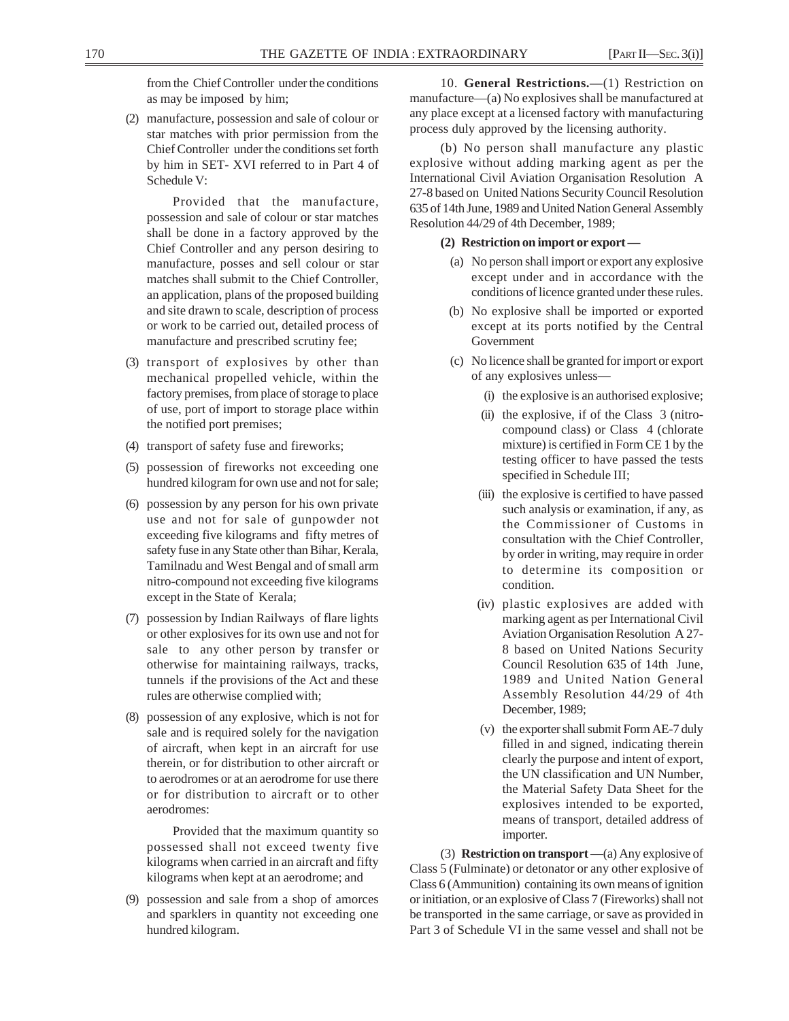from the Chief Controller under the conditions as may be imposed by him;

(2) manufacture, possession and sale of colour or star matches with prior permission from the Chief Controller under the conditions set forth by him in SET- XVI referred to in Part 4 of Schedule V:

Provided that the manufacture, possession and sale of colour or star matches shall be done in a factory approved by the Chief Controller and any person desiring to manufacture, posses and sell colour or star matches shall submit to the Chief Controller, an application, plans of the proposed building and site drawn to scale, description of process or work to be carried out, detailed process of manufacture and prescribed scrutiny fee;

- (3) transport of explosives by other than mechanical propelled vehicle, within the factory premises, from place of storage to place of use, port of import to storage place within the notified port premises;
- (4) transport of safety fuse and fireworks;
- (5) possession of fireworks not exceeding one hundred kilogram for own use and not for sale;
- (6) possession by any person for his own private use and not for sale of gunpowder not exceeding five kilograms and fifty metres of safety fuse in any State other than Bihar, Kerala, Tamilnadu and West Bengal and of small arm nitro-compound not exceeding five kilograms except in the State of Kerala;
- (7) possession by Indian Railways of flare lights or other explosives for its own use and not for sale to any other person by transfer or otherwise for maintaining railways, tracks, tunnels if the provisions of the Act and these rules are otherwise complied with;
- (8) possession of any explosive, which is not for sale and is required solely for the navigation of aircraft, when kept in an aircraft for use therein, or for distribution to other aircraft or to aerodromes or at an aerodrome for use there or for distribution to aircraft or to other aerodromes:

Provided that the maximum quantity so possessed shall not exceed twenty five kilograms when carried in an aircraft and fifty kilograms when kept at an aerodrome; and

(9) possession and sale from a shop of amorces and sparklers in quantity not exceeding one hundred kilogram.

10. **General Restrictions.—**(1) Restriction on manufacture—(a) No explosives shall be manufactured at any place except at a licensed factory with manufacturing process duly approved by the licensing authority.

(b) No person shall manufacture any plastic explosive without adding marking agent as per the International Civil Aviation Organisation Resolution A 27-8 based on United Nations Security Council Resolution 635 of 14th June, 1989 and United Nation General Assembly Resolution 44/29 of 4th December, 1989;

### **(2) Restriction on import or export —**

- (a) No person shall import or export any explosive except under and in accordance with the conditions of licence granted under these rules.
- (b) No explosive shall be imported or exported except at its ports notified by the Central Government
- (c) No licence shall be granted for import or export of any explosives unless—
	- (i) the explosive is an authorised explosive;
	- (ii) the explosive, if of the Class 3 (nitrocompound class) or Class 4 (chlorate mixture) is certified in Form CE 1 by the testing officer to have passed the tests specified in Schedule III;
	- (iii) the explosive is certified to have passed such analysis or examination, if any, as the Commissioner of Customs in consultation with the Chief Controller, by order in writing, may require in order to determine its composition or condition.
	- (iv) plastic explosives are added with marking agent as per International Civil Aviation Organisation Resolution A 27- 8 based on United Nations Security Council Resolution 635 of 14th June, 1989 and United Nation General Assembly Resolution 44/29 of 4th December, 1989;
	- (v) the exporter shall submit Form AE-7 duly filled in and signed, indicating therein clearly the purpose and intent of export, the UN classification and UN Number, the Material Safety Data Sheet for the explosives intended to be exported, means of transport, detailed address of importer.

(3) **Restriction on transport** —(a) Any explosive of Class 5 (Fulminate) or detonator or any other explosive of Class 6 (Ammunition) containing its own means of ignition or initiation, or an explosive of Class 7 (Fireworks) shall not be transported in the same carriage, or save as provided in Part 3 of Schedule VI in the same vessel and shall not be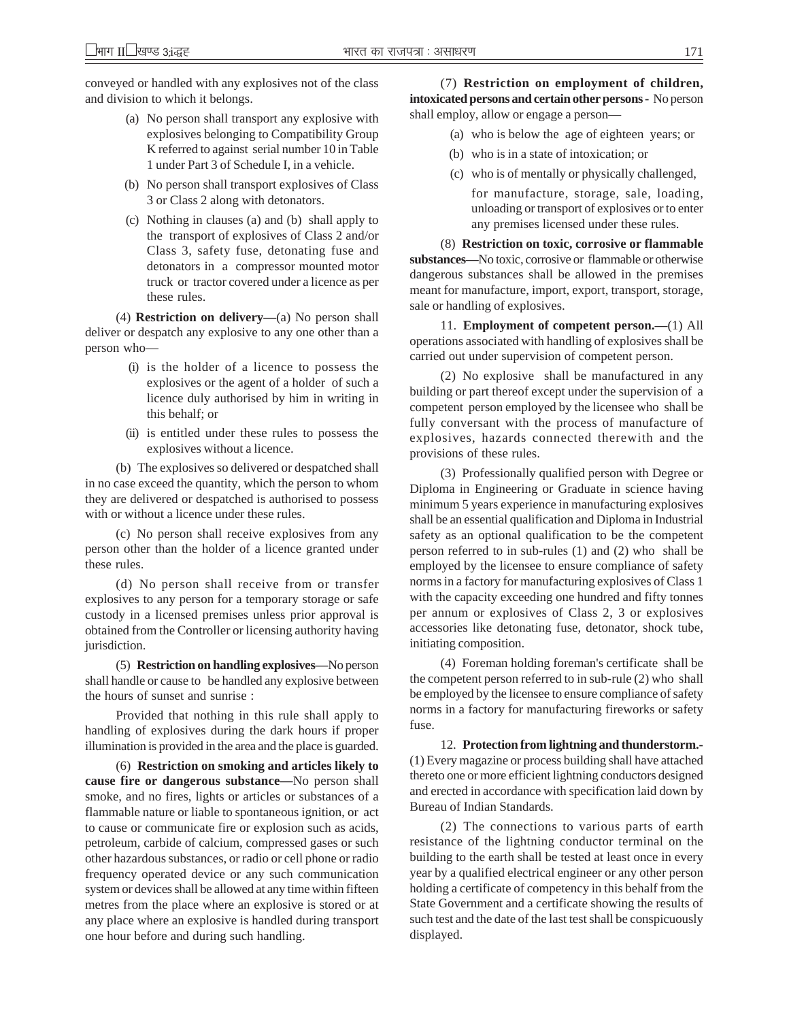conveyed or handled with any explosives not of the class and division to which it belongs.

- (a) No person shall transport any explosive with explosives belonging to Compatibility Group K referred to against serial number 10 in Table 1 under Part 3 of Schedule I, in a vehicle.
- (b) No person shall transport explosives of Class 3 or Class 2 along with detonators.
- (c) Nothing in clauses (a) and (b) shall apply to the transport of explosives of Class 2 and/or Class 3, safety fuse, detonating fuse and detonators in a compressor mounted motor truck or tractor covered under a licence as per these rules.

(4) **Restriction on delivery—**(a) No person shall deliver or despatch any explosive to any one other than a person who—

- (i) is the holder of a licence to possess the explosives or the agent of a holder of such a licence duly authorised by him in writing in this behalf; or
- (ii) is entitled under these rules to possess the explosives without a licence.

(b) The explosives so delivered or despatched shall in no case exceed the quantity, which the person to whom they are delivered or despatched is authorised to possess with or without a licence under these rules.

(c) No person shall receive explosives from any person other than the holder of a licence granted under these rules.

(d) No person shall receive from or transfer explosives to any person for a temporary storage or safe custody in a licensed premises unless prior approval is obtained from the Controller or licensing authority having jurisdiction.

(5) **Restriction on handling explosives—**No person shall handle or cause to be handled any explosive between the hours of sunset and sunrise :

Provided that nothing in this rule shall apply to handling of explosives during the dark hours if proper illumination is provided in the area and the place is guarded.

(6) **Restriction on smoking and articles likely to cause fire or dangerous substance—**No person shall smoke, and no fires, lights or articles or substances of a flammable nature or liable to spontaneous ignition, or act to cause or communicate fire or explosion such as acids, petroleum, carbide of calcium, compressed gases or such other hazardous substances, or radio or cell phone or radio frequency operated device or any such communication system or devices shall be allowed at any time within fifteen metres from the place where an explosive is stored or at any place where an explosive is handled during transport one hour before and during such handling.

(7) **Restriction on employment of children, intoxicated persons and certain other persons -** No person shall employ, allow or engage a person—

- (a) who is below the age of eighteen years; or
- (b) who is in a state of intoxication; or
- (c) who is of mentally or physically challenged, for manufacture, storage, sale, loading, unloading or transport of explosives or to enter any premises licensed under these rules.

(8) **Restriction on toxic, corrosive or flammable substances—**No toxic, corrosive or flammable or otherwise dangerous substances shall be allowed in the premises meant for manufacture, import, export, transport, storage, sale or handling of explosives.

11. **Employment of competent person.—**(1) All operations associated with handling of explosives shall be carried out under supervision of competent person.

(2) No explosive shall be manufactured in any building or part thereof except under the supervision of a competent person employed by the licensee who shall be fully conversant with the process of manufacture of explosives, hazards connected therewith and the provisions of these rules.

(3) Professionally qualified person with Degree or Diploma in Engineering or Graduate in science having minimum 5 years experience in manufacturing explosives shall be an essential qualification and Diploma in Industrial safety as an optional qualification to be the competent person referred to in sub-rules (1) and (2) who shall be employed by the licensee to ensure compliance of safety norms in a factory for manufacturing explosives of Class 1 with the capacity exceeding one hundred and fifty tonnes per annum or explosives of Class 2, 3 or explosives accessories like detonating fuse, detonator, shock tube, initiating composition.

(4) Foreman holding foreman's certificate shall be the competent person referred to in sub-rule (2) who shall be employed by the licensee to ensure compliance of safety norms in a factory for manufacturing fireworks or safety fuse.

12. **Protection from lightning and thunderstorm.-** (1) Every magazine or process building shall have attached thereto one or more efficient lightning conductors designed and erected in accordance with specification laid down by Bureau of Indian Standards.

(2) The connections to various parts of earth resistance of the lightning conductor terminal on the building to the earth shall be tested at least once in every year by a qualified electrical engineer or any other person holding a certificate of competency in this behalf from the State Government and a certificate showing the results of such test and the date of the last test shall be conspicuously displayed.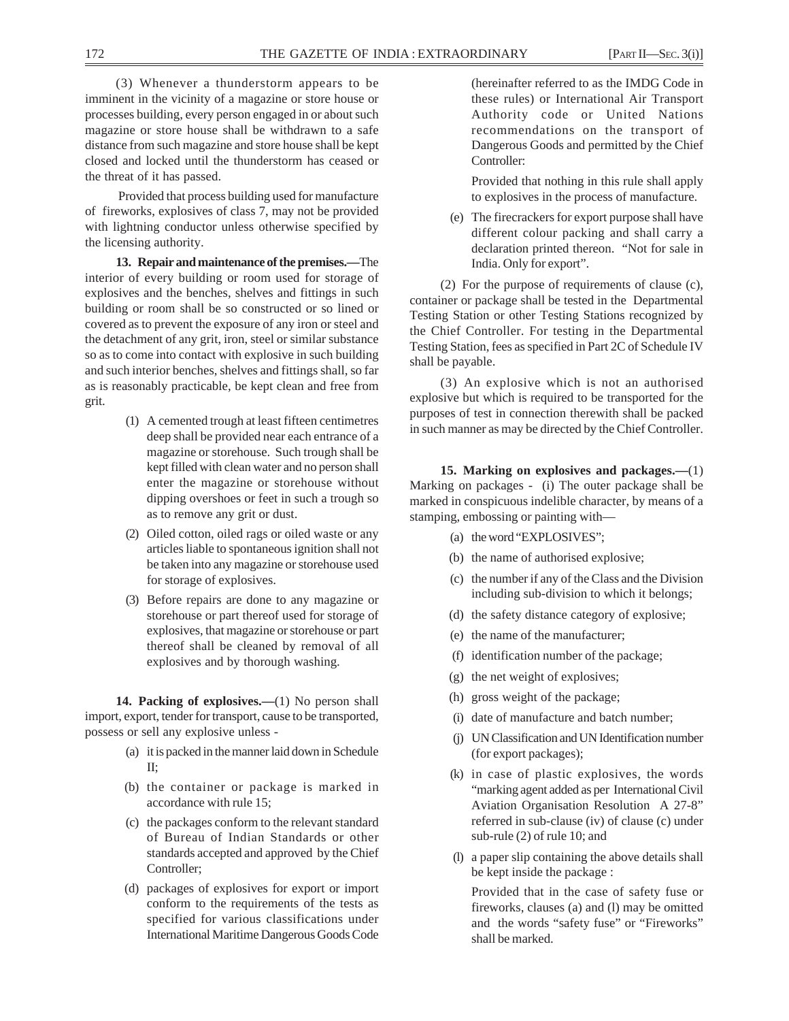(3) Whenever a thunderstorm appears to be imminent in the vicinity of a magazine or store house or processes building, every person engaged in or about such magazine or store house shall be withdrawn to a safe distance from such magazine and store house shall be kept closed and locked until the thunderstorm has ceased or the threat of it has passed.

 Provided that process building used for manufacture of fireworks, explosives of class 7, may not be provided with lightning conductor unless otherwise specified by the licensing authority.

**13. Repair and maintenance of the premises.—**The interior of every building or room used for storage of explosives and the benches, shelves and fittings in such building or room shall be so constructed or so lined or covered as to prevent the exposure of any iron or steel and the detachment of any grit, iron, steel or similar substance so as to come into contact with explosive in such building and such interior benches, shelves and fittings shall, so far as is reasonably practicable, be kept clean and free from grit.

- (1) A cemented trough at least fifteen centimetres deep shall be provided near each entrance of a magazine or storehouse. Such trough shall be kept filled with clean water and no person shall enter the magazine or storehouse without dipping overshoes or feet in such a trough so as to remove any grit or dust.
- (2) Oiled cotton, oiled rags or oiled waste or any articles liable to spontaneous ignition shall not be taken into any magazine or storehouse used for storage of explosives.
- (3) Before repairs are done to any magazine or storehouse or part thereof used for storage of explosives, that magazine or storehouse or part thereof shall be cleaned by removal of all explosives and by thorough washing.

**14. Packing of explosives.—**(1) No person shall import, export, tender for transport, cause to be transported, possess or sell any explosive unless -

- (a) it is packed in the manner laid down in Schedule II;
- (b) the container or package is marked in accordance with rule 15;
- (c) the packages conform to the relevant standard of Bureau of Indian Standards or other standards accepted and approved by the Chief Controller;
- (d) packages of explosives for export or import conform to the requirements of the tests as specified for various classifications under International Maritime Dangerous Goods Code

(hereinafter referred to as the IMDG Code in these rules) or International Air Transport Authority code or United Nations recommendations on the transport of Dangerous Goods and permitted by the Chief Controller:

Provided that nothing in this rule shall apply to explosives in the process of manufacture.

(e) The firecrackers for export purpose shall have different colour packing and shall carry a declaration printed thereon. "Not for sale in India. Only for export".

(2) For the purpose of requirements of clause (c), container or package shall be tested in the Departmental Testing Station or other Testing Stations recognized by the Chief Controller. For testing in the Departmental Testing Station, fees as specified in Part 2C of Schedule IV shall be payable.

(3) An explosive which is not an authorised explosive but which is required to be transported for the purposes of test in connection therewith shall be packed in such manner as may be directed by the Chief Controller.

**15. Marking on explosives and packages.—**(1) Marking on packages - (i) The outer package shall be marked in conspicuous indelible character, by means of a stamping, embossing or painting with—

- (a) the word "EXPLOSIVES";
- (b) the name of authorised explosive;
- (c) the number if any of the Class and the Division including sub-division to which it belongs;
- (d) the safety distance category of explosive;
- (e) the name of the manufacturer;
- (f) identification number of the package;
- (g) the net weight of explosives;
- (h) gross weight of the package;
- (i) date of manufacture and batch number;
- (j) UN Classification and UN Identification number (for export packages);
- (k) in case of plastic explosives, the words "marking agent added as per International Civil Aviation Organisation Resolution A 27-8" referred in sub-clause (iv) of clause (c) under sub-rule (2) of rule 10; and
- (l) a paper slip containing the above details shall be kept inside the package :

Provided that in the case of safety fuse or fireworks, clauses (a) and (l) may be omitted and the words "safety fuse" or "Fireworks" shall be marked.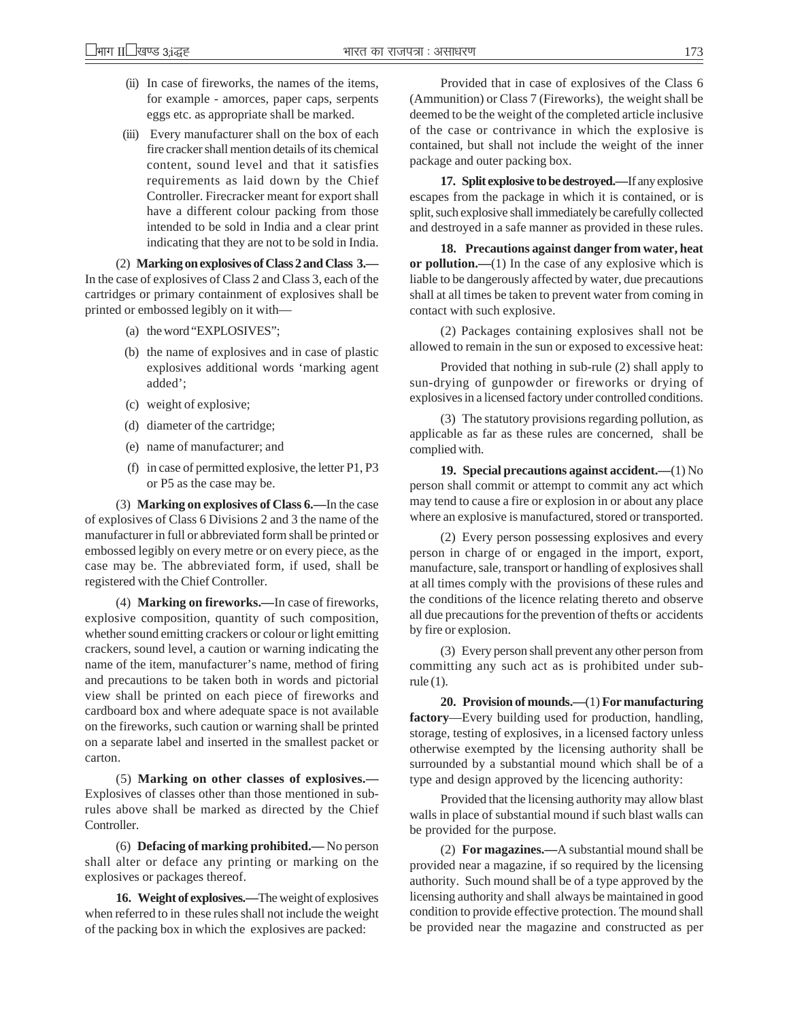- (ii) In case of fireworks, the names of the items, for example - amorces, paper caps, serpents eggs etc. as appropriate shall be marked.
- (iii) Every manufacturer shall on the box of each fire cracker shall mention details of its chemical content, sound level and that it satisfies requirements as laid down by the Chief Controller. Firecracker meant for export shall have a different colour packing from those intended to be sold in India and a clear print indicating that they are not to be sold in India.

(2) **Marking on explosives of Class 2 and Class 3.—** In the case of explosives of Class 2 and Class 3, each of the cartridges or primary containment of explosives shall be printed or embossed legibly on it with—

- (a) the word "EXPLOSIVES";
- (b) the name of explosives and in case of plastic explosives additional words 'marking agent added';
- (c) weight of explosive;
- (d) diameter of the cartridge;
- (e) name of manufacturer; and
- (f) in case of permitted explosive, the letter P1, P3 or P5 as the case may be.

(3) **Marking on explosives of Class 6.—**In the case of explosives of Class 6 Divisions 2 and 3 the name of the manufacturer in full or abbreviated form shall be printed or embossed legibly on every metre or on every piece, as the case may be. The abbreviated form, if used, shall be registered with the Chief Controller.

(4) **Marking on fireworks.—**In case of fireworks, explosive composition, quantity of such composition, whether sound emitting crackers or colour or light emitting crackers, sound level, a caution or warning indicating the name of the item, manufacturer's name, method of firing and precautions to be taken both in words and pictorial view shall be printed on each piece of fireworks and cardboard box and where adequate space is not available on the fireworks, such caution or warning shall be printed on a separate label and inserted in the smallest packet or carton.

(5) **Marking on other classes of explosives.—** Explosives of classes other than those mentioned in subrules above shall be marked as directed by the Chief Controller.

(6) **Defacing of marking prohibited.—** No person shall alter or deface any printing or marking on the explosives or packages thereof.

**16. Weight of explosives.—**The weight of explosives when referred to in these rules shall not include the weight of the packing box in which the explosives are packed:

Provided that in case of explosives of the Class 6 (Ammunition) or Class 7 (Fireworks), the weight shall be deemed to be the weight of the completed article inclusive of the case or contrivance in which the explosive is contained, but shall not include the weight of the inner package and outer packing box.

**17. Split explosive to be destroyed.—**If any explosive escapes from the package in which it is contained, or is split, such explosive shall immediately be carefully collected and destroyed in a safe manner as provided in these rules.

**18. Precautions against danger from water, heat or pollution.—**(1) In the case of any explosive which is liable to be dangerously affected by water, due precautions shall at all times be taken to prevent water from coming in contact with such explosive.

(2) Packages containing explosives shall not be allowed to remain in the sun or exposed to excessive heat:

Provided that nothing in sub-rule (2) shall apply to sun-drying of gunpowder or fireworks or drying of explosives in a licensed factory under controlled conditions.

(3) The statutory provisions regarding pollution, as applicable as far as these rules are concerned, shall be complied with.

**19. Special precautions against accident.—**(1) No person shall commit or attempt to commit any act which may tend to cause a fire or explosion in or about any place where an explosive is manufactured, stored or transported.

(2) Every person possessing explosives and every person in charge of or engaged in the import, export, manufacture, sale, transport or handling of explosives shall at all times comply with the provisions of these rules and the conditions of the licence relating thereto and observe all due precautions for the prevention of thefts or accidents by fire or explosion.

(3) Every person shall prevent any other person from committing any such act as is prohibited under subrule (1).

**20. Provision of mounds.—**(1) **For manufacturing factory**—Every building used for production, handling, storage, testing of explosives, in a licensed factory unless otherwise exempted by the licensing authority shall be surrounded by a substantial mound which shall be of a type and design approved by the licencing authority:

Provided that the licensing authority may allow blast walls in place of substantial mound if such blast walls can be provided for the purpose.

(2) **For magazines.—**A substantial mound shall be provided near a magazine, if so required by the licensing authority. Such mound shall be of a type approved by the licensing authority and shall always be maintained in good condition to provide effective protection. The mound shall be provided near the magazine and constructed as per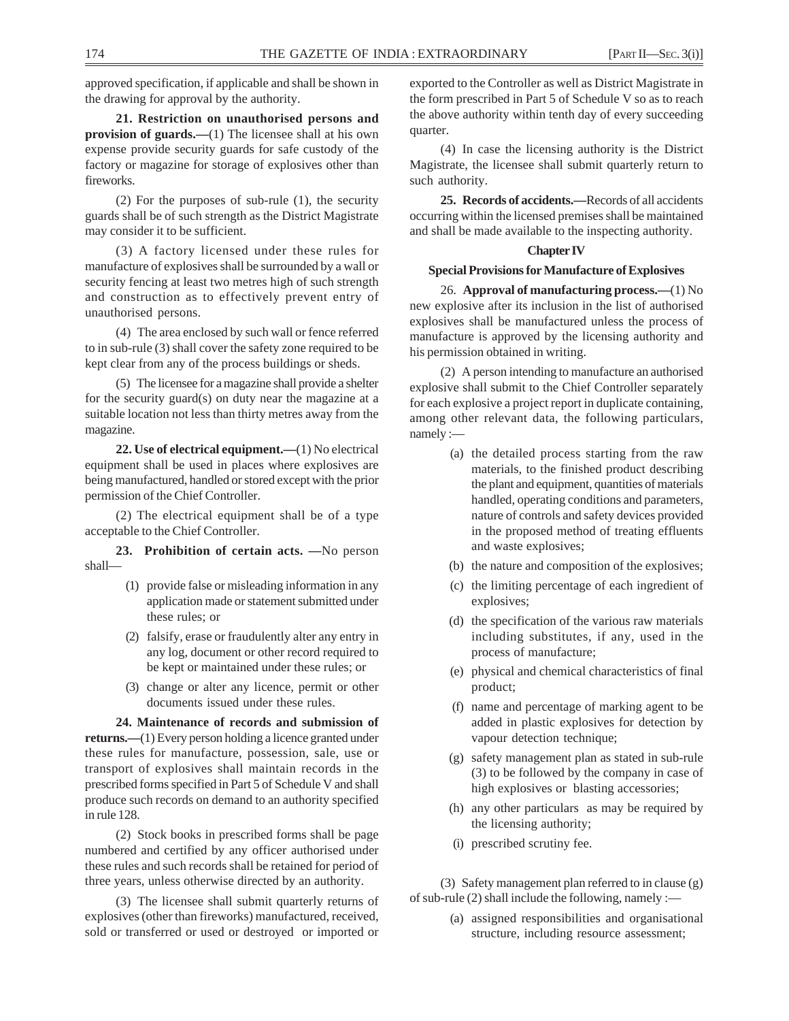approved specification, if applicable and shall be shown in the drawing for approval by the authority.

**21. Restriction on unauthorised persons and provision of guards.**—(1) The licensee shall at his own expense provide security guards for safe custody of the factory or magazine for storage of explosives other than fireworks.

(2) For the purposes of sub-rule (1), the security guards shall be of such strength as the District Magistrate may consider it to be sufficient.

(3) A factory licensed under these rules for manufacture of explosives shall be surrounded by a wall or security fencing at least two metres high of such strength and construction as to effectively prevent entry of unauthorised persons.

(4) The area enclosed by such wall or fence referred to in sub-rule (3) shall cover the safety zone required to be kept clear from any of the process buildings or sheds.

(5) The licensee for a magazine shall provide a shelter for the security guard(s) on duty near the magazine at a suitable location not less than thirty metres away from the magazine.

**22. Use of electrical equipment.—**(1) No electrical equipment shall be used in places where explosives are being manufactured, handled or stored except with the prior permission of the Chief Controller.

(2) The electrical equipment shall be of a type acceptable to the Chief Controller.

**23. Prohibition of certain acts. —**No person shall—

- (1) provide false or misleading information in any application made or statement submitted under these rules; or
- (2) falsify, erase or fraudulently alter any entry in any log, document or other record required to be kept or maintained under these rules; or
- (3) change or alter any licence, permit or other documents issued under these rules.

**24. Maintenance of records and submission of returns.—**(1) Every person holding a licence granted under these rules for manufacture, possession, sale, use or transport of explosives shall maintain records in the prescribed forms specified in Part 5 of Schedule V and shall produce such records on demand to an authority specified in rule 128.

(2) Stock books in prescribed forms shall be page numbered and certified by any officer authorised under these rules and such records shall be retained for period of three years, unless otherwise directed by an authority.

(3) The licensee shall submit quarterly returns of explosives (other than fireworks) manufactured, received, sold or transferred or used or destroyed or imported or

exported to the Controller as well as District Magistrate in the form prescribed in Part 5 of Schedule V so as to reach the above authority within tenth day of every succeeding quarter.

(4) In case the licensing authority is the District Magistrate, the licensee shall submit quarterly return to such authority.

**25. Records of accidents.—**Records of all accidents occurring within the licensed premises shall be maintained and shall be made available to the inspecting authority.

#### **Chapter IV**

#### **Special Provisions for Manufacture of Explosives**

26. **Approval of manufacturing process.—**(1) No new explosive after its inclusion in the list of authorised explosives shall be manufactured unless the process of manufacture is approved by the licensing authority and his permission obtained in writing.

(2) A person intending to manufacture an authorised explosive shall submit to the Chief Controller separately for each explosive a project report in duplicate containing, among other relevant data, the following particulars, namely :—

- (a) the detailed process starting from the raw materials, to the finished product describing the plant and equipment, quantities of materials handled, operating conditions and parameters, nature of controls and safety devices provided in the proposed method of treating effluents and waste explosives;
- (b) the nature and composition of the explosives;
- (c) the limiting percentage of each ingredient of explosives;
- (d) the specification of the various raw materials including substitutes, if any, used in the process of manufacture;
- (e) physical and chemical characteristics of final product;
- (f) name and percentage of marking agent to be added in plastic explosives for detection by vapour detection technique;
- (g) safety management plan as stated in sub-rule (3) to be followed by the company in case of high explosives or blasting accessories;
- (h) any other particulars as may be required by the licensing authority;
- (i) prescribed scrutiny fee.

(3) Safety management plan referred to in clause (g) of sub-rule  $(2)$  shall include the following, namely :—

> (a) assigned responsibilities and organisational structure, including resource assessment;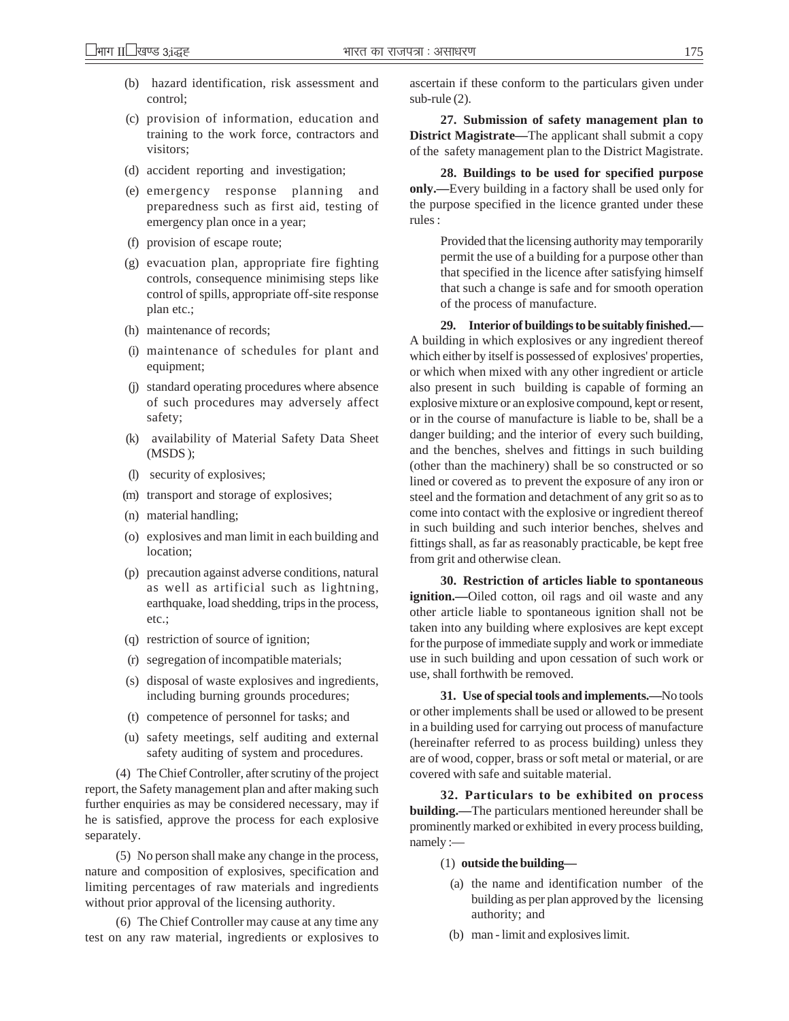- (b) hazard identification, risk assessment and control;
- (c) provision of information, education and training to the work force, contractors and visitors;
- (d) accident reporting and investigation;
- (e) emergency response planning and preparedness such as first aid, testing of emergency plan once in a year;
- (f) provision of escape route;
- (g) evacuation plan, appropriate fire fighting controls, consequence minimising steps like control of spills, appropriate off-site response plan etc.;
- (h) maintenance of records;
- (i) maintenance of schedules for plant and equipment;
- (j) standard operating procedures where absence of such procedures may adversely affect safety;
- (k) availability of Material Safety Data Sheet (MSDS );
- (l) security of explosives;
- (m) transport and storage of explosives;
- (n) material handling;
- (o) explosives and man limit in each building and location;
- (p) precaution against adverse conditions, natural as well as artificial such as lightning, earthquake, load shedding, trips in the process, etc.;
- (q) restriction of source of ignition;
- (r) segregation of incompatible materials;
- (s) disposal of waste explosives and ingredients, including burning grounds procedures;
- (t) competence of personnel for tasks; and
- (u) safety meetings, self auditing and external safety auditing of system and procedures.

(4) The Chief Controller, after scrutiny of the project report, the Safety management plan and after making such further enquiries as may be considered necessary, may if he is satisfied, approve the process for each explosive separately.

(5) No person shall make any change in the process, nature and composition of explosives, specification and limiting percentages of raw materials and ingredients without prior approval of the licensing authority.

(6) The Chief Controller may cause at any time any test on any raw material, ingredients or explosives to ascertain if these conform to the particulars given under sub-rule (2).

**27. Submission of safety management plan to District Magistrate—**The applicant shall submit a copy of the safety management plan to the District Magistrate.

**28. Buildings to be used for specified purpose only.—**Every building in a factory shall be used only for the purpose specified in the licence granted under these rules :

> Provided that the licensing authority may temporarily permit the use of a building for a purpose other than that specified in the licence after satisfying himself that such a change is safe and for smooth operation of the process of manufacture.

**29. Interior of buildings to be suitably finished.—** A building in which explosives or any ingredient thereof which either by itself is possessed of explosives' properties, or which when mixed with any other ingredient or article also present in such building is capable of forming an explosive mixture or an explosive compound, kept or resent, or in the course of manufacture is liable to be, shall be a danger building; and the interior of every such building, and the benches, shelves and fittings in such building (other than the machinery) shall be so constructed or so lined or covered as to prevent the exposure of any iron or steel and the formation and detachment of any grit so as to come into contact with the explosive or ingredient thereof in such building and such interior benches, shelves and fittings shall, as far as reasonably practicable, be kept free from grit and otherwise clean.

**30. Restriction of articles liable to spontaneous ignition.—**Oiled cotton, oil rags and oil waste and any other article liable to spontaneous ignition shall not be taken into any building where explosives are kept except for the purpose of immediate supply and work or immediate use in such building and upon cessation of such work or use, shall forthwith be removed.

**31. Use of special tools and implements.—**No tools or other implements shall be used or allowed to be present in a building used for carrying out process of manufacture (hereinafter referred to as process building) unless they are of wood, copper, brass or soft metal or material, or are covered with safe and suitable material.

**32. Particulars to be exhibited on process building.—**The particulars mentioned hereunder shall be prominently marked or exhibited in every process building, namely :—

(1) **outside the building—**

- (a) the name and identification number of the building as per plan approved by the licensing authority; and
- (b) man limit and explosives limit.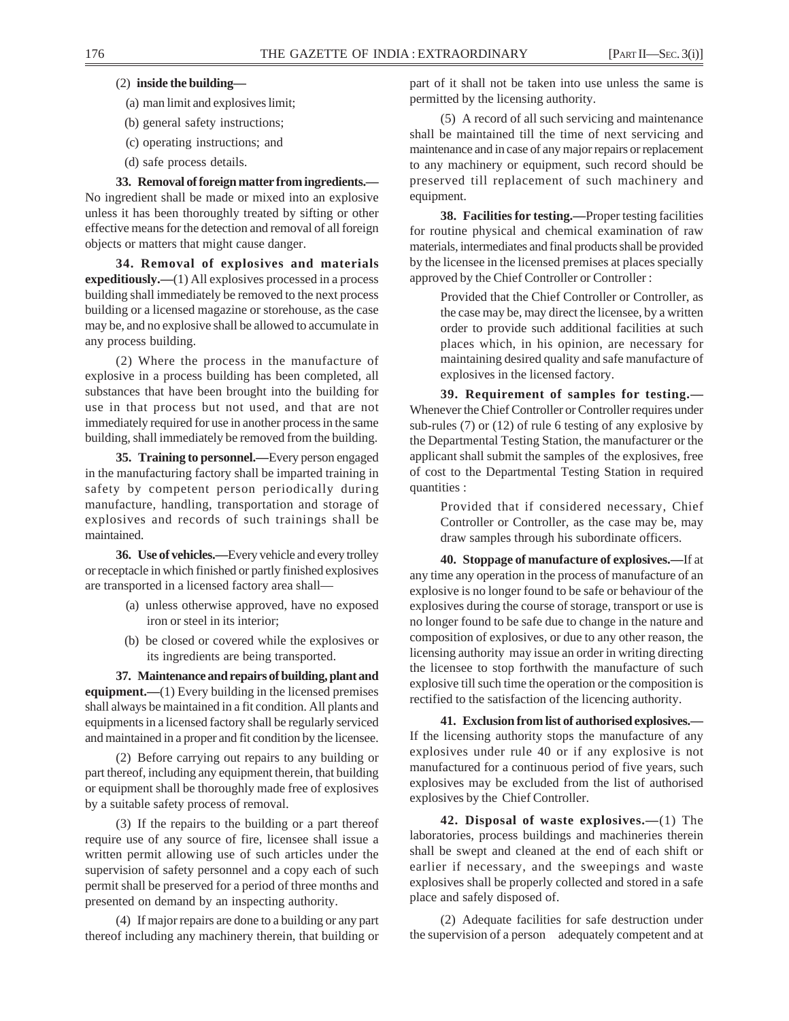## (2) **inside the building—**

- (a) man limit and explosives limit;
- (b) general safety instructions;
- (c) operating instructions; and (d) safe process details.

**33. Removal of foreign matter from ingredients.—** No ingredient shall be made or mixed into an explosive unless it has been thoroughly treated by sifting or other effective means for the detection and removal of all foreign objects or matters that might cause danger.

**34. Removal of explosives and materials expeditiously.—**(1) All explosives processed in a process building shall immediately be removed to the next process building or a licensed magazine or storehouse, as the case may be, and no explosive shall be allowed to accumulate in any process building.

(2) Where the process in the manufacture of explosive in a process building has been completed, all substances that have been brought into the building for use in that process but not used, and that are not immediately required for use in another process in the same building, shall immediately be removed from the building.

**35. Training to personnel.—**Every person engaged in the manufacturing factory shall be imparted training in safety by competent person periodically during manufacture, handling, transportation and storage of explosives and records of such trainings shall be maintained.

**36. Use of vehicles.—**Every vehicle and every trolley or receptacle in which finished or partly finished explosives are transported in a licensed factory area shall—

- (a) unless otherwise approved, have no exposed iron or steel in its interior;
- (b) be closed or covered while the explosives or its ingredients are being transported.

**37. Maintenance and repairs of building, plant and equipment.—**(1) Every building in the licensed premises shall always be maintained in a fit condition. All plants and equipments in a licensed factory shall be regularly serviced and maintained in a proper and fit condition by the licensee.

(2) Before carrying out repairs to any building or part thereof, including any equipment therein, that building or equipment shall be thoroughly made free of explosives by a suitable safety process of removal.

(3) If the repairs to the building or a part thereof require use of any source of fire, licensee shall issue a written permit allowing use of such articles under the supervision of safety personnel and a copy each of such permit shall be preserved for a period of three months and presented on demand by an inspecting authority.

(4) If major repairs are done to a building or any part thereof including any machinery therein, that building or part of it shall not be taken into use unless the same is permitted by the licensing authority.

(5) A record of all such servicing and maintenance shall be maintained till the time of next servicing and maintenance and in case of any major repairs or replacement to any machinery or equipment, such record should be preserved till replacement of such machinery and equipment.

**38. Facilities for testing.—**Proper testing facilities for routine physical and chemical examination of raw materials, intermediates and final products shall be provided by the licensee in the licensed premises at places specially approved by the Chief Controller or Controller :

> Provided that the Chief Controller or Controller, as the case may be, may direct the licensee, by a written order to provide such additional facilities at such places which, in his opinion, are necessary for maintaining desired quality and safe manufacture of explosives in the licensed factory.

**39. Requirement of samples for testing.—** Whenever the Chief Controller or Controller requires under sub-rules (7) or (12) of rule 6 testing of any explosive by the Departmental Testing Station, the manufacturer or the applicant shall submit the samples of the explosives, free of cost to the Departmental Testing Station in required quantities :

> Provided that if considered necessary, Chief Controller or Controller, as the case may be, may draw samples through his subordinate officers.

**40. Stoppage of manufacture of explosives.—**If at any time any operation in the process of manufacture of an explosive is no longer found to be safe or behaviour of the explosives during the course of storage, transport or use is no longer found to be safe due to change in the nature and composition of explosives, or due to any other reason, the licensing authority may issue an order in writing directing the licensee to stop forthwith the manufacture of such explosive till such time the operation or the composition is rectified to the satisfaction of the licencing authority.

**41. Exclusion from list of authorised explosives.—** If the licensing authority stops the manufacture of any explosives under rule 40 or if any explosive is not manufactured for a continuous period of five years, such explosives may be excluded from the list of authorised explosives by the Chief Controller.

**42. Disposal of waste explosives.—**(1) The laboratories, process buildings and machineries therein shall be swept and cleaned at the end of each shift or earlier if necessary, and the sweepings and waste explosives shall be properly collected and stored in a safe place and safely disposed of.

(2) Adequate facilities for safe destruction under the supervision of a person adequately competent and at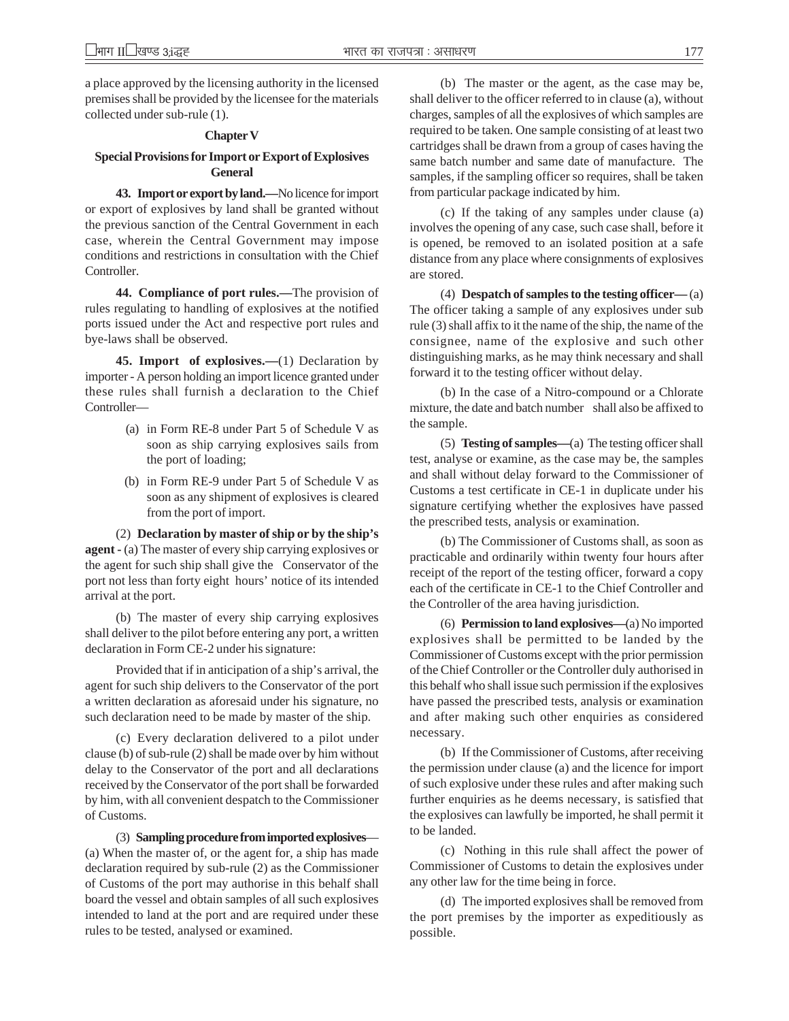a place approved by the licensing authority in the licensed premises shall be provided by the licensee for the materials collected under sub-rule (1).

#### **Chapter V**

## **Special Provisions for Import or Export of Explosives General**

**43. Import or export by land.—**No licence for import or export of explosives by land shall be granted without the previous sanction of the Central Government in each case, wherein the Central Government may impose conditions and restrictions in consultation with the Chief Controller.

**44. Compliance of port rules.—**The provision of rules regulating to handling of explosives at the notified ports issued under the Act and respective port rules and bye-laws shall be observed.

**45. Import of explosives.—**(1) Declaration by importer - A person holding an import licence granted under these rules shall furnish a declaration to the Chief Controller—

- (a) in Form RE-8 under Part 5 of Schedule V as soon as ship carrying explosives sails from the port of loading;
- (b) in Form RE-9 under Part 5 of Schedule V as soon as any shipment of explosives is cleared from the port of import.

(2) **Declaration by master of ship or by the ship's agent -** (a) The master of every ship carrying explosives or the agent for such ship shall give the Conservator of the port not less than forty eight hours' notice of its intended arrival at the port.

(b) The master of every ship carrying explosives shall deliver to the pilot before entering any port, a written declaration in Form CE-2 under his signature:

Provided that if in anticipation of a ship's arrival, the agent for such ship delivers to the Conservator of the port a written declaration as aforesaid under his signature, no such declaration need to be made by master of the ship.

(c) Every declaration delivered to a pilot under clause (b) of sub-rule (2) shall be made over by him without delay to the Conservator of the port and all declarations received by the Conservator of the port shall be forwarded by him, with all convenient despatch to the Commissioner of Customs.

(3) **Sampling procedure from imported explosives**— (a) When the master of, or the agent for, a ship has made declaration required by sub-rule (2) as the Commissioner of Customs of the port may authorise in this behalf shall board the vessel and obtain samples of all such explosives intended to land at the port and are required under these rules to be tested, analysed or examined.

(b) The master or the agent, as the case may be, shall deliver to the officer referred to in clause (a), without charges, samples of all the explosives of which samples are required to be taken. One sample consisting of at least two cartridges shall be drawn from a group of cases having the same batch number and same date of manufacture. The samples, if the sampling officer so requires, shall be taken from particular package indicated by him.

(c) If the taking of any samples under clause (a) involves the opening of any case, such case shall, before it is opened, be removed to an isolated position at a safe distance from any place where consignments of explosives are stored.

(4) **Despatch of samples to the testing officer—** (a) The officer taking a sample of any explosives under sub rule (3) shall affix to it the name of the ship, the name of the consignee, name of the explosive and such other distinguishing marks, as he may think necessary and shall forward it to the testing officer without delay.

(b) In the case of a Nitro-compound or a Chlorate mixture, the date and batch number shall also be affixed to the sample.

(5) **Testing of samples—**(a) The testing officer shall test, analyse or examine, as the case may be, the samples and shall without delay forward to the Commissioner of Customs a test certificate in CE-1 in duplicate under his signature certifying whether the explosives have passed the prescribed tests, analysis or examination.

(b) The Commissioner of Customs shall, as soon as practicable and ordinarily within twenty four hours after receipt of the report of the testing officer, forward a copy each of the certificate in CE-1 to the Chief Controller and the Controller of the area having jurisdiction.

(6) **Permission to land explosives—**(a) No imported explosives shall be permitted to be landed by the Commissioner of Customs except with the prior permission of the Chief Controller or the Controller duly authorised in this behalf who shall issue such permission if the explosives have passed the prescribed tests, analysis or examination and after making such other enquiries as considered necessary.

(b) If the Commissioner of Customs, after receiving the permission under clause (a) and the licence for import of such explosive under these rules and after making such further enquiries as he deems necessary, is satisfied that the explosives can lawfully be imported, he shall permit it to be landed.

(c) Nothing in this rule shall affect the power of Commissioner of Customs to detain the explosives under any other law for the time being in force.

(d) The imported explosives shall be removed from the port premises by the importer as expeditiously as possible.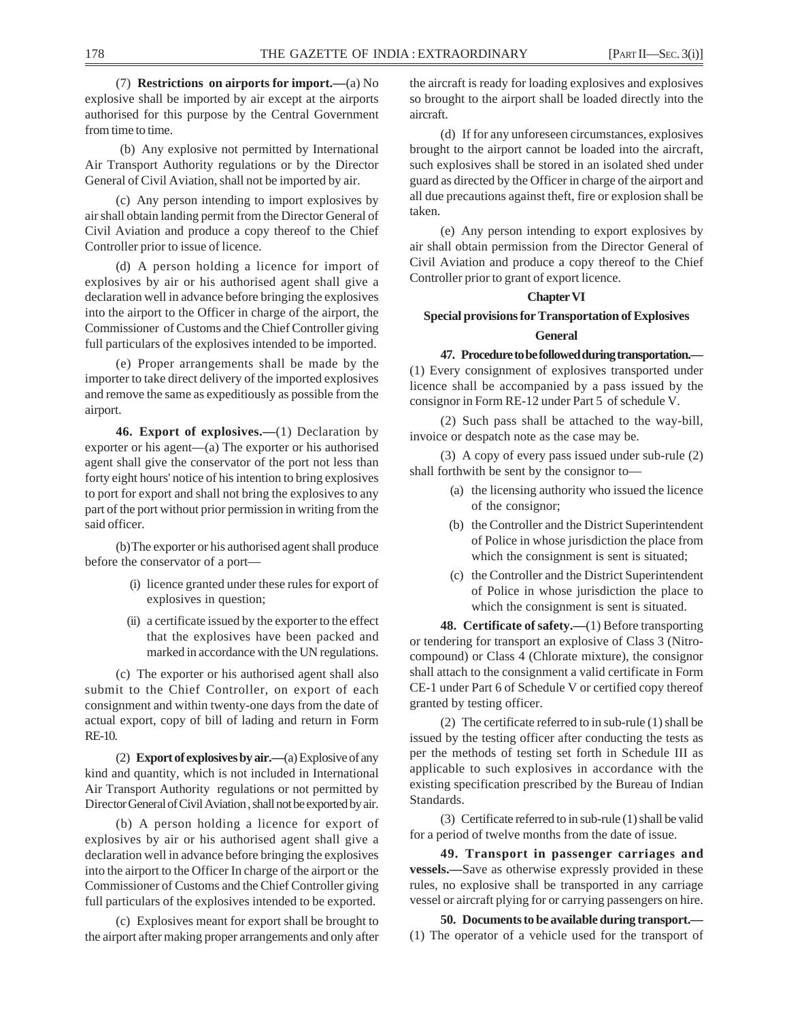(7) **Restrictions on airports for import.—**(a) No explosive shall be imported by air except at the airports authorised for this purpose by the Central Government from time to time.

 (b) Any explosive not permitted by International Air Transport Authority regulations or by the Director General of Civil Aviation, shall not be imported by air.

(c) Any person intending to import explosives by air shall obtain landing permit from the Director General of Civil Aviation and produce a copy thereof to the Chief Controller prior to issue of licence.

(d) A person holding a licence for import of explosives by air or his authorised agent shall give a declaration well in advance before bringing the explosives into the airport to the Officer in charge of the airport, the Commissioner of Customs and the Chief Controller giving full particulars of the explosives intended to be imported.

(e) Proper arrangements shall be made by the importer to take direct delivery of the imported explosives and remove the same as expeditiously as possible from the airport.

**46. Export of explosives.—**(1) Declaration by exporter or his agent—(a) The exporter or his authorised agent shall give the conservator of the port not less than forty eight hours' notice of his intention to bring explosives to port for export and shall not bring the explosives to any part of the port without prior permission in writing from the said officer.

(b)The exporter or his authorised agent shall produce before the conservator of a port—

- (i) licence granted under these rules for export of explosives in question;
- (ii) a certificate issued by the exporter to the effect that the explosives have been packed and marked in accordance with the UN regulations.

(c) The exporter or his authorised agent shall also submit to the Chief Controller, on export of each consignment and within twenty-one days from the date of actual export, copy of bill of lading and return in Form RE-10.

(2) **Export of explosives by air.—**(a) Explosive of any kind and quantity, which is not included in International Air Transport Authority regulations or not permitted by Director General of Civil Aviation , shall not be exported by air.

(b) A person holding a licence for export of explosives by air or his authorised agent shall give a declaration well in advance before bringing the explosives into the airport to the Officer In charge of the airport or the Commissioner of Customs and the Chief Controller giving full particulars of the explosives intended to be exported.

(c) Explosives meant for export shall be brought to the airport after making proper arrangements and only after the aircraft is ready for loading explosives and explosives so brought to the airport shall be loaded directly into the aircraft.

(d) If for any unforeseen circumstances, explosives brought to the airport cannot be loaded into the aircraft, such explosives shall be stored in an isolated shed under guard as directed by the Officer in charge of the airport and all due precautions against theft, fire or explosion shall be taken.

(e) Any person intending to export explosives by air shall obtain permission from the Director General of Civil Aviation and produce a copy thereof to the Chief Controller prior to grant of export licence.

## **Chapter VI**

## **Special provisions for Transportation of Explosives General**

**47. Procedure to be followed during transportation.—**

(1) Every consignment of explosives transported under licence shall be accompanied by a pass issued by the consignor in Form RE-12 under Part 5 of schedule V.

(2) Such pass shall be attached to the way-bill, invoice or despatch note as the case may be.

(3) A copy of every pass issued under sub-rule (2) shall forthwith be sent by the consignor to—

- (a) the licensing authority who issued the licence of the consignor;
- (b) the Controller and the District Superintendent of Police in whose jurisdiction the place from which the consignment is sent is situated;
- (c) the Controller and the District Superintendent of Police in whose jurisdiction the place to which the consignment is sent is situated.

**48. Certificate of safety.**—(1) Before transporting or tendering for transport an explosive of Class 3 (Nitrocompound) or Class 4 (Chlorate mixture), the consignor shall attach to the consignment a valid certificate in Form CE-1 under Part 6 of Schedule V or certified copy thereof granted by testing officer.

(2) The certificate referred to in sub-rule (1) shall be issued by the testing officer after conducting the tests as per the methods of testing set forth in Schedule III as applicable to such explosives in accordance with the existing specification prescribed by the Bureau of Indian Standards.

(3) Certificate referred to in sub-rule (1) shall be valid for a period of twelve months from the date of issue.

**49. Transport in passenger carriages and vessels.—**Save as otherwise expressly provided in these rules, no explosive shall be transported in any carriage vessel or aircraft plying for or carrying passengers on hire.

**50. Documents to be available during transport.—** (1) The operator of a vehicle used for the transport of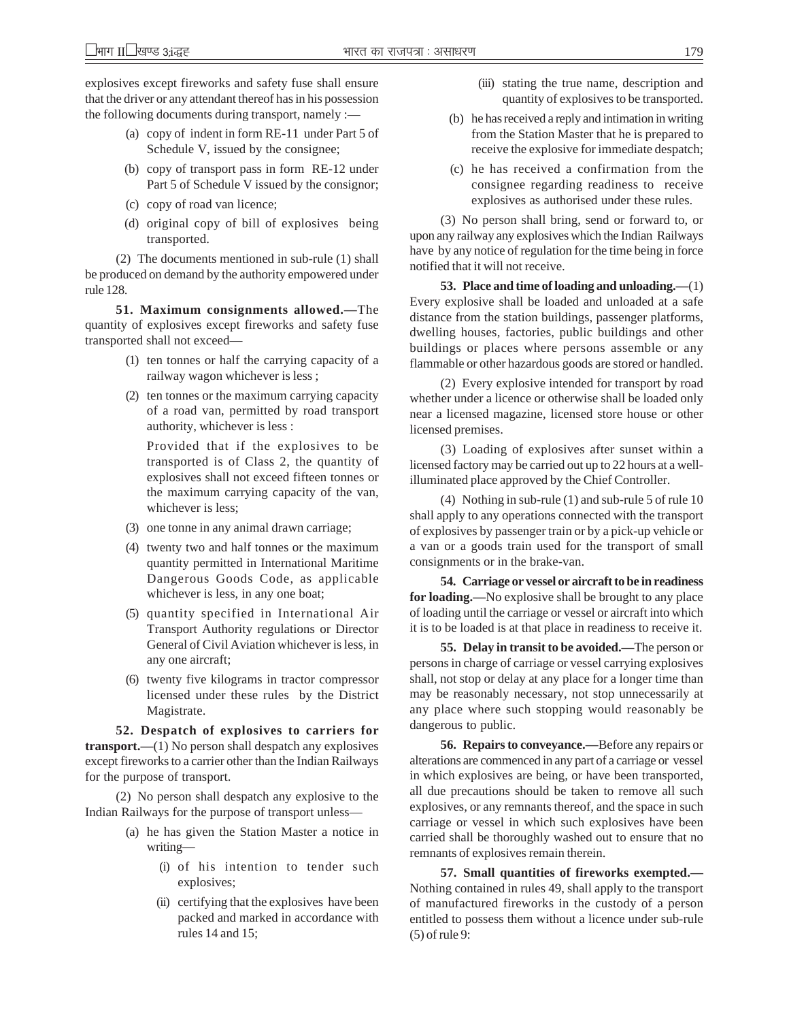explosives except fireworks and safety fuse shall ensure that the driver or any attendant thereof has in his possession the following documents during transport, namely :—

- (a) copy of indent in form RE-11 under Part 5 of Schedule V, issued by the consignee;
- (b) copy of transport pass in form RE-12 under Part 5 of Schedule V issued by the consignor;
- (c) copy of road van licence;
- (d) original copy of bill of explosives being transported.

(2) The documents mentioned in sub-rule (1) shall be produced on demand by the authority empowered under rule 128.

**51. Maximum consignments allowed.—**The quantity of explosives except fireworks and safety fuse transported shall not exceed—

- (1) ten tonnes or half the carrying capacity of a railway wagon whichever is less ;
- (2) ten tonnes or the maximum carrying capacity of a road van, permitted by road transport authority, whichever is less :

Provided that if the explosives to be transported is of Class 2, the quantity of explosives shall not exceed fifteen tonnes or the maximum carrying capacity of the van, whichever is less;

- (3) one tonne in any animal drawn carriage;
- (4) twenty two and half tonnes or the maximum quantity permitted in International Maritime Dangerous Goods Code, as applicable whichever is less, in any one boat;
- (5) quantity specified in International Air Transport Authority regulations or Director General of Civil Aviation whichever is less, in any one aircraft;
- (6) twenty five kilograms in tractor compressor licensed under these rules by the District Magistrate.

**52. Despatch of explosives to carriers for transport.—**(1) No person shall despatch any explosives except fireworks to a carrier other than the Indian Railways for the purpose of transport.

(2) No person shall despatch any explosive to the Indian Railways for the purpose of transport unless—

- (a) he has given the Station Master a notice in writing—
	- (i) of his intention to tender such explosives;
	- (ii) certifying that the explosives have been packed and marked in accordance with rules 14 and 15;
- (iii) stating the true name, description and quantity of explosives to be transported.
- (b) he has received a reply and intimation in writing from the Station Master that he is prepared to receive the explosive for immediate despatch;
- (c) he has received a confirmation from the consignee regarding readiness to receive explosives as authorised under these rules.

(3) No person shall bring, send or forward to, or upon any railway any explosives which the Indian Railways have by any notice of regulation for the time being in force notified that it will not receive.

**53. Place and time of loading and unloading.—**(1) Every explosive shall be loaded and unloaded at a safe distance from the station buildings, passenger platforms, dwelling houses, factories, public buildings and other buildings or places where persons assemble or any flammable or other hazardous goods are stored or handled.

(2) Every explosive intended for transport by road whether under a licence or otherwise shall be loaded only near a licensed magazine, licensed store house or other licensed premises.

(3) Loading of explosives after sunset within a licensed factory may be carried out up to 22 hours at a wellilluminated place approved by the Chief Controller.

(4) Nothing in sub-rule (1) and sub-rule 5 of rule 10 shall apply to any operations connected with the transport of explosives by passenger train or by a pick-up vehicle or a van or a goods train used for the transport of small consignments or in the brake-van.

**54. Carriage or vessel or aircraft to be in readiness for loading.—**No explosive shall be brought to any place of loading until the carriage or vessel or aircraft into which it is to be loaded is at that place in readiness to receive it.

**55. Delay in transit to be avoided.—**The person or persons in charge of carriage or vessel carrying explosives shall, not stop or delay at any place for a longer time than may be reasonably necessary, not stop unnecessarily at any place where such stopping would reasonably be dangerous to public.

**56. Repairs to conveyance.—**Before any repairs or alterations are commenced in any part of a carriage or vessel in which explosives are being, or have been transported, all due precautions should be taken to remove all such explosives, or any remnants thereof, and the space in such carriage or vessel in which such explosives have been carried shall be thoroughly washed out to ensure that no remnants of explosives remain therein.

**57. Small quantities of fireworks exempted.—** Nothing contained in rules 49, shall apply to the transport of manufactured fireworks in the custody of a person entitled to possess them without a licence under sub-rule (5) of rule 9: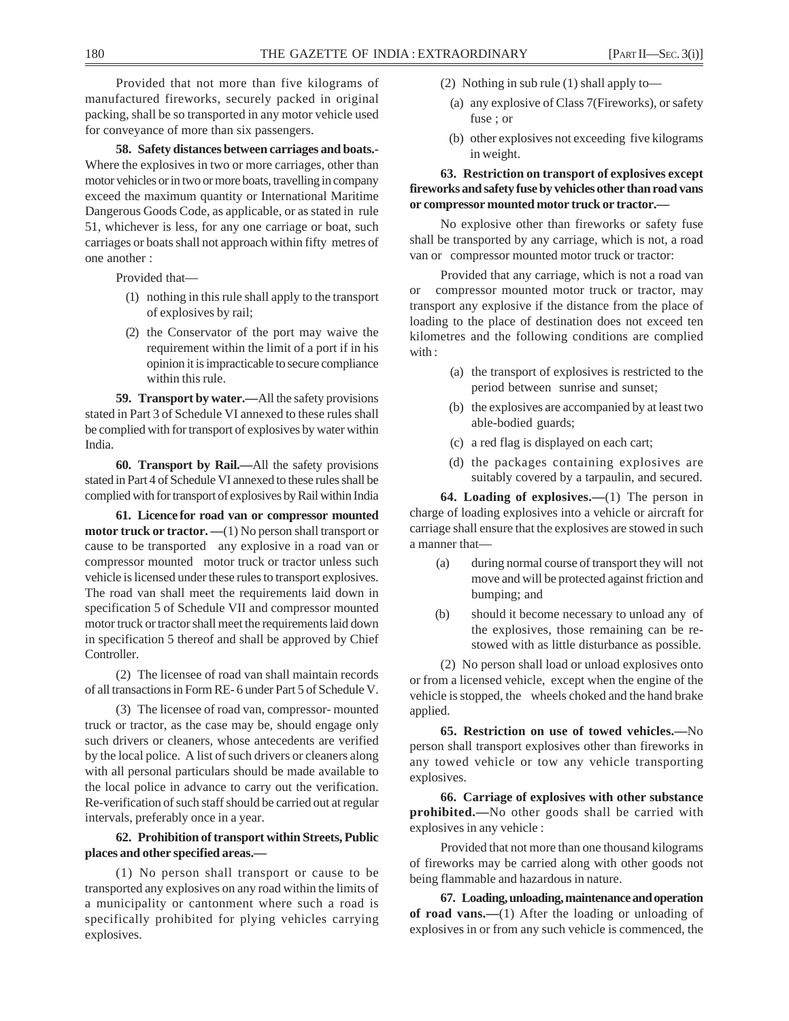Provided that not more than five kilograms of manufactured fireworks, securely packed in original packing, shall be so transported in any motor vehicle used for conveyance of more than six passengers.

**58. Safety distances between carriages and boats.-** Where the explosives in two or more carriages, other than motor vehicles or in two or more boats, travelling in company exceed the maximum quantity or International Maritime Dangerous Goods Code, as applicable, or as stated in rule 51, whichever is less, for any one carriage or boat, such carriages or boats shall not approach within fifty metres of one another :

Provided that—

- (1) nothing in this rule shall apply to the transport of explosives by rail;
- (2) the Conservator of the port may waive the requirement within the limit of a port if in his opinion it is impracticable to secure compliance within this rule.

**59. Transport by water.—**All the safety provisions stated in Part 3 of Schedule VI annexed to these rules shall be complied with for transport of explosives by water within India.

**60. Transport by Rail.—**All the safety provisions stated in Part 4 of Schedule VI annexed to these rules shall be complied with for transport of explosives by Rail within India

**61. Licence for road van or compressor mounted motor truck or tractor.** —(1) No person shall transport or cause to be transported any explosive in a road van or compressor mounted motor truck or tractor unless such vehicle is licensed under these rules to transport explosives. The road van shall meet the requirements laid down in specification 5 of Schedule VII and compressor mounted motor truck or tractor shall meet the requirements laid down in specification 5 thereof and shall be approved by Chief Controller.

(2) The licensee of road van shall maintain records of all transactions in Form RE- 6 under Part 5 of Schedule V.

(3) The licensee of road van, compressor- mounted truck or tractor, as the case may be, should engage only such drivers or cleaners, whose antecedents are verified by the local police. A list of such drivers or cleaners along with all personal particulars should be made available to the local police in advance to carry out the verification. Re-verification of such staff should be carried out at regular intervals, preferably once in a year.

## **62. Prohibition of transport within Streets, Public places and other specified areas.—**

(1) No person shall transport or cause to be transported any explosives on any road within the limits of a municipality or cantonment where such a road is specifically prohibited for plying vehicles carrying explosives.

- (2) Nothing in sub rule (1) shall apply to—
	- (a) any explosive of Class 7(Fireworks), or safety fuse ; or
	- (b) other explosives not exceeding five kilograms in weight.

## **63. Restriction on transport of explosives except fireworks and safety fuse by vehicles other than road vans or compressor mounted motor truck or tractor.—**

No explosive other than fireworks or safety fuse shall be transported by any carriage, which is not, a road van or compressor mounted motor truck or tractor:

Provided that any carriage, which is not a road van or compressor mounted motor truck or tractor, may transport any explosive if the distance from the place of loading to the place of destination does not exceed ten kilometres and the following conditions are complied with :

- (a) the transport of explosives is restricted to the period between sunrise and sunset;
- (b) the explosives are accompanied by at least two able-bodied guards;
- (c) a red flag is displayed on each cart;
- (d) the packages containing explosives are suitably covered by a tarpaulin, and secured.

**64. Loading of explosives.—**(1) The person in charge of loading explosives into a vehicle or aircraft for carriage shall ensure that the explosives are stowed in such a manner that—

- (a) during normal course of transport they will not move and will be protected against friction and bumping; and
- (b) should it become necessary to unload any of the explosives, those remaining can be restowed with as little disturbance as possible.

(2) No person shall load or unload explosives onto or from a licensed vehicle, except when the engine of the vehicle is stopped, the wheels choked and the hand brake applied.

**65. Restriction on use of towed vehicles.—**No person shall transport explosives other than fireworks in any towed vehicle or tow any vehicle transporting explosives.

**66. Carriage of explosives with other substance prohibited.—**No other goods shall be carried with explosives in any vehicle :

Provided that not more than one thousand kilograms of fireworks may be carried along with other goods not being flammable and hazardous in nature.

**67. Loading, unloading, maintenance and operation of road vans.—**(1) After the loading or unloading of explosives in or from any such vehicle is commenced, the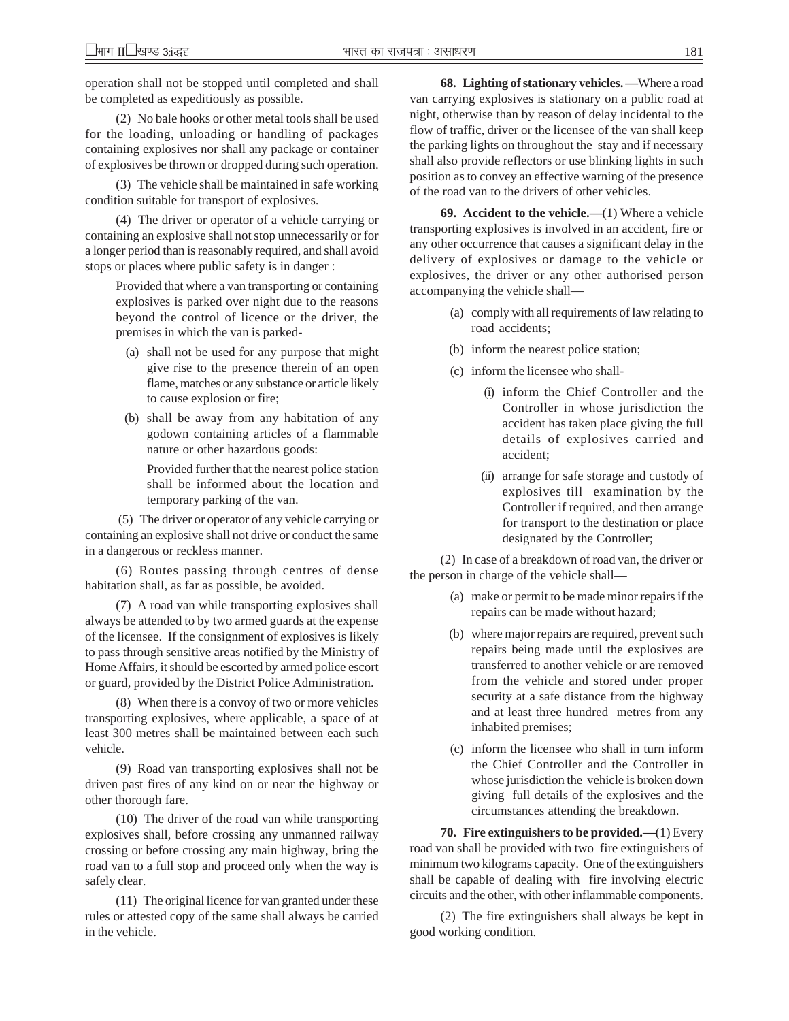operation shall not be stopped until completed and shall be completed as expeditiously as possible.

(2) No bale hooks or other metal tools shall be used for the loading, unloading or handling of packages containing explosives nor shall any package or container of explosives be thrown or dropped during such operation.

(3) The vehicle shall be maintained in safe working condition suitable for transport of explosives.

(4) The driver or operator of a vehicle carrying or containing an explosive shall not stop unnecessarily or for a longer period than is reasonably required, and shall avoid stops or places where public safety is in danger :

> Provided that where a van transporting or containing explosives is parked over night due to the reasons beyond the control of licence or the driver, the premises in which the van is parked-

- (a) shall not be used for any purpose that might give rise to the presence therein of an open flame, matches or any substance or article likely to cause explosion or fire;
- (b) shall be away from any habitation of any godown containing articles of a flammable nature or other hazardous goods:

Provided further that the nearest police station shall be informed about the location and temporary parking of the van.

 (5) The driver or operator of any vehicle carrying or containing an explosive shall not drive or conduct the same in a dangerous or reckless manner.

(6) Routes passing through centres of dense habitation shall, as far as possible, be avoided.

(7) A road van while transporting explosives shall always be attended to by two armed guards at the expense of the licensee. If the consignment of explosives is likely to pass through sensitive areas notified by the Ministry of Home Affairs, it should be escorted by armed police escort or guard, provided by the District Police Administration.

(8) When there is a convoy of two or more vehicles transporting explosives, where applicable, a space of at least 300 metres shall be maintained between each such vehicle.

(9) Road van transporting explosives shall not be driven past fires of any kind on or near the highway or other thorough fare.

(10) The driver of the road van while transporting explosives shall, before crossing any unmanned railway crossing or before crossing any main highway, bring the road van to a full stop and proceed only when the way is safely clear.

(11) The original licence for van granted under these rules or attested copy of the same shall always be carried in the vehicle.

**68. Lighting of stationary vehicles. —**Where a road van carrying explosives is stationary on a public road at night, otherwise than by reason of delay incidental to the flow of traffic, driver or the licensee of the van shall keep the parking lights on throughout the stay and if necessary shall also provide reflectors or use blinking lights in such position as to convey an effective warning of the presence of the road van to the drivers of other vehicles.

**69. Accident to the vehicle.—**(1) Where a vehicle transporting explosives is involved in an accident, fire or any other occurrence that causes a significant delay in the delivery of explosives or damage to the vehicle or explosives, the driver or any other authorised person accompanying the vehicle shall—

- (a) comply with all requirements of law relating to road accidents;
- (b) inform the nearest police station;
- (c) inform the licensee who shall-
	- (i) inform the Chief Controller and the Controller in whose jurisdiction the accident has taken place giving the full details of explosives carried and accident;
	- (ii) arrange for safe storage and custody of explosives till examination by the Controller if required, and then arrange for transport to the destination or place designated by the Controller;

(2) In case of a breakdown of road van, the driver or the person in charge of the vehicle shall—

- (a) make or permit to be made minor repairs if the repairs can be made without hazard;
- (b) where major repairs are required, prevent such repairs being made until the explosives are transferred to another vehicle or are removed from the vehicle and stored under proper security at a safe distance from the highway and at least three hundred metres from any inhabited premises;
- (c) inform the licensee who shall in turn inform the Chief Controller and the Controller in whose jurisdiction the vehicle is broken down giving full details of the explosives and the circumstances attending the breakdown.

**70. Fire extinguishers to be provided.—**(1) Every road van shall be provided with two fire extinguishers of minimum two kilograms capacity. One of the extinguishers shall be capable of dealing with fire involving electric circuits and the other, with other inflammable components.

(2) The fire extinguishers shall always be kept in good working condition.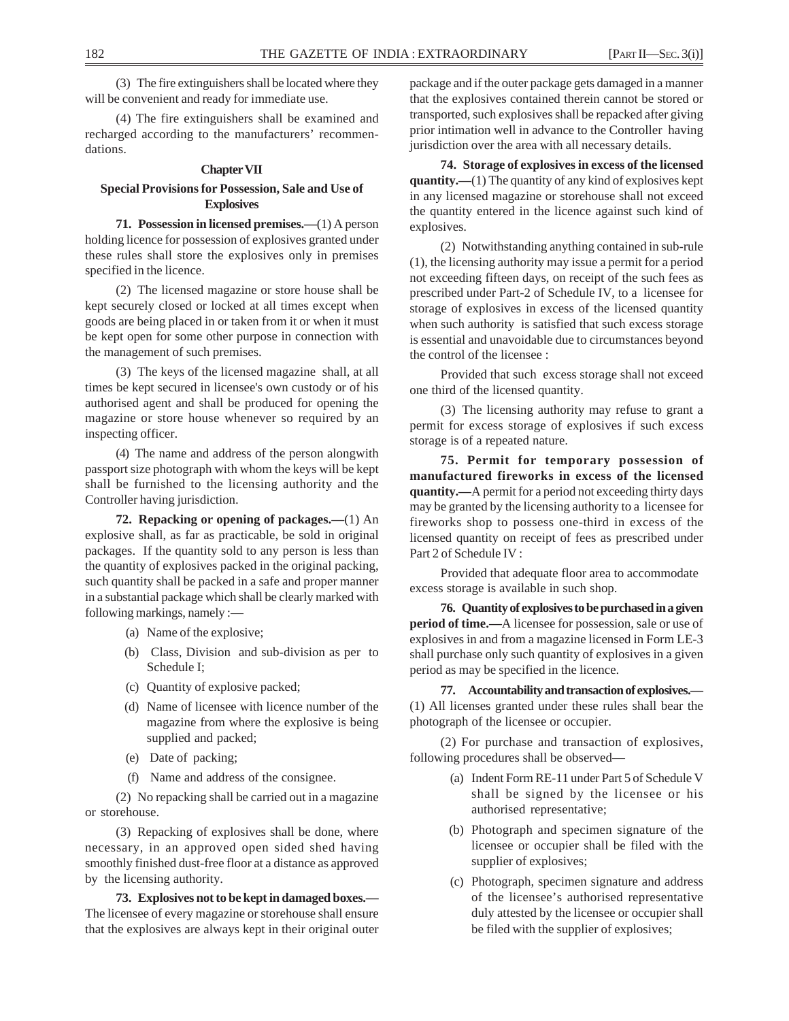(3) The fire extinguishers shall be located where they will be convenient and ready for immediate use.

(4) The fire extinguishers shall be examined and recharged according to the manufacturers' recommendations.

### **Chapter VII**

## **Special Provisions for Possession, Sale and Use of Explosives**

**71. Possession in licensed premises.—**(1) A person holding licence for possession of explosives granted under these rules shall store the explosives only in premises specified in the licence.

(2) The licensed magazine or store house shall be kept securely closed or locked at all times except when goods are being placed in or taken from it or when it must be kept open for some other purpose in connection with the management of such premises.

(3) The keys of the licensed magazine shall, at all times be kept secured in licensee's own custody or of his authorised agent and shall be produced for opening the magazine or store house whenever so required by an inspecting officer.

(4) The name and address of the person alongwith passport size photograph with whom the keys will be kept shall be furnished to the licensing authority and the Controller having jurisdiction.

**72. Repacking or opening of packages.—**(1) An explosive shall, as far as practicable, be sold in original packages. If the quantity sold to any person is less than the quantity of explosives packed in the original packing, such quantity shall be packed in a safe and proper manner in a substantial package which shall be clearly marked with following markings, namely :—

- (a) Name of the explosive;
- (b) Class, Division and sub-division as per to Schedule I;
- (c) Quantity of explosive packed;
- (d) Name of licensee with licence number of the magazine from where the explosive is being supplied and packed;
- (e) Date of packing;
- (f) Name and address of the consignee.

(2) No repacking shall be carried out in a magazine or storehouse.

(3) Repacking of explosives shall be done, where necessary, in an approved open sided shed having smoothly finished dust-free floor at a distance as approved by the licensing authority.

**73. Explosives not to be kept in damaged boxes.—** The licensee of every magazine or storehouse shall ensure that the explosives are always kept in their original outer

package and if the outer package gets damaged in a manner that the explosives contained therein cannot be stored or transported, such explosives shall be repacked after giving prior intimation well in advance to the Controller having jurisdiction over the area with all necessary details.

**74. Storage of explosives in excess of the licensed quantity.—**(1) The quantity of any kind of explosives kept in any licensed magazine or storehouse shall not exceed the quantity entered in the licence against such kind of explosives.

(2) Notwithstanding anything contained in sub-rule (1), the licensing authority may issue a permit for a period not exceeding fifteen days, on receipt of the such fees as prescribed under Part-2 of Schedule IV, to a licensee for storage of explosives in excess of the licensed quantity when such authority is satisfied that such excess storage is essential and unavoidable due to circumstances beyond the control of the licensee :

Provided that such excess storage shall not exceed one third of the licensed quantity.

(3) The licensing authority may refuse to grant a permit for excess storage of explosives if such excess storage is of a repeated nature.

**75. Permit for temporary possession of manufactured fireworks in excess of the licensed quantity.—**A permit for a period not exceeding thirty days may be granted by the licensing authority to a licensee for fireworks shop to possess one-third in excess of the licensed quantity on receipt of fees as prescribed under Part 2 of Schedule IV :

Provided that adequate floor area to accommodate excess storage is available in such shop.

**76. Quantity of explosives to be purchased in a given period of time.—**A licensee for possession, sale or use of explosives in and from a magazine licensed in Form LE-3 shall purchase only such quantity of explosives in a given period as may be specified in the licence.

**77. Accountability and transaction of explosives.—** (1) All licenses granted under these rules shall bear the photograph of the licensee or occupier.

(2) For purchase and transaction of explosives, following procedures shall be observed—

- (a) Indent Form RE-11 under Part 5 of Schedule V shall be signed by the licensee or his authorised representative;
- (b) Photograph and specimen signature of the licensee or occupier shall be filed with the supplier of explosives;
- (c) Photograph, specimen signature and address of the licensee's authorised representative duly attested by the licensee or occupier shall be filed with the supplier of explosives;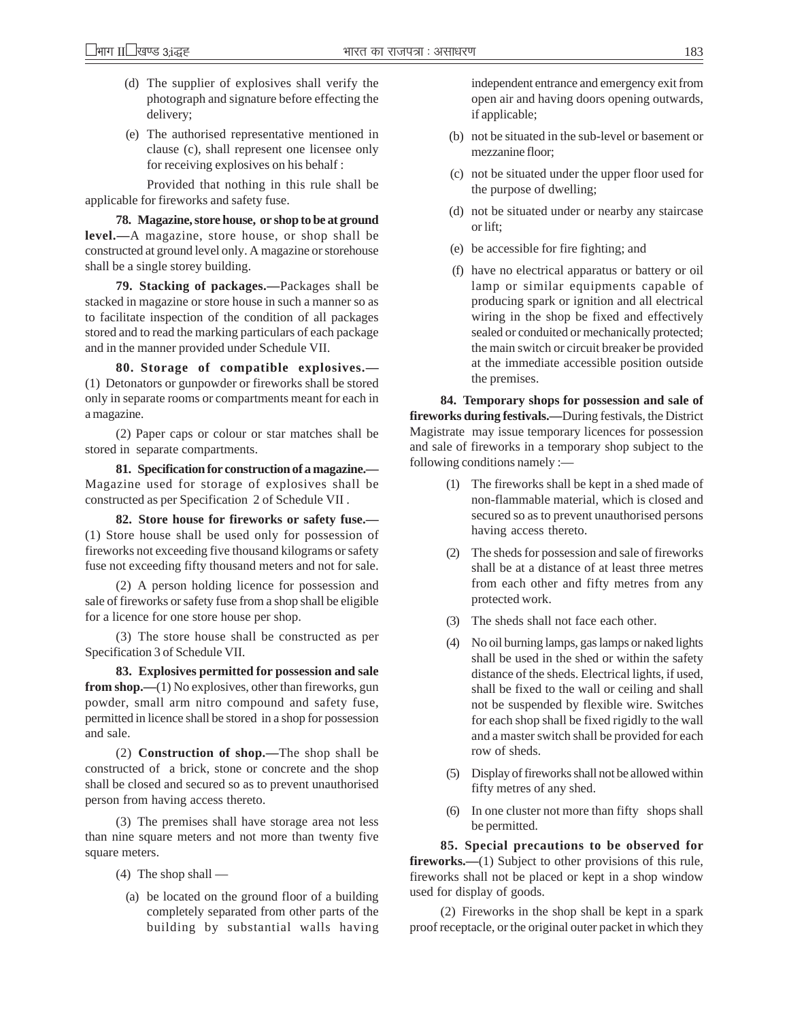- (d) The supplier of explosives shall verify the photograph and signature before effecting the delivery;
- (e) The authorised representative mentioned in clause (c), shall represent one licensee only for receiving explosives on his behalf :

Provided that nothing in this rule shall be applicable for fireworks and safety fuse.

**78. Magazine, store house, or shop to be at ground level.—**A magazine, store house, or shop shall be constructed at ground level only. A magazine or storehouse shall be a single storey building.

**79. Stacking of packages.—**Packages shall be stacked in magazine or store house in such a manner so as to facilitate inspection of the condition of all packages stored and to read the marking particulars of each package and in the manner provided under Schedule VII.

**80. Storage of compatible explosives.—** (1) Detonators or gunpowder or fireworks shall be stored only in separate rooms or compartments meant for each in a magazine.

(2) Paper caps or colour or star matches shall be stored in separate compartments.

**81. Specification for construction of a magazine.—** Magazine used for storage of explosives shall be constructed as per Specification 2 of Schedule VII .

**82. Store house for fireworks or safety fuse.—** (1) Store house shall be used only for possession of fireworks not exceeding five thousand kilograms or safety fuse not exceeding fifty thousand meters and not for sale.

(2) A person holding licence for possession and sale of fireworks or safety fuse from a shop shall be eligible for a licence for one store house per shop.

(3) The store house shall be constructed as per Specification 3 of Schedule VII.

**83. Explosives permitted for possession and sale from shop.—(1)** No explosives, other than fireworks, gun powder, small arm nitro compound and safety fuse, permitted in licence shall be stored in a shop for possession and sale.

(2) **Construction of shop.—**The shop shall be constructed of a brick, stone or concrete and the shop shall be closed and secured so as to prevent unauthorised person from having access thereto.

(3) The premises shall have storage area not less than nine square meters and not more than twenty five square meters.

- (4) The shop shall
	- (a) be located on the ground floor of a building completely separated from other parts of the building by substantial walls having

independent entrance and emergency exit from open air and having doors opening outwards, if applicable;

- (b) not be situated in the sub-level or basement or mezzanine floor;
- (c) not be situated under the upper floor used for the purpose of dwelling;
- (d) not be situated under or nearby any staircase or lift;
- (e) be accessible for fire fighting; and
- (f) have no electrical apparatus or battery or oil lamp or similar equipments capable of producing spark or ignition and all electrical wiring in the shop be fixed and effectively sealed or conduited or mechanically protected; the main switch or circuit breaker be provided at the immediate accessible position outside the premises.

**84. Temporary shops for possession and sale of fireworks during festivals.—**During festivals, the District Magistrate may issue temporary licences for possession and sale of fireworks in a temporary shop subject to the following conditions namely :—

- (1) The fireworks shall be kept in a shed made of non-flammable material, which is closed and secured so as to prevent unauthorised persons having access thereto.
- (2) The sheds for possession and sale of fireworks shall be at a distance of at least three metres from each other and fifty metres from any protected work.
- (3) The sheds shall not face each other.
- (4) No oil burning lamps, gas lamps or naked lights shall be used in the shed or within the safety distance of the sheds. Electrical lights, if used, shall be fixed to the wall or ceiling and shall not be suspended by flexible wire. Switches for each shop shall be fixed rigidly to the wall and a master switch shall be provided for each row of sheds.
- (5) Display of fireworks shall not be allowed within fifty metres of any shed.
- (6) In one cluster not more than fifty shops shall be permitted.

**85. Special precautions to be observed for fireworks.—(1)** Subject to other provisions of this rule, fireworks shall not be placed or kept in a shop window used for display of goods.

(2) Fireworks in the shop shall be kept in a spark proof receptacle, or the original outer packet in which they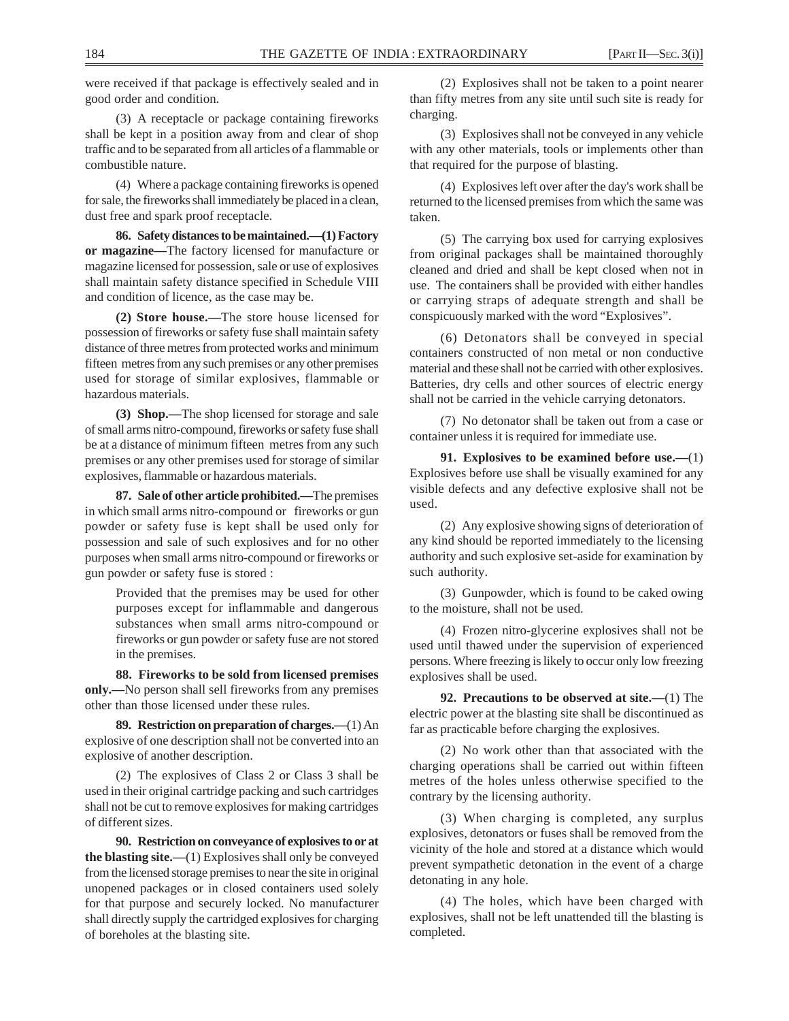were received if that package is effectively sealed and in good order and condition.

(3) A receptacle or package containing fireworks shall be kept in a position away from and clear of shop traffic and to be separated from all articles of a flammable or combustible nature.

(4) Where a package containing fireworks is opened for sale, the fireworks shall immediately be placed in a clean, dust free and spark proof receptacle.

**86. Safety distances to be maintained.—(1) Factory or magazine—**The factory licensed for manufacture or magazine licensed for possession, sale or use of explosives shall maintain safety distance specified in Schedule VIII and condition of licence, as the case may be.

**(2) Store house.—**The store house licensed for possession of fireworks or safety fuse shall maintain safety distance of three metres from protected works and minimum fifteen metres from any such premises or any other premises used for storage of similar explosives, flammable or hazardous materials.

**(3) Shop.—**The shop licensed for storage and sale of small arms nitro-compound, fireworks or safety fuse shall be at a distance of minimum fifteen metres from any such premises or any other premises used for storage of similar explosives, flammable or hazardous materials.

**87. Sale of other article prohibited.—**The premises in which small arms nitro-compound or fireworks or gun powder or safety fuse is kept shall be used only for possession and sale of such explosives and for no other purposes when small arms nitro-compound or fireworks or gun powder or safety fuse is stored :

> Provided that the premises may be used for other purposes except for inflammable and dangerous substances when small arms nitro-compound or fireworks or gun powder or safety fuse are not stored in the premises.

**88. Fireworks to be sold from licensed premises only.—**No person shall sell fireworks from any premises other than those licensed under these rules.

**89. Restriction on preparation of charges.—**(1) An explosive of one description shall not be converted into an explosive of another description.

(2) The explosives of Class 2 or Class 3 shall be used in their original cartridge packing and such cartridges shall not be cut to remove explosives for making cartridges of different sizes.

**90. Restriction on conveyance of explosives to or at the blasting site.—**(1) Explosives shall only be conveyed from the licensed storage premises to near the site in original unopened packages or in closed containers used solely for that purpose and securely locked. No manufacturer shall directly supply the cartridged explosives for charging of boreholes at the blasting site.

(2) Explosives shall not be taken to a point nearer than fifty metres from any site until such site is ready for charging.

(3) Explosives shall not be conveyed in any vehicle with any other materials, tools or implements other than that required for the purpose of blasting.

(4) Explosives left over after the day's work shall be returned to the licensed premises from which the same was taken.

(5) The carrying box used for carrying explosives from original packages shall be maintained thoroughly cleaned and dried and shall be kept closed when not in use. The containers shall be provided with either handles or carrying straps of adequate strength and shall be conspicuously marked with the word "Explosives".

(6) Detonators shall be conveyed in special containers constructed of non metal or non conductive material and these shall not be carried with other explosives. Batteries, dry cells and other sources of electric energy shall not be carried in the vehicle carrying detonators.

(7) No detonator shall be taken out from a case or container unless it is required for immediate use.

**91. Explosives to be examined before use.—**(1) Explosives before use shall be visually examined for any visible defects and any defective explosive shall not be used.

(2) Any explosive showing signs of deterioration of any kind should be reported immediately to the licensing authority and such explosive set-aside for examination by such authority.

(3) Gunpowder, which is found to be caked owing to the moisture, shall not be used.

(4) Frozen nitro-glycerine explosives shall not be used until thawed under the supervision of experienced persons. Where freezing is likely to occur only low freezing explosives shall be used.

**92. Precautions to be observed at site.—**(1) The electric power at the blasting site shall be discontinued as far as practicable before charging the explosives.

(2) No work other than that associated with the charging operations shall be carried out within fifteen metres of the holes unless otherwise specified to the contrary by the licensing authority.

(3) When charging is completed, any surplus explosives, detonators or fuses shall be removed from the vicinity of the hole and stored at a distance which would prevent sympathetic detonation in the event of a charge detonating in any hole.

(4) The holes, which have been charged with explosives, shall not be left unattended till the blasting is completed.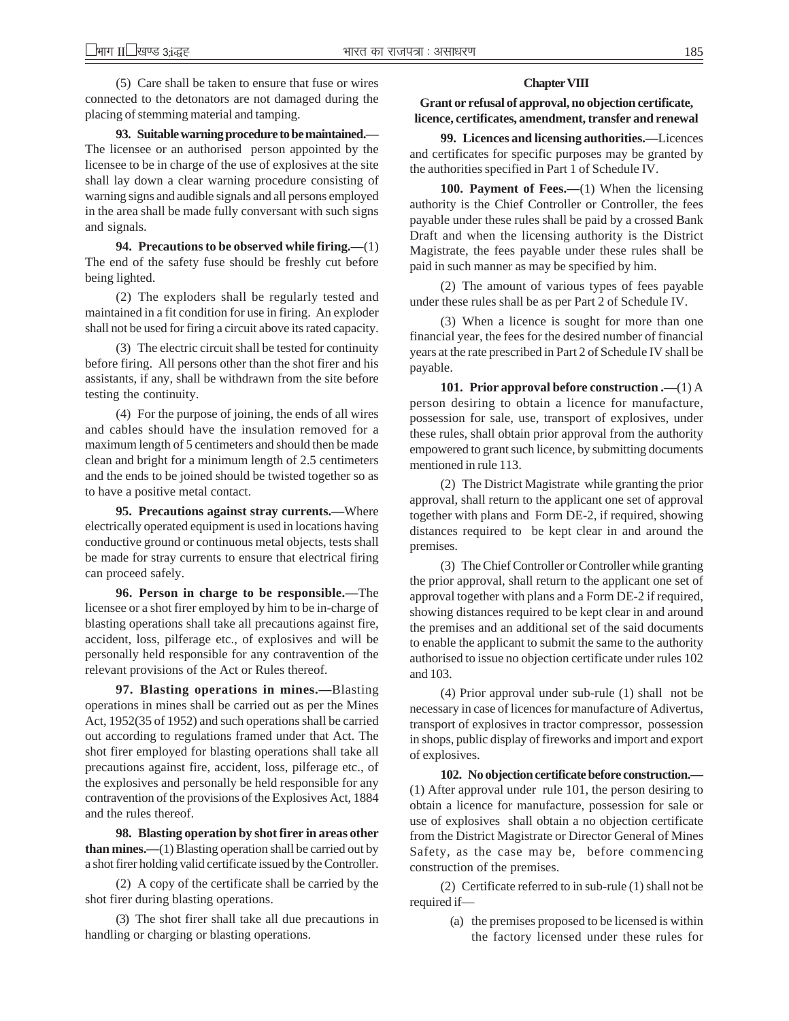(5) Care shall be taken to ensure that fuse or wires connected to the detonators are not damaged during the placing of stemming material and tamping.

**93. Suitable warning procedure to be maintained.—** The licensee or an authorised person appointed by the licensee to be in charge of the use of explosives at the site shall lay down a clear warning procedure consisting of warning signs and audible signals and all persons employed in the area shall be made fully conversant with such signs and signals.

**94. Precautions to be observed while firing.—**(1) The end of the safety fuse should be freshly cut before being lighted.

(2) The exploders shall be regularly tested and maintained in a fit condition for use in firing. An exploder shall not be used for firing a circuit above its rated capacity.

(3) The electric circuit shall be tested for continuity before firing. All persons other than the shot firer and his assistants, if any, shall be withdrawn from the site before testing the continuity.

(4) For the purpose of joining, the ends of all wires and cables should have the insulation removed for a maximum length of 5 centimeters and should then be made clean and bright for a minimum length of 2.5 centimeters and the ends to be joined should be twisted together so as to have a positive metal contact.

**95. Precautions against stray currents.—**Where electrically operated equipment is used in locations having conductive ground or continuous metal objects, tests shall be made for stray currents to ensure that electrical firing can proceed safely.

**96. Person in charge to be responsible.—**The licensee or a shot firer employed by him to be in-charge of blasting operations shall take all precautions against fire, accident, loss, pilferage etc., of explosives and will be personally held responsible for any contravention of the relevant provisions of the Act or Rules thereof.

**97. Blasting operations in mines.—**Blasting operations in mines shall be carried out as per the Mines Act, 1952(35 of 1952) and such operations shall be carried out according to regulations framed under that Act. The shot firer employed for blasting operations shall take all precautions against fire, accident, loss, pilferage etc., of the explosives and personally be held responsible for any contravention of the provisions of the Explosives Act, 1884 and the rules thereof.

**98. Blasting operation by shot firer in areas other than mines.—**(1) Blasting operation shall be carried out by a shot firer holding valid certificate issued by the Controller.

(2) A copy of the certificate shall be carried by the shot firer during blasting operations.

(3) The shot firer shall take all due precautions in handling or charging or blasting operations.

#### **Chapter VIII**

## **Grant or refusal of approval, no objection certificate, licence, certificates, amendment, transfer and renewal**

**99. Licences and licensing authorities.—**Licences and certificates for specific purposes may be granted by the authorities specified in Part 1 of Schedule IV.

**100. Payment of Fees.—**(1) When the licensing authority is the Chief Controller or Controller, the fees payable under these rules shall be paid by a crossed Bank Draft and when the licensing authority is the District Magistrate, the fees payable under these rules shall be paid in such manner as may be specified by him.

(2) The amount of various types of fees payable under these rules shall be as per Part 2 of Schedule IV.

(3) When a licence is sought for more than one financial year, the fees for the desired number of financial years at the rate prescribed in Part 2 of Schedule IV shall be payable.

**101. Prior approval before construction .—**(1) A person desiring to obtain a licence for manufacture, possession for sale, use, transport of explosives, under these rules, shall obtain prior approval from the authority empowered to grant such licence, by submitting documents mentioned in rule 113.

(2) The District Magistrate while granting the prior approval, shall return to the applicant one set of approval together with plans and Form DE-2, if required, showing distances required to be kept clear in and around the premises.

(3) The Chief Controller or Controller while granting the prior approval, shall return to the applicant one set of approval together with plans and a Form DE-2 if required, showing distances required to be kept clear in and around the premises and an additional set of the said documents to enable the applicant to submit the same to the authority authorised to issue no objection certificate under rules 102 and 103.

(4) Prior approval under sub-rule (1) shall not be necessary in case of licences for manufacture of Adivertus, transport of explosives in tractor compressor, possession in shops, public display of fireworks and import and export of explosives.

**102. No objection certificate before construction.—** (1) After approval under rule 101, the person desiring to obtain a licence for manufacture, possession for sale or use of explosives shall obtain a no objection certificate from the District Magistrate or Director General of Mines Safety, as the case may be, before commencing construction of the premises.

(2) Certificate referred to in sub-rule (1) shall not be required if—

> (a) the premises proposed to be licensed is within the factory licensed under these rules for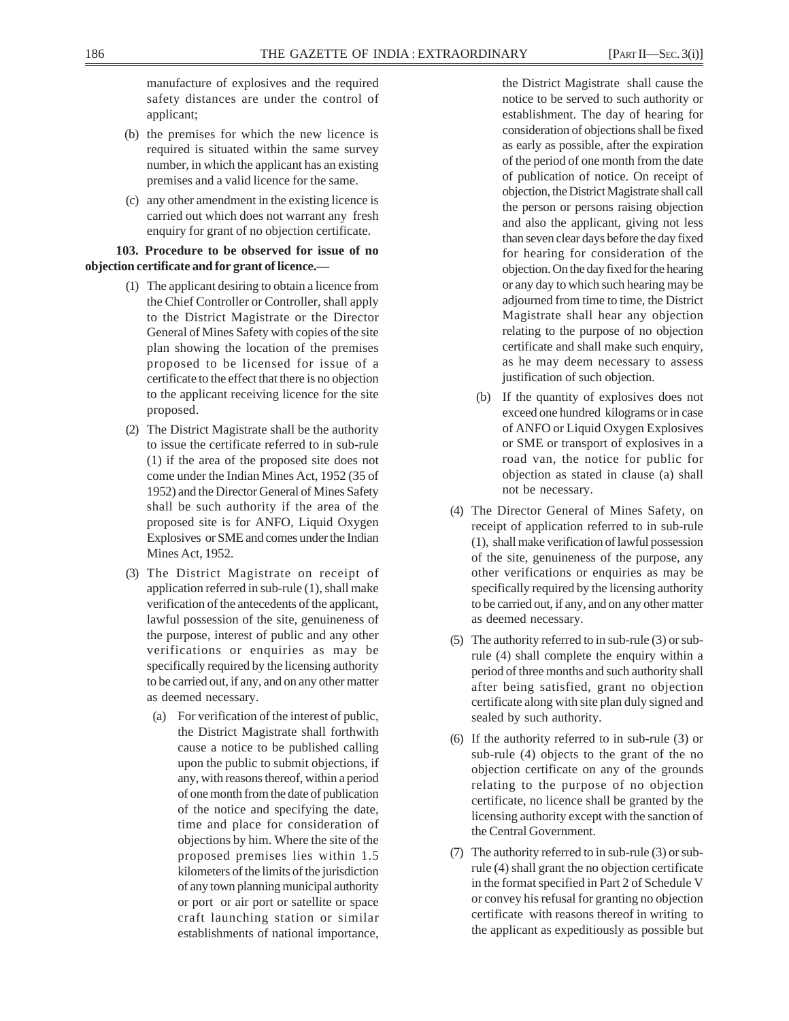manufacture of explosives and the required safety distances are under the control of

- (b) the premises for which the new licence is required is situated within the same survey number, in which the applicant has an existing premises and a valid licence for the same.
- (c) any other amendment in the existing licence is carried out which does not warrant any fresh enquiry for grant of no objection certificate.

## **103. Procedure to be observed for issue of no objection certificate and for grant of licence.—**

applicant;

- (1) The applicant desiring to obtain a licence from the Chief Controller or Controller, shall apply to the District Magistrate or the Director General of Mines Safety with copies of the site plan showing the location of the premises proposed to be licensed for issue of a certificate to the effect that there is no objection to the applicant receiving licence for the site proposed.
- (2) The District Magistrate shall be the authority to issue the certificate referred to in sub-rule (1) if the area of the proposed site does not come under the Indian Mines Act, 1952 (35 of 1952) and the Director General of Mines Safety shall be such authority if the area of the proposed site is for ANFO, Liquid Oxygen Explosives or SME and comes under the Indian Mines Act, 1952.
- (3) The District Magistrate on receipt of application referred in sub-rule (1), shall make verification of the antecedents of the applicant, lawful possession of the site, genuineness of the purpose, interest of public and any other verifications or enquiries as may be specifically required by the licensing authority to be carried out, if any, and on any other matter as deemed necessary.
	- (a) For verification of the interest of public, the District Magistrate shall forthwith cause a notice to be published calling upon the public to submit objections, if any, with reasons thereof, within a period of one month from the date of publication of the notice and specifying the date, time and place for consideration of objections by him. Where the site of the proposed premises lies within 1.5 kilometers of the limits of the jurisdiction of any town planning municipal authority or port or air port or satellite or space craft launching station or similar establishments of national importance,

the District Magistrate shall cause the notice to be served to such authority or establishment. The day of hearing for consideration of objections shall be fixed as early as possible, after the expiration of the period of one month from the date of publication of notice. On receipt of objection, the District Magistrate shall call the person or persons raising objection and also the applicant, giving not less than seven clear days before the day fixed for hearing for consideration of the objection. On the day fixed for the hearing or any day to which such hearing may be adjourned from time to time, the District Magistrate shall hear any objection relating to the purpose of no objection certificate and shall make such enquiry, as he may deem necessary to assess justification of such objection.

- (b) If the quantity of explosives does not exceed one hundred kilograms or in case of ANFO or Liquid Oxygen Explosives or SME or transport of explosives in a road van, the notice for public for objection as stated in clause (a) shall not be necessary.
- (4) The Director General of Mines Safety, on receipt of application referred to in sub-rule (1), shall make verification of lawful possession of the site, genuineness of the purpose, any other verifications or enquiries as may be specifically required by the licensing authority to be carried out, if any, and on any other matter as deemed necessary.
- (5) The authority referred to in sub-rule (3) or subrule (4) shall complete the enquiry within a period of three months and such authority shall after being satisfied, grant no objection certificate along with site plan duly signed and sealed by such authority.
- (6) If the authority referred to in sub-rule (3) or sub-rule (4) objects to the grant of the no objection certificate on any of the grounds relating to the purpose of no objection certificate, no licence shall be granted by the licensing authority except with the sanction of the Central Government.
- (7) The authority referred to in sub-rule (3) or subrule (4) shall grant the no objection certificate in the format specified in Part 2 of Schedule V or convey his refusal for granting no objection certificate with reasons thereof in writing to the applicant as expeditiously as possible but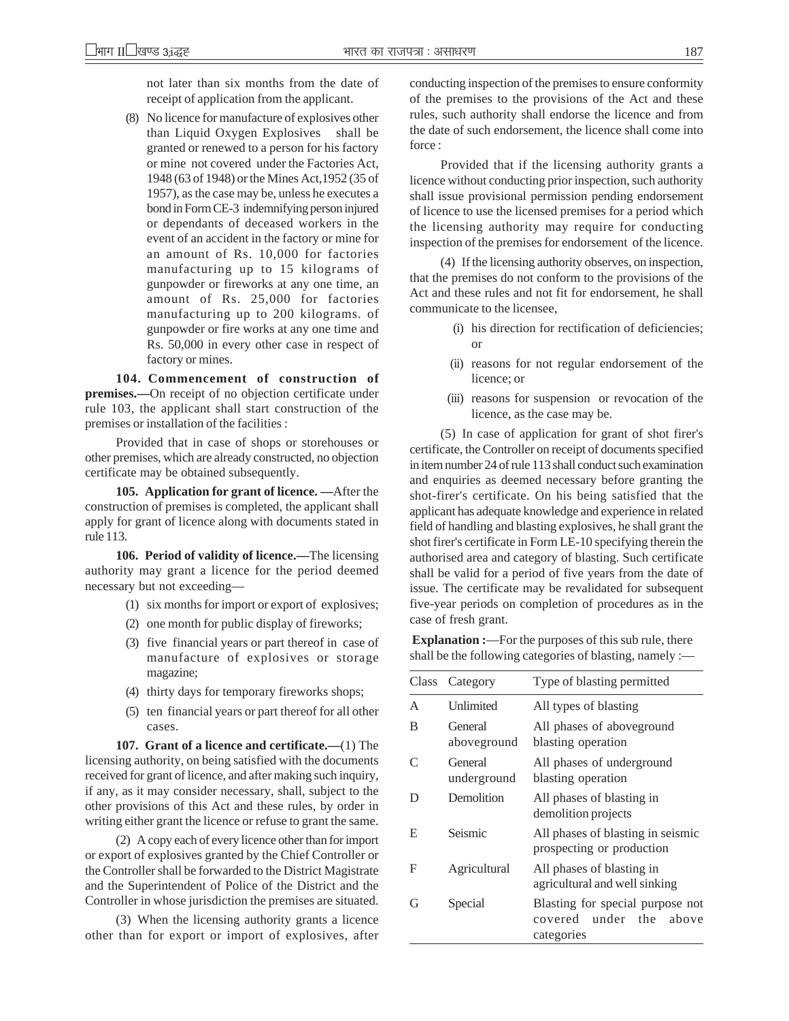not later than six months from the date of receipt of application from the applicant.

(8) No licence for manufacture of explosives other than Liquid Oxygen Explosives shall be granted or renewed to a person for his factory or mine not covered under the Factories Act, 1948 (63 of 1948) or the Mines Act,1952 (35 of 1957), as the case may be, unless he executes a bond in Form CE-3 indemnifying person injured or dependants of deceased workers in the event of an accident in the factory or mine for an amount of Rs. 10,000 for factories manufacturing up to 15 kilograms of gunpowder or fireworks at any one time, an amount of Rs. 25,000 for factories manufacturing up to 200 kilograms. of gunpowder or fire works at any one time and Rs. 50,000 in every other case in respect of factory or mines.

**104. Commencement of construction of premises.—**On receipt of no objection certificate under rule 103, the applicant shall start construction of the premises or installation of the facilities :

Provided that in case of shops or storehouses or other premises, which are already constructed, no objection certificate may be obtained subsequently.

**105. Application for grant of licence. —**After the construction of premises is completed, the applicant shall apply for grant of licence along with documents stated in rule 113.

**106. Period of validity of licence.—**The licensing authority may grant a licence for the period deemed necessary but not exceeding—

- (1) six months for import or export of explosives;
- (2) one month for public display of fireworks;
- (3) five financial years or part thereof in case of manufacture of explosives or storage magazine;
- (4) thirty days for temporary fireworks shops;
- (5) ten financial years or part thereof for all other cases.

**107. Grant of a licence and certificate.—**(1) The licensing authority, on being satisfied with the documents received for grant of licence, and after making such inquiry, if any, as it may consider necessary, shall, subject to the other provisions of this Act and these rules, by order in writing either grant the licence or refuse to grant the same.

(2) A copy each of every licence other than for import or export of explosives granted by the Chief Controller or the Controller shall be forwarded to the District Magistrate and the Superintendent of Police of the District and the Controller in whose jurisdiction the premises are situated.

(3) When the licensing authority grants a licence other than for export or import of explosives, after conducting inspection of the premises to ensure conformity of the premises to the provisions of the Act and these rules, such authority shall endorse the licence and from the date of such endorsement, the licence shall come into force :

Provided that if the licensing authority grants a licence without conducting prior inspection, such authority shall issue provisional permission pending endorsement of licence to use the licensed premises for a period which the licensing authority may require for conducting inspection of the premises for endorsement of the licence.

(4) If the licensing authority observes, on inspection, that the premises do not conform to the provisions of the Act and these rules and not fit for endorsement, he shall communicate to the licensee,

- (i) his direction for rectification of deficiencies; or
- (ii) reasons for not regular endorsement of the licence; or
- (iii) reasons for suspension or revocation of the licence, as the case may be.

(5) In case of application for grant of shot firer's certificate, the Controller on receipt of documents specified in item number 24 of rule 113 shall conduct such examination and enquiries as deemed necessary before granting the shot-firer's certificate. On his being satisfied that the applicant has adequate knowledge and experience in related field of handling and blasting explosives, he shall grant the shot firer's certificate in Form LE-10 specifying therein the authorised area and category of blasting. Such certificate shall be valid for a period of five years from the date of issue. The certificate may be revalidated for subsequent five-year periods on completion of procedures as in the case of fresh grant.

**Explanation :—For the purposes of this sub rule, there** shall be the following categories of blasting, namely :—

| Class     | Category               | Type of blasting permitted                                                      |  |
|-----------|------------------------|---------------------------------------------------------------------------------|--|
| A         | Unlimited              | All types of blasting                                                           |  |
| B         | General<br>aboveground | All phases of aboveground<br>blasting operation                                 |  |
| $\subset$ | General<br>underground | All phases of underground<br>blasting operation                                 |  |
| Ð         | Demolition             | All phases of blasting in<br>demolition projects                                |  |
| Е         | Seismic                | All phases of blasting in seismic<br>prospecting or production                  |  |
| F         | Agricultural           | All phases of blasting in<br>agricultural and well sinking                      |  |
| G         | Special                | Blasting for special purpose not<br>covered under<br>the<br>above<br>categories |  |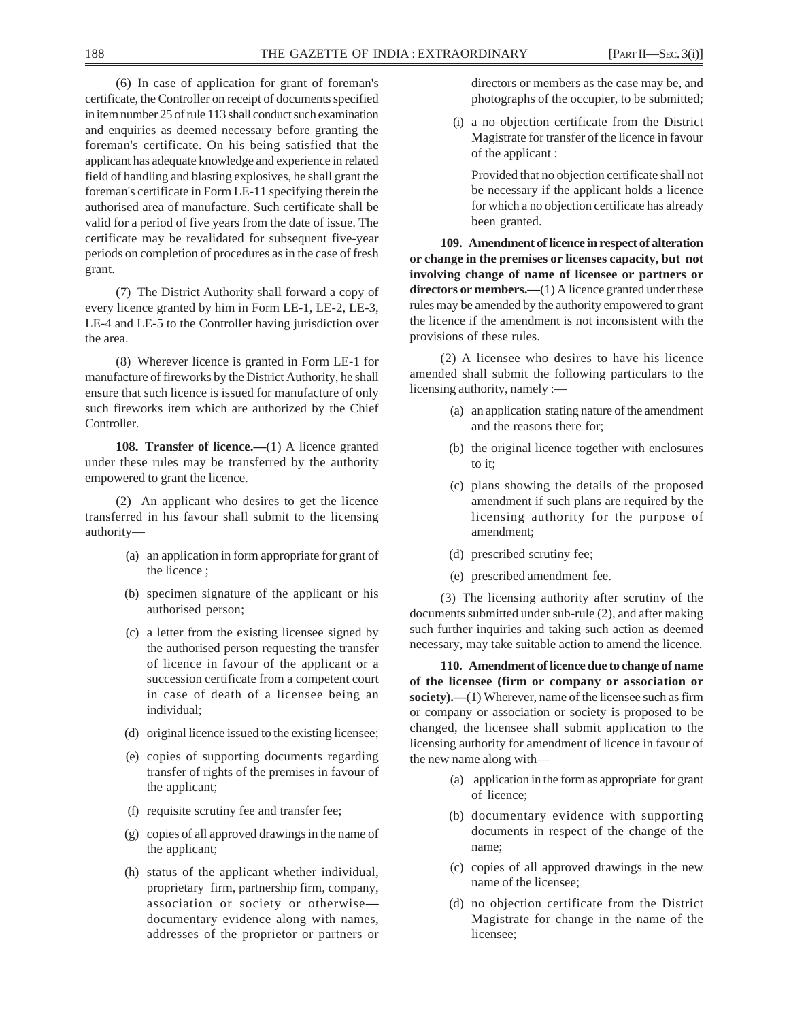(6) In case of application for grant of foreman's certificate, the Controller on receipt of documents specified in item number 25 of rule 113 shall conduct such examination and enquiries as deemed necessary before granting the foreman's certificate. On his being satisfied that the applicant has adequate knowledge and experience in related field of handling and blasting explosives, he shall grant the foreman's certificate in Form LE-11 specifying therein the authorised area of manufacture. Such certificate shall be valid for a period of five years from the date of issue. The certificate may be revalidated for subsequent five-year periods on completion of procedures as in the case of fresh grant.

(7) The District Authority shall forward a copy of every licence granted by him in Form LE-1, LE-2, LE-3, LE-4 and LE-5 to the Controller having jurisdiction over the area.

(8) Wherever licence is granted in Form LE-1 for manufacture of fireworks by the District Authority, he shall ensure that such licence is issued for manufacture of only such fireworks item which are authorized by the Chief Controller.

**108. Transfer of licence.**—(1) A licence granted under these rules may be transferred by the authority empowered to grant the licence.

(2) An applicant who desires to get the licence transferred in his favour shall submit to the licensing authority—

- (a) an application in form appropriate for grant of the licence ;
- (b) specimen signature of the applicant or his authorised person;
- (c) a letter from the existing licensee signed by the authorised person requesting the transfer of licence in favour of the applicant or a succession certificate from a competent court in case of death of a licensee being an individual;
- (d) original licence issued to the existing licensee;
- (e) copies of supporting documents regarding transfer of rights of the premises in favour of the applicant;
- (f) requisite scrutiny fee and transfer fee;
- (g) copies of all approved drawings in the name of the applicant;
- (h) status of the applicant whether individual, proprietary firm, partnership firm, company, association or society or otherwise documentary evidence along with names, addresses of the proprietor or partners or

directors or members as the case may be, and photographs of the occupier, to be submitted;

(i) a no objection certificate from the District Magistrate for transfer of the licence in favour of the applicant :

Provided that no objection certificate shall not be necessary if the applicant holds a licence for which a no objection certificate has already been granted.

**109. Amendment of licence in respect of alteration or change in the premises or licenses capacity, but not involving change of name of licensee or partners or** directors or members.—(1) A licence granted under these rules may be amended by the authority empowered to grant the licence if the amendment is not inconsistent with the provisions of these rules.

(2) A licensee who desires to have his licence amended shall submit the following particulars to the licensing authority, namely :—

- (a) an application stating nature of the amendment and the reasons there for;
- (b) the original licence together with enclosures to it;
- (c) plans showing the details of the proposed amendment if such plans are required by the licensing authority for the purpose of amendment;
- (d) prescribed scrutiny fee;
- (e) prescribed amendment fee.

(3) The licensing authority after scrutiny of the documents submitted under sub-rule (2), and after making such further inquiries and taking such action as deemed necessary, may take suitable action to amend the licence.

**110. Amendment of licence due to change of name of the licensee (firm or company or association or society).—**(1) Wherever, name of the licensee such as firm or company or association or society is proposed to be changed, the licensee shall submit application to the licensing authority for amendment of licence in favour of the new name along with—

- (a) application in the form as appropriate for grant of licence;
- (b) documentary evidence with supporting documents in respect of the change of the name;
- (c) copies of all approved drawings in the new name of the licensee;
- (d) no objection certificate from the District Magistrate for change in the name of the licensee;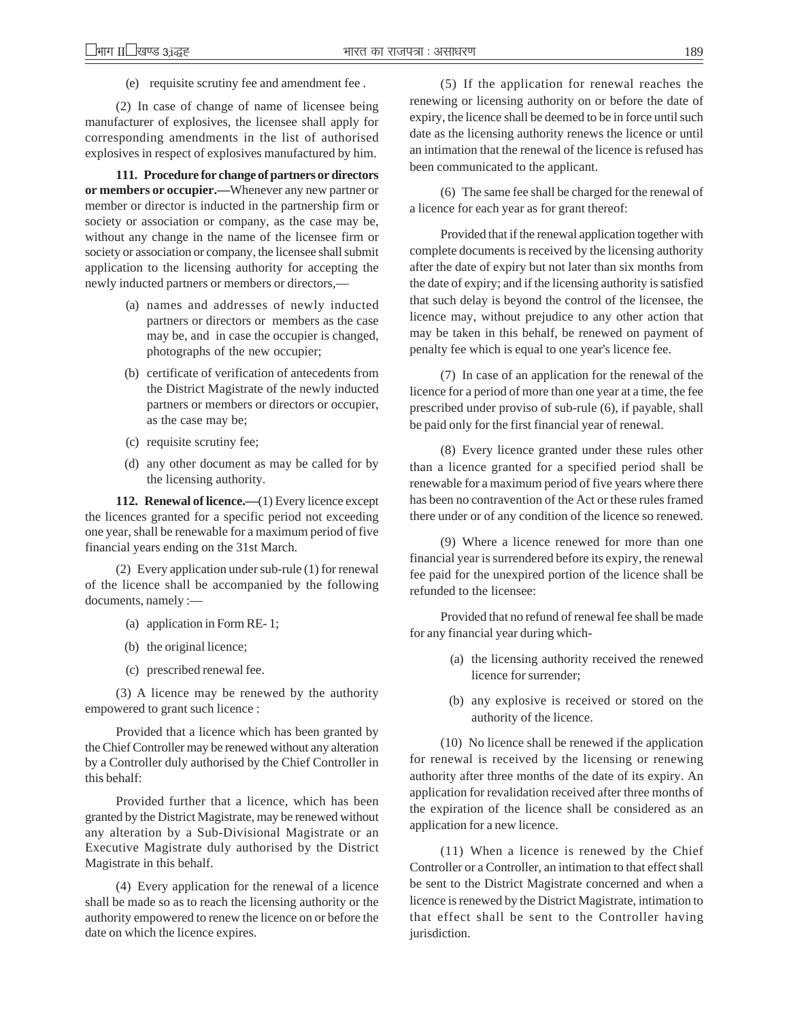(e) requisite scrutiny fee and amendment fee .

(2) In case of change of name of licensee being manufacturer of explosives, the licensee shall apply for corresponding amendments in the list of authorised explosives in respect of explosives manufactured by him.

**111. Procedure for change of partners or directors or members or occupier.—**Whenever any new partner or member or director is inducted in the partnership firm or society or association or company, as the case may be, without any change in the name of the licensee firm or society or association or company, the licensee shall submit application to the licensing authority for accepting the newly inducted partners or members or directors,—

- (a) names and addresses of newly inducted partners or directors or members as the case may be, and in case the occupier is changed, photographs of the new occupier;
- (b) certificate of verification of antecedents from the District Magistrate of the newly inducted partners or members or directors or occupier, as the case may be;
- (c) requisite scrutiny fee;
- (d) any other document as may be called for by the licensing authority.

**112. Renewal of licence.—**(1) Every licence except the licences granted for a specific period not exceeding one year, shall be renewable for a maximum period of five financial years ending on the 31st March.

(2) Every application under sub-rule (1) for renewal of the licence shall be accompanied by the following documents, namely :—

- (a) application in Form RE- 1;
- (b) the original licence;
- (c) prescribed renewal fee.

(3) A licence may be renewed by the authority empowered to grant such licence :

Provided that a licence which has been granted by the Chief Controller may be renewed without any alteration by a Controller duly authorised by the Chief Controller in this behalf:

Provided further that a licence, which has been granted by the District Magistrate, may be renewed without any alteration by a Sub-Divisional Magistrate or an Executive Magistrate duly authorised by the District Magistrate in this behalf.

(4) Every application for the renewal of a licence shall be made so as to reach the licensing authority or the authority empowered to renew the licence on or before the date on which the licence expires.

(5) If the application for renewal reaches the renewing or licensing authority on or before the date of expiry, the licence shall be deemed to be in force until such date as the licensing authority renews the licence or until an intimation that the renewal of the licence is refused has been communicated to the applicant.

(6) The same fee shall be charged for the renewal of a licence for each year as for grant thereof:

Provided that if the renewal application together with complete documents is received by the licensing authority after the date of expiry but not later than six months from the date of expiry; and if the licensing authority is satisfied that such delay is beyond the control of the licensee, the licence may, without prejudice to any other action that may be taken in this behalf, be renewed on payment of penalty fee which is equal to one year's licence fee.

(7) In case of an application for the renewal of the licence for a period of more than one year at a time, the fee prescribed under proviso of sub-rule (6), if payable, shall be paid only for the first financial year of renewal.

(8) Every licence granted under these rules other than a licence granted for a specified period shall be renewable for a maximum period of five years where there has been no contravention of the Act or these rules framed there under or of any condition of the licence so renewed.

(9) Where a licence renewed for more than one financial year is surrendered before its expiry, the renewal fee paid for the unexpired portion of the licence shall be refunded to the licensee:

Provided that no refund of renewal fee shall be made for any financial year during which-

- (a) the licensing authority received the renewed licence for surrender;
- (b) any explosive is received or stored on the authority of the licence.

(10) No licence shall be renewed if the application for renewal is received by the licensing or renewing authority after three months of the date of its expiry. An application for revalidation received after three months of the expiration of the licence shall be considered as an application for a new licence.

(11) When a licence is renewed by the Chief Controller or a Controller, an intimation to that effect shall be sent to the District Magistrate concerned and when a licence is renewed by the District Magistrate, intimation to that effect shall be sent to the Controller having jurisdiction.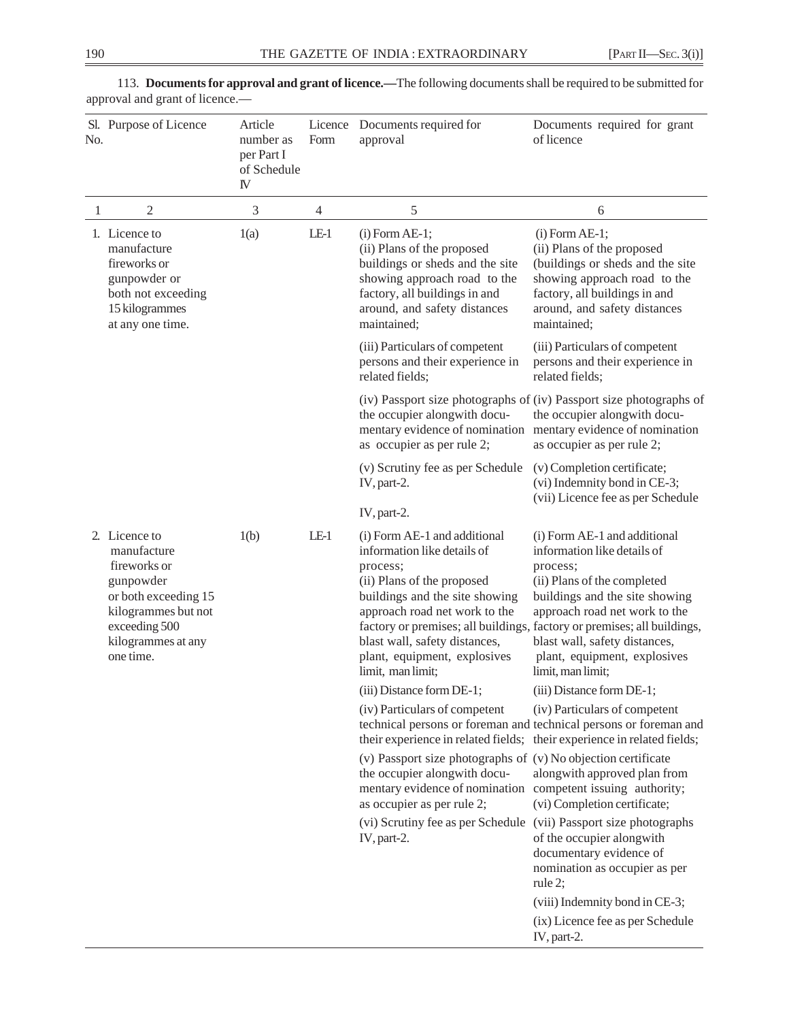| No. | Sl. Purpose of Licence                                                                                                                                       | Article<br>number as<br>per Part I<br>of Schedule<br>IV | Licence<br>Form | Documents required for<br>approval                                                                                                                                                                                                                                                                                                        | Documents required for grant<br>of licence                                                                                                                                                                                                                      |
|-----|--------------------------------------------------------------------------------------------------------------------------------------------------------------|---------------------------------------------------------|-----------------|-------------------------------------------------------------------------------------------------------------------------------------------------------------------------------------------------------------------------------------------------------------------------------------------------------------------------------------------|-----------------------------------------------------------------------------------------------------------------------------------------------------------------------------------------------------------------------------------------------------------------|
| 1   | $\overline{c}$                                                                                                                                               | 3                                                       | $\overline{4}$  | 5                                                                                                                                                                                                                                                                                                                                         | 6                                                                                                                                                                                                                                                               |
|     | 1. Licence to<br>manufacture<br>fireworks or<br>gunpowder or<br>both not exceeding<br>15 kilogrammes<br>at any one time.                                     | 1(a)                                                    | $LE-1$          | $(i)$ Form AE-1;<br>(ii) Plans of the proposed<br>buildings or sheds and the site<br>showing approach road to the<br>factory, all buildings in and<br>around, and safety distances<br>maintained;                                                                                                                                         | $(i)$ Form AE-1;<br>(ii) Plans of the proposed<br>(buildings or sheds and the site<br>showing approach road to the<br>factory, all buildings in and<br>around, and safety distances<br>maintained;                                                              |
|     |                                                                                                                                                              |                                                         |                 | (iii) Particulars of competent<br>persons and their experience in<br>related fields;                                                                                                                                                                                                                                                      | (iii) Particulars of competent<br>persons and their experience in<br>related fields;                                                                                                                                                                            |
|     |                                                                                                                                                              |                                                         |                 | the occupier alongwith docu-<br>mentary evidence of nomination<br>as occupier as per rule 2;                                                                                                                                                                                                                                              | (iv) Passport size photographs of (iv) Passport size photographs of<br>the occupier alongwith docu-<br>mentary evidence of nomination<br>as occupier as per rule 2;                                                                                             |
|     |                                                                                                                                                              |                                                         |                 | (v) Scrutiny fee as per Schedule<br>IV, part-2.                                                                                                                                                                                                                                                                                           | (v) Completion certificate;<br>(vi) Indemnity bond in CE-3;<br>(vii) Licence fee as per Schedule                                                                                                                                                                |
|     |                                                                                                                                                              |                                                         |                 | IV, part-2.                                                                                                                                                                                                                                                                                                                               |                                                                                                                                                                                                                                                                 |
|     | 2. Licence to<br>manufacture<br>fireworks or<br>gunpowder<br>or both exceeding 15<br>kilogrammes but not<br>exceeding 500<br>kilogrammes at any<br>one time. | 1(b)                                                    | $LE-1$          | (i) Form AE-1 and additional<br>information like details of<br>process;<br>(ii) Plans of the proposed<br>buildings and the site showing<br>approach road net work to the<br>factory or premises; all buildings, factory or premises; all buildings,<br>blast wall, safety distances,<br>plant, equipment, explosives<br>limit, man limit; | (i) Form AE-1 and additional<br>information like details of<br>process;<br>(ii) Plans of the completed<br>buildings and the site showing<br>approach road net work to the<br>blast wall, safety distances,<br>plant, equipment, explosives<br>limit, man limit; |
|     |                                                                                                                                                              |                                                         |                 | (iii) Distance form DE-1;                                                                                                                                                                                                                                                                                                                 | (iii) Distance form DE-1;                                                                                                                                                                                                                                       |
|     |                                                                                                                                                              |                                                         |                 | (iv) Particulars of competent<br>their experience in related fields; their experience in related fields;                                                                                                                                                                                                                                  | (iv) Particulars of competent<br>technical persons or foreman and technical persons or foreman and                                                                                                                                                              |
|     |                                                                                                                                                              |                                                         |                 | (v) Passport size photographs of (v) No objection certificate<br>the occupier alongwith docu-<br>mentary evidence of nomination<br>as occupier as per rule 2;                                                                                                                                                                             | alongwith approved plan from<br>competent issuing authority;<br>(vi) Completion certificate;                                                                                                                                                                    |
|     |                                                                                                                                                              |                                                         |                 | (vi) Scrutiny fee as per Schedule<br>$IV$ , part-2.                                                                                                                                                                                                                                                                                       | (vii) Passport size photographs<br>of the occupier alongwith<br>documentary evidence of<br>nomination as occupier as per<br>rule $2$ ;                                                                                                                          |
|     |                                                                                                                                                              |                                                         |                 |                                                                                                                                                                                                                                                                                                                                           | (viii) Indemnity bond in CE-3;<br>(ix) Licence fee as per Schedule<br>IV, part-2.                                                                                                                                                                               |

113. **Documents for approval and grant of licence.—**The following documents shall be required to be submitted for approval and grant of licence.—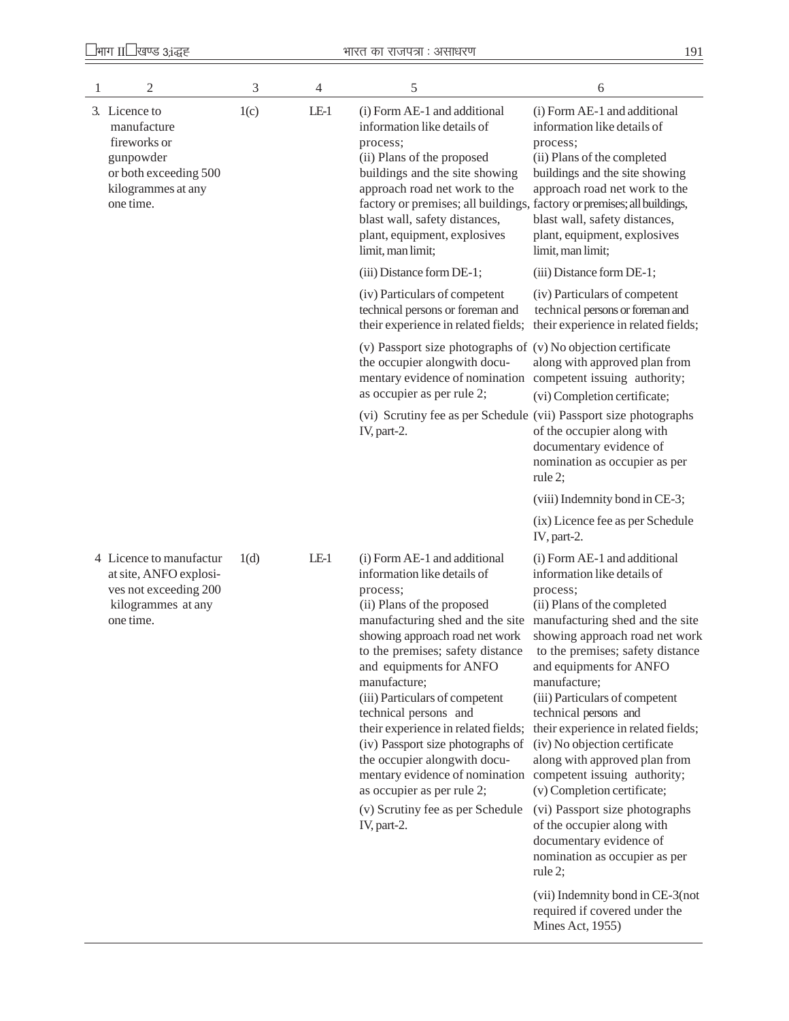| 1 | 2                                                                                                                     | 3    | 4      | 5                                                                                                                                                                                                                                                                                                                                                                                                                                                                                                                                                                                | 6                                                                                                                                                                                                                                                                                                                                                                                                                                                                                                                                                                                                       |
|---|-----------------------------------------------------------------------------------------------------------------------|------|--------|----------------------------------------------------------------------------------------------------------------------------------------------------------------------------------------------------------------------------------------------------------------------------------------------------------------------------------------------------------------------------------------------------------------------------------------------------------------------------------------------------------------------------------------------------------------------------------|---------------------------------------------------------------------------------------------------------------------------------------------------------------------------------------------------------------------------------------------------------------------------------------------------------------------------------------------------------------------------------------------------------------------------------------------------------------------------------------------------------------------------------------------------------------------------------------------------------|
|   | 3. Licence to<br>manufacture<br>fireworks or<br>gunpowder<br>or both exceeding 500<br>kilogrammes at any<br>one time. | 1(c) | $LE-1$ | (i) Form AE-1 and additional<br>information like details of<br>process;<br>(ii) Plans of the proposed<br>buildings and the site showing<br>approach road net work to the<br>factory or premises; all buildings, factory or premises; all buildings,<br>blast wall, safety distances,<br>plant, equipment, explosives<br>limit, man limit;                                                                                                                                                                                                                                        | (i) Form AE-1 and additional<br>information like details of<br>process;<br>(ii) Plans of the completed<br>buildings and the site showing<br>approach road net work to the<br>blast wall, safety distances,<br>plant, equipment, explosives<br>limit, man limit;                                                                                                                                                                                                                                                                                                                                         |
|   |                                                                                                                       |      |        | (iii) Distance form DE-1;                                                                                                                                                                                                                                                                                                                                                                                                                                                                                                                                                        | (iii) Distance form DE-1;                                                                                                                                                                                                                                                                                                                                                                                                                                                                                                                                                                               |
|   |                                                                                                                       |      |        | (iv) Particulars of competent<br>technical persons or foreman and<br>their experience in related fields;                                                                                                                                                                                                                                                                                                                                                                                                                                                                         | (iv) Particulars of competent<br>technical persons or foreman and<br>their experience in related fields;                                                                                                                                                                                                                                                                                                                                                                                                                                                                                                |
|   |                                                                                                                       |      |        | (v) Passport size photographs of (v) No objection certificate<br>the occupier alongwith docu-<br>mentary evidence of nomination competent issuing authority;<br>as occupier as per rule 2;                                                                                                                                                                                                                                                                                                                                                                                       | along with approved plan from<br>(vi) Completion certificate;                                                                                                                                                                                                                                                                                                                                                                                                                                                                                                                                           |
|   |                                                                                                                       |      |        | (vi) Scrutiny fee as per Schedule (vii) Passport size photographs<br>IV, part-2.                                                                                                                                                                                                                                                                                                                                                                                                                                                                                                 | of the occupier along with<br>documentary evidence of<br>nomination as occupier as per<br>rule $2$ ;                                                                                                                                                                                                                                                                                                                                                                                                                                                                                                    |
|   |                                                                                                                       |      |        |                                                                                                                                                                                                                                                                                                                                                                                                                                                                                                                                                                                  | (viii) Indemnity bond in CE-3;                                                                                                                                                                                                                                                                                                                                                                                                                                                                                                                                                                          |
|   |                                                                                                                       |      |        |                                                                                                                                                                                                                                                                                                                                                                                                                                                                                                                                                                                  | (ix) Licence fee as per Schedule<br>IV, part-2.                                                                                                                                                                                                                                                                                                                                                                                                                                                                                                                                                         |
|   | 4 Licence to manufactur<br>at site, ANFO explosi-<br>ves not exceeding 200<br>kilogrammes at any<br>one time.         | 1(d) | $LE-1$ | (i) Form AE-1 and additional<br>information like details of<br>process;<br>(ii) Plans of the proposed<br>manufacturing shed and the site<br>showing approach road net work<br>to the premises; safety distance<br>and equipments for ANFO<br>manufacture;<br>(iii) Particulars of competent<br>technical persons and<br>their experience in related fields;<br>(iv) Passport size photographs of<br>the occupier alongwith docu-<br>mentary evidence of nomination competent issuing authority;<br>as occupier as per rule 2;<br>(v) Scrutiny fee as per Schedule<br>IV, part-2. | (i) Form AE-1 and additional<br>information like details of<br>process;<br>(ii) Plans of the completed<br>manufacturing shed and the site<br>showing approach road net work<br>to the premises; safety distance<br>and equipments for ANFO<br>manufacture;<br>(iii) Particulars of competent<br>technical persons and<br>their experience in related fields;<br>(iv) No objection certificate<br>along with approved plan from<br>(v) Completion certificate;<br>(vi) Passport size photographs<br>of the occupier along with<br>documentary evidence of<br>nomination as occupier as per<br>rule $2$ ; |
|   |                                                                                                                       |      |        |                                                                                                                                                                                                                                                                                                                                                                                                                                                                                                                                                                                  | (vii) Indemnity bond in CE-3(not<br>required if covered under the<br><b>Mines Act, 1955)</b>                                                                                                                                                                                                                                                                                                                                                                                                                                                                                                            |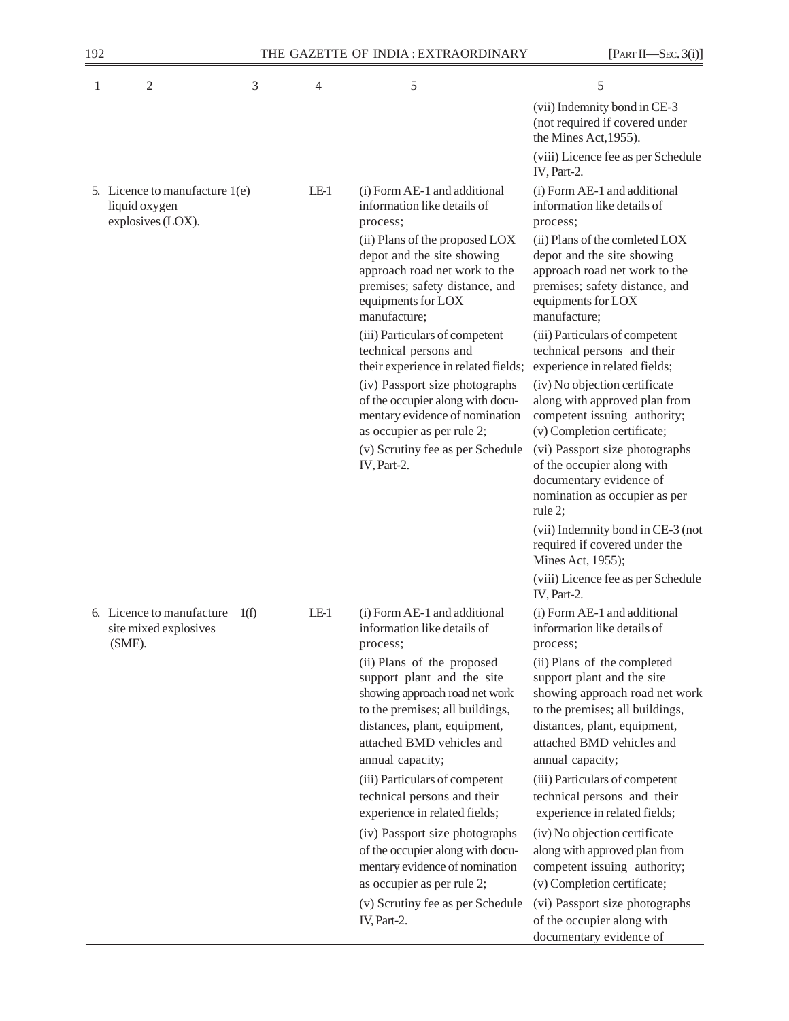| 192 |                                                                      |      |                | THE GAZETTE OF INDIA: EXTRAORDINARY                                                                                                                                                        | [PART II—SEC. 3(i)]                                                                                                                                                                         |
|-----|----------------------------------------------------------------------|------|----------------|--------------------------------------------------------------------------------------------------------------------------------------------------------------------------------------------|---------------------------------------------------------------------------------------------------------------------------------------------------------------------------------------------|
| 1   | $\mathfrak{2}$                                                       | 3    | $\overline{4}$ | 5                                                                                                                                                                                          | 5                                                                                                                                                                                           |
|     |                                                                      |      |                |                                                                                                                                                                                            | (vii) Indemnity bond in CE-3<br>(not required if covered under<br>the Mines Act, 1955).                                                                                                     |
|     |                                                                      |      |                |                                                                                                                                                                                            | (viii) Licence fee as per Schedule<br>IV, Part-2.                                                                                                                                           |
|     | 5. Licence to manufacture 1(e)<br>liquid oxygen<br>explosives (LOX). |      | $LE-1$         | (i) Form AE-1 and additional<br>information like details of<br>process;                                                                                                                    | (i) Form AE-1 and additional<br>information like details of<br>process;                                                                                                                     |
|     |                                                                      |      |                | (ii) Plans of the proposed LOX<br>depot and the site showing<br>approach road net work to the<br>premises; safety distance, and<br>equipments for LOX<br>manufacture;                      | (ii) Plans of the comleted LOX<br>depot and the site showing<br>approach road net work to the<br>premises; safety distance, and<br>equipments for LOX<br>manufacture;                       |
|     |                                                                      |      |                | (iii) Particulars of competent<br>technical persons and<br>their experience in related fields;                                                                                             | (iii) Particulars of competent<br>technical persons and their<br>experience in related fields;                                                                                              |
|     |                                                                      |      |                | (iv) Passport size photographs<br>of the occupier along with docu-<br>mentary evidence of nomination<br>as occupier as per rule 2;                                                         | (iv) No objection certificate<br>along with approved plan from<br>competent issuing authority;<br>(v) Completion certificate;                                                               |
|     |                                                                      |      |                | (v) Scrutiny fee as per Schedule<br>IV, Part-2.                                                                                                                                            | (vi) Passport size photographs<br>of the occupier along with<br>documentary evidence of<br>nomination as occupier as per<br>rule $2$ ;                                                      |
|     |                                                                      |      |                |                                                                                                                                                                                            | (vii) Indemnity bond in CE-3 (not<br>required if covered under the<br>Mines Act, 1955);                                                                                                     |
|     |                                                                      |      |                |                                                                                                                                                                                            | (viii) Licence fee as per Schedule<br>IV, Part-2.                                                                                                                                           |
|     | 6. Licence to manufacture<br>site mixed explosives<br>(SME).         | 1(f) | $LE-1$         | (i) Form AE-1 and additional<br>information like details of<br>process;                                                                                                                    | (i) Form AE-1 and additional<br>information like details of<br>process;                                                                                                                     |
|     |                                                                      |      |                | (ii) Plans of the proposed<br>support plant and the site<br>showing approach road net work<br>to the premises; all buildings,<br>distances, plant, equipment,<br>attached BMD vehicles and | (ii) Plans of the completed<br>support plant and the site<br>showing approach road net work<br>to the premises; all buildings,<br>distances, plant, equipment,<br>attached BMD vehicles and |
|     |                                                                      |      |                | annual capacity;                                                                                                                                                                           | annual capacity;                                                                                                                                                                            |
|     |                                                                      |      |                | (iii) Particulars of competent<br>technical persons and their<br>experience in related fields;                                                                                             | (iii) Particulars of competent<br>technical persons and their<br>experience in related fields;                                                                                              |
|     |                                                                      |      |                | (iv) Passport size photographs<br>of the occupier along with docu-<br>mentary evidence of nomination<br>as occupier as per rule 2;                                                         | (iv) No objection certificate<br>along with approved plan from<br>competent issuing authority;<br>(v) Completion certificate;                                                               |
|     |                                                                      |      |                | (v) Scrutiny fee as per Schedule<br>IV, Part-2.                                                                                                                                            | (vi) Passport size photographs<br>of the occupier along with<br>documentary evidence of                                                                                                     |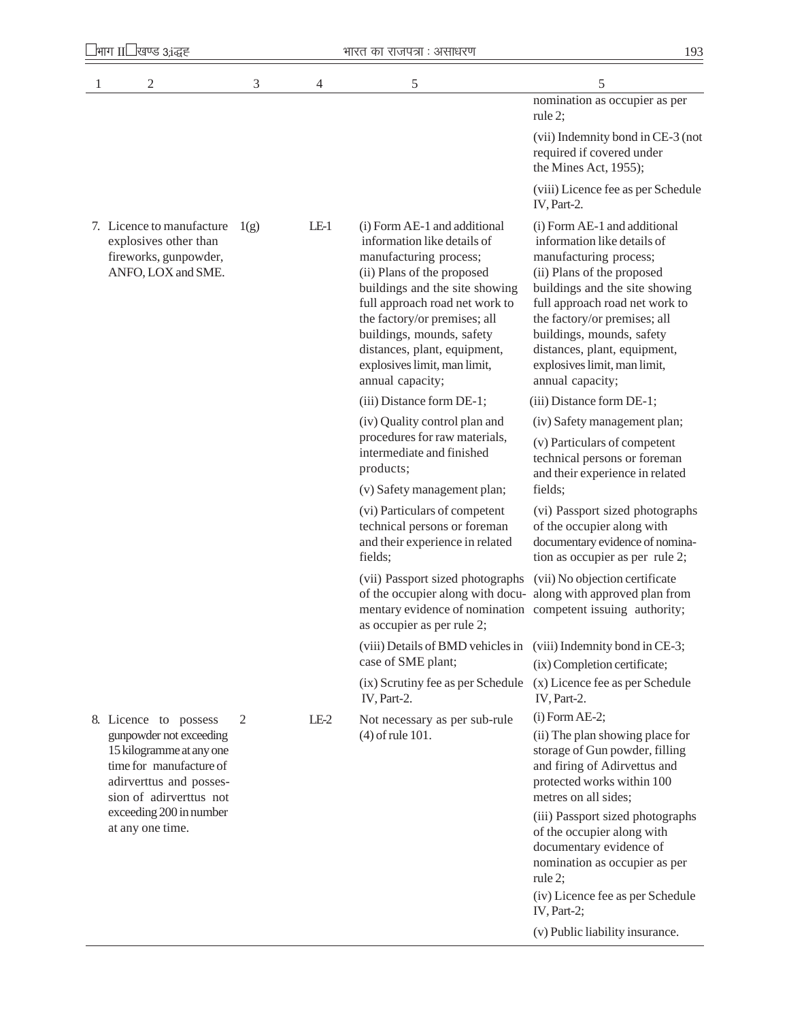| भाग ॥' | खण्ड ३,१द्धह |  |
|--------|--------------|--|
|        |              |  |

| 1 | 2                                                                                                                                                                                                            | 3    | 4      | 5                                                                                                                                                                                                                                                                                                                                        | 5                                                                                                                                                                                                                                                                                                                                        |
|---|--------------------------------------------------------------------------------------------------------------------------------------------------------------------------------------------------------------|------|--------|------------------------------------------------------------------------------------------------------------------------------------------------------------------------------------------------------------------------------------------------------------------------------------------------------------------------------------------|------------------------------------------------------------------------------------------------------------------------------------------------------------------------------------------------------------------------------------------------------------------------------------------------------------------------------------------|
|   |                                                                                                                                                                                                              |      |        |                                                                                                                                                                                                                                                                                                                                          | nomination as occupier as per<br>rule 2:                                                                                                                                                                                                                                                                                                 |
|   |                                                                                                                                                                                                              |      |        |                                                                                                                                                                                                                                                                                                                                          | (vii) Indemnity bond in CE-3 (not<br>required if covered under<br>the Mines Act, 1955);                                                                                                                                                                                                                                                  |
|   |                                                                                                                                                                                                              |      |        |                                                                                                                                                                                                                                                                                                                                          | (viii) Licence fee as per Schedule<br>IV, Part-2.                                                                                                                                                                                                                                                                                        |
|   | 7. Licence to manufacture<br>explosives other than<br>fireworks, gunpowder,<br>ANFO, LOX and SME.                                                                                                            | 1(g) | $LE-1$ | (i) Form AE-1 and additional<br>information like details of<br>manufacturing process;<br>(ii) Plans of the proposed<br>buildings and the site showing<br>full approach road net work to<br>the factory/or premises; all<br>buildings, mounds, safety<br>distances, plant, equipment,<br>explosives limit, man limit,<br>annual capacity; | (i) Form AE-1 and additional<br>information like details of<br>manufacturing process;<br>(ii) Plans of the proposed<br>buildings and the site showing<br>full approach road net work to<br>the factory/or premises; all<br>buildings, mounds, safety<br>distances, plant, equipment,<br>explosives limit, man limit,<br>annual capacity; |
|   |                                                                                                                                                                                                              |      |        | (iii) Distance form DE-1;                                                                                                                                                                                                                                                                                                                | (iii) Distance form DE-1;                                                                                                                                                                                                                                                                                                                |
|   |                                                                                                                                                                                                              |      |        | (iv) Quality control plan and                                                                                                                                                                                                                                                                                                            | (iv) Safety management plan;                                                                                                                                                                                                                                                                                                             |
|   |                                                                                                                                                                                                              |      |        | procedures for raw materials,<br>intermediate and finished<br>products;                                                                                                                                                                                                                                                                  | (v) Particulars of competent<br>technical persons or foreman<br>and their experience in related                                                                                                                                                                                                                                          |
|   |                                                                                                                                                                                                              |      |        | (v) Safety management plan;                                                                                                                                                                                                                                                                                                              | fields;                                                                                                                                                                                                                                                                                                                                  |
|   |                                                                                                                                                                                                              |      |        | (vi) Particulars of competent<br>technical persons or foreman<br>and their experience in related<br>fields;                                                                                                                                                                                                                              | (vi) Passport sized photographs<br>of the occupier along with<br>documentary evidence of nomina-<br>tion as occupier as per rule 2;                                                                                                                                                                                                      |
|   |                                                                                                                                                                                                              |      |        | (vii) Passport sized photographs (vii) No objection certificate<br>of the occupier along with docu- along with approved plan from<br>mentary evidence of nomination competent issuing authority;<br>as occupier as per rule 2;                                                                                                           |                                                                                                                                                                                                                                                                                                                                          |
|   |                                                                                                                                                                                                              |      |        | (viii) Details of BMD vehicles in (viii) Indemnity bond in CE-3;<br>case of SME plant;                                                                                                                                                                                                                                                   | (ix) Completion certificate;                                                                                                                                                                                                                                                                                                             |
|   |                                                                                                                                                                                                              |      |        | (ix) Scrutiny fee as per Schedule<br>IV, Part-2.                                                                                                                                                                                                                                                                                         | (x) Licence fee as per Schedule<br>IV, Part-2.                                                                                                                                                                                                                                                                                           |
|   | 8. Licence to possess<br>gunpowder not exceeding<br>15 kilogramme at any one<br>time for manufacture of<br>adirverttus and posses-<br>sion of adirverttus not<br>exceeding 200 in number<br>at any one time. | 2    | $LE-2$ | Not necessary as per sub-rule<br>$(4)$ of rule 101.                                                                                                                                                                                                                                                                                      | $(i)$ Form AE-2;<br>(ii) The plan showing place for<br>storage of Gun powder, filling<br>and firing of Adirvettus and<br>protected works within 100<br>metres on all sides;<br>(iii) Passport sized photographs<br>of the occupier along with<br>documentary evidence of                                                                 |
|   |                                                                                                                                                                                                              |      |        |                                                                                                                                                                                                                                                                                                                                          | nomination as occupier as per<br>rule 2;<br>(iv) Licence fee as per Schedule<br>$IV, Part-2;$                                                                                                                                                                                                                                            |

(v) Public liability insurance.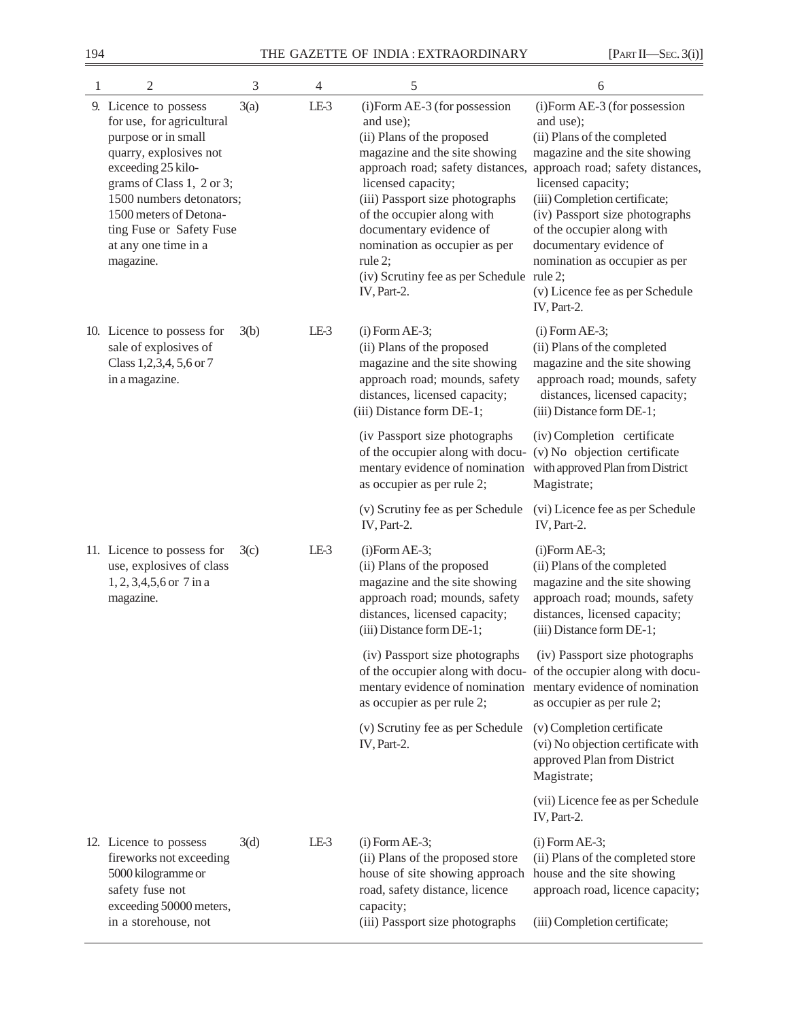| 1 | 2                                                                                                                                                                                                                                                                             | 3    | $\overline{4}$ | 5                                                                                                                                                                                                                                                                                                                                     | 6                                                                                                                                                                                                                                                                                                                                                                                                                   |
|---|-------------------------------------------------------------------------------------------------------------------------------------------------------------------------------------------------------------------------------------------------------------------------------|------|----------------|---------------------------------------------------------------------------------------------------------------------------------------------------------------------------------------------------------------------------------------------------------------------------------------------------------------------------------------|---------------------------------------------------------------------------------------------------------------------------------------------------------------------------------------------------------------------------------------------------------------------------------------------------------------------------------------------------------------------------------------------------------------------|
|   | 9. Licence to possess<br>for use, for agricultural<br>purpose or in small<br>quarry, explosives not<br>exceeding 25 kilo-<br>grams of Class 1, 2 or 3;<br>1500 numbers detonators;<br>1500 meters of Detona-<br>ting Fuse or Safety Fuse<br>at any one time in a<br>magazine. | 3(a) | LE-3           | (i)Form AE-3 (for possession<br>and use);<br>(ii) Plans of the proposed<br>magazine and the site showing<br>licensed capacity;<br>(iii) Passport size photographs<br>of the occupier along with<br>documentary evidence of<br>nomination as occupier as per<br>rule $2$ ;<br>(iv) Scrutiny fee as per Schedule rule 2;<br>IV, Part-2. | (i)Form AE-3 (for possession<br>and use);<br>(ii) Plans of the completed<br>magazine and the site showing<br>approach road; safety distances, approach road; safety distances,<br>licensed capacity;<br>(iii) Completion certificate;<br>(iv) Passport size photographs<br>of the occupier along with<br>documentary evidence of<br>nomination as occupier as per<br>(v) Licence fee as per Schedule<br>IV, Part-2. |
|   | 10. Licence to possess for<br>sale of explosives of<br>Class 1,2,3,4, 5,6 or 7<br>in a magazine.                                                                                                                                                                              | 3(b) | $LE-3$         | $(i)$ Form AE-3;<br>(ii) Plans of the proposed<br>magazine and the site showing<br>approach road; mounds, safety<br>distances, licensed capacity;<br>(iii) Distance form DE-1;                                                                                                                                                        | $(i)$ Form AE-3;<br>(ii) Plans of the completed<br>magazine and the site showing<br>approach road; mounds, safety<br>distances, licensed capacity;<br>(iii) Distance form DE-1;                                                                                                                                                                                                                                     |
|   |                                                                                                                                                                                                                                                                               |      |                | (iv Passport size photographs<br>of the occupier along with docu-<br>mentary evidence of nomination<br>as occupier as per rule 2;                                                                                                                                                                                                     | (iv) Completion certificate<br>(v) No objection certificate<br>with approved Plan from District<br>Magistrate;                                                                                                                                                                                                                                                                                                      |
|   |                                                                                                                                                                                                                                                                               |      |                | (v) Scrutiny fee as per Schedule<br>IV, Part-2.                                                                                                                                                                                                                                                                                       | (vi) Licence fee as per Schedule<br>IV, Part-2.                                                                                                                                                                                                                                                                                                                                                                     |
|   | 11. Licence to possess for<br>use, explosives of class<br>$1, 2, 3, 4, 5, 6$ or $7$ in a<br>magazine.                                                                                                                                                                         | 3(c) | LE-3           | $(i)$ Form AE-3;<br>(ii) Plans of the proposed<br>magazine and the site showing<br>approach road; mounds, safety<br>distances, licensed capacity;<br>(iii) Distance form DE-1;                                                                                                                                                        | $(i)$ Form AE-3;<br>(ii) Plans of the completed<br>magazine and the site showing<br>approach road; mounds, safety<br>distances, licensed capacity;<br>(iii) Distance form DE-1;                                                                                                                                                                                                                                     |
|   |                                                                                                                                                                                                                                                                               |      |                | (iv) Passport size photographs<br>of the occupier along with docu- of the occupier along with docu-<br>mentary evidence of nomination mentary evidence of nomination<br>as occupier as per rule 2;                                                                                                                                    | (iv) Passport size photographs<br>as occupier as per rule 2;                                                                                                                                                                                                                                                                                                                                                        |
|   |                                                                                                                                                                                                                                                                               |      |                | (v) Scrutiny fee as per Schedule<br>IV, Part-2.                                                                                                                                                                                                                                                                                       | (v) Completion certificate<br>(vi) No objection certificate with<br>approved Plan from District<br>Magistrate;                                                                                                                                                                                                                                                                                                      |
|   |                                                                                                                                                                                                                                                                               |      |                |                                                                                                                                                                                                                                                                                                                                       | (vii) Licence fee as per Schedule<br>IV, Part-2.                                                                                                                                                                                                                                                                                                                                                                    |
|   | 12. Licence to possess<br>fireworks not exceeding<br>5000 kilogramme or<br>safety fuse not<br>exceeding 50000 meters,                                                                                                                                                         | 3(d) | LE-3           | $(i)$ Form AE-3;<br>(ii) Plans of the proposed store<br>house of site showing approach<br>road, safety distance, licence<br>capacity;                                                                                                                                                                                                 | $(i)$ Form AE-3;<br>(ii) Plans of the completed store<br>house and the site showing<br>approach road, licence capacity;                                                                                                                                                                                                                                                                                             |
|   | in a storehouse, not                                                                                                                                                                                                                                                          |      |                | (iii) Passport size photographs                                                                                                                                                                                                                                                                                                       | (iii) Completion certificate;                                                                                                                                                                                                                                                                                                                                                                                       |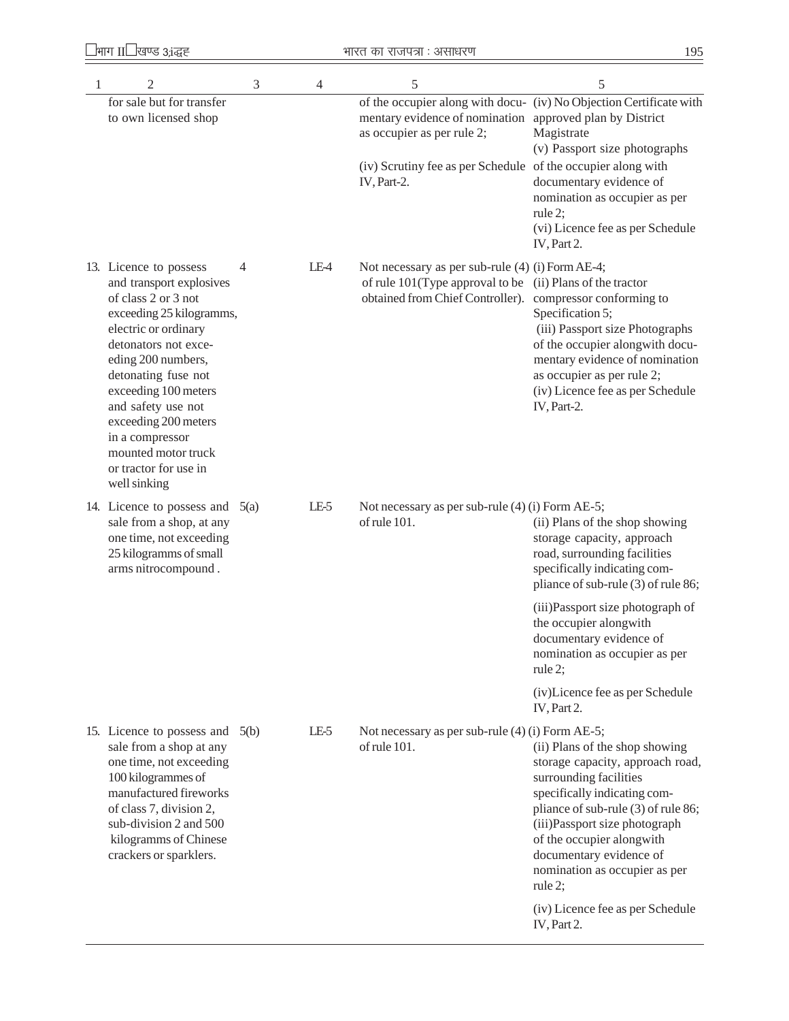| 1 | $\overline{2}$                                                                                                                                                                                                                                                                                                                                              | 3 | $\overline{4}$ | 5                                                                                                                                                                     | 5                                                                                                                                                                                                                                                                                                                                                |
|---|-------------------------------------------------------------------------------------------------------------------------------------------------------------------------------------------------------------------------------------------------------------------------------------------------------------------------------------------------------------|---|----------------|-----------------------------------------------------------------------------------------------------------------------------------------------------------------------|--------------------------------------------------------------------------------------------------------------------------------------------------------------------------------------------------------------------------------------------------------------------------------------------------------------------------------------------------|
|   | for sale but for transfer<br>to own licensed shop                                                                                                                                                                                                                                                                                                           |   |                | mentary evidence of nomination approved plan by District<br>as occupier as per rule 2;<br>(iv) Scrutiny fee as per Schedule of the occupier along with<br>IV, Part-2. | of the occupier along with docu- (iv) No Objection Certificate with<br>Magistrate<br>(v) Passport size photographs<br>documentary evidence of<br>nomination as occupier as per<br>rule $2$ ;                                                                                                                                                     |
|   |                                                                                                                                                                                                                                                                                                                                                             |   |                |                                                                                                                                                                       | (vi) Licence fee as per Schedule<br>IV, Part 2.                                                                                                                                                                                                                                                                                                  |
|   | 13. Licence to possess<br>and transport explosives<br>of class 2 or 3 not<br>exceeding 25 kilogramms,<br>electric or ordinary<br>detonators not exce-<br>eding 200 numbers,<br>detonating fuse not<br>exceeding 100 meters<br>and safety use not<br>exceeding 200 meters<br>in a compressor<br>mounted motor truck<br>or tractor for use in<br>well sinking | 4 | LE-4           | Not necessary as per sub-rule (4) (i) Form AE-4;<br>of rule 101(Type approval to be<br>obtained from Chief Controller). compressor conforming to                      | (ii) Plans of the tractor<br>Specification 5;<br>(iii) Passport size Photographs<br>of the occupier alongwith docu-<br>mentary evidence of nomination<br>as occupier as per rule 2;<br>(iv) Licence fee as per Schedule<br>IV, Part-2.                                                                                                           |
|   | 14. Licence to possess and $5(a)$<br>sale from a shop, at any<br>one time, not exceeding<br>25 kilogramms of small<br>arms nitrocompound.                                                                                                                                                                                                                   |   | LE-5           | Not necessary as per sub-rule (4) (i) Form AE-5;<br>of rule 101.                                                                                                      | (ii) Plans of the shop showing<br>storage capacity, approach<br>road, surrounding facilities<br>specifically indicating com-<br>pliance of sub-rule (3) of rule 86;                                                                                                                                                                              |
|   |                                                                                                                                                                                                                                                                                                                                                             |   |                |                                                                                                                                                                       | (iii) Passport size photograph of<br>the occupier alongwith<br>documentary evidence of<br>nomination as occupier as per<br>rule 2;                                                                                                                                                                                                               |
|   |                                                                                                                                                                                                                                                                                                                                                             |   |                |                                                                                                                                                                       | (iv)Licence fee as per Schedule<br>IV, Part 2.                                                                                                                                                                                                                                                                                                   |
|   | 15. Licence to possess and 5(b)<br>sale from a shop at any<br>one time, not exceeding<br>100 kilogrammes of<br>manufactured fireworks<br>of class 7, division 2,<br>sub-division 2 and 500<br>kilogramms of Chinese<br>crackers or sparklers.                                                                                                               |   | LE-5           | Not necessary as per sub-rule (4) (i) Form AE-5;<br>of rule 101.                                                                                                      | (ii) Plans of the shop showing<br>storage capacity, approach road,<br>surrounding facilities<br>specifically indicating com-<br>pliance of sub-rule (3) of rule 86;<br>(iii) Passport size photograph<br>of the occupier alongwith<br>documentary evidence of<br>nomination as occupier as per<br>rule $2$ ;<br>(iv) Licence fee as per Schedule |
|   |                                                                                                                                                                                                                                                                                                                                                             |   |                |                                                                                                                                                                       | IV, Part 2.                                                                                                                                                                                                                                                                                                                                      |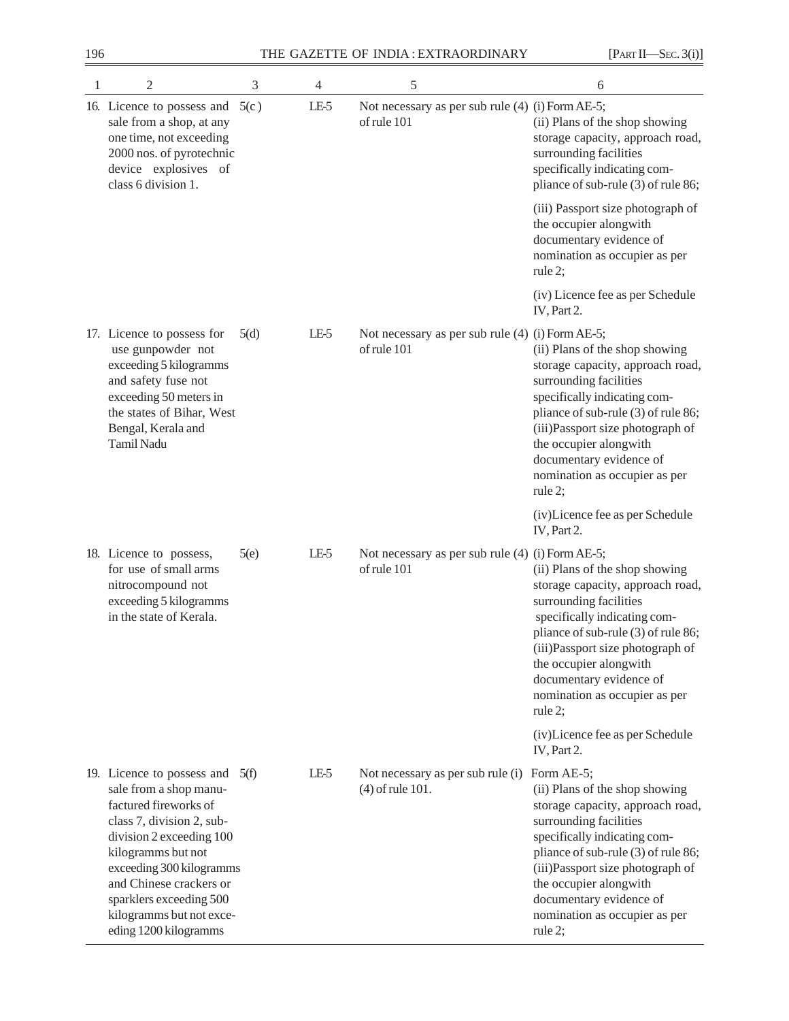| $\mathbf{1}$ | 2                                                                                                                                                                                                                                                                                                   | 3    | 4      | 5                                                               | 6                                                                                                                                                                                                                                                                                                                      |
|--------------|-----------------------------------------------------------------------------------------------------------------------------------------------------------------------------------------------------------------------------------------------------------------------------------------------------|------|--------|-----------------------------------------------------------------|------------------------------------------------------------------------------------------------------------------------------------------------------------------------------------------------------------------------------------------------------------------------------------------------------------------------|
|              | 16. Licence to possess and<br>sale from a shop, at any<br>one time, not exceeding<br>2000 nos. of pyrotechnic<br>device explosives of<br>class 6 division 1.                                                                                                                                        | 5(c) | $LE-5$ | Not necessary as per sub rule (4) (i) Form AE-5;<br>of rule 101 | (ii) Plans of the shop showing<br>storage capacity, approach road,<br>surrounding facilities<br>specifically indicating com-<br>pliance of sub-rule (3) of rule 86;                                                                                                                                                    |
|              |                                                                                                                                                                                                                                                                                                     |      |        |                                                                 | (iii) Passport size photograph of<br>the occupier alongwith<br>documentary evidence of<br>nomination as occupier as per<br>rule 2;                                                                                                                                                                                     |
|              |                                                                                                                                                                                                                                                                                                     |      |        |                                                                 | (iv) Licence fee as per Schedule<br>IV, Part 2.                                                                                                                                                                                                                                                                        |
|              | 17. Licence to possess for<br>use gunpowder not<br>exceeding 5 kilogramms<br>and safety fuse not<br>exceeding 50 meters in<br>the states of Bihar, West<br>Bengal, Kerala and<br>Tamil Nadu                                                                                                         | 5(d) | LE-5   | Not necessary as per sub rule (4) (i) Form AE-5;<br>of rule 101 | (ii) Plans of the shop showing<br>storage capacity, approach road,<br>surrounding facilities<br>specifically indicating com-<br>pliance of sub-rule (3) of rule 86;<br>(iii) Passport size photograph of<br>the occupier alongwith<br>documentary evidence of<br>nomination as occupier as per<br>rule $2$ ;           |
|              |                                                                                                                                                                                                                                                                                                     |      |        |                                                                 | (iv)Licence fee as per Schedule<br>IV, Part 2.                                                                                                                                                                                                                                                                         |
|              | 18. Licence to possess,<br>for use of small arms<br>nitrocompound not<br>exceeding 5 kilogramms<br>in the state of Kerala.                                                                                                                                                                          | 5(e) | LE-5   | Not necessary as per sub rule (4) (i) Form AE-5;<br>of rule 101 | (ii) Plans of the shop showing<br>storage capacity, approach road,<br>surrounding facilities<br>specifically indicating com-<br>pliance of sub-rule (3) of rule 86;<br>(iii) Passport size photograph of<br>the occupier alongwith<br>documentary evidence of<br>nomination as occupier as per<br>rule 2;              |
|              |                                                                                                                                                                                                                                                                                                     |      |        |                                                                 | (iv)Licence fee as per Schedule<br>IV, Part 2.                                                                                                                                                                                                                                                                         |
|              | 19. Licence to possess and<br>sale from a shop manu-<br>factured fireworks of<br>class 7, division 2, sub-<br>division 2 exceeding 100<br>kilogramms but not<br>exceeding 300 kilogramms<br>and Chinese crackers or<br>sparklers exceeding 500<br>kilogramms but not exce-<br>eding 1200 kilogramms | 5(f) | LE-5   | Not necessary as per sub rule (i)<br>(4) of rule 101.           | Form AE-5;<br>(ii) Plans of the shop showing<br>storage capacity, approach road,<br>surrounding facilities<br>specifically indicating com-<br>pliance of sub-rule (3) of rule 86;<br>(iii)Passport size photograph of<br>the occupier alongwith<br>documentary evidence of<br>nomination as occupier as per<br>rule 2; |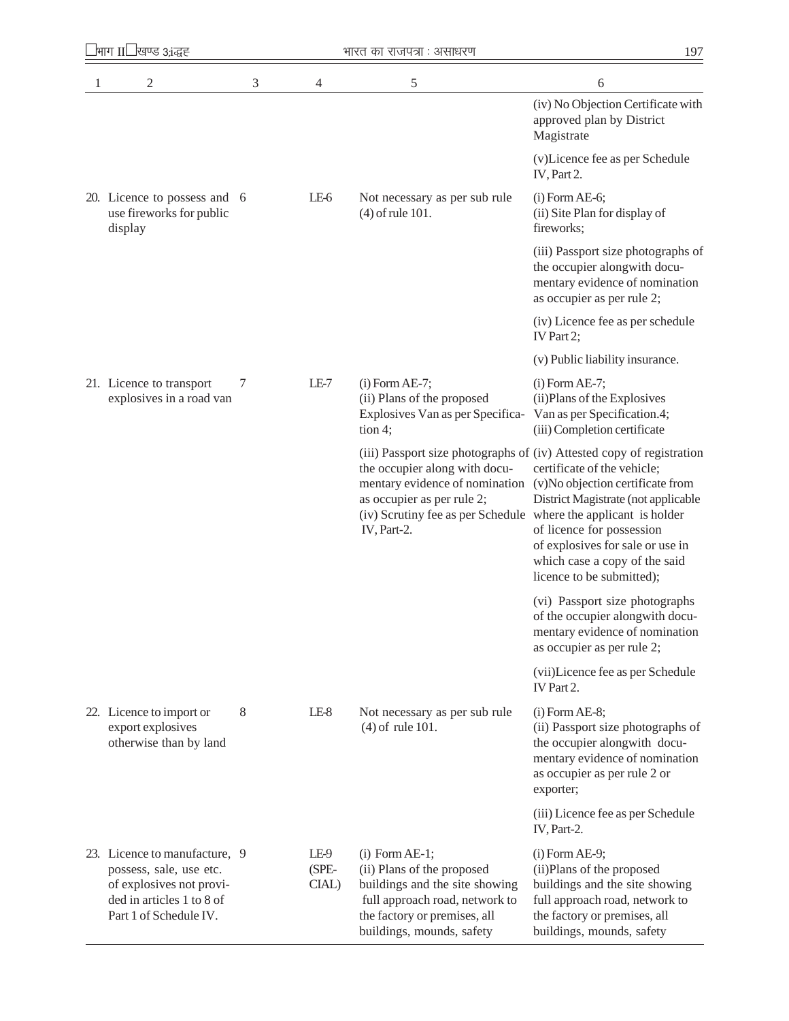| 2                                                                                                                                           | 3 | 4                      | 5                                                                                                                                                                               | 6                                                                                                                                                                                                                                                                                                              |
|---------------------------------------------------------------------------------------------------------------------------------------------|---|------------------------|---------------------------------------------------------------------------------------------------------------------------------------------------------------------------------|----------------------------------------------------------------------------------------------------------------------------------------------------------------------------------------------------------------------------------------------------------------------------------------------------------------|
|                                                                                                                                             |   |                        |                                                                                                                                                                                 | (iv) No Objection Certificate with<br>approved plan by District<br>Magistrate                                                                                                                                                                                                                                  |
|                                                                                                                                             |   |                        |                                                                                                                                                                                 | (v)Licence fee as per Schedule<br>IV, Part 2.                                                                                                                                                                                                                                                                  |
| 20. Licence to possess and 6<br>use fireworks for public<br>display                                                                         |   | LE-6                   | Not necessary as per sub rule<br>$(4)$ of rule 101.                                                                                                                             | $(i)$ Form AE-6;<br>(ii) Site Plan for display of<br>fireworks;                                                                                                                                                                                                                                                |
|                                                                                                                                             |   |                        |                                                                                                                                                                                 | (iii) Passport size photographs of<br>the occupier alongwith docu-<br>mentary evidence of nomination<br>as occupier as per rule 2;                                                                                                                                                                             |
|                                                                                                                                             |   |                        |                                                                                                                                                                                 | (iv) Licence fee as per schedule<br>IV Part 2;                                                                                                                                                                                                                                                                 |
|                                                                                                                                             |   |                        |                                                                                                                                                                                 | (v) Public liability insurance.                                                                                                                                                                                                                                                                                |
| 21. Licence to transport<br>explosives in a road van                                                                                        | 7 | $LE-7$                 | $(i)$ Form AE-7;<br>(ii) Plans of the proposed<br>Explosives Van as per Specifica-<br>tion 4;                                                                                   | $(i)$ Form AE-7;<br>(ii) Plans of the Explosives<br>Van as per Specification.4;<br>(iii) Completion certificate                                                                                                                                                                                                |
|                                                                                                                                             |   |                        | the occupier along with docu-<br>mentary evidence of nomination<br>as occupier as per rule 2;<br>(iv) Scrutiny fee as per Schedule where the applicant is holder<br>IV, Part-2. | (iii) Passport size photographs of (iv) Attested copy of registration<br>certificate of the vehicle;<br>(v)No objection certificate from<br>District Magistrate (not applicable<br>of licence for possession<br>of explosives for sale or use in<br>which case a copy of the said<br>licence to be submitted); |
|                                                                                                                                             |   |                        |                                                                                                                                                                                 | (vi) Passport size photographs<br>of the occupier alongwith docu-<br>mentary evidence of nomination<br>as occupier as per rule 2;                                                                                                                                                                              |
|                                                                                                                                             |   |                        |                                                                                                                                                                                 | (vii)Licence fee as per Schedule<br>IV Part 2.                                                                                                                                                                                                                                                                 |
| 22. Licence to import or<br>export explosives<br>otherwise than by land                                                                     | 8 | $LE-8$                 | Not necessary as per sub rule<br>$(4)$ of rule 101.                                                                                                                             | $(i)$ Form AE-8;<br>(ii) Passport size photographs of<br>the occupier alongwith docu-<br>mentary evidence of nomination<br>as occupier as per rule 2 or<br>exporter;                                                                                                                                           |
|                                                                                                                                             |   |                        |                                                                                                                                                                                 | (iii) Licence fee as per Schedule<br>IV, Part-2.                                                                                                                                                                                                                                                               |
| 23. Licence to manufacture, 9<br>possess, sale, use etc.<br>of explosives not provi-<br>ded in articles 1 to 8 of<br>Part 1 of Schedule IV. |   | LE-9<br>(SPE-<br>CIAL) | $(i)$ Form AE-1;<br>(ii) Plans of the proposed<br>buildings and the site showing<br>full approach road, network to<br>the factory or premises, all<br>buildings, mounds, safety | $(i)$ Form AE-9;<br>(ii) Plans of the proposed<br>buildings and the site showing<br>full approach road, network to<br>the factory or premises, all<br>buildings, mounds, safety                                                                                                                                |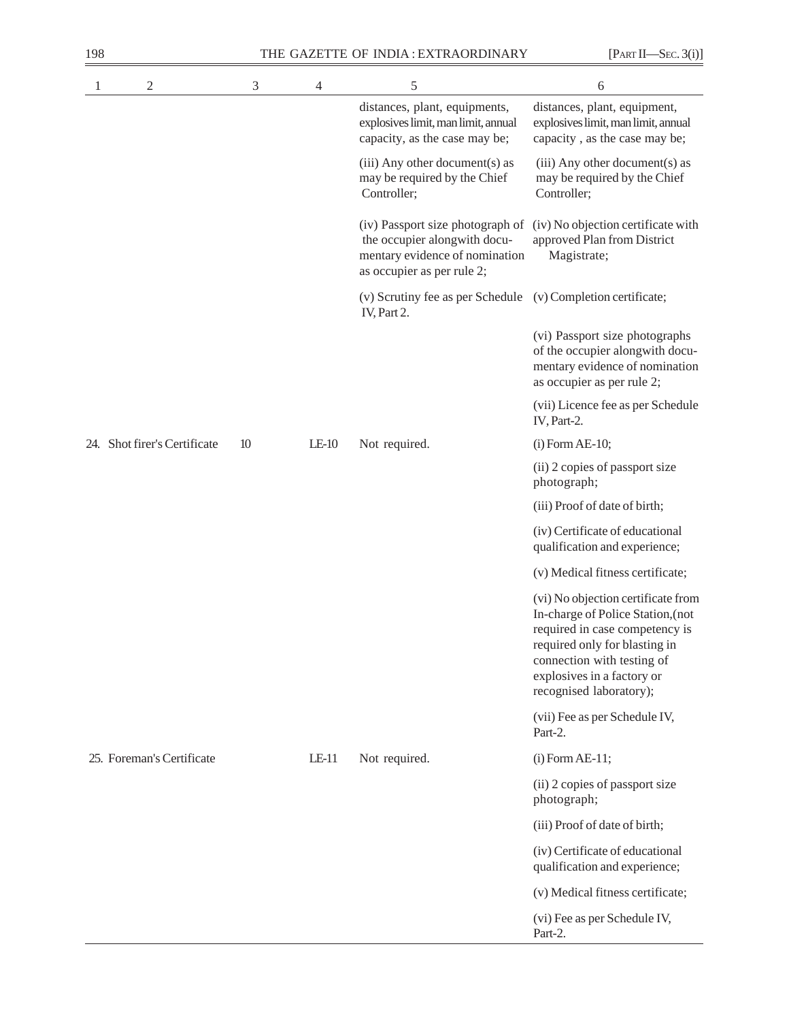| 198 |                              |                |         | THE GAZETTE OF INDIA: EXTRAORDINARY                                                                                              | [PART II—SEC. 3(i)]                                                                                                                                                                                                               |
|-----|------------------------------|----------------|---------|----------------------------------------------------------------------------------------------------------------------------------|-----------------------------------------------------------------------------------------------------------------------------------------------------------------------------------------------------------------------------------|
| 1   | $\sqrt{2}$                   | $\mathfrak{Z}$ | 4       | 5                                                                                                                                | 6                                                                                                                                                                                                                                 |
|     |                              |                |         | distances, plant, equipments,<br>explosives limit, man limit, annual<br>capacity, as the case may be;                            | distances, plant, equipment,<br>explosives limit, man limit, annual<br>capacity, as the case may be;                                                                                                                              |
|     |                              |                |         | (iii) Any other document(s) as<br>may be required by the Chief<br>Controller;                                                    | (iii) Any other document(s) as<br>may be required by the Chief<br>Controller;                                                                                                                                                     |
|     |                              |                |         | (iv) Passport size photograph of<br>the occupier alongwith docu-<br>mentary evidence of nomination<br>as occupier as per rule 2; | (iv) No objection certificate with<br>approved Plan from District<br>Magistrate;                                                                                                                                                  |
|     |                              |                |         | (v) Scrutiny fee as per Schedule (v) Completion certificate;<br>IV, Part 2.                                                      |                                                                                                                                                                                                                                   |
|     |                              |                |         |                                                                                                                                  | (vi) Passport size photographs<br>of the occupier alongwith docu-<br>mentary evidence of nomination<br>as occupier as per rule 2;                                                                                                 |
|     |                              |                |         |                                                                                                                                  | (vii) Licence fee as per Schedule<br>IV, Part-2.                                                                                                                                                                                  |
|     | 24. Shot firer's Certificate | 10             | $LE-10$ | Not required.                                                                                                                    | $(i)$ Form AE-10;                                                                                                                                                                                                                 |
|     |                              |                |         |                                                                                                                                  | (ii) 2 copies of passport size<br>photograph;                                                                                                                                                                                     |
|     |                              |                |         |                                                                                                                                  | (iii) Proof of date of birth;                                                                                                                                                                                                     |
|     |                              |                |         |                                                                                                                                  | (iv) Certificate of educational<br>qualification and experience;                                                                                                                                                                  |
|     |                              |                |         |                                                                                                                                  | (v) Medical fitness certificate;                                                                                                                                                                                                  |
|     |                              |                |         |                                                                                                                                  | (vi) No objection certificate from<br>In-charge of Police Station, (not<br>required in case competency is<br>required only for blasting in<br>connection with testing of<br>explosives in a factory or<br>recognised laboratory); |
|     |                              |                |         |                                                                                                                                  | (vii) Fee as per Schedule IV,<br>Part-2.                                                                                                                                                                                          |
|     | 25. Foreman's Certificate    |                | $LE-11$ | Not required.                                                                                                                    | $(i)$ Form AE-11;                                                                                                                                                                                                                 |
|     |                              |                |         |                                                                                                                                  | (ii) 2 copies of passport size<br>photograph;                                                                                                                                                                                     |
|     |                              |                |         |                                                                                                                                  | (iii) Proof of date of birth;                                                                                                                                                                                                     |
|     |                              |                |         |                                                                                                                                  | (iv) Certificate of educational<br>qualification and experience;                                                                                                                                                                  |
|     |                              |                |         |                                                                                                                                  | (v) Medical fitness certificate;                                                                                                                                                                                                  |
|     |                              |                |         |                                                                                                                                  | (vi) Fee as per Schedule IV,<br>Part-2.                                                                                                                                                                                           |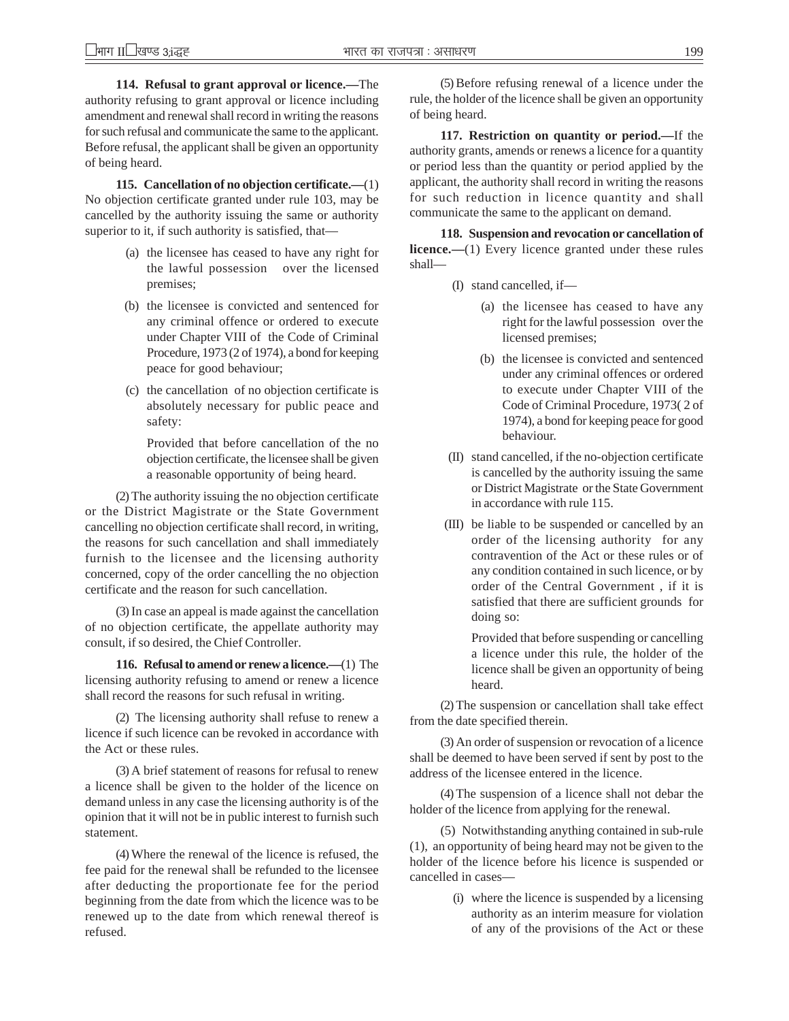**114. Refusal to grant approval or licence.—**The authority refusing to grant approval or licence including amendment and renewal shall record in writing the reasons for such refusal and communicate the same to the applicant. Before refusal, the applicant shall be given an opportunity of being heard.

**115. Cancellation of no objection certificate.—**(1) No objection certificate granted under rule 103, may be cancelled by the authority issuing the same or authority superior to it, if such authority is satisfied, that—

- (a) the licensee has ceased to have any right for the lawful possession over the licensed premises;
- (b) the licensee is convicted and sentenced for any criminal offence or ordered to execute under Chapter VIII of the Code of Criminal Procedure, 1973 (2 of 1974), a bond for keeping peace for good behaviour;
- (c) the cancellation of no objection certificate is absolutely necessary for public peace and safety:

Provided that before cancellation of the no objection certificate, the licensee shall be given a reasonable opportunity of being heard.

(2) The authority issuing the no objection certificate or the District Magistrate or the State Government cancelling no objection certificate shall record, in writing, the reasons for such cancellation and shall immediately furnish to the licensee and the licensing authority concerned, copy of the order cancelling the no objection certificate and the reason for such cancellation.

(3) In case an appeal is made against the cancellation of no objection certificate, the appellate authority may consult, if so desired, the Chief Controller.

**116. Refusal to amend or renew a licence.—**(1) The licensing authority refusing to amend or renew a licence shall record the reasons for such refusal in writing.

(2) The licensing authority shall refuse to renew a licence if such licence can be revoked in accordance with the Act or these rules.

(3) A brief statement of reasons for refusal to renew a licence shall be given to the holder of the licence on demand unless in any case the licensing authority is of the opinion that it will not be in public interest to furnish such statement.

(4) Where the renewal of the licence is refused, the fee paid for the renewal shall be refunded to the licensee after deducting the proportionate fee for the period beginning from the date from which the licence was to be renewed up to the date from which renewal thereof is refused.

(5) Before refusing renewal of a licence under the rule, the holder of the licence shall be given an opportunity of being heard.

**117. Restriction on quantity or period.—**If the authority grants, amends or renews a licence for a quantity or period less than the quantity or period applied by the applicant, the authority shall record in writing the reasons for such reduction in licence quantity and shall communicate the same to the applicant on demand.

**118. Suspension and revocation or cancellation of licence.**—(1) Every licence granted under these rules shall—

- (I) stand cancelled, if—
	- (a) the licensee has ceased to have any right for the lawful possession over the licensed premises;
	- (b) the licensee is convicted and sentenced under any criminal offences or ordered to execute under Chapter VIII of the Code of Criminal Procedure, 1973( 2 of 1974), a bond for keeping peace for good behaviour.
- (II) stand cancelled, if the no-objection certificate is cancelled by the authority issuing the same or District Magistrate or the State Government in accordance with rule 115.
- (III) be liable to be suspended or cancelled by an order of the licensing authority for any contravention of the Act or these rules or of any condition contained in such licence, or by order of the Central Government , if it is satisfied that there are sufficient grounds for doing so:

Provided that before suspending or cancelling a licence under this rule, the holder of the licence shall be given an opportunity of being heard.

(2) The suspension or cancellation shall take effect from the date specified therein.

(3) An order of suspension or revocation of a licence shall be deemed to have been served if sent by post to the address of the licensee entered in the licence.

(4) The suspension of a licence shall not debar the holder of the licence from applying for the renewal.

(5) Notwithstanding anything contained in sub-rule (1), an opportunity of being heard may not be given to the holder of the licence before his licence is suspended or cancelled in cases—

> (i) where the licence is suspended by a licensing authority as an interim measure for violation of any of the provisions of the Act or these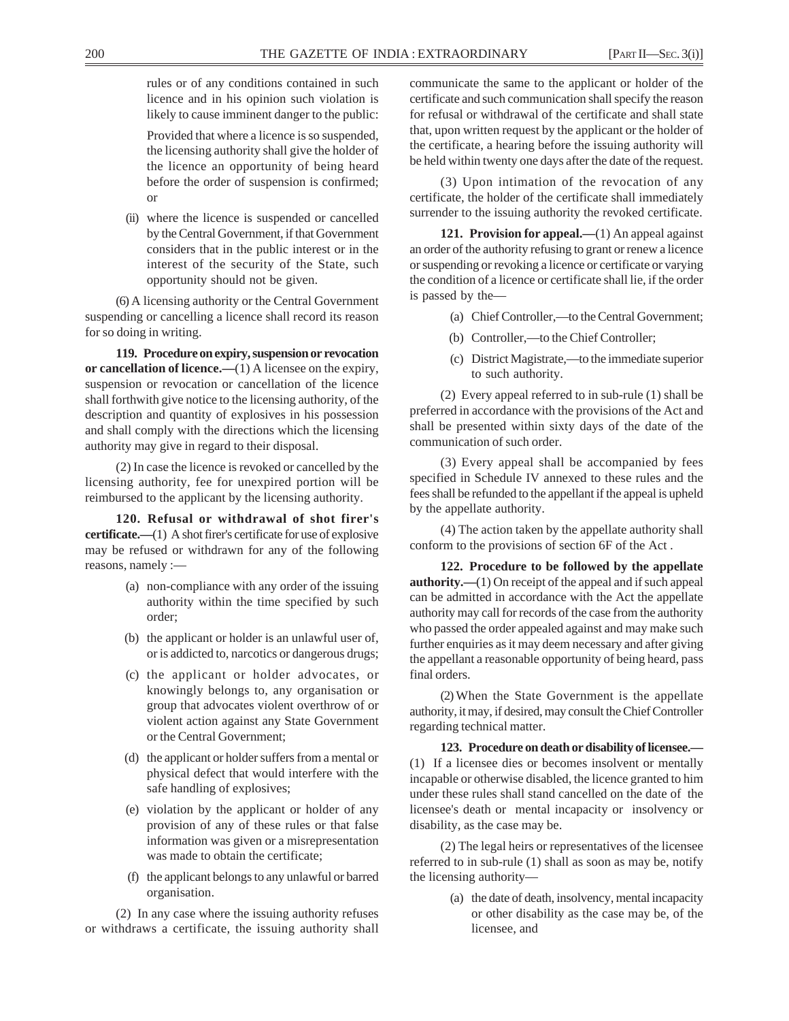rules or of any conditions contained in such licence and in his opinion such violation is likely to cause imminent danger to the public:

Provided that where a licence is so suspended, the licensing authority shall give the holder of the licence an opportunity of being heard before the order of suspension is confirmed; or

(ii) where the licence is suspended or cancelled by the Central Government, if that Government considers that in the public interest or in the interest of the security of the State, such opportunity should not be given.

(6) A licensing authority or the Central Government suspending or cancelling a licence shall record its reason for so doing in writing.

**119. Procedure on expiry, suspension or revocation or cancellation of licence.—**(1) A licensee on the expiry, suspension or revocation or cancellation of the licence shall forthwith give notice to the licensing authority, of the description and quantity of explosives in his possession and shall comply with the directions which the licensing authority may give in regard to their disposal.

(2) In case the licence is revoked or cancelled by the licensing authority, fee for unexpired portion will be reimbursed to the applicant by the licensing authority.

**120. Refusal or withdrawal of shot firer's certificate.—**(1) A shot firer's certificate for use of explosive may be refused or withdrawn for any of the following reasons, namely :—

- (a) non-compliance with any order of the issuing authority within the time specified by such order;
- (b) the applicant or holder is an unlawful user of, or is addicted to, narcotics or dangerous drugs;
- (c) the applicant or holder advocates, or knowingly belongs to, any organisation or group that advocates violent overthrow of or violent action against any State Government or the Central Government;
- (d) the applicant or holder suffers from a mental or physical defect that would interfere with the safe handling of explosives;
- (e) violation by the applicant or holder of any provision of any of these rules or that false information was given or a misrepresentation was made to obtain the certificate;
- (f) the applicant belongs to any unlawful or barred organisation.

(2) In any case where the issuing authority refuses or withdraws a certificate, the issuing authority shall

communicate the same to the applicant or holder of the certificate and such communication shall specify the reason for refusal or withdrawal of the certificate and shall state that, upon written request by the applicant or the holder of the certificate, a hearing before the issuing authority will be held within twenty one days after the date of the request.

(3) Upon intimation of the revocation of any certificate, the holder of the certificate shall immediately surrender to the issuing authority the revoked certificate.

121. Provision for appeal.—(1) An appeal against an order of the authority refusing to grant or renew a licence or suspending or revoking a licence or certificate or varying the condition of a licence or certificate shall lie, if the order is passed by the—

- (a) Chief Controller,—to the Central Government;
- (b) Controller,—to the Chief Controller;
- (c) District Magistrate,—to the immediate superior to such authority.

(2) Every appeal referred to in sub-rule (1) shall be preferred in accordance with the provisions of the Act and shall be presented within sixty days of the date of the communication of such order.

(3) Every appeal shall be accompanied by fees specified in Schedule IV annexed to these rules and the fees shall be refunded to the appellant if the appeal is upheld by the appellate authority.

(4) The action taken by the appellate authority shall conform to the provisions of section 6F of the Act .

**122. Procedure to be followed by the appellate authority.—**(1) On receipt of the appeal and if such appeal can be admitted in accordance with the Act the appellate authority may call for records of the case from the authority who passed the order appealed against and may make such further enquiries as it may deem necessary and after giving the appellant a reasonable opportunity of being heard, pass final orders.

(2) When the State Government is the appellate authority, it may, if desired, may consult the Chief Controller regarding technical matter.

**123. Procedure on death or disability of licensee.—** (1) If a licensee dies or becomes insolvent or mentally incapable or otherwise disabled, the licence granted to him under these rules shall stand cancelled on the date of the licensee's death or mental incapacity or insolvency or disability, as the case may be.

(2) The legal heirs or representatives of the licensee referred to in sub-rule (1) shall as soon as may be, notify the licensing authority—

> (a) the date of death, insolvency, mental incapacity or other disability as the case may be, of the licensee, and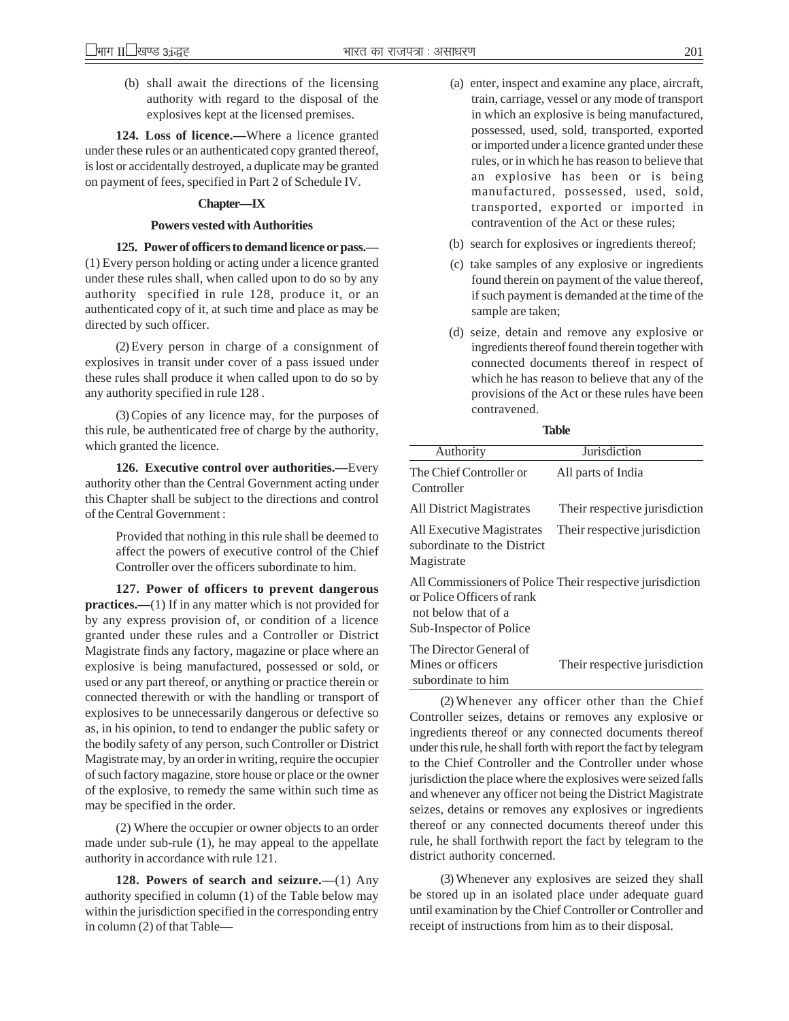(b) shall await the directions of the licensing authority with regard to the disposal of the explosives kept at the licensed premises.

**124. Loss of licence.—**Where a licence granted under these rules or an authenticated copy granted thereof, is lost or accidentally destroyed, a duplicate may be granted on payment of fees, specified in Part 2 of Schedule IV.

#### **Chapter—IX**

#### **Powers vested with Authorities**

**125. Power of officers to demand licence or pass.—** (1) Every person holding or acting under a licence granted under these rules shall, when called upon to do so by any authority specified in rule 128, produce it, or an authenticated copy of it, at such time and place as may be directed by such officer.

(2) Every person in charge of a consignment of explosives in transit under cover of a pass issued under these rules shall produce it when called upon to do so by any authority specified in rule 128 .

(3) Copies of any licence may, for the purposes of this rule, be authenticated free of charge by the authority, which granted the licence.

**126. Executive control over authorities.—**Every authority other than the Central Government acting under this Chapter shall be subject to the directions and control of the Central Government :

> Provided that nothing in this rule shall be deemed to affect the powers of executive control of the Chief Controller over the officers subordinate to him.

**127. Power of officers to prevent dangerous practices.—(1)** If in any matter which is not provided for by any express provision of, or condition of a licence granted under these rules and a Controller or District Magistrate finds any factory, magazine or place where an explosive is being manufactured, possessed or sold, or used or any part thereof, or anything or practice therein or connected therewith or with the handling or transport of explosives to be unnecessarily dangerous or defective so as, in his opinion, to tend to endanger the public safety or the bodily safety of any person, such Controller or District Magistrate may, by an order in writing, require the occupier of such factory magazine, store house or place or the owner of the explosive, to remedy the same within such time as may be specified in the order.

(2) Where the occupier or owner objects to an order made under sub-rule (1), he may appeal to the appellate authority in accordance with rule 121.

**128. Powers of search and seizure.—**(1) Any authority specified in column (1) of the Table below may within the jurisdiction specified in the corresponding entry in column (2) of that Table—

- (a) enter, inspect and examine any place, aircraft, train, carriage, vessel or any mode of transport in which an explosive is being manufactured, possessed, used, sold, transported, exported or imported under a licence granted under these rules, or in which he has reason to believe that an explosive has been or is being manufactured, possessed, used, sold, transported, exported or imported in contravention of the Act or these rules;
- (b) search for explosives or ingredients thereof;
- (c) take samples of any explosive or ingredients found therein on payment of the value thereof, if such payment is demanded at the time of the sample are taken;
- (d) seize, detain and remove any explosive or ingredients thereof found therein together with connected documents thereof in respect of which he has reason to believe that any of the provisions of the Act or these rules have been contravened.

| .<br>v | v<br>v<br>× |
|--------|-------------|
|        |             |

| Authority                                                                    | Jurisdiction                                              |
|------------------------------------------------------------------------------|-----------------------------------------------------------|
| The Chief Controller or<br>Controller                                        | All parts of India                                        |
| All District Magistrates                                                     | Their respective jurisdiction                             |
| All Executive Magistrates<br>subordinate to the District<br>Magistrate       | Their respective jurisdiction                             |
| or Police Officers of rank<br>not below that of a<br>Sub-Inspector of Police | All Commissioners of Police Their respective jurisdiction |
| The Director General of<br>Mines or officers<br>subordinate to him           | Their respective jurisdiction                             |

(2) Whenever any officer other than the Chief Controller seizes, detains or removes any explosive or ingredients thereof or any connected documents thereof under this rule, he shall forth with report the fact by telegram to the Chief Controller and the Controller under whose jurisdiction the place where the explosives were seized falls and whenever any officer not being the District Magistrate seizes, detains or removes any explosives or ingredients thereof or any connected documents thereof under this rule, he shall forthwith report the fact by telegram to the district authority concerned.

(3) Whenever any explosives are seized they shall be stored up in an isolated place under adequate guard until examination by the Chief Controller or Controller and receipt of instructions from him as to their disposal.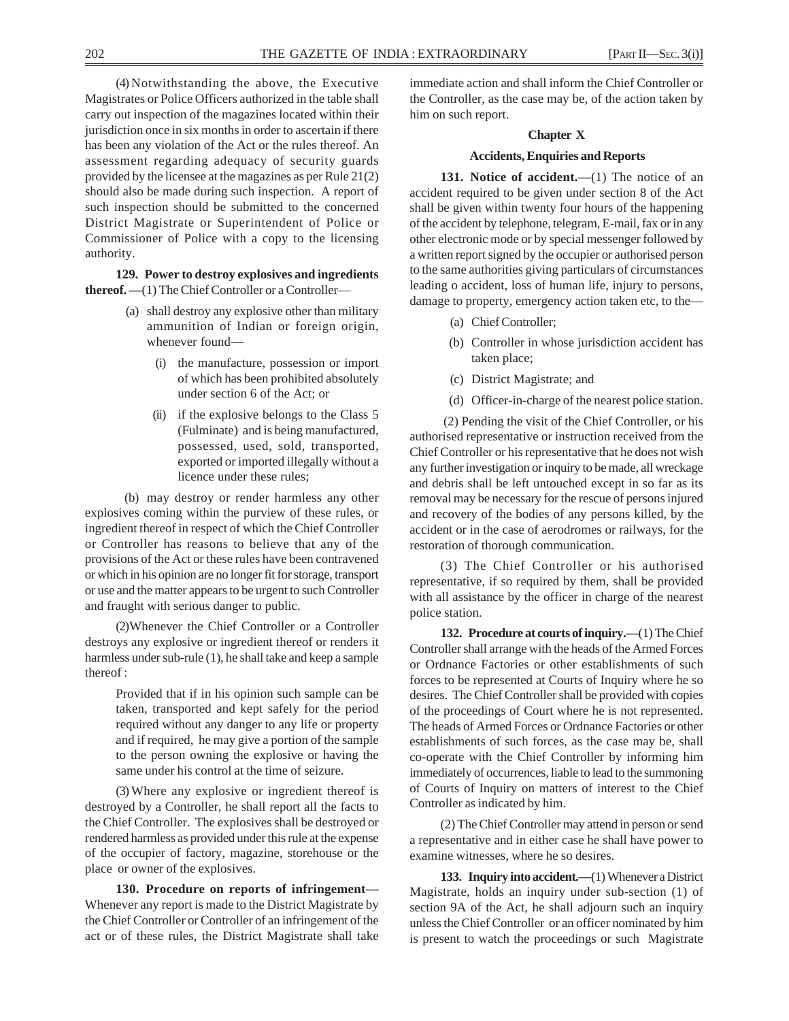(4) Notwithstanding the above, the Executive Magistrates or Police Officers authorized in the table shall carry out inspection of the magazines located within their jurisdiction once in six months in order to ascertain if there has been any violation of the Act or the rules thereof. An assessment regarding adequacy of security guards provided by the licensee at the magazines as per Rule 21(2) should also be made during such inspection. A report of such inspection should be submitted to the concerned District Magistrate or Superintendent of Police or Commissioner of Police with a copy to the licensing authority.

**129. Power to destroy explosives and ingredients thereof.** —(1) The Chief Controller or a Controller-

- (a) shall destroy any explosive other than military ammunition of Indian or foreign origin, whenever found—
	- (i) the manufacture, possession or import of which has been prohibited absolutely under section 6 of the Act; or
	- (ii) if the explosive belongs to the Class 5 (Fulminate) and is being manufactured, possessed, used, sold, transported, exported or imported illegally without a licence under these rules;

(b) may destroy or render harmless any other explosives coming within the purview of these rules, or ingredient thereof in respect of which the Chief Controller or Controller has reasons to believe that any of the provisions of the Act or these rules have been contravened or which in his opinion are no longer fit for storage, transport or use and the matter appears to be urgent to such Controller and fraught with serious danger to public.

(2)Whenever the Chief Controller or a Controller destroys any explosive or ingredient thereof or renders it harmless under sub-rule (1), he shall take and keep a sample thereof :

> Provided that if in his opinion such sample can be taken, transported and kept safely for the period required without any danger to any life or property and if required, he may give a portion of the sample to the person owning the explosive or having the same under his control at the time of seizure.

(3) Where any explosive or ingredient thereof is destroyed by a Controller, he shall report all the facts to the Chief Controller. The explosives shall be destroyed or rendered harmless as provided under this rule at the expense of the occupier of factory, magazine, storehouse or the place or owner of the explosives.

**130. Procedure on reports of infringement—** Whenever any report is made to the District Magistrate by the Chief Controller or Controller of an infringement of the act or of these rules, the District Magistrate shall take immediate action and shall inform the Chief Controller or the Controller, as the case may be, of the action taken by him on such report.

## **Chapter X**

#### **Accidents, Enquiries and Reports**

**131. Notice of accident.—**(1) The notice of an accident required to be given under section 8 of the Act shall be given within twenty four hours of the happening of the accident by telephone, telegram, E-mail, fax or in any other electronic mode or by special messenger followed by a written report signed by the occupier or authorised person to the same authorities giving particulars of circumstances leading o accident, loss of human life, injury to persons, damage to property, emergency action taken etc, to the—

- (a) Chief Controller;
- (b) Controller in whose jurisdiction accident has taken place;
- (c) District Magistrate; and
- (d) Officer-in-charge of the nearest police station.

 (2) Pending the visit of the Chief Controller, or his authorised representative or instruction received from the Chief Controller or his representative that he does not wish any further investigation or inquiry to be made, all wreckage and debris shall be left untouched except in so far as its removal may be necessary for the rescue of persons injured and recovery of the bodies of any persons killed, by the accident or in the case of aerodromes or railways, for the restoration of thorough communication.

(3) The Chief Controller or his authorised representative, if so required by them, shall be provided with all assistance by the officer in charge of the nearest police station.

**132. Procedure at courts of inquiry.—**(1) The Chief Controller shall arrange with the heads of the Armed Forces or Ordnance Factories or other establishments of such forces to be represented at Courts of Inquiry where he so desires. The Chief Controller shall be provided with copies of the proceedings of Court where he is not represented. The heads of Armed Forces or Ordnance Factories or other establishments of such forces, as the case may be, shall co-operate with the Chief Controller by informing him immediately of occurrences, liable to lead to the summoning of Courts of Inquiry on matters of interest to the Chief Controller as indicated by him.

(2) The Chief Controller may attend in person or send a representative and in either case he shall have power to examine witnesses, where he so desires.

**133. Inquiry into accident.—**(1) Whenever a District Magistrate, holds an inquiry under sub-section (1) of section 9A of the Act, he shall adjourn such an inquiry unless the Chief Controller or an officer nominated by him is present to watch the proceedings or such Magistrate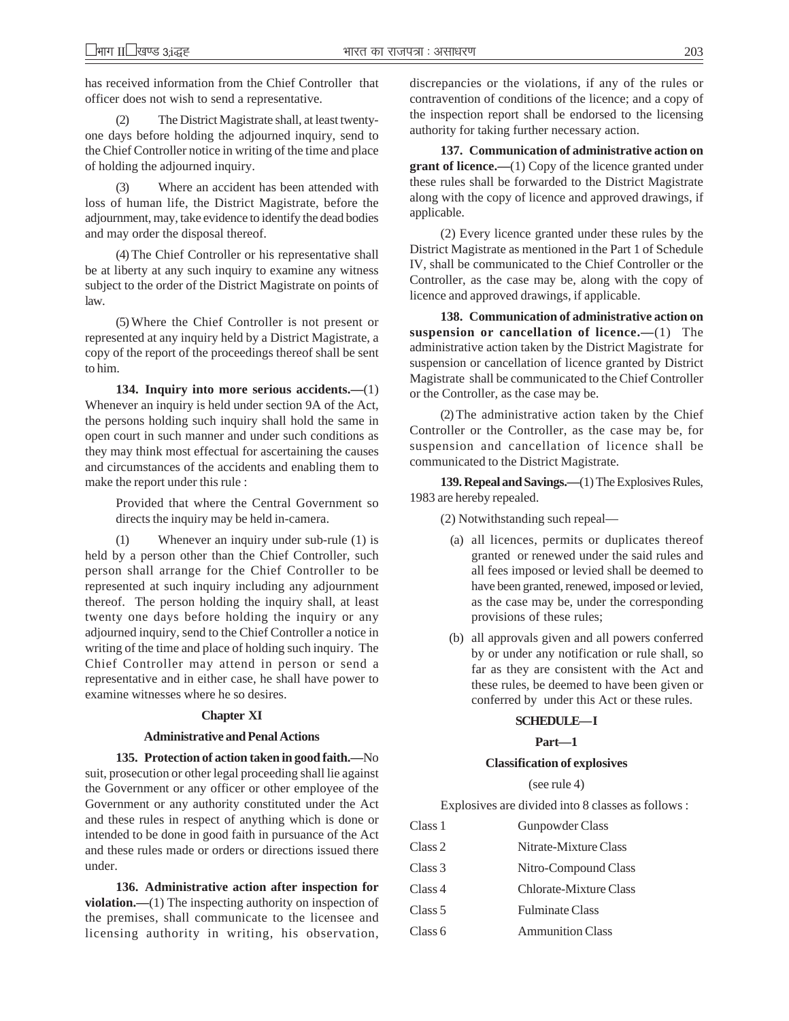has received information from the Chief Controller that officer does not wish to send a representative.

(2) The District Magistrate shall, at least twentyone days before holding the adjourned inquiry, send to the Chief Controller notice in writing of the time and place of holding the adjourned inquiry.

(3) Where an accident has been attended with loss of human life, the District Magistrate, before the adjournment, may, take evidence to identify the dead bodies and may order the disposal thereof.

(4) The Chief Controller or his representative shall be at liberty at any such inquiry to examine any witness subject to the order of the District Magistrate on points of law.

(5) Where the Chief Controller is not present or represented at any inquiry held by a District Magistrate, a copy of the report of the proceedings thereof shall be sent to him.

**134. Inquiry into more serious accidents.—**(1) Whenever an inquiry is held under section 9A of the Act, the persons holding such inquiry shall hold the same in open court in such manner and under such conditions as they may think most effectual for ascertaining the causes and circumstances of the accidents and enabling them to make the report under this rule :

> Provided that where the Central Government so directs the inquiry may be held in-camera.

(1) Whenever an inquiry under sub-rule (1) is held by a person other than the Chief Controller, such person shall arrange for the Chief Controller to be represented at such inquiry including any adjournment thereof. The person holding the inquiry shall, at least twenty one days before holding the inquiry or any adjourned inquiry, send to the Chief Controller a notice in writing of the time and place of holding such inquiry. The Chief Controller may attend in person or send a representative and in either case, he shall have power to examine witnesses where he so desires.

#### **Chapter XI**

#### **Administrative and Penal Actions**

**135. Protection of action taken in good faith.—**No suit, prosecution or other legal proceeding shall lie against the Government or any officer or other employee of the Government or any authority constituted under the Act and these rules in respect of anything which is done or intended to be done in good faith in pursuance of the Act and these rules made or orders or directions issued there under.

**136. Administrative action after inspection for violation.—(1)** The inspecting authority on inspection of the premises, shall communicate to the licensee and licensing authority in writing, his observation,

discrepancies or the violations, if any of the rules or contravention of conditions of the licence; and a copy of the inspection report shall be endorsed to the licensing authority for taking further necessary action.

**137. Communication of administrative action on grant of licence.—(1)** Copy of the licence granted under these rules shall be forwarded to the District Magistrate along with the copy of licence and approved drawings, if applicable.

(2) Every licence granted under these rules by the District Magistrate as mentioned in the Part 1 of Schedule IV, shall be communicated to the Chief Controller or the Controller, as the case may be, along with the copy of licence and approved drawings, if applicable.

**138. Communication of administrative action on suspension or cancellation of licence.—**(1) The administrative action taken by the District Magistrate for suspension or cancellation of licence granted by District Magistrate shall be communicated to the Chief Controller or the Controller, as the case may be.

(2) The administrative action taken by the Chief Controller or the Controller, as the case may be, for suspension and cancellation of licence shall be communicated to the District Magistrate.

**139. Repeal and Savings.—**(1) The Explosives Rules, 1983 are hereby repealed.

(2) Notwithstanding such repeal—

- (a) all licences, permits or duplicates thereof granted or renewed under the said rules and all fees imposed or levied shall be deemed to have been granted, renewed, imposed or levied, as the case may be, under the corresponding provisions of these rules;
- (b) all approvals given and all powers conferred by or under any notification or rule shall, so far as they are consistent with the Act and these rules, be deemed to have been given or conferred by under this Act or these rules.

## **SCHEDULE— I**

**Part—1**

#### **Classification of explosives**

(see rule 4)

Explosives are divided into 8 classes as follows :

| Class 1 | Gunpowder Class         |
|---------|-------------------------|
| Class 2 | Nitrate-Mixture Class   |
| Class 3 | Nitro-Compound Class    |
| Class 4 | Chlorate-Mixture Class  |
| Class 5 | <b>Fulminate Class</b>  |
| Class 6 | <b>Ammunition Class</b> |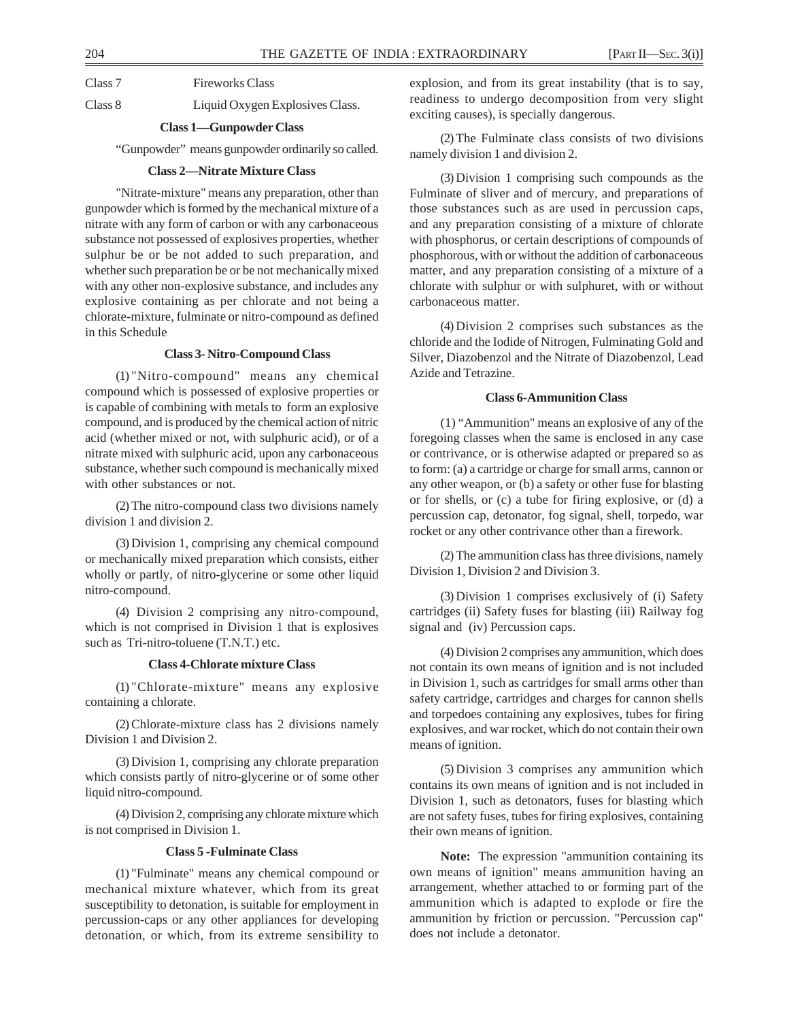Class 8 Liquid Oxygen Explosives Class.

## **Class 1—Gunpowder Class**

"Gunpowder" means gunpowder ordinarily so called.

#### **Class 2—Nitrate Mixture Class**

"Nitrate-mixture" means any preparation, other than gunpowder which is formed by the mechanical mixture of a nitrate with any form of carbon or with any carbonaceous substance not possessed of explosives properties, whether sulphur be or be not added to such preparation, and whether such preparation be or be not mechanically mixed with any other non-explosive substance, and includes any explosive containing as per chlorate and not being a chlorate-mixture, fulminate or nitro-compound as defined in this Schedule

## **Class 3- Nitro-Compound Class**

(1) "Nitro-compound" means any chemical compound which is possessed of explosive properties or is capable of combining with metals to form an explosive compound, and is produced by the chemical action of nitric acid (whether mixed or not, with sulphuric acid), or of a nitrate mixed with sulphuric acid, upon any carbonaceous substance, whether such compound is mechanically mixed with other substances or not.

(2) The nitro-compound class two divisions namely division 1 and division 2.

(3) Division 1, comprising any chemical compound or mechanically mixed preparation which consists, either wholly or partly, of nitro-glycerine or some other liquid nitro-compound.

(4) Division 2 comprising any nitro-compound, which is not comprised in Division 1 that is explosives such as Tri-nitro-toluene (T.N.T.) etc.

#### **Class 4-Chlorate mixture Class**

(1) "Chlorate-mixture" means any explosive containing a chlorate.

(2) Chlorate-mixture class has 2 divisions namely Division 1 and Division 2.

(3) Division 1, comprising any chlorate preparation which consists partly of nitro-glycerine or of some other liquid nitro-compound.

(4) Division 2, comprising any chlorate mixture which is not comprised in Division 1.

## **Class 5 -Fulminate Class**

(1) "Fulminate" means any chemical compound or mechanical mixture whatever, which from its great susceptibility to detonation, is suitable for employment in percussion-caps or any other appliances for developing detonation, or which, from its extreme sensibility to

explosion, and from its great instability (that is to say, readiness to undergo decomposition from very slight exciting causes), is specially dangerous.

(2) The Fulminate class consists of two divisions namely division 1 and division 2.

(3) Division 1 comprising such compounds as the Fulminate of sliver and of mercury, and preparations of those substances such as are used in percussion caps, and any preparation consisting of a mixture of chlorate with phosphorus, or certain descriptions of compounds of phosphorous, with or without the addition of carbonaceous matter, and any preparation consisting of a mixture of a chlorate with sulphur or with sulphuret, with or without carbonaceous matter.

(4) Division 2 comprises such substances as the chloride and the Iodide of Nitrogen, Fulminating Gold and Silver, Diazobenzol and the Nitrate of Diazobenzol, Lead Azide and Tetrazine.

#### **Class 6-Ammunition Class**

(1) "Ammunition" means an explosive of any of the foregoing classes when the same is enclosed in any case or contrivance, or is otherwise adapted or prepared so as to form: (a) a cartridge or charge for small arms, cannon or any other weapon, or (b) a safety or other fuse for blasting or for shells, or (c) a tube for firing explosive, or (d) a percussion cap, detonator, fog signal, shell, torpedo, war rocket or any other contrivance other than a firework.

(2) The ammunition class has three divisions, namely Division 1, Division 2 and Division 3.

(3) Division 1 comprises exclusively of (i) Safety cartridges (ii) Safety fuses for blasting (iii) Railway fog signal and (iv) Percussion caps.

(4) Division 2 comprises any ammunition, which does not contain its own means of ignition and is not included in Division 1, such as cartridges for small arms other than safety cartridge, cartridges and charges for cannon shells and torpedoes containing any explosives, tubes for firing explosives, and war rocket, which do not contain their own means of ignition.

(5) Division 3 comprises any ammunition which contains its own means of ignition and is not included in Division 1, such as detonators, fuses for blasting which are not safety fuses, tubes for firing explosives, containing their own means of ignition.

**Note:** The expression "ammunition containing its own means of ignition" means ammunition having an arrangement, whether attached to or forming part of the ammunition which is adapted to explode or fire the ammunition by friction or percussion. "Percussion cap" does not include a detonator.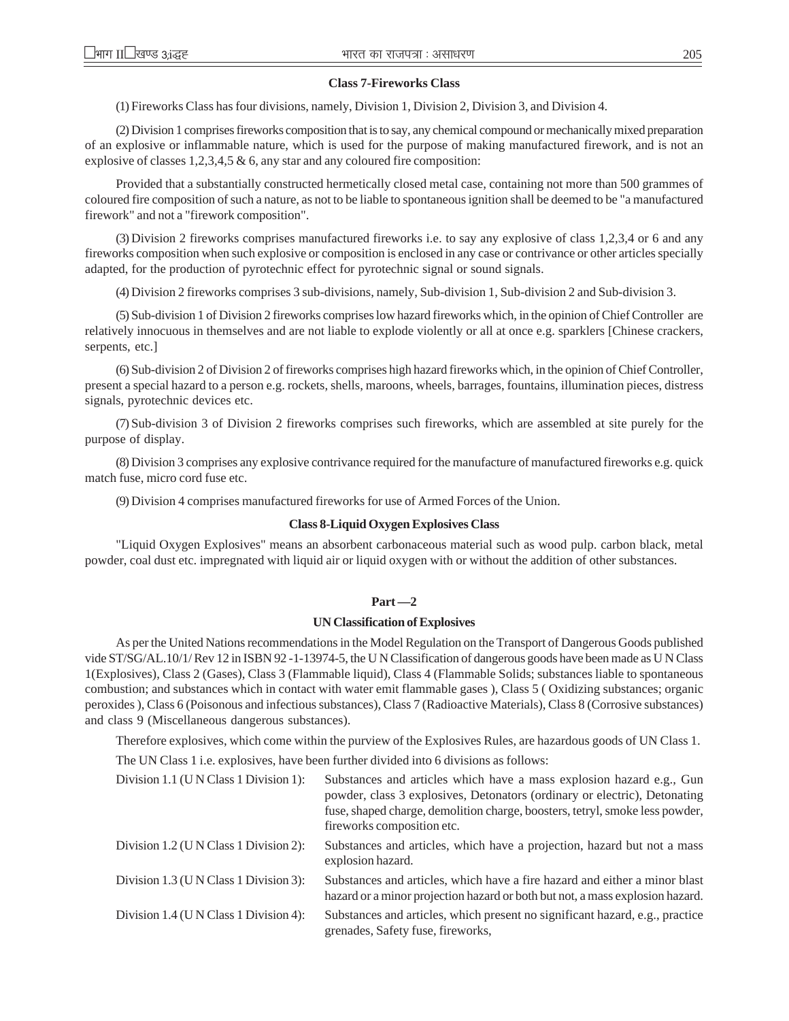#### **Class 7-Fireworks Class**

(1) Fireworks Class has four divisions, namely, Division 1, Division 2, Division 3, and Division 4.

(2) Division 1 comprises fireworks composition that is to say, any chemical compound or mechanically mixed preparation of an explosive or inflammable nature, which is used for the purpose of making manufactured firework, and is not an explosive of classes 1,2,3,4,5 & 6, any star and any coloured fire composition:

Provided that a substantially constructed hermetically closed metal case, containing not more than 500 grammes of coloured fire composition of such a nature, as not to be liable to spontaneous ignition shall be deemed to be "a manufactured firework" and not a "firework composition".

(3) Division 2 fireworks comprises manufactured fireworks i.e. to say any explosive of class 1,2,3,4 or 6 and any fireworks composition when such explosive or composition is enclosed in any case or contrivance or other articles specially adapted, for the production of pyrotechnic effect for pyrotechnic signal or sound signals.

(4) Division 2 fireworks comprises 3 sub-divisions, namely, Sub-division 1, Sub-division 2 and Sub-division 3.

(5) Sub-division 1 of Division 2 fireworks comprises low hazard fireworks which, in the opinion of Chief Controller are relatively innocuous in themselves and are not liable to explode violently or all at once e.g. sparklers [Chinese crackers, serpents, etc.]

(6) Sub-division 2 of Division 2 of fireworks comprises high hazard fireworks which, in the opinion of Chief Controller, present a special hazard to a person e.g. rockets, shells, maroons, wheels, barrages, fountains, illumination pieces, distress signals, pyrotechnic devices etc.

(7) Sub-division 3 of Division 2 fireworks comprises such fireworks, which are assembled at site purely for the purpose of display.

(8) Division 3 comprises any explosive contrivance required for the manufacture of manufactured fireworks e.g. quick match fuse, micro cord fuse etc.

(9) Division 4 comprises manufactured fireworks for use of Armed Forces of the Union.

#### **Class 8-Liquid Oxygen Explosives Class**

"Liquid Oxygen Explosives" means an absorbent carbonaceous material such as wood pulp. carbon black, metal powder, coal dust etc. impregnated with liquid air or liquid oxygen with or without the addition of other substances.

#### **Part —2**

#### **UN Classification of Explosives**

As per the United Nations recommendations in the Model Regulation on the Transport of Dangerous Goods published vide ST/SG/AL.10/1/ Rev 12 in ISBN 92 -1-13974-5, the U N Classification of dangerous goods have been made as U N Class 1(Explosives), Class 2 (Gases), Class 3 (Flammable liquid), Class 4 (Flammable Solids; substances liable to spontaneous combustion; and substances which in contact with water emit flammable gases ), Class 5 ( Oxidizing substances; organic peroxides ), Class 6 (Poisonous and infectious substances), Class 7 (Radioactive Materials), Class 8 (Corrosive substances) and class 9 (Miscellaneous dangerous substances).

Therefore explosives, which come within the purview of the Explosives Rules, are hazardous goods of UN Class 1.

The UN Class 1 i.e. explosives, have been further divided into 6 divisions as follows:

| Division 1.1 (U N Class 1 Division 1): | Substances and articles which have a mass explosion hazard e.g., Gun<br>powder, class 3 explosives, Detonators (ordinary or electric), Detonating<br>fuse, shaped charge, demolition charge, boosters, tetryl, smoke less powder,<br>fireworks composition etc. |
|----------------------------------------|-----------------------------------------------------------------------------------------------------------------------------------------------------------------------------------------------------------------------------------------------------------------|
| Division 1.2 (U N Class 1 Division 2): | Substances and articles, which have a projection, hazard but not a mass<br>explosion hazard.                                                                                                                                                                    |
| Division 1.3 (U N Class 1 Division 3): | Substances and articles, which have a fire hazard and either a minor blast<br>hazard or a minor projection hazard or both but not, a mass explosion hazard.                                                                                                     |
| Division 1.4 (U N Class 1 Division 4): | Substances and articles, which present no significant hazard, e.g., practice<br>grenades, Safety fuse, fireworks,                                                                                                                                               |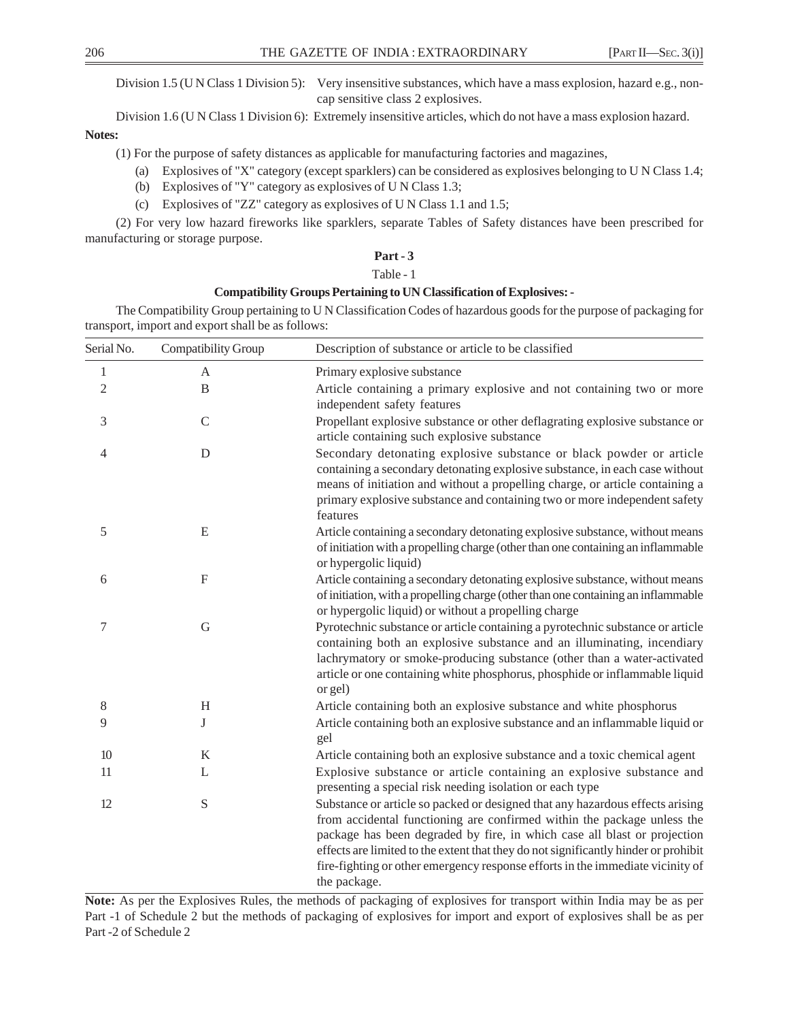Division 1.5 (U N Class 1 Division 5): Very insensitive substances, which have a mass explosion, hazard e.g., noncap sensitive class 2 explosives.

Division 1.6 (U N Class 1 Division 6): Extremely insensitive articles, which do not have a mass explosion hazard.

#### **Notes:**

(1) For the purpose of safety distances as applicable for manufacturing factories and magazines,

- (a) Explosives of "X" category (except sparklers) can be considered as explosives belonging to U N Class 1.4;
- (b) Explosives of "Y" category as explosives of U N Class 1.3;
- (c) Explosives of "ZZ" category as explosives of U N Class 1.1 and 1.5;

(2) For very low hazard fireworks like sparklers, separate Tables of Safety distances have been prescribed for manufacturing or storage purpose.

# **Part - 3**

## Table - 1

## **Compatibility Groups Pertaining to UN Classification of Explosives: -**

The Compatibility Group pertaining to U N Classification Codes of hazardous goods for the purpose of packaging for transport, import and export shall be as follows:

| Serial No.     | Compatibility Group | Description of substance or article to be classified                                                                                                                                                                                                                                                                                                                                                                          |
|----------------|---------------------|-------------------------------------------------------------------------------------------------------------------------------------------------------------------------------------------------------------------------------------------------------------------------------------------------------------------------------------------------------------------------------------------------------------------------------|
| $\mathbf{1}$   | A                   | Primary explosive substance                                                                                                                                                                                                                                                                                                                                                                                                   |
| $\overline{2}$ | B                   | Article containing a primary explosive and not containing two or more<br>independent safety features                                                                                                                                                                                                                                                                                                                          |
| 3              | $\mathcal{C}$       | Propellant explosive substance or other deflagrating explosive substance or<br>article containing such explosive substance                                                                                                                                                                                                                                                                                                    |
| 4              | D                   | Secondary detonating explosive substance or black powder or article<br>containing a secondary detonating explosive substance, in each case without<br>means of initiation and without a propelling charge, or article containing a<br>primary explosive substance and containing two or more independent safety<br>features                                                                                                   |
| 5              | E                   | Article containing a secondary detonating explosive substance, without means<br>of initiation with a propelling charge (other than one containing an inflammable<br>or hypergolic liquid)                                                                                                                                                                                                                                     |
| 6              | $\overline{F}$      | Article containing a secondary detonating explosive substance, without means<br>of initiation, with a propelling charge (other than one containing an inflammable<br>or hypergolic liquid) or without a propelling charge                                                                                                                                                                                                     |
| 7              | G                   | Pyrotechnic substance or article containing a pyrotechnic substance or article<br>containing both an explosive substance and an illuminating, incendiary<br>lachrymatory or smoke-producing substance (other than a water-activated<br>article or one containing white phosphorus, phosphide or inflammable liquid<br>or gel)                                                                                                 |
| $\,8\,$        | H                   | Article containing both an explosive substance and white phosphorus                                                                                                                                                                                                                                                                                                                                                           |
| 9              | J                   | Article containing both an explosive substance and an inflammable liquid or<br>gel                                                                                                                                                                                                                                                                                                                                            |
| $10\,$         | $\bf K$             | Article containing both an explosive substance and a toxic chemical agent                                                                                                                                                                                                                                                                                                                                                     |
| 11             | L                   | Explosive substance or article containing an explosive substance and<br>presenting a special risk needing isolation or each type                                                                                                                                                                                                                                                                                              |
| 12             | ${\bf S}$           | Substance or article so packed or designed that any hazardous effects arising<br>from accidental functioning are confirmed within the package unless the<br>package has been degraded by fire, in which case all blast or projection<br>effects are limited to the extent that they do not significantly hinder or prohibit<br>fire-fighting or other emergency response efforts in the immediate vicinity of<br>the package. |

**Note:** As per the Explosives Rules, the methods of packaging of explosives for transport within India may be as per Part -1 of Schedule 2 but the methods of packaging of explosives for import and export of explosives shall be as per Part -2 of Schedule 2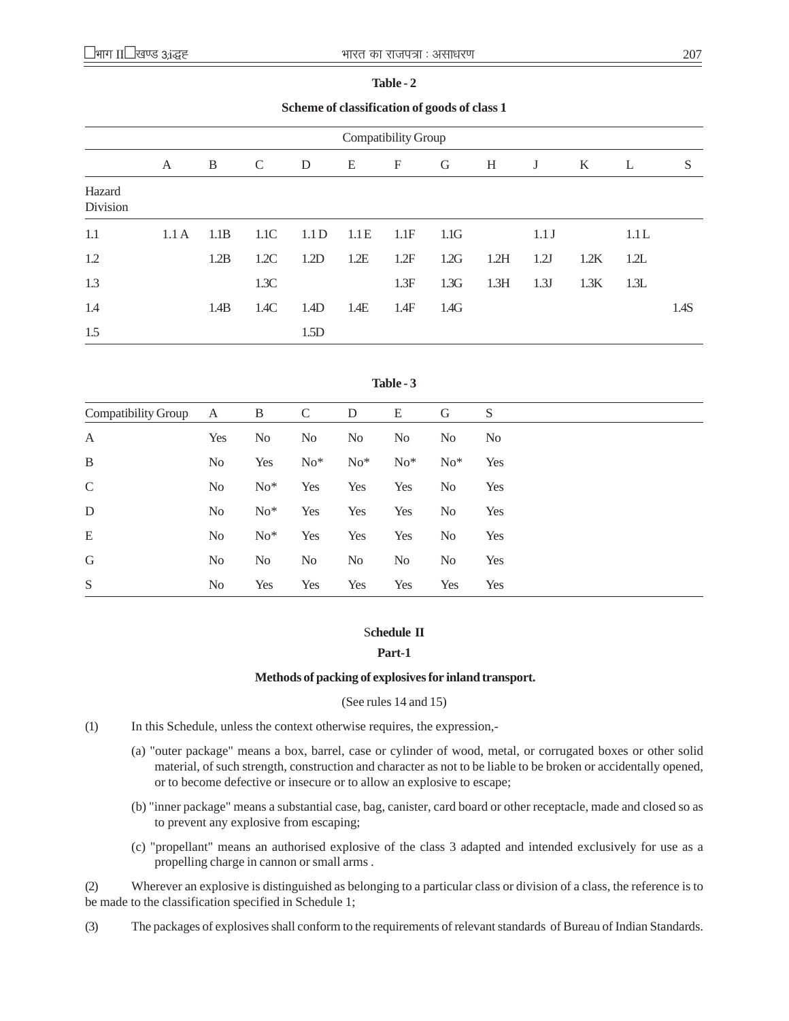| ٧<br>٠<br>٠<br>×<br>۰.<br>I |  |
|-----------------------------|--|
|-----------------------------|--|

**Scheme of classification of goods of class 1**

| Compatibility Group |      |      |      |       |      |             |      |      |       |      |      |      |
|---------------------|------|------|------|-------|------|-------------|------|------|-------|------|------|------|
|                     | A    | B    | C    | D     | E    | $\mathbf F$ | G    | H    | J     | K    | L    | S    |
| Hazard<br>Division  |      |      |      |       |      |             |      |      |       |      |      |      |
| 1.1                 | 1.1A | 1.1B | 1.1C | 1.1 D | 1.1E | 1.1F        | 1.1G |      | 1.1 J |      | 1.1L |      |
| 1.2                 |      | 1.2B | 1.2C | 1.2D  | 1.2E | 1.2F        | 1.2G | 1.2H | 1.2J  | 1.2K | 1.2L |      |
| 1.3                 |      |      | 1.3C |       |      | 1.3F        | 1.3G | 1.3H | 1.3J  | 1.3K | 1.3L |      |
| 1.4                 |      | 1.4B | 1.4C | 1.4D  | 1.4E | 1.4F        | 1.4G |      |       |      |      | 1.4S |
| 1.5                 |      |      |      | 1.5D  |      |             |      |      |       |      |      |      |

| Compatibility Group | $\mathbf{A}$   | B              | $\mathcal{C}$  | D              | E              | G              | S              |
|---------------------|----------------|----------------|----------------|----------------|----------------|----------------|----------------|
| $\mathbf{A}$        | Yes            | N <sub>0</sub> | N <sub>o</sub> | N <sub>o</sub> | N <sub>0</sub> | N <sub>0</sub> | N <sub>0</sub> |
| $\mathbf B$         | N <sub>o</sub> | Yes            | $No*$          | $No*$          | $No*$          | $No*$          | Yes            |
| $\mathsf C$         | N <sub>o</sub> | $No*$          | Yes            | Yes            | Yes            | N <sub>0</sub> | Yes            |
| ${\rm D}$           | N <sub>o</sub> | $No*$          | Yes            | Yes            | Yes            | N <sub>0</sub> | Yes            |
| E                   | N <sub>0</sub> | $No*$          | Yes            | Yes            | Yes            | No             | Yes            |
| $\mathsf G$         | N <sub>o</sub> | N <sub>o</sub> | No             | N <sub>o</sub> | N <sub>0</sub> | N <sub>0</sub> | Yes            |
| S                   | N <sub>o</sub> | Yes            | Yes            | Yes            | Yes            | Yes            | Yes            |

## S**chedule II**

## **Part-1**

## **Methods of packing of explosives for inland transport.**

## (See rules 14 and 15)

- (1) In this Schedule, unless the context otherwise requires, the expression,-
	- (a) "outer package" means a box, barrel, case or cylinder of wood, metal, or corrugated boxes or other solid material, of such strength, construction and character as not to be liable to be broken or accidentally opened, or to become defective or insecure or to allow an explosive to escape;
	- (b) "inner package" means a substantial case, bag, canister, card board or other receptacle, made and closed so as to prevent any explosive from escaping;
	- (c) "propellant" means an authorised explosive of the class 3 adapted and intended exclusively for use as a propelling charge in cannon or small arms .

(2) Wherever an explosive is distinguished as belonging to a particular class or division of a class, the reference is to be made to the classification specified in Schedule 1;

(3) The packages of explosives shall conform to the requirements of relevant standards of Bureau of Indian Standards.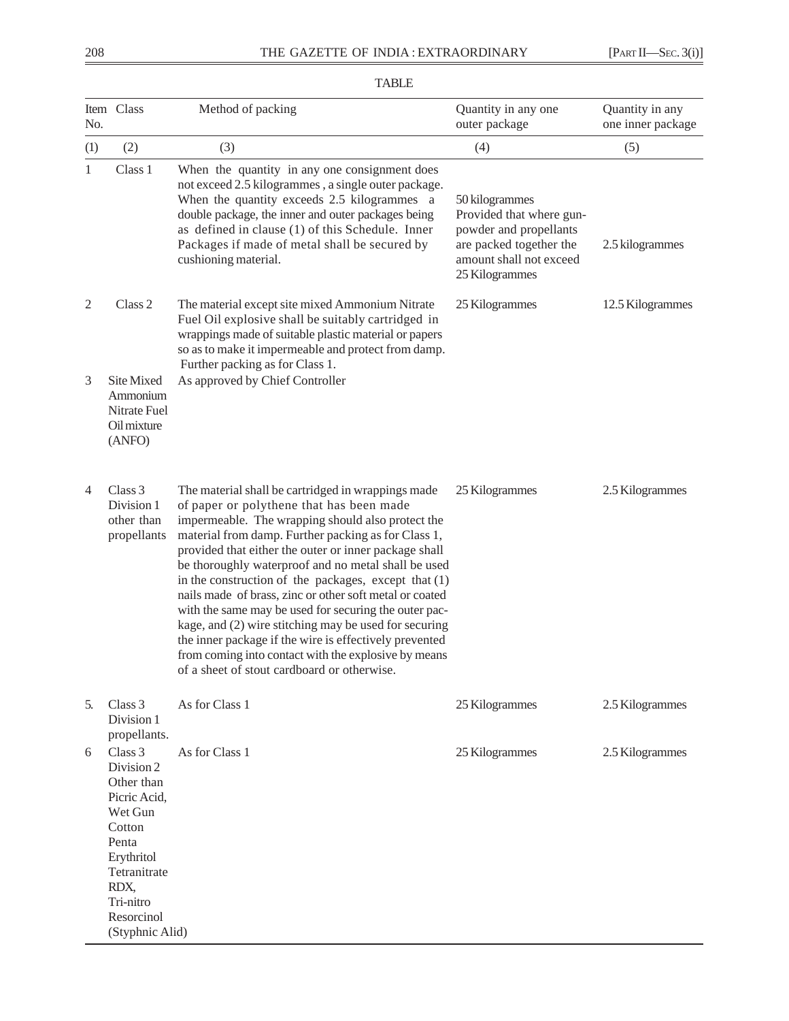| No. | Item Class                                                                                                                                                            | Method of packing                                                                                                                                                                                                                                                                                                                                                                                                                                                                                                                                                                                                                                                                                                                  | Quantity in any one<br>outer package                                                                                                         | Quantity in any<br>one inner package |
|-----|-----------------------------------------------------------------------------------------------------------------------------------------------------------------------|------------------------------------------------------------------------------------------------------------------------------------------------------------------------------------------------------------------------------------------------------------------------------------------------------------------------------------------------------------------------------------------------------------------------------------------------------------------------------------------------------------------------------------------------------------------------------------------------------------------------------------------------------------------------------------------------------------------------------------|----------------------------------------------------------------------------------------------------------------------------------------------|--------------------------------------|
| (1) | (2)                                                                                                                                                                   | (3)                                                                                                                                                                                                                                                                                                                                                                                                                                                                                                                                                                                                                                                                                                                                | (4)                                                                                                                                          | (5)                                  |
| 1   | Class 1                                                                                                                                                               | When the quantity in any one consignment does<br>not exceed 2.5 kilogrammes, a single outer package.<br>When the quantity exceeds 2.5 kilogrammes a<br>double package, the inner and outer packages being<br>as defined in clause (1) of this Schedule. Inner<br>Packages if made of metal shall be secured by<br>cushioning material.                                                                                                                                                                                                                                                                                                                                                                                             | 50 kilogrammes<br>Provided that where gun-<br>powder and propellants<br>are packed together the<br>amount shall not exceed<br>25 Kilogrammes | 2.5 kilogrammes                      |
| 2   | Class 2                                                                                                                                                               | The material except site mixed Ammonium Nitrate<br>Fuel Oil explosive shall be suitably cartridged in<br>wrappings made of suitable plastic material or papers<br>so as to make it impermeable and protect from damp.<br>Further packing as for Class 1.                                                                                                                                                                                                                                                                                                                                                                                                                                                                           | 25 Kilogrammes                                                                                                                               | 12.5 Kilogrammes                     |
| 3   | Site Mixed<br>Ammonium<br>Nitrate Fuel<br>Oil mixture<br>(ANFO)                                                                                                       | As approved by Chief Controller                                                                                                                                                                                                                                                                                                                                                                                                                                                                                                                                                                                                                                                                                                    |                                                                                                                                              |                                      |
| 4   | Class 3<br>Division 1<br>other than<br>propellants                                                                                                                    | The material shall be cartridged in wrappings made<br>of paper or polythene that has been made<br>impermeable. The wrapping should also protect the<br>material from damp. Further packing as for Class 1,<br>provided that either the outer or inner package shall<br>be thoroughly waterproof and no metal shall be used<br>in the construction of the packages, except that $(1)$<br>nails made of brass, zinc or other soft metal or coated<br>with the same may be used for securing the outer pac-<br>kage, and (2) wire stitching may be used for securing<br>the inner package if the wire is effectively prevented<br>from coming into contact with the explosive by means<br>of a sheet of stout cardboard or otherwise. | 25 Kilogrammes                                                                                                                               | 2.5 Kilogrammes                      |
| 5.  | Class 3<br>Division 1<br>propellants.                                                                                                                                 | As for Class 1                                                                                                                                                                                                                                                                                                                                                                                                                                                                                                                                                                                                                                                                                                                     | 25 Kilogrammes                                                                                                                               | 2.5 Kilogrammes                      |
| 6   | Class 3<br>Division 2<br>Other than<br>Picric Acid,<br>Wet Gun<br>Cotton<br>Penta<br>Erythritol<br>Tetranitrate<br>RDX,<br>Tri-nitro<br>Resorcinol<br>(Styphnic Alid) | As for Class 1                                                                                                                                                                                                                                                                                                                                                                                                                                                                                                                                                                                                                                                                                                                     | 25 Kilogrammes                                                                                                                               | 2.5 Kilogrammes                      |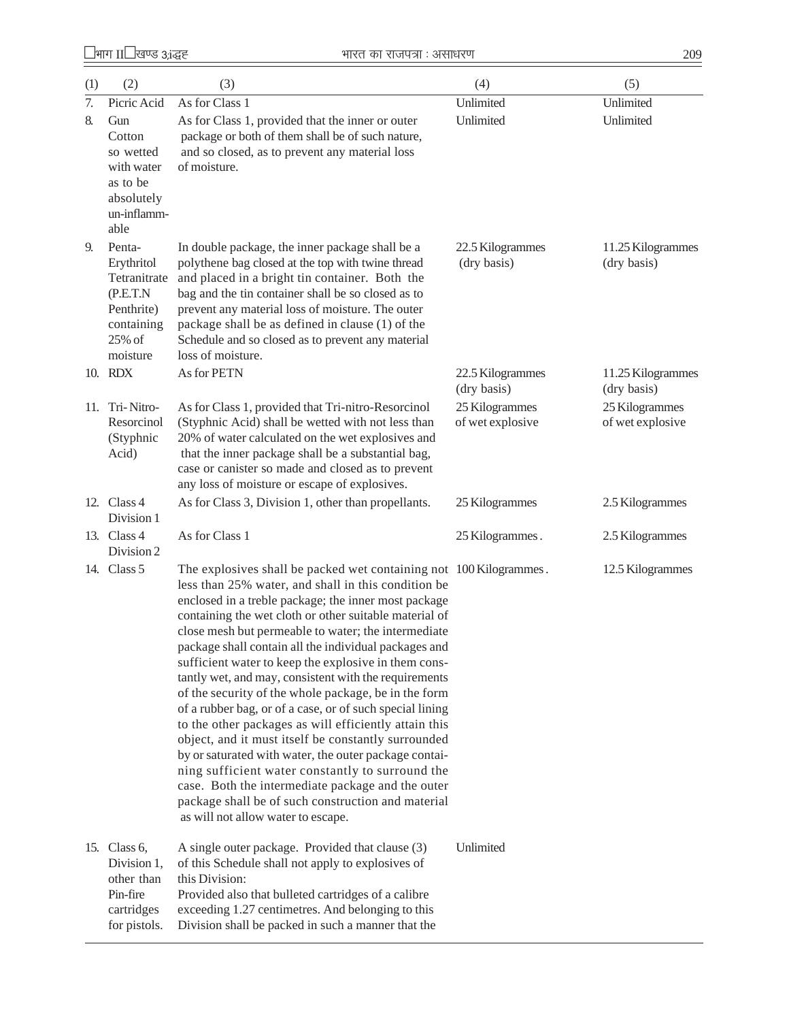¹Hkkx II¹[k.M 3(i)º Hkkjr dk jkti=k % vlk/kj.k 209

| (1)              | (2)                                                                                                 | (3)                                                                                                                                                                                                                                                                                                                                                                                                                                                                                                                                                                                                                                                                                                                                                                                                                                                                                                                                                                            | (4)                                | (5)                                |
|------------------|-----------------------------------------------------------------------------------------------------|--------------------------------------------------------------------------------------------------------------------------------------------------------------------------------------------------------------------------------------------------------------------------------------------------------------------------------------------------------------------------------------------------------------------------------------------------------------------------------------------------------------------------------------------------------------------------------------------------------------------------------------------------------------------------------------------------------------------------------------------------------------------------------------------------------------------------------------------------------------------------------------------------------------------------------------------------------------------------------|------------------------------------|------------------------------------|
| $\overline{7}$ . | Picric Acid                                                                                         | As for Class 1                                                                                                                                                                                                                                                                                                                                                                                                                                                                                                                                                                                                                                                                                                                                                                                                                                                                                                                                                                 | Unlimited                          | Unlimited                          |
| 8.               | Gun<br>Cotton<br>so wetted<br>with water<br>as to be<br>absolutely<br>un-inflamm-<br>able           | As for Class 1, provided that the inner or outer<br>package or both of them shall be of such nature,<br>and so closed, as to prevent any material loss<br>of moisture.                                                                                                                                                                                                                                                                                                                                                                                                                                                                                                                                                                                                                                                                                                                                                                                                         | Unlimited                          | Unlimited                          |
| 9.               | Penta-<br>Erythritol<br>Tetranitrate<br>(P.E.T.N)<br>Penthrite)<br>containing<br>25% of<br>moisture | In double package, the inner package shall be a<br>polythene bag closed at the top with twine thread<br>and placed in a bright tin container. Both the<br>bag and the tin container shall be so closed as to<br>prevent any material loss of moisture. The outer<br>package shall be as defined in clause (1) of the<br>Schedule and so closed as to prevent any material<br>loss of moisture.                                                                                                                                                                                                                                                                                                                                                                                                                                                                                                                                                                                 | 22.5 Kilogrammes<br>(dry basis)    | 11.25 Kilogrammes<br>(dry basis)   |
|                  | 10. RDX                                                                                             | As for PETN                                                                                                                                                                                                                                                                                                                                                                                                                                                                                                                                                                                                                                                                                                                                                                                                                                                                                                                                                                    | 22.5 Kilogrammes<br>(dry basis)    | 11.25 Kilogrammes<br>(dry basis)   |
|                  | 11. Tri-Nitro-<br>Resorcinol<br>(Styphnic<br>Acid)                                                  | As for Class 1, provided that Tri-nitro-Resorcinol<br>(Styphnic Acid) shall be wetted with not less than<br>20% of water calculated on the wet explosives and<br>that the inner package shall be a substantial bag,<br>case or canister so made and closed as to prevent<br>any loss of moisture or escape of explosives.                                                                                                                                                                                                                                                                                                                                                                                                                                                                                                                                                                                                                                                      | 25 Kilogrammes<br>of wet explosive | 25 Kilogrammes<br>of wet explosive |
|                  | 12. Class 4<br>Division 1                                                                           | As for Class 3, Division 1, other than propellants.                                                                                                                                                                                                                                                                                                                                                                                                                                                                                                                                                                                                                                                                                                                                                                                                                                                                                                                            | 25 Kilogrammes                     | 2.5 Kilogrammes                    |
|                  | 13. Class $4$<br>Division 2                                                                         | As for Class 1                                                                                                                                                                                                                                                                                                                                                                                                                                                                                                                                                                                                                                                                                                                                                                                                                                                                                                                                                                 | 25 Kilogrammes.                    | 2.5 Kilogrammes                    |
|                  | 14. Class 5                                                                                         | The explosives shall be packed wet containing not 100 Kilogrammes.<br>less than 25% water, and shall in this condition be<br>enclosed in a treble package; the inner most package<br>containing the wet cloth or other suitable material of<br>close mesh but permeable to water; the intermediate<br>package shall contain all the individual packages and<br>sufficient water to keep the explosive in them cons-<br>tantly wet, and may, consistent with the requirements<br>of the security of the whole package, be in the form<br>of a rubber bag, or of a case, or of such special lining<br>to the other packages as will efficiently attain this<br>object, and it must itself be constantly surrounded<br>by or saturated with water, the outer package contai-<br>ning sufficient water constantly to surround the<br>case. Both the intermediate package and the outer<br>package shall be of such construction and material<br>as will not allow water to escape. |                                    | 12.5 Kilogrammes                   |
|                  | 15. Class 6,<br>Division 1,<br>other than<br>Pin-fire<br>cartridges<br>for pistols.                 | A single outer package. Provided that clause (3)<br>of this Schedule shall not apply to explosives of<br>this Division:<br>Provided also that bulleted cartridges of a calibre<br>exceeding 1.27 centimetres. And belonging to this<br>Division shall be packed in such a manner that the                                                                                                                                                                                                                                                                                                                                                                                                                                                                                                                                                                                                                                                                                      | Unlimited                          |                                    |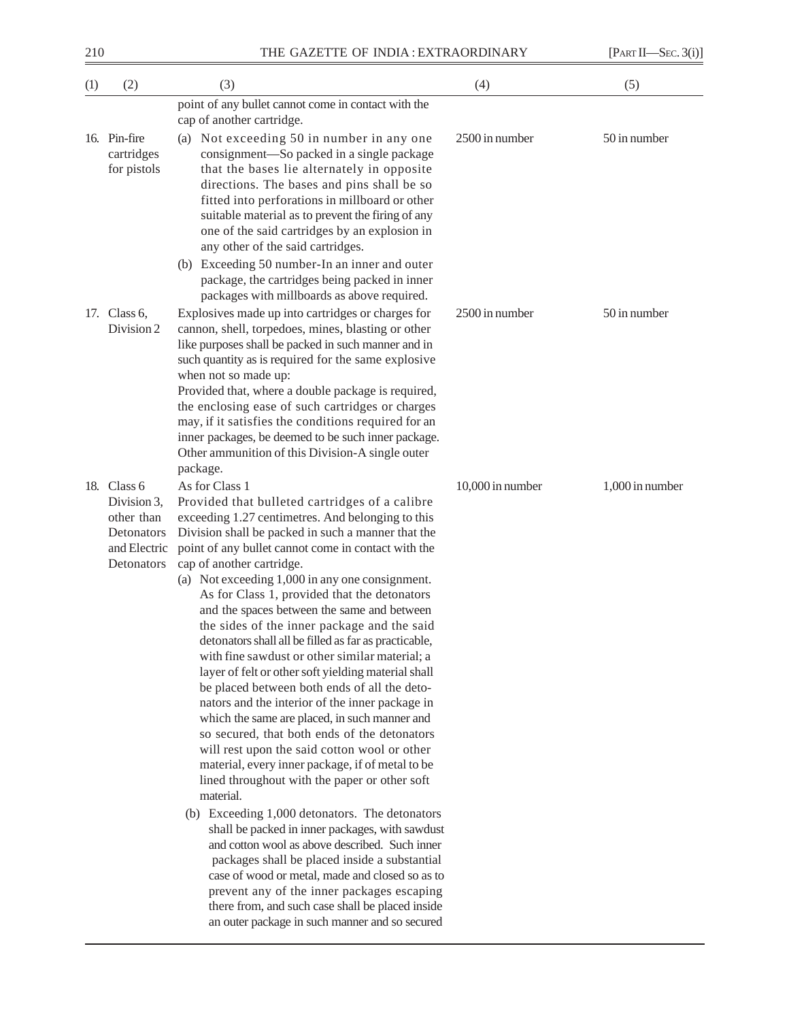| (3)                                                                                                                                                                                                                                                                                                                                                                                                                                                                                                                                                                                                                                                                                                                                                                                                                                                                                                                                                                                                                                                                                                                                                                                                                                                                 | (4)                                                                                                                                           | (5)             |
|---------------------------------------------------------------------------------------------------------------------------------------------------------------------------------------------------------------------------------------------------------------------------------------------------------------------------------------------------------------------------------------------------------------------------------------------------------------------------------------------------------------------------------------------------------------------------------------------------------------------------------------------------------------------------------------------------------------------------------------------------------------------------------------------------------------------------------------------------------------------------------------------------------------------------------------------------------------------------------------------------------------------------------------------------------------------------------------------------------------------------------------------------------------------------------------------------------------------------------------------------------------------|-----------------------------------------------------------------------------------------------------------------------------------------------|-----------------|
| point of any bullet cannot come in contact with the<br>cap of another cartridge.                                                                                                                                                                                                                                                                                                                                                                                                                                                                                                                                                                                                                                                                                                                                                                                                                                                                                                                                                                                                                                                                                                                                                                                    |                                                                                                                                               |                 |
| (a) Not exceeding 50 in number in any one<br>consignment-So packed in a single package<br>that the bases lie alternately in opposite<br>directions. The bases and pins shall be so<br>fitted into perforations in millboard or other<br>suitable material as to prevent the firing of any<br>one of the said cartridges by an explosion in<br>any other of the said cartridges.<br>(b) Exceeding 50 number-In an inner and outer<br>package, the cartridges being packed in inner                                                                                                                                                                                                                                                                                                                                                                                                                                                                                                                                                                                                                                                                                                                                                                                   | 2500 in number                                                                                                                                | 50 in number    |
| Explosives made up into cartridges or charges for<br>cannon, shell, torpedoes, mines, blasting or other<br>like purposes shall be packed in such manner and in<br>such quantity as is required for the same explosive<br>when not so made up:<br>Provided that, where a double package is required,<br>the enclosing ease of such cartridges or charges<br>may, if it satisfies the conditions required for an<br>inner packages, be deemed to be such inner package.<br>Other ammunition of this Division-A single outer<br>package.                                                                                                                                                                                                                                                                                                                                                                                                                                                                                                                                                                                                                                                                                                                               | 2500 in number                                                                                                                                | 50 in number    |
| As for Class 1<br>Provided that bulleted cartridges of a calibre<br>exceeding 1.27 centimetres. And belonging to this<br>Division shall be packed in such a manner that the<br>point of any bullet cannot come in contact with the<br>cap of another cartridge.<br>(a) Not exceeding 1,000 in any one consignment.<br>As for Class 1, provided that the detonators<br>and the spaces between the same and between<br>the sides of the inner package and the said<br>detonators shall all be filled as far as practicable,<br>with fine sawdust or other similar material; a<br>layer of felt or other soft yielding material shall<br>be placed between both ends of all the deto-<br>nators and the interior of the inner package in<br>which the same are placed, in such manner and<br>so secured, that both ends of the detonators<br>will rest upon the said cotton wool or other<br>material, every inner package, if of metal to be<br>lined throughout with the paper or other soft<br>material.<br>(b) Exceeding 1,000 detonators. The detonators<br>shall be packed in inner packages, with sawdust<br>and cotton wool as above described. Such inner<br>packages shall be placed inside a substantial<br>case of wood or metal, made and closed so as to | 10,000 in number                                                                                                                              | 1,000 in number |
|                                                                                                                                                                                                                                                                                                                                                                                                                                                                                                                                                                                                                                                                                                                                                                                                                                                                                                                                                                                                                                                                                                                                                                                                                                                                     | packages with millboards as above required.<br>prevent any of the inner packages escaping<br>there from, and such case shall be placed inside |                 |

an outer package in such manner and so secured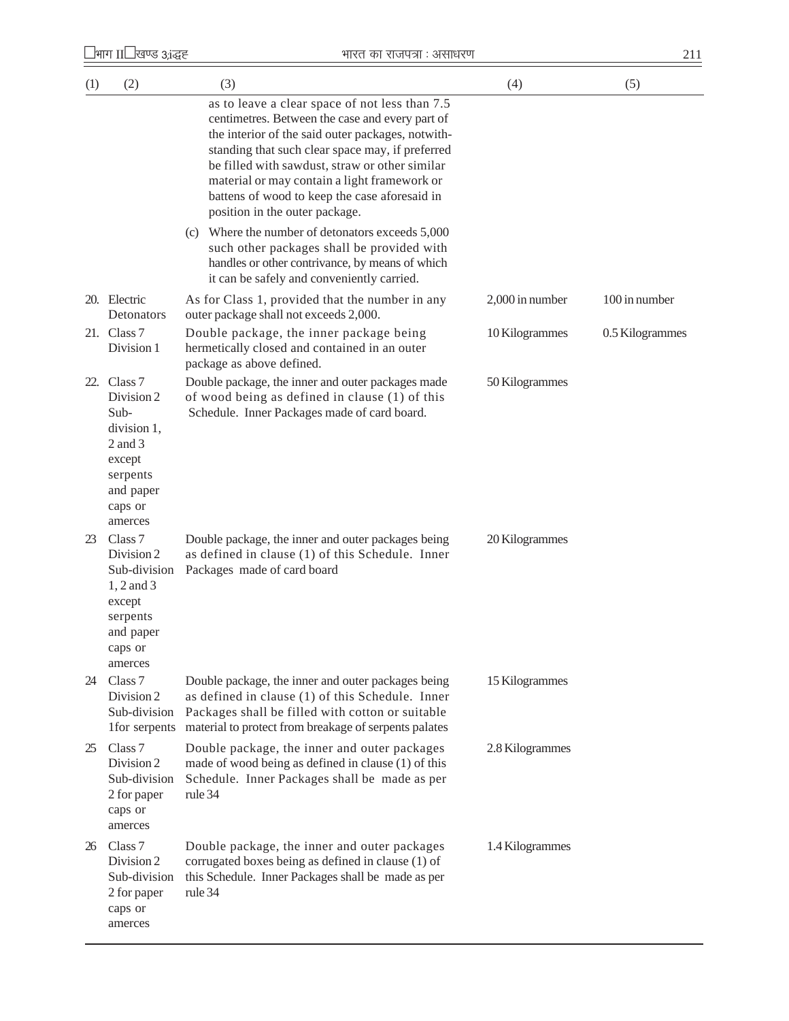| (1) | (2)                                                                                                                       | (3)                                                                                                                                                                                                                                                                                                                                                                                             | (4)             | (5)             |
|-----|---------------------------------------------------------------------------------------------------------------------------|-------------------------------------------------------------------------------------------------------------------------------------------------------------------------------------------------------------------------------------------------------------------------------------------------------------------------------------------------------------------------------------------------|-----------------|-----------------|
|     |                                                                                                                           | as to leave a clear space of not less than 7.5<br>centimetres. Between the case and every part of<br>the interior of the said outer packages, notwith-<br>standing that such clear space may, if preferred<br>be filled with sawdust, straw or other similar<br>material or may contain a light framework or<br>battens of wood to keep the case aforesaid in<br>position in the outer package. |                 |                 |
|     |                                                                                                                           | (c) Where the number of detonators exceeds 5,000<br>such other packages shall be provided with<br>handles or other contrivance, by means of which<br>it can be safely and conveniently carried.                                                                                                                                                                                                 |                 |                 |
|     | 20. Electric<br>Detonators                                                                                                | As for Class 1, provided that the number in any<br>outer package shall not exceeds 2,000.                                                                                                                                                                                                                                                                                                       | 2,000 in number | 100 in number   |
|     | 21. Class 7<br>Division 1                                                                                                 | Double package, the inner package being<br>hermetically closed and contained in an outer<br>package as above defined.                                                                                                                                                                                                                                                                           | 10 Kilogrammes  | 0.5 Kilogrammes |
|     | 22. Class 7<br>Division 2<br>Sub-<br>division 1,<br>$2$ and $3$<br>except<br>serpents<br>and paper<br>caps or<br>amerces  | Double package, the inner and outer packages made<br>of wood being as defined in clause (1) of this<br>Schedule. Inner Packages made of card board.                                                                                                                                                                                                                                             | 50 Kilogrammes  |                 |
| 23  | Class <sub>7</sub><br>Division 2<br>Sub-division<br>$1, 2$ and 3<br>except<br>serpents<br>and paper<br>caps or<br>amerces | Double package, the inner and outer packages being<br>as defined in clause (1) of this Schedule. Inner<br>Packages made of card board                                                                                                                                                                                                                                                           | 20 Kilogrammes  |                 |
| 24  | Class 7<br>Division 2<br>Sub-division<br>1for serpents                                                                    | Double package, the inner and outer packages being<br>as defined in clause (1) of this Schedule. Inner<br>Packages shall be filled with cotton or suitable<br>material to protect from breakage of serpents palates                                                                                                                                                                             | 15 Kilogrammes  |                 |
| 25  | Class <sub>7</sub><br>Division 2<br>Sub-division<br>2 for paper<br>caps or<br>amerces                                     | Double package, the inner and outer packages<br>made of wood being as defined in clause (1) of this<br>Schedule. Inner Packages shall be made as per<br>rule 34                                                                                                                                                                                                                                 | 2.8 Kilogrammes |                 |
| 26  | Class 7<br>Division 2<br>Sub-division<br>2 for paper<br>caps or<br>amerces                                                | Double package, the inner and outer packages<br>corrugated boxes being as defined in clause (1) of<br>this Schedule. Inner Packages shall be made as per<br>rule 34                                                                                                                                                                                                                             | 1.4 Kilogrammes |                 |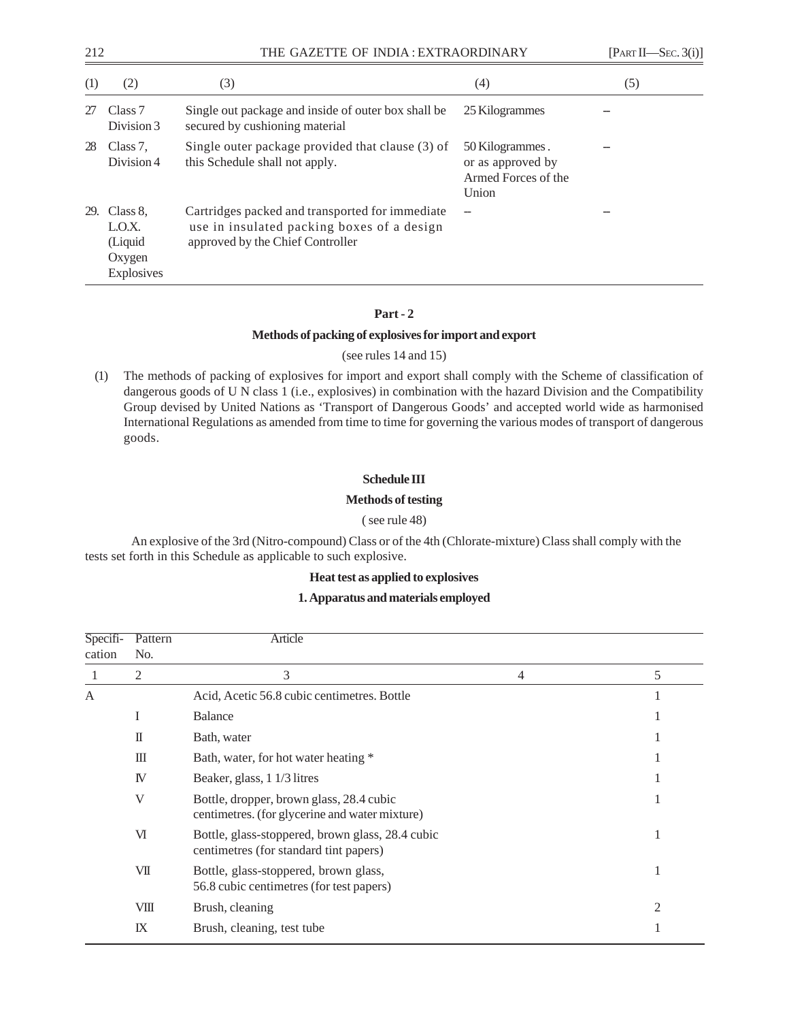| 212 |                                                      | THE GAZETTE OF INDIA: EXTRAORDINARY                                                                                               |                                                                      | [PART II—SEC. 3(i)] |  |
|-----|------------------------------------------------------|-----------------------------------------------------------------------------------------------------------------------------------|----------------------------------------------------------------------|---------------------|--|
| (1) | (2)                                                  | (3)                                                                                                                               | (4)                                                                  | (5)                 |  |
| 27  | Class <sub>7</sub><br>Division 3                     | Single out package and inside of outer box shall be.<br>secured by cushioning material                                            | 25 Kilogrammes                                                       |                     |  |
| 28  | Class 7.<br>Division 4                               | Single outer package provided that clause (3) of<br>this Schedule shall not apply.                                                | 50 Kilogrammes.<br>or as approved by<br>Armed Forces of the<br>Union |                     |  |
| 29. | Class 8.<br>LO.X.<br>(Liquid<br>Oxygen<br>Explosives | Cartridges packed and transported for immediate<br>use in insulated packing boxes of a design<br>approved by the Chief Controller |                                                                      |                     |  |

## **Part - 2**

## **Methods of packing of explosives for import and export**

## (see rules 14 and 15)

(1) The methods of packing of explosives for import and export shall comply with the Scheme of classification of dangerous goods of U N class 1 (i.e., explosives) in combination with the hazard Division and the Compatibility Group devised by United Nations as 'Transport of Dangerous Goods' and accepted world wide as harmonised International Regulations as amended from time to time for governing the various modes of transport of dangerous goods.

## **Schedule III**

## **Methods of testing**

## ( see rule 48)

An explosive of the 3rd (Nitro-compound) Class or of the 4th (Chlorate-mixture) Class shall comply with the tests set forth in this Schedule as applicable to such explosive.

## **Heat test as applied to explosives**

## **1. Apparatus and materials employed**

| Specifi-<br>cation | Pattern<br>No. | Article                                                                                    |                |    |
|--------------------|----------------|--------------------------------------------------------------------------------------------|----------------|----|
|                    | 2              | 3                                                                                          | $\overline{4}$ | 5  |
| A                  |                | Acid, Acetic 56.8 cubic centimetres. Bottle                                                |                |    |
|                    | I              | <b>Balance</b>                                                                             |                |    |
|                    | $\mathbb{I}$   | Bath, water                                                                                |                |    |
|                    | Ш              | Bath, water, for hot water heating *                                                       |                |    |
|                    | IV             | Beaker, glass, 1 1/3 litres                                                                |                |    |
|                    | V              | Bottle, dropper, brown glass, 28.4 cubic<br>centimetres. (for glycerine and water mixture) |                |    |
|                    | VI             | Bottle, glass-stoppered, brown glass, 28.4 cubic<br>centimetres (for standard tint papers) |                |    |
|                    | VII            | Bottle, glass-stoppered, brown glass,<br>56.8 cubic centimetres (for test papers)          |                | -1 |
|                    | VШ             | Brush, cleaning                                                                            |                | 2  |
|                    | IX             | Brush, cleaning, test tube                                                                 |                |    |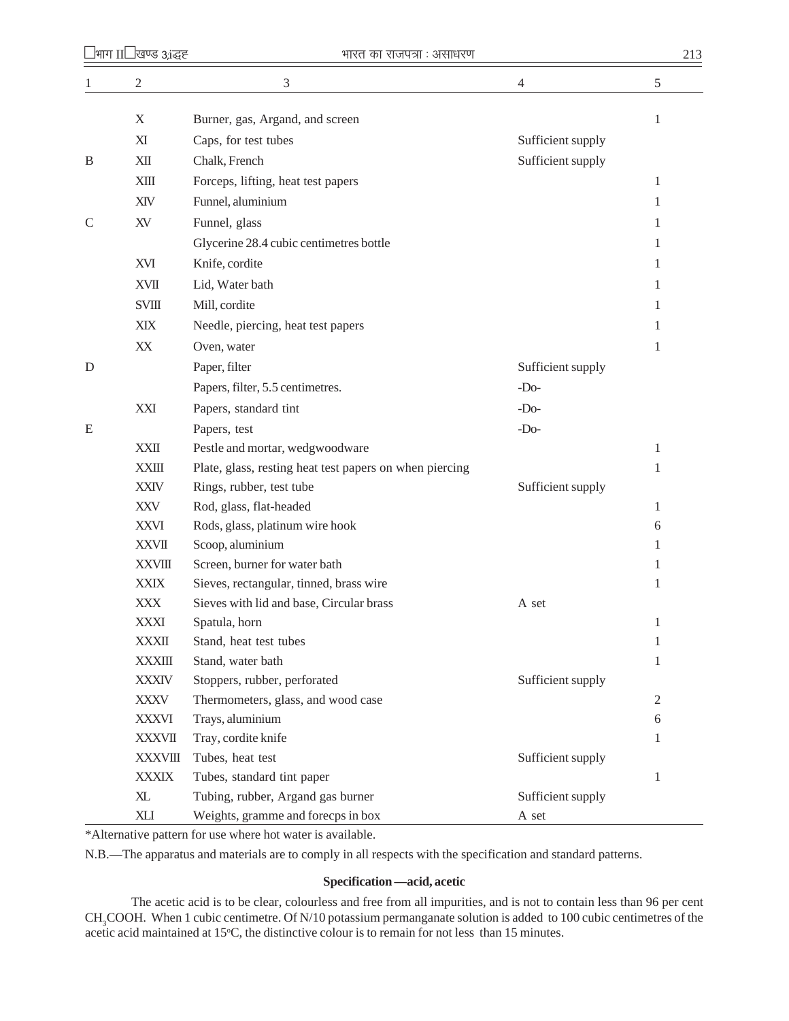| $\mathbf{1}$ | $\overline{c}$ | 3                                                       | $\overline{4}$    | 5            |
|--------------|----------------|---------------------------------------------------------|-------------------|--------------|
|              | $\mathbf X$    | Burner, gas, Argand, and screen                         |                   | 1            |
|              | XI             | Caps, for test tubes                                    | Sufficient supply |              |
| B            | XII            | Chalk, French                                           | Sufficient supply |              |
|              | <b>XIII</b>    | Forceps, lifting, heat test papers                      |                   | 1            |
|              | XIV            | Funnel, aluminium                                       |                   | 1            |
| C            | XV             | Funnel, glass                                           |                   | 1            |
|              |                | Glycerine 28.4 cubic centimetres bottle                 |                   | 1            |
|              | XVI            | Knife, cordite                                          |                   | 1            |
|              | <b>XVII</b>    | Lid, Water bath                                         |                   | 1            |
|              | <b>SVIII</b>   |                                                         |                   |              |
|              |                | Mill, cordite                                           |                   | 1            |
|              | XIX            | Needle, piercing, heat test papers                      |                   | 1            |
|              | XX             | Oven, water                                             |                   | 1            |
| D            |                | Paper, filter                                           | Sufficient supply |              |
|              |                | Papers, filter, 5.5 centimetres.                        | $-Do-$            |              |
|              | XXI            | Papers, standard tint                                   | $-Do-$            |              |
| E            |                | Papers, test                                            | $-Do-$            |              |
|              | <b>XXII</b>    | Pestle and mortar, wedgwoodware                         |                   | 1            |
|              | <b>XXIII</b>   | Plate, glass, resting heat test papers on when piercing |                   | 1            |
|              | <b>XXIV</b>    | Rings, rubber, test tube                                | Sufficient supply |              |
|              | <b>XXV</b>     | Rod, glass, flat-headed                                 |                   | 1            |
|              | <b>XXVI</b>    | Rods, glass, platinum wire hook                         |                   | 6            |
|              | <b>XXVII</b>   | Scoop, aluminium                                        |                   | 1            |
|              | <b>XXVIII</b>  | Screen, burner for water bath                           |                   | 1            |
|              | <b>XXIX</b>    | Sieves, rectangular, tinned, brass wire                 |                   | 1            |
|              | <b>XXX</b>     | Sieves with lid and base, Circular brass                | A set             |              |
|              | <b>XXXI</b>    | Spatula, horn                                           |                   | 1            |
|              | <b>XXXII</b>   | Stand, heat test tubes                                  |                   | 1            |
|              | <b>XXXIII</b>  | Stand, water bath                                       |                   | 1            |
|              | <b>XXXIV</b>   | Stoppers, rubber, perforated                            | Sufficient supply |              |
|              | XXXV           | Thermometers, glass, and wood case                      |                   | $\mathbf{2}$ |
|              | <b>XXXVI</b>   | Trays, aluminium                                        |                   | 6            |
|              | <b>XXXVII</b>  | Tray, cordite knife                                     |                   | 1            |
|              | <b>XXXVIII</b> | Tubes, heat test                                        | Sufficient supply |              |
|              | <b>XXXIX</b>   | Tubes, standard tint paper                              |                   | 1            |
|              | $X\!L$         | Tubing, rubber, Argand gas burner                       | Sufficient supply |              |
|              | XLI            | Weights, gramme and forecps in box                      | A set             |              |

\*Alternative pattern for use where hot water is available.

N.B.—The apparatus and materials are to comply in all respects with the specification and standard patterns.

## **Specification —acid, acetic**

The acetic acid is to be clear, colourless and free from all impurities, and is not to contain less than 96 per cent CH<sub>3</sub>COOH. When 1 cubic centimetre. Of N/10 potassium permanganate solution is added to 100 cubic centimetres of the acetic acid maintained at 15°C, the distinctive colour is to remain for not less than 15 minutes.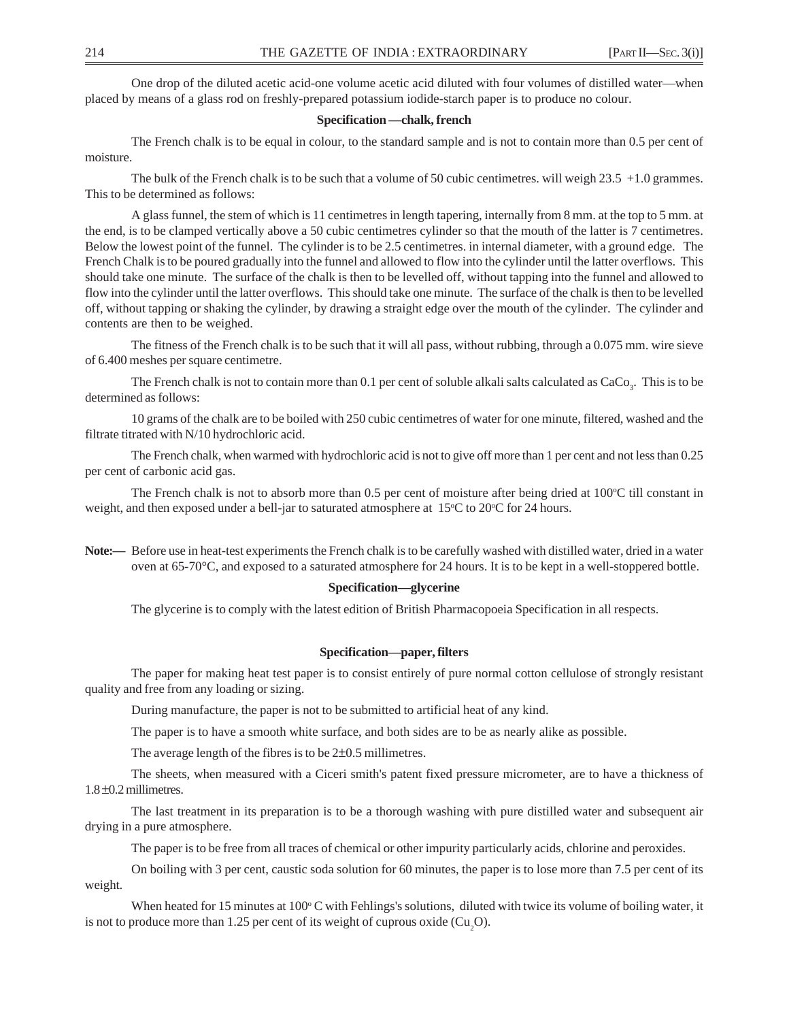One drop of the diluted acetic acid-one volume acetic acid diluted with four volumes of distilled water—when placed by means of a glass rod on freshly-prepared potassium iodide-starch paper is to produce no colour.

#### **Specification —chalk, french**

The French chalk is to be equal in colour, to the standard sample and is not to contain more than 0.5 per cent of moisture.

The bulk of the French chalk is to be such that a volume of 50 cubic centimetres. will weigh 23.5 +1.0 grammes. This to be determined as follows:

A glass funnel, the stem of which is 11 centimetres in length tapering, internally from 8 mm. at the top to 5 mm. at the end, is to be clamped vertically above a 50 cubic centimetres cylinder so that the mouth of the latter is 7 centimetres. Below the lowest point of the funnel. The cylinder is to be 2.5 centimetres. in internal diameter, with a ground edge. The French Chalk is to be poured gradually into the funnel and allowed to flow into the cylinder until the latter overflows. This should take one minute. The surface of the chalk is then to be levelled off, without tapping into the funnel and allowed to flow into the cylinder until the latter overflows. This should take one minute. The surface of the chalk is then to be levelled off, without tapping or shaking the cylinder, by drawing a straight edge over the mouth of the cylinder. The cylinder and contents are then to be weighed.

The fitness of the French chalk is to be such that it will all pass, without rubbing, through a 0.075 mm. wire sieve of 6.400 meshes per square centimetre.

The French chalk is not to contain more than 0.1 per cent of soluble alkali salts calculated as  $CaCo<sub>3</sub>$ . This is to be determined as follows:

10 grams of the chalk are to be boiled with 250 cubic centimetres of water for one minute, filtered, washed and the filtrate titrated with N/10 hydrochloric acid.

The French chalk, when warmed with hydrochloric acid is not to give off more than 1 per cent and not less than 0.25 per cent of carbonic acid gas.

The French chalk is not to absorb more than 0.5 per cent of moisture after being dried at 100°C till constant in weight, and then exposed under a bell-jar to saturated atmosphere at  $15^{\circ}$ C to  $20^{\circ}$ C for 24 hours.

**Note:—** Before use in heat-test experiments the French chalk is to be carefully washed with distilled water, dried in a water oven at 65-70°C, and exposed to a saturated atmosphere for 24 hours. It is to be kept in a well-stoppered bottle.

#### **Specification—glycerine**

The glycerine is to comply with the latest edition of British Pharmacopoeia Specification in all respects.

#### **Specification—paper, filters**

The paper for making heat test paper is to consist entirely of pure normal cotton cellulose of strongly resistant quality and free from any loading or sizing.

During manufacture, the paper is not to be submitted to artificial heat of any kind.

The paper is to have a smooth white surface, and both sides are to be as nearly alike as possible.

The average length of the fibres is to be  $2\pm 0.5$  millimetres.

The sheets, when measured with a Ciceri smith's patent fixed pressure micrometer, are to have a thickness of 1.8 ±0.2 millimetres.

The last treatment in its preparation is to be a thorough washing with pure distilled water and subsequent air drying in a pure atmosphere.

The paper is to be free from all traces of chemical or other impurity particularly acids, chlorine and peroxides.

On boiling with 3 per cent, caustic soda solution for 60 minutes, the paper is to lose more than 7.5 per cent of its weight.

When heated for 15 minutes at  $100^{\circ}$ C with Fehlings's solutions, diluted with twice its volume of boiling water, it is not to produce more than 1.25 per cent of its weight of cuprous oxide  $\text{Cu}_2\text{O}$ .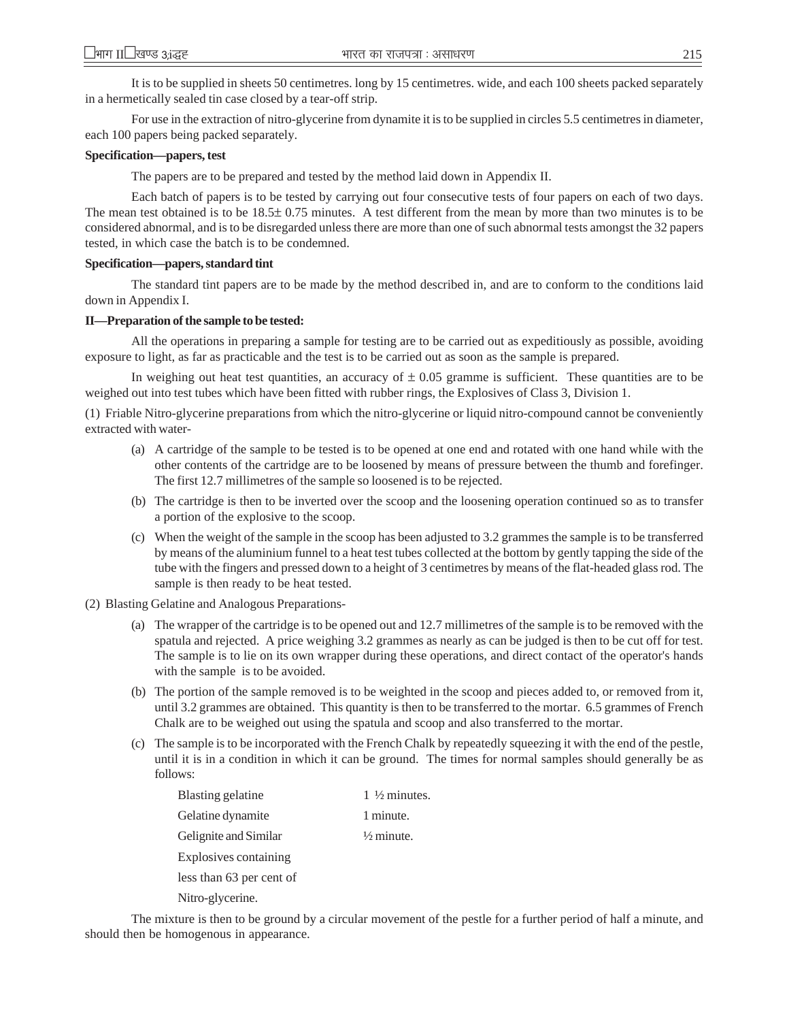It is to be supplied in sheets 50 centimetres. long by 15 centimetres. wide, and each 100 sheets packed separately in a hermetically sealed tin case closed by a tear-off strip.

For use in the extraction of nitro-glycerine from dynamite it is to be supplied in circles 5.5 centimetres in diameter, each 100 papers being packed separately.

#### **Specification—papers, test**

The papers are to be prepared and tested by the method laid down in Appendix II.

Each batch of papers is to be tested by carrying out four consecutive tests of four papers on each of two days. The mean test obtained is to be 18.5± 0.75 minutes. A test different from the mean by more than two minutes is to be considered abnormal, and is to be disregarded unless there are more than one of such abnormal tests amongst the 32 papers tested, in which case the batch is to be condemned.

#### **Specification—papers, standard tint**

The standard tint papers are to be made by the method described in, and are to conform to the conditions laid down in Appendix I.

#### **II—Preparation of the sample to be tested:**

All the operations in preparing a sample for testing are to be carried out as expeditiously as possible, avoiding exposure to light, as far as practicable and the test is to be carried out as soon as the sample is prepared.

In weighing out heat test quantities, an accuracy of  $\pm$  0.05 gramme is sufficient. These quantities are to be weighed out into test tubes which have been fitted with rubber rings, the Explosives of Class 3, Division 1.

(1) Friable Nitro-glycerine preparations from which the nitro-glycerine or liquid nitro-compound cannot be conveniently extracted with water-

- (a) A cartridge of the sample to be tested is to be opened at one end and rotated with one hand while with the other contents of the cartridge are to be loosened by means of pressure between the thumb and forefinger. The first 12.7 millimetres of the sample so loosened is to be rejected.
- (b) The cartridge is then to be inverted over the scoop and the loosening operation continued so as to transfer a portion of the explosive to the scoop.
- (c) When the weight of the sample in the scoop has been adjusted to 3.2 grammes the sample is to be transferred by means of the aluminium funnel to a heat test tubes collected at the bottom by gently tapping the side of the tube with the fingers and pressed down to a height of 3 centimetres by means of the flat-headed glass rod. The sample is then ready to be heat tested.
- (2) Blasting Gelatine and Analogous Preparations-
	- (a) The wrapper of the cartridge is to be opened out and 12.7 millimetres of the sample is to be removed with the spatula and rejected. A price weighing 3.2 grammes as nearly as can be judged is then to be cut off for test. The sample is to lie on its own wrapper during these operations, and direct contact of the operator's hands with the sample is to be avoided.
	- (b) The portion of the sample removed is to be weighted in the scoop and pieces added to, or removed from it, until 3.2 grammes are obtained. This quantity is then to be transferred to the mortar. 6.5 grammes of French Chalk are to be weighed out using the spatula and scoop and also transferred to the mortar.
	- (c) The sample is to be incorporated with the French Chalk by repeatedly squeezing it with the end of the pestle, until it is in a condition in which it can be ground. The times for normal samples should generally be as follows:

| Blasting gelatine        | 1 $\frac{1}{2}$ minutes. |
|--------------------------|--------------------------|
| Gelatine dynamite        | 1 minute.                |
| Gelignite and Similar    | $\frac{1}{2}$ minute.    |
| Explosives containing    |                          |
| less than 63 per cent of |                          |
| Nitro-glycerine.         |                          |

The mixture is then to be ground by a circular movement of the pestle for a further period of half a minute, and should then be homogenous in appearance.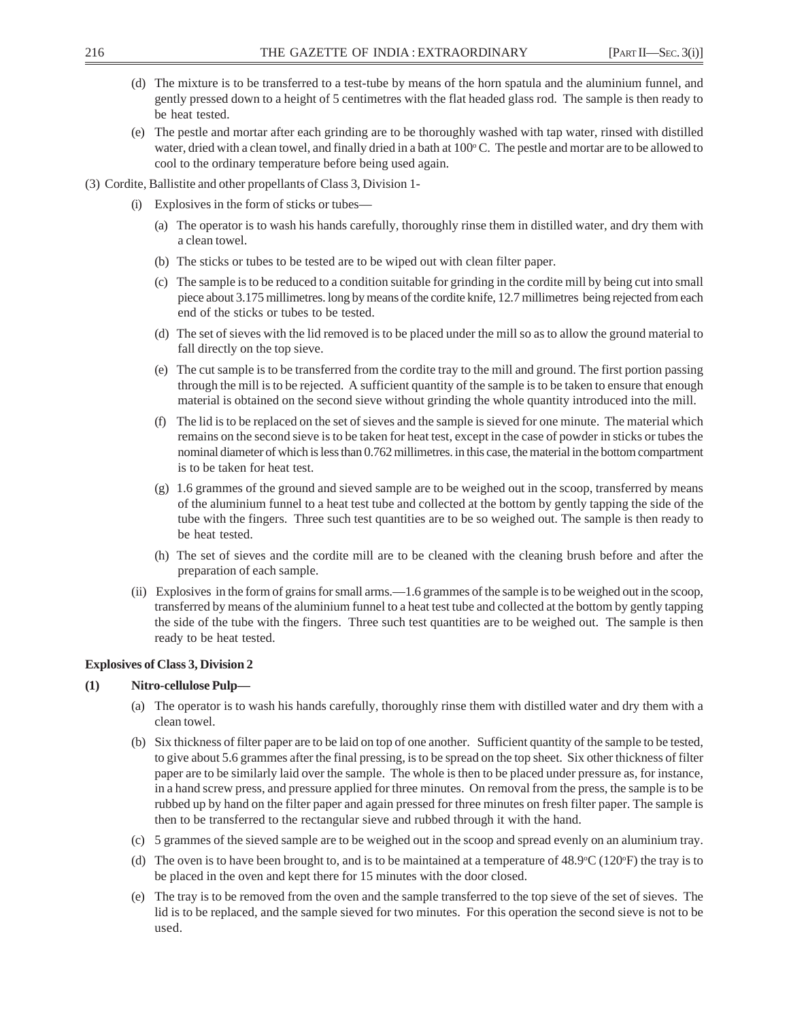- (d) The mixture is to be transferred to a test-tube by means of the horn spatula and the aluminium funnel, and gently pressed down to a height of 5 centimetres with the flat headed glass rod. The sample is then ready to be heat tested.
- (e) The pestle and mortar after each grinding are to be thoroughly washed with tap water, rinsed with distilled water, dried with a clean towel, and finally dried in a bath at  $100^{\circ}$ C. The pestle and mortar are to be allowed to cool to the ordinary temperature before being used again.
- (3) Cordite, Ballistite and other propellants of Class 3, Division 1-
	- (i) Explosives in the form of sticks or tubes—
		- (a) The operator is to wash his hands carefully, thoroughly rinse them in distilled water, and dry them with a clean towel.
		- (b) The sticks or tubes to be tested are to be wiped out with clean filter paper.
		- (c) The sample is to be reduced to a condition suitable for grinding in the cordite mill by being cut into small piece about 3.175 millimetres. long by means of the cordite knife, 12.7 millimetres being rejected from each end of the sticks or tubes to be tested.
		- (d) The set of sieves with the lid removed is to be placed under the mill so as to allow the ground material to fall directly on the top sieve.
		- (e) The cut sample is to be transferred from the cordite tray to the mill and ground. The first portion passing through the mill is to be rejected. A sufficient quantity of the sample is to be taken to ensure that enough material is obtained on the second sieve without grinding the whole quantity introduced into the mill.
		- (f) The lid is to be replaced on the set of sieves and the sample is sieved for one minute. The material which remains on the second sieve is to be taken for heat test, except in the case of powder in sticks or tubes the nominal diameter of which is less than 0.762 millimetres. in this case, the material in the bottom compartment is to be taken for heat test.
		- (g) 1.6 grammes of the ground and sieved sample are to be weighed out in the scoop, transferred by means of the aluminium funnel to a heat test tube and collected at the bottom by gently tapping the side of the tube with the fingers. Three such test quantities are to be so weighed out. The sample is then ready to be heat tested.
		- (h) The set of sieves and the cordite mill are to be cleaned with the cleaning brush before and after the preparation of each sample.
	- (ii) Explosives in the form of grains for small arms.—1.6 grammes of the sample is to be weighed out in the scoop, transferred by means of the aluminium funnel to a heat test tube and collected at the bottom by gently tapping the side of the tube with the fingers. Three such test quantities are to be weighed out. The sample is then ready to be heat tested.

## **Explosives of Class 3, Division 2**

## **(1) Nitro-cellulose Pulp—**

- (a) The operator is to wash his hands carefully, thoroughly rinse them with distilled water and dry them with a clean towel.
- (b) Six thickness of filter paper are to be laid on top of one another. Sufficient quantity of the sample to be tested, to give about 5.6 grammes after the final pressing, is to be spread on the top sheet. Six other thickness of filter paper are to be similarly laid over the sample. The whole is then to be placed under pressure as, for instance, in a hand screw press, and pressure applied for three minutes. On removal from the press, the sample is to be rubbed up by hand on the filter paper and again pressed for three minutes on fresh filter paper. The sample is then to be transferred to the rectangular sieve and rubbed through it with the hand.
- (c) 5 grammes of the sieved sample are to be weighed out in the scoop and spread evenly on an aluminium tray.
- (d) The oven is to have been brought to, and is to be maintained at a temperature of  $48.9^{\circ}C(120^{\circ}F)$  the tray is to be placed in the oven and kept there for 15 minutes with the door closed.
- (e) The tray is to be removed from the oven and the sample transferred to the top sieve of the set of sieves. The lid is to be replaced, and the sample sieved for two minutes. For this operation the second sieve is not to be used.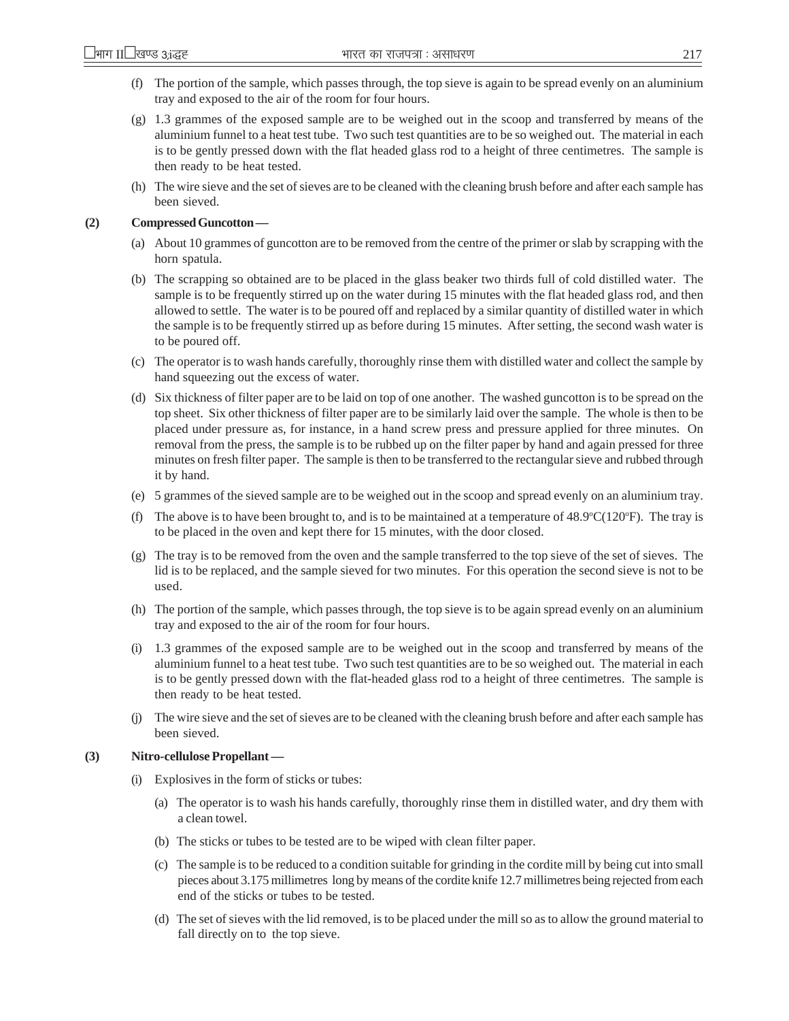- (f) The portion of the sample, which passes through, the top sieve is again to be spread evenly on an aluminium tray and exposed to the air of the room for four hours.
- (g) 1.3 grammes of the exposed sample are to be weighed out in the scoop and transferred by means of the aluminium funnel to a heat test tube. Two such test quantities are to be so weighed out. The material in each is to be gently pressed down with the flat headed glass rod to a height of three centimetres. The sample is then ready to be heat tested.
- (h) The wire sieve and the set of sieves are to be cleaned with the cleaning brush before and after each sample has been sieved.

## **(2) Compressed Guncotton —**

- (a) About 10 grammes of guncotton are to be removed from the centre of the primer or slab by scrapping with the horn spatula.
- (b) The scrapping so obtained are to be placed in the glass beaker two thirds full of cold distilled water. The sample is to be frequently stirred up on the water during 15 minutes with the flat headed glass rod, and then allowed to settle. The water is to be poured off and replaced by a similar quantity of distilled water in which the sample is to be frequently stirred up as before during 15 minutes. After setting, the second wash water is to be poured off.
- (c) The operator is to wash hands carefully, thoroughly rinse them with distilled water and collect the sample by hand squeezing out the excess of water.
- (d) Six thickness of filter paper are to be laid on top of one another. The washed guncotton is to be spread on the top sheet. Six other thickness of filter paper are to be similarly laid over the sample. The whole is then to be placed under pressure as, for instance, in a hand screw press and pressure applied for three minutes. On removal from the press, the sample is to be rubbed up on the filter paper by hand and again pressed for three minutes on fresh filter paper. The sample is then to be transferred to the rectangular sieve and rubbed through it by hand.
- (e) 5 grammes of the sieved sample are to be weighed out in the scoop and spread evenly on an aluminium tray.
- (f) The above is to have been brought to, and is to be maintained at a temperature of  $48.9^{\circ}C(120^{\circ}F)$ . The tray is to be placed in the oven and kept there for 15 minutes, with the door closed.
- (g) The tray is to be removed from the oven and the sample transferred to the top sieve of the set of sieves. The lid is to be replaced, and the sample sieved for two minutes. For this operation the second sieve is not to be used.
- (h) The portion of the sample, which passes through, the top sieve is to be again spread evenly on an aluminium tray and exposed to the air of the room for four hours.
- (i) 1.3 grammes of the exposed sample are to be weighed out in the scoop and transferred by means of the aluminium funnel to a heat test tube. Two such test quantities are to be so weighed out. The material in each is to be gently pressed down with the flat-headed glass rod to a height of three centimetres. The sample is then ready to be heat tested.
- (j) The wire sieve and the set of sieves are to be cleaned with the cleaning brush before and after each sample has been sieved.

## **(3) Nitro-cellulose Propellant —**

- (i) Explosives in the form of sticks or tubes:
	- (a) The operator is to wash his hands carefully, thoroughly rinse them in distilled water, and dry them with a clean towel.
	- (b) The sticks or tubes to be tested are to be wiped with clean filter paper.
	- (c) The sample is to be reduced to a condition suitable for grinding in the cordite mill by being cut into small pieces about 3.175 millimetres long by means of the cordite knife 12.7 millimetres being rejected from each end of the sticks or tubes to be tested.
	- (d) The set of sieves with the lid removed, is to be placed under the mill so as to allow the ground material to fall directly on to the top sieve.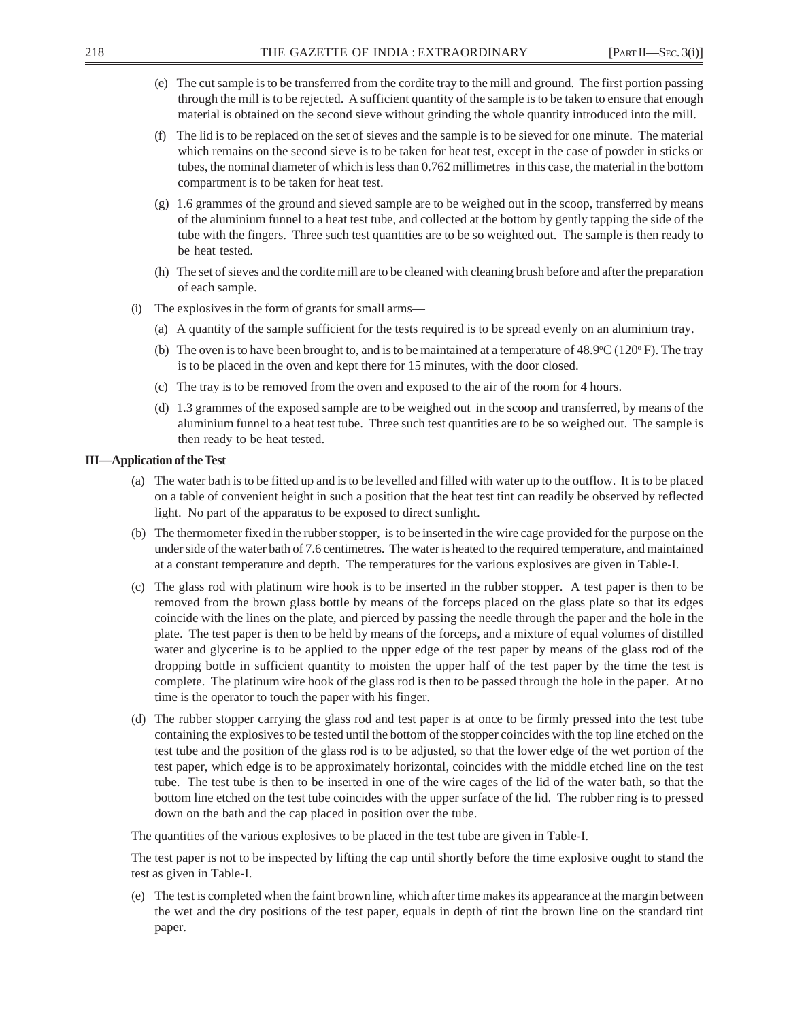- (e) The cut sample is to be transferred from the cordite tray to the mill and ground. The first portion passing through the mill is to be rejected. A sufficient quantity of the sample is to be taken to ensure that enough material is obtained on the second sieve without grinding the whole quantity introduced into the mill.
- (f) The lid is to be replaced on the set of sieves and the sample is to be sieved for one minute. The material which remains on the second sieve is to be taken for heat test, except in the case of powder in sticks or tubes, the nominal diameter of which is less than 0.762 millimetres in this case, the material in the bottom compartment is to be taken for heat test.
- (g) 1.6 grammes of the ground and sieved sample are to be weighed out in the scoop, transferred by means of the aluminium funnel to a heat test tube, and collected at the bottom by gently tapping the side of the tube with the fingers. Three such test quantities are to be so weighted out. The sample is then ready to be heat tested.
- (h) The set of sieves and the cordite mill are to be cleaned with cleaning brush before and after the preparation of each sample.
- (i) The explosives in the form of grants for small arms—
	- (a) A quantity of the sample sufficient for the tests required is to be spread evenly on an aluminium tray.
	- (b) The oven is to have been brought to, and is to be maintained at a temperature of  $48.9^{\circ}C(120^{\circ}F)$ . The tray is to be placed in the oven and kept there for 15 minutes, with the door closed.
	- (c) The tray is to be removed from the oven and exposed to the air of the room for 4 hours.
	- (d) 1.3 grammes of the exposed sample are to be weighed out in the scoop and transferred, by means of the aluminium funnel to a heat test tube. Three such test quantities are to be so weighed out. The sample is then ready to be heat tested.

#### **III—Application of the Test**

- (a) The water bath is to be fitted up and is to be levelled and filled with water up to the outflow. It is to be placed on a table of convenient height in such a position that the heat test tint can readily be observed by reflected light. No part of the apparatus to be exposed to direct sunlight.
- (b) The thermometer fixed in the rubber stopper, is to be inserted in the wire cage provided for the purpose on the under side of the water bath of 7.6 centimetres. The water is heated to the required temperature, and maintained at a constant temperature and depth. The temperatures for the various explosives are given in Table-I.
- (c) The glass rod with platinum wire hook is to be inserted in the rubber stopper. A test paper is then to be removed from the brown glass bottle by means of the forceps placed on the glass plate so that its edges coincide with the lines on the plate, and pierced by passing the needle through the paper and the hole in the plate. The test paper is then to be held by means of the forceps, and a mixture of equal volumes of distilled water and glycerine is to be applied to the upper edge of the test paper by means of the glass rod of the dropping bottle in sufficient quantity to moisten the upper half of the test paper by the time the test is complete. The platinum wire hook of the glass rod is then to be passed through the hole in the paper. At no time is the operator to touch the paper with his finger.
- (d) The rubber stopper carrying the glass rod and test paper is at once to be firmly pressed into the test tube containing the explosives to be tested until the bottom of the stopper coincides with the top line etched on the test tube and the position of the glass rod is to be adjusted, so that the lower edge of the wet portion of the test paper, which edge is to be approximately horizontal, coincides with the middle etched line on the test tube. The test tube is then to be inserted in one of the wire cages of the lid of the water bath, so that the bottom line etched on the test tube coincides with the upper surface of the lid. The rubber ring is to pressed down on the bath and the cap placed in position over the tube.

The quantities of the various explosives to be placed in the test tube are given in Table-I.

The test paper is not to be inspected by lifting the cap until shortly before the time explosive ought to stand the test as given in Table-I.

(e) The test is completed when the faint brown line, which after time makes its appearance at the margin between the wet and the dry positions of the test paper, equals in depth of tint the brown line on the standard tint paper.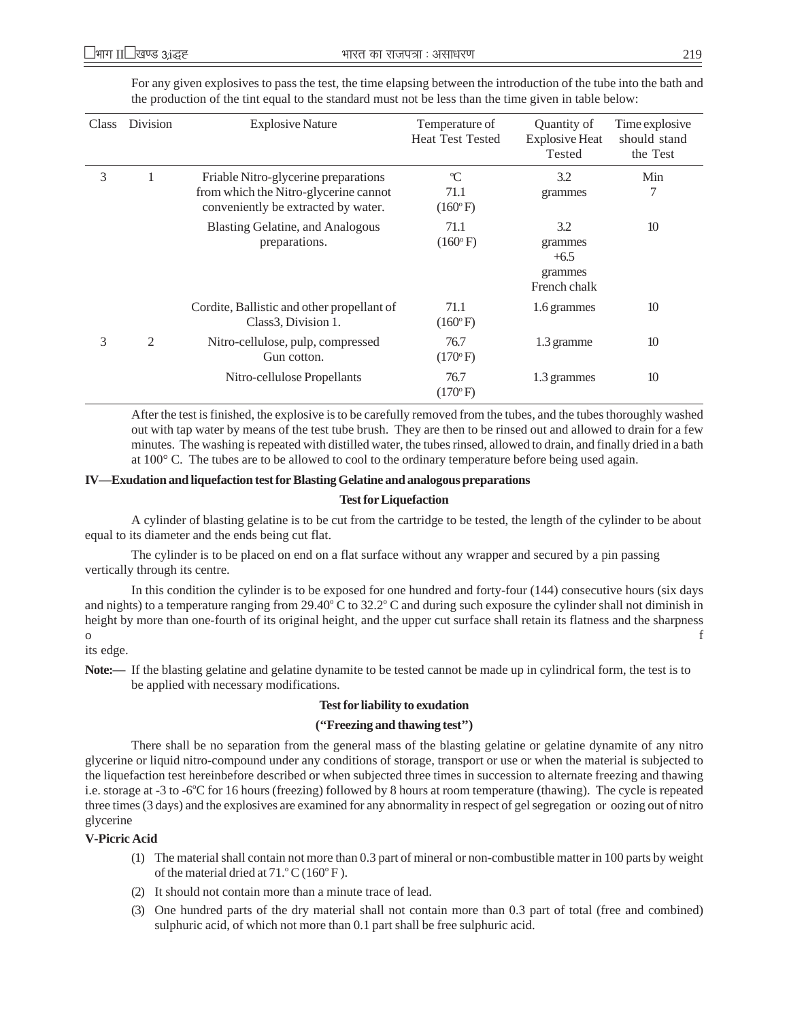| <b>Class</b> | Division       | <b>Explosive Nature</b>                                                                                              | Temperature of<br><b>Heat Test Tested</b> | Quantity of<br><b>Explosive Heat</b><br>Tested      | Time explosive<br>should stand<br>the Test |
|--------------|----------------|----------------------------------------------------------------------------------------------------------------------|-------------------------------------------|-----------------------------------------------------|--------------------------------------------|
| 3            | 1              | Friable Nitro-glycerine preparations<br>from which the Nitro-glycerine cannot<br>conveniently be extracted by water. | $\mathrm{C}$<br>71.1<br>$(160^{\circ}F)$  | 3.2<br>grammes                                      | Min<br>7                                   |
|              |                | <b>Blasting Gelatine, and Analogous</b><br>preparations.                                                             | 71.1<br>$(160°\text{F})$                  | 3.2<br>grammes<br>$+6.5$<br>grammes<br>French chalk | 10                                         |
|              |                | Cordite, Ballistic and other propellant of<br>Class <sub>3</sub> , Division 1.                                       | 71.1<br>$(160°\text{F})$                  | 1.6 grammes                                         | 10                                         |
| 3            | $\mathfrak{2}$ | Nitro-cellulose, pulp, compressed<br>Gun cotton.                                                                     | 76.7<br>$(170°\text{F})$                  | 1.3 gramme                                          | 10                                         |
|              |                | Nitro-cellulose Propellants                                                                                          | 76.7<br>$(170^{\circ} F)$                 | 1.3 grammes                                         | 10                                         |

For any given explosives to pass the test, the time elapsing between the introduction of the tube into the bath and the production of the tint equal to the standard must not be less than the time given in table below:

After the test is finished, the explosive is to be carefully removed from the tubes, and the tubes thoroughly washed out with tap water by means of the test tube brush. They are then to be rinsed out and allowed to drain for a few minutes. The washing is repeated with distilled water, the tubes rinsed, allowed to drain, and finally dried in a bath at 100° C. The tubes are to be allowed to cool to the ordinary temperature before being used again.

#### **IV—Exudation and liquefaction test for Blasting Gelatine and analogous preparations**

#### **Test for Liquefaction**

A cylinder of blasting gelatine is to be cut from the cartridge to be tested, the length of the cylinder to be about equal to its diameter and the ends being cut flat.

The cylinder is to be placed on end on a flat surface without any wrapper and secured by a pin passing vertically through its centre.

In this condition the cylinder is to be exposed for one hundred and forty-four (144) consecutive hours (six days and nights) to a temperature ranging from 29.40 $\degree$ C to 32.2 $\degree$ C and during such exposure the cylinder shall not diminish in height by more than one-fourth of its original height, and the upper cut surface shall retain its flatness and the sharpness o f

its edge.

**Note:—** If the blasting gelatine and gelatine dynamite to be tested cannot be made up in cylindrical form, the test is to be applied with necessary modifications.

#### **Test for liability to exudation**

#### **(''Freezing and thawing test'')**

There shall be no separation from the general mass of the blasting gelatine or gelatine dynamite of any nitro glycerine or liquid nitro-compound under any conditions of storage, transport or use or when the material is subjected to the liquefaction test hereinbefore described or when subjected three times in succession to alternate freezing and thawing i.e. storage at -3 to -6°C for 16 hours (freezing) followed by 8 hours at room temperature (thawing). The cycle is repeated three times (3 days) and the explosives are examined for any abnormality in respect of gel segregation or oozing out of nitro glycerine

#### **V-Picric Acid**

- (1) The material shall contain not more than 0.3 part of mineral or non-combustible matter in 100 parts by weight of the material dried at  $71.^\circ$ C ( $160^\circ$ F).
- (2) It should not contain more than a minute trace of lead.
- (3) One hundred parts of the dry material shall not contain more than 0.3 part of total (free and combined) sulphuric acid, of which not more than 0.1 part shall be free sulphuric acid.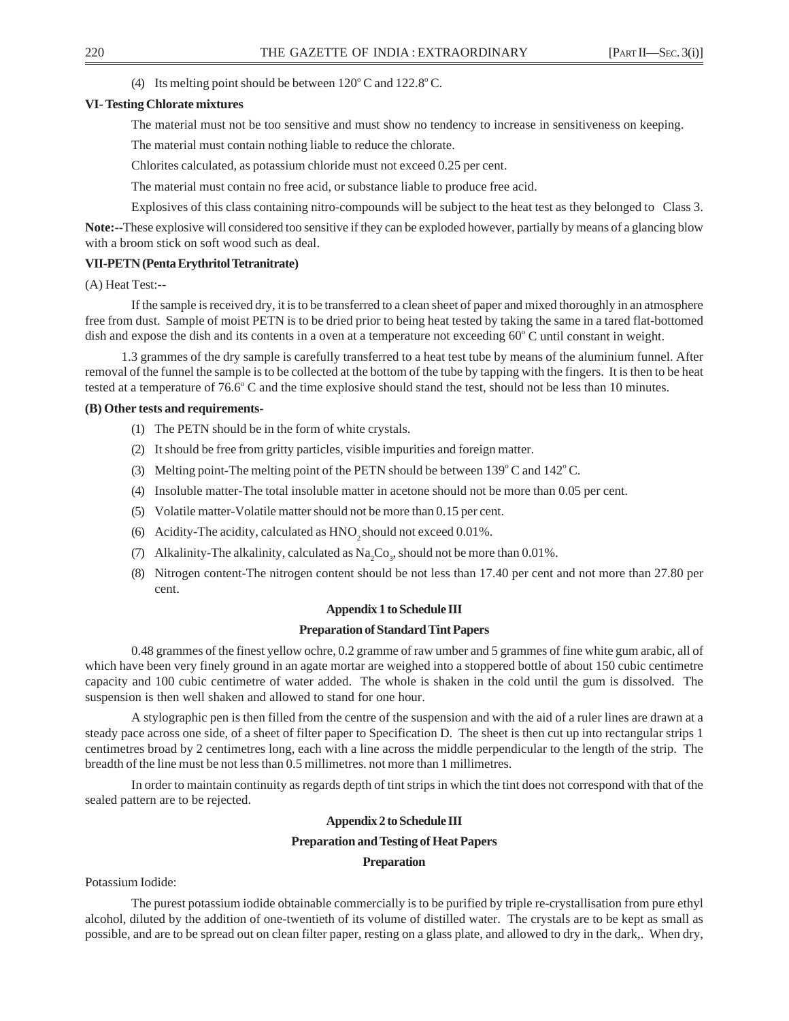## (4) Its melting point should be between  $120^{\circ}$  C and  $122.8^{\circ}$  C.

## **VI- Testing Chlorate mixtures**

The material must not be too sensitive and must show no tendency to increase in sensitiveness on keeping.

The material must contain nothing liable to reduce the chlorate.

Chlorites calculated, as potassium chloride must not exceed 0.25 per cent.

The material must contain no free acid, or substance liable to produce free acid.

Explosives of this class containing nitro-compounds will be subject to the heat test as they belonged to Class 3.

**Note:--**These explosive will considered too sensitive if they can be exploded however, partially by means of a glancing blow with a broom stick on soft wood such as deal.

## **VII-PETN (Penta Erythritol Tetranitrate)**

(A) Heat Test:--

If the sample is received dry, it is to be transferred to a clean sheet of paper and mixed thoroughly in an atmosphere free from dust. Sample of moist PETN is to be dried prior to being heat tested by taking the same in a tared flat-bottomed dish and expose the dish and its contents in a oven at a temperature not exceeding 60°C until constant in weight.

1.3 grammes of the dry sample is carefully transferred to a heat test tube by means of the aluminium funnel. After removal of the funnel the sample is to be collected at the bottom of the tube by tapping with the fingers. It is then to be heat tested at a temperature of  $76.6^{\circ}$  C and the time explosive should stand the test, should not be less than 10 minutes.

## **(B) Other tests and requirements-**

- (1) The PETN should be in the form of white crystals.
- (2) It should be free from gritty particles, visible impurities and foreign matter.
- (3) Melting point-The melting point of the PETN should be between  $139^{\circ}$  C and  $142^{\circ}$  C.
- (4) Insoluble matter-The total insoluble matter in acetone should not be more than 0.05 per cent.
- (5) Volatile matter-Volatile matter should not be more than 0.15 per cent.
- (6) Acidity-The acidity, calculated as  $HNO<sub>2</sub>$  should not exceed 0.01%.
- (7) Alkalinity-The alkalinity, calculated as  $\text{Na}_2\text{Co}_3$ , should not be more than 0.01%.
- (8) Nitrogen content-The nitrogen content should be not less than 17.40 per cent and not more than 27.80 per cent.

## **Appendix 1 to Schedule III**

## **Preparation of Standard Tint Papers**

0.48 grammes of the finest yellow ochre, 0.2 gramme of raw umber and 5 grammes of fine white gum arabic, all of which have been very finely ground in an agate mortar are weighed into a stoppered bottle of about 150 cubic centimetre capacity and 100 cubic centimetre of water added. The whole is shaken in the cold until the gum is dissolved. The suspension is then well shaken and allowed to stand for one hour.

A stylographic pen is then filled from the centre of the suspension and with the aid of a ruler lines are drawn at a steady pace across one side, of a sheet of filter paper to Specification D. The sheet is then cut up into rectangular strips 1 centimetres broad by 2 centimetres long, each with a line across the middle perpendicular to the length of the strip. The breadth of the line must be not less than 0.5 millimetres. not more than 1 millimetres.

In order to maintain continuity as regards depth of tint strips in which the tint does not correspond with that of the sealed pattern are to be rejected.

## **Appendix 2 to Schedule III**

## **Preparation and Testing of Heat Papers**

## **Preparation**

Potassium Iodide:

The purest potassium iodide obtainable commercially is to be purified by triple re-crystallisation from pure ethyl alcohol, diluted by the addition of one-twentieth of its volume of distilled water. The crystals are to be kept as small as possible, and are to be spread out on clean filter paper, resting on a glass plate, and allowed to dry in the dark,. When dry,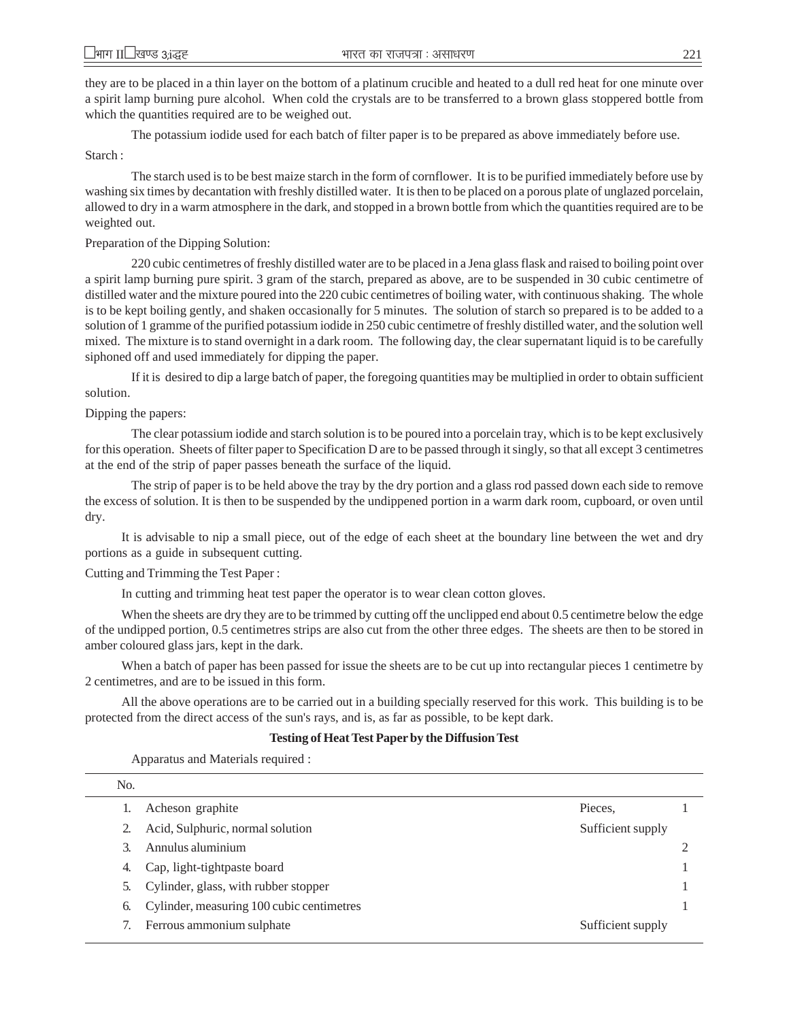they are to be placed in a thin layer on the bottom of a platinum crucible and heated to a dull red heat for one minute over a spirit lamp burning pure alcohol. When cold the crystals are to be transferred to a brown glass stoppered bottle from which the quantities required are to be weighed out.

The potassium iodide used for each batch of filter paper is to be prepared as above immediately before use.

Starch :

The starch used is to be best maize starch in the form of cornflower. It is to be purified immediately before use by washing six times by decantation with freshly distilled water. It is then to be placed on a porous plate of unglazed porcelain, allowed to dry in a warm atmosphere in the dark, and stopped in a brown bottle from which the quantities required are to be weighted out.

#### Preparation of the Dipping Solution:

220 cubic centimetres of freshly distilled water are to be placed in a Jena glass flask and raised to boiling point over a spirit lamp burning pure spirit. 3 gram of the starch, prepared as above, are to be suspended in 30 cubic centimetre of distilled water and the mixture poured into the 220 cubic centimetres of boiling water, with continuous shaking. The whole is to be kept boiling gently, and shaken occasionally for 5 minutes. The solution of starch so prepared is to be added to a solution of 1 gramme of the purified potassium iodide in 250 cubic centimetre of freshly distilled water, and the solution well mixed. The mixture is to stand overnight in a dark room. The following day, the clear supernatant liquid is to be carefully siphoned off and used immediately for dipping the paper.

If it is desired to dip a large batch of paper, the foregoing quantities may be multiplied in order to obtain sufficient solution.

#### Dipping the papers:

The clear potassium iodide and starch solution is to be poured into a porcelain tray, which is to be kept exclusively for this operation. Sheets of filter paper to Specification D are to be passed through it singly, so that all except 3 centimetres at the end of the strip of paper passes beneath the surface of the liquid.

The strip of paper is to be held above the tray by the dry portion and a glass rod passed down each side to remove the excess of solution. It is then to be suspended by the undippened portion in a warm dark room, cupboard, or oven until dry.

It is advisable to nip a small piece, out of the edge of each sheet at the boundary line between the wet and dry portions as a guide in subsequent cutting.

#### Cutting and Trimming the Test Paper :

In cutting and trimming heat test paper the operator is to wear clean cotton gloves.

When the sheets are dry they are to be trimmed by cutting off the unclipped end about 0.5 centimetre below the edge of the undipped portion, 0.5 centimetres strips are also cut from the other three edges. The sheets are then to be stored in amber coloured glass jars, kept in the dark.

When a batch of paper has been passed for issue the sheets are to be cut up into rectangular pieces 1 centimetre by 2 centimetres, and are to be issued in this form.

All the above operations are to be carried out in a building specially reserved for this work. This building is to be protected from the direct access of the sun's rays, and is, as far as possible, to be kept dark.

#### **Testing of Heat Test Paper by the Diffusion Test**

Apparatus and Materials required :

| No. |                                           |                   |  |
|-----|-------------------------------------------|-------------------|--|
|     | Acheson graphite                          | Pieces,           |  |
|     | Acid, Sulphuric, normal solution          | Sufficient supply |  |
|     | Annulus aluminium                         |                   |  |
| 4.  | Cap, light-tightpaste board               |                   |  |
| 5.  | Cylinder, glass, with rubber stopper      |                   |  |
| 6.  | Cylinder, measuring 100 cubic centimetres |                   |  |
|     | Ferrous ammonium sulphate                 | Sufficient supply |  |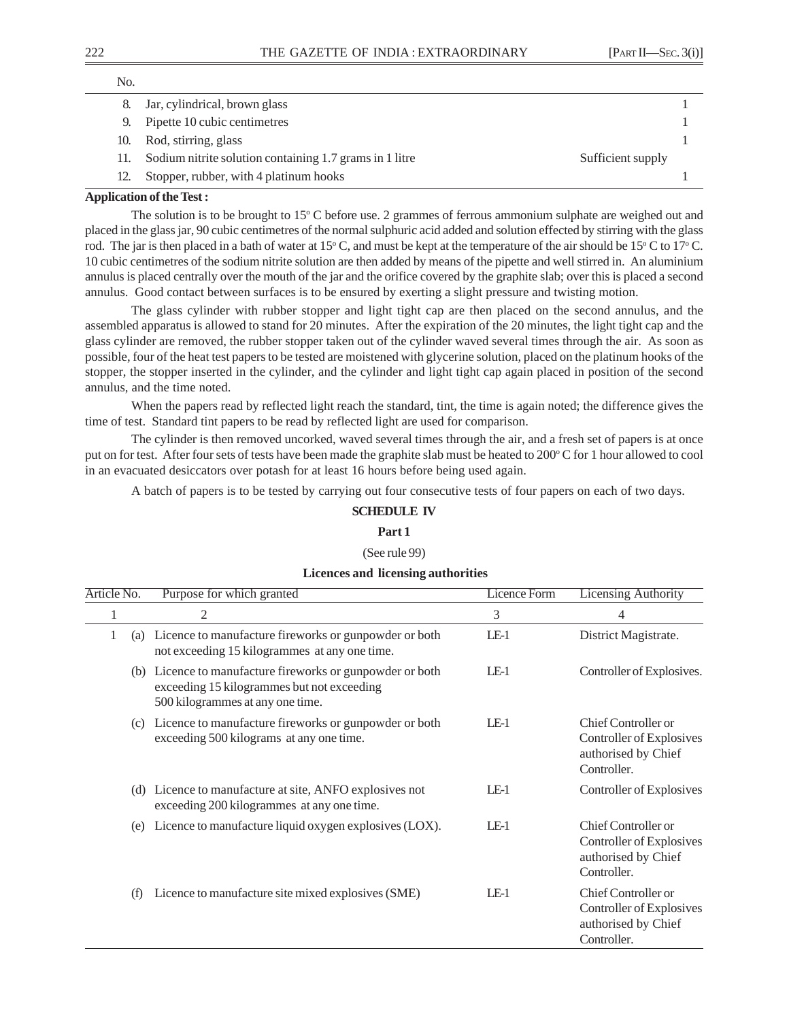| No. |                                                                              |  |
|-----|------------------------------------------------------------------------------|--|
| 8.  | Jar, cylindrical, brown glass                                                |  |
| 9.  | Pipette 10 cubic centimetres                                                 |  |
| 10. | Rod, stirring, glass                                                         |  |
|     | Sodium nitrite solution containing 1.7 grams in 1 litre<br>Sufficient supply |  |
|     | Stopper, rubber, with 4 platinum hooks                                       |  |
|     |                                                                              |  |

#### **Application of the Test :**

The solution is to be brought to  $15^{\circ}$  C before use. 2 grammes of ferrous ammonium sulphate are weighed out and placed in the glass jar, 90 cubic centimetres of the normal sulphuric acid added and solution effected by stirring with the glass rod. The jar is then placed in a bath of water at 15 $^{\circ}$  C, and must be kept at the temperature of the air should be 15 $^{\circ}$  C to 17 $^{\circ}$  C. 10 cubic centimetres of the sodium nitrite solution are then added by means of the pipette and well stirred in. An aluminium annulus is placed centrally over the mouth of the jar and the orifice covered by the graphite slab; over this is placed a second annulus. Good contact between surfaces is to be ensured by exerting a slight pressure and twisting motion.

The glass cylinder with rubber stopper and light tight cap are then placed on the second annulus, and the assembled apparatus is allowed to stand for 20 minutes. After the expiration of the 20 minutes, the light tight cap and the glass cylinder are removed, the rubber stopper taken out of the cylinder waved several times through the air. As soon as possible, four of the heat test papers to be tested are moistened with glycerine solution, placed on the platinum hooks of the stopper, the stopper inserted in the cylinder, and the cylinder and light tight cap again placed in position of the second annulus, and the time noted.

When the papers read by reflected light reach the standard, tint, the time is again noted; the difference gives the time of test. Standard tint papers to be read by reflected light are used for comparison.

The cylinder is then removed uncorked, waved several times through the air, and a fresh set of papers is at once put on for test. After four sets of tests have been made the graphite slab must be heated to 200°C for 1 hour allowed to cool in an evacuated desiccators over potash for at least 16 hours before being used again.

A batch of papers is to be tested by carrying out four consecutive tests of four papers on each of two days.

## **SCHEDULE IV**

# **Part 1**

## (See rule 99)

#### **Licences and licensing authorities**

| Article No. | Purpose for which granted                                                                                                                   | <b>Licence Form</b> | <b>Licensing Authority</b>                                                            |  |
|-------------|---------------------------------------------------------------------------------------------------------------------------------------------|---------------------|---------------------------------------------------------------------------------------|--|
| 1           | 2                                                                                                                                           | 3                   | 4                                                                                     |  |
| 1<br>(a)    | Licence to manufacture fireworks or gunpowder or both<br>not exceeding 15 kilogrammes at any one time.                                      | $LE-1$              | District Magistrate.                                                                  |  |
|             | (b) Licence to manufacture fireworks or gunpowder or both<br>exceeding 15 kilogrammes but not exceeding<br>500 kilogrammes at any one time. | $LE-1$              | Controller of Explosives.                                                             |  |
| (c)         | Licence to manufacture fireworks or gunpowder or both<br>exceeding 500 kilograms at any one time.                                           | $LE-1$              | Chief Controller or<br>Controller of Explosives<br>authorised by Chief<br>Controller. |  |
| (d)         | Licence to manufacture at site, ANFO explosives not<br>exceeding 200 kilogrammes at any one time.                                           | $LE-1$              | Controller of Explosives                                                              |  |
| (e)         | Licence to manufacture liquid oxygen explosives (LOX).                                                                                      | $LE-1$              | Chief Controller or<br>Controller of Explosives<br>authorised by Chief<br>Controller. |  |
| (f)         | Licence to manufacture site mixed explosives (SME)                                                                                          | $LE-1$              | Chief Controller or<br>Controller of Explosives<br>authorised by Chief<br>Controller. |  |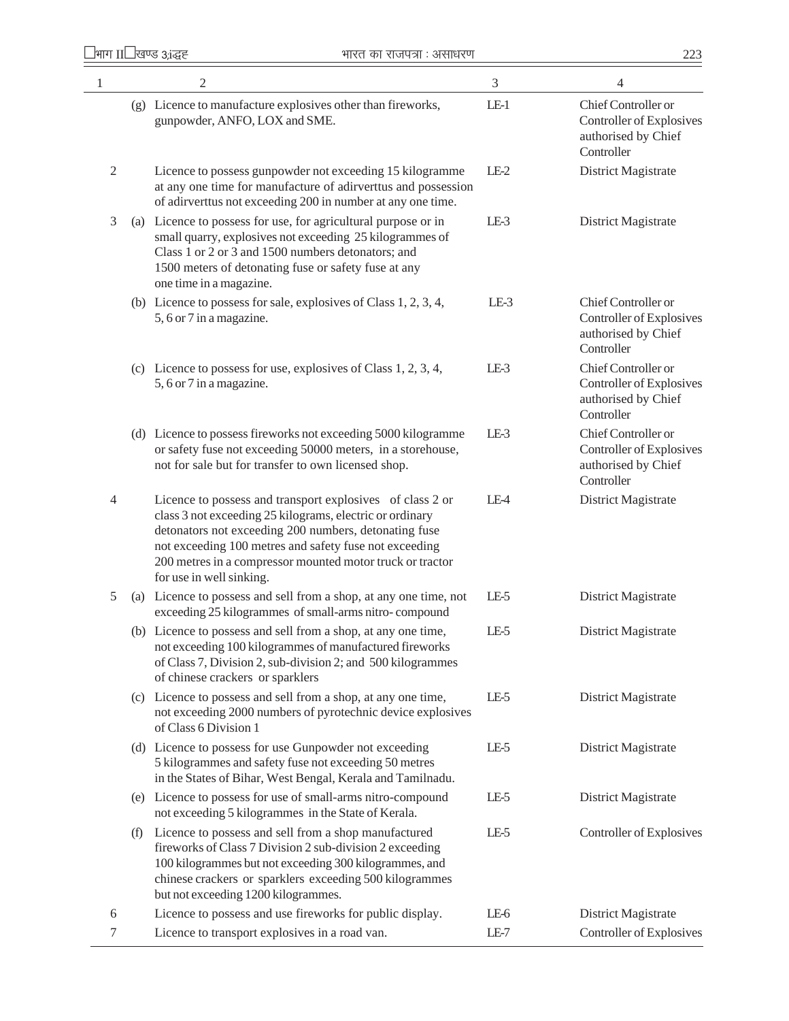| $\mathbf{1}$   |     | $\overline{2}$                                                                                                                                                                                                                                                                                                                    | $\mathfrak{Z}$ | 4                                                                                    |
|----------------|-----|-----------------------------------------------------------------------------------------------------------------------------------------------------------------------------------------------------------------------------------------------------------------------------------------------------------------------------------|----------------|--------------------------------------------------------------------------------------|
|                |     | (g) Licence to manufacture explosives other than fireworks,<br>gunpowder, ANFO, LOX and SME.                                                                                                                                                                                                                                      | $LE-1$         | Chief Controller or<br>Controller of Explosives<br>authorised by Chief<br>Controller |
| $\mathfrak{2}$ |     | Licence to possess gunpowder not exceeding 15 kilogramme<br>at any one time for manufacture of adirverttus and possession<br>of adirverttus not exceeding 200 in number at any one time.                                                                                                                                          | $LE-2$         | District Magistrate                                                                  |
| 3              |     | (a) Licence to possess for use, for agricultural purpose or in<br>small quarry, explosives not exceeding 25 kilogrammes of<br>Class 1 or 2 or 3 and 1500 numbers detonators; and<br>1500 meters of detonating fuse or safety fuse at any<br>one time in a magazine.                                                               | $LE-3$         | District Magistrate                                                                  |
|                |     | (b) Licence to possess for sale, explosives of Class $1, 2, 3, 4$ ,<br>5, 6 or 7 in a magazine.                                                                                                                                                                                                                                   | $LE-3$         | Chief Controller or<br>Controller of Explosives<br>authorised by Chief<br>Controller |
|                |     | (c) Licence to possess for use, explosives of Class $1, 2, 3, 4$ ,<br>5, 6 or 7 in a magazine.                                                                                                                                                                                                                                    | $LE-3$         | Chief Controller or<br>Controller of Explosives<br>authorised by Chief<br>Controller |
|                |     | (d) Licence to possess fireworks not exceeding 5000 kilogramme<br>or safety fuse not exceeding 50000 meters, in a storehouse,<br>not for sale but for transfer to own licensed shop.                                                                                                                                              | $LE-3$         | Chief Controller or<br>Controller of Explosives<br>authorised by Chief<br>Controller |
| $\overline{4}$ |     | Licence to possess and transport explosives of class 2 or<br>class 3 not exceeding 25 kilograms, electric or ordinary<br>detonators not exceeding 200 numbers, detonating fuse<br>not exceeding 100 metres and safety fuse not exceeding<br>200 metres in a compressor mounted motor truck or tractor<br>for use in well sinking. | LE-4           | District Magistrate                                                                  |
| 5              |     | (a) Licence to possess and sell from a shop, at any one time, not<br>exceeding 25 kilogrammes of small-arms nitro-compound                                                                                                                                                                                                        | LE-5           | District Magistrate                                                                  |
|                |     | (b) Licence to possess and sell from a shop, at any one time,<br>not exceeding 100 kilogrammes of manufactured fireworks<br>of Class 7, Division 2, sub-division 2; and 500 kilogrammes<br>of chinese crackers or sparklers                                                                                                       | LE-5           | District Magistrate                                                                  |
|                |     | (c) Licence to possess and sell from a shop, at any one time,<br>not exceeding 2000 numbers of pyrotechnic device explosives<br>of Class 6 Division 1                                                                                                                                                                             | LE-5           | District Magistrate                                                                  |
|                |     | (d) Licence to possess for use Gunpowder not exceeding<br>5 kilogrammes and safety fuse not exceeding 50 metres<br>in the States of Bihar, West Bengal, Kerala and Tamilnadu.                                                                                                                                                     | LE-5           | District Magistrate                                                                  |
|                |     | (e) Licence to possess for use of small-arms nitro-compound<br>not exceeding 5 kilogrammes in the State of Kerala.                                                                                                                                                                                                                | LE-5           | District Magistrate                                                                  |
|                | (f) | Licence to possess and sell from a shop manufactured<br>fireworks of Class 7 Division 2 sub-division 2 exceeding<br>100 kilogrammes but not exceeding 300 kilogrammes, and<br>chinese crackers or sparklers exceeding 500 kilogrammes<br>but not exceeding 1200 kilogrammes.                                                      | LE-5           | Controller of Explosives                                                             |
| 6              |     | Licence to possess and use fireworks for public display.                                                                                                                                                                                                                                                                          | LE-6           | District Magistrate                                                                  |
| $\tau$         |     | Licence to transport explosives in a road van.                                                                                                                                                                                                                                                                                    | LE-7           | Controller of Explosives                                                             |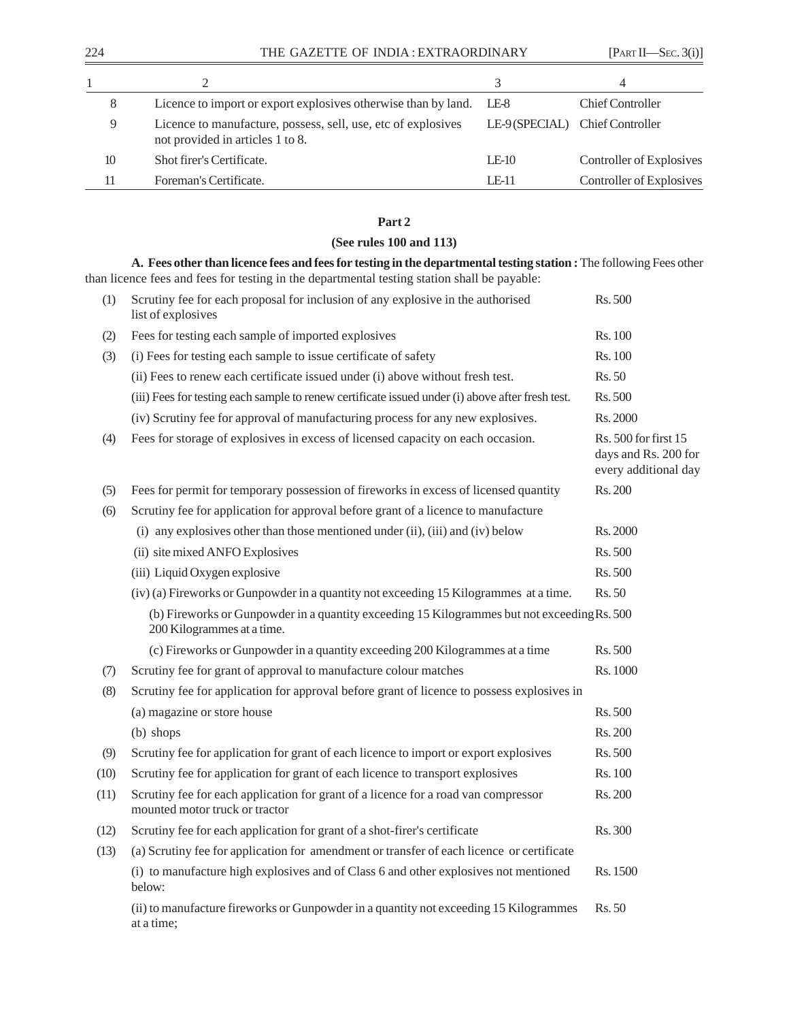| 8  | Licence to import or export explosives otherwise than by land.                                    | LE-8         | <b>Chief Controller</b>         |
|----|---------------------------------------------------------------------------------------------------|--------------|---------------------------------|
| 9  | Licence to manufacture, possess, sell, use, etc of explosives<br>not provided in articles 1 to 8. |              | LE-9 (SPECIAL) Chief Controller |
| 10 | Shot firer's Certificate.                                                                         | $LE-10$      | Controller of Explosives        |
|    | Foreman's Certificate.                                                                            | <b>IF-11</b> | Controller of Explosives        |

## **Part 2**

## **(See rules 100 and 113)**

**A. Fees other than licence fees and fees for testing in the departmental testing station :** The following Fees other than licence fees and fees for testing in the departmental testing station shall be payable: (1) Scrutiny fee for each proposal for inclusion of any explosive in the authorised Rs. 500

|      | list of explosives                                                                                                        |                                                                      |
|------|---------------------------------------------------------------------------------------------------------------------------|----------------------------------------------------------------------|
| (2)  | Fees for testing each sample of imported explosives                                                                       | Rs. 100                                                              |
| (3)  | (i) Fees for testing each sample to issue certificate of safety                                                           | Rs. 100                                                              |
|      | (ii) Fees to renew each certificate issued under (i) above without fresh test.                                            | Rs. 50                                                               |
|      | (iii) Fees for testing each sample to renew certificate issued under (i) above after fresh test.                          | Rs. 500                                                              |
|      | (iv) Scrutiny fee for approval of manufacturing process for any new explosives.                                           | Rs. 2000                                                             |
| (4)  | Fees for storage of explosives in excess of licensed capacity on each occasion.                                           | Rs. 500 for first 15<br>days and Rs. 200 for<br>every additional day |
| (5)  | Fees for permit for temporary possession of fireworks in excess of licensed quantity                                      | Rs. 200                                                              |
| (6)  | Scrutiny fee for application for approval before grant of a licence to manufacture                                        |                                                                      |
|      | (i) any explosives other than those mentioned under (ii), (iii) and (iv) below                                            | Rs. 2000                                                             |
|      | (ii) site mixed ANFO Explosives                                                                                           | Rs. 500                                                              |
|      | (iii) Liquid Oxygen explosive                                                                                             | Rs. 500                                                              |
|      | (iv) (a) Fireworks or Gunpowder in a quantity not exceeding 15 Kilogrammes at a time.                                     | Rs. 50                                                               |
|      | (b) Fireworks or Gunpowder in a quantity exceeding 15 Kilogrammes but not exceeding Rs. 500<br>200 Kilogrammes at a time. |                                                                      |
|      | (c) Fireworks or Gunpowder in a quantity exceeding 200 Kilogrammes at a time                                              | Rs. 500                                                              |
| (7)  | Scrutiny fee for grant of approval to manufacture colour matches                                                          | Rs. 1000                                                             |
| (8)  | Scrutiny fee for application for approval before grant of licence to possess explosives in                                |                                                                      |
|      | (a) magazine or store house                                                                                               | Rs. 500                                                              |
|      | (b) shops                                                                                                                 | Rs. 200                                                              |
| (9)  | Scrutiny fee for application for grant of each licence to import or export explosives                                     | Rs. 500                                                              |
| (10) | Scrutiny fee for application for grant of each licence to transport explosives                                            | Rs. 100                                                              |
| (11) | Scrutiny fee for each application for grant of a licence for a road van compressor<br>mounted motor truck or tractor      | Rs. 200                                                              |
| (12) | Scrutiny fee for each application for grant of a shot-firer's certificate                                                 | Rs. 300                                                              |
| (13) | (a) Scrutiny fee for application for amendment or transfer of each licence or certificate                                 |                                                                      |
|      | (i) to manufacture high explosives and of Class 6 and other explosives not mentioned<br>below:                            | Rs. 1500                                                             |
|      | (ii) to manufacture fireworks or Gunpowder in a quantity not exceeding 15 Kilogrammes<br>at a time;                       | Rs. 50                                                               |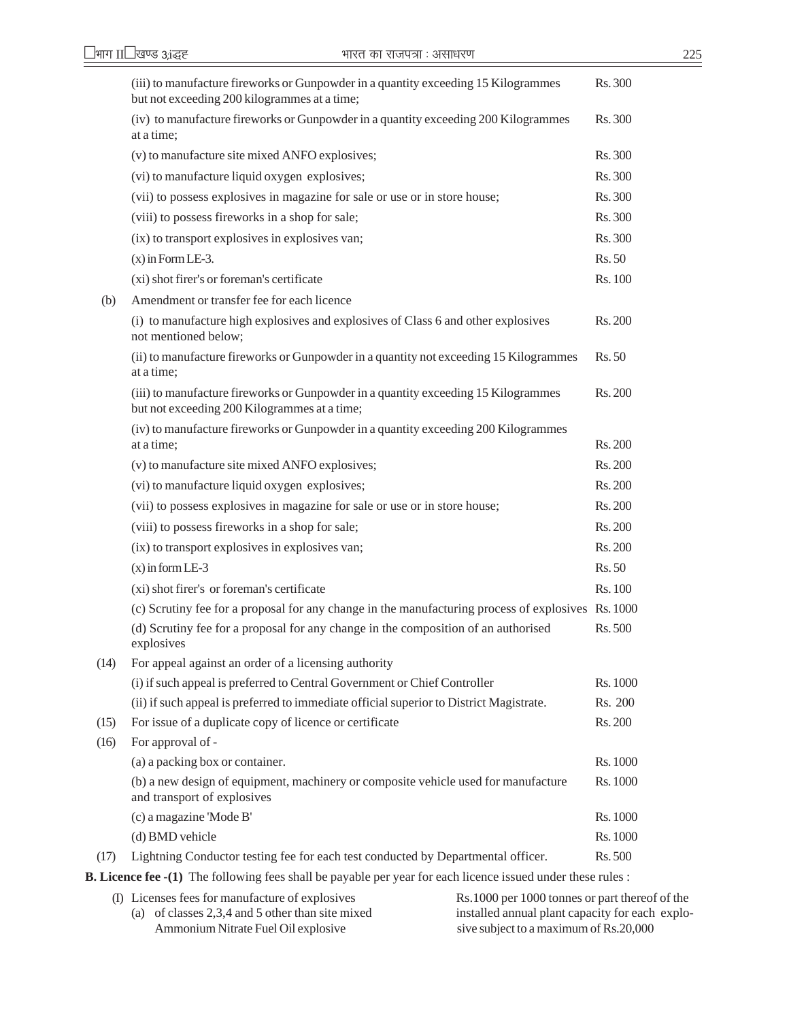|      | (iii) to manufacture fireworks or Gunpowder in a quantity exceeding 15 Kilogrammes<br>but not exceeding 200 kilogrammes at a time; | Rs. 300  |
|------|------------------------------------------------------------------------------------------------------------------------------------|----------|
|      | (iv) to manufacture fireworks or Gunpowder in a quantity exceeding 200 Kilogrammes<br>at a time;                                   | Rs. 300  |
|      | (v) to manufacture site mixed ANFO explosives;                                                                                     | Rs. 300  |
|      | (vi) to manufacture liquid oxygen explosives;                                                                                      | Rs. 300  |
|      | (vii) to possess explosives in magazine for sale or use or in store house;                                                         | Rs. 300  |
|      | (viii) to possess fireworks in a shop for sale;                                                                                    | Rs. 300  |
|      | (ix) to transport explosives in explosives van;                                                                                    | Rs. 300  |
|      | $(x)$ in Form LE-3.                                                                                                                | Rs.50    |
|      | (xi) shot firer's or foreman's certificate                                                                                         | Rs. 100  |
| (b)  | Amendment or transfer fee for each licence                                                                                         |          |
|      | (i) to manufacture high explosives and explosives of Class 6 and other explosives<br>not mentioned below;                          | Rs. 200  |
|      | (ii) to manufacture fireworks or Gunpowder in a quantity not exceeding 15 Kilogrammes<br>at a time;                                | Rs. 50   |
|      | (iii) to manufacture fireworks or Gunpowder in a quantity exceeding 15 Kilogrammes<br>but not exceeding 200 Kilogrammes at a time; | Rs. 200  |
|      | (iv) to manufacture fireworks or Gunpowder in a quantity exceeding 200 Kilogrammes<br>at a time;                                   | Rs. 200  |
|      | (v) to manufacture site mixed ANFO explosives;                                                                                     | Rs. 200  |
|      | (vi) to manufacture liquid oxygen explosives;                                                                                      | Rs. 200  |
|      | (vii) to possess explosives in magazine for sale or use or in store house;                                                         | Rs. 200  |
|      | (viii) to possess fireworks in a shop for sale;                                                                                    | Rs. 200  |
|      | (ix) to transport explosives in explosives van;                                                                                    | Rs. 200  |
|      | $(x)$ in form LE-3                                                                                                                 | Rs.50    |
|      | (xi) shot firer's or foreman's certificate                                                                                         | Rs. 100  |
|      | (c) Scrutiny fee for a proposal for any change in the manufacturing process of explosives Rs. 1000                                 |          |
|      | (d) Scrutiny fee for a proposal for any change in the composition of an authorised<br>explosives                                   | Rs. 500  |
| (14) | For appeal against an order of a licensing authority                                                                               |          |
|      | (i) if such appeal is preferred to Central Government or Chief Controller                                                          | Rs. 1000 |
|      | (ii) if such appeal is preferred to immediate official superior to District Magistrate.                                            | Rs. 200  |
| (15) | For issue of a duplicate copy of licence or certificate                                                                            | Rs. 200  |
| (16) | For approval of -                                                                                                                  |          |
|      | (a) a packing box or container.                                                                                                    | Rs. 1000 |
|      | (b) a new design of equipment, machinery or composite vehicle used for manufacture<br>and transport of explosives                  | Rs. 1000 |
|      | (c) a magazine 'Mode B'                                                                                                            | Rs. 1000 |
|      | (d) BMD vehicle                                                                                                                    | Rs. 1000 |
| (17) | Lightning Conductor testing fee for each test conducted by Departmental officer.                                                   | Rs. 500  |
|      |                                                                                                                                    |          |

**B. Licence fee -(1)** The following fees shall be payable per year for each licence issued under these rules :

| $\alpha$ and $\alpha$ and $\alpha$ is the following focus shall be payment per year for each fiction issued under these fails. |                                                 |
|--------------------------------------------------------------------------------------------------------------------------------|-------------------------------------------------|
| (I) Licenses fees for manufacture of explosives                                                                                | Rs. 1000 per 1000 tonnes or part thereof of the |
| (a) of classes $2,3,4$ and 5 other than site mixed                                                                             | installed annual plant capacity for each explo- |
| Ammonium Nitrate Fuel Oil explosive                                                                                            | sive subject to a maximum of Rs.20,000          |
|                                                                                                                                |                                                 |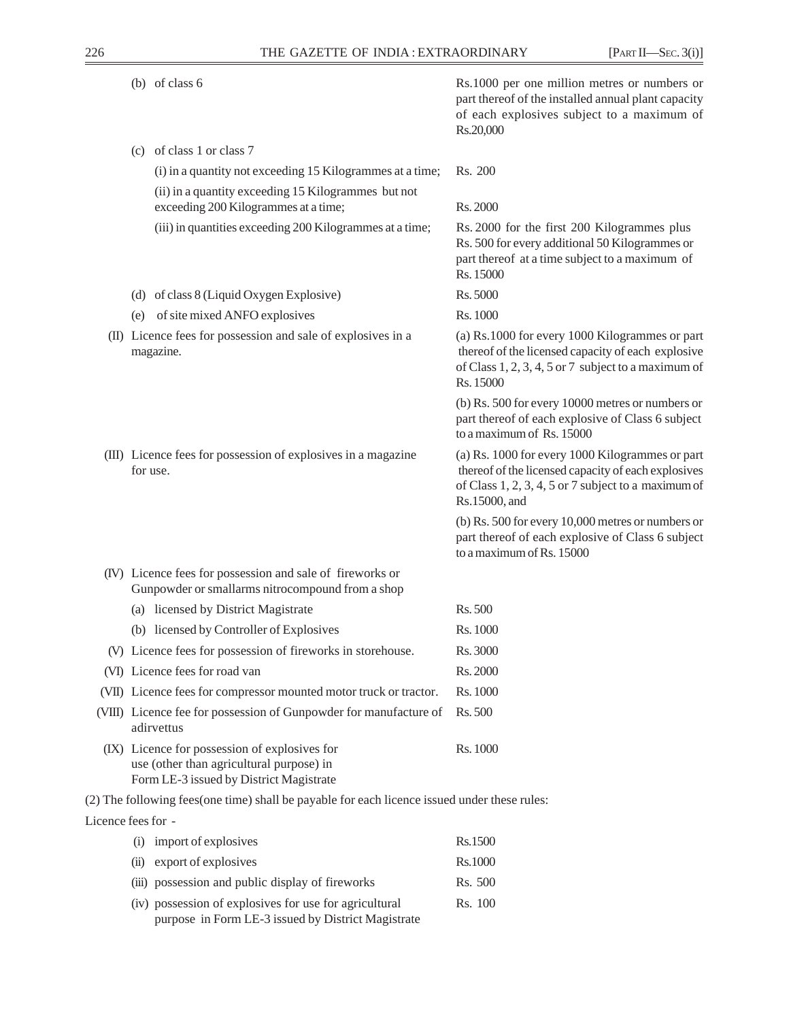| (b) of class $6$                                                                                                                     | Rs.1000 per one million metres or numbers or<br>part thereof of the installed annual plant capacity<br>of each explosives subject to a maximum of<br>Rs.20,000                 |
|--------------------------------------------------------------------------------------------------------------------------------------|--------------------------------------------------------------------------------------------------------------------------------------------------------------------------------|
| (c) of class 1 or class 7                                                                                                            |                                                                                                                                                                                |
| (i) in a quantity not exceeding 15 Kilogrammes at a time;                                                                            | Rs. 200                                                                                                                                                                        |
| (ii) in a quantity exceeding 15 Kilogrammes but not                                                                                  |                                                                                                                                                                                |
| exceeding 200 Kilogrammes at a time;                                                                                                 | Rs. 2000                                                                                                                                                                       |
| (iii) in quantities exceeding 200 Kilogrammes at a time;                                                                             | Rs. 2000 for the first 200 Kilogrammes plus<br>Rs. 500 for every additional 50 Kilogrammes or<br>part thereof at a time subject to a maximum of<br>Rs. 15000                   |
| (d) of class 8 (Liquid Oxygen Explosive)                                                                                             | Rs. 5000                                                                                                                                                                       |
| of site mixed ANFO explosives<br>(e)                                                                                                 | Rs. 1000                                                                                                                                                                       |
| (II) Licence fees for possession and sale of explosives in a<br>magazine.                                                            | (a) Rs.1000 for every 1000 Kilogrammes or part<br>thereof of the licensed capacity of each explosive<br>of Class 1, 2, 3, 4, 5 or 7 subject to a maximum of<br>Rs. 15000       |
|                                                                                                                                      | (b) Rs. 500 for every 10000 metres or numbers or<br>part thereof of each explosive of Class 6 subject<br>to a maximum of Rs. 15000                                             |
| (III) Licence fees for possession of explosives in a magazine<br>for use.                                                            | (a) Rs. 1000 for every 1000 Kilogrammes or part<br>thereof of the licensed capacity of each explosives<br>of Class 1, 2, 3, 4, 5 or 7 subject to a maximum of<br>Rs.15000, and |
|                                                                                                                                      | (b) Rs. 500 for every 10,000 metres or numbers or<br>part thereof of each explosive of Class 6 subject<br>to a maximum of Rs. 15000                                            |
| (IV) Licence fees for possession and sale of fireworks or<br>Gunpowder or smallarms nitrocompound from a shop                        |                                                                                                                                                                                |
| (a) licensed by District Magistrate                                                                                                  | Rs. 500                                                                                                                                                                        |
| (b) licensed by Controller of Explosives                                                                                             | Rs. 1000                                                                                                                                                                       |
| (V) Licence fees for possession of fireworks in storehouse.                                                                          | Rs. 3000                                                                                                                                                                       |
| (VI) Licence fees for road van                                                                                                       | Rs. 2000                                                                                                                                                                       |
| (VII) Licence fees for compressor mounted motor truck or tractor.                                                                    | Rs. 1000                                                                                                                                                                       |
| (VIII) Licence fee for possession of Gunpowder for manufacture of<br>adirvettus                                                      | Rs. 500                                                                                                                                                                        |
| (IX) Licence for possession of explosives for<br>use (other than agricultural purpose) in<br>Form LE-3 issued by District Magistrate | Rs. 1000                                                                                                                                                                       |
| (2) The following fees(one time) shall be payable for each licence issued under these rules:                                         |                                                                                                                                                                                |
| Licence fees for -                                                                                                                   |                                                                                                                                                                                |

| (i)  | import of explosives                                   | Rs.1500 |
|------|--------------------------------------------------------|---------|
| (ii) | export of explosives                                   | Rs.1000 |
|      | (iii) possession and public display of fireworks       | Rs. 500 |
|      | (iv) possession of explosives for use for agricultural | Rs. 100 |
|      | purpose in Form LE-3 issued by District Magistrate     |         |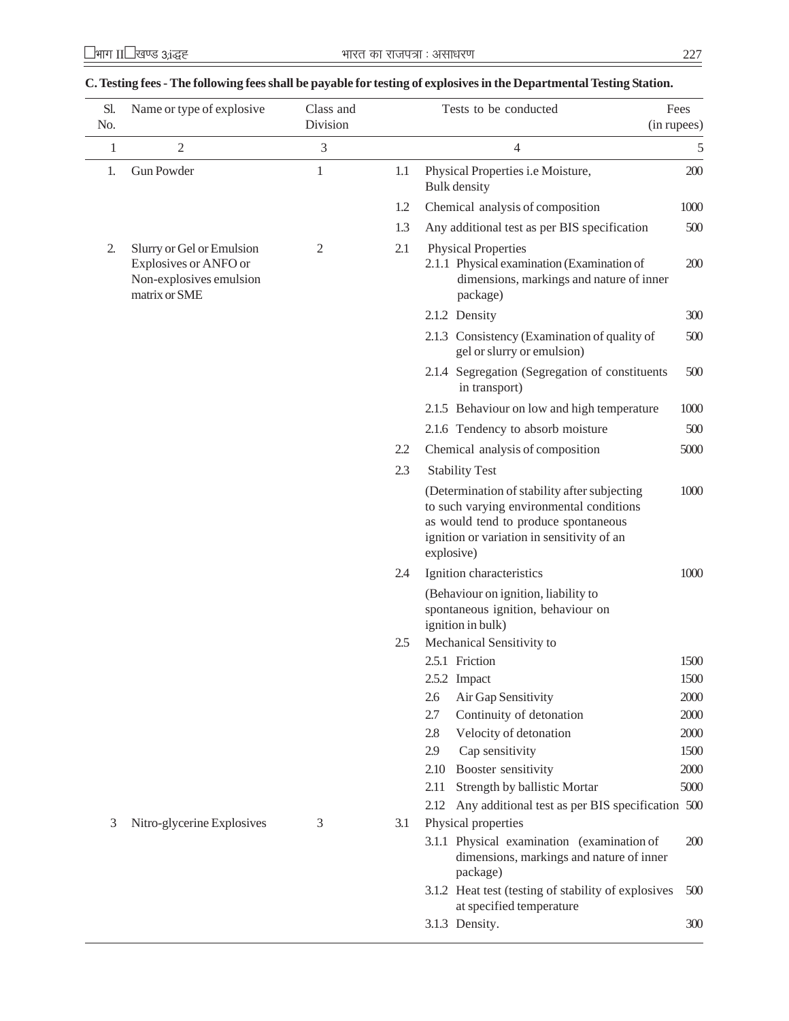| Sl.<br>No. | Name or type of explosive                                                                      | Class and<br>Division |     | Tests to be conducted                                                                                                                                                                        | Fees<br>(in rupees) |
|------------|------------------------------------------------------------------------------------------------|-----------------------|-----|----------------------------------------------------------------------------------------------------------------------------------------------------------------------------------------------|---------------------|
| 1          | $\overline{2}$                                                                                 | 3                     |     | 4                                                                                                                                                                                            | 5                   |
| 1.         | <b>Gun Powder</b>                                                                              | $\mathbf{1}$          | 1.1 | Physical Properties i.e Moisture,<br>Bulk density                                                                                                                                            | 200                 |
|            |                                                                                                |                       | 1.2 | Chemical analysis of composition                                                                                                                                                             | 1000                |
|            |                                                                                                |                       | 1.3 | Any additional test as per BIS specification                                                                                                                                                 | 500                 |
| 2.         | Slurry or Gel or Emulsion<br>Explosives or ANFO or<br>Non-explosives emulsion<br>matrix or SME | $\overline{2}$        | 2.1 | <b>Physical Properties</b><br>2.1.1 Physical examination (Examination of<br>dimensions, markings and nature of inner<br>package)                                                             | 200                 |
|            |                                                                                                |                       |     | 2.1.2 Density                                                                                                                                                                                | 300                 |
|            |                                                                                                |                       |     | 2.1.3 Consistency (Examination of quality of<br>gel or slurry or emulsion)                                                                                                                   | 500                 |
|            |                                                                                                |                       |     | 2.1.4 Segregation (Segregation of constituents<br>in transport)                                                                                                                              | 500                 |
|            |                                                                                                |                       |     | 2.1.5 Behaviour on low and high temperature                                                                                                                                                  | 1000                |
|            |                                                                                                |                       |     | 2.1.6 Tendency to absorb moisture                                                                                                                                                            | 500                 |
|            |                                                                                                |                       | 2.2 | Chemical analysis of composition                                                                                                                                                             | 5000                |
|            |                                                                                                |                       | 2.3 | <b>Stability Test</b>                                                                                                                                                                        |                     |
|            |                                                                                                |                       |     | (Determination of stability after subjecting<br>to such varying environmental conditions<br>as would tend to produce spontaneous<br>ignition or variation in sensitivity of an<br>explosive) | 1000                |
|            |                                                                                                |                       | 2.4 | Ignition characteristics                                                                                                                                                                     | 1000                |
|            |                                                                                                |                       | 2.5 | (Behaviour on ignition, liability to<br>spontaneous ignition, behaviour on<br>ignition in bulk)<br>Mechanical Sensitivity to                                                                 |                     |
|            |                                                                                                |                       |     | 2.5.1 Friction                                                                                                                                                                               | 1500                |
|            |                                                                                                |                       |     | 2.5.2 Impact                                                                                                                                                                                 | 1500                |
|            |                                                                                                |                       |     | 2.6<br>Air Gap Sensitivity                                                                                                                                                                   | 2000                |
|            |                                                                                                |                       |     | 2.7<br>Continuity of detonation                                                                                                                                                              | 2000                |
|            |                                                                                                |                       |     | Velocity of detonation<br>2.8                                                                                                                                                                | 2000                |
|            |                                                                                                |                       |     | 2.9<br>Cap sensitivity                                                                                                                                                                       | 1500                |
|            |                                                                                                |                       |     | 2.10<br>Booster sensitivity                                                                                                                                                                  | 2000                |
|            |                                                                                                |                       |     | Strength by ballistic Mortar<br>2.11                                                                                                                                                         | 5000                |
|            |                                                                                                |                       |     | Any additional test as per BIS specification 500<br>2.12                                                                                                                                     |                     |
| 3          | Nitro-glycerine Explosives                                                                     | 3                     | 3.1 | Physical properties<br>3.1.1 Physical examination (examination of<br>dimensions, markings and nature of inner<br>package)                                                                    | 200                 |
|            |                                                                                                |                       |     | 3.1.2 Heat test (testing of stability of explosives<br>at engoified tamperature                                                                                                              | 500                 |

# **C. Testing fees - The following fees shall be payable for testing of explosives in the Departmental Testing Station.**

- 
- at specified temperature
- 3.1.3 Density. 300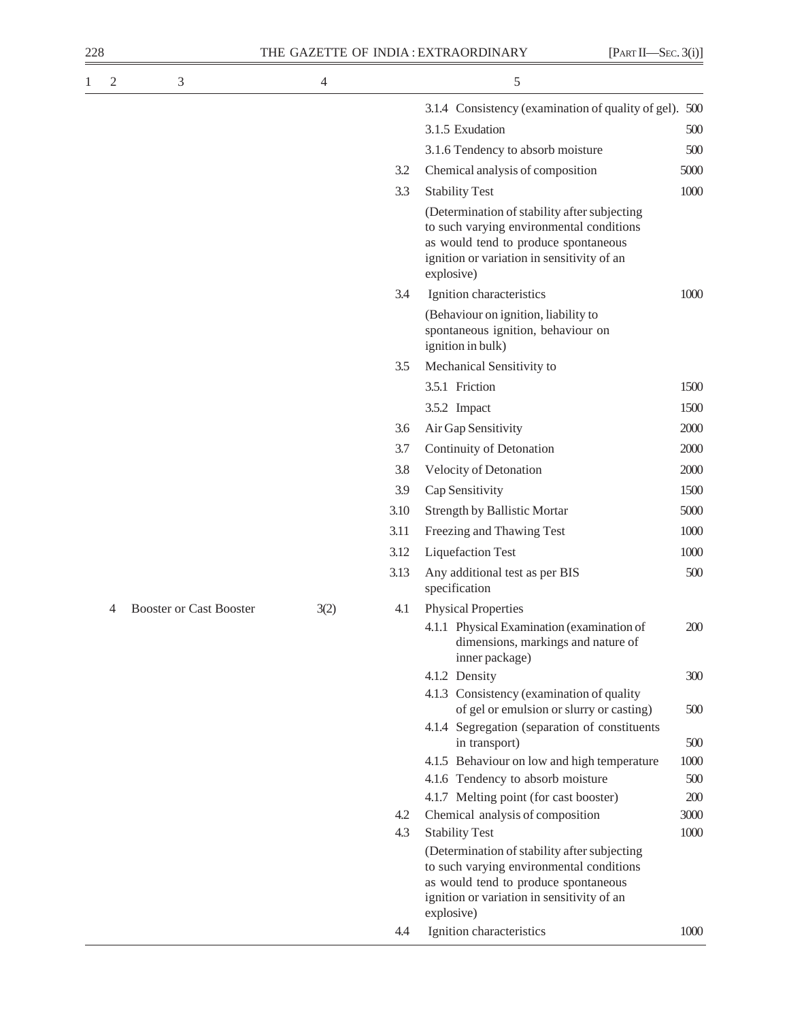| 228 |                |                                |      |      | THE GAZETTE OF INDIA: EXTRAORDINARY<br>[PART II—SEC. 3(i)]                                                                                                                                   |      |
|-----|----------------|--------------------------------|------|------|----------------------------------------------------------------------------------------------------------------------------------------------------------------------------------------------|------|
| 1   | $\mathfrak{2}$ | 3                              | 4    |      | 5                                                                                                                                                                                            |      |
|     |                |                                |      |      | 3.1.4 Consistency (examination of quality of gel). 500                                                                                                                                       |      |
|     |                |                                |      |      | 3.1.5 Exudation                                                                                                                                                                              | 500  |
|     |                |                                |      |      | 3.1.6 Tendency to absorb moisture                                                                                                                                                            | 500  |
|     |                |                                |      | 3.2  | Chemical analysis of composition                                                                                                                                                             | 5000 |
|     |                |                                |      | 3.3  | <b>Stability Test</b>                                                                                                                                                                        | 1000 |
|     |                |                                |      |      | (Determination of stability after subjecting<br>to such varying environmental conditions<br>as would tend to produce spontaneous<br>ignition or variation in sensitivity of an<br>explosive) |      |
|     |                |                                |      | 3.4  | Ignition characteristics                                                                                                                                                                     | 1000 |
|     |                |                                |      |      | (Behaviour on ignition, liability to<br>spontaneous ignition, behaviour on<br>ignition in bulk)                                                                                              |      |
|     |                |                                |      | 3.5  | Mechanical Sensitivity to                                                                                                                                                                    |      |
|     |                |                                |      |      | 3.5.1 Friction                                                                                                                                                                               | 1500 |
|     |                |                                |      |      | 3.5.2 Impact                                                                                                                                                                                 | 1500 |
|     |                |                                |      | 3.6  | Air Gap Sensitivity                                                                                                                                                                          | 2000 |
|     |                |                                |      | 3.7  | Continuity of Detonation                                                                                                                                                                     | 2000 |
|     |                |                                |      | 3.8  | Velocity of Detonation                                                                                                                                                                       | 2000 |
|     |                |                                |      | 3.9  | Cap Sensitivity                                                                                                                                                                              | 1500 |
|     |                |                                |      | 3.10 | <b>Strength by Ballistic Mortar</b>                                                                                                                                                          | 5000 |
|     |                |                                |      | 3.11 | Freezing and Thawing Test                                                                                                                                                                    | 1000 |
|     |                |                                |      | 3.12 | <b>Liquefaction Test</b>                                                                                                                                                                     | 1000 |
|     |                |                                |      | 3.13 | Any additional test as per BIS<br>specification                                                                                                                                              | 500  |
|     | 4              | <b>Booster or Cast Booster</b> | 3(2) | 4.1  | <b>Physical Properties</b>                                                                                                                                                                   |      |
|     |                |                                |      |      | 4.1.1 Physical Examination (examination of<br>dimensions, markings and nature of<br>inner package)                                                                                           | 200  |
|     |                |                                |      |      | 4.1.2 Density                                                                                                                                                                                | 300  |
|     |                |                                |      |      | 4.1.3 Consistency (examination of quality<br>of gel or emulsion or slurry or casting)                                                                                                        | 500  |
|     |                |                                |      |      | 4.1.4 Segregation (separation of constituents<br>in transport)                                                                                                                               | 500  |
|     |                |                                |      |      | 4.1.5 Behaviour on low and high temperature                                                                                                                                                  | 1000 |
|     |                |                                |      |      | 4.1.6 Tendency to absorb moisture                                                                                                                                                            | 500  |
|     |                |                                |      |      | 4.1.7 Melting point (for cast booster)                                                                                                                                                       | 200  |
|     |                |                                |      | 4.2  | Chemical analysis of composition                                                                                                                                                             | 3000 |
|     |                |                                |      | 4.3  | <b>Stability Test</b>                                                                                                                                                                        | 1000 |
|     |                |                                |      |      | (Determination of stability after subjecting<br>to such varying environmental conditions<br>as would tend to produce spontaneous<br>ignition or variation in sensitivity of an               |      |

explosive)

4.4 Ignition characteristics 1000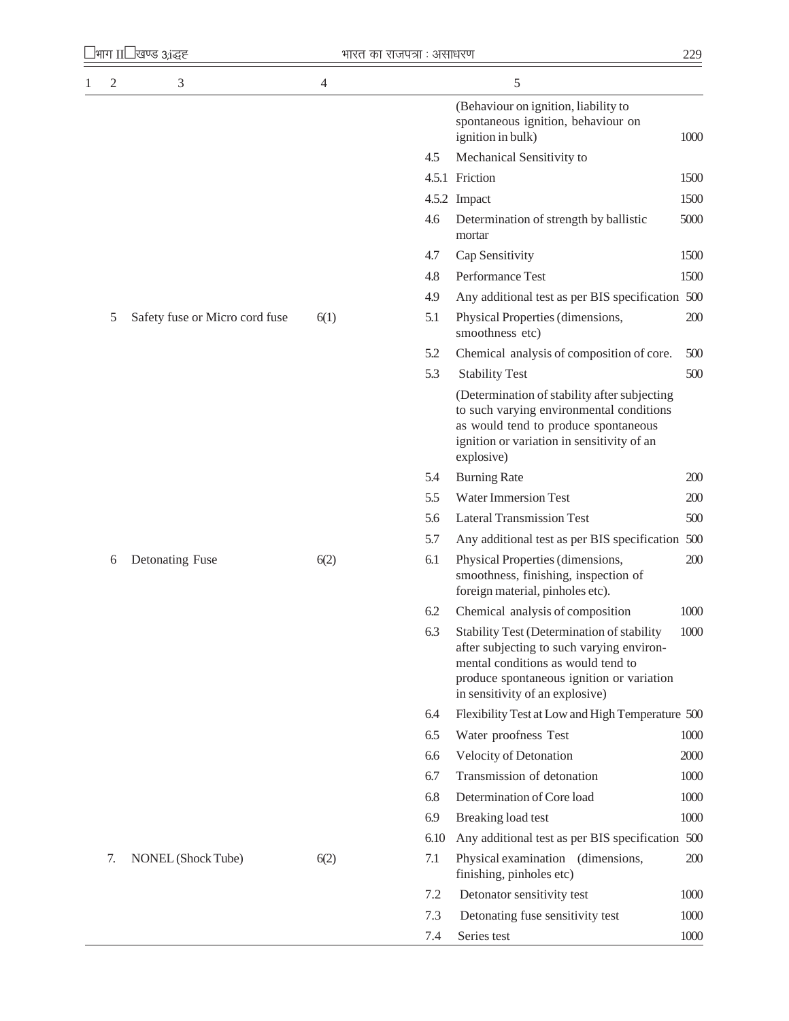| 1 |    | भाग II <sup>1</sup> खण्ड 3;ांद्धह | भारत का राजपत्रा : असाधरण |      |                                                                                                                                                                                                               | 229  |
|---|----|-----------------------------------|---------------------------|------|---------------------------------------------------------------------------------------------------------------------------------------------------------------------------------------------------------------|------|
|   | 2  | $\mathfrak{Z}$                    | 4                         |      | 5                                                                                                                                                                                                             |      |
|   |    |                                   |                           |      | (Behaviour on ignition, liability to<br>spontaneous ignition, behaviour on<br>ignition in bulk)                                                                                                               | 1000 |
|   |    |                                   |                           | 4.5  | Mechanical Sensitivity to                                                                                                                                                                                     |      |
|   |    |                                   |                           |      | 4.5.1 Friction                                                                                                                                                                                                | 1500 |
|   |    |                                   |                           |      | 4.5.2 Impact                                                                                                                                                                                                  | 1500 |
|   |    |                                   |                           | 4.6  | Determination of strength by ballistic<br>mortar                                                                                                                                                              | 5000 |
|   |    |                                   |                           | 4.7  | Cap Sensitivity                                                                                                                                                                                               | 1500 |
|   |    |                                   |                           | 4.8  | Performance Test                                                                                                                                                                                              | 1500 |
|   |    |                                   |                           | 4.9  | Any additional test as per BIS specification 500                                                                                                                                                              |      |
|   | 5  | Safety fuse or Micro cord fuse    | 6(1)                      | 5.1  | Physical Properties (dimensions,<br>smoothness etc)                                                                                                                                                           | 200  |
|   |    |                                   |                           | 5.2  | Chemical analysis of composition of core.                                                                                                                                                                     | 500  |
|   |    |                                   |                           | 5.3  | <b>Stability Test</b>                                                                                                                                                                                         | 500  |
|   |    |                                   |                           |      | (Determination of stability after subjecting<br>to such varying environmental conditions<br>as would tend to produce spontaneous<br>ignition or variation in sensitivity of an<br>explosive)                  |      |
|   |    |                                   |                           | 5.4  | <b>Burning Rate</b>                                                                                                                                                                                           | 200  |
|   |    |                                   |                           | 5.5  | <b>Water Immersion Test</b>                                                                                                                                                                                   | 200  |
|   |    |                                   |                           | 5.6  | <b>Lateral Transmission Test</b>                                                                                                                                                                              | 500  |
|   |    |                                   |                           | 5.7  | Any additional test as per BIS specification 500                                                                                                                                                              |      |
|   | 6  | Detonating Fuse                   | 6(2)                      | 6.1  | Physical Properties (dimensions,<br>smoothness, finishing, inspection of<br>foreign material, pinholes etc).                                                                                                  | 200  |
|   |    |                                   |                           | 6.2  | Chemical analysis of composition                                                                                                                                                                              | 1000 |
|   |    |                                   |                           | 6.3  | Stability Test (Determination of stability<br>after subjecting to such varying environ-<br>mental conditions as would tend to<br>produce spontaneous ignition or variation<br>in sensitivity of an explosive) | 1000 |
|   |    |                                   |                           | 6.4  | Flexibility Test at Low and High Temperature 500                                                                                                                                                              |      |
|   |    |                                   |                           | 6.5  | Water proofness Test                                                                                                                                                                                          | 1000 |
|   |    |                                   |                           | 6.6  | Velocity of Detonation                                                                                                                                                                                        | 2000 |
|   |    |                                   |                           | 6.7  | Transmission of detonation                                                                                                                                                                                    | 1000 |
|   |    |                                   |                           | 6.8  | Determination of Core load                                                                                                                                                                                    | 1000 |
|   |    |                                   |                           | 6.9  | Breaking load test                                                                                                                                                                                            | 1000 |
|   |    |                                   |                           | 6.10 | Any additional test as per BIS specification 500                                                                                                                                                              |      |
|   | 7. | NONEL (Shock Tube)                | 6(2)                      | 7.1  | Physical examination (dimensions,<br>finishing, pinholes etc)                                                                                                                                                 | 200  |
|   |    |                                   |                           | 7.2  | Detonator sensitivity test                                                                                                                                                                                    | 1000 |
|   |    |                                   |                           | 7.3  | Detonating fuse sensitivity test                                                                                                                                                                              | 1000 |
|   |    |                                   |                           | 7.4  | Series test                                                                                                                                                                                                   | 1000 |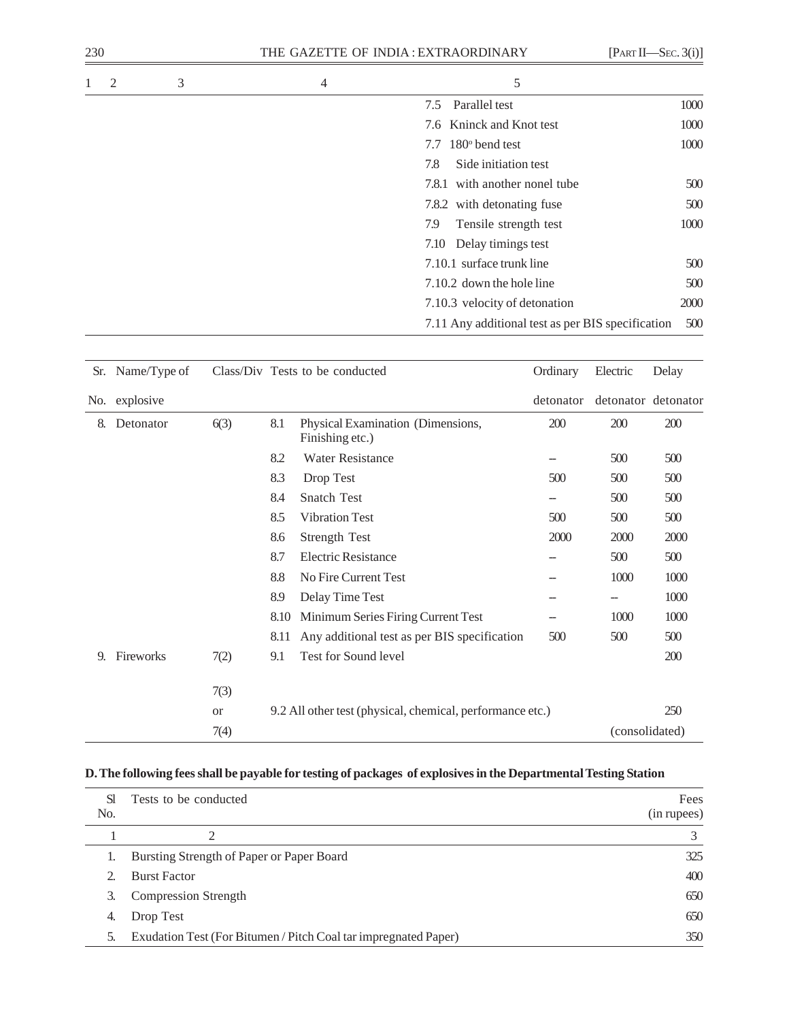| 230 |   |   | THE GAZETTE OF INDIA: EXTRAORDINARY<br>[PART II—SEC. 3(i)] |                                                   |      |  |  |
|-----|---|---|------------------------------------------------------------|---------------------------------------------------|------|--|--|
| 1   | 2 | 3 | 4                                                          | 5                                                 |      |  |  |
|     |   |   |                                                            | Parallel test<br>7.5                              | 1000 |  |  |
|     |   |   |                                                            | 7.6 Kninck and Knot test                          | 1000 |  |  |
|     |   |   |                                                            | 7.7 $180^\circ$ bend test                         | 1000 |  |  |
|     |   |   |                                                            | Side initiation test<br>7.8                       |      |  |  |
|     |   |   |                                                            | 7.8.1 with another nonel tube                     | 500  |  |  |
|     |   |   |                                                            | 7.8.2 with detonating fuse                        | 500  |  |  |
|     |   |   |                                                            | 7.9<br>Tensile strength test                      | 1000 |  |  |
|     |   |   |                                                            | Delay timings test<br>7.10                        |      |  |  |
|     |   |   |                                                            | 7.10.1 surface trunk line                         | 500  |  |  |
|     |   |   |                                                            | 7.10.2 down the hole line                         | 500  |  |  |
|     |   |   |                                                            | 7.10.3 velocity of detonation                     | 2000 |  |  |
|     |   |   |                                                            | 7.11 Any additional test as per BIS specification | 500  |  |  |

|    | Sr. Name/Type of |           |      | Class/Div Tests to be conducted                           | Ordinary  | Electric | Delay               |
|----|------------------|-----------|------|-----------------------------------------------------------|-----------|----------|---------------------|
|    | No. explosive    |           |      |                                                           | detonator |          | detonator detonator |
| 8. | Detonator        | 6(3)      | 8.1  | Physical Examination (Dimensions,<br>Finishing etc.)      | 200       | 200      | 200                 |
|    |                  |           | 8.2  | <b>Water Resistance</b>                                   | --        | 500      | 500                 |
|    |                  |           | 8.3  | Drop Test                                                 | 500       | 500      | 500                 |
|    |                  |           | 8.4  | Snatch Test                                               | --        | 500      | 500                 |
|    |                  |           | 8.5  | <b>Vibration Test</b>                                     | 500       | 500      | 500                 |
|    |                  |           | 8.6  | <b>Strength Test</b>                                      | 2000      | 2000     | 2000                |
|    |                  |           | 8.7  | <b>Electric Resistance</b>                                |           | 500      | 500                 |
|    |                  |           | 8.8  | No Fire Current Test                                      | --        | 1000     | 1000                |
|    |                  |           | 8.9  | Delay Time Test                                           |           | --       | 1000                |
|    |                  |           | 8.10 | Minimum Series Firing Current Test                        | --        | 1000     | 1000                |
|    |                  |           | 8.11 | Any additional test as per BIS specification              | 500       | 500      | 500                 |
| 9. | Fireworks        | 7(2)      | 9.1  | Test for Sound level                                      |           |          | 200                 |
|    |                  | 7(3)      |      |                                                           |           |          |                     |
|    |                  | <b>or</b> |      | 9.2 All other test (physical, chemical, performance etc.) |           |          | 250                 |
|    |                  | 7(4)      |      |                                                           |           |          | (consolidated)      |

# **D. The following fees shall be payable for testing of packages of explosives in the Departmental Testing Station**

| Sl.<br>No. | Tests to be conducted                                           | Fees<br>(in rupees) |
|------------|-----------------------------------------------------------------|---------------------|
|            | ◠                                                               |                     |
|            |                                                                 |                     |
|            | Bursting Strength of Paper or Paper Board                       | 325                 |
|            | <b>Burst Factor</b>                                             | 400                 |
|            | <b>Compression Strength</b>                                     | 650                 |
| 4.         | Drop Test                                                       | 650                 |
| 5.         | Exudation Test (For Bitumen / Pitch Coal tar impregnated Paper) | 350                 |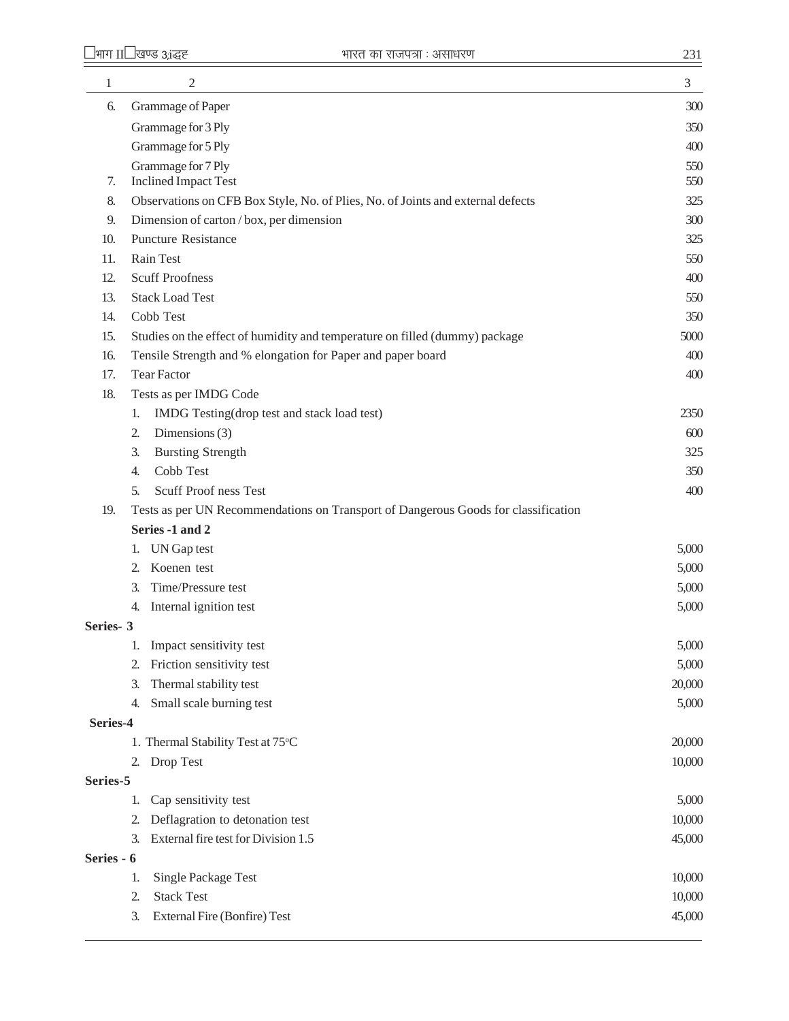| 1          | $\mathfrak{2}$                                                                                        | $\mathfrak{Z}$ |
|------------|-------------------------------------------------------------------------------------------------------|----------------|
| 6.         | Grammage of Paper                                                                                     | 300            |
|            | Grammage for 3 Ply                                                                                    | 350            |
|            | Grammage for 5 Ply                                                                                    | 400            |
|            | Grammage for 7 Ply                                                                                    | 550            |
| 7.         | <b>Inclined Impact Test</b>                                                                           | 550            |
| 8.         | Observations on CFB Box Style, No. of Plies, No. of Joints and external defects                       | 325            |
| 9.         | Dimension of carton / box, per dimension                                                              | 300            |
| 10.        | <b>Puncture Resistance</b>                                                                            | 325            |
| 11.        | Rain Test                                                                                             | 550            |
| 12.        | <b>Scuff Proofness</b>                                                                                | 400            |
| 13.        | <b>Stack Load Test</b>                                                                                | 550            |
| 14.        | Cobb Test                                                                                             | 350            |
| 15.        | Studies on the effect of humidity and temperature on filled (dummy) package                           | 5000           |
| 16.        | Tensile Strength and % elongation for Paper and paper board                                           | 400            |
| 17.        | <b>Tear Factor</b>                                                                                    | 400            |
| 18.        | Tests as per IMDG Code                                                                                |                |
|            | IMDG Testing(drop test and stack load test)<br>1.                                                     | 2350           |
|            | Dimensions (3)<br>2.                                                                                  | 600            |
|            | <b>Bursting Strength</b><br>3.                                                                        | 325            |
|            | Cobb Test<br>4.                                                                                       | 350            |
|            | Scuff Proof ness Test<br>5.                                                                           | 400            |
| 19.        | Tests as per UN Recommendations on Transport of Dangerous Goods for classification<br>Series -1 and 2 |                |
|            |                                                                                                       |                |
|            | UN Gap test<br>1.<br>Koenen test<br>2.                                                                | 5,000<br>5,000 |
|            | Time/Pressure test<br>3.                                                                              | 5,000          |
|            | Internal ignition test<br>4.                                                                          | 5,000          |
| Series-3   |                                                                                                       |                |
|            | Impact sensitivity test<br>1.                                                                         | 5,000          |
|            | Friction sensitivity test<br>2.                                                                       | 5,000          |
|            | Thermal stability test<br>3.                                                                          | 20,000         |
|            | Small scale burning test<br>4.                                                                        | 5,000          |
| Series-4   |                                                                                                       |                |
|            | 1. Thermal Stability Test at 75°C                                                                     | 20,000         |
|            | Drop Test<br>2.                                                                                       | 10,000         |
| Series-5   |                                                                                                       |                |
|            | Cap sensitivity test<br>1.                                                                            | 5,000          |
|            | Deflagration to detonation test<br>2.                                                                 | 10,000         |
|            | External fire test for Division 1.5<br>3.                                                             | 45,000         |
| Series - 6 |                                                                                                       |                |
|            | <b>Single Package Test</b><br>1.                                                                      | 10,000         |
|            | <b>Stack Test</b><br>2.                                                                               | 10,000         |
|            | <b>External Fire (Bonfire) Test</b><br>3.                                                             | 45,000         |
|            |                                                                                                       |                |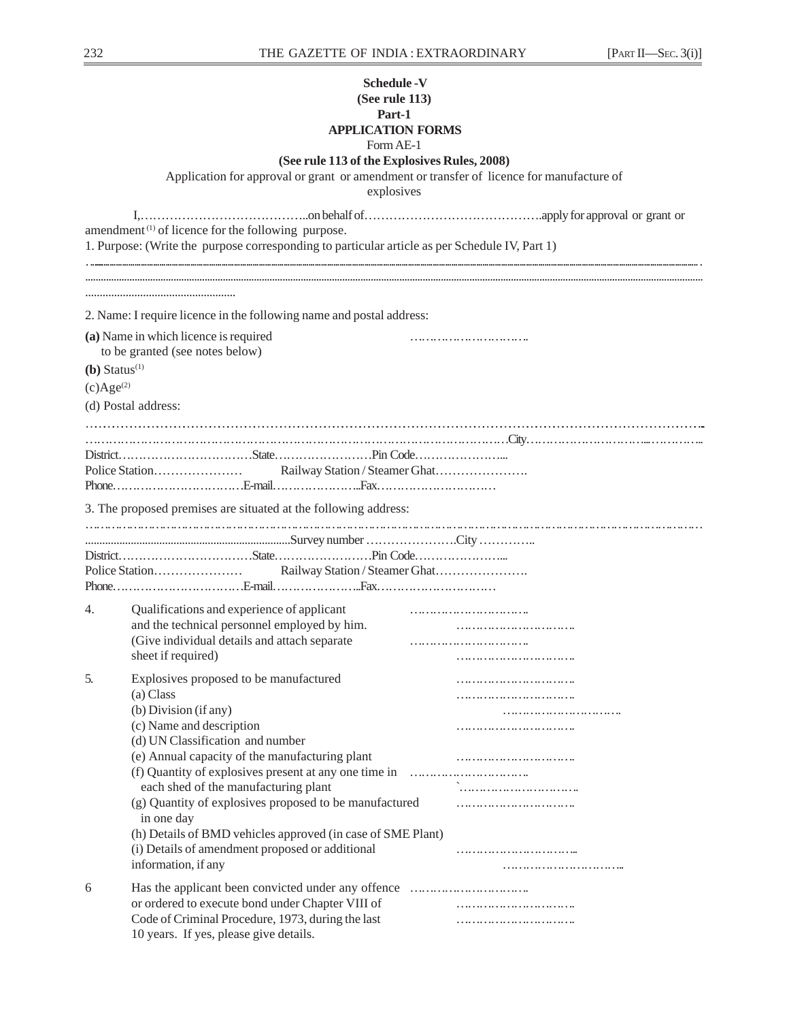|                             | <b>Schedule -V</b><br>(See rule 113)<br>Part-1<br><b>APPLICATION FORMS</b>                             |                                |
|-----------------------------|--------------------------------------------------------------------------------------------------------|--------------------------------|
|                             | Form AE-1                                                                                              |                                |
|                             | (See rule 113 of the Explosives Rules, 2008)                                                           |                                |
|                             | Application for approval or grant or amendment or transfer of licence for manufacture of<br>explosives |                                |
|                             |                                                                                                        |                                |
|                             | amendment <sup>(1)</sup> of licence for the following purpose.                                         |                                |
|                             | 1. Purpose: (Write the purpose corresponding to particular article as per Schedule IV, Part 1)         |                                |
|                             |                                                                                                        |                                |
|                             |                                                                                                        |                                |
|                             | 2. Name: I require licence in the following name and postal address:                                   |                                |
|                             |                                                                                                        |                                |
|                             | (a) Name in which licence is required<br>to be granted (see notes below)                               |                                |
| $(b)$ Status <sup>(1)</sup> |                                                                                                        |                                |
| $(c)Age^{(2)}$              |                                                                                                        |                                |
|                             | (d) Postal address:                                                                                    |                                |
|                             |                                                                                                        |                                |
|                             |                                                                                                        |                                |
|                             |                                                                                                        |                                |
|                             |                                                                                                        | Railway Station / Steamer Ghat |
|                             |                                                                                                        |                                |
|                             | 3. The proposed premises are situated at the following address:                                        |                                |
|                             |                                                                                                        |                                |
|                             |                                                                                                        |                                |
|                             |                                                                                                        |                                |
|                             |                                                                                                        |                                |
| 4.                          | Qualifications and experience of applicant                                                             |                                |
|                             | and the technical personnel employed by him.                                                           |                                |
|                             | (Give individual details and attach separate                                                           |                                |
|                             | sheet if required)                                                                                     |                                |
| 5.                          | Explosives proposed to be manufactured                                                                 |                                |
|                             | (a) Class                                                                                              |                                |
|                             | (b) Division (if any)                                                                                  |                                |
|                             | (c) Name and description                                                                               |                                |
|                             | (d) UN Classification and number<br>(e) Annual capacity of the manufacturing plant                     |                                |
|                             | (f) Quantity of explosives present at any one time in                                                  |                                |
|                             | each shed of the manufacturing plant                                                                   |                                |
|                             | (g) Quantity of explosives proposed to be manufactured                                                 |                                |
|                             | in one day                                                                                             |                                |
|                             | (h) Details of BMD vehicles approved (in case of SME Plant)                                            |                                |
|                             | (i) Details of amendment proposed or additional<br>information, if any                                 |                                |
|                             |                                                                                                        |                                |
| 6                           |                                                                                                        |                                |
|                             | or ordered to execute bond under Chapter VIII of<br>Code of Criminal Procedure, 1973, during the last  |                                |
|                             | 10 years. If yes, please give details.                                                                 |                                |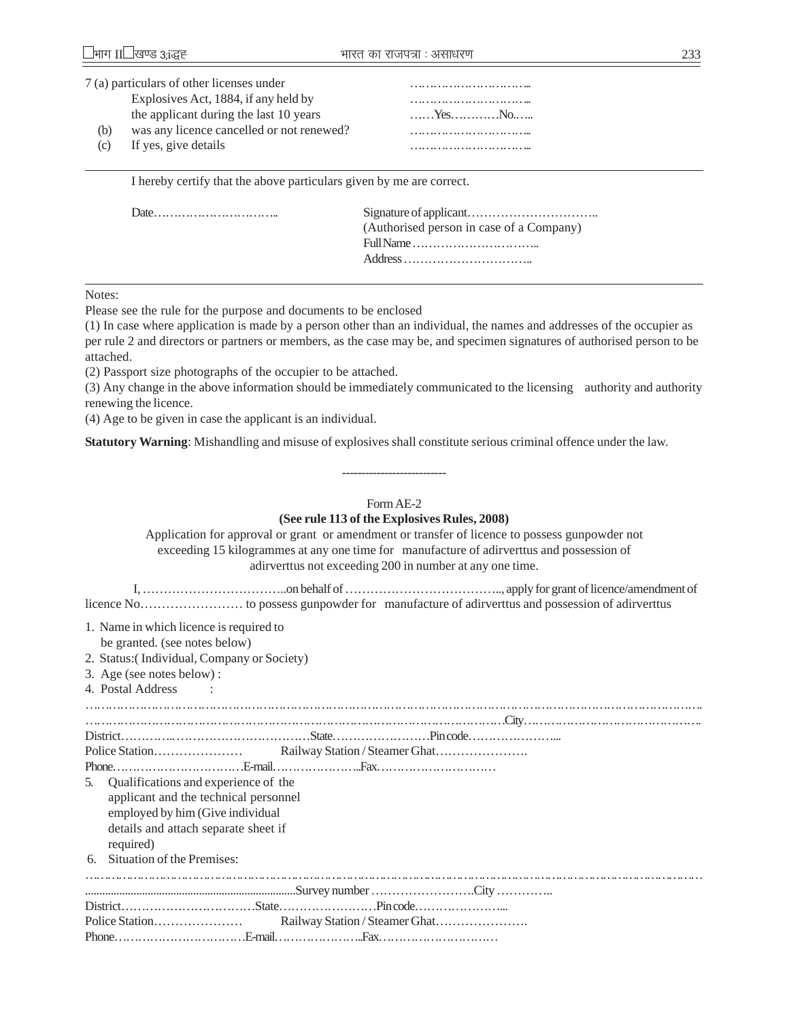|           | 7 (a) particulars of other licenses under |                              |
|-----------|-------------------------------------------|------------------------------|
|           | Explosives Act, 1884, if any held by      |                              |
|           | the applicant during the last 10 years    | $, Y_{\text{CS}},,, N_{0},,$ |
| (b)       | was any licence cancelled or not renewed? |                              |
| $\rm (c)$ | If yes, give details                      |                              |

I hereby certify that the above particulars given by me are correct.

| (Authorised person in case of a Company) |
|------------------------------------------|
|                                          |
|                                          |
|                                          |

Notes:

Please see the rule for the purpose and documents to be enclosed

(1) In case where application is made by a person other than an individual, the names and addresses of the occupier as per rule 2 and directors or partners or members, as the case may be, and specimen signatures of authorised person to be attached.

(2) Passport size photographs of the occupier to be attached.

(3) Any change in the above information should be immediately communicated to the licensing authority and authority renewing the licence.

(4) Age to be given in case the applicant is an individual.

**Statutory Warning**: Mishandling and misuse of explosives shall constitute serious criminal offence under the law.

## Form AE-2

---------------------------

## **(See rule 113 of the Explosives Rules, 2008)**

Application for approval or grant or amendment or transfer of licence to possess gunpowder not exceeding 15 kilogrammes at any one time for manufacture of adirverttus and possession of adirverttus not exceeding 200 in number at any one time.

 I, ……………………………..on behalf of ……………………………….., apply for grant of licence/amendment of licence No…………………… to possess gunpowder for manufacture of adirverttus and possession of adirverttus

1. Name in which licence is required to

be granted. (see notes below)

- 2. Status:( Individual, Company or Society)
- 3. Age (see notes below) :
- 4. Postal Address :

……………………………………………………………………………………………………………………………………………. ………………………………………………………………………………………………City………………………………………. District………….. ……………………………State……………………Pin code…………………... Police Station………………… Railway Station / Steamer Ghat…………………. Phone……………………………E-mail…………………..Fax………………………… 5. Qualifications and experience of the applicant and the technical personnel employed by him (Give individual details and attach separate sheet if required) 6. Situation of the Premises: …………………………………………………………………………………………………………………………………………………… ..........................................................................Survey number …………………….City ………….. District……………………………State……………………Pin code…………………... Police Station………………… Railway Station / Steamer Ghat…………………. Phone……………………………E-mail…………………..Fax…………………………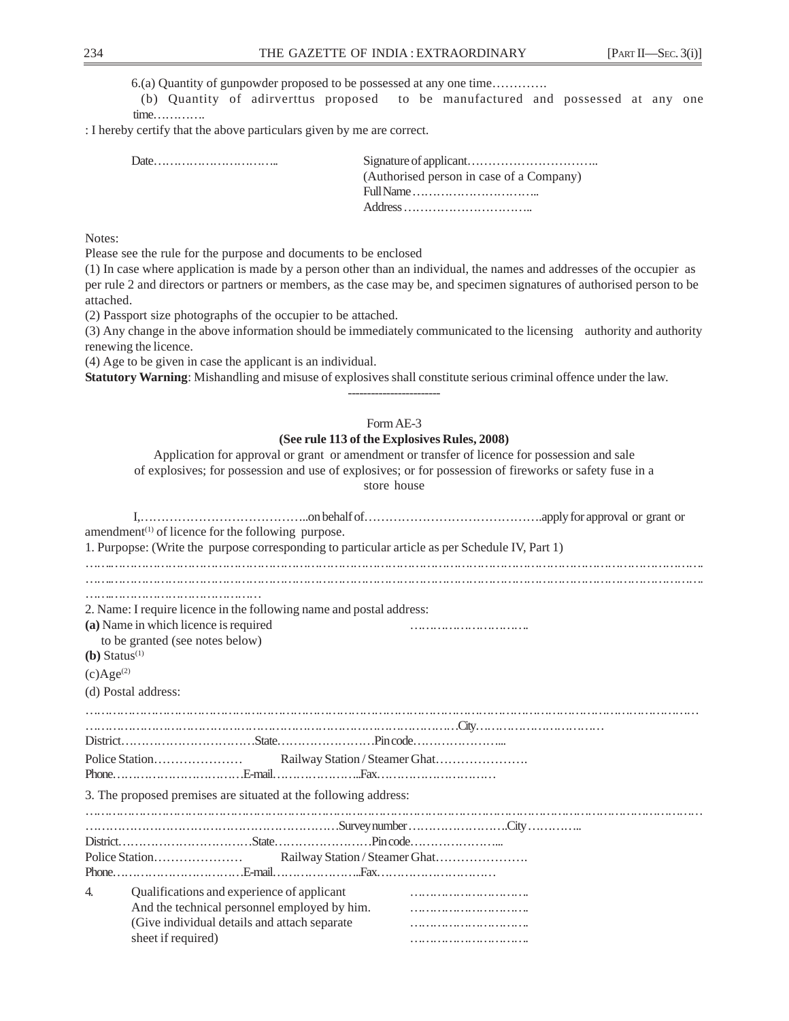6.(a) Quantity of gunpowder proposed to be possessed at any one time………….

 (b) Quantity of adirverttus proposed to be manufactured and possessed at any one time………….

: I hereby certify that the above particulars given by me are correct.

| (Authorised person in case of a Company) |
|------------------------------------------|
|                                          |
|                                          |
|                                          |

Notes:

Please see the rule for the purpose and documents to be enclosed

(1) In case where application is made by a person other than an individual, the names and addresses of the occupier as per rule 2 and directors or partners or members, as the case may be, and specimen signatures of authorised person to be attached.

(2) Passport size photographs of the occupier to be attached.

(3) Any change in the above information should be immediately communicated to the licensing authority and authority renewing the licence.

(4) Age to be given in case the applicant is an individual.

**Statutory Warning**: Mishandling and misuse of explosives shall constitute serious criminal offence under the law.

## Form AE-3 **(See rule 113 of the Explosives Rules, 2008)**

------------------------

Application for approval or grant or amendment or transfer of licence for possession and sale of explosives; for possession and use of explosives; or for possession of fireworks or safety fuse in a store house

|                             | amendment <sup>(1)</sup> of licence for the following purpose.                                  |  |  |
|-----------------------------|-------------------------------------------------------------------------------------------------|--|--|
|                             | 1. Purpopse: (Write the purpose corresponding to particular article as per Schedule IV, Part 1) |  |  |
|                             |                                                                                                 |  |  |
|                             |                                                                                                 |  |  |
|                             |                                                                                                 |  |  |
|                             | 2. Name: I require licence in the following name and postal address:                            |  |  |
|                             | (a) Name in which licence is required                                                           |  |  |
|                             | to be granted (see notes below)                                                                 |  |  |
| $(b)$ Status <sup>(1)</sup> |                                                                                                 |  |  |
| $(c)Age^{(2)}$              |                                                                                                 |  |  |
|                             |                                                                                                 |  |  |
|                             | (d) Postal address:                                                                             |  |  |
|                             |                                                                                                 |  |  |
|                             |                                                                                                 |  |  |
|                             |                                                                                                 |  |  |
|                             |                                                                                                 |  |  |
|                             |                                                                                                 |  |  |
|                             | 3. The proposed premises are situated at the following address:                                 |  |  |
|                             |                                                                                                 |  |  |
|                             |                                                                                                 |  |  |
|                             |                                                                                                 |  |  |
|                             |                                                                                                 |  |  |
|                             |                                                                                                 |  |  |
| 4.                          | Qualifications and experience of applicant                                                      |  |  |
|                             | And the technical personnel employed by him.                                                    |  |  |
|                             | (Give individual details and attach separate                                                    |  |  |
|                             | sheet if required)                                                                              |  |  |
|                             |                                                                                                 |  |  |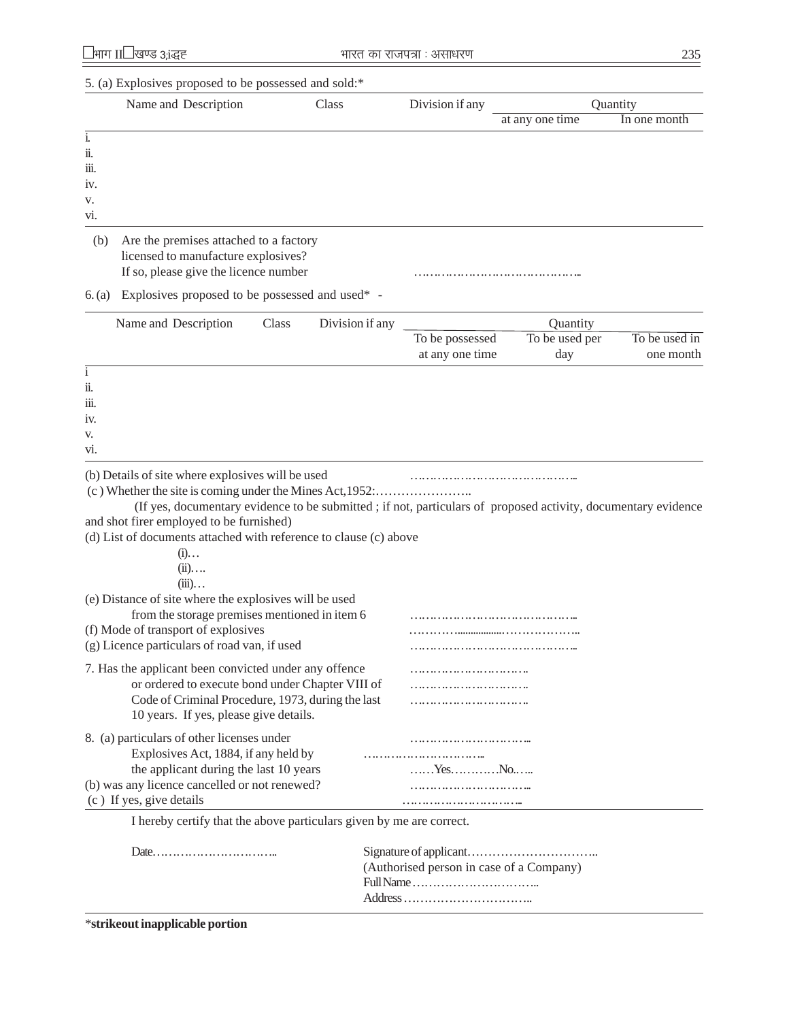|      | Name and Description                   | Class | Division if any | Quantity        |              |
|------|----------------------------------------|-------|-----------------|-----------------|--------------|
|      |                                        |       |                 | at any one time | In one month |
| 1.   |                                        |       |                 |                 |              |
| ii.  |                                        |       |                 |                 |              |
| iii. |                                        |       |                 |                 |              |
| iv.  |                                        |       |                 |                 |              |
| V.   |                                        |       |                 |                 |              |
| vi.  |                                        |       |                 |                 |              |
| (b)  | Are the premises attached to a factory |       |                 |                 |              |

licensed to manufacture explosives? If so, please give the licence number ……………………………………..

| Name and Description                                                                                           | Class | Division if any |                 | Quantity       |               |
|----------------------------------------------------------------------------------------------------------------|-------|-----------------|-----------------|----------------|---------------|
|                                                                                                                |       |                 | To be possessed | To be used per | To be used in |
|                                                                                                                |       |                 | at any one time | day            | one month     |
| $\mathbf{1}$                                                                                                   |       |                 |                 |                |               |
| ii.                                                                                                            |       |                 |                 |                |               |
| 111.                                                                                                           |       |                 |                 |                |               |
| 1V.                                                                                                            |       |                 |                 |                |               |
| V.                                                                                                             |       |                 |                 |                |               |
| VI.                                                                                                            |       |                 |                 |                |               |
| (b) Details of site where explosives will be used                                                              |       |                 |                 |                |               |
| (c) Whether the site is coming under the Mines Act, 1952                                                       |       |                 |                 |                |               |
| (If yes, documentary evidence to be submitted ; if not, particulars of proposed activity, documentary evidence |       |                 |                 |                |               |
| and shot firer employed to be furnished)                                                                       |       |                 |                 |                |               |
| (d) List of documents attached with reference to clause (c) above                                              |       |                 |                 |                |               |
| $(i)$                                                                                                          |       |                 |                 |                |               |
| $(ii)$                                                                                                         |       |                 |                 |                |               |
| $(iii)$                                                                                                        |       |                 |                 |                |               |
| (e) Distance of site where the explosives will be used                                                         |       |                 |                 |                |               |
| from the storage premises mentioned in item 6                                                                  |       |                 |                 |                |               |
| (f) Mode of transport of explosives                                                                            |       |                 |                 |                |               |
| (g) Licence particulars of road van, if used                                                                   |       |                 |                 |                |               |
| 7. Has the applicant been convicted under any offence                                                          |       |                 |                 |                |               |
| or ordered to execute bond under Chapter VIII of                                                               |       |                 |                 |                |               |
| Code of Criminal Procedure, 1973, during the last                                                              |       |                 |                 |                |               |
| 10 years. If yes, please give details.                                                                         |       |                 |                 |                |               |
| 8. (a) particulars of other licenses under                                                                     |       |                 |                 |                |               |
| Explosives Act, 1884, if any held by                                                                           |       |                 |                 |                |               |
| the applicant during the last 10 years                                                                         |       |                 |                 |                |               |
| (b) was any licence cancelled or not renewed?                                                                  |       |                 |                 |                |               |
| (c) If yes, give details                                                                                       |       |                 |                 |                |               |
| I hereby certify that the above particulars given by me are correct.                                           |       |                 |                 |                |               |
|                                                                                                                |       |                 |                 |                |               |
|                                                                                                                |       |                 |                 |                |               |

\***strikeout inapplicable portion**

<sup>6. (</sup>a) Explosives proposed to be possessed and used\* -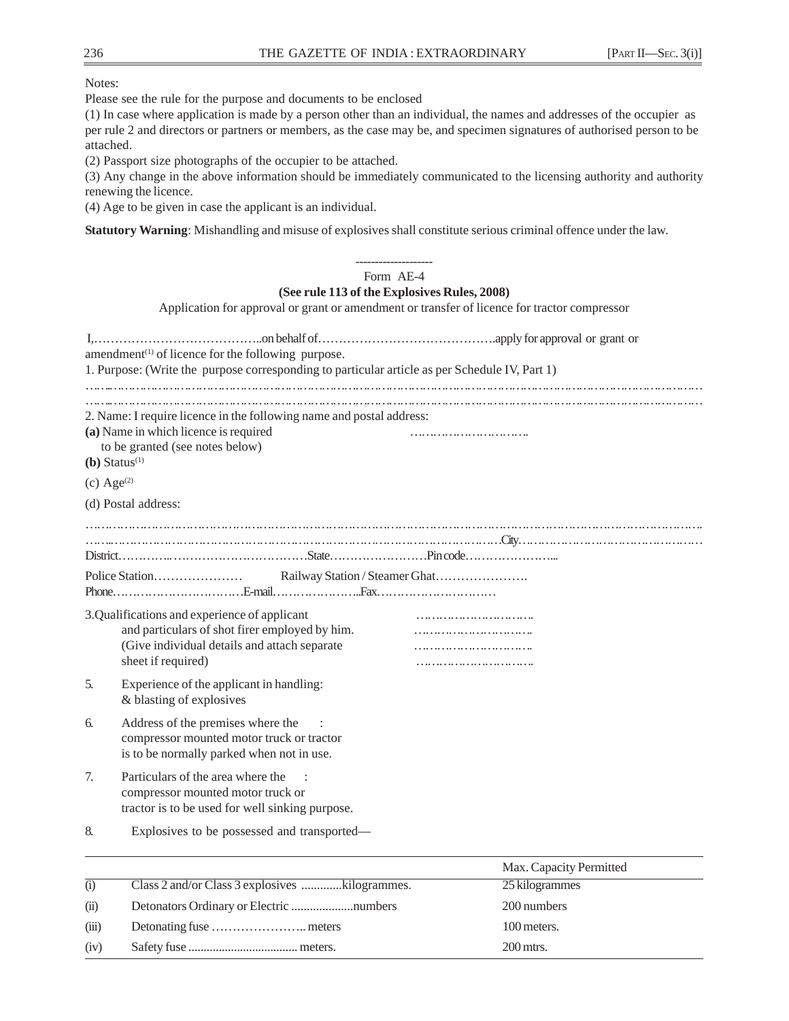Notes:

Please see the rule for the purpose and documents to be enclosed

(1) In case where application is made by a person other than an individual, the names and addresses of the occupier as per rule 2 and directors or partners or members, as the case may be, and specimen signatures of authorised person to be attached.

(2) Passport size photographs of the occupier to be attached.

(3) Any change in the above information should be immediately communicated to the licensing authority and authority renewing the licence.

(4) Age to be given in case the applicant is an individual.

**Statutory Warning**: Mishandling and misuse of explosives shall constitute serious criminal offence under the law.

|                          |                                                                                                                                                         | Form AE-4                                                                                    |
|--------------------------|---------------------------------------------------------------------------------------------------------------------------------------------------------|----------------------------------------------------------------------------------------------|
|                          |                                                                                                                                                         | (See rule 113 of the Explosives Rules, 2008)                                                 |
|                          |                                                                                                                                                         | Application for approval or grant or amendment or transfer of licence for tractor compressor |
|                          | amendment $(1)$ of licence for the following purpose.<br>1. Purpose: (Write the purpose corresponding to particular article as per Schedule IV, Part 1) |                                                                                              |
|                          | 2. Name: I require licence in the following name and postal address:<br>(a) Name in which licence is required<br>to be granted (see notes below)        |                                                                                              |
|                          | $(b)$ Status <sup>(1)</sup>                                                                                                                             |                                                                                              |
| $(c)$ Age <sup>(2)</sup> |                                                                                                                                                         |                                                                                              |
|                          | (d) Postal address:                                                                                                                                     |                                                                                              |
|                          |                                                                                                                                                         |                                                                                              |
|                          |                                                                                                                                                         |                                                                                              |
|                          |                                                                                                                                                         |                                                                                              |
|                          |                                                                                                                                                         |                                                                                              |
|                          | 3.Qualifications and experience of applicant                                                                                                            |                                                                                              |
|                          | and particulars of shot firer employed by him.                                                                                                          |                                                                                              |
|                          | (Give individual details and attach separate                                                                                                            |                                                                                              |
|                          | sheet if required)                                                                                                                                      |                                                                                              |
| 5.                       | Experience of the applicant in handling:<br>& blasting of explosives                                                                                    |                                                                                              |
| б.                       | Address of the premises where the<br>compressor mounted motor truck or tractor<br>is to be normally parked when not in use.                             |                                                                                              |
| 7.                       | Particulars of the area where the<br>compressor mounted motor truck or<br>tractor is to be used for well sinking purpose.                               |                                                                                              |
| 8.                       | Explosives to be possessed and transported-                                                                                                             |                                                                                              |
|                          |                                                                                                                                                         | Max. Capacity Permitted                                                                      |

|       | Max. Capacity Permitted |
|-------|-------------------------|
| (i)   | 25 kilogrammes          |
| (ii)  | 200 numbers             |
| (iii) | 100 meters.             |
| (iv)  | $200$ mtrs.             |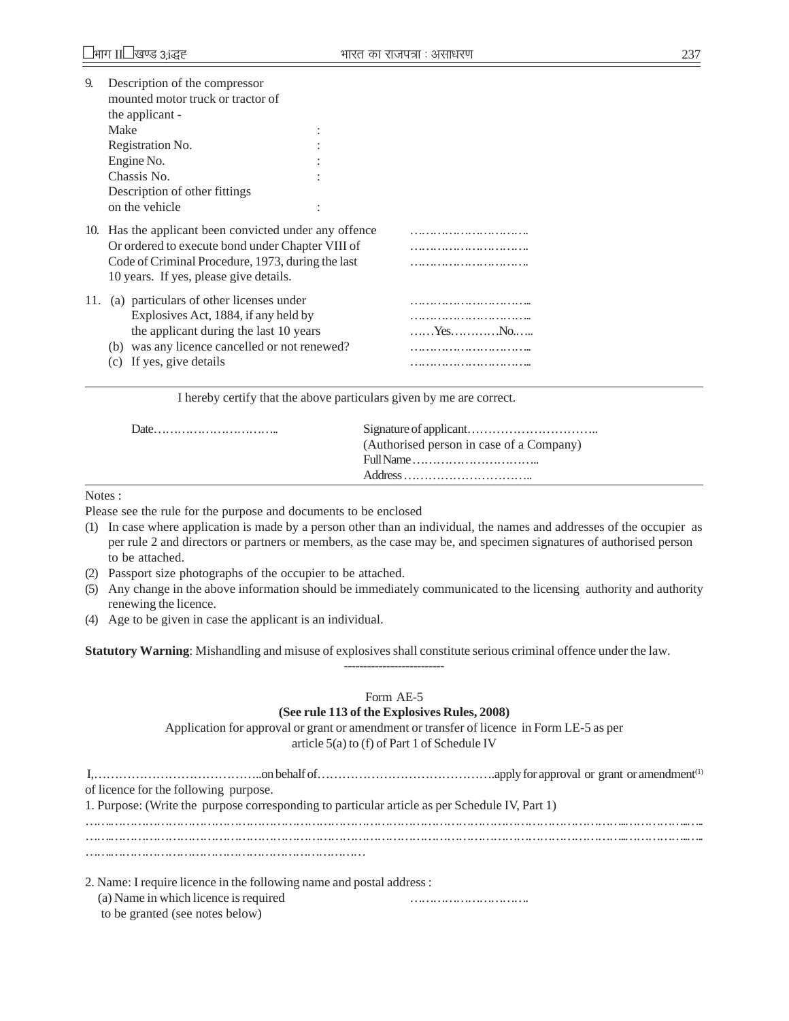| 9.  | Description of the compressor<br>mounted motor truck or tractor of                                                                                                                                        |                                         |
|-----|-----------------------------------------------------------------------------------------------------------------------------------------------------------------------------------------------------------|-----------------------------------------|
|     | the applicant -                                                                                                                                                                                           |                                         |
|     | Make                                                                                                                                                                                                      |                                         |
|     | Registration No.                                                                                                                                                                                          |                                         |
|     | Engine No.                                                                                                                                                                                                |                                         |
|     | Chassis No.                                                                                                                                                                                               |                                         |
|     | Description of other fittings                                                                                                                                                                             |                                         |
|     | on the vehicle                                                                                                                                                                                            |                                         |
|     | 10. Has the applicant been convicted under any offence<br>Or ordered to execute bond under Chapter VIII of<br>Code of Criminal Procedure, 1973, during the last<br>10 years. If yes, please give details. |                                         |
| 11. | (a) particulars of other licenses under<br>Explosives Act, 1884, if any held by<br>the applicant during the last 10 years                                                                                 | $\ldots$ . Yes. $\ldots$ . No. $\ldots$ |

| (Authorised person in case of a Company) |
|------------------------------------------|
|                                          |
|                                          |

Notes :

Please see the rule for the purpose and documents to be enclosed

- (1) In case where application is made by a person other than an individual, the names and addresses of the occupier as per rule 2 and directors or partners or members, as the case may be, and specimen signatures of authorised person to be attached.
- (2) Passport size photographs of the occupier to be attached.
- (5) Any change in the above information should be immediately communicated to the licensing authority and authority renewing the licence.
- (4) Age to be given in case the applicant is an individual.

**Statutory Warning**: Mishandling and misuse of explosives shall constitute serious criminal offence under the law.

# Form AE-5

--------------------------

#### **(See rule 113 of the Explosives Rules, 2008)**

Application for approval or grant or amendment or transfer of licence in Form LE-5 as per article 5(a) to (f) of Part 1 of Schedule IV

| of licence for the following purpose. |                                                                                                                                                                                                                                                                                                                                                     |  |
|---------------------------------------|-----------------------------------------------------------------------------------------------------------------------------------------------------------------------------------------------------------------------------------------------------------------------------------------------------------------------------------------------------|--|
|                                       | 1. Purpose: (Write the purpose corresponding to particular article as per Schedule IV, Part 1)                                                                                                                                                                                                                                                      |  |
|                                       |                                                                                                                                                                                                                                                                                                                                                     |  |
|                                       |                                                                                                                                                                                                                                                                                                                                                     |  |
|                                       |                                                                                                                                                                                                                                                                                                                                                     |  |
|                                       | $\overline{a}$ , $\overline{a}$ , $\overline{a}$ , $\overline{a}$ , $\overline{a}$ , $\overline{a}$ , $\overline{a}$ , $\overline{a}$ , $\overline{a}$ , $\overline{a}$ , $\overline{a}$ , $\overline{a}$ , $\overline{a}$ , $\overline{a}$ , $\overline{a}$ , $\overline{a}$ , $\overline{a}$ , $\overline{a}$ , $\overline{a}$ , $\overline{a}$ , |  |

2. Name: I require licence in the following name and postal address :

(a) Name in which licence is required …………………………. to be granted (see notes below)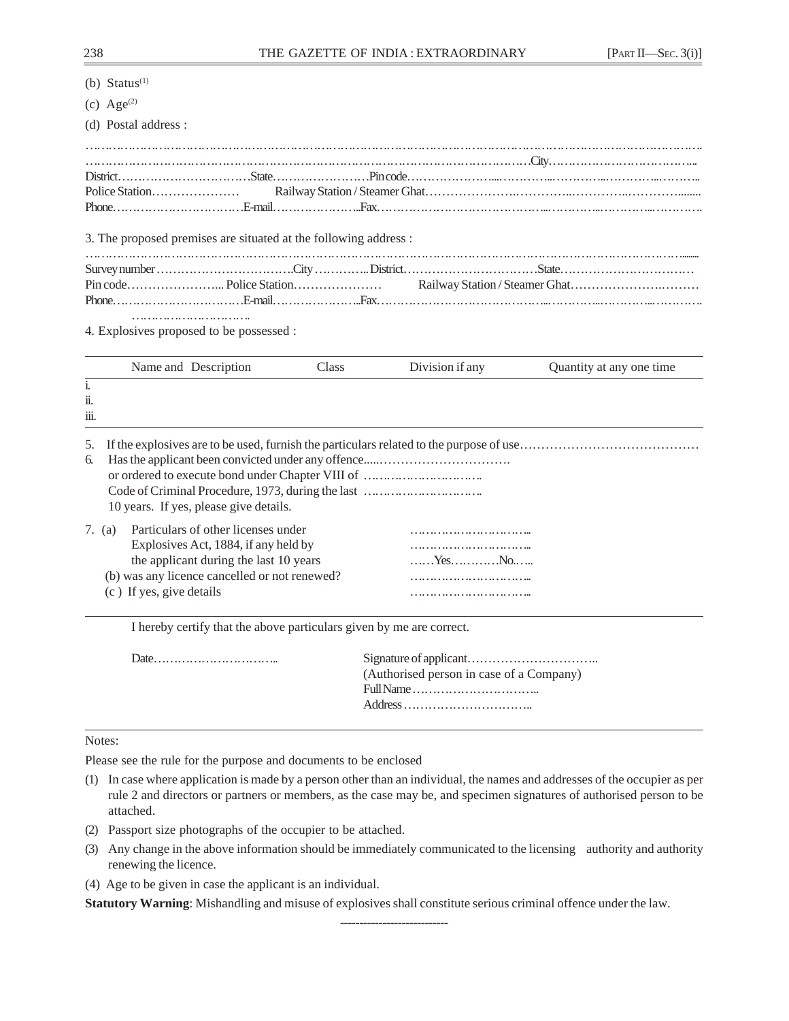(b)  $Status<sup>(1)</sup>$ 

(c)  $Age^{(2)}$ 

(d) Postal address :

3. The proposed premises are situated at the following address :

………………………………… 4. Explosives proposed to be possessed :

|                                 |                                    | Name and Description                                                                                                                                                   | Class | Division if any                                  | Quantity at any one time. |
|---------------------------------|------------------------------------|------------------------------------------------------------------------------------------------------------------------------------------------------------------------|-------|--------------------------------------------------|---------------------------|
| $\mathbf{1}$<br>ii.<br><br>111. |                                    |                                                                                                                                                                        |       |                                                  |                           |
| 5.<br>6.                        |                                    | 10 years. If yes, please give details.                                                                                                                                 |       | or ordered to execute bond under Chapter VIII of |                           |
|                                 | 7. (a)<br>(c) If yes, give details | Particulars of other licenses under<br>Explosives Act, 1884, if any held by<br>the applicant during the last 10 years<br>(b) was any licence cancelled or not renewed? |       | $, Y_{\text{ES}}, , , N_{0}, $                   |                           |

I hereby certify that the above particulars given by me are correct.

| (Authorised person in case of a Company) |
|------------------------------------------|
|                                          |
|                                          |
|                                          |

#### Notes:

Please see the rule for the purpose and documents to be enclosed

- (1) In case where application is made by a person other than an individual, the names and addresses of the occupier as per rule 2 and directors or partners or members, as the case may be, and specimen signatures of authorised person to be attached.
- (2) Passport size photographs of the occupier to be attached.
- (3) Any change in the above information should be immediately communicated to the licensing authority and authority renewing the licence.
- (4) Age to be given in case the applicant is an individual.

**Statutory Warning**: Mishandling and misuse of explosives shall constitute serious criminal offence under the law.

----------------------------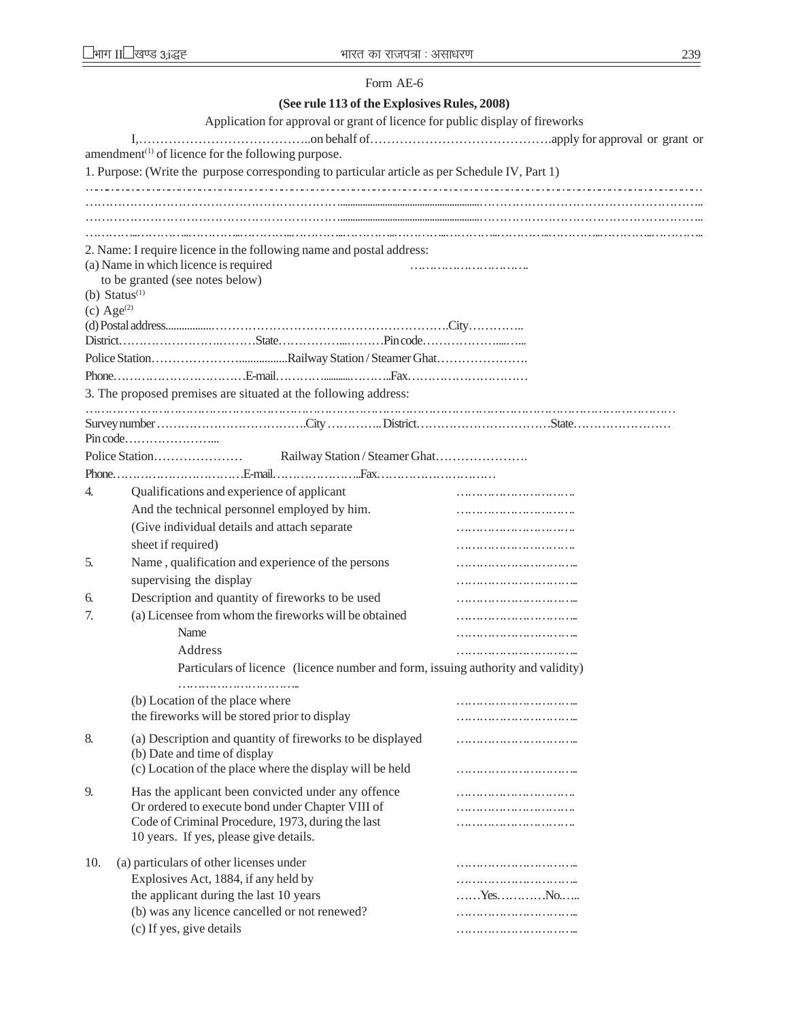### Form AE-6

# **(See rule 113 of the Explosives Rules, 2008)**

|               | Application for approval or grant of licence for public display of fireworks                           |            |
|---------------|--------------------------------------------------------------------------------------------------------|------------|
|               |                                                                                                        |            |
|               | amendment <sup>(1)</sup> of licence for the following purpose.                                         |            |
|               | 1. Purpose: (Write the purpose corresponding to particular article as per Schedule IV, Part 1)         |            |
|               |                                                                                                        |            |
|               |                                                                                                        |            |
|               |                                                                                                        |            |
|               |                                                                                                        |            |
|               | 2. Name: I require licence in the following name and postal address:                                   |            |
|               | (a) Name in which licence is required<br>to be granted (see notes below)                               |            |
|               | (b) Status $(1)$                                                                                       |            |
| (c) Age $(2)$ |                                                                                                        |            |
|               |                                                                                                        |            |
|               |                                                                                                        |            |
|               |                                                                                                        |            |
|               |                                                                                                        |            |
|               | 3. The proposed premises are situated at the following address:                                        |            |
|               |                                                                                                        |            |
|               |                                                                                                        |            |
|               |                                                                                                        |            |
|               |                                                                                                        |            |
|               |                                                                                                        |            |
| 4.            | Qualifications and experience of applicant                                                             |            |
|               | And the technical personnel employed by him.                                                           |            |
|               | (Give individual details and attach separate                                                           |            |
|               | sheet if required)                                                                                     |            |
| 5.            | Name, qualification and experience of the persons                                                      |            |
|               | supervising the display                                                                                |            |
| 6.            | Description and quantity of fireworks to be used                                                       |            |
| 7.            | (a) Licensee from whom the fireworks will be obtained                                                  |            |
|               | Name                                                                                                   |            |
|               | Address                                                                                                |            |
|               | Particulars of licence (licence number and form, issuing authority and validity)                       |            |
|               |                                                                                                        |            |
|               | (b) Location of the place where                                                                        |            |
|               | the fireworks will be stored prior to display                                                          |            |
| 8.            | (a) Description and quantity of fireworks to be displayed                                              |            |
|               | (b) Date and time of display                                                                           |            |
|               | (c) Location of the place where the display will be held                                               |            |
|               |                                                                                                        |            |
| 9.            | Has the applicant been convicted under any offence<br>Or ordered to execute bond under Chapter VIII of |            |
|               | Code of Criminal Procedure, 1973, during the last                                                      |            |
|               | 10 years. If yes, please give details.                                                                 |            |
|               |                                                                                                        |            |
| 10.           | (a) particulars of other licenses under                                                                |            |
|               | Explosives Act, 1884, if any held by                                                                   |            |
|               | the applicant during the last 10 years                                                                 | . Yes. No. |
|               | (b) was any licence cancelled or not renewed?                                                          |            |
|               | (c) If yes, give details                                                                               |            |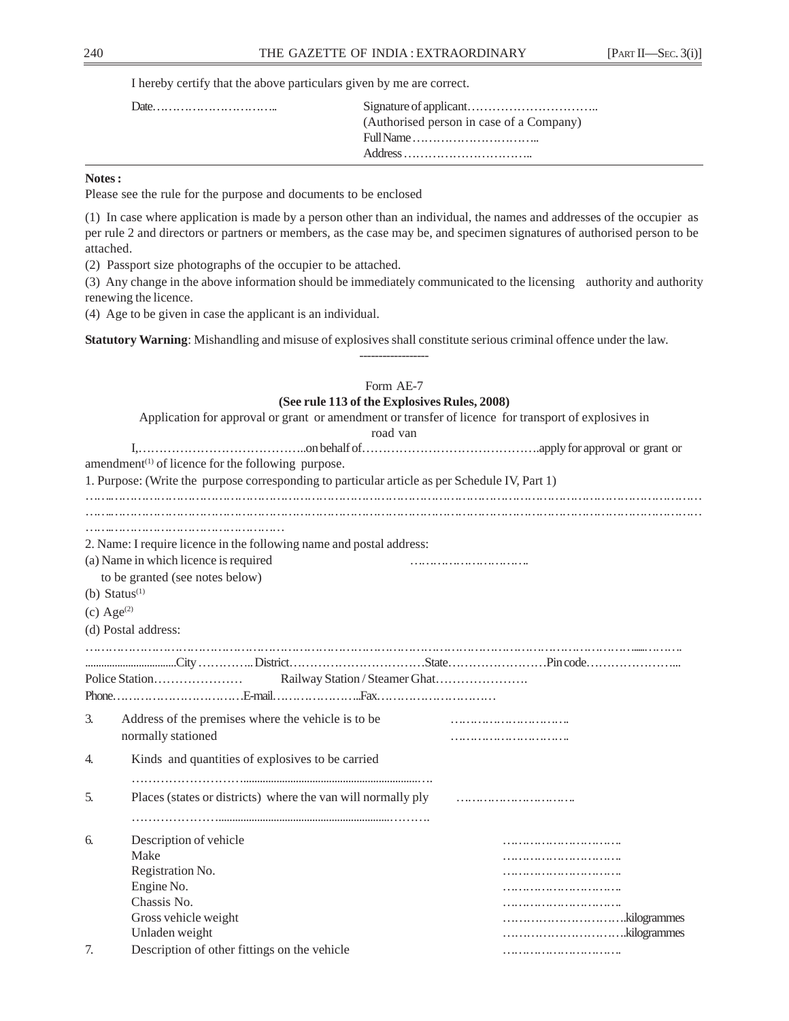| (Authorised person in case of a Company)                                |
|-------------------------------------------------------------------------|
| $Full Name \dots \dots \dots \dots \dots \dots \dots \dots \dots \dots$ |
|                                                                         |

## **Notes :**

Please see the rule for the purpose and documents to be enclosed

(1) In case where application is made by a person other than an individual, the names and addresses of the occupier as per rule 2 and directors or partners or members, as the case may be, and specimen signatures of authorised person to be attached.

(2) Passport size photographs of the occupier to be attached.

(3) Any change in the above information should be immediately communicated to the licensing authority and authority renewing the licence.

------------------

(4) Age to be given in case the applicant is an individual.

**Statutory Warning**: Mishandling and misuse of explosives shall constitute serious criminal offence under the law.

|    | Form AE-7<br>(See rule 113 of the Explosives Rules, 2008)<br>Application for approval or grant or amendment or transfer of licence for transport of explosives in<br>road van |  |
|----|-------------------------------------------------------------------------------------------------------------------------------------------------------------------------------|--|
|    |                                                                                                                                                                               |  |
|    | amendment <sup>(1)</sup> of licence for the following purpose.                                                                                                                |  |
|    | 1. Purpose: (Write the purpose corresponding to particular article as per Schedule IV, Part 1)                                                                                |  |
|    |                                                                                                                                                                               |  |
|    |                                                                                                                                                                               |  |
|    | 2. Name: I require licence in the following name and postal address:                                                                                                          |  |
|    |                                                                                                                                                                               |  |
|    | (a) Name in which licence is required                                                                                                                                         |  |
|    | to be granted (see notes below)                                                                                                                                               |  |
|    | (b) $Status^{(1)}$                                                                                                                                                            |  |
|    | $(c)$ Age <sup>(2)</sup>                                                                                                                                                      |  |
|    | (d) Postal address:                                                                                                                                                           |  |
|    |                                                                                                                                                                               |  |
|    |                                                                                                                                                                               |  |
|    |                                                                                                                                                                               |  |
|    |                                                                                                                                                                               |  |
| 3. | Address of the premises where the vehicle is to be                                                                                                                            |  |
|    | normally stationed                                                                                                                                                            |  |
|    |                                                                                                                                                                               |  |
| 4. | Kinds and quantities of explosives to be carried                                                                                                                              |  |
|    |                                                                                                                                                                               |  |
| 5. | Places (states or districts) where the van will normally ply                                                                                                                  |  |
|    |                                                                                                                                                                               |  |
|    |                                                                                                                                                                               |  |
| 6. | Description of vehicle                                                                                                                                                        |  |
|    | Make                                                                                                                                                                          |  |
|    | Registration No.                                                                                                                                                              |  |
|    | Engine No.                                                                                                                                                                    |  |
|    | Chassis No.                                                                                                                                                                   |  |
|    | Gross vehicle weight                                                                                                                                                          |  |
|    | Unladen weight                                                                                                                                                                |  |
| 7. | Description of other fittings on the vehicle                                                                                                                                  |  |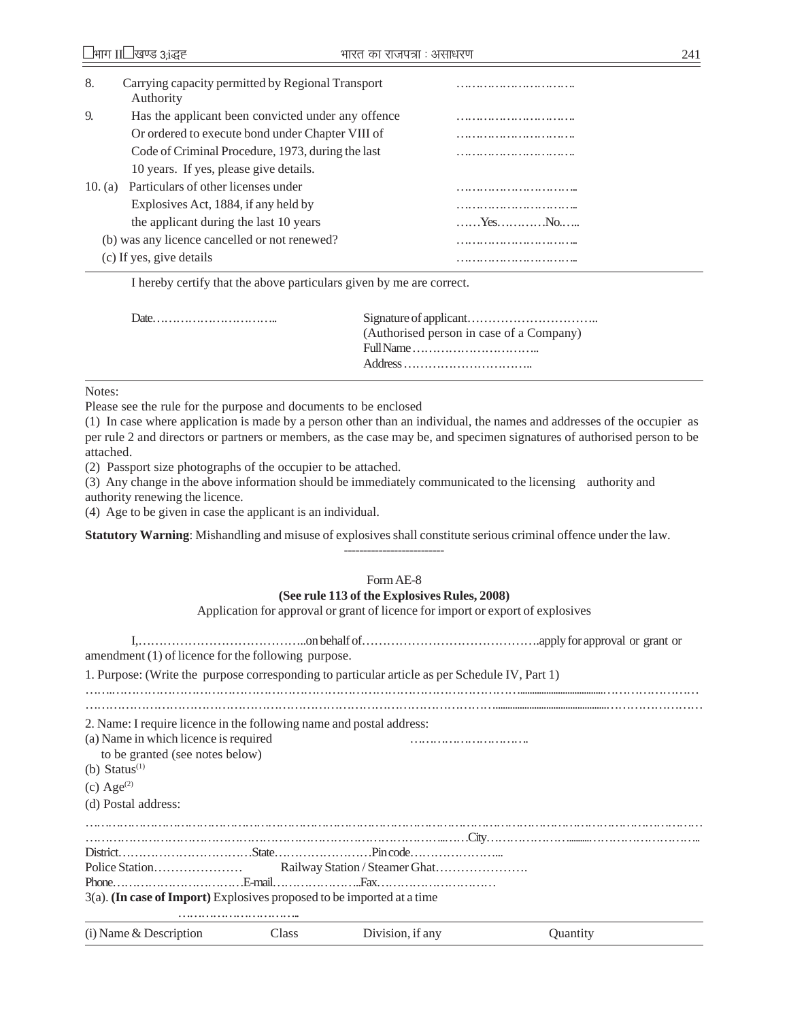| 8.        | Carrying capacity permitted by Regional Transport<br>Authority |                                |
|-----------|----------------------------------------------------------------|--------------------------------|
| 9.        | Has the applicant been convicted under any offence             | .   .                          |
|           | Or ordered to execute bond under Chapter VIII of               |                                |
|           | Code of Criminal Procedure, 1973, during the last              | .   .                          |
|           | 10 years. If yes, please give details.                         |                                |
| 10. $(a)$ | Particulars of other licenses under                            |                                |
|           | Explosives Act, 1884, if any held by                           |                                |
|           | the applicant during the last 10 years                         | $, Y_{\text{ES}}, , , N_{0}, $ |
|           | (b) was any licence cancelled or not renewed?                  |                                |
|           | (c) If yes, give details                                       |                                |

| (Authorised person in case of a Company)                                |
|-------------------------------------------------------------------------|
| $Fill Name \dots \dots \dots \dots \dots \dots \dots \dots \dots \dots$ |
|                                                                         |
|                                                                         |

Notes:

Please see the rule for the purpose and documents to be enclosed

(1) In case where application is made by a person other than an individual, the names and addresses of the occupier as per rule 2 and directors or partners or members, as the case may be, and specimen signatures of authorised person to be attached.

(2) Passport size photographs of the occupier to be attached.

(3) Any change in the above information should be immediately communicated to the licensing authority and authority renewing the licence.

(4) Age to be given in case the applicant is an individual.

**Statutory Warning**: Mishandling and misuse of explosives shall constitute serious criminal offence under the law.

# Form AE-8 **(See rule 113 of the Explosives Rules, 2008)**

--------------------------

Application for approval or grant of licence for import or export of explosives

| amendment $(1)$ of licence for the following purpose.                     |       |                                                                                                |                 |
|---------------------------------------------------------------------------|-------|------------------------------------------------------------------------------------------------|-----------------|
|                                                                           |       | 1. Purpose: (Write the purpose corresponding to particular article as per Schedule IV, Part 1) |                 |
|                                                                           |       |                                                                                                |                 |
| 2. Name: I require licence in the following name and postal address:      |       |                                                                                                |                 |
| (a) Name in which licence is required                                     |       |                                                                                                |                 |
| to be granted (see notes below)                                           |       |                                                                                                |                 |
| (b) Status $(1)$                                                          |       |                                                                                                |                 |
| (c) Age <sup>(2)</sup>                                                    |       |                                                                                                |                 |
| (d) Postal address:                                                       |       |                                                                                                |                 |
|                                                                           |       |                                                                                                |                 |
|                                                                           |       |                                                                                                |                 |
|                                                                           |       |                                                                                                |                 |
|                                                                           |       |                                                                                                |                 |
| $3(a)$ . (In case of Import) Explosives proposed to be imported at a time |       |                                                                                                |                 |
|                                                                           |       |                                                                                                |                 |
| $(i)$ Name & Description                                                  | Class | Division, if any                                                                               | <b>Ouantity</b> |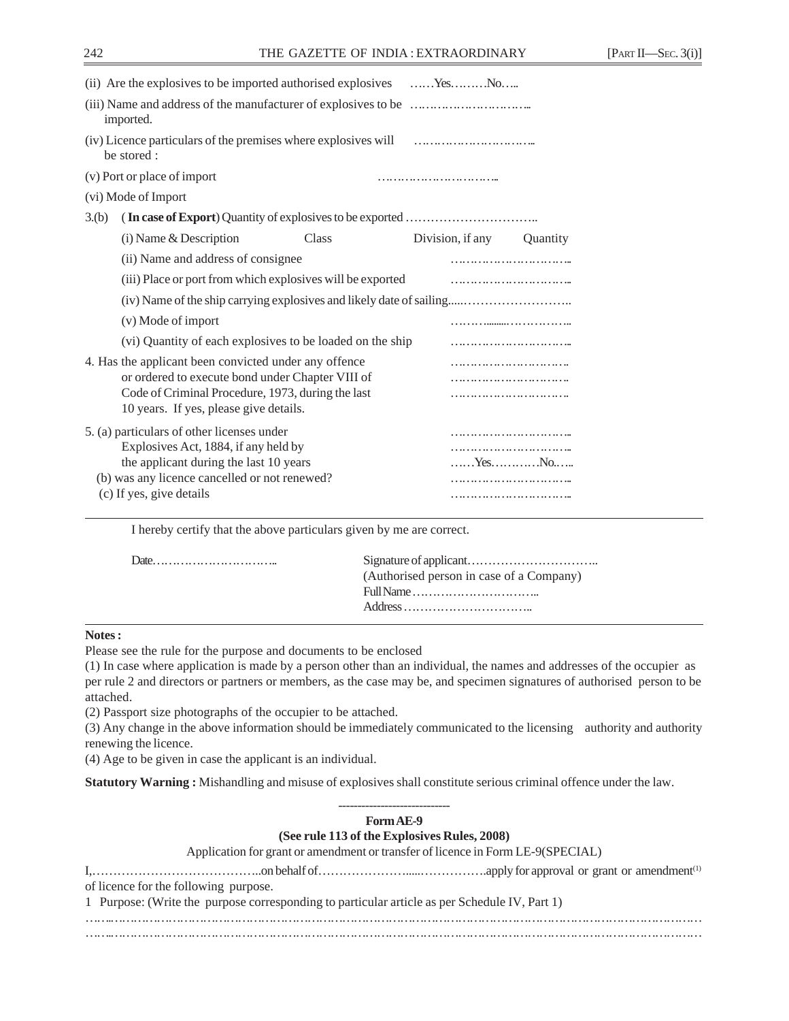|                    | (ii) Are the explosives to be imported authorised explosives YesNo                          |       |                  |                 |
|--------------------|---------------------------------------------------------------------------------------------|-------|------------------|-----------------|
|                    | imported.                                                                                   |       |                  |                 |
|                    | (iv) Licence particulars of the premises where explosives will<br>be stored:                |       |                  |                 |
|                    | (v) Port or place of import                                                                 |       |                  |                 |
|                    | (vi) Mode of Import                                                                         |       |                  |                 |
| 3.(b)              |                                                                                             |       |                  |                 |
|                    | (i) Name & Description                                                                      | Class | Division, if any | <b>Ouantity</b> |
|                    | (ii) Name and address of consignee                                                          |       |                  |                 |
|                    | (iii) Place or port from which explosives will be exported                                  |       |                  |                 |
|                    | (iv) Name of the ship carrying explosives and likely date of sailing                        |       |                  |                 |
| (v) Mode of import |                                                                                             |       |                  |                 |
|                    | (vi) Quantity of each explosives to be loaded on the ship                                   |       |                  |                 |
|                    | 4. Has the applicant been convicted under any offence                                       |       |                  |                 |
|                    | or ordered to execute bond under Chapter VIII of                                            |       |                  |                 |
|                    | Code of Criminal Procedure, 1973, during the last<br>10 years. If yes, please give details. |       |                  |                 |
|                    | 5. (a) particulars of other licenses under                                                  |       |                  |                 |
|                    | Explosives Act, 1884, if any held by                                                        |       |                  |                 |
|                    | the applicant during the last 10 years                                                      |       | YesNo            |                 |
|                    | (b) was any licence cancelled or not renewed?                                               |       |                  |                 |
|                    | (c) If yes, give details                                                                    |       |                  |                 |

| (Authorised person in case of a Company) |
|------------------------------------------|
|                                          |
|                                          |
|                                          |

### **Notes :**

Please see the rule for the purpose and documents to be enclosed

(1) In case where application is made by a person other than an individual, the names and addresses of the occupier as per rule 2 and directors or partners or members, as the case may be, and specimen signatures of authorised person to be attached.

(2) Passport size photographs of the occupier to be attached.

(3) Any change in the above information should be immediately communicated to the licensing authority and authority renewing the licence.

(4) Age to be given in case the applicant is an individual.

**Statutory Warning :** Mishandling and misuse of explosives shall constitute serious criminal offence under the law.

| Form AE-9                                                                                     |
|-----------------------------------------------------------------------------------------------|
| (See rule 113 of the Explosives Rules, 2008)                                                  |
| Application for grant or amendment or transfer of licence in Form LE-9(SPECIAL)               |
| of licence for the following purpose.                                                         |
| 1 Purpose: (Write the purpose corresponding to particular article as per Schedule IV, Part 1) |
|                                                                                               |
|                                                                                               |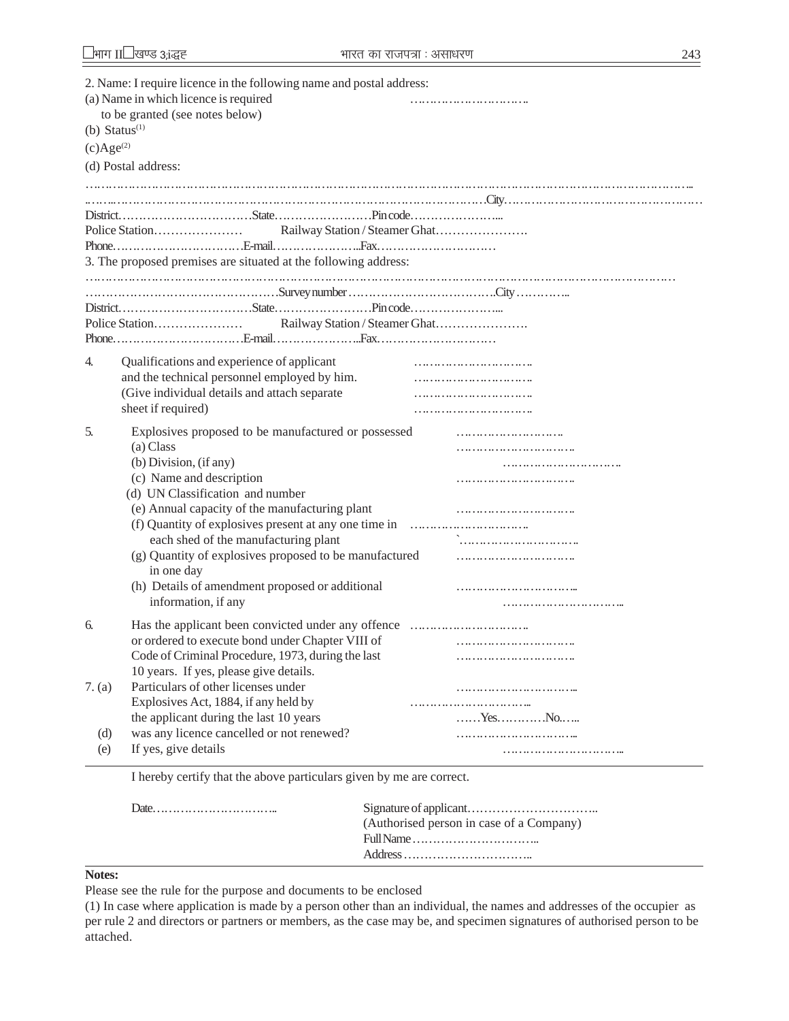|                | 2. Name: I require licence in the following name and postal address:<br>(a) Name in which licence is required<br>to be granted (see notes below)<br>(b) Status $(1)$ |       |
|----------------|----------------------------------------------------------------------------------------------------------------------------------------------------------------------|-------|
| $(c)Age^{(2)}$ |                                                                                                                                                                      |       |
|                | (d) Postal address:                                                                                                                                                  |       |
|                |                                                                                                                                                                      |       |
|                |                                                                                                                                                                      |       |
|                |                                                                                                                                                                      |       |
|                |                                                                                                                                                                      |       |
|                |                                                                                                                                                                      |       |
|                | 3. The proposed premises are situated at the following address:                                                                                                      |       |
|                |                                                                                                                                                                      |       |
|                |                                                                                                                                                                      |       |
|                |                                                                                                                                                                      |       |
|                |                                                                                                                                                                      |       |
|                |                                                                                                                                                                      |       |
| 4.             | Qualifications and experience of applicant                                                                                                                           |       |
|                | and the technical personnel employed by him.                                                                                                                         |       |
|                | (Give individual details and attach separate                                                                                                                         |       |
|                | sheet if required)                                                                                                                                                   |       |
| 5.             | Explosives proposed to be manufactured or possessed<br>(a) Class                                                                                                     |       |
|                | (b) Division, (if any)                                                                                                                                               |       |
|                | (c) Name and description                                                                                                                                             |       |
|                | (d) UN Classification and number                                                                                                                                     |       |
|                | (e) Annual capacity of the manufacturing plant                                                                                                                       |       |
|                |                                                                                                                                                                      |       |
|                | each shed of the manufacturing plant                                                                                                                                 |       |
|                | (g) Quantity of explosives proposed to be manufactured                                                                                                               |       |
|                | in one day                                                                                                                                                           |       |
|                | (h) Details of amendment proposed or additional                                                                                                                      |       |
|                | information, if any                                                                                                                                                  |       |
| б.             |                                                                                                                                                                      |       |
|                | or ordered to execute bond under Chapter VIII of                                                                                                                     |       |
|                | Code of Criminal Procedure, 1973, during the last                                                                                                                    |       |
|                | 10 years. If yes, please give details.                                                                                                                               |       |
| 7. (a)         | Particulars of other licenses under                                                                                                                                  |       |
|                | Explosives Act, 1884, if any held by                                                                                                                                 |       |
|                | the applicant during the last 10 years                                                                                                                               | YesNo |
| (d)            | was any licence cancelled or not renewed?                                                                                                                            |       |
| (e)            | If yes, give details                                                                                                                                                 |       |
|                |                                                                                                                                                                      |       |

| (Authorised person in case of a Company)                                |
|-------------------------------------------------------------------------|
| $Fill Name \dots \dots \dots \dots \dots \dots \dots \dots \dots \dots$ |
|                                                                         |
|                                                                         |

### **Notes:**

Please see the rule for the purpose and documents to be enclosed

(1) In case where application is made by a person other than an individual, the names and addresses of the occupier as per rule 2 and directors or partners or members, as the case may be, and specimen signatures of authorised person to be attached.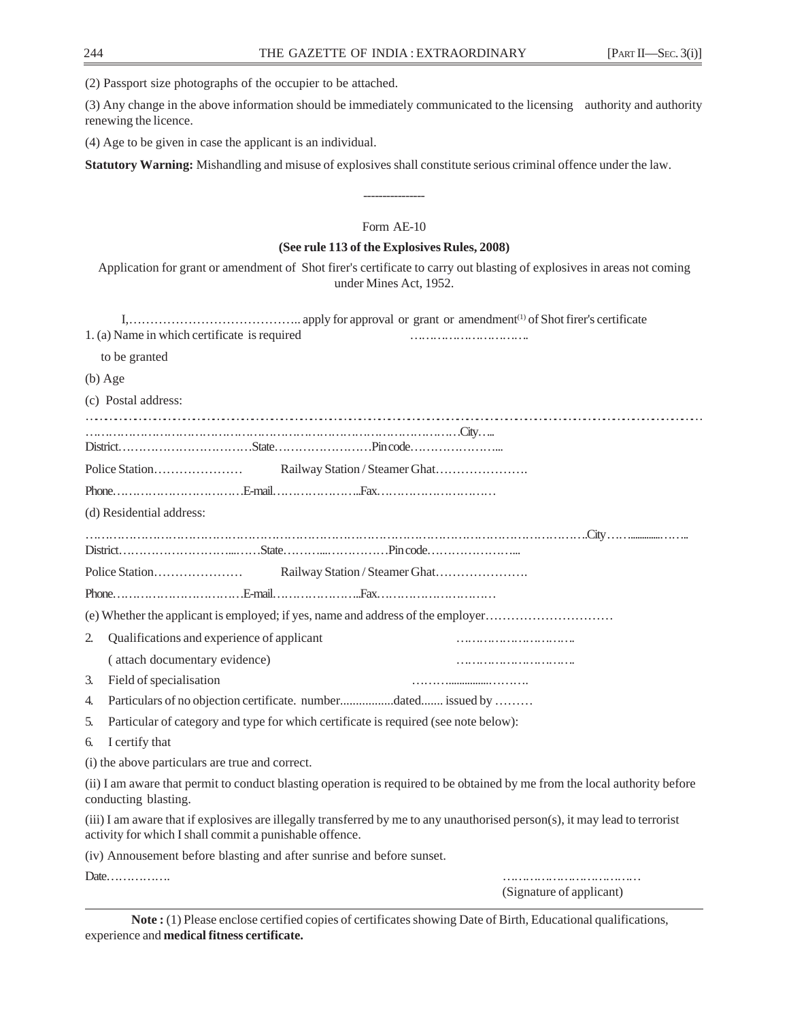(2) Passport size photographs of the occupier to be attached.

(3) Any change in the above information should be immediately communicated to the licensing authority and authority renewing the licence.

(4) Age to be given in case the applicant is an individual.

**Statutory Warning:** Mishandling and misuse of explosives shall constitute serious criminal offence under the law.

# Form AE-10

----------------

### **(See rule 113 of the Explosives Rules, 2008)**

Application for grant or amendment of Shot firer's certificate to carry out blasting of explosives in areas not coming under Mines Act, 1952.

|    | 1. (a) Name in which certificate is required                                                                                                                                           |
|----|----------------------------------------------------------------------------------------------------------------------------------------------------------------------------------------|
|    | to be granted                                                                                                                                                                          |
|    | $(b)$ Age                                                                                                                                                                              |
|    | (c) Postal address:                                                                                                                                                                    |
|    |                                                                                                                                                                                        |
|    |                                                                                                                                                                                        |
|    |                                                                                                                                                                                        |
|    |                                                                                                                                                                                        |
|    | (d) Residential address:                                                                                                                                                               |
|    |                                                                                                                                                                                        |
|    |                                                                                                                                                                                        |
|    |                                                                                                                                                                                        |
|    |                                                                                                                                                                                        |
|    | (e) Whether the applicant is employed; if yes, name and address of the employer                                                                                                        |
| 2. | Qualifications and experience of applicant                                                                                                                                             |
|    | (attach documentary evidence)                                                                                                                                                          |
| 3. | Field of specialisation                                                                                                                                                                |
| 4. | Particulars of no objection certificate. numberdated issued by                                                                                                                         |
| 5. | Particular of category and type for which certificate is required (see note below):                                                                                                    |
| 6. | I certify that                                                                                                                                                                         |
|    | (i) the above particulars are true and correct.                                                                                                                                        |
|    | (ii) I am aware that permit to conduct blasting operation is required to be obtained by me from the local authority before<br>conducting blasting.                                     |
|    | (iii) I am aware that if explosives are illegally transferred by me to any unauthorised person(s), it may lead to terrorist<br>activity for which I shall commit a punishable offence. |
|    | (iv) Annousement before blasting and after sunrise and before sunset.                                                                                                                  |
|    | (Signature of applicant)                                                                                                                                                               |

**Note :** (1) Please enclose certified copies of certificates showing Date of Birth, Educational qualifications, experience and **medical fitness certificate.**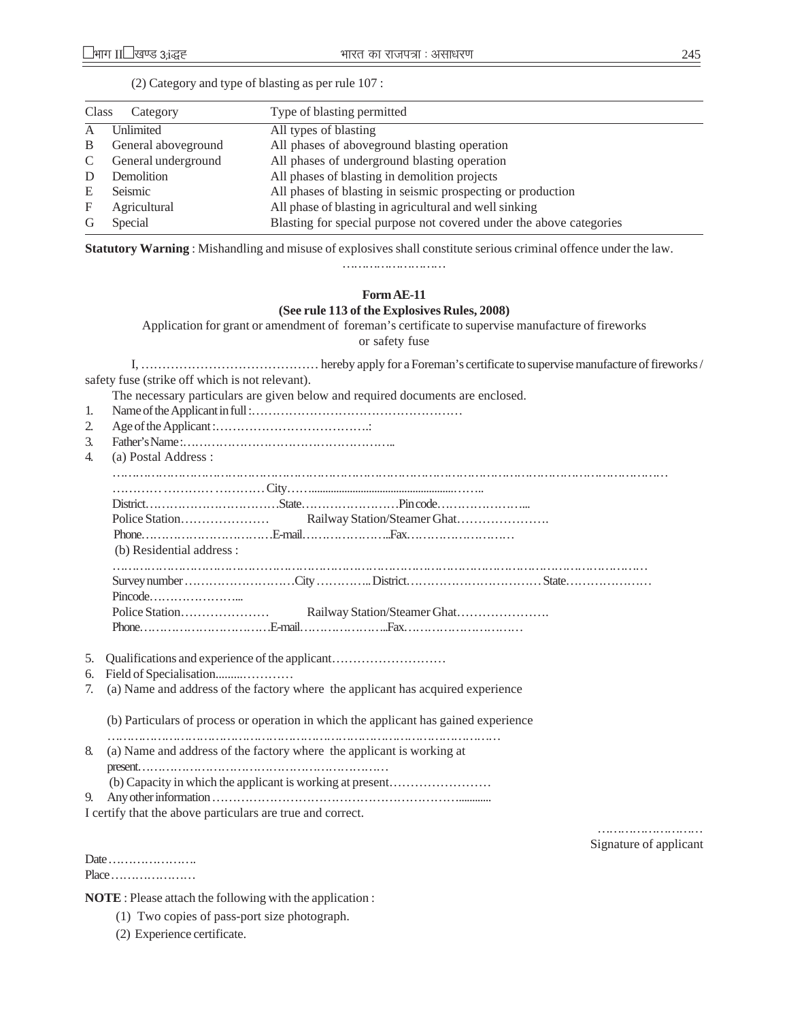| Class | Category            | Type of blasting permitted                                          |
|-------|---------------------|---------------------------------------------------------------------|
| A     | <b>Unlimited</b>    | All types of blasting                                               |
| B     | General aboveground | All phases of aboveground blasting operation                        |
| C     | General underground | All phases of underground blasting operation                        |
| D     | Demolition          | All phases of blasting in demolition projects                       |
| E     | Seismic             | All phases of blasting in seismic prospecting or production         |
| F     | Agricultural        | All phase of blasting in agricultural and well sinking              |
| G     | Special             | Blasting for special purpose not covered under the above categories |
|       |                     |                                                                     |

(2) Category and type of blasting as per rule 107 :

**Statutory Warning** : Mishandling and misuse of explosives shall constitute serious criminal offence under the law.

……………………………

# **Form AE-11 (See rule 113 of the Explosives Rules, 2008)**

Application for grant or amendment of foreman's certificate to supervise manufacture of fireworks

or safety fuse

I, …………………………………… hereby apply for a Foreman's certificate to supervise manufacture of fireworks / safety fuse (strike off which is not relevant).

The necessary particulars are given below and required documents are enclosed.

- 1. Name of the Applicant in full :……………………………………………
- 2. Age of the Applicant :……………………………….:
- 3. Father's Name :……………………………………………..
- 4. (a) Postal Address :

| a) I Ustai Audicss.       |  |  |
|---------------------------|--|--|
|                           |  |  |
|                           |  |  |
|                           |  |  |
| (b) Residential address : |  |  |
|                           |  |  |
|                           |  |  |
|                           |  |  |
|                           |  |  |
|                           |  |  |

- 5. Qualifications and experience of the applicant………………………
- 6. Field of Specialisation.........…………
- 7. (a) Name and address of the factory where the applicant has acquired experience

(b) Particulars of process or operation in which the applicant has gained experience

- ………………………………………………………………………………………… 8. (a) Name and address of the factory where the applicant is working at present……………………………………………………… (b) Capacity in which the applicant is working at present…………………… 9. Any other information ……………………………………………………............
- I certify that the above particulars are true and correct.

Date …………………. Place …………………

…………………………… Signature of applicant

**NOTE** : Please attach the following with the application :

- (1) Two copies of pass-port size photograph.
- (2) Experience certificate.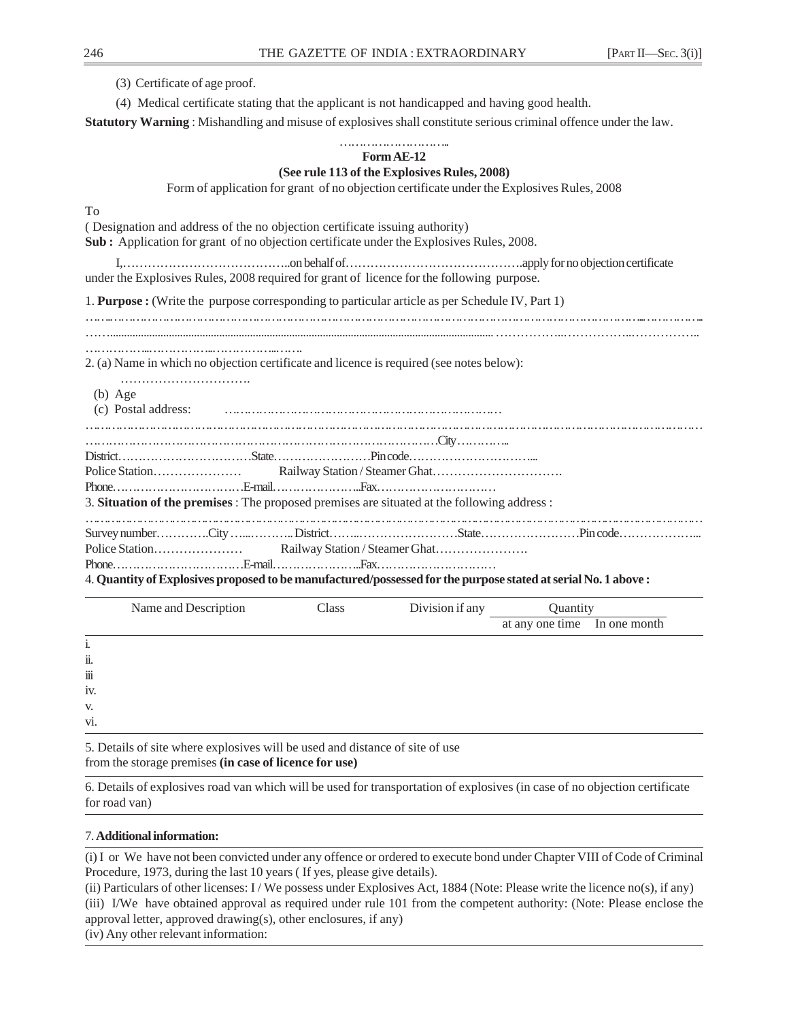(3) Certificate of age proof.

(4) Medical certificate stating that the applicant is not handicapped and having good health.

**Statutory Warning** : Mishandling and misuse of explosives shall constitute serious criminal offence under the law.

#### ……………………….. **Form AE-12**

## **(See rule 113 of the Explosives Rules, 2008)**

Form of application for grant of no objection certificate under the Explosives Rules, 2008

To

| -10                                                                                                           |       |                 |                              |  |
|---------------------------------------------------------------------------------------------------------------|-------|-----------------|------------------------------|--|
| (Designation and address of the no objection certificate issuing authority)                                   |       |                 |                              |  |
| Sub: Application for grant of no objection certificate under the Explosives Rules, 2008.                      |       |                 |                              |  |
|                                                                                                               |       |                 |                              |  |
|                                                                                                               |       |                 |                              |  |
| under the Explosives Rules, 2008 required for grant of licence for the following purpose.                     |       |                 |                              |  |
| 1. Purpose : (Write the purpose corresponding to particular article as per Schedule IV, Part 1)               |       |                 |                              |  |
|                                                                                                               |       |                 |                              |  |
|                                                                                                               |       |                 |                              |  |
| 2. (a) Name in which no objection certificate and licence is required (see notes below):                      |       |                 |                              |  |
|                                                                                                               |       |                 |                              |  |
| $(b)$ Age                                                                                                     |       |                 |                              |  |
|                                                                                                               |       |                 |                              |  |
|                                                                                                               |       |                 |                              |  |
|                                                                                                               |       |                 |                              |  |
|                                                                                                               |       |                 |                              |  |
|                                                                                                               |       |                 |                              |  |
|                                                                                                               |       |                 |                              |  |
| 3. Situation of the premises: The proposed premises are situated at the following address:                    |       |                 |                              |  |
|                                                                                                               |       |                 |                              |  |
|                                                                                                               |       |                 |                              |  |
|                                                                                                               |       |                 |                              |  |
| 4. Quantity of Explosives proposed to be manufactured/possessed for the purpose stated at serial No. 1 above: |       |                 |                              |  |
| Name and Description                                                                                          | Class | Division if any | <b>Ouantity</b>              |  |
|                                                                                                               |       |                 | at any one time In one month |  |

i. ii. iii

iv.

v.

vi.

5. Details of site where explosives will be used and distance of site of use from the storage premises **(in case of licence for use)**

6. Details of explosives road van which will be used for transportation of explosives (in case of no objection certificate for road van)

# 7. **Additional information:**

(i) I or We have not been convicted under any offence or ordered to execute bond under Chapter VIII of Code of Criminal Procedure, 1973, during the last 10 years ( If yes, please give details).

(ii) Particulars of other licenses: I / We possess under Explosives Act, 1884 (Note: Please write the licence no(s), if any) (iii) I/We have obtained approval as required under rule 101 from the competent authority: (Note: Please enclose the approval letter, approved drawing(s), other enclosures, if any) (iv) Any other relevant information: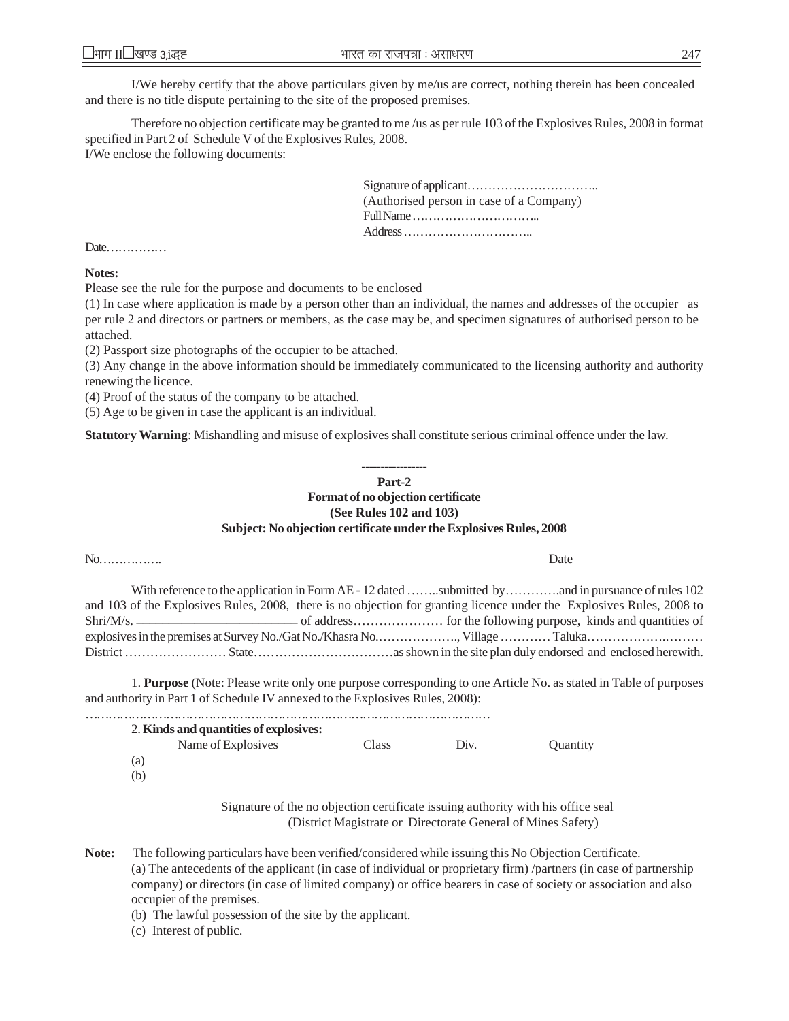I/We hereby certify that the above particulars given by me/us are correct, nothing therein has been concealed and there is no title dispute pertaining to the site of the proposed premises.

Therefore no objection certificate may be granted to me /us as per rule 103 of the Explosives Rules, 2008 in format specified in Part 2 of Schedule V of the Explosives Rules, 2008. I/We enclose the following documents:

> Signature of applicant………………………….. (Authorised person in case of a Company) Full Name ………………………….. Address …………………………..

Date……………

**Notes:**

Please see the rule for the purpose and documents to be enclosed

(1) In case where application is made by a person other than an individual, the names and addresses of the occupier as per rule 2 and directors or partners or members, as the case may be, and specimen signatures of authorised person to be attached.

(2) Passport size photographs of the occupier to be attached.

(3) Any change in the above information should be immediately communicated to the licensing authority and authority renewing the licence.

(4) Proof of the status of the company to be attached.

(5) Age to be given in case the applicant is an individual.

**Statutory Warning**: Mishandling and misuse of explosives shall constitute serious criminal offence under the law.

#### ----------------- **Part-2**

# **Format of no objection certificate (See Rules 102 and 103) Subject: No objection certificate under the Explosives Rules, 2008**

#### No……………. Date

With reference to the application in Form AE - 12 dated ……..submitted by…………..and in pursuance of rules 102 and 103 of the Explosives Rules, 2008, there is no objection for granting licence under the Explosives Rules, 2008 to Shri/M/s. \_\_\_\_\_\_\_\_\_\_\_\_\_\_\_\_\_\_\_\_\_\_\_\_\_ of address………………… for the following purpose, kinds and quantities of explosives in the premises at Survey No./Gat No./Khasra No.………………., Village ………… Taluka……………….……… District …………………… State……………………………as shown in the site plan duly endorsed and enclosed herewith.

1. **Purpose** (Note: Please write only one purpose corresponding to one Article No. as stated in Table of purposes and authority in Part 1 of Schedule IV annexed to the Explosives Rules, 2008):

……………………………………………………………………………………………

| 2. Kinds and quantities of explosives: |       |      |          |
|----------------------------------------|-------|------|----------|
| Name of Explosives                     | Class | Div. | Quantity |
| (a)                                    |       |      |          |
| (b)                                    |       |      |          |

Signature of the no objection certificate issuing authority with his office seal (District Magistrate or Directorate General of Mines Safety)

**Note:** The following particulars have been verified/considered while issuing this No Objection Certificate. (a) The antecedents of the applicant (in case of individual or proprietary firm) /partners (in case of partnership company) or directors (in case of limited company) or office bearers in case of society or association and also occupier of the premises.

(b) The lawful possession of the site by the applicant.

(c) Interest of public.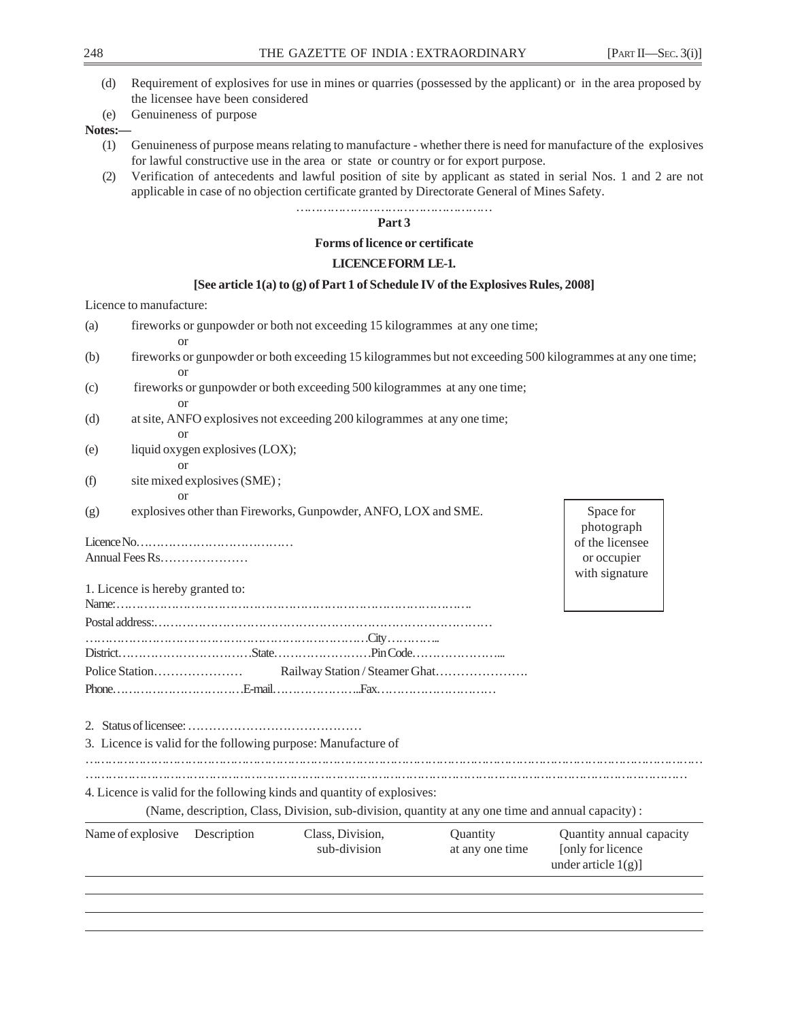- (d) Requirement of explosives for use in mines or quarries (possessed by the applicant) or in the area proposed by the licensee have been considered
- (e) Genuineness of purpose

# **Notes:—**

- (1) Genuineness of purpose means relating to manufacture whether there is need for manufacture of the explosives for lawful constructive use in the area or state or country or for export purpose.
- (2) Verification of antecedents and lawful position of site by applicant as stated in serial Nos. 1 and 2 are not applicable in case of no objection certificate granted by Directorate General of Mines Safety.

#### …………………………………………… **Part 3**

### **Forms of licence or certificate**

# **LICENCE FORM LE-1.**

# **[See article 1(a) to (g) of Part 1 of Schedule IV of the Explosives Rules, 2008]**

# Licence to manufacture:

| (a) |                                  |                                 | fireworks or gunpowder or both not exceeding 15 kilogrammes at any one time;                      |                 |                                                                                                            |
|-----|----------------------------------|---------------------------------|---------------------------------------------------------------------------------------------------|-----------------|------------------------------------------------------------------------------------------------------------|
| (b) |                                  |                                 |                                                                                                   |                 | fireworks or gunpowder or both exceeding 15 kilogrammes but not exceeding 500 kilogrammes at any one time; |
|     | <sub>or</sub>                    |                                 |                                                                                                   |                 |                                                                                                            |
| (c) |                                  |                                 | fireworks or gunpowder or both exceeding 500 kilogrammes at any one time;                         |                 |                                                                                                            |
|     | or                               |                                 |                                                                                                   |                 |                                                                                                            |
| (d) |                                  |                                 | at site, ANFO explosives not exceeding 200 kilogrammes at any one time;                           |                 |                                                                                                            |
|     | $\alpha$                         |                                 |                                                                                                   |                 |                                                                                                            |
| (e) |                                  | liquid oxygen explosives (LOX); |                                                                                                   |                 |                                                                                                            |
|     | $\alpha$                         |                                 |                                                                                                   |                 |                                                                                                            |
| (f) |                                  | site mixed explosives (SME);    |                                                                                                   |                 |                                                                                                            |
|     | or                               |                                 |                                                                                                   |                 |                                                                                                            |
| (g) |                                  |                                 | explosives other than Fireworks, Gunpowder, ANFO, LOX and SME.                                    |                 | Space for                                                                                                  |
|     |                                  |                                 |                                                                                                   |                 | photograph                                                                                                 |
|     |                                  |                                 |                                                                                                   |                 | of the licensee                                                                                            |
|     | Annual Fees Rs                   |                                 |                                                                                                   |                 | or occupier                                                                                                |
|     |                                  |                                 |                                                                                                   |                 | with signature                                                                                             |
|     | 1. Licence is hereby granted to: |                                 |                                                                                                   |                 |                                                                                                            |
|     |                                  |                                 |                                                                                                   |                 |                                                                                                            |
|     |                                  |                                 |                                                                                                   |                 |                                                                                                            |
|     |                                  |                                 |                                                                                                   |                 |                                                                                                            |
|     |                                  |                                 |                                                                                                   |                 |                                                                                                            |
|     |                                  |                                 |                                                                                                   |                 |                                                                                                            |
|     |                                  |                                 |                                                                                                   |                 |                                                                                                            |
|     |                                  |                                 |                                                                                                   |                 |                                                                                                            |
|     |                                  |                                 |                                                                                                   |                 |                                                                                                            |
|     |                                  |                                 | 3. Licence is valid for the following purpose: Manufacture of                                     |                 |                                                                                                            |
|     |                                  |                                 |                                                                                                   |                 |                                                                                                            |
|     |                                  |                                 |                                                                                                   |                 |                                                                                                            |
|     |                                  |                                 |                                                                                                   |                 |                                                                                                            |
|     |                                  |                                 | 4. Licence is valid for the following kinds and quantity of explosives:                           |                 |                                                                                                            |
|     |                                  |                                 | (Name, description, Class, Division, sub-division, quantity at any one time and annual capacity): |                 |                                                                                                            |
|     | Name of explosive                | Description                     | Class, Division,                                                                                  | Quantity        | Quantity annual capacity                                                                                   |
|     |                                  |                                 | sub-division                                                                                      | at any one time | [only for licence                                                                                          |
|     |                                  |                                 |                                                                                                   |                 | under article $1(g)$ ]                                                                                     |
|     |                                  |                                 |                                                                                                   |                 |                                                                                                            |
|     |                                  |                                 |                                                                                                   |                 |                                                                                                            |
|     |                                  |                                 |                                                                                                   |                 |                                                                                                            |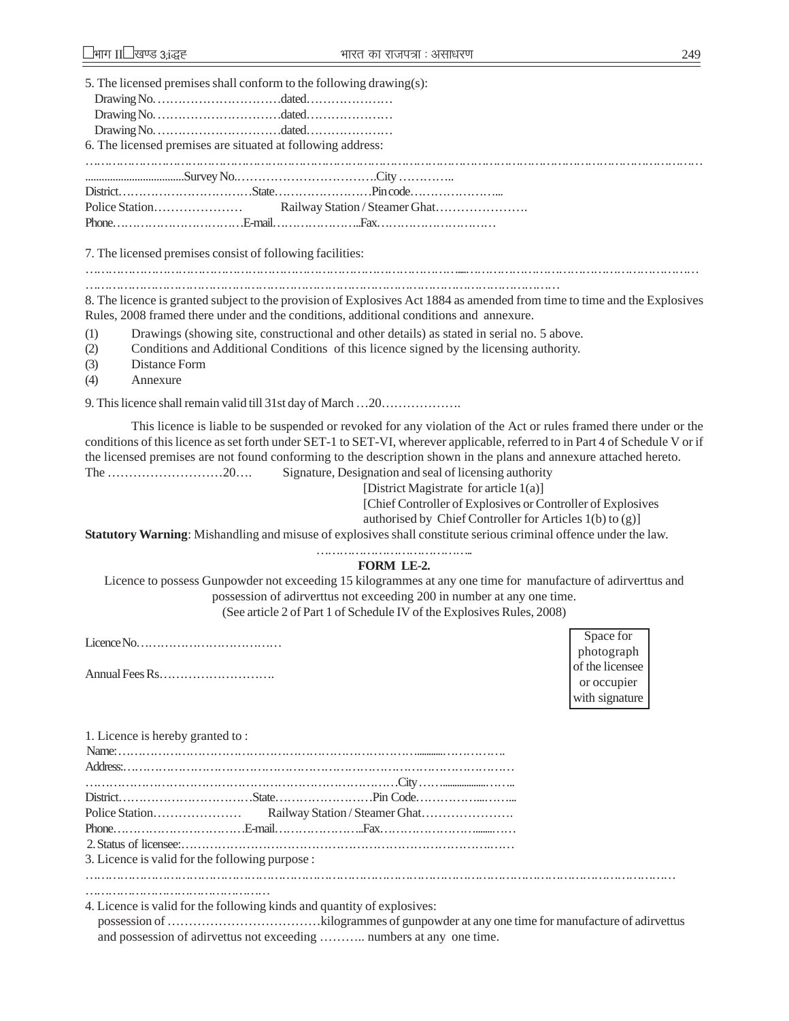| 5. The licensed premises shall conform to the following drawing(s):                                                                                                                                                                                                                                                                                                                                                                                                                                                                                                                                                                                                                                                                                                                                                                                                                                                                                                                                                            |                                                                |
|--------------------------------------------------------------------------------------------------------------------------------------------------------------------------------------------------------------------------------------------------------------------------------------------------------------------------------------------------------------------------------------------------------------------------------------------------------------------------------------------------------------------------------------------------------------------------------------------------------------------------------------------------------------------------------------------------------------------------------------------------------------------------------------------------------------------------------------------------------------------------------------------------------------------------------------------------------------------------------------------------------------------------------|----------------------------------------------------------------|
| 6. The licensed premises are situated at following address:                                                                                                                                                                                                                                                                                                                                                                                                                                                                                                                                                                                                                                                                                                                                                                                                                                                                                                                                                                    |                                                                |
|                                                                                                                                                                                                                                                                                                                                                                                                                                                                                                                                                                                                                                                                                                                                                                                                                                                                                                                                                                                                                                |                                                                |
|                                                                                                                                                                                                                                                                                                                                                                                                                                                                                                                                                                                                                                                                                                                                                                                                                                                                                                                                                                                                                                |                                                                |
|                                                                                                                                                                                                                                                                                                                                                                                                                                                                                                                                                                                                                                                                                                                                                                                                                                                                                                                                                                                                                                |                                                                |
|                                                                                                                                                                                                                                                                                                                                                                                                                                                                                                                                                                                                                                                                                                                                                                                                                                                                                                                                                                                                                                |                                                                |
| 7. The licensed premises consist of following facilities:                                                                                                                                                                                                                                                                                                                                                                                                                                                                                                                                                                                                                                                                                                                                                                                                                                                                                                                                                                      |                                                                |
| 8. The licence is granted subject to the provision of Explosives Act 1884 as amended from time to time and the Explosives<br>Rules, 2008 framed there under and the conditions, additional conditions and annexure.                                                                                                                                                                                                                                                                                                                                                                                                                                                                                                                                                                                                                                                                                                                                                                                                            |                                                                |
| Drawings (showing site, constructional and other details) as stated in serial no. 5 above.<br>(1)<br>Conditions and Additional Conditions of this licence signed by the licensing authority.<br>(2)<br>Distance Form<br>(3)<br>(4)<br>Annexure                                                                                                                                                                                                                                                                                                                                                                                                                                                                                                                                                                                                                                                                                                                                                                                 |                                                                |
|                                                                                                                                                                                                                                                                                                                                                                                                                                                                                                                                                                                                                                                                                                                                                                                                                                                                                                                                                                                                                                |                                                                |
| This licence is liable to be suspended or revoked for any violation of the Act or rules framed there under or the<br>conditions of this licence as set forth under SET-1 to SET-VI, wherever applicable, referred to in Part 4 of Schedule V or if<br>the licensed premises are not found conforming to the description shown in the plans and annexure attached hereto.<br>Signature, Designation and seal of licensing authority<br>The 20<br>[District Magistrate for article 1(a)]<br>[Chief Controller of Explosives or Controller of Explosives<br>authorised by Chief Controller for Articles 1(b) to (g)]<br>Statutory Warning: Mishandling and misuse of explosives shall constitute serious criminal offence under the law.<br><b>FORM LE-2.</b><br>Licence to possess Gunpowder not exceeding 15 kilogrammes at any one time for manufacture of adirverttus and<br>possession of adirverttus not exceeding 200 in number at any one time.<br>(See article 2 of Part 1 of Schedule IV of the Explosives Rules, 2008) | Space for                                                      |
|                                                                                                                                                                                                                                                                                                                                                                                                                                                                                                                                                                                                                                                                                                                                                                                                                                                                                                                                                                                                                                | photograph<br>of the licensee<br>or occupier<br>with signature |
| 1. Licence is hereby granted to:                                                                                                                                                                                                                                                                                                                                                                                                                                                                                                                                                                                                                                                                                                                                                                                                                                                                                                                                                                                               |                                                                |
|                                                                                                                                                                                                                                                                                                                                                                                                                                                                                                                                                                                                                                                                                                                                                                                                                                                                                                                                                                                                                                |                                                                |
| Police Station                                                                                                                                                                                                                                                                                                                                                                                                                                                                                                                                                                                                                                                                                                                                                                                                                                                                                                                                                                                                                 |                                                                |
|                                                                                                                                                                                                                                                                                                                                                                                                                                                                                                                                                                                                                                                                                                                                                                                                                                                                                                                                                                                                                                |                                                                |
| 3. Licence is valid for the following purpose :                                                                                                                                                                                                                                                                                                                                                                                                                                                                                                                                                                                                                                                                                                                                                                                                                                                                                                                                                                                |                                                                |
|                                                                                                                                                                                                                                                                                                                                                                                                                                                                                                                                                                                                                                                                                                                                                                                                                                                                                                                                                                                                                                |                                                                |

4. Licence is valid for the following kinds and quantity of explosives:

possession of ………………………………kilogrammes of gunpowder at any one time for manufacture of adirvettus and possession of adirvettus not exceeding ……….. numbers at any one time.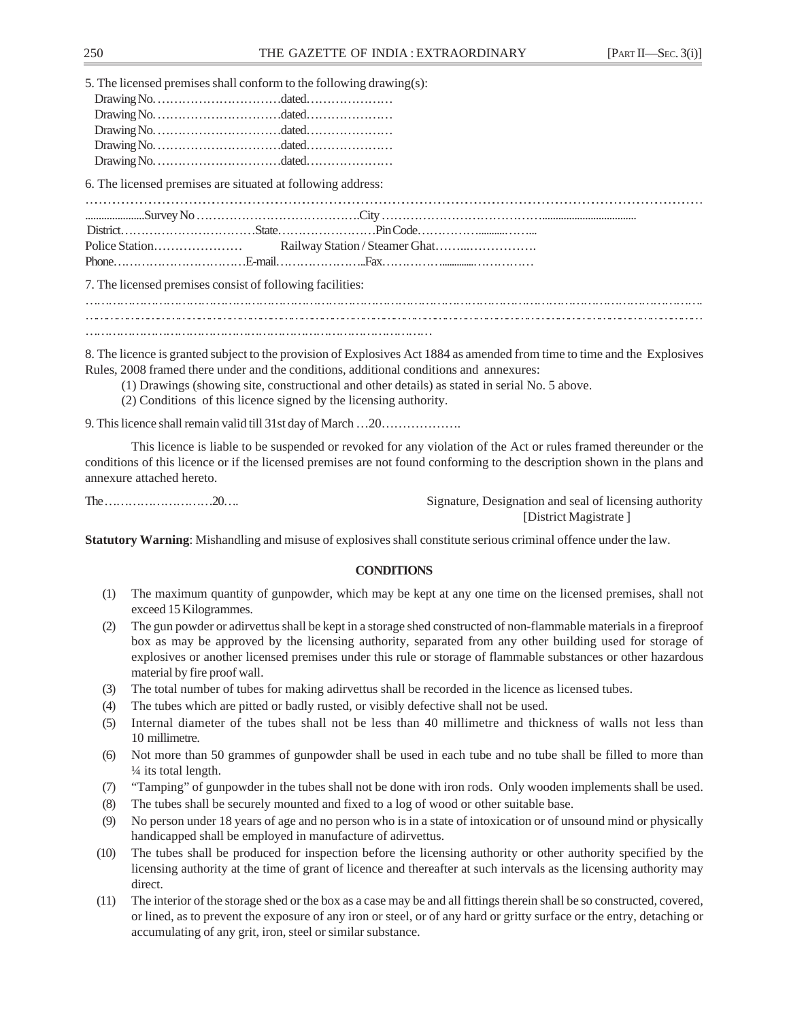5. The licensed premises shall conform to the following drawing(s):

6. The licensed premises are situated at following address:

…………………………………………………………………………………………………………………………………………………………………………………… ......................Survey No ………………………………….City …………………………………................................... District……………………………State……………………Pin Code……………..........……... Police Station………………… Railway Station / Steamer Ghat……...…………….

7. The licensed premises consist of following facilities:

……………………………………………………………………………………………………………………………………………. ……………………………………………………………………………………………………………………………………………………………… ………………………………………………………………………………

8. The licence is granted subject to the provision of Explosives Act 1884 as amended from time to time and the Explosives Rules, 2008 framed there under and the conditions, additional conditions and annexures:

- (1) Drawings (showing site, constructional and other details) as stated in serial No. 5 above.
- (2) Conditions of this licence signed by the licensing authority.

Phone……………………………E-mail…………………..Fax…………….............……………

9. This licence shall remain valid till 31st day of March …20……………….

This licence is liable to be suspended or revoked for any violation of the Act or rules framed thereunder or the conditions of this licence or if the licensed premises are not found conforming to the description shown in the plans and annexure attached hereto.

The ………………………20…. Signature, Designation and seal of licensing authority [District Magistrate ]

**Statutory Warning**: Mishandling and misuse of explosives shall constitute serious criminal offence under the law.

# **CONDITIONS**

- (1) The maximum quantity of gunpowder, which may be kept at any one time on the licensed premises, shall not exceed 15 Kilogrammes.
- (2) The gun powder or adirvettus shall be kept in a storage shed constructed of non-flammable materials in a fireproof box as may be approved by the licensing authority, separated from any other building used for storage of explosives or another licensed premises under this rule or storage of flammable substances or other hazardous material by fire proof wall.
- (3) The total number of tubes for making adirvettus shall be recorded in the licence as licensed tubes.
- (4) The tubes which are pitted or badly rusted, or visibly defective shall not be used.
- (5) Internal diameter of the tubes shall not be less than 40 millimetre and thickness of walls not less than 10 millimetre.
- (6) Not more than 50 grammes of gunpowder shall be used in each tube and no tube shall be filled to more than ¼ its total length.
- (7) "Tamping" of gunpowder in the tubes shall not be done with iron rods. Only wooden implements shall be used.
- (8) The tubes shall be securely mounted and fixed to a log of wood or other suitable base.
- (9) No person under 18 years of age and no person who is in a state of intoxication or of unsound mind or physically handicapped shall be employed in manufacture of adirvettus.
- (10) The tubes shall be produced for inspection before the licensing authority or other authority specified by the licensing authority at the time of grant of licence and thereafter at such intervals as the licensing authority may direct.
- (11) The interior of the storage shed or the box as a case may be and all fittings therein shall be so constructed, covered, or lined, as to prevent the exposure of any iron or steel, or of any hard or gritty surface or the entry, detaching or accumulating of any grit, iron, steel or similar substance.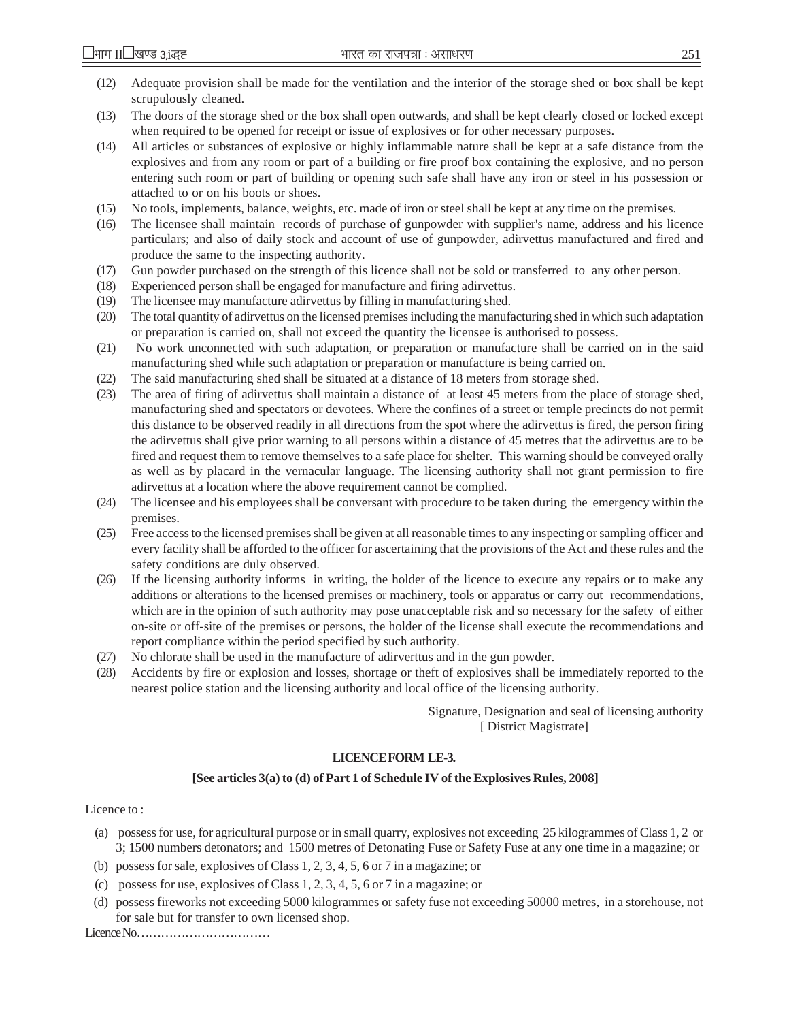- (12) Adequate provision shall be made for the ventilation and the interior of the storage shed or box shall be kept scrupulously cleaned.
- (13) The doors of the storage shed or the box shall open outwards, and shall be kept clearly closed or locked except when required to be opened for receipt or issue of explosives or for other necessary purposes.
- (14) All articles or substances of explosive or highly inflammable nature shall be kept at a safe distance from the explosives and from any room or part of a building or fire proof box containing the explosive, and no person entering such room or part of building or opening such safe shall have any iron or steel in his possession or attached to or on his boots or shoes.
- (15) No tools, implements, balance, weights, etc. made of iron or steel shall be kept at any time on the premises.
- (16) The licensee shall maintain records of purchase of gunpowder with supplier's name, address and his licence particulars; and also of daily stock and account of use of gunpowder, adirvettus manufactured and fired and produce the same to the inspecting authority.
- (17) Gun powder purchased on the strength of this licence shall not be sold or transferred to any other person.
- (18) Experienced person shall be engaged for manufacture and firing adirvettus.
- (19) The licensee may manufacture adirvettus by filling in manufacturing shed.
- (20) The total quantity of adirvettus on the licensed premises including the manufacturing shed in which such adaptation or preparation is carried on, shall not exceed the quantity the licensee is authorised to possess.
- (21) No work unconnected with such adaptation, or preparation or manufacture shall be carried on in the said manufacturing shed while such adaptation or preparation or manufacture is being carried on.
- (22) The said manufacturing shed shall be situated at a distance of 18 meters from storage shed.
- (23) The area of firing of adirvettus shall maintain a distance of at least 45 meters from the place of storage shed, manufacturing shed and spectators or devotees. Where the confines of a street or temple precincts do not permit this distance to be observed readily in all directions from the spot where the adirvettus is fired, the person firing the adirvettus shall give prior warning to all persons within a distance of 45 metres that the adirvettus are to be fired and request them to remove themselves to a safe place for shelter. This warning should be conveyed orally as well as by placard in the vernacular language. The licensing authority shall not grant permission to fire adirvettus at a location where the above requirement cannot be complied.
- (24) The licensee and his employees shall be conversant with procedure to be taken during the emergency within the premises.
- (25) Free access to the licensed premises shall be given at all reasonable times to any inspecting or sampling officer and every facility shall be afforded to the officer for ascertaining that the provisions of the Act and these rules and the safety conditions are duly observed.
- (26) If the licensing authority informs in writing, the holder of the licence to execute any repairs or to make any additions or alterations to the licensed premises or machinery, tools or apparatus or carry out recommendations, which are in the opinion of such authority may pose unacceptable risk and so necessary for the safety of either on-site or off-site of the premises or persons, the holder of the license shall execute the recommendations and report compliance within the period specified by such authority.
- (27) No chlorate shall be used in the manufacture of adirverttus and in the gun powder.
- (28) Accidents by fire or explosion and losses, shortage or theft of explosives shall be immediately reported to the nearest police station and the licensing authority and local office of the licensing authority.

 Signature, Designation and seal of licensing authority [ District Magistrate]

#### **LICENCE FORM LE-3.**

#### **[See articles 3(a) to (d) of Part 1 of Schedule IV of the Explosives Rules, 2008]**

#### Licence to :

- (a) possess for use, for agricultural purpose or in small quarry, explosives not exceeding 25 kilogrammes of Class 1, 2 or 3; 1500 numbers detonators; and 1500 metres of Detonating Fuse or Safety Fuse at any one time in a magazine; or
- (b) possess for sale, explosives of Class 1, 2, 3, 4, 5, 6 or 7 in a magazine; or
- (c) possess for use, explosives of Class 1, 2, 3, 4, 5, 6 or 7 in a magazine; or
- (d) possess fireworks not exceeding 5000 kilogrammes or safety fuse not exceeding 50000 metres, in a storehouse, not for sale but for transfer to own licensed shop.

Licence No……………………………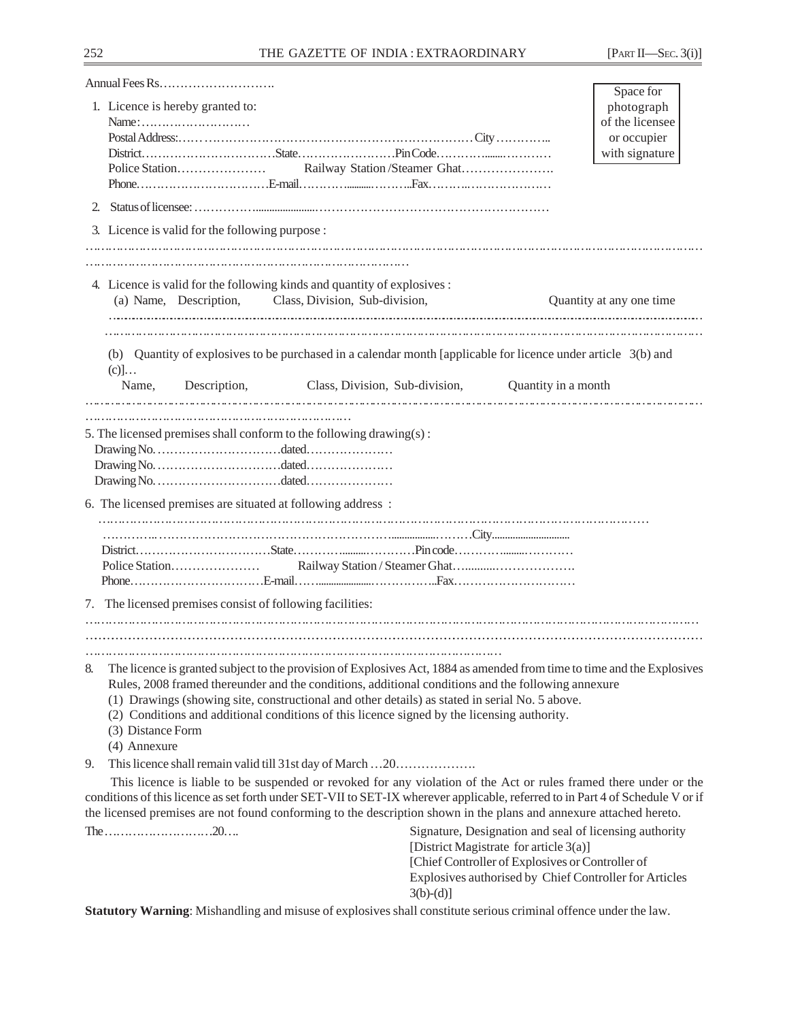|    | Annual Fees Rs                                                                                                                                                                                                                                                                                                                                                                                                                                      |                                                                                            | Space for                                              |
|----|-----------------------------------------------------------------------------------------------------------------------------------------------------------------------------------------------------------------------------------------------------------------------------------------------------------------------------------------------------------------------------------------------------------------------------------------------------|--------------------------------------------------------------------------------------------|--------------------------------------------------------|
|    | 1. Licence is hereby granted to:                                                                                                                                                                                                                                                                                                                                                                                                                    |                                                                                            | photograph                                             |
|    | $Name: \ldots \ldots \ldots \ldots \ldots \ldots \ldots$                                                                                                                                                                                                                                                                                                                                                                                            |                                                                                            | of the licensee                                        |
|    |                                                                                                                                                                                                                                                                                                                                                                                                                                                     |                                                                                            | or occupier                                            |
|    |                                                                                                                                                                                                                                                                                                                                                                                                                                                     |                                                                                            | with signature                                         |
|    |                                                                                                                                                                                                                                                                                                                                                                                                                                                     | Railway Station/Steamer Ghat                                                               |                                                        |
|    |                                                                                                                                                                                                                                                                                                                                                                                                                                                     |                                                                                            |                                                        |
| 2. |                                                                                                                                                                                                                                                                                                                                                                                                                                                     |                                                                                            |                                                        |
|    | 3. Licence is valid for the following purpose :                                                                                                                                                                                                                                                                                                                                                                                                     |                                                                                            |                                                        |
|    | 4. Licence is valid for the following kinds and quantity of explosives :                                                                                                                                                                                                                                                                                                                                                                            |                                                                                            |                                                        |
|    | (a) Name, Description, Class, Division, Sub-division,                                                                                                                                                                                                                                                                                                                                                                                               |                                                                                            | Quantity at any one time                               |
|    |                                                                                                                                                                                                                                                                                                                                                                                                                                                     |                                                                                            |                                                        |
|    | (b) Quantity of explosives to be purchased in a calendar month [applicable for licence under article 3(b) and<br>$(c)]\dots$                                                                                                                                                                                                                                                                                                                        |                                                                                            |                                                        |
|    | Description, Class, Division, Sub-division, Quantity in a month<br>Name,                                                                                                                                                                                                                                                                                                                                                                            |                                                                                            |                                                        |
|    |                                                                                                                                                                                                                                                                                                                                                                                                                                                     |                                                                                            |                                                        |
|    | 5. The licensed premises shall conform to the following drawing(s):                                                                                                                                                                                                                                                                                                                                                                                 |                                                                                            |                                                        |
|    |                                                                                                                                                                                                                                                                                                                                                                                                                                                     |                                                                                            |                                                        |
|    | 6. The licensed premises are situated at following address:                                                                                                                                                                                                                                                                                                                                                                                         |                                                                                            |                                                        |
|    |                                                                                                                                                                                                                                                                                                                                                                                                                                                     |                                                                                            |                                                        |
|    |                                                                                                                                                                                                                                                                                                                                                                                                                                                     |                                                                                            |                                                        |
|    |                                                                                                                                                                                                                                                                                                                                                                                                                                                     |                                                                                            |                                                        |
|    |                                                                                                                                                                                                                                                                                                                                                                                                                                                     |                                                                                            |                                                        |
|    | 7. The licensed premises consist of following facilities:                                                                                                                                                                                                                                                                                                                                                                                           |                                                                                            |                                                        |
|    |                                                                                                                                                                                                                                                                                                                                                                                                                                                     |                                                                                            |                                                        |
|    |                                                                                                                                                                                                                                                                                                                                                                                                                                                     |                                                                                            |                                                        |
|    |                                                                                                                                                                                                                                                                                                                                                                                                                                                     |                                                                                            |                                                        |
| 8. | The licence is granted subject to the provision of Explosives Act, 1884 as amended from time to time and the Explosives<br>Rules, 2008 framed thereunder and the conditions, additional conditions and the following annexure<br>(1) Drawings (showing site, constructional and other details) as stated in serial No. 5 above.<br>(2) Conditions and additional conditions of this licence signed by the licensing authority.<br>(3) Distance Form |                                                                                            |                                                        |
|    | (4) Annexure                                                                                                                                                                                                                                                                                                                                                                                                                                        |                                                                                            |                                                        |
| 9. | This licence shall remain valid till 31st day of March  20                                                                                                                                                                                                                                                                                                                                                                                          |                                                                                            |                                                        |
|    | This licence is liable to be suspended or revoked for any violation of the Act or rules framed there under or the<br>conditions of this licence as set forth under SET-VII to SET-IX wherever applicable, referred to in Part 4 of Schedule V or if<br>the licensed premises are not found conforming to the description shown in the plans and annexure attached hereto.                                                                           |                                                                                            |                                                        |
|    |                                                                                                                                                                                                                                                                                                                                                                                                                                                     |                                                                                            | Signature, Designation and seal of licensing authority |
|    |                                                                                                                                                                                                                                                                                                                                                                                                                                                     | [District Magistrate for article 3(a)]<br>[Chief Controller of Explosives or Controller of |                                                        |
|    |                                                                                                                                                                                                                                                                                                                                                                                                                                                     | $3(b)-(d)$ ]                                                                               | Explosives authorised by Chief Controller for Articles |
|    | Statutory Warning: Mishandling and misuse of explosives shall constitute serious criminal offence under the law.                                                                                                                                                                                                                                                                                                                                    |                                                                                            |                                                        |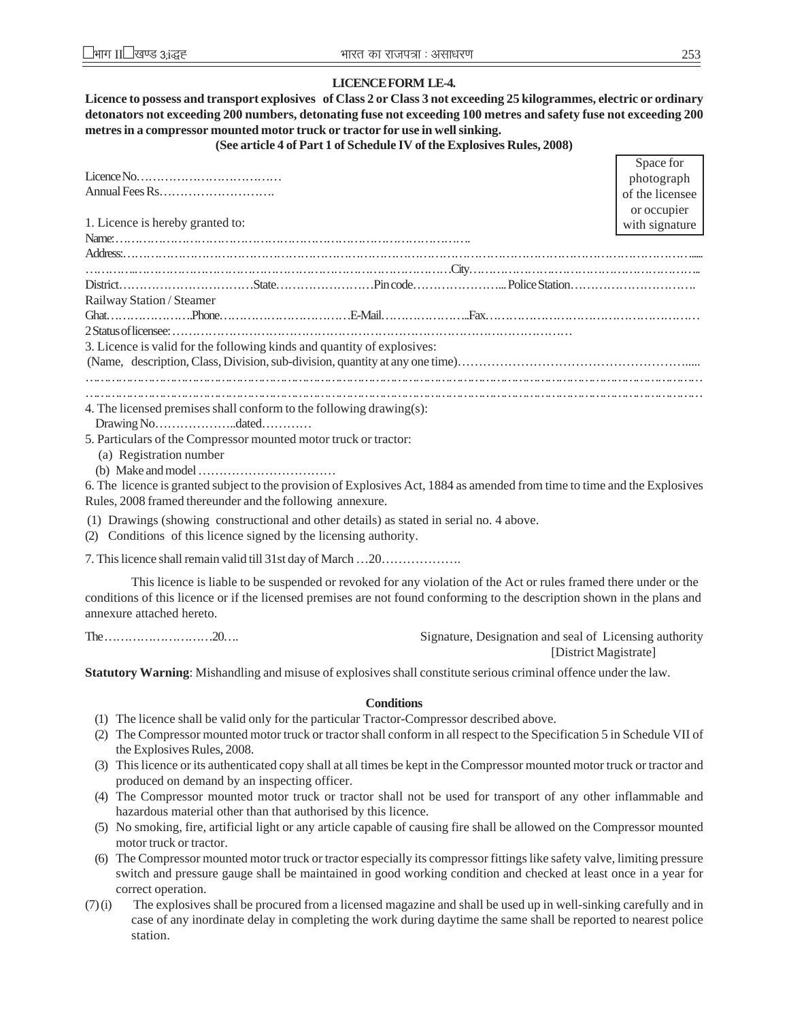### **LICENCE FORM LE-4.**

**Licence to possess and transport explosives of Class 2 or Class 3 not exceeding 25 kilogrammes, electric or ordinary detonators not exceeding 200 numbers, detonating fuse not exceeding 100 metres and safety fuse not exceeding 200 metres in a compressor mounted motor truck or tractor for use in well sinking.**

### **(See article 4 of Part 1 of Schedule IV of the Explosives Rules, 2008)**

|                                                                                                                            | Space for       |
|----------------------------------------------------------------------------------------------------------------------------|-----------------|
|                                                                                                                            | photograph      |
|                                                                                                                            | of the licensee |
|                                                                                                                            | or occupier     |
| 1. Licence is hereby granted to:                                                                                           | with signature  |
|                                                                                                                            |                 |
|                                                                                                                            |                 |
|                                                                                                                            |                 |
|                                                                                                                            |                 |
| Railway Station / Steamer                                                                                                  |                 |
|                                                                                                                            |                 |
|                                                                                                                            |                 |
| 3. Licence is valid for the following kinds and quantity of explosives:                                                    |                 |
|                                                                                                                            |                 |
|                                                                                                                            |                 |
|                                                                                                                            |                 |
| 4. The licensed premises shall conform to the following drawing(s):                                                        |                 |
|                                                                                                                            |                 |
| 5. Particulars of the Compressor mounted motor truck or tractor:                                                           |                 |
| (a) Registration number                                                                                                    |                 |
|                                                                                                                            |                 |
| 6. The licence is granted subject to the provision of Explosives Act, 1884 as amended from time to time and the Explosives |                 |
| Rules, 2008 framed thereunder and the following annexure.                                                                  |                 |
| (1) Drawings (showing constructional and other details) as stated in serial no. 4 above.                                   |                 |
| (2) Conditions of this licence signed by the licensing authority.                                                          |                 |
|                                                                                                                            |                 |
|                                                                                                                            |                 |
| This licence is liable to be suspended or revoked for any violation of the Act or rules framed there under or the          |                 |
| conditions of this licence or if the licensed premises are not found conforming to the description shown in the plans and  |                 |
| annexure attached hereto.                                                                                                  |                 |

The ………………………20…. Signature, Designation and seal of Licensing authority [District Magistrate]

**Statutory Warning**: Mishandling and misuse of explosives shall constitute serious criminal offence under the law.

#### **Conditions**

- (1) The licence shall be valid only for the particular Tractor-Compressor described above.
- (2) The Compressor mounted motor truck or tractor shall conform in all respect to the Specification 5 in Schedule VII of the Explosives Rules, 2008.
- (3) This licence or its authenticated copy shall at all times be kept in the Compressor mounted motor truck or tractor and produced on demand by an inspecting officer.
- (4) The Compressor mounted motor truck or tractor shall not be used for transport of any other inflammable and hazardous material other than that authorised by this licence.
- (5) No smoking, fire, artificial light or any article capable of causing fire shall be allowed on the Compressor mounted motor truck or tractor.
- (6) The Compressor mounted motor truck or tractor especially its compressor fittings like safety valve, limiting pressure switch and pressure gauge shall be maintained in good working condition and checked at least once in a year for correct operation.
- (7) (i) The explosives shall be procured from a licensed magazine and shall be used up in well-sinking carefully and in case of any inordinate delay in completing the work during daytime the same shall be reported to nearest police station.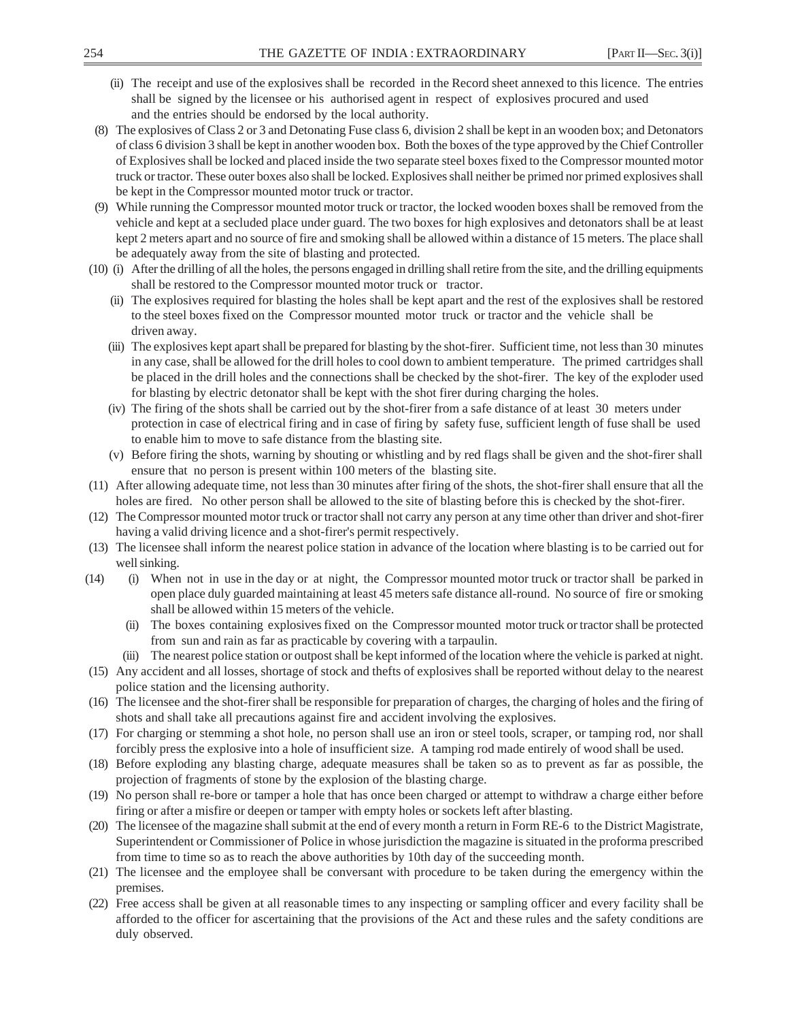- (ii) The receipt and use of the explosives shall be recorded in the Record sheet annexed to this licence. The entries shall be signed by the licensee or his authorised agent in respect of explosives procured and used and the entries should be endorsed by the local authority.
- (8) The explosives of Class 2 or 3 and Detonating Fuse class 6, division 2 shall be kept in an wooden box; and Detonators of class 6 division 3 shall be kept in another wooden box. Both the boxes of the type approved by the Chief Controller of Explosives shall be locked and placed inside the two separate steel boxes fixed to the Compressor mounted motor truck or tractor. These outer boxes also shall be locked. Explosives shall neither be primed nor primed explosives shall be kept in the Compressor mounted motor truck or tractor.
- (9) While running the Compressor mounted motor truck or tractor, the locked wooden boxes shall be removed from the vehicle and kept at a secluded place under guard. The two boxes for high explosives and detonators shall be at least kept 2 meters apart and no source of fire and smoking shall be allowed within a distance of 15 meters. The place shall be adequately away from the site of blasting and protected.
- (10) (i) After the drilling of all the holes, the persons engaged in drilling shall retire from the site, and the drilling equipments shall be restored to the Compressor mounted motor truck or tractor.
	- (ii) The explosives required for blasting the holes shall be kept apart and the rest of the explosives shall be restored to the steel boxes fixed on the Compressor mounted motor truck or tractor and the vehicle shall be driven away.
	- (iii) The explosives kept apart shall be prepared for blasting by the shot-firer. Sufficient time, not less than 30 minutes in any case, shall be allowed for the drill holes to cool down to ambient temperature. The primed cartridges shall be placed in the drill holes and the connections shall be checked by the shot-firer. The key of the exploder used for blasting by electric detonator shall be kept with the shot firer during charging the holes.
	- (iv) The firing of the shots shall be carried out by the shot-firer from a safe distance of at least 30 meters under protection in case of electrical firing and in case of firing by safety fuse, sufficient length of fuse shall be used to enable him to move to safe distance from the blasting site.
	- (v) Before firing the shots, warning by shouting or whistling and by red flags shall be given and the shot-firer shall ensure that no person is present within 100 meters of the blasting site.
- (11) After allowing adequate time, not less than 30 minutes after firing of the shots, the shot-firer shall ensure that all the holes are fired. No other person shall be allowed to the site of blasting before this is checked by the shot-firer.
- (12) The Compressor mounted motor truck or tractor shall not carry any person at any time other than driver and shot-firer having a valid driving licence and a shot-firer's permit respectively.
- (13) The licensee shall inform the nearest police station in advance of the location where blasting is to be carried out for well sinking.
- (14) (i) When not in use in the day or at night, the Compressor mounted motor truck or tractor shall be parked in open place duly guarded maintaining at least 45 meters safe distance all-round. No source of fire or smoking shall be allowed within 15 meters of the vehicle.
	- (ii) The boxes containing explosives fixed on the Compressor mounted motor truck or tractor shall be protected from sun and rain as far as practicable by covering with a tarpaulin.
	- (iii) The nearest police station or outpost shall be kept informed of the location where the vehicle is parked at night.
- (15) Any accident and all losses, shortage of stock and thefts of explosives shall be reported without delay to the nearest police station and the licensing authority.
- (16) The licensee and the shot-firer shall be responsible for preparation of charges, the charging of holes and the firing of shots and shall take all precautions against fire and accident involving the explosives.
- (17) For charging or stemming a shot hole, no person shall use an iron or steel tools, scraper, or tamping rod, nor shall forcibly press the explosive into a hole of insufficient size. A tamping rod made entirely of wood shall be used.
- (18) Before exploding any blasting charge, adequate measures shall be taken so as to prevent as far as possible, the projection of fragments of stone by the explosion of the blasting charge.
- (19) No person shall re-bore or tamper a hole that has once been charged or attempt to withdraw a charge either before firing or after a misfire or deepen or tamper with empty holes or sockets left after blasting.
- (20) The licensee of the magazine shall submit at the end of every month a return in Form RE-6 to the District Magistrate, Superintendent or Commissioner of Police in whose jurisdiction the magazine is situated in the proforma prescribed from time to time so as to reach the above authorities by 10th day of the succeeding month.
- (21) The licensee and the employee shall be conversant with procedure to be taken during the emergency within the premises.
- (22) Free access shall be given at all reasonable times to any inspecting or sampling officer and every facility shall be afforded to the officer for ascertaining that the provisions of the Act and these rules and the safety conditions are duly observed.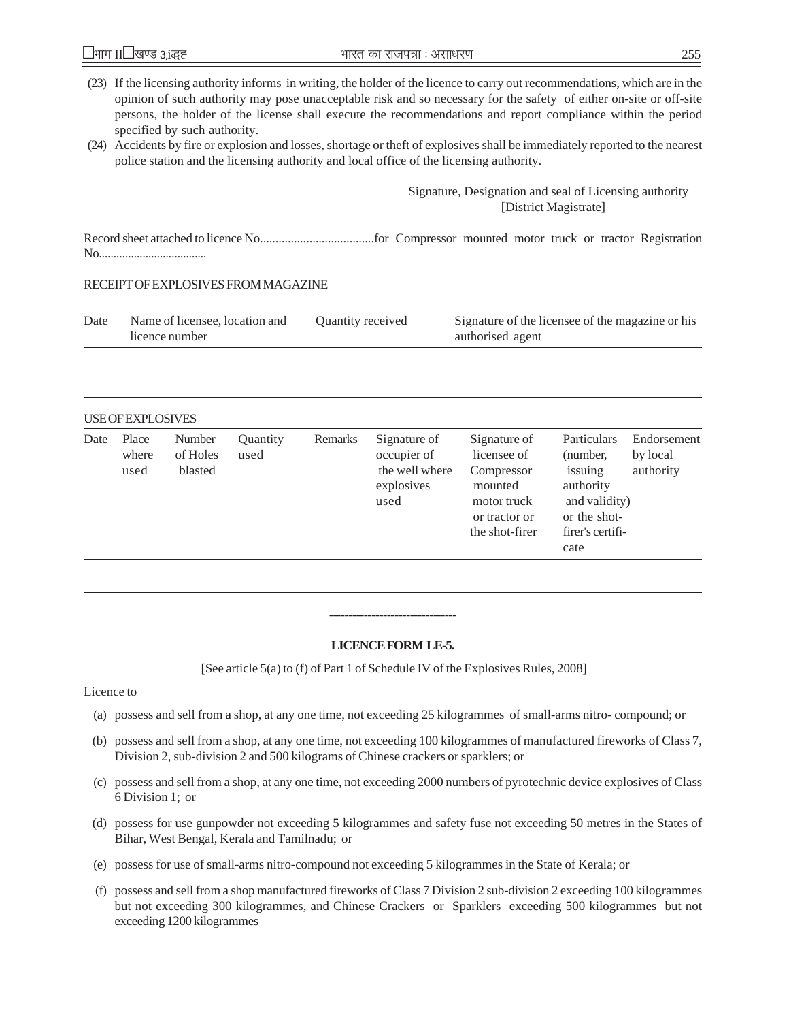- (23) If the licensing authority informs in writing, the holder of the licence to carry out recommendations, which are in the opinion of such authority may pose unacceptable risk and so necessary for the safety of either on-site or off-site persons, the holder of the license shall execute the recommendations and report compliance within the period specified by such authority.
- (24) Accidents by fire or explosion and losses, shortage or theft of explosives shall be immediately reported to the nearest police station and the licensing authority and local office of the licensing authority.

### Signature, Designation and seal of Licensing authority [District Magistrate]

Record sheet attached to licence No.....................................for Compressor mounted motor truck or tractor Registration No.....................................

### RECEIPT OF EXPLOSIVES FROM MAGAZINE

| Date | Name of licensee, location and | Quantity received | Signature of the licensee of the magazine or his |
|------|--------------------------------|-------------------|--------------------------------------------------|
|      | licence number                 |                   | authorised agent                                 |

### USE OF EXPLOSIVES

| Date | Place<br>where<br>used | Number<br>of Holes<br>blasted | Quantity<br>used | Remarks | Signature of<br>occupier of<br>the well where<br>explosives<br>used | Signature of<br>licensee of<br>Compressor<br>mounted<br>motor truck<br>or tractor or<br>the shot-firer | Particulars<br>(number,<br>issuing<br>authority<br>and validity)<br>or the shot-<br>firer's certifi-<br>cate | Endorsement<br>by local<br>authority |
|------|------------------------|-------------------------------|------------------|---------|---------------------------------------------------------------------|--------------------------------------------------------------------------------------------------------|--------------------------------------------------------------------------------------------------------------|--------------------------------------|
|------|------------------------|-------------------------------|------------------|---------|---------------------------------------------------------------------|--------------------------------------------------------------------------------------------------------|--------------------------------------------------------------------------------------------------------------|--------------------------------------|

### **LICENCE FORM LE-5.**

---------------------------------

[See article 5(a) to (f) of Part 1 of Schedule IV of the Explosives Rules, 2008]

#### Licence to

- (a) possess and sell from a shop, at any one time, not exceeding 25 kilogrammes of small-arms nitro- compound; or
- (b) possess and sell from a shop, at any one time, not exceeding 100 kilogrammes of manufactured fireworks of Class 7, Division 2, sub-division 2 and 500 kilograms of Chinese crackers or sparklers; or
- (c) possess and sell from a shop, at any one time, not exceeding 2000 numbers of pyrotechnic device explosives of Class 6 Division 1; or
- (d) possess for use gunpowder not exceeding 5 kilogrammes and safety fuse not exceeding 50 metres in the States of Bihar, West Bengal, Kerala and Tamilnadu; or
- (e) possess for use of small-arms nitro-compound not exceeding 5 kilogrammes in the State of Kerala; or
- (f) possess and sell from a shop manufactured fireworks of Class 7 Division 2 sub-division 2 exceeding 100 kilogrammes but not exceeding 300 kilogrammes, and Chinese Crackers or Sparklers exceeding 500 kilogrammes but not exceeding 1200 kilogrammes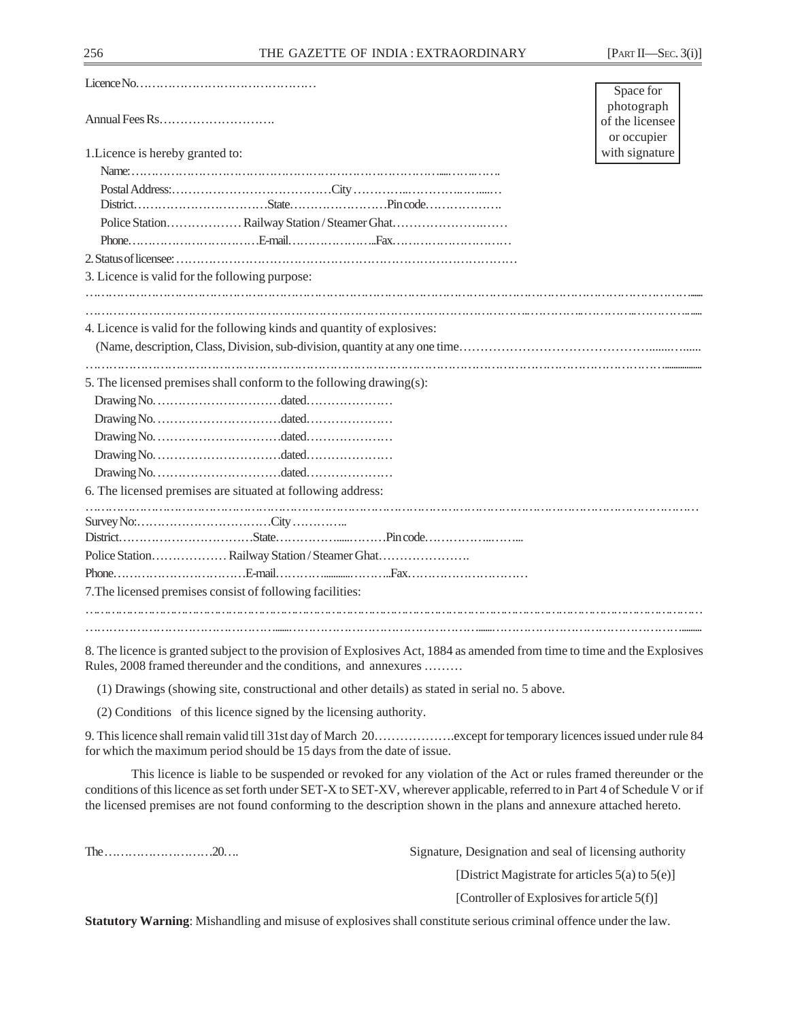|                                                                                                                           | Space for                                    |
|---------------------------------------------------------------------------------------------------------------------------|----------------------------------------------|
|                                                                                                                           | photograph<br>of the licensee<br>or occupier |
| 1. Licence is hereby granted to:                                                                                          | with signature                               |
|                                                                                                                           |                                              |
|                                                                                                                           |                                              |
|                                                                                                                           |                                              |
|                                                                                                                           |                                              |
|                                                                                                                           |                                              |
|                                                                                                                           |                                              |
| 3. Licence is valid for the following purpose:                                                                            |                                              |
|                                                                                                                           |                                              |
| 4. Licence is valid for the following kinds and quantity of explosives:                                                   |                                              |
|                                                                                                                           |                                              |
|                                                                                                                           |                                              |
| 5. The licensed premises shall conform to the following drawing(s):                                                       |                                              |
|                                                                                                                           |                                              |
|                                                                                                                           |                                              |
|                                                                                                                           |                                              |
|                                                                                                                           |                                              |
|                                                                                                                           |                                              |
| 6. The licensed premises are situated at following address:                                                               |                                              |
|                                                                                                                           |                                              |
|                                                                                                                           |                                              |
|                                                                                                                           |                                              |
|                                                                                                                           |                                              |
|                                                                                                                           |                                              |
| 7. The licensed premises consist of following facilities:                                                                 |                                              |
|                                                                                                                           |                                              |
|                                                                                                                           |                                              |
| 8. The licence is grapped subject to the provision of Explosives Act 1884 as amended from time to time and the Explosives |                                              |

The licence is granted subject to the provision of Explosives Act, 1884 as amended from time to time and the Explosives Rules, 2008 framed thereunder and the conditions, and annexures ………

(1) Drawings (showing site, constructional and other details) as stated in serial no. 5 above.

(2) Conditions of this licence signed by the licensing authority.

9. This licence shall remain valid till 31st day of March 20……………….except for temporary licences issued under rule 84 for which the maximum period should be 15 days from the date of issue.

This licence is liable to be suspended or revoked for any violation of the Act or rules framed thereunder or the conditions of this licence as set forth under SET-X to SET-XV, wherever applicable, referred to in Part 4 of Schedule V or if the licensed premises are not found conforming to the description shown in the plans and annexure attached hereto.

The ………………………20…. Signature, Designation and seal of licensing authority

[District Magistrate for articles 5(a) to 5(e)]

[Controller of Explosives for article 5(f)]

**Statutory Warning**: Mishandling and misuse of explosives shall constitute serious criminal offence under the law.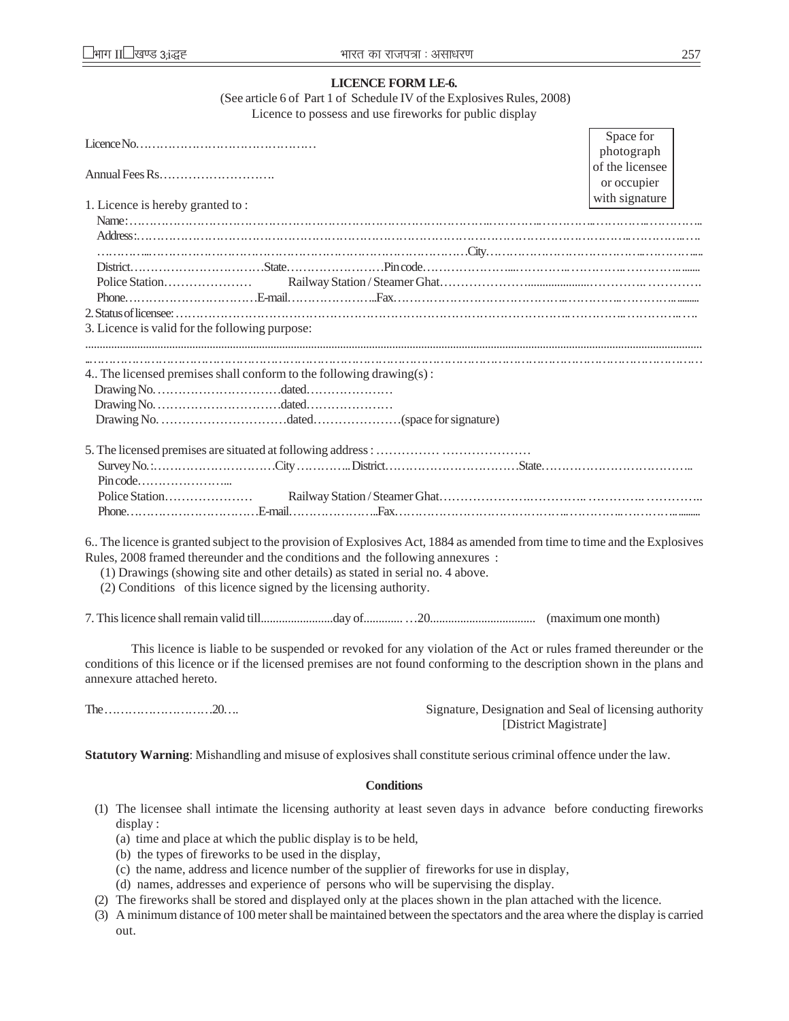| <b>LICENCE FORM LE-6.</b>                                                                                                                                                                                                                                                                                                                                          |                                                                                                                  |
|--------------------------------------------------------------------------------------------------------------------------------------------------------------------------------------------------------------------------------------------------------------------------------------------------------------------------------------------------------------------|------------------------------------------------------------------------------------------------------------------|
| (See article 6 of Part 1 of Schedule IV of the Explosives Rules, 2008)<br>Licence to possess and use fireworks for public display                                                                                                                                                                                                                                  |                                                                                                                  |
|                                                                                                                                                                                                                                                                                                                                                                    |                                                                                                                  |
| Licence No. $\dots \dots \dots \dots \dots \dots \dots \dots \dots \dots \dots \dots \dots$                                                                                                                                                                                                                                                                        | Space for<br>photograph                                                                                          |
|                                                                                                                                                                                                                                                                                                                                                                    | of the licensee<br>or occupier                                                                                   |
| 1. Licence is hereby granted to:                                                                                                                                                                                                                                                                                                                                   | with signature                                                                                                   |
|                                                                                                                                                                                                                                                                                                                                                                    |                                                                                                                  |
|                                                                                                                                                                                                                                                                                                                                                                    |                                                                                                                  |
|                                                                                                                                                                                                                                                                                                                                                                    |                                                                                                                  |
|                                                                                                                                                                                                                                                                                                                                                                    |                                                                                                                  |
|                                                                                                                                                                                                                                                                                                                                                                    |                                                                                                                  |
| 3. Licence is valid for the following purpose:                                                                                                                                                                                                                                                                                                                     |                                                                                                                  |
|                                                                                                                                                                                                                                                                                                                                                                    |                                                                                                                  |
| 4. The licensed premises shall conform to the following drawing(s):                                                                                                                                                                                                                                                                                                |                                                                                                                  |
| Police Station                                                                                                                                                                                                                                                                                                                                                     |                                                                                                                  |
| 6. The licence is granted subject to the provision of Explosives Act, 1884 as amended from time to time and the Explosives<br>Rules, 2008 framed thereunder and the conditions and the following annexures:<br>(1) Drawings (showing site and other details) as stated in serial no. 4 above.<br>(2) Conditions of this licence signed by the licensing authority. |                                                                                                                  |
|                                                                                                                                                                                                                                                                                                                                                                    |                                                                                                                  |
| conditions of this licence or if the licensed premises are not found conforming to the description shown in the plans and<br>annexure attached hereto.                                                                                                                                                                                                             | This licence is liable to be suspended or revoked for any violation of the Act or rules framed thereunder or the |
|                                                                                                                                                                                                                                                                                                                                                                    | Signature, Designation and Seal of licensing authority<br>[District Magistrate]                                  |

**Statutory Warning**: Mishandling and misuse of explosives shall constitute serious criminal offence under the law.

#### **Conditions**

- (1) The licensee shall intimate the licensing authority at least seven days in advance before conducting fireworks display :
	- (a) time and place at which the public display is to be held,
	- (b) the types of fireworks to be used in the display,
	- (c) the name, address and licence number of the supplier of fireworks for use in display,
	- (d) names, addresses and experience of persons who will be supervising the display.
- (2) The fireworks shall be stored and displayed only at the places shown in the plan attached with the licence.
- (3) A minimum distance of 100 meter shall be maintained between the spectators and the area where the display is carried out.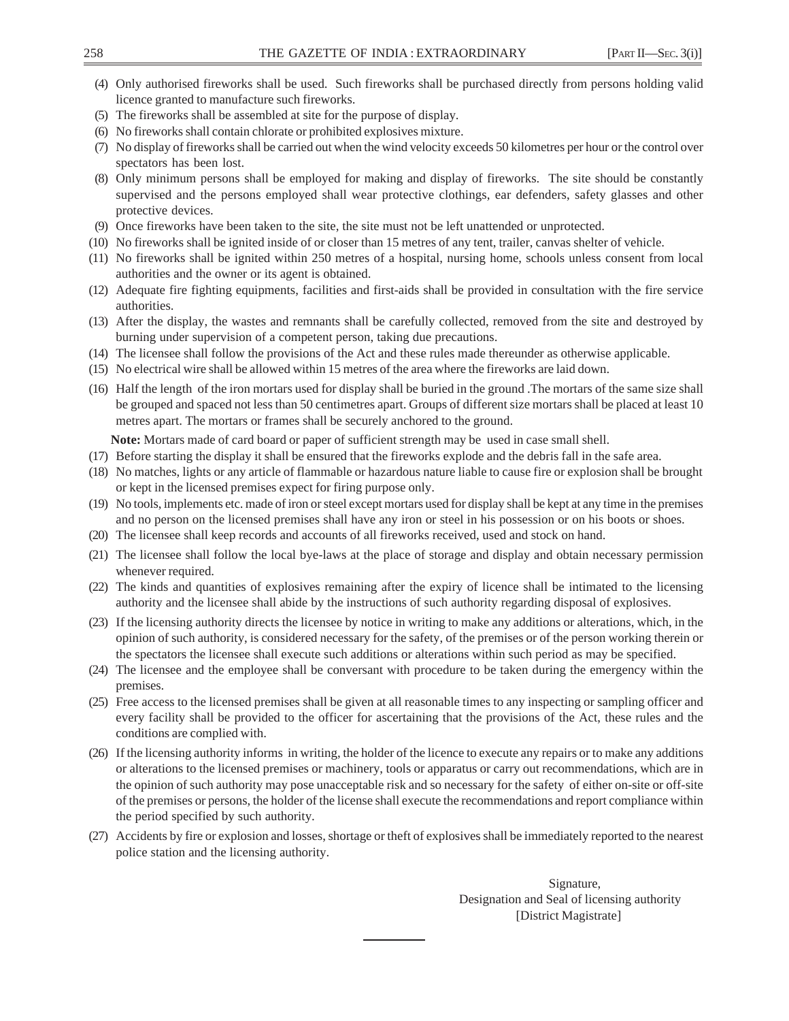- (4) Only authorised fireworks shall be used. Such fireworks shall be purchased directly from persons holding valid licence granted to manufacture such fireworks.
- (5) The fireworks shall be assembled at site for the purpose of display.
- (6) No fireworks shall contain chlorate or prohibited explosives mixture.
- (7) No display of fireworks shall be carried out when the wind velocity exceeds 50 kilometres per hour or the control over spectators has been lost.
- (8) Only minimum persons shall be employed for making and display of fireworks. The site should be constantly supervised and the persons employed shall wear protective clothings, ear defenders, safety glasses and other protective devices.
- (9) Once fireworks have been taken to the site, the site must not be left unattended or unprotected.
- (10) No fireworks shall be ignited inside of or closer than 15 metres of any tent, trailer, canvas shelter of vehicle.
- (11) No fireworks shall be ignited within 250 metres of a hospital, nursing home, schools unless consent from local authorities and the owner or its agent is obtained.
- (12) Adequate fire fighting equipments, facilities and first-aids shall be provided in consultation with the fire service authorities.
- (13) After the display, the wastes and remnants shall be carefully collected, removed from the site and destroyed by burning under supervision of a competent person, taking due precautions.
- (14) The licensee shall follow the provisions of the Act and these rules made thereunder as otherwise applicable.
- (15) No electrical wire shall be allowed within 15 metres of the area where the fireworks are laid down.
- (16) Half the length of the iron mortars used for display shall be buried in the ground .The mortars of the same size shall be grouped and spaced not less than 50 centimetres apart. Groups of different size mortars shall be placed at least 10 metres apart. The mortars or frames shall be securely anchored to the ground.

**Note:** Mortars made of card board or paper of sufficient strength may be used in case small shell.

- (17) Before starting the display it shall be ensured that the fireworks explode and the debris fall in the safe area.
- (18) No matches, lights or any article of flammable or hazardous nature liable to cause fire or explosion shall be brought or kept in the licensed premises expect for firing purpose only.
- (19) No tools, implements etc. made of iron or steel except mortars used for display shall be kept at any time in the premises and no person on the licensed premises shall have any iron or steel in his possession or on his boots or shoes.
- (20) The licensee shall keep records and accounts of all fireworks received, used and stock on hand.
- (21) The licensee shall follow the local bye-laws at the place of storage and display and obtain necessary permission whenever required.
- (22) The kinds and quantities of explosives remaining after the expiry of licence shall be intimated to the licensing authority and the licensee shall abide by the instructions of such authority regarding disposal of explosives.
- (23) If the licensing authority directs the licensee by notice in writing to make any additions or alterations, which, in the opinion of such authority, is considered necessary for the safety, of the premises or of the person working therein or the spectators the licensee shall execute such additions or alterations within such period as may be specified.
- (24) The licensee and the employee shall be conversant with procedure to be taken during the emergency within the premises.
- (25) Free access to the licensed premises shall be given at all reasonable times to any inspecting or sampling officer and every facility shall be provided to the officer for ascertaining that the provisions of the Act, these rules and the conditions are complied with.
- (26) If the licensing authority informs in writing, the holder of the licence to execute any repairs or to make any additions or alterations to the licensed premises or machinery, tools or apparatus or carry out recommendations, which are in the opinion of such authority may pose unacceptable risk and so necessary for the safety of either on-site or off-site of the premises or persons, the holder of the license shall execute the recommendations and report compliance within the period specified by such authority.
- (27) Accidents by fire or explosion and losses, shortage or theft of explosives shall be immediately reported to the nearest police station and the licensing authority.

Signature, Designation and Seal of licensing authority [District Magistrate]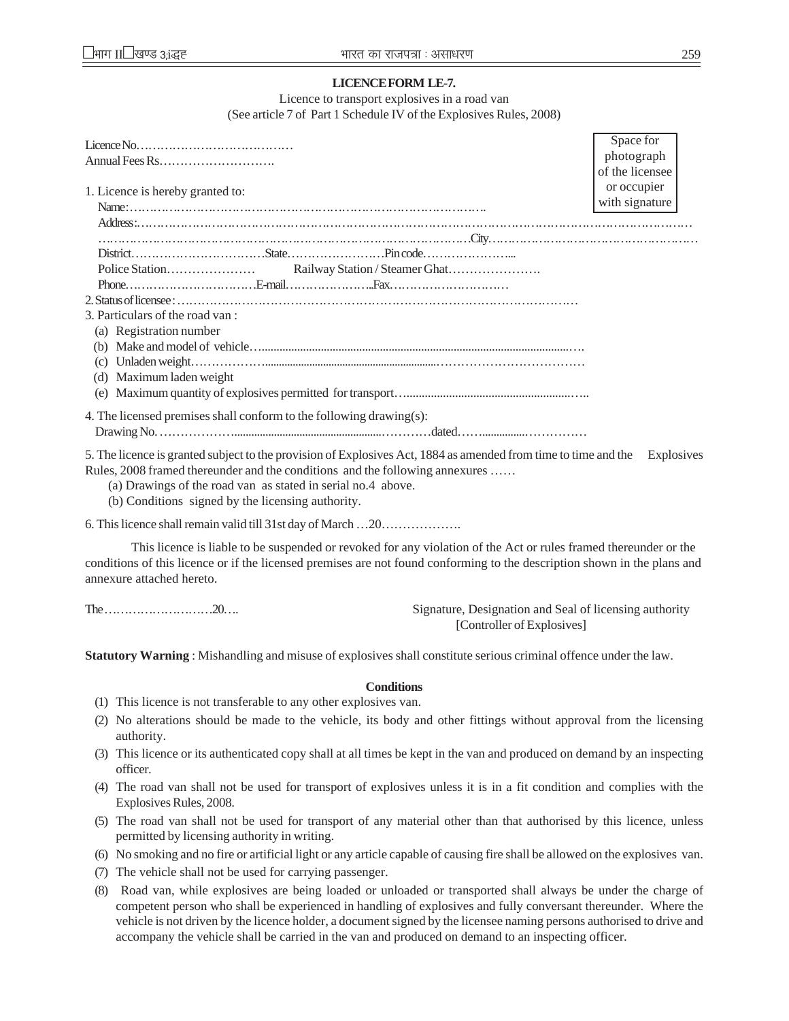### **LICENCE FORM LE-7.**

Licence to transport explosives in a road van (See article 7 of Part 1 Schedule IV of the Explosives Rules, 2008)

|                                                                                                                           | Space for       |  |
|---------------------------------------------------------------------------------------------------------------------------|-----------------|--|
|                                                                                                                           | photograph      |  |
|                                                                                                                           | of the licensee |  |
| 1. Licence is hereby granted to:                                                                                          | or occupier     |  |
|                                                                                                                           | with signature  |  |
|                                                                                                                           |                 |  |
|                                                                                                                           |                 |  |
|                                                                                                                           |                 |  |
|                                                                                                                           |                 |  |
|                                                                                                                           |                 |  |
|                                                                                                                           |                 |  |
| 3. Particulars of the road van:                                                                                           |                 |  |
| (a) Registration number                                                                                                   |                 |  |
|                                                                                                                           |                 |  |
|                                                                                                                           |                 |  |
| (d) Maximum laden weight                                                                                                  |                 |  |
|                                                                                                                           |                 |  |
|                                                                                                                           |                 |  |
| 4. The licensed premises shall conform to the following drawing(s):                                                       |                 |  |
|                                                                                                                           |                 |  |
| 5. The licence is quented subject to the nucrician of Evalogives A at 1994 as emanded from time to time and the Frulegive |                 |  |

5. The licence is granted subject to the provision of Explosives Act, 1884 as amended from time to time and the Explosives Rules, 2008 framed thereunder and the conditions and the following annexures ……

(a) Drawings of the road van as stated in serial no.4 above.

(b) Conditions signed by the licensing authority.

6. This licence shall remain valid till 31st day of March …20……………….

This licence is liable to be suspended or revoked for any violation of the Act or rules framed thereunder or the conditions of this licence or if the licensed premises are not found conforming to the description shown in the plans and annexure attached hereto.

The ………………………20…. Signature, Designation and Seal of licensing authority [Controller of Explosives]

**Statutory Warning** : Mishandling and misuse of explosives shall constitute serious criminal offence under the law.

# **Conditions**

- (1) This licence is not transferable to any other explosives van.
- (2) No alterations should be made to the vehicle, its body and other fittings without approval from the licensing authority.
- (3) This licence or its authenticated copy shall at all times be kept in the van and produced on demand by an inspecting officer.
- (4) The road van shall not be used for transport of explosives unless it is in a fit condition and complies with the Explosives Rules, 2008.
- (5) The road van shall not be used for transport of any material other than that authorised by this licence, unless permitted by licensing authority in writing.
- (6) No smoking and no fire or artificial light or any article capable of causing fire shall be allowed on the explosives van.
- (7) The vehicle shall not be used for carrying passenger.
- (8) Road van, while explosives are being loaded or unloaded or transported shall always be under the charge of competent person who shall be experienced in handling of explosives and fully conversant thereunder. Where the vehicle is not driven by the licence holder, a document signed by the licensee naming persons authorised to drive and accompany the vehicle shall be carried in the van and produced on demand to an inspecting officer.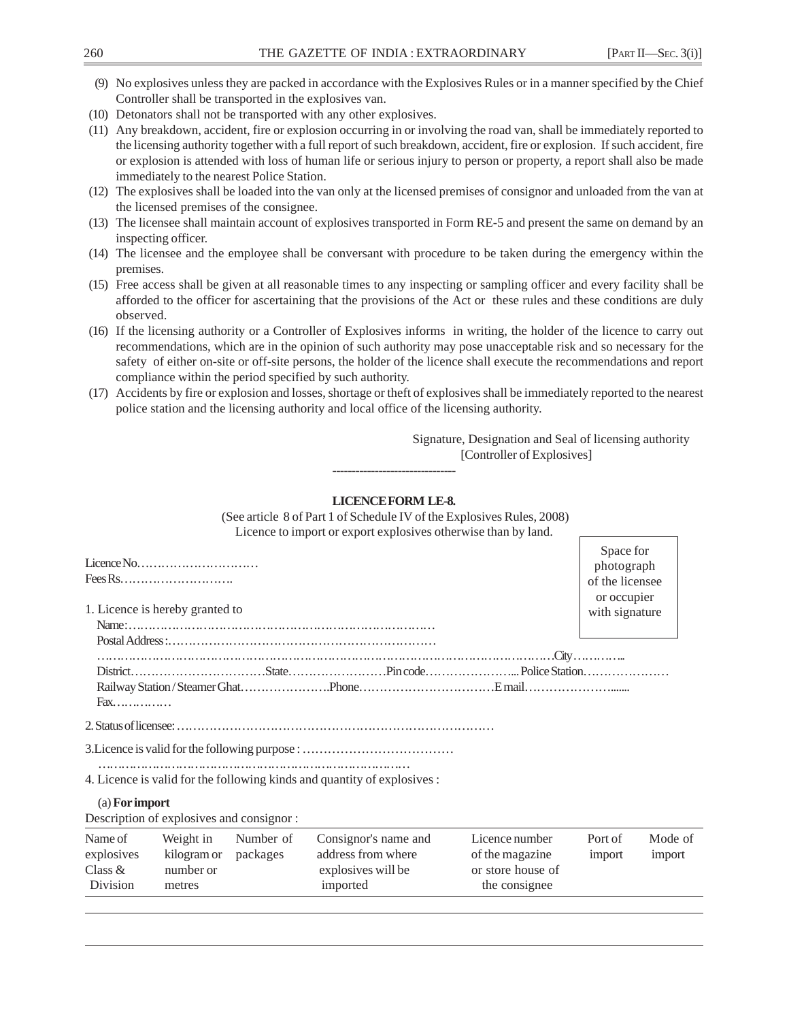- (9) No explosives unless they are packed in accordance with the Explosives Rules or in a manner specified by the Chief Controller shall be transported in the explosives van.
- (10) Detonators shall not be transported with any other explosives.
- (11) Any breakdown, accident, fire or explosion occurring in or involving the road van, shall be immediately reported to the licensing authority together with a full report of such breakdown, accident, fire or explosion. If such accident, fire or explosion is attended with loss of human life or serious injury to person or property, a report shall also be made immediately to the nearest Police Station.
- (12) The explosives shall be loaded into the van only at the licensed premises of consignor and unloaded from the van at the licensed premises of the consignee.
- (13) The licensee shall maintain account of explosives transported in Form RE-5 and present the same on demand by an inspecting officer.
- (14) The licensee and the employee shall be conversant with procedure to be taken during the emergency within the premises.
- (15) Free access shall be given at all reasonable times to any inspecting or sampling officer and every facility shall be afforded to the officer for ascertaining that the provisions of the Act or these rules and these conditions are duly observed.
- (16) If the licensing authority or a Controller of Explosives informs in writing, the holder of the licence to carry out recommendations, which are in the opinion of such authority may pose unacceptable risk and so necessary for the safety of either on-site or off-site persons, the holder of the licence shall execute the recommendations and report compliance within the period specified by such authority.
- (17) Accidents by fire or explosion and losses, shortage or theft of explosives shall be immediately reported to the nearest police station and the licensing authority and local office of the licensing authority.

 Signature, Designation and Seal of licensing authority [Controller of Explosives]

### **LICENCE FORM LE-8.**

--------------------------------

 (See article 8 of Part 1 of Schedule IV of the Explosives Rules, 2008) Licence to import or export explosives otherwise than by land. Licence No………………………… Fees Rs………………………. 1. Licence is hereby granted to Name : …………………………………………………………………… Postal Address :………………………………………………………… ………………………………………………………………………………………………………City ………….. District……………………………State……………………Pin code…………………... Police Station………………… Railway Station / Steamer Ghat………………….Phone……………………………E mail…………………....... Fax…………… 2. Status of licensee: …………………………………………………………………… 3.Licence is valid for the following purpose : ……………………………… ……………………………………………………………………… 4. Licence is valid for the following kinds and quantity of explosives : (a) **For import** Description of explosives and consignor : Name of Weight in Number of Consignor's name and Licence number Port of Mode of explosives kilogram or packages address from where of the magazine import import Class & number or explosives will be or store house of Division metres imported the consignee Space for photograph of the licensee or occupier with signature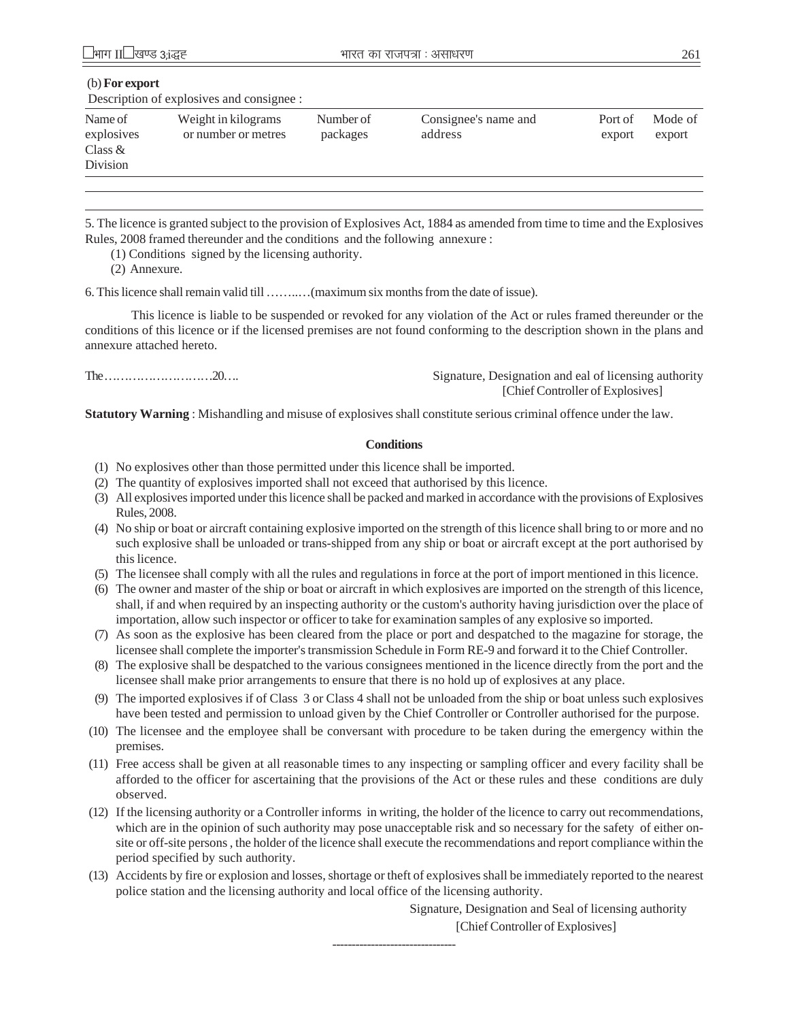### (b) **For export**

Description of explosives and consignee :

| Name of<br>explosives<br>Class $\&$ | Weight in kilograms<br>or number or metres | Number of<br>packages | Consignee's name and<br>address | Port of<br>export | Mode of<br>export |
|-------------------------------------|--------------------------------------------|-----------------------|---------------------------------|-------------------|-------------------|
| Division                            |                                            |                       |                                 |                   |                   |

5. The licence is granted subject to the provision of Explosives Act, 1884 as amended from time to time and the Explosives Rules, 2008 framed thereunder and the conditions and the following annexure :

(1) Conditions signed by the licensing authority.

(2) Annexure.

6. This licence shall remain valid till ……..…(maximum six months from the date of issue).

This licence is liable to be suspended or revoked for any violation of the Act or rules framed thereunder or the conditions of this licence or if the licensed premises are not found conforming to the description shown in the plans and annexure attached hereto.

The ………………………20…. Signature, Designation and eal of licensing authority [Chief Controller of Explosives]

**Statutory Warning** : Mishandling and misuse of explosives shall constitute serious criminal offence under the law.

### **Conditions**

- (1) No explosives other than those permitted under this licence shall be imported.
- (2) The quantity of explosives imported shall not exceed that authorised by this licence.
- (3) All explosives imported under this licence shall be packed and marked in accordance with the provisions of Explosives Rules, 2008.
- (4) No ship or boat or aircraft containing explosive imported on the strength of this licence shall bring to or more and no such explosive shall be unloaded or trans-shipped from any ship or boat or aircraft except at the port authorised by this licence.
- (5) The licensee shall comply with all the rules and regulations in force at the port of import mentioned in this licence.
- (6) The owner and master of the ship or boat or aircraft in which explosives are imported on the strength of this licence, shall, if and when required by an inspecting authority or the custom's authority having jurisdiction over the place of importation, allow such inspector or officer to take for examination samples of any explosive so imported.
- (7) As soon as the explosive has been cleared from the place or port and despatched to the magazine for storage, the licensee shall complete the importer's transmission Schedule in Form RE-9 and forward it to the Chief Controller.
- (8) The explosive shall be despatched to the various consignees mentioned in the licence directly from the port and the licensee shall make prior arrangements to ensure that there is no hold up of explosives at any place.
- (9) The imported explosives if of Class 3 or Class 4 shall not be unloaded from the ship or boat unless such explosives have been tested and permission to unload given by the Chief Controller or Controller authorised for the purpose.
- (10) The licensee and the employee shall be conversant with procedure to be taken during the emergency within the premises.
- (11) Free access shall be given at all reasonable times to any inspecting or sampling officer and every facility shall be afforded to the officer for ascertaining that the provisions of the Act or these rules and these conditions are duly observed.
- (12) If the licensing authority or a Controller informs in writing, the holder of the licence to carry out recommendations, which are in the opinion of such authority may pose unacceptable risk and so necessary for the safety of either onsite or off-site persons , the holder of the licence shall execute the recommendations and report compliance within the period specified by such authority.
- (13) Accidents by fire or explosion and losses, shortage or theft of explosives shall be immediately reported to the nearest police station and the licensing authority and local office of the licensing authority.

Signature, Designation and Seal of licensing authority

[Chief Controller of Explosives]

--------------------------------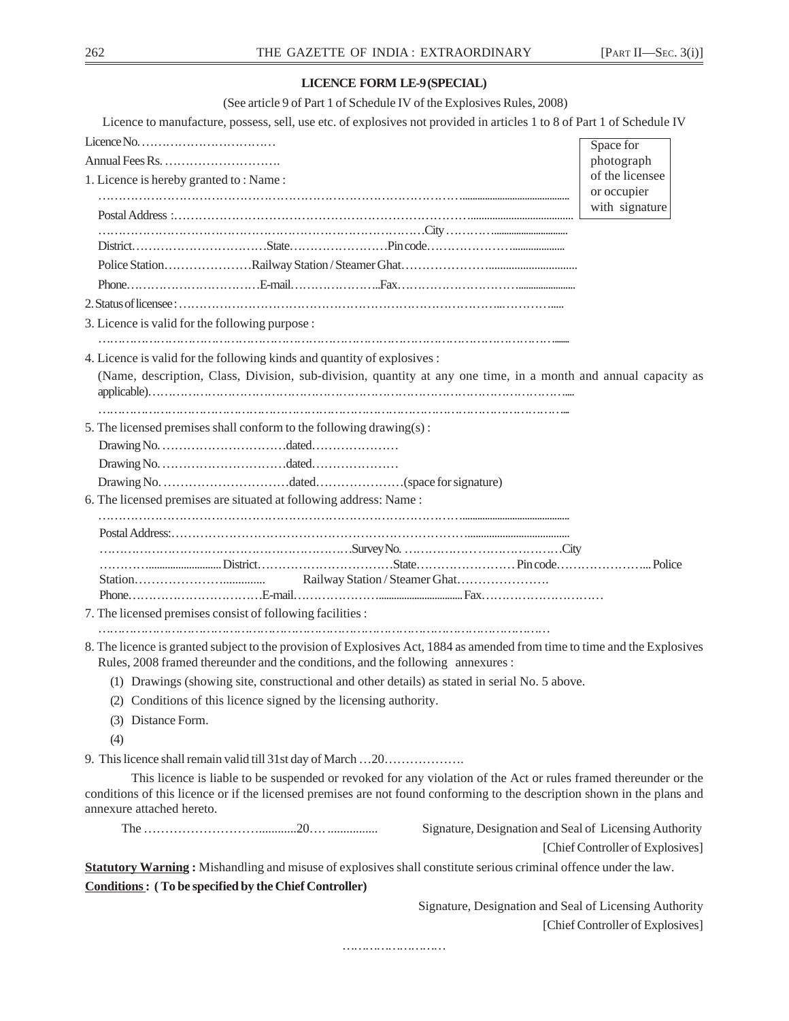# **LICENCE FORM LE-9 (SPECIAL)**

(See article 9 of Part 1 of Schedule IV of the Explosives Rules, 2008)

Licence to manufacture, possess, sell, use etc. of explosives not provided in articles 1 to 8 of Part 1 of Schedule IV

| Licence No. $\dots\dots\dots\dots\dots\dots\dots\dots\dots\dots\dots\dots\dots\dots$                                                                                                                                                                                       |                                                        | Space for                        |
|----------------------------------------------------------------------------------------------------------------------------------------------------------------------------------------------------------------------------------------------------------------------------|--------------------------------------------------------|----------------------------------|
|                                                                                                                                                                                                                                                                            |                                                        | photograph                       |
| 1. Licence is hereby granted to: Name:                                                                                                                                                                                                                                     |                                                        | of the licensee                  |
|                                                                                                                                                                                                                                                                            | or occupier<br>with signature                          |                                  |
|                                                                                                                                                                                                                                                                            |                                                        |                                  |
|                                                                                                                                                                                                                                                                            |                                                        |                                  |
|                                                                                                                                                                                                                                                                            |                                                        |                                  |
|                                                                                                                                                                                                                                                                            |                                                        |                                  |
|                                                                                                                                                                                                                                                                            |                                                        |                                  |
| 3. Licence is valid for the following purpose :                                                                                                                                                                                                                            |                                                        |                                  |
| 4. Licence is valid for the following kinds and quantity of explosives :                                                                                                                                                                                                   |                                                        |                                  |
| (Name, description, Class, Division, sub-division, quantity at any one time, in a month and annual capacity as                                                                                                                                                             |                                                        |                                  |
| 5. The licensed premises shall conform to the following drawing(s):                                                                                                                                                                                                        |                                                        |                                  |
|                                                                                                                                                                                                                                                                            |                                                        |                                  |
|                                                                                                                                                                                                                                                                            |                                                        |                                  |
|                                                                                                                                                                                                                                                                            |                                                        |                                  |
| 6. The licensed premises are situated at following address: Name:                                                                                                                                                                                                          |                                                        |                                  |
|                                                                                                                                                                                                                                                                            |                                                        |                                  |
|                                                                                                                                                                                                                                                                            |                                                        |                                  |
|                                                                                                                                                                                                                                                                            |                                                        |                                  |
|                                                                                                                                                                                                                                                                            |                                                        |                                  |
| 7. The licensed premises consist of following facilities :                                                                                                                                                                                                                 |                                                        |                                  |
| 8. The licence is granted subject to the provision of Explosives Act, 1884 as amended from time to time and the Explosives                                                                                                                                                 |                                                        |                                  |
| Rules, 2008 framed thereunder and the conditions, and the following annexures:                                                                                                                                                                                             |                                                        |                                  |
| (1) Drawings (showing site, constructional and other details) as stated in serial No. 5 above.                                                                                                                                                                             |                                                        |                                  |
| (2) Conditions of this licence signed by the licensing authority.                                                                                                                                                                                                          |                                                        |                                  |
| (3) Distance Form.                                                                                                                                                                                                                                                         |                                                        |                                  |
| (4)                                                                                                                                                                                                                                                                        |                                                        |                                  |
|                                                                                                                                                                                                                                                                            |                                                        |                                  |
| This licence is liable to be suspended or revoked for any violation of the Act or rules framed thereunder or the<br>conditions of this licence or if the licensed premises are not found conforming to the description shown in the plans and<br>annexure attached hereto. |                                                        |                                  |
|                                                                                                                                                                                                                                                                            | Signature, Designation and Seal of Licensing Authority |                                  |
|                                                                                                                                                                                                                                                                            |                                                        | [Chief Controller of Explosives] |
| Statutory Warning: Mishandling and misuse of explosives shall constitute serious criminal offence under the law.                                                                                                                                                           |                                                        |                                  |
| <b>Conditions:</b> (To be specified by the Chief Controller)                                                                                                                                                                                                               |                                                        |                                  |
|                                                                                                                                                                                                                                                                            | Signature, Designation and Seal of Licensing Authority |                                  |

………………………

[Chief Controller of Explosives]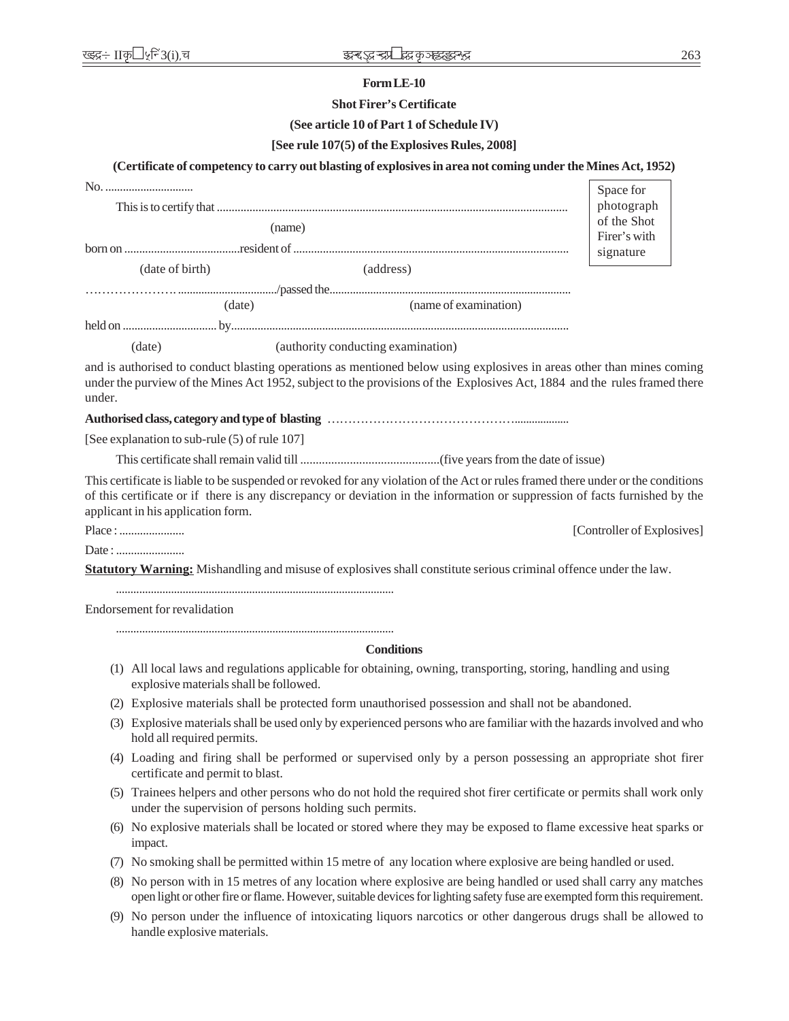#### **Form LE-10**

### **Shot Firer's Certificate**

### **(See article 10 of Part 1 of Schedule IV)**

### **[See rule 107(5) of the Explosives Rules, 2008]**

#### **(Certificate of competency to carry out blasting of explosives in area not coming under the Mines Act, 1952)**

|        | No.                                           |                                    |                                                                                                                                                                                                                                                                 | Space for                  |
|--------|-----------------------------------------------|------------------------------------|-----------------------------------------------------------------------------------------------------------------------------------------------------------------------------------------------------------------------------------------------------------------|----------------------------|
|        |                                               |                                    |                                                                                                                                                                                                                                                                 | photograph                 |
| (name) |                                               |                                    | of the Shot                                                                                                                                                                                                                                                     |                            |
|        |                                               |                                    |                                                                                                                                                                                                                                                                 | Firer's with<br>signature  |
|        | (date of birth)                               |                                    | (address)                                                                                                                                                                                                                                                       |                            |
|        |                                               |                                    |                                                                                                                                                                                                                                                                 |                            |
|        | (date)                                        |                                    | (name of examination)                                                                                                                                                                                                                                           |                            |
|        |                                               |                                    |                                                                                                                                                                                                                                                                 |                            |
|        | (date)                                        | (authority conducting examination) |                                                                                                                                                                                                                                                                 |                            |
| under. |                                               |                                    | and is authorised to conduct blasting operations as mentioned below using explosives in areas other than mines coming<br>under the purview of the Mines Act 1952, subject to the provisions of the Explosives Act, 1884 and the rules framed there              |                            |
|        |                                               |                                    |                                                                                                                                                                                                                                                                 |                            |
|        | [See explanation to sub-rule (5) of rule 107] |                                    |                                                                                                                                                                                                                                                                 |                            |
|        |                                               |                                    |                                                                                                                                                                                                                                                                 |                            |
|        | applicant in his application form.            |                                    | This certificate is liable to be suspended or revoked for any violation of the Act or rules framed there under or the conditions<br>of this certificate or if there is any discrepancy or deviation in the information or suppression of facts furnished by the |                            |
|        |                                               |                                    |                                                                                                                                                                                                                                                                 | [Controller of Explosives] |
|        |                                               |                                    |                                                                                                                                                                                                                                                                 |                            |
|        |                                               |                                    | Statutory Warning: Mishandling and misuse of explosives shall constitute serious criminal offence under the law.                                                                                                                                                |                            |
|        | Endorsement for revalidation                  |                                    |                                                                                                                                                                                                                                                                 |                            |
|        |                                               |                                    | <b>Conditions</b>                                                                                                                                                                                                                                               |                            |
|        | explosive materials shall be followed.        |                                    | (1) All local laws and regulations applicable for obtaining, owning, transporting, storing, handling and using                                                                                                                                                  |                            |
|        |                                               |                                    | (2) Explosive materials shall be protected form unauthorised possession and shall not be abandoned.                                                                                                                                                             |                            |
| (3)    | hold all required permits.                    |                                    | Explosive materials shall be used only by experienced persons who are familiar with the hazards involved and who                                                                                                                                                |                            |

- (4) Loading and firing shall be performed or supervised only by a person possessing an appropriate shot firer certificate and permit to blast.
- (5) Trainees helpers and other persons who do not hold the required shot firer certificate or permits shall work only under the supervision of persons holding such permits.
- (6) No explosive materials shall be located or stored where they may be exposed to flame excessive heat sparks or impact.
- (7) No smoking shall be permitted within 15 metre of any location where explosive are being handled or used.
- (8) No person with in 15 metres of any location where explosive are being handled or used shall carry any matches open light or other fire or flame. However, suitable devices for lighting safety fuse are exempted form this requirement.
- (9) No person under the influence of intoxicating liquors narcotics or other dangerous drugs shall be allowed to handle explosive materials.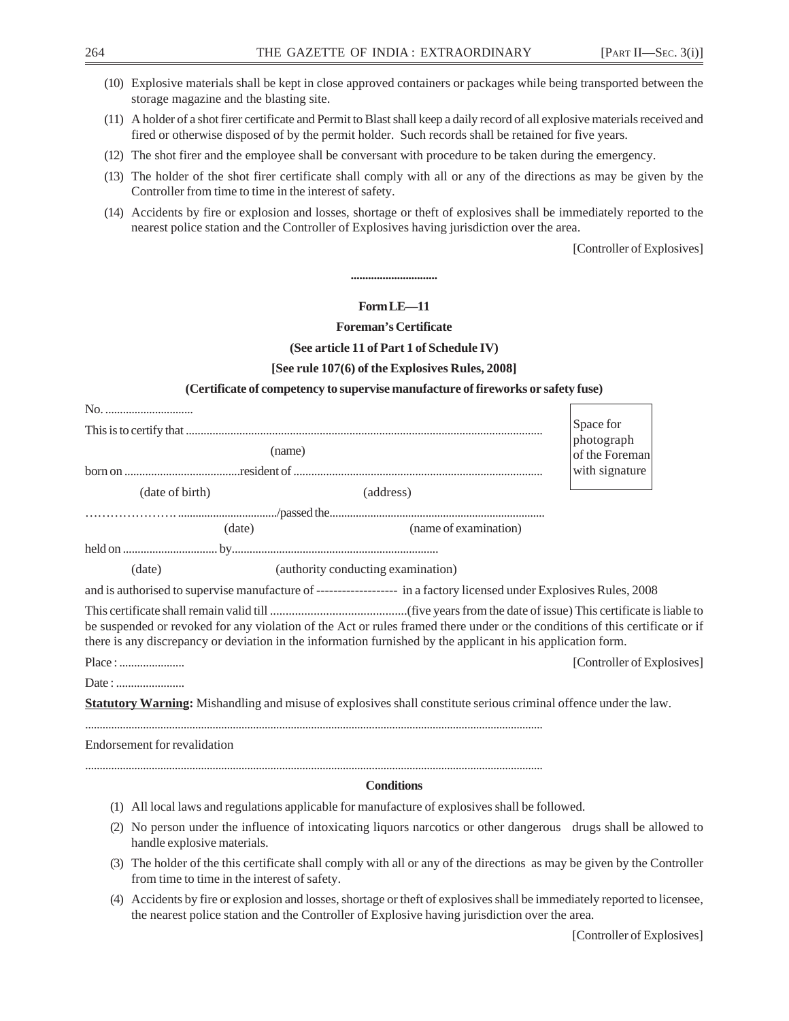| (10) Explosive materials shall be kept in close approved containers or packages while being transported between the<br>storage magazine and the blasting site.                                                                               |                              |  |  |  |  |
|----------------------------------------------------------------------------------------------------------------------------------------------------------------------------------------------------------------------------------------------|------------------------------|--|--|--|--|
| (11) A holder of a shot firer certificate and Permit to Blast shall keep a daily record of all explosive materials received and<br>fired or otherwise disposed of by the permit holder. Such records shall be retained for five years.       |                              |  |  |  |  |
| (12) The shot firer and the employee shall be conversant with procedure to be taken during the emergency.                                                                                                                                    |                              |  |  |  |  |
| (13) The holder of the shot firer certificate shall comply with all or any of the directions as may be given by the<br>Controller from time to time in the interest of safety.                                                               |                              |  |  |  |  |
| (14) Accidents by fire or explosion and losses, shortage or theft of explosives shall be immediately reported to the<br>nearest police station and the Controller of Explosives having jurisdiction over the area.                           |                              |  |  |  |  |
|                                                                                                                                                                                                                                              | [Controller of Explosives]   |  |  |  |  |
|                                                                                                                                                                                                                                              |                              |  |  |  |  |
| Form LE-11                                                                                                                                                                                                                                   |                              |  |  |  |  |
| <b>Foreman's Certificate</b>                                                                                                                                                                                                                 |                              |  |  |  |  |
| (See article 11 of Part 1 of Schedule IV)                                                                                                                                                                                                    |                              |  |  |  |  |
| [See rule 107(6) of the Explosives Rules, 2008]                                                                                                                                                                                              |                              |  |  |  |  |
| (Certificate of competency to supervise manufacture of fireworks or safety fuse)                                                                                                                                                             |                              |  |  |  |  |
| No.                                                                                                                                                                                                                                          |                              |  |  |  |  |
|                                                                                                                                                                                                                                              | Space for                    |  |  |  |  |
| (name)                                                                                                                                                                                                                                       | photograph<br>of the Foreman |  |  |  |  |
|                                                                                                                                                                                                                                              | with signature               |  |  |  |  |
| (date of birth)<br>(address)                                                                                                                                                                                                                 |                              |  |  |  |  |
| (name of examination)<br>(date)                                                                                                                                                                                                              |                              |  |  |  |  |
|                                                                                                                                                                                                                                              |                              |  |  |  |  |
| (authority conducting examination)<br>(date)                                                                                                                                                                                                 |                              |  |  |  |  |
| and is authorised to supervise manufacture of ------------------- in a factory licensed under Explosives Rules, 2008                                                                                                                         |                              |  |  |  |  |
| be suspended or revoked for any violation of the Act or rules framed there under or the conditions of this certificate or if<br>there is any discrepancy or deviation in the information furnished by the applicant in his application form. |                              |  |  |  |  |
| Place :                                                                                                                                                                                                                                      | [Controller of Explosives]   |  |  |  |  |
|                                                                                                                                                                                                                                              |                              |  |  |  |  |
| Statutory Warning: Mishandling and misuse of explosives shall constitute serious criminal offence under the law.                                                                                                                             |                              |  |  |  |  |
| <b>Endorsement</b> for revalidation                                                                                                                                                                                                          |                              |  |  |  |  |
| <b>Conditions</b>                                                                                                                                                                                                                            |                              |  |  |  |  |
| (1) All local laws and regulations applicable for manufacture of explosives shall be followed.                                                                                                                                               |                              |  |  |  |  |
| (2) No person under the influence of intoxicating liquors narcotics or other dangerous drugs shall be allowed to<br>handle explosive materials.                                                                                              |                              |  |  |  |  |
| (3) The holder of the this certificate shall comply with all or any of the directions as may be given by the Controller<br>from time to time in the interest of safety.                                                                      |                              |  |  |  |  |
| (4) Accidents by fire or explosion and losses, shortage or theft of explosives shall be immediately reported to licensee,                                                                                                                    |                              |  |  |  |  |

the nearest police station and the Controller of Explosive having jurisdiction over the area.

[Controller of Explosives]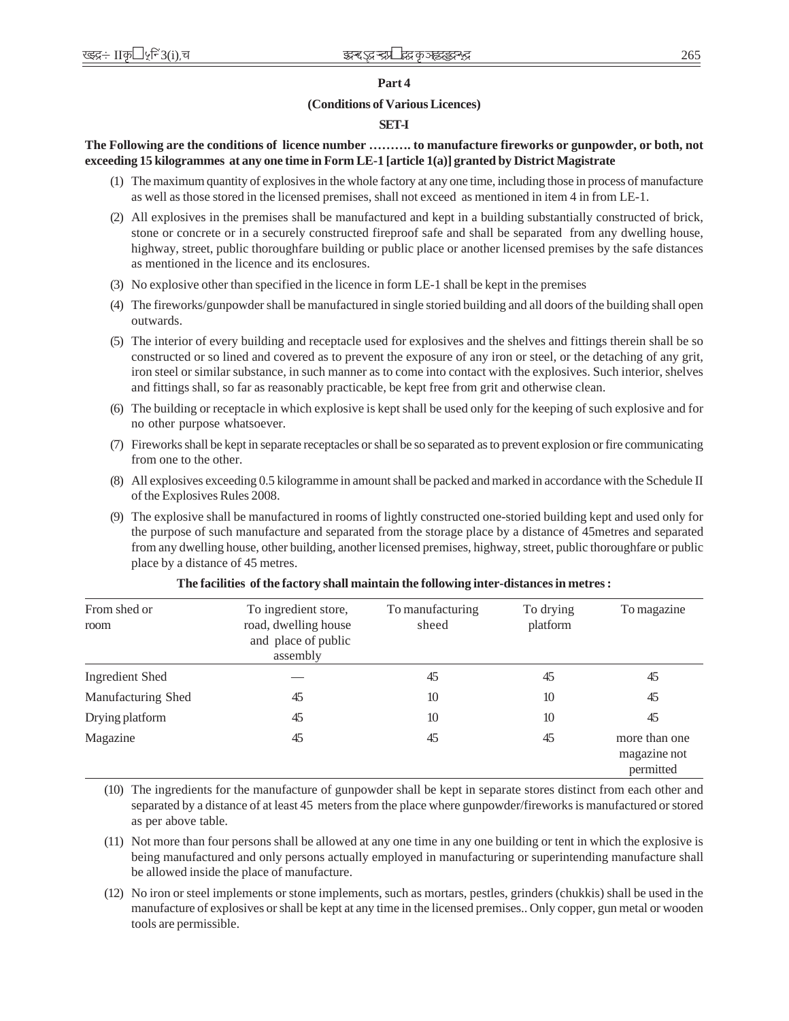#### **Part 4**

### **(Conditions of Various Licences)**

#### **SET-I**

### **The Following are the conditions of licence number ………. to manufacture fireworks or gunpowder, or both, not exceeding 15 kilogrammes at any one time in Form LE-1 [article 1(a)] granted by District Magistrate**

- (1) The maximum quantity of explosives in the whole factory at any one time, including those in process of manufacture as well as those stored in the licensed premises, shall not exceed as mentioned in item 4 in from LE-1.
- (2) All explosives in the premises shall be manufactured and kept in a building substantially constructed of brick, stone or concrete or in a securely constructed fireproof safe and shall be separated from any dwelling house, highway, street, public thoroughfare building or public place or another licensed premises by the safe distances as mentioned in the licence and its enclosures.
- (3) No explosive other than specified in the licence in form LE-1 shall be kept in the premises
- (4) The fireworks/gunpowder shall be manufactured in single storied building and all doors of the building shall open outwards.
- (5) The interior of every building and receptacle used for explosives and the shelves and fittings therein shall be so constructed or so lined and covered as to prevent the exposure of any iron or steel, or the detaching of any grit, iron steel or similar substance, in such manner as to come into contact with the explosives. Such interior, shelves and fittings shall, so far as reasonably practicable, be kept free from grit and otherwise clean.
- (6) The building or receptacle in which explosive is kept shall be used only for the keeping of such explosive and for no other purpose whatsoever.
- (7) Fireworks shall be kept in separate receptacles or shall be so separated as to prevent explosion or fire communicating from one to the other.
- (8) All explosives exceeding 0.5 kilogramme in amount shall be packed and marked in accordance with the Schedule II of the Explosives Rules 2008.
- (9) The explosive shall be manufactured in rooms of lightly constructed one-storied building kept and used only for the purpose of such manufacture and separated from the storage place by a distance of 45metres and separated from any dwelling house, other building, another licensed premises, highway, street, public thoroughfare or public place by a distance of 45 metres.

| From shed or<br>room | To ingredient store,<br>road, dwelling house<br>and place of public<br>assembly | To manufacturing<br>sheed | To drying<br>platform | To magazine                                |
|----------------------|---------------------------------------------------------------------------------|---------------------------|-----------------------|--------------------------------------------|
| Ingredient Shed      |                                                                                 | 45                        | 45                    | 45                                         |
| Manufacturing Shed   | 45                                                                              | 10                        | 10                    | 45                                         |
| Drying platform      | 45                                                                              | 10                        | 10                    | 45                                         |
| Magazine             | 45                                                                              | 45                        | 45                    | more than one<br>magazine not<br>permitted |

#### **The facilities of the factory shall maintain the following inter-distances in metres :**

(10) The ingredients for the manufacture of gunpowder shall be kept in separate stores distinct from each other and separated by a distance of at least 45 meters from the place where gunpowder/fireworks is manufactured or stored as per above table.

- (11) Not more than four persons shall be allowed at any one time in any one building or tent in which the explosive is being manufactured and only persons actually employed in manufacturing or superintending manufacture shall be allowed inside the place of manufacture.
- (12) No iron or steel implements or stone implements, such as mortars, pestles, grinders (chukkis) shall be used in the manufacture of explosives or shall be kept at any time in the licensed premises.. Only copper, gun metal or wooden tools are permissible.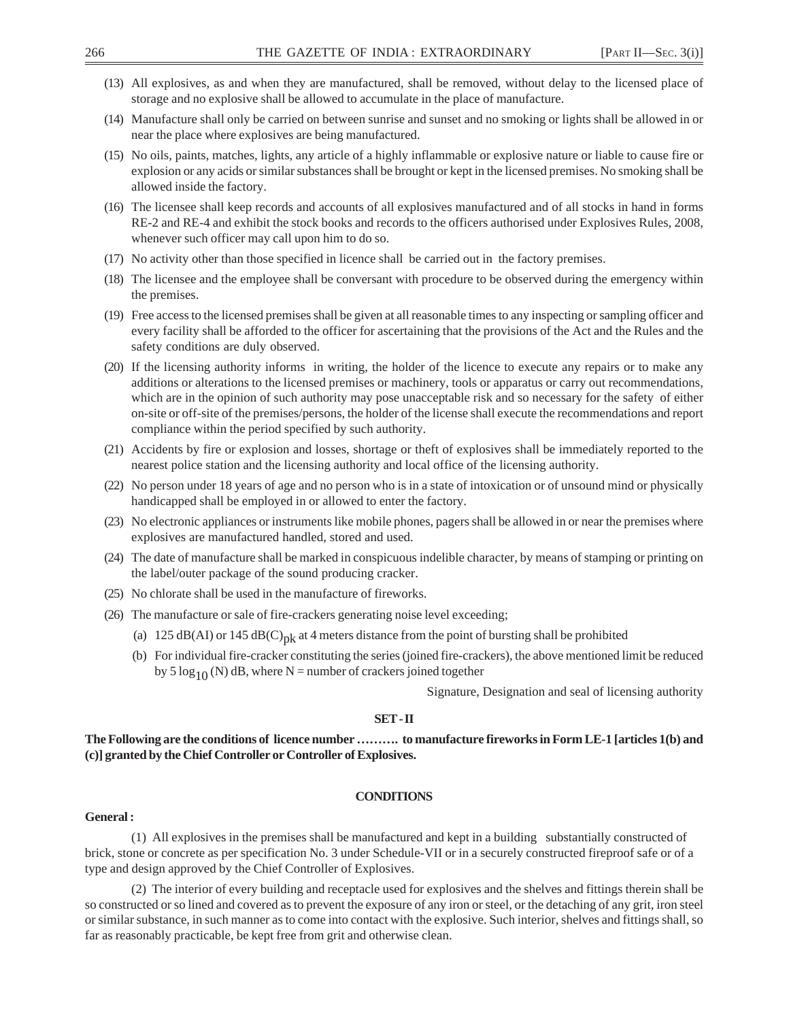- (13) All explosives, as and when they are manufactured, shall be removed, without delay to the licensed place of storage and no explosive shall be allowed to accumulate in the place of manufacture.
- (14) Manufacture shall only be carried on between sunrise and sunset and no smoking or lights shall be allowed in or near the place where explosives are being manufactured.
- (15) No oils, paints, matches, lights, any article of a highly inflammable or explosive nature or liable to cause fire or explosion or any acids or similar substances shall be brought or kept in the licensed premises. No smoking shall be allowed inside the factory.
- (16) The licensee shall keep records and accounts of all explosives manufactured and of all stocks in hand in forms RE-2 and RE-4 and exhibit the stock books and records to the officers authorised under Explosives Rules, 2008, whenever such officer may call upon him to do so.
- (17) No activity other than those specified in licence shall be carried out in the factory premises.
- (18) The licensee and the employee shall be conversant with procedure to be observed during the emergency within the premises.
- (19) Free access to the licensed premises shall be given at all reasonable times to any inspecting or sampling officer and every facility shall be afforded to the officer for ascertaining that the provisions of the Act and the Rules and the safety conditions are duly observed.
- (20) If the licensing authority informs in writing, the holder of the licence to execute any repairs or to make any additions or alterations to the licensed premises or machinery, tools or apparatus or carry out recommendations, which are in the opinion of such authority may pose unacceptable risk and so necessary for the safety of either on-site or off-site of the premises/persons, the holder of the license shall execute the recommendations and report compliance within the period specified by such authority.
- (21) Accidents by fire or explosion and losses, shortage or theft of explosives shall be immediately reported to the nearest police station and the licensing authority and local office of the licensing authority.
- (22) No person under 18 years of age and no person who is in a state of intoxication or of unsound mind or physically handicapped shall be employed in or allowed to enter the factory.
- (23) No electronic appliances or instruments like mobile phones, pagers shall be allowed in or near the premises where explosives are manufactured handled, stored and used.
- (24) The date of manufacture shall be marked in conspicuous indelible character, by means of stamping or printing on the label/outer package of the sound producing cracker.
- (25) No chlorate shall be used in the manufacture of fireworks.
- (26) The manufacture or sale of fire-crackers generating noise level exceeding;
	- (a) 125 dB(AI) or 145 dB(C)<sub>pk</sub> at 4 meters distance from the point of bursting shall be prohibited
	- (b) For individual fire-cracker constituting the series (joined fire-crackers), the above mentioned limit be reduced by 5  $\log_{10}$  (N) dB, where N = number of crackers joined together

Signature, Designation and seal of licensing authority

#### **SET - II**

**The Following are the conditions of licence number ………. to manufacture fireworks in Form LE-1 [articles 1(b) and (c)] granted by the Chief Controller or Controller of Explosives.**

### **CONDITIONS**

### **General :**

(1) All explosives in the premises shall be manufactured and kept in a building substantially constructed of brick, stone or concrete as per specification No. 3 under Schedule-VII or in a securely constructed fireproof safe or of a type and design approved by the Chief Controller of Explosives.

(2) The interior of every building and receptacle used for explosives and the shelves and fittings therein shall be so constructed or so lined and covered as to prevent the exposure of any iron or steel, or the detaching of any grit, iron steel or similar substance, in such manner as to come into contact with the explosive. Such interior, shelves and fittings shall, so far as reasonably practicable, be kept free from grit and otherwise clean.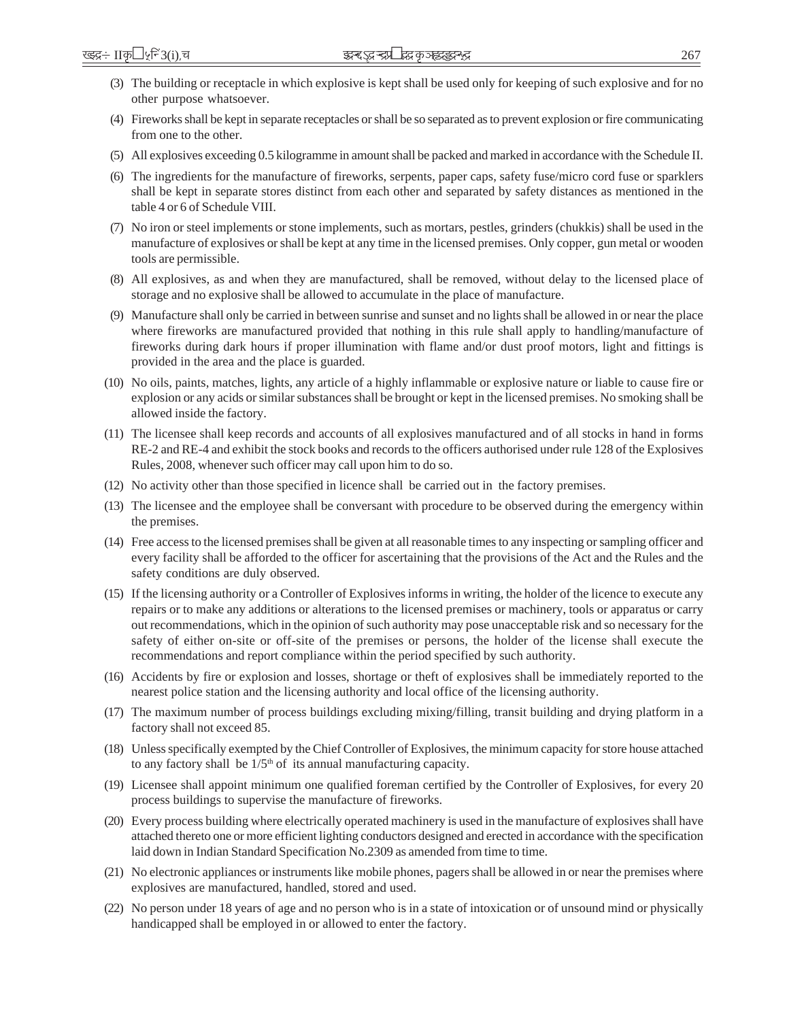- (3) The building or receptacle in which explosive is kept shall be used only for keeping of such explosive and for no other purpose whatsoever.
- (4) Fireworks shall be kept in separate receptacles or shall be so separated as to prevent explosion or fire communicating from one to the other.
- (5) All explosives exceeding 0.5 kilogramme in amount shall be packed and marked in accordance with the Schedule II.
- (6) The ingredients for the manufacture of fireworks, serpents, paper caps, safety fuse/micro cord fuse or sparklers shall be kept in separate stores distinct from each other and separated by safety distances as mentioned in the table 4 or 6 of Schedule VIII.
- (7) No iron or steel implements or stone implements, such as mortars, pestles, grinders (chukkis) shall be used in the manufacture of explosives or shall be kept at any time in the licensed premises. Only copper, gun metal or wooden tools are permissible.
- (8) All explosives, as and when they are manufactured, shall be removed, without delay to the licensed place of storage and no explosive shall be allowed to accumulate in the place of manufacture.
- (9) Manufacture shall only be carried in between sunrise and sunset and no lights shall be allowed in or near the place where fireworks are manufactured provided that nothing in this rule shall apply to handling/manufacture of fireworks during dark hours if proper illumination with flame and/or dust proof motors, light and fittings is provided in the area and the place is guarded.
- (10) No oils, paints, matches, lights, any article of a highly inflammable or explosive nature or liable to cause fire or explosion or any acids or similar substances shall be brought or kept in the licensed premises. No smoking shall be allowed inside the factory.
- (11) The licensee shall keep records and accounts of all explosives manufactured and of all stocks in hand in forms RE-2 and RE-4 and exhibit the stock books and records to the officers authorised under rule 128 of the Explosives Rules, 2008, whenever such officer may call upon him to do so.
- (12) No activity other than those specified in licence shall be carried out in the factory premises.
- (13) The licensee and the employee shall be conversant with procedure to be observed during the emergency within the premises.
- (14) Free access to the licensed premises shall be given at all reasonable times to any inspecting or sampling officer and every facility shall be afforded to the officer for ascertaining that the provisions of the Act and the Rules and the safety conditions are duly observed.
- (15) If the licensing authority or a Controller of Explosives informs in writing, the holder of the licence to execute any repairs or to make any additions or alterations to the licensed premises or machinery, tools or apparatus or carry out recommendations, which in the opinion of such authority may pose unacceptable risk and so necessary for the safety of either on-site or off-site of the premises or persons, the holder of the license shall execute the recommendations and report compliance within the period specified by such authority.
- (16) Accidents by fire or explosion and losses, shortage or theft of explosives shall be immediately reported to the nearest police station and the licensing authority and local office of the licensing authority.
- (17) The maximum number of process buildings excluding mixing/filling, transit building and drying platform in a factory shall not exceed 85.
- (18) Unless specifically exempted by the Chief Controller of Explosives, the minimum capacity for store house attached to any factory shall be  $1/5<sup>th</sup>$  of its annual manufacturing capacity.
- (19) Licensee shall appoint minimum one qualified foreman certified by the Controller of Explosives, for every 20 process buildings to supervise the manufacture of fireworks.
- (20) Every process building where electrically operated machinery is used in the manufacture of explosives shall have attached thereto one or more efficient lighting conductors designed and erected in accordance with the specification laid down in Indian Standard Specification No.2309 as amended from time to time.
- (21) No electronic appliances or instruments like mobile phones, pagers shall be allowed in or near the premises where explosives are manufactured, handled, stored and used.
- (22) No person under 18 years of age and no person who is in a state of intoxication or of unsound mind or physically handicapped shall be employed in or allowed to enter the factory.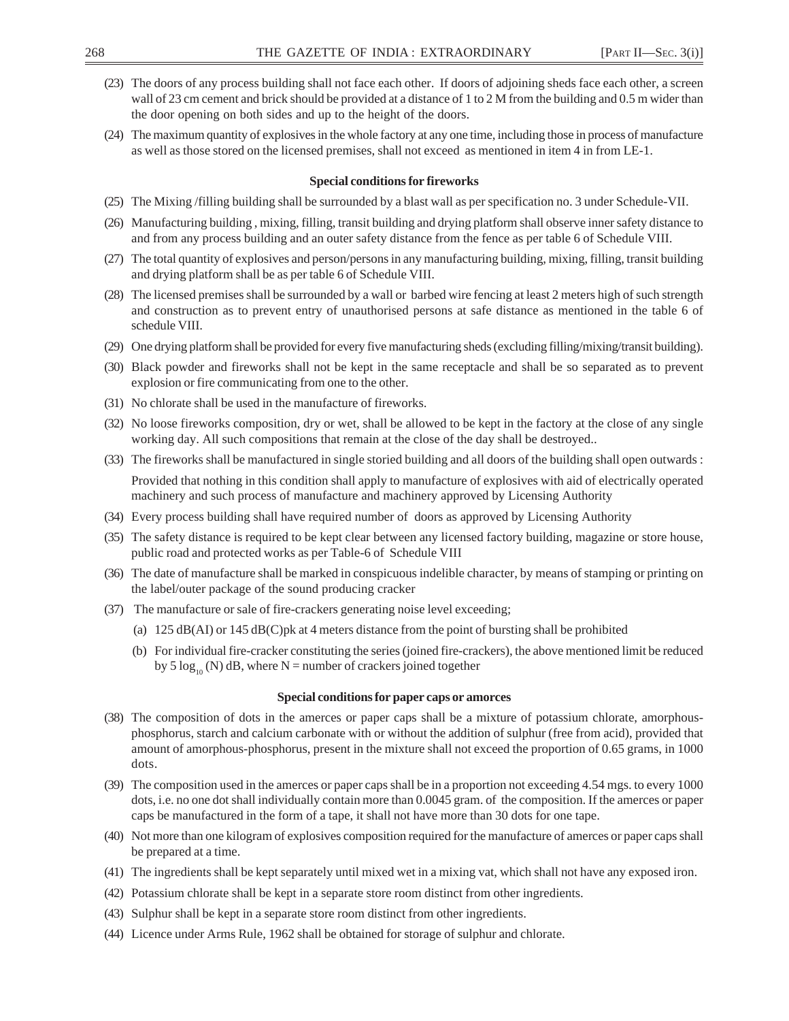- (23) The doors of any process building shall not face each other. If doors of adjoining sheds face each other, a screen wall of 23 cm cement and brick should be provided at a distance of 1 to 2 M from the building and 0.5 m wider than the door opening on both sides and up to the height of the doors.
- (24) The maximum quantity of explosives in the whole factory at any one time, including those in process of manufacture as well as those stored on the licensed premises, shall not exceed as mentioned in item 4 in from LE-1.

#### **Special conditions for fireworks**

- (25) The Mixing /filling building shall be surrounded by a blast wall as per specification no. 3 under Schedule-VII.
- (26) Manufacturing building , mixing, filling, transit building and drying platform shall observe inner safety distance to and from any process building and an outer safety distance from the fence as per table 6 of Schedule VIII.
- (27) The total quantity of explosives and person/persons in any manufacturing building, mixing, filling, transit building and drying platform shall be as per table 6 of Schedule VIII.
- (28) The licensed premises shall be surrounded by a wall or barbed wire fencing at least 2 meters high of such strength and construction as to prevent entry of unauthorised persons at safe distance as mentioned in the table 6 of schedule VIII.
- (29) One drying platform shall be provided for every five manufacturing sheds (excluding filling/mixing/transit building).
- (30) Black powder and fireworks shall not be kept in the same receptacle and shall be so separated as to prevent explosion or fire communicating from one to the other.
- (31) No chlorate shall be used in the manufacture of fireworks.
- (32) No loose fireworks composition, dry or wet, shall be allowed to be kept in the factory at the close of any single working day. All such compositions that remain at the close of the day shall be destroyed..
- (33) The fireworks shall be manufactured in single storied building and all doors of the building shall open outwards : Provided that nothing in this condition shall apply to manufacture of explosives with aid of electrically operated machinery and such process of manufacture and machinery approved by Licensing Authority
- (34) Every process building shall have required number of doors as approved by Licensing Authority
- (35) The safety distance is required to be kept clear between any licensed factory building, magazine or store house, public road and protected works as per Table-6 of Schedule VIII
- (36) The date of manufacture shall be marked in conspicuous indelible character, by means of stamping or printing on the label/outer package of the sound producing cracker
- (37) The manufacture or sale of fire-crackers generating noise level exceeding;
	- (a) 125 dB(AI) or 145 dB(C)pk at 4 meters distance from the point of bursting shall be prohibited
	- (b) For individual fire-cracker constituting the series (joined fire-crackers), the above mentioned limit be reduced by 5  $\log_{10}$  (N) dB, where N = number of crackers joined together

#### **Special conditions for paper caps or amorces**

- (38) The composition of dots in the amerces or paper caps shall be a mixture of potassium chlorate, amorphousphosphorus, starch and calcium carbonate with or without the addition of sulphur (free from acid), provided that amount of amorphous-phosphorus, present in the mixture shall not exceed the proportion of 0.65 grams, in 1000 dots.
- (39) The composition used in the amerces or paper caps shall be in a proportion not exceeding 4.54 mgs. to every 1000 dots, i.e. no one dot shall individually contain more than 0.0045 gram. of the composition. If the amerces or paper caps be manufactured in the form of a tape, it shall not have more than 30 dots for one tape.
- (40) Not more than one kilogram of explosives composition required for the manufacture of amerces or paper caps shall be prepared at a time.
- (41) The ingredients shall be kept separately until mixed wet in a mixing vat, which shall not have any exposed iron.
- (42) Potassium chlorate shall be kept in a separate store room distinct from other ingredients.
- (43) Sulphur shall be kept in a separate store room distinct from other ingredients.
- (44) Licence under Arms Rule, 1962 shall be obtained for storage of sulphur and chlorate.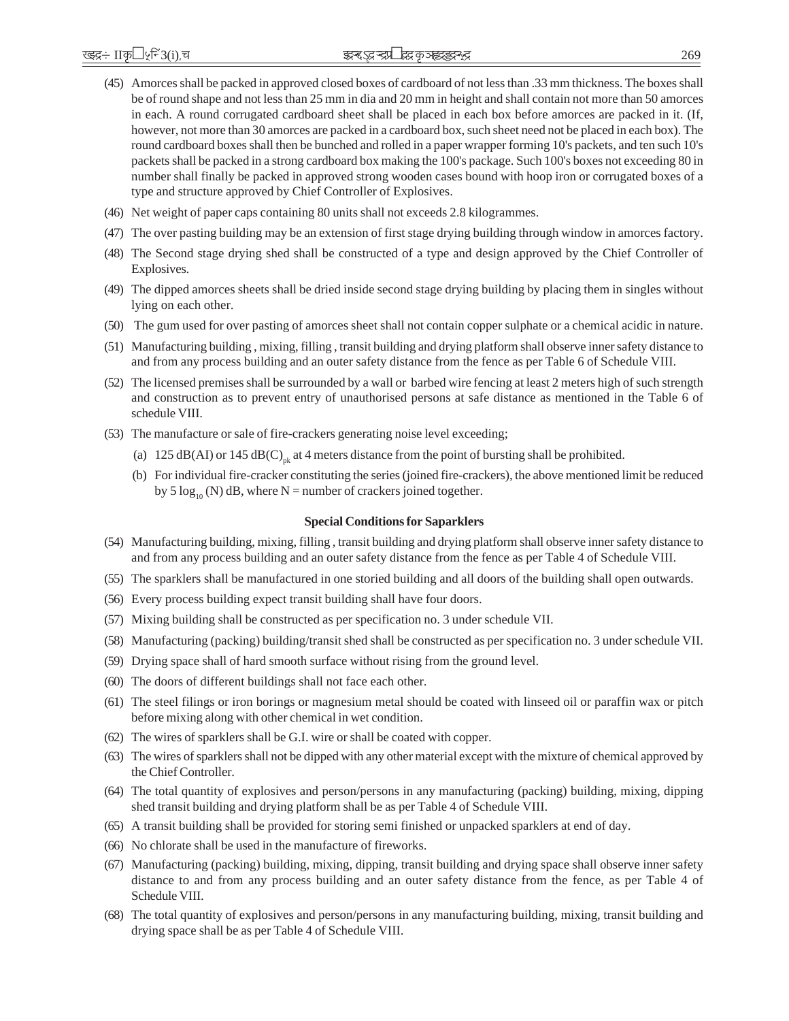- (45) Amorces shall be packed in approved closed boxes of cardboard of not less than .33 mm thickness. The boxes shall be of round shape and not less than 25 mm in dia and 20 mm in height and shall contain not more than 50 amorces in each. A round corrugated cardboard sheet shall be placed in each box before amorces are packed in it. (If, however, not more than 30 amorces are packed in a cardboard box, such sheet need not be placed in each box). The round cardboard boxes shall then be bunched and rolled in a paper wrapper forming 10's packets, and ten such 10's packets shall be packed in a strong cardboard box making the 100's package. Such 100's boxes not exceeding 80 in number shall finally be packed in approved strong wooden cases bound with hoop iron or corrugated boxes of a type and structure approved by Chief Controller of Explosives.
- (46) Net weight of paper caps containing 80 units shall not exceeds 2.8 kilogrammes.
- (47) The over pasting building may be an extension of first stage drying building through window in amorces factory.
- (48) The Second stage drying shed shall be constructed of a type and design approved by the Chief Controller of Explosives.
- (49) The dipped amorces sheets shall be dried inside second stage drying building by placing them in singles without lying on each other.
- (50) The gum used for over pasting of amorces sheet shall not contain copper sulphate or a chemical acidic in nature.
- (51) Manufacturing building , mixing, filling , transit building and drying platform shall observe inner safety distance to and from any process building and an outer safety distance from the fence as per Table 6 of Schedule VIII.
- (52) The licensed premises shall be surrounded by a wall or barbed wire fencing at least 2 meters high of such strength and construction as to prevent entry of unauthorised persons at safe distance as mentioned in the Table 6 of schedule VIII.
- (53) The manufacture or sale of fire-crackers generating noise level exceeding;
	- (a) 125 dB(AI) or 145 dB(C)<sub>nk</sub> at 4 meters distance from the point of bursting shall be prohibited.
	- (b) For individual fire-cracker constituting the series (joined fire-crackers), the above mentioned limit be reduced by 5  $\log_{10}$  (N) dB, where N = number of crackers joined together.

#### **Special Conditions for Saparklers**

- (54) Manufacturing building, mixing, filling , transit building and drying platform shall observe inner safety distance to and from any process building and an outer safety distance from the fence as per Table 4 of Schedule VIII.
- (55) The sparklers shall be manufactured in one storied building and all doors of the building shall open outwards.
- (56) Every process building expect transit building shall have four doors.
- (57) Mixing building shall be constructed as per specification no. 3 under schedule VII.
- (58) Manufacturing (packing) building/transit shed shall be constructed as per specification no. 3 under schedule VII.
- (59) Drying space shall of hard smooth surface without rising from the ground level.
- (60) The doors of different buildings shall not face each other.
- (61) The steel filings or iron borings or magnesium metal should be coated with linseed oil or paraffin wax or pitch before mixing along with other chemical in wet condition.
- (62) The wires of sparklers shall be G.I. wire or shall be coated with copper.
- (63) The wires of sparklers shall not be dipped with any other material except with the mixture of chemical approved by the Chief Controller.
- (64) The total quantity of explosives and person/persons in any manufacturing (packing) building, mixing, dipping shed transit building and drying platform shall be as per Table 4 of Schedule VIII.
- (65) A transit building shall be provided for storing semi finished or unpacked sparklers at end of day.
- (66) No chlorate shall be used in the manufacture of fireworks.
- (67) Manufacturing (packing) building, mixing, dipping, transit building and drying space shall observe inner safety distance to and from any process building and an outer safety distance from the fence, as per Table 4 of Schedule VIII.
- (68) The total quantity of explosives and person/persons in any manufacturing building, mixing, transit building and drying space shall be as per Table 4 of Schedule VIII.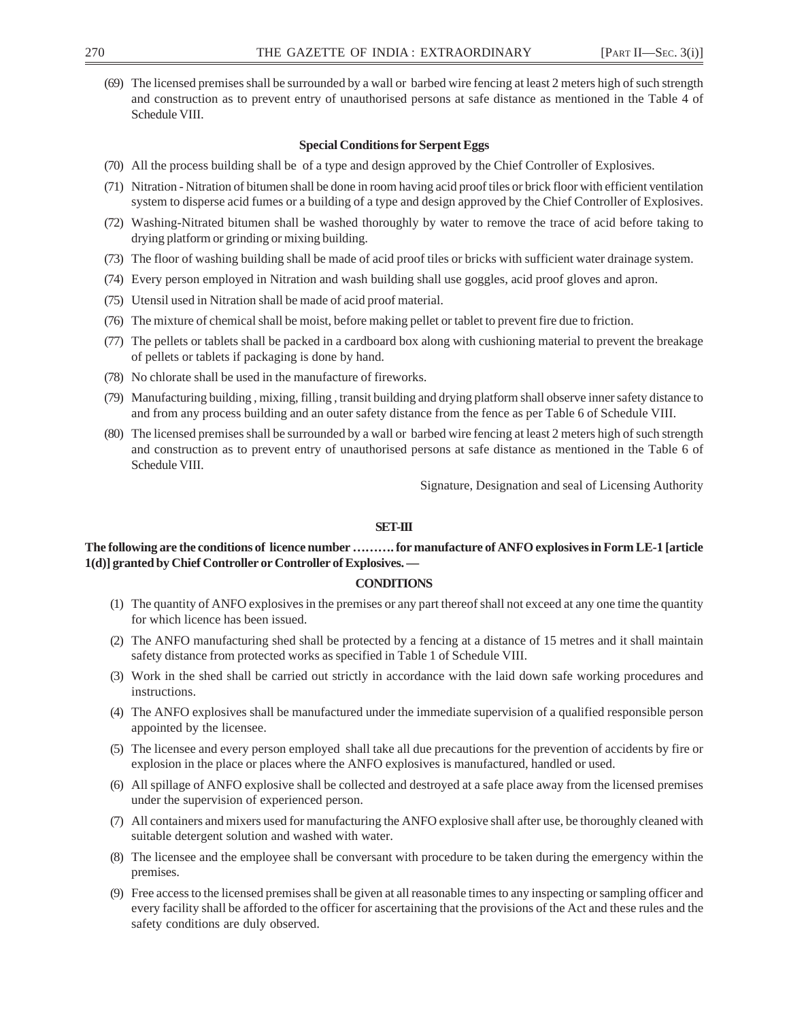(69) The licensed premises shall be surrounded by a wall or barbed wire fencing at least 2 meters high of such strength and construction as to prevent entry of unauthorised persons at safe distance as mentioned in the Table 4 of Schedule VIII.

#### **Special Conditions for Serpent Eggs**

- (70) All the process building shall be of a type and design approved by the Chief Controller of Explosives.
- (71) Nitration Nitration of bitumen shall be done in room having acid proof tiles or brick floor with efficient ventilation system to disperse acid fumes or a building of a type and design approved by the Chief Controller of Explosives.
- (72) Washing-Nitrated bitumen shall be washed thoroughly by water to remove the trace of acid before taking to drying platform or grinding or mixing building.
- (73) The floor of washing building shall be made of acid proof tiles or bricks with sufficient water drainage system.
- (74) Every person employed in Nitration and wash building shall use goggles, acid proof gloves and apron.
- (75) Utensil used in Nitration shall be made of acid proof material.
- (76) The mixture of chemical shall be moist, before making pellet or tablet to prevent fire due to friction.
- (77) The pellets or tablets shall be packed in a cardboard box along with cushioning material to prevent the breakage of pellets or tablets if packaging is done by hand.
- (78) No chlorate shall be used in the manufacture of fireworks.
- (79) Manufacturing building , mixing, filling , transit building and drying platform shall observe inner safety distance to and from any process building and an outer safety distance from the fence as per Table 6 of Schedule VIII.
- (80) The licensed premises shall be surrounded by a wall or barbed wire fencing at least 2 meters high of such strength and construction as to prevent entry of unauthorised persons at safe distance as mentioned in the Table 6 of Schedule VIII.

Signature, Designation and seal of Licensing Authority

#### **SET-III**

### **The following are the conditions of licence number ………. for manufacture of ANFO explosives in Form LE-1 [article 1(d)] granted by Chief Controller or Controller of Explosives. —**

#### **CONDITIONS**

- (1) The quantity of ANFO explosives in the premises or any part thereof shall not exceed at any one time the quantity for which licence has been issued.
- (2) The ANFO manufacturing shed shall be protected by a fencing at a distance of 15 metres and it shall maintain safety distance from protected works as specified in Table 1 of Schedule VIII.
- (3) Work in the shed shall be carried out strictly in accordance with the laid down safe working procedures and instructions.
- (4) The ANFO explosives shall be manufactured under the immediate supervision of a qualified responsible person appointed by the licensee.
- (5) The licensee and every person employed shall take all due precautions for the prevention of accidents by fire or explosion in the place or places where the ANFO explosives is manufactured, handled or used.
- (6) All spillage of ANFO explosive shall be collected and destroyed at a safe place away from the licensed premises under the supervision of experienced person.
- (7) All containers and mixers used for manufacturing the ANFO explosive shall after use, be thoroughly cleaned with suitable detergent solution and washed with water.
- (8) The licensee and the employee shall be conversant with procedure to be taken during the emergency within the premises.
- (9) Free access to the licensed premises shall be given at all reasonable times to any inspecting or sampling officer and every facility shall be afforded to the officer for ascertaining that the provisions of the Act and these rules and the safety conditions are duly observed.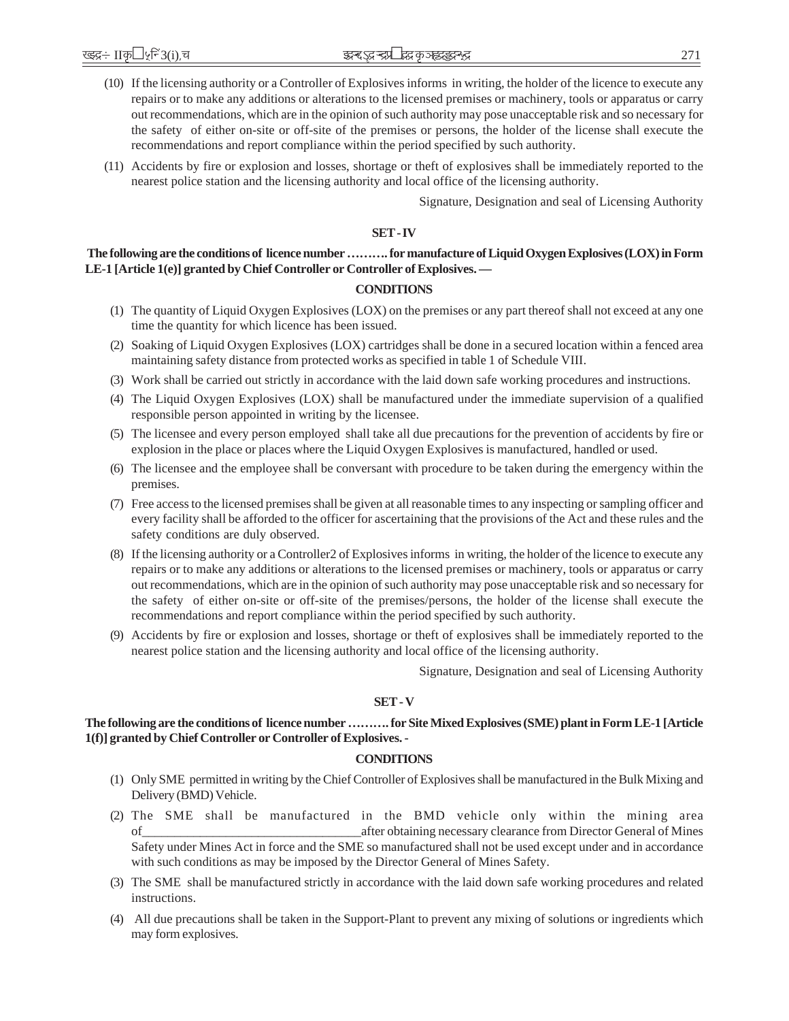- (10) If the licensing authority or a Controller of Explosives informs in writing, the holder of the licence to execute any repairs or to make any additions or alterations to the licensed premises or machinery, tools or apparatus or carry out recommendations, which are in the opinion of such authority may pose unacceptable risk and so necessary for the safety of either on-site or off-site of the premises or persons, the holder of the license shall execute the recommendations and report compliance within the period specified by such authority.
- (11) Accidents by fire or explosion and losses, shortage or theft of explosives shall be immediately reported to the nearest police station and the licensing authority and local office of the licensing authority.

Signature, Designation and seal of Licensing Authority

#### **SET - IV**

# **The following are the conditions of licence number ………. for manufacture of Liquid Oxygen Explosives (LOX) in Form LE-1 [Article 1(e)] granted by Chief Controller or Controller of Explosives. —**

### **CONDITIONS**

- (1) The quantity of Liquid Oxygen Explosives (LOX) on the premises or any part thereof shall not exceed at any one time the quantity for which licence has been issued.
- (2) Soaking of Liquid Oxygen Explosives (LOX) cartridges shall be done in a secured location within a fenced area maintaining safety distance from protected works as specified in table 1 of Schedule VIII.
- (3) Work shall be carried out strictly in accordance with the laid down safe working procedures and instructions.
- (4) The Liquid Oxygen Explosives (LOX) shall be manufactured under the immediate supervision of a qualified responsible person appointed in writing by the licensee.
- (5) The licensee and every person employed shall take all due precautions for the prevention of accidents by fire or explosion in the place or places where the Liquid Oxygen Explosives is manufactured, handled or used.
- (6) The licensee and the employee shall be conversant with procedure to be taken during the emergency within the premises.
- (7) Free access to the licensed premises shall be given at all reasonable times to any inspecting or sampling officer and every facility shall be afforded to the officer for ascertaining that the provisions of the Act and these rules and the safety conditions are duly observed.
- (8) If the licensing authority or a Controller2 of Explosives informs in writing, the holder of the licence to execute any repairs or to make any additions or alterations to the licensed premises or machinery, tools or apparatus or carry out recommendations, which are in the opinion of such authority may pose unacceptable risk and so necessary for the safety of either on-site or off-site of the premises/persons, the holder of the license shall execute the recommendations and report compliance within the period specified by such authority.
- (9) Accidents by fire or explosion and losses, shortage or theft of explosives shall be immediately reported to the nearest police station and the licensing authority and local office of the licensing authority.

Signature, Designation and seal of Licensing Authority

#### **SET - V**

### **The following are the conditions of licence number ………. for Site Mixed Explosives (SME) plant in Form LE-1 [Article 1(f)] granted by Chief Controller or Controller of Explosives. -**

### **CONDITIONS**

- (1) Only SME permitted in writing by the Chief Controller of Explosives shall be manufactured in the Bulk Mixing and Delivery (BMD) Vehicle.
- (2) The SME shall be manufactured in the BMD vehicle only within the mining area of\_\_\_\_\_\_\_\_\_\_\_\_\_\_\_\_\_\_\_\_\_\_\_\_\_\_\_\_\_\_\_\_\_\_after obtaining necessary clearance from Director General of Mines Safety under Mines Act in force and the SME so manufactured shall not be used except under and in accordance with such conditions as may be imposed by the Director General of Mines Safety.
- (3) The SME shall be manufactured strictly in accordance with the laid down safe working procedures and related instructions.
- (4) All due precautions shall be taken in the Support-Plant to prevent any mixing of solutions or ingredients which may form explosives.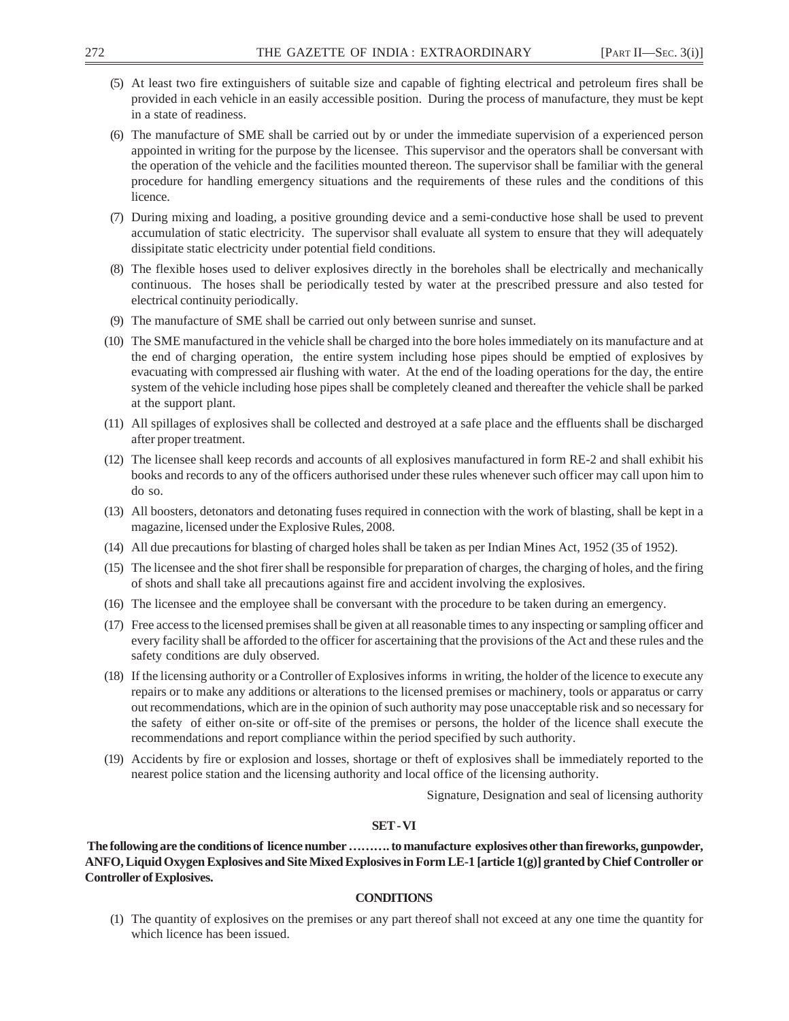- (5) At least two fire extinguishers of suitable size and capable of fighting electrical and petroleum fires shall be provided in each vehicle in an easily accessible position. During the process of manufacture, they must be kept in a state of readiness.
- (6) The manufacture of SME shall be carried out by or under the immediate supervision of a experienced person appointed in writing for the purpose by the licensee. This supervisor and the operators shall be conversant with the operation of the vehicle and the facilities mounted thereon. The supervisor shall be familiar with the general procedure for handling emergency situations and the requirements of these rules and the conditions of this licence.
- (7) During mixing and loading, a positive grounding device and a semi-conductive hose shall be used to prevent accumulation of static electricity. The supervisor shall evaluate all system to ensure that they will adequately dissipitate static electricity under potential field conditions.
- (8) The flexible hoses used to deliver explosives directly in the boreholes shall be electrically and mechanically continuous. The hoses shall be periodically tested by water at the prescribed pressure and also tested for electrical continuity periodically.
- (9) The manufacture of SME shall be carried out only between sunrise and sunset.
- (10) The SME manufactured in the vehicle shall be charged into the bore holes immediately on its manufacture and at the end of charging operation, the entire system including hose pipes should be emptied of explosives by evacuating with compressed air flushing with water. At the end of the loading operations for the day, the entire system of the vehicle including hose pipes shall be completely cleaned and thereafter the vehicle shall be parked at the support plant.
- (11) All spillages of explosives shall be collected and destroyed at a safe place and the effluents shall be discharged after proper treatment.
- (12) The licensee shall keep records and accounts of all explosives manufactured in form RE-2 and shall exhibit his books and records to any of the officers authorised under these rules whenever such officer may call upon him to do so.
- (13) All boosters, detonators and detonating fuses required in connection with the work of blasting, shall be kept in a magazine, licensed under the Explosive Rules, 2008.
- (14) All due precautions for blasting of charged holes shall be taken as per Indian Mines Act, 1952 (35 of 1952).
- (15) The licensee and the shot firer shall be responsible for preparation of charges, the charging of holes, and the firing of shots and shall take all precautions against fire and accident involving the explosives.
- (16) The licensee and the employee shall be conversant with the procedure to be taken during an emergency.
- (17) Free access to the licensed premises shall be given at all reasonable times to any inspecting or sampling officer and every facility shall be afforded to the officer for ascertaining that the provisions of the Act and these rules and the safety conditions are duly observed.
- (18) If the licensing authority or a Controller of Explosives informs in writing, the holder of the licence to execute any repairs or to make any additions or alterations to the licensed premises or machinery, tools or apparatus or carry out recommendations, which are in the opinion of such authority may pose unacceptable risk and so necessary for the safety of either on-site or off-site of the premises or persons, the holder of the licence shall execute the recommendations and report compliance within the period specified by such authority.
- (19) Accidents by fire or explosion and losses, shortage or theft of explosives shall be immediately reported to the nearest police station and the licensing authority and local office of the licensing authority.

Signature, Designation and seal of licensing authority

## **SET - VI**

 **The following are the conditions of licence number ………. to manufacture explosives other than fireworks, gunpowder, ANFO, Liquid Oxygen Explosives and Site Mixed Explosives in Form LE-1 [article 1(g)] granted by Chief Controller or Controller of Explosives.**

## **CONDITIONS**

(1) The quantity of explosives on the premises or any part thereof shall not exceed at any one time the quantity for which licence has been issued.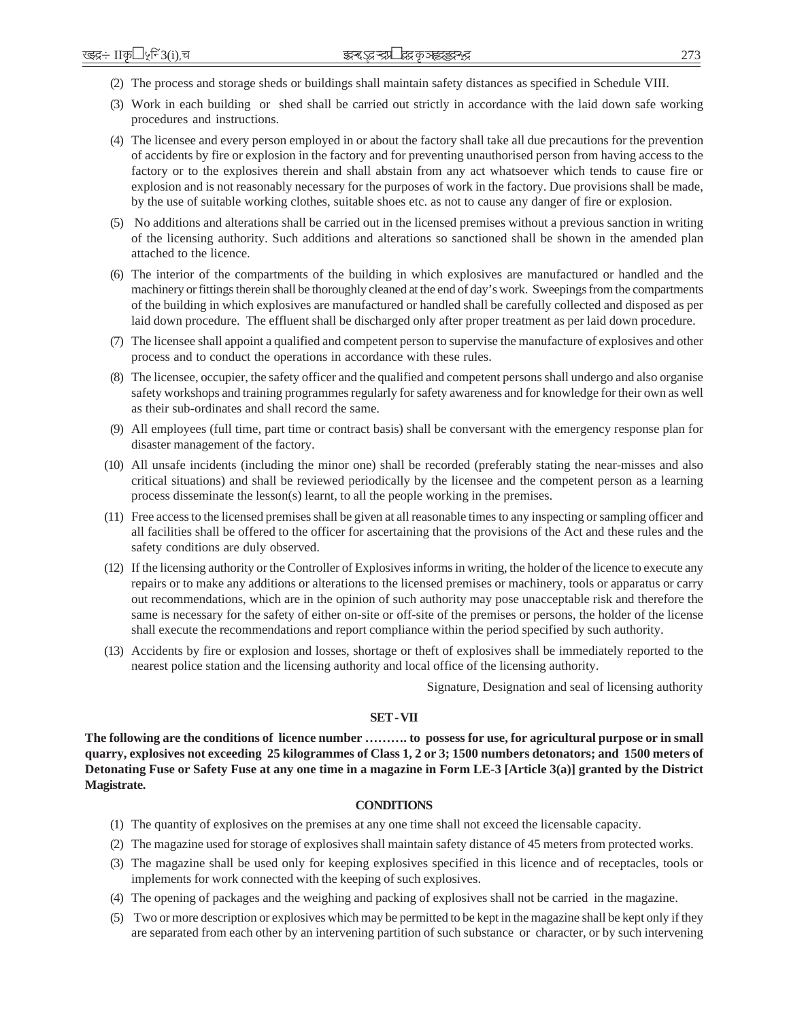- (2) The process and storage sheds or buildings shall maintain safety distances as specified in Schedule VIII.
- (3) Work in each building or shed shall be carried out strictly in accordance with the laid down safe working procedures and instructions.
- (4) The licensee and every person employed in or about the factory shall take all due precautions for the prevention of accidents by fire or explosion in the factory and for preventing unauthorised person from having access to the factory or to the explosives therein and shall abstain from any act whatsoever which tends to cause fire or explosion and is not reasonably necessary for the purposes of work in the factory. Due provisions shall be made, by the use of suitable working clothes, suitable shoes etc. as not to cause any danger of fire or explosion.
- (5) No additions and alterations shall be carried out in the licensed premises without a previous sanction in writing of the licensing authority. Such additions and alterations so sanctioned shall be shown in the amended plan attached to the licence.
- (6) The interior of the compartments of the building in which explosives are manufactured or handled and the machinery or fittings therein shall be thoroughly cleaned at the end of day's work. Sweepings from the compartments of the building in which explosives are manufactured or handled shall be carefully collected and disposed as per laid down procedure. The effluent shall be discharged only after proper treatment as per laid down procedure.
- (7) The licensee shall appoint a qualified and competent person to supervise the manufacture of explosives and other process and to conduct the operations in accordance with these rules.
- (8) The licensee, occupier, the safety officer and the qualified and competent persons shall undergo and also organise safety workshops and training programmes regularly for safety awareness and for knowledge for their own as well as their sub-ordinates and shall record the same.
- (9) All employees (full time, part time or contract basis) shall be conversant with the emergency response plan for disaster management of the factory.
- (10) All unsafe incidents (including the minor one) shall be recorded (preferably stating the near-misses and also critical situations) and shall be reviewed periodically by the licensee and the competent person as a learning process disseminate the lesson(s) learnt, to all the people working in the premises.
- (11) Free access to the licensed premises shall be given at all reasonable times to any inspecting or sampling officer and all facilities shall be offered to the officer for ascertaining that the provisions of the Act and these rules and the safety conditions are duly observed.
- (12) If the licensing authority or the Controller of Explosives informs in writing, the holder of the licence to execute any repairs or to make any additions or alterations to the licensed premises or machinery, tools or apparatus or carry out recommendations, which are in the opinion of such authority may pose unacceptable risk and therefore the same is necessary for the safety of either on-site or off-site of the premises or persons, the holder of the license shall execute the recommendations and report compliance within the period specified by such authority.
- (13) Accidents by fire or explosion and losses, shortage or theft of explosives shall be immediately reported to the nearest police station and the licensing authority and local office of the licensing authority.

Signature, Designation and seal of licensing authority

#### **SET - VII**

**The following are the conditions of licence number ………. to possess for use, for agricultural purpose or in small quarry, explosives not exceeding 25 kilogrammes of Class 1, 2 or 3; 1500 numbers detonators; and 1500 meters of Detonating Fuse or Safety Fuse at any one time in a magazine in Form LE-3 [Article 3(a)] granted by the District Magistrate.**

## **CONDITIONS**

- (1) The quantity of explosives on the premises at any one time shall not exceed the licensable capacity.
- (2) The magazine used for storage of explosives shall maintain safety distance of 45 meters from protected works.
- (3) The magazine shall be used only for keeping explosives specified in this licence and of receptacles, tools or implements for work connected with the keeping of such explosives.
- (4) The opening of packages and the weighing and packing of explosives shall not be carried in the magazine.
- (5) Two or more description or explosives which may be permitted to be kept in the magazine shall be kept only if they are separated from each other by an intervening partition of such substance or character, or by such intervening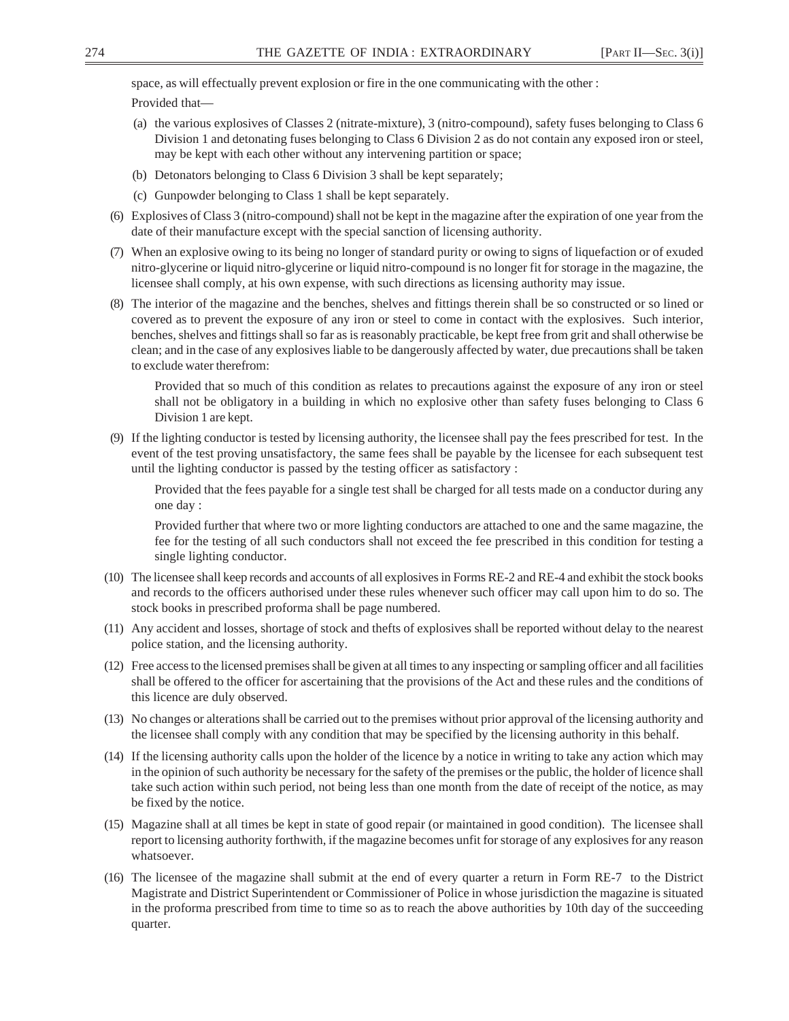space, as will effectually prevent explosion or fire in the one communicating with the other :

Provided that—

- (a) the various explosives of Classes 2 (nitrate-mixture), 3 (nitro-compound), safety fuses belonging to Class 6 Division 1 and detonating fuses belonging to Class 6 Division 2 as do not contain any exposed iron or steel, may be kept with each other without any intervening partition or space;
- (b) Detonators belonging to Class 6 Division 3 shall be kept separately;
- (c) Gunpowder belonging to Class 1 shall be kept separately.
- (6) Explosives of Class 3 (nitro-compound) shall not be kept in the magazine after the expiration of one year from the date of their manufacture except with the special sanction of licensing authority.
- (7) When an explosive owing to its being no longer of standard purity or owing to signs of liquefaction or of exuded nitro-glycerine or liquid nitro-glycerine or liquid nitro-compound is no longer fit for storage in the magazine, the licensee shall comply, at his own expense, with such directions as licensing authority may issue.
- (8) The interior of the magazine and the benches, shelves and fittings therein shall be so constructed or so lined or covered as to prevent the exposure of any iron or steel to come in contact with the explosives. Such interior, benches, shelves and fittings shall so far as is reasonably practicable, be kept free from grit and shall otherwise be clean; and in the case of any explosives liable to be dangerously affected by water, due precautions shall be taken to exclude water therefrom:

Provided that so much of this condition as relates to precautions against the exposure of any iron or steel shall not be obligatory in a building in which no explosive other than safety fuses belonging to Class 6 Division 1 are kept.

(9) If the lighting conductor is tested by licensing authority, the licensee shall pay the fees prescribed for test. In the event of the test proving unsatisfactory, the same fees shall be payable by the licensee for each subsequent test until the lighting conductor is passed by the testing officer as satisfactory :

Provided that the fees payable for a single test shall be charged for all tests made on a conductor during any one day :

Provided further that where two or more lighting conductors are attached to one and the same magazine, the fee for the testing of all such conductors shall not exceed the fee prescribed in this condition for testing a single lighting conductor.

- (10) The licensee shall keep records and accounts of all explosives in Forms RE-2 and RE-4 and exhibit the stock books and records to the officers authorised under these rules whenever such officer may call upon him to do so. The stock books in prescribed proforma shall be page numbered.
- (11) Any accident and losses, shortage of stock and thefts of explosives shall be reported without delay to the nearest police station, and the licensing authority.
- (12) Free access to the licensed premises shall be given at all times to any inspecting or sampling officer and all facilities shall be offered to the officer for ascertaining that the provisions of the Act and these rules and the conditions of this licence are duly observed.
- (13) No changes or alterations shall be carried out to the premises without prior approval of the licensing authority and the licensee shall comply with any condition that may be specified by the licensing authority in this behalf.
- (14) If the licensing authority calls upon the holder of the licence by a notice in writing to take any action which may in the opinion of such authority be necessary for the safety of the premises or the public, the holder of licence shall take such action within such period, not being less than one month from the date of receipt of the notice, as may be fixed by the notice.
- (15) Magazine shall at all times be kept in state of good repair (or maintained in good condition). The licensee shall report to licensing authority forthwith, if the magazine becomes unfit for storage of any explosives for any reason whatsoever.
- (16) The licensee of the magazine shall submit at the end of every quarter a return in Form RE-7 to the District Magistrate and District Superintendent or Commissioner of Police in whose jurisdiction the magazine is situated in the proforma prescribed from time to time so as to reach the above authorities by 10th day of the succeeding quarter.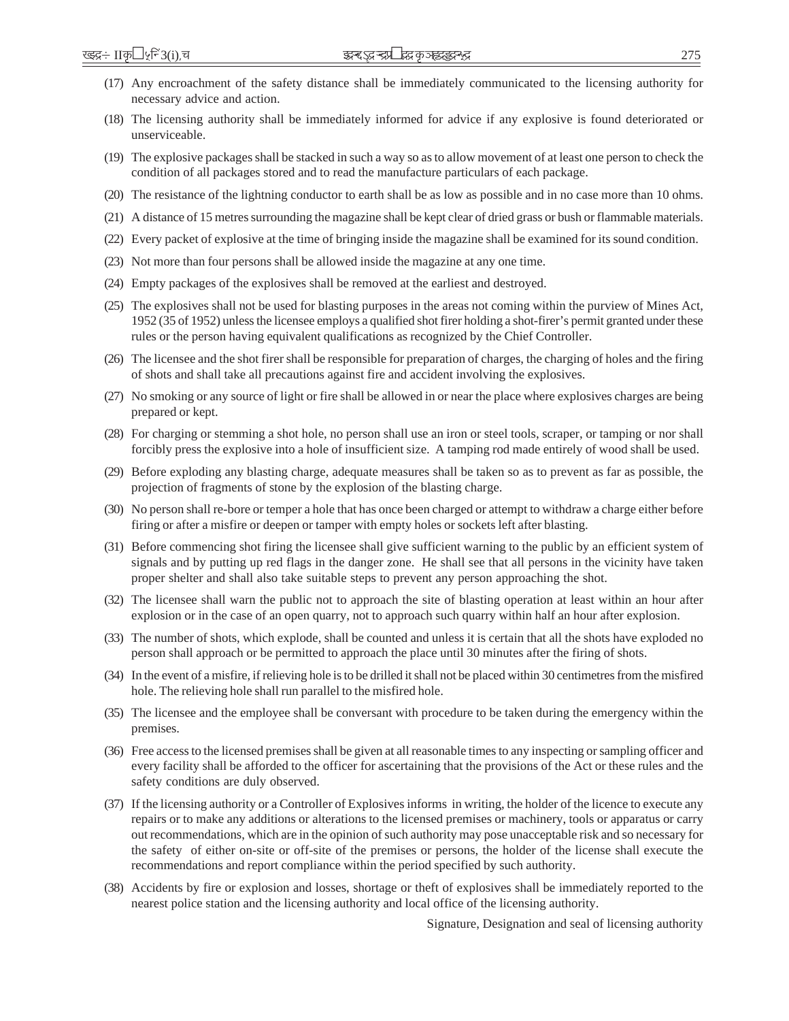- (17) Any encroachment of the safety distance shall be immediately communicated to the licensing authority for necessary advice and action.
- (18) The licensing authority shall be immediately informed for advice if any explosive is found deteriorated or unserviceable.
- (19) The explosive packages shall be stacked in such a way so as to allow movement of at least one person to check the condition of all packages stored and to read the manufacture particulars of each package.
- (20) The resistance of the lightning conductor to earth shall be as low as possible and in no case more than 10 ohms.
- (21) A distance of 15 metres surrounding the magazine shall be kept clear of dried grass or bush or flammable materials.
- (22) Every packet of explosive at the time of bringing inside the magazine shall be examined for its sound condition.
- (23) Not more than four persons shall be allowed inside the magazine at any one time.
- (24) Empty packages of the explosives shall be removed at the earliest and destroyed.
- (25) The explosives shall not be used for blasting purposes in the areas not coming within the purview of Mines Act, 1952 (35 of 1952) unless the licensee employs a qualified shot firer holding a shot-firer's permit granted under these rules or the person having equivalent qualifications as recognized by the Chief Controller.
- (26) The licensee and the shot firer shall be responsible for preparation of charges, the charging of holes and the firing of shots and shall take all precautions against fire and accident involving the explosives.
- (27) No smoking or any source of light or fire shall be allowed in or near the place where explosives charges are being prepared or kept.
- (28) For charging or stemming a shot hole, no person shall use an iron or steel tools, scraper, or tamping or nor shall forcibly press the explosive into a hole of insufficient size. A tamping rod made entirely of wood shall be used.
- (29) Before exploding any blasting charge, adequate measures shall be taken so as to prevent as far as possible, the projection of fragments of stone by the explosion of the blasting charge.
- (30) No person shall re-bore or temper a hole that has once been charged or attempt to withdraw a charge either before firing or after a misfire or deepen or tamper with empty holes or sockets left after blasting.
- (31) Before commencing shot firing the licensee shall give sufficient warning to the public by an efficient system of signals and by putting up red flags in the danger zone. He shall see that all persons in the vicinity have taken proper shelter and shall also take suitable steps to prevent any person approaching the shot.
- (32) The licensee shall warn the public not to approach the site of blasting operation at least within an hour after explosion or in the case of an open quarry, not to approach such quarry within half an hour after explosion.
- (33) The number of shots, which explode, shall be counted and unless it is certain that all the shots have exploded no person shall approach or be permitted to approach the place until 30 minutes after the firing of shots.
- (34) In the event of a misfire, if relieving hole is to be drilled it shall not be placed within 30 centimetres from the misfired hole. The relieving hole shall run parallel to the misfired hole.
- (35) The licensee and the employee shall be conversant with procedure to be taken during the emergency within the premises.
- (36) Free access to the licensed premises shall be given at all reasonable times to any inspecting or sampling officer and every facility shall be afforded to the officer for ascertaining that the provisions of the Act or these rules and the safety conditions are duly observed.
- (37) If the licensing authority or a Controller of Explosives informs in writing, the holder of the licence to execute any repairs or to make any additions or alterations to the licensed premises or machinery, tools or apparatus or carry out recommendations, which are in the opinion of such authority may pose unacceptable risk and so necessary for the safety of either on-site or off-site of the premises or persons, the holder of the license shall execute the recommendations and report compliance within the period specified by such authority.
- (38) Accidents by fire or explosion and losses, shortage or theft of explosives shall be immediately reported to the nearest police station and the licensing authority and local office of the licensing authority.

Signature, Designation and seal of licensing authority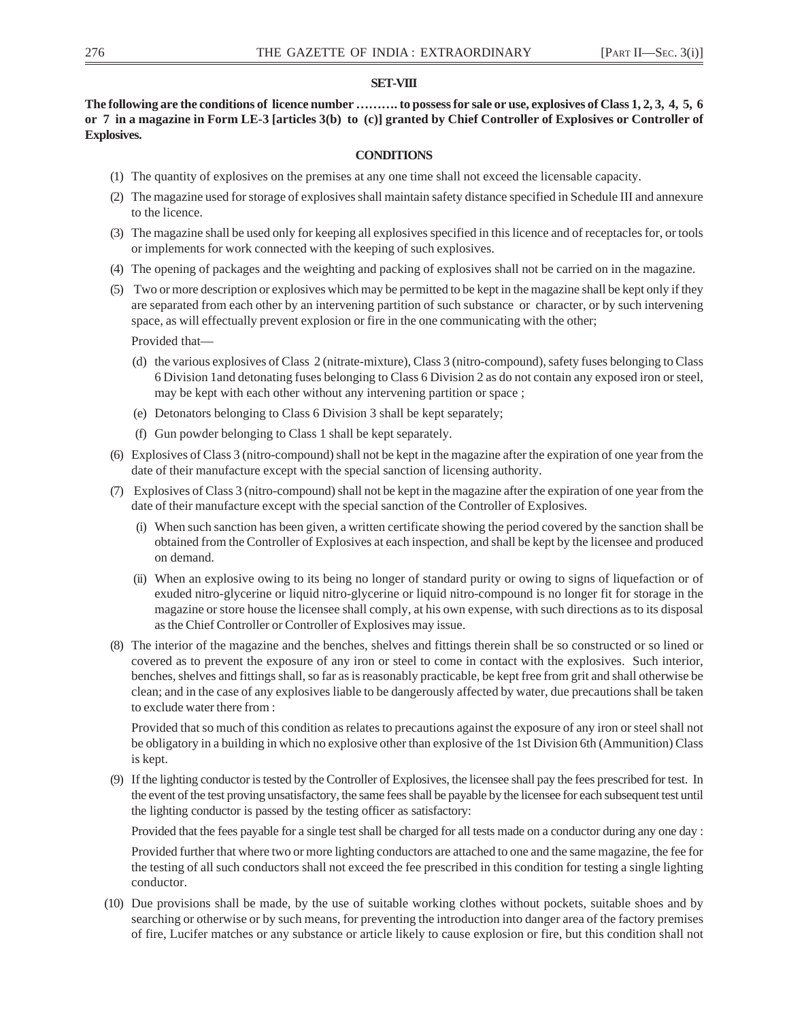# **SET-VIII**

**The following are the conditions of licence number ………. to possess for sale or use, explosives of Class 1, 2, 3, 4, 5, 6 or 7 in a magazine in Form LE-3 [articles 3(b) to (c)] granted by Chief Controller of Explosives or Controller of Explosives.**

# **CONDITIONS**

- (1) The quantity of explosives on the premises at any one time shall not exceed the licensable capacity.
- (2) The magazine used for storage of explosives shall maintain safety distance specified in Schedule III and annexure to the licence.
- (3) The magazine shall be used only for keeping all explosives specified in this licence and of receptacles for, or tools or implements for work connected with the keeping of such explosives.
- (4) The opening of packages and the weighting and packing of explosives shall not be carried on in the magazine.
- (5) Two or more description or explosives which may be permitted to be kept in the magazine shall be kept only if they are separated from each other by an intervening partition of such substance or character, or by such intervening space, as will effectually prevent explosion or fire in the one communicating with the other;

Provided that—

- (d) the various explosives of Class 2 (nitrate-mixture), Class 3 (nitro-compound), safety fuses belonging to Class 6 Division 1and detonating fuses belonging to Class 6 Division 2 as do not contain any exposed iron or steel, may be kept with each other without any intervening partition or space ;
- (e) Detonators belonging to Class 6 Division 3 shall be kept separately;
- (f) Gun powder belonging to Class 1 shall be kept separately.
- (6) Explosives of Class 3 (nitro-compound) shall not be kept in the magazine after the expiration of one year from the date of their manufacture except with the special sanction of licensing authority.
- (7) Explosives of Class 3 (nitro-compound) shall not be kept in the magazine after the expiration of one year from the date of their manufacture except with the special sanction of the Controller of Explosives.
	- (i) When such sanction has been given, a written certificate showing the period covered by the sanction shall be obtained from the Controller of Explosives at each inspection, and shall be kept by the licensee and produced on demand.
	- (ii) When an explosive owing to its being no longer of standard purity or owing to signs of liquefaction or of exuded nitro-glycerine or liquid nitro-glycerine or liquid nitro-compound is no longer fit for storage in the magazine or store house the licensee shall comply, at his own expense, with such directions as to its disposal as the Chief Controller or Controller of Explosives may issue.
- (8) The interior of the magazine and the benches, shelves and fittings therein shall be so constructed or so lined or covered as to prevent the exposure of any iron or steel to come in contact with the explosives. Such interior, benches, shelves and fittings shall, so far as is reasonably practicable, be kept free from grit and shall otherwise be clean; and in the case of any explosives liable to be dangerously affected by water, due precautions shall be taken to exclude water there from :

Provided that so much of this condition as relates to precautions against the exposure of any iron or steel shall not be obligatory in a building in which no explosive other than explosive of the 1st Division 6th (Ammunition) Class is kept.

(9) If the lighting conductor is tested by the Controller of Explosives, the licensee shall pay the fees prescribed for test. In the event of the test proving unsatisfactory, the same fees shall be payable by the licensee for each subsequent test until the lighting conductor is passed by the testing officer as satisfactory:

Provided that the fees payable for a single test shall be charged for all tests made on a conductor during any one day :

Provided further that where two or more lighting conductors are attached to one and the same magazine, the fee for the testing of all such conductors shall not exceed the fee prescribed in this condition for testing a single lighting conductor.

(10) Due provisions shall be made, by the use of suitable working clothes without pockets, suitable shoes and by searching or otherwise or by such means, for preventing the introduction into danger area of the factory premises of fire, Lucifer matches or any substance or article likely to cause explosion or fire, but this condition shall not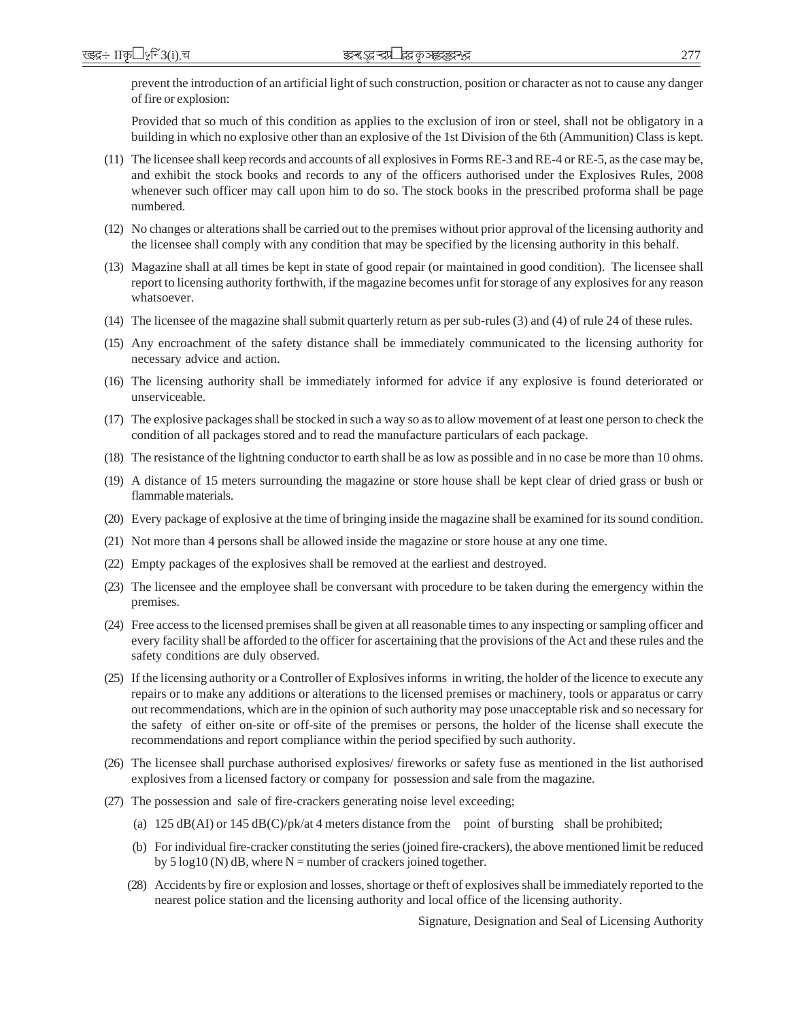prevent the introduction of an artificial light of such construction, position or character as not to cause any danger of fire or explosion:

Provided that so much of this condition as applies to the exclusion of iron or steel, shall not be obligatory in a building in which no explosive other than an explosive of the 1st Division of the 6th (Ammunition) Class is kept.

- (11) The licensee shall keep records and accounts of all explosives in Forms RE-3 and RE-4 or RE-5, as the case may be, and exhibit the stock books and records to any of the officers authorised under the Explosives Rules, 2008 whenever such officer may call upon him to do so. The stock books in the prescribed proforma shall be page numbered.
- (12) No changes or alterations shall be carried out to the premises without prior approval of the licensing authority and the licensee shall comply with any condition that may be specified by the licensing authority in this behalf.
- (13) Magazine shall at all times be kept in state of good repair (or maintained in good condition). The licensee shall report to licensing authority forthwith, if the magazine becomes unfit for storage of any explosives for any reason whatsoever.
- (14) The licensee of the magazine shall submit quarterly return as per sub-rules (3) and (4) of rule 24 of these rules.
- (15) Any encroachment of the safety distance shall be immediately communicated to the licensing authority for necessary advice and action.
- (16) The licensing authority shall be immediately informed for advice if any explosive is found deteriorated or unserviceable.
- (17) The explosive packages shall be stocked in such a way so as to allow movement of at least one person to check the condition of all packages stored and to read the manufacture particulars of each package.
- (18) The resistance of the lightning conductor to earth shall be as low as possible and in no case be more than 10 ohms.
- (19) A distance of 15 meters surrounding the magazine or store house shall be kept clear of dried grass or bush or flammable materials.
- (20) Every package of explosive at the time of bringing inside the magazine shall be examined for its sound condition.
- (21) Not more than 4 persons shall be allowed inside the magazine or store house at any one time.
- (22) Empty packages of the explosives shall be removed at the earliest and destroyed.
- (23) The licensee and the employee shall be conversant with procedure to be taken during the emergency within the premises.
- (24) Free access to the licensed premises shall be given at all reasonable times to any inspecting or sampling officer and every facility shall be afforded to the officer for ascertaining that the provisions of the Act and these rules and the safety conditions are duly observed.
- (25) If the licensing authority or a Controller of Explosives informs in writing, the holder of the licence to execute any repairs or to make any additions or alterations to the licensed premises or machinery, tools or apparatus or carry out recommendations, which are in the opinion of such authority may pose unacceptable risk and so necessary for the safety of either on-site or off-site of the premises or persons, the holder of the license shall execute the recommendations and report compliance within the period specified by such authority.
- (26) The licensee shall purchase authorised explosives/ fireworks or safety fuse as mentioned in the list authorised explosives from a licensed factory or company for possession and sale from the magazine.
- (27) The possession and sale of fire-crackers generating noise level exceeding;
	- (a)  $125 \text{ dB}(A)$  or  $145 \text{ dB}(C)/p$ k/at 4 meters distance from the point of bursting shall be prohibited;
	- (b) For individual fire-cracker constituting the series (joined fire-crackers), the above mentioned limit be reduced by 5 log10 (N) dB, where  $N =$  number of crackers joined together.
	- (28) Accidents by fire or explosion and losses, shortage or theft of explosives shall be immediately reported to the nearest police station and the licensing authority and local office of the licensing authority.

Signature, Designation and Seal of Licensing Authority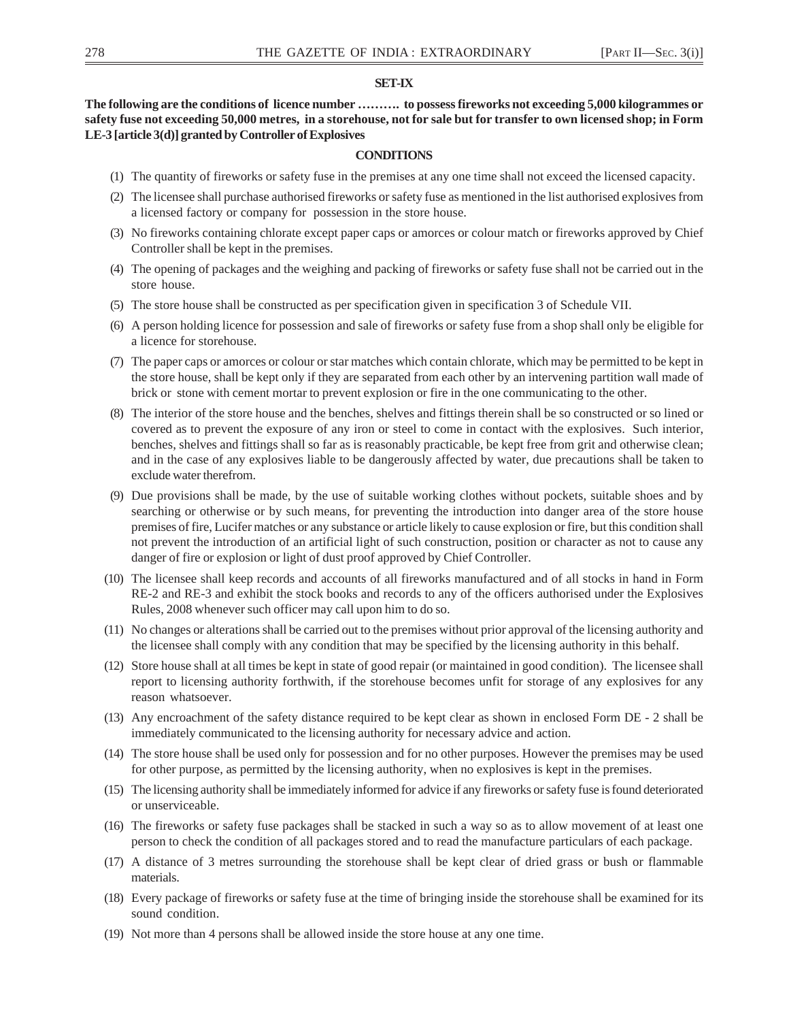## **SET-IX**

**The following are the conditions of licence number ………. to possess fireworks not exceeding 5,000 kilogrammes or safety fuse not exceeding 50,000 metres, in a storehouse, not for sale but for transfer to own licensed shop; in Form LE-3 [article 3(d)] granted by Controller of Explosives**

## **CONDITIONS**

- (1) The quantity of fireworks or safety fuse in the premises at any one time shall not exceed the licensed capacity.
- (2) The licensee shall purchase authorised fireworks or safety fuse as mentioned in the list authorised explosives from a licensed factory or company for possession in the store house.
- (3) No fireworks containing chlorate except paper caps or amorces or colour match or fireworks approved by Chief Controller shall be kept in the premises.
- (4) The opening of packages and the weighing and packing of fireworks or safety fuse shall not be carried out in the store house.
- (5) The store house shall be constructed as per specification given in specification 3 of Schedule VII.
- (6) A person holding licence for possession and sale of fireworks or safety fuse from a shop shall only be eligible for a licence for storehouse.
- (7) The paper caps or amorces or colour or star matches which contain chlorate, which may be permitted to be kept in the store house, shall be kept only if they are separated from each other by an intervening partition wall made of brick or stone with cement mortar to prevent explosion or fire in the one communicating to the other.
- (8) The interior of the store house and the benches, shelves and fittings therein shall be so constructed or so lined or covered as to prevent the exposure of any iron or steel to come in contact with the explosives. Such interior, benches, shelves and fittings shall so far as is reasonably practicable, be kept free from grit and otherwise clean; and in the case of any explosives liable to be dangerously affected by water, due precautions shall be taken to exclude water therefrom.
- (9) Due provisions shall be made, by the use of suitable working clothes without pockets, suitable shoes and by searching or otherwise or by such means, for preventing the introduction into danger area of the store house premises of fire, Lucifer matches or any substance or article likely to cause explosion or fire, but this condition shall not prevent the introduction of an artificial light of such construction, position or character as not to cause any danger of fire or explosion or light of dust proof approved by Chief Controller.
- (10) The licensee shall keep records and accounts of all fireworks manufactured and of all stocks in hand in Form RE-2 and RE-3 and exhibit the stock books and records to any of the officers authorised under the Explosives Rules, 2008 whenever such officer may call upon him to do so.
- (11) No changes or alterations shall be carried out to the premises without prior approval of the licensing authority and the licensee shall comply with any condition that may be specified by the licensing authority in this behalf.
- (12) Store house shall at all times be kept in state of good repair (or maintained in good condition). The licensee shall report to licensing authority forthwith, if the storehouse becomes unfit for storage of any explosives for any reason whatsoever.
- (13) Any encroachment of the safety distance required to be kept clear as shown in enclosed Form DE 2 shall be immediately communicated to the licensing authority for necessary advice and action.
- (14) The store house shall be used only for possession and for no other purposes. However the premises may be used for other purpose, as permitted by the licensing authority, when no explosives is kept in the premises.
- (15) The licensing authority shall be immediately informed for advice if any fireworks or safety fuse is found deteriorated or unserviceable.
- (16) The fireworks or safety fuse packages shall be stacked in such a way so as to allow movement of at least one person to check the condition of all packages stored and to read the manufacture particulars of each package.
- (17) A distance of 3 metres surrounding the storehouse shall be kept clear of dried grass or bush or flammable materials.
- (18) Every package of fireworks or safety fuse at the time of bringing inside the storehouse shall be examined for its sound condition.
- (19) Not more than 4 persons shall be allowed inside the store house at any one time.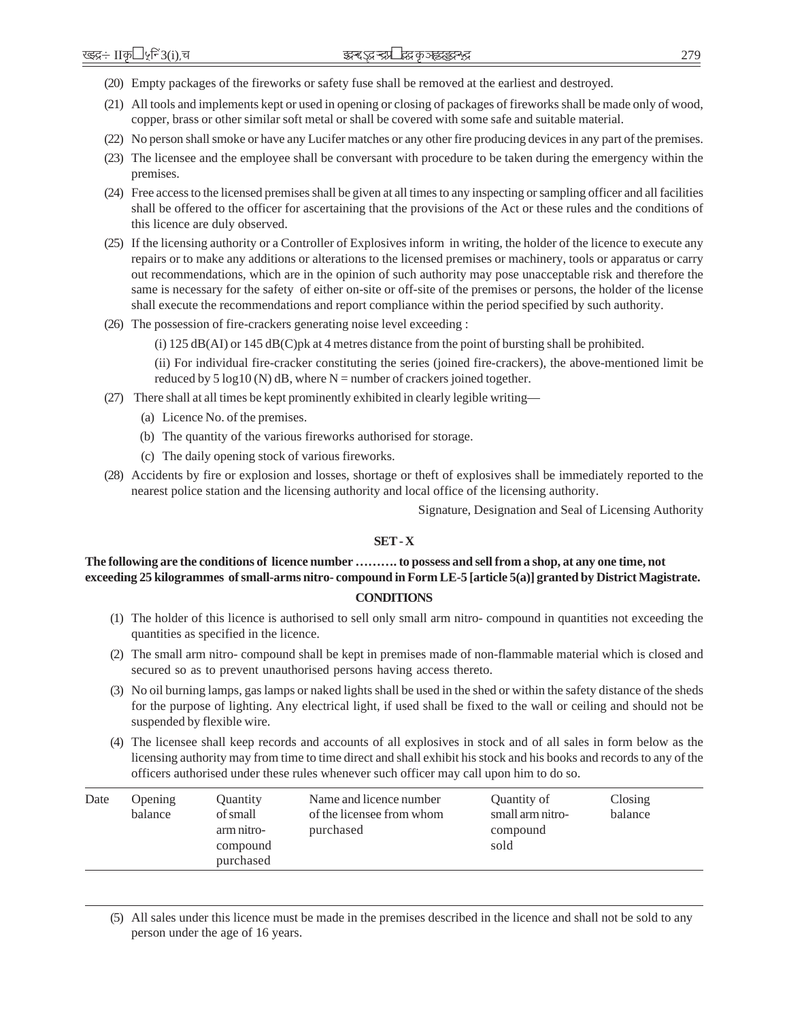- (20) Empty packages of the fireworks or safety fuse shall be removed at the earliest and destroyed.
- (21) All tools and implements kept or used in opening or closing of packages of fireworks shall be made only of wood, copper, brass or other similar soft metal or shall be covered with some safe and suitable material.
- (22) No person shall smoke or have any Lucifer matches or any other fire producing devices in any part of the premises.
- (23) The licensee and the employee shall be conversant with procedure to be taken during the emergency within the premises.
- (24) Free access to the licensed premises shall be given at all times to any inspecting or sampling officer and all facilities shall be offered to the officer for ascertaining that the provisions of the Act or these rules and the conditions of this licence are duly observed.
- (25) If the licensing authority or a Controller of Explosives inform in writing, the holder of the licence to execute any repairs or to make any additions or alterations to the licensed premises or machinery, tools or apparatus or carry out recommendations, which are in the opinion of such authority may pose unacceptable risk and therefore the same is necessary for the safety of either on-site or off-site of the premises or persons, the holder of the license shall execute the recommendations and report compliance within the period specified by such authority.
- (26) The possession of fire-crackers generating noise level exceeding :

(i) 125 dB(AI) or 145 dB(C)pk at 4 metres distance from the point of bursting shall be prohibited.

(ii) For individual fire-cracker constituting the series (joined fire-crackers), the above-mentioned limit be reduced by 5 log10 (N) dB, where  $N =$  number of crackers joined together.

- (27) There shall at all times be kept prominently exhibited in clearly legible writing—
	- (a) Licence No. of the premises.
	- (b) The quantity of the various fireworks authorised for storage.
	- (c) The daily opening stock of various fireworks.
- (28) Accidents by fire or explosion and losses, shortage or theft of explosives shall be immediately reported to the nearest police station and the licensing authority and local office of the licensing authority.

Signature, Designation and Seal of Licensing Authority

## **SET - X**

# **The following are the conditions of licence number ………. to possess and sell from a shop, at any one time, not exceeding 25 kilogrammes of small-arms nitro- compound in Form LE-5 [article 5(a)] granted by District Magistrate.**

## **CONDITIONS**

- (1) The holder of this licence is authorised to sell only small arm nitro- compound in quantities not exceeding the quantities as specified in the licence.
- (2) The small arm nitro- compound shall be kept in premises made of non-flammable material which is closed and secured so as to prevent unauthorised persons having access thereto.
- (3) No oil burning lamps, gas lamps or naked lights shall be used in the shed or within the safety distance of the sheds for the purpose of lighting. Any electrical light, if used shall be fixed to the wall or ceiling and should not be suspended by flexible wire.
- (4) The licensee shall keep records and accounts of all explosives in stock and of all sales in form below as the licensing authority may from time to time direct and shall exhibit his stock and his books and records to any of the officers authorised under these rules whenever such officer may call upon him to do so.

| Date | <b>Opening</b><br>balance | Quantity<br>of small<br>arm nitro-<br>compound<br>purchased | Name and licence number<br>of the licensee from whom<br>purchased | Quantity of<br>small arm nitro-<br>compound<br>sold | Closing<br>balance |
|------|---------------------------|-------------------------------------------------------------|-------------------------------------------------------------------|-----------------------------------------------------|--------------------|
|------|---------------------------|-------------------------------------------------------------|-------------------------------------------------------------------|-----------------------------------------------------|--------------------|

(5) All sales under this licence must be made in the premises described in the licence and shall not be sold to any person under the age of 16 years.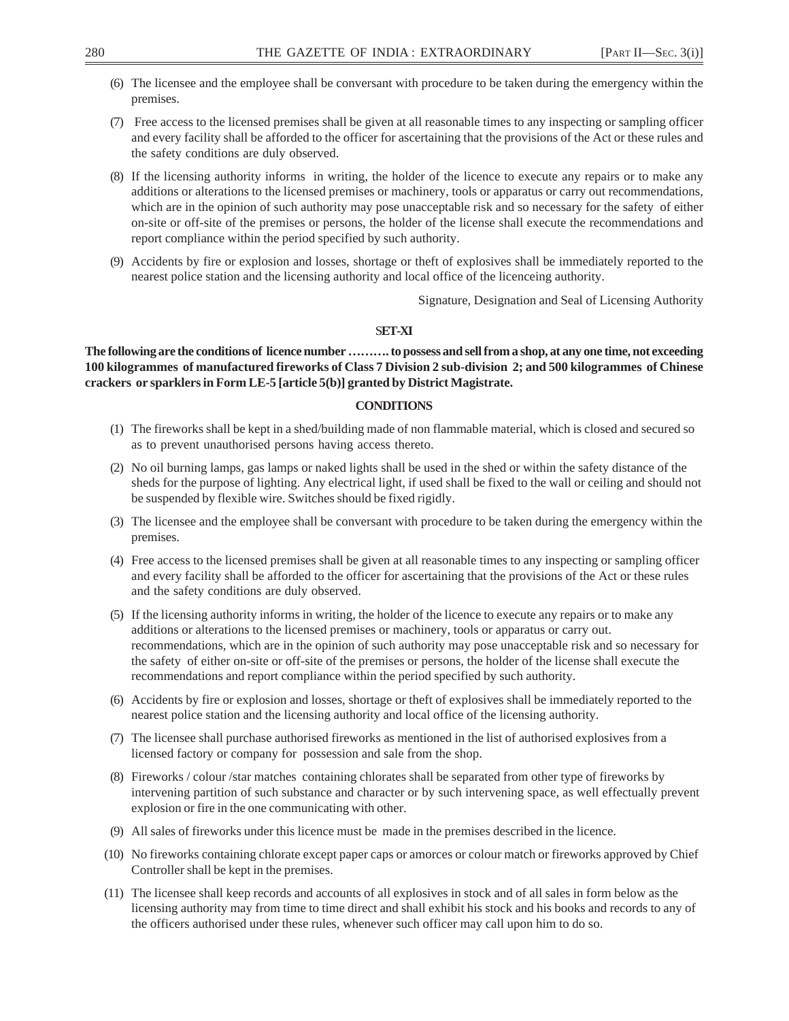- (6) The licensee and the employee shall be conversant with procedure to be taken during the emergency within the premises.
- (7) Free access to the licensed premises shall be given at all reasonable times to any inspecting or sampling officer and every facility shall be afforded to the officer for ascertaining that the provisions of the Act or these rules and the safety conditions are duly observed.
- (8) If the licensing authority informs in writing, the holder of the licence to execute any repairs or to make any additions or alterations to the licensed premises or machinery, tools or apparatus or carry out recommendations, which are in the opinion of such authority may pose unacceptable risk and so necessary for the safety of either on-site or off-site of the premises or persons, the holder of the license shall execute the recommendations and report compliance within the period specified by such authority.
- (9) Accidents by fire or explosion and losses, shortage or theft of explosives shall be immediately reported to the nearest police station and the licensing authority and local office of the licenceing authority.

Signature, Designation and Seal of Licensing Authority

## S**ET-XI**

**The following are the conditions of licence number ………. to possess and sell from a shop, at any one time, not exceeding 100 kilogrammes of manufactured fireworks of Class 7 Division 2 sub-division 2; and 500 kilogrammes of Chinese crackers or sparklers in Form LE-5 [article 5(b)] granted by District Magistrate.**

# **CONDITIONS**

- (1) The fireworks shall be kept in a shed/building made of non flammable material, which is closed and secured so as to prevent unauthorised persons having access thereto.
- (2) No oil burning lamps, gas lamps or naked lights shall be used in the shed or within the safety distance of the sheds for the purpose of lighting. Any electrical light, if used shall be fixed to the wall or ceiling and should not be suspended by flexible wire. Switches should be fixed rigidly.
- (3) The licensee and the employee shall be conversant with procedure to be taken during the emergency within the premises.
- (4) Free access to the licensed premises shall be given at all reasonable times to any inspecting or sampling officer and every facility shall be afforded to the officer for ascertaining that the provisions of the Act or these rules and the safety conditions are duly observed.
- (5) If the licensing authority informs in writing, the holder of the licence to execute any repairs or to make any additions or alterations to the licensed premises or machinery, tools or apparatus or carry out. recommendations, which are in the opinion of such authority may pose unacceptable risk and so necessary for the safety of either on-site or off-site of the premises or persons, the holder of the license shall execute the recommendations and report compliance within the period specified by such authority.
- (6) Accidents by fire or explosion and losses, shortage or theft of explosives shall be immediately reported to the nearest police station and the licensing authority and local office of the licensing authority.
- (7) The licensee shall purchase authorised fireworks as mentioned in the list of authorised explosives from a licensed factory or company for possession and sale from the shop.
- (8) Fireworks / colour /star matches containing chlorates shall be separated from other type of fireworks by intervening partition of such substance and character or by such intervening space, as well effectually prevent explosion or fire in the one communicating with other.
- (9) All sales of fireworks under this licence must be made in the premises described in the licence.
- (10) No fireworks containing chlorate except paper caps or amorces or colour match or fireworks approved by Chief Controller shall be kept in the premises.
- (11) The licensee shall keep records and accounts of all explosives in stock and of all sales in form below as the licensing authority may from time to time direct and shall exhibit his stock and his books and records to any of the officers authorised under these rules, whenever such officer may call upon him to do so.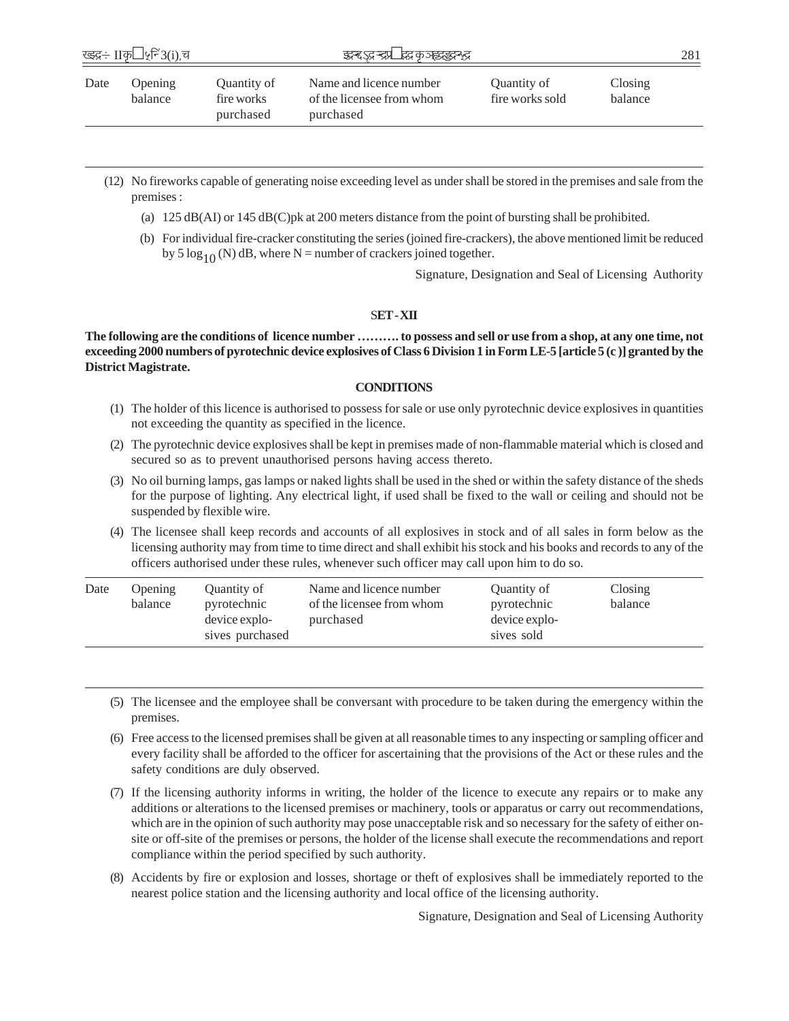|      | ख्झ्द्र÷ IIकृ <sup>1</sup> ५्रनि3(i),च |                                        | इन्देऽदन्द्रा' द्भवकाह्यइदन्द्र                                   |                                |                    | 281 |
|------|----------------------------------------|----------------------------------------|-------------------------------------------------------------------|--------------------------------|--------------------|-----|
| Date | <b>Opening</b><br>balance              | Quantity of<br>fire works<br>purchased | Name and licence number<br>of the licensee from whom<br>purchased | Quantity of<br>fire works sold | Closing<br>balance |     |

- (12) No fireworks capable of generating noise exceeding level as under shall be stored in the premises and sale from the premises :
	- (a) 125 dB(AI) or 145 dB(C)pk at 200 meters distance from the point of bursting shall be prohibited.
	- (b) For individual fire-cracker constituting the series (joined fire-crackers), the above mentioned limit be reduced by 5  $\log_{10}$  (N) dB, where N = number of crackers joined together.

Signature, Designation and Seal of Licensing Authority

S**ET - XII**

**The following are the conditions of licence number ………. to possess and sell or use from a shop, at any one time, not exceeding 2000 numbers of pyrotechnic device explosives of Class 6 Division 1 in Form LE-5 [article 5 (c )] granted by the District Magistrate.**

## **CONDITIONS**

- (1) The holder of this licence is authorised to possess for sale or use only pyrotechnic device explosives in quantities not exceeding the quantity as specified in the licence.
- (2) The pyrotechnic device explosives shall be kept in premises made of non-flammable material which is closed and secured so as to prevent unauthorised persons having access thereto.
- (3) No oil burning lamps, gas lamps or naked lights shall be used in the shed or within the safety distance of the sheds for the purpose of lighting. Any electrical light, if used shall be fixed to the wall or ceiling and should not be suspended by flexible wire.
- (4) The licensee shall keep records and accounts of all explosives in stock and of all sales in form below as the licensing authority may from time to time direct and shall exhibit his stock and his books and records to any of the officers authorised under these rules, whenever such officer may call upon him to do so.

| Date | <b>Opening</b><br>balance | Quantity of<br>pyrotechnic<br>device explo-<br>sives purchased | Name and licence number<br>of the licensee from whom<br>purchased | Quantity of<br>pyrotechnic<br>device explo-<br>sives sold | Closing<br>balance |
|------|---------------------------|----------------------------------------------------------------|-------------------------------------------------------------------|-----------------------------------------------------------|--------------------|
|------|---------------------------|----------------------------------------------------------------|-------------------------------------------------------------------|-----------------------------------------------------------|--------------------|

- (5) The licensee and the employee shall be conversant with procedure to be taken during the emergency within the premises.
- (6) Free access to the licensed premises shall be given at all reasonable times to any inspecting or sampling officer and every facility shall be afforded to the officer for ascertaining that the provisions of the Act or these rules and the safety conditions are duly observed.
- (7) If the licensing authority informs in writing, the holder of the licence to execute any repairs or to make any additions or alterations to the licensed premises or machinery, tools or apparatus or carry out recommendations, which are in the opinion of such authority may pose unacceptable risk and so necessary for the safety of either onsite or off-site of the premises or persons, the holder of the license shall execute the recommendations and report compliance within the period specified by such authority.
- (8) Accidents by fire or explosion and losses, shortage or theft of explosives shall be immediately reported to the nearest police station and the licensing authority and local office of the licensing authority.

Signature, Designation and Seal of Licensing Authority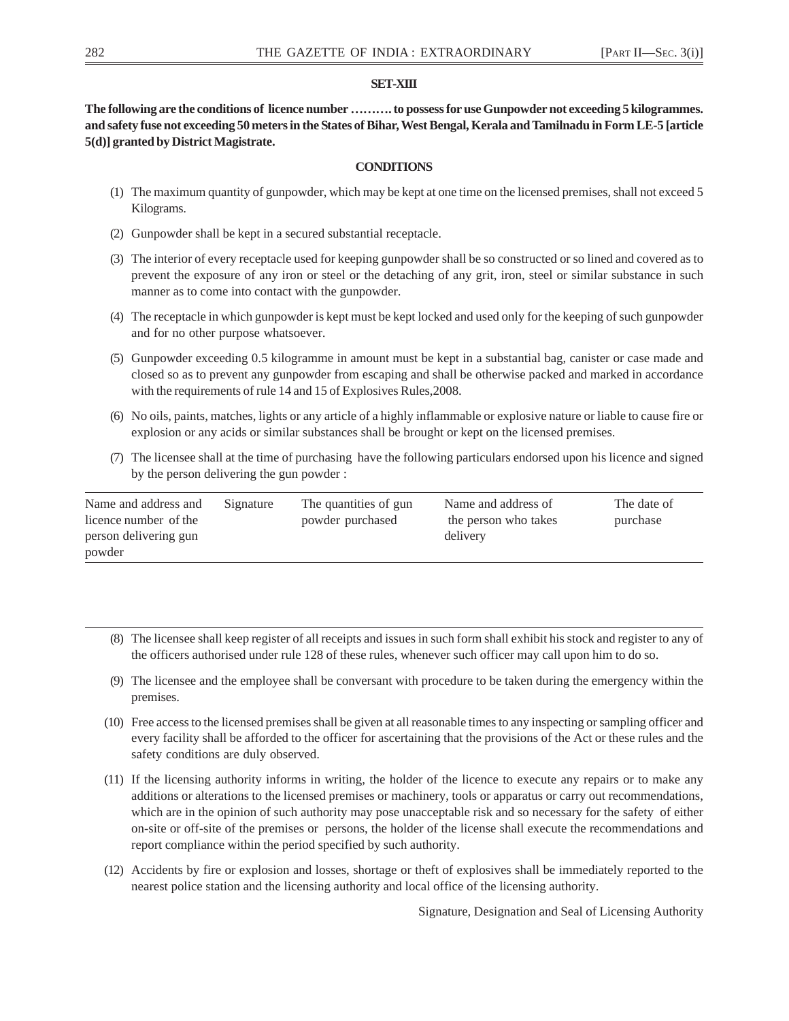# **SET-XIII**

**The following are the conditions of licence number ………. to possess for use Gunpowder not exceeding 5 kilogrammes. and safety fuse not exceeding 50 meters in the States of Bihar, West Bengal, Kerala and Tamilnadu in Form LE-5 [article 5(d)] granted by District Magistrate.**

# **CONDITIONS**

- (1) The maximum quantity of gunpowder, which may be kept at one time on the licensed premises, shall not exceed 5 Kilograms.
- (2) Gunpowder shall be kept in a secured substantial receptacle.
- (3) The interior of every receptacle used for keeping gunpowder shall be so constructed or so lined and covered as to prevent the exposure of any iron or steel or the detaching of any grit, iron, steel or similar substance in such manner as to come into contact with the gunpowder.
- (4) The receptacle in which gunpowder is kept must be kept locked and used only for the keeping of such gunpowder and for no other purpose whatsoever.
- (5) Gunpowder exceeding 0.5 kilogramme in amount must be kept in a substantial bag, canister or case made and closed so as to prevent any gunpowder from escaping and shall be otherwise packed and marked in accordance with the requirements of rule 14 and 15 of Explosives Rules,2008.
- (6) No oils, paints, matches, lights or any article of a highly inflammable or explosive nature or liable to cause fire or explosion or any acids or similar substances shall be brought or kept on the licensed premises.
- (7) The licensee shall at the time of purchasing have the following particulars endorsed upon his licence and signed by the person delivering the gun powder :

| Name and address and<br>licence number of the | Signature | The quantities of gun<br>powder purchased | Name and address of<br>the person who takes | The date of<br>purchase |
|-----------------------------------------------|-----------|-------------------------------------------|---------------------------------------------|-------------------------|
| person delivering gun                         |           |                                           | delivery                                    |                         |
| powder                                        |           |                                           |                                             |                         |

- (8) The licensee shall keep register of all receipts and issues in such form shall exhibit his stock and register to any of the officers authorised under rule 128 of these rules, whenever such officer may call upon him to do so.
- (9) The licensee and the employee shall be conversant with procedure to be taken during the emergency within the premises.
- (10) Free access to the licensed premises shall be given at all reasonable times to any inspecting or sampling officer and every facility shall be afforded to the officer for ascertaining that the provisions of the Act or these rules and the safety conditions are duly observed.
- (11) If the licensing authority informs in writing, the holder of the licence to execute any repairs or to make any additions or alterations to the licensed premises or machinery, tools or apparatus or carry out recommendations, which are in the opinion of such authority may pose unacceptable risk and so necessary for the safety of either on-site or off-site of the premises or persons, the holder of the license shall execute the recommendations and report compliance within the period specified by such authority.
- (12) Accidents by fire or explosion and losses, shortage or theft of explosives shall be immediately reported to the nearest police station and the licensing authority and local office of the licensing authority.

Signature, Designation and Seal of Licensing Authority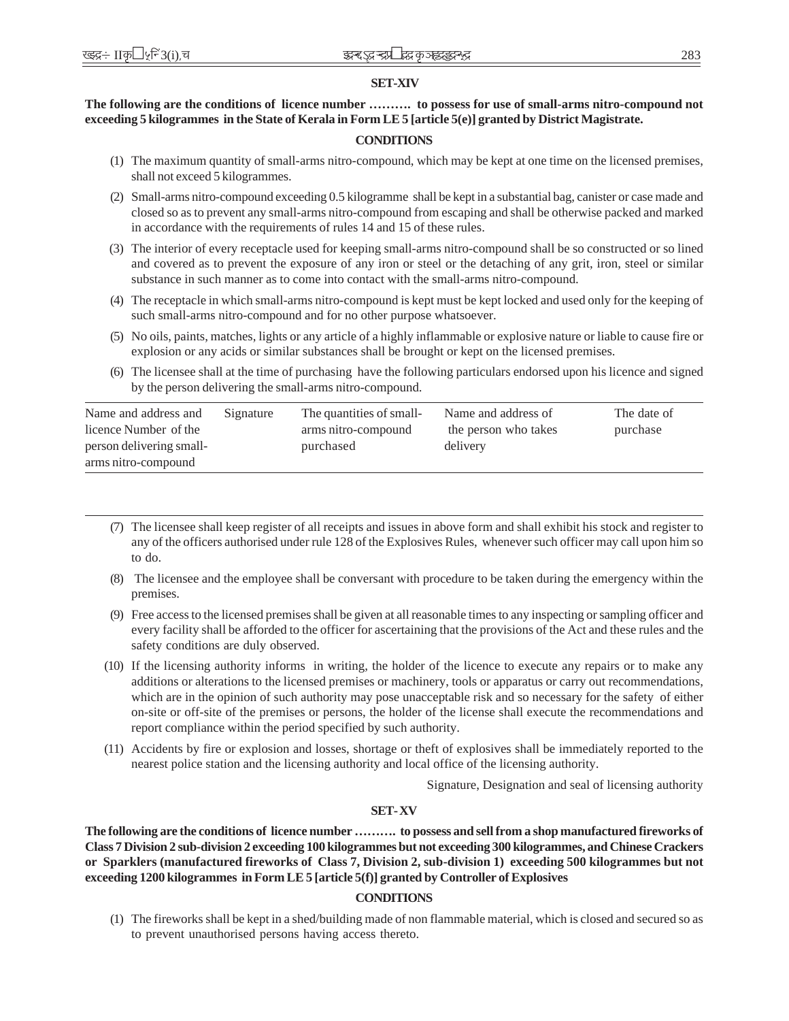# **SET-XIV**

# **The following are the conditions of licence number ………. to possess for use of small-arms nitro-compound not exceeding 5 kilogrammes in the State of Kerala in Form LE 5 [article 5(e)] granted by District Magistrate.**

# **CONDITIONS**

- (1) The maximum quantity of small-arms nitro-compound, which may be kept at one time on the licensed premises, shall not exceed 5 kilogrammes.
- (2) Small-arms nitro-compound exceeding 0.5 kilogramme shall be kept in a substantial bag, canister or case made and closed so as to prevent any small-arms nitro-compound from escaping and shall be otherwise packed and marked in accordance with the requirements of rules 14 and 15 of these rules.
- (3) The interior of every receptacle used for keeping small-arms nitro-compound shall be so constructed or so lined and covered as to prevent the exposure of any iron or steel or the detaching of any grit, iron, steel or similar substance in such manner as to come into contact with the small-arms nitro-compound.
- (4) The receptacle in which small-arms nitro-compound is kept must be kept locked and used only for the keeping of such small-arms nitro-compound and for no other purpose whatsoever.
- (5) No oils, paints, matches, lights or any article of a highly inflammable or explosive nature or liable to cause fire or explosion or any acids or similar substances shall be brought or kept on the licensed premises.
- (6) The licensee shall at the time of purchasing have the following particulars endorsed upon his licence and signed by the person delivering the small-arms nitro-compound.

| Name and address and     | Signature | The quantities of small- | Name and address of  | The date of |
|--------------------------|-----------|--------------------------|----------------------|-------------|
| licence Number of the    |           | arms nitro-compound      | the person who takes | purchase    |
| person delivering small- |           | purchased                | delivery             |             |
| arms nitro-compound      |           |                          |                      |             |

- (7) The licensee shall keep register of all receipts and issues in above form and shall exhibit his stock and register to any of the officers authorised under rule 128 of the Explosives Rules, whenever such officer may call upon him so to do.
- (8) The licensee and the employee shall be conversant with procedure to be taken during the emergency within the premises.
- (9) Free access to the licensed premises shall be given at all reasonable times to any inspecting or sampling officer and every facility shall be afforded to the officer for ascertaining that the provisions of the Act and these rules and the safety conditions are duly observed.
- (10) If the licensing authority informs in writing, the holder of the licence to execute any repairs or to make any additions or alterations to the licensed premises or machinery, tools or apparatus or carry out recommendations, which are in the opinion of such authority may pose unacceptable risk and so necessary for the safety of either on-site or off-site of the premises or persons, the holder of the license shall execute the recommendations and report compliance within the period specified by such authority.
- (11) Accidents by fire or explosion and losses, shortage or theft of explosives shall be immediately reported to the nearest police station and the licensing authority and local office of the licensing authority.

Signature, Designation and seal of licensing authority

# **SET- XV**

**The following are the conditions of licence number ………. to possess and sell from a shop manufactured fireworks of Class 7 Division 2 sub-division 2 exceeding 100 kilogrammes but not exceeding 300 kilogrammes, and Chinese Crackers or Sparklers (manufactured fireworks of Class 7, Division 2, sub-division 1) exceeding 500 kilogrammes but not exceeding 1200 kilogrammes in Form LE 5 [article 5(f)] granted by Controller of Explosives**

# **CONDITIONS**

(1) The fireworks shall be kept in a shed/building made of non flammable material, which is closed and secured so as to prevent unauthorised persons having access thereto.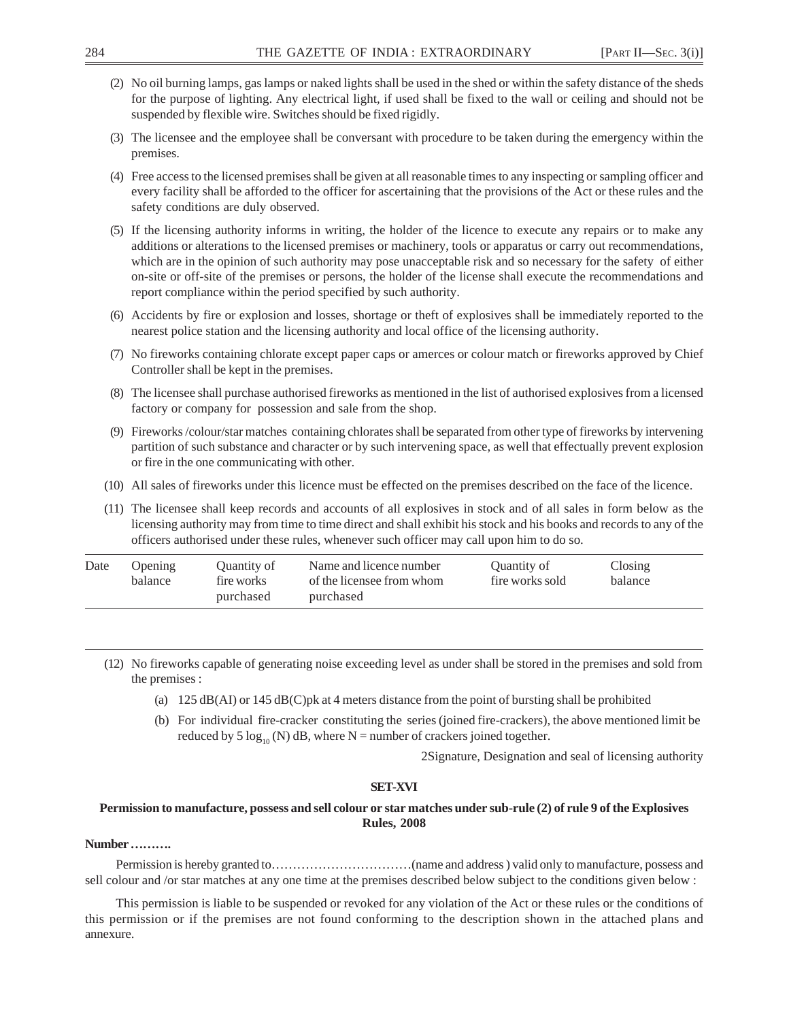- (2) No oil burning lamps, gas lamps or naked lights shall be used in the shed or within the safety distance of the sheds for the purpose of lighting. Any electrical light, if used shall be fixed to the wall or ceiling and should not be suspended by flexible wire. Switches should be fixed rigidly.
- (3) The licensee and the employee shall be conversant with procedure to be taken during the emergency within the premises.
- (4) Free access to the licensed premises shall be given at all reasonable times to any inspecting or sampling officer and every facility shall be afforded to the officer for ascertaining that the provisions of the Act or these rules and the safety conditions are duly observed.
- (5) If the licensing authority informs in writing, the holder of the licence to execute any repairs or to make any additions or alterations to the licensed premises or machinery, tools or apparatus or carry out recommendations, which are in the opinion of such authority may pose unacceptable risk and so necessary for the safety of either on-site or off-site of the premises or persons, the holder of the license shall execute the recommendations and report compliance within the period specified by such authority.
- (6) Accidents by fire or explosion and losses, shortage or theft of explosives shall be immediately reported to the nearest police station and the licensing authority and local office of the licensing authority.
- (7) No fireworks containing chlorate except paper caps or amerces or colour match or fireworks approved by Chief Controller shall be kept in the premises.
- (8) The licensee shall purchase authorised fireworks as mentioned in the list of authorised explosives from a licensed factory or company for possession and sale from the shop.
- (9) Fireworks /colour/star matches containing chlorates shall be separated from other type of fireworks by intervening partition of such substance and character or by such intervening space, as well that effectually prevent explosion or fire in the one communicating with other.
- (10) All sales of fireworks under this licence must be effected on the premises described on the face of the licence.
- (11) The licensee shall keep records and accounts of all explosives in stock and of all sales in form below as the licensing authority may from time to time direct and shall exhibit his stock and his books and records to any of the officers authorised under these rules, whenever such officer may call upon him to do so.

| Date | Opening | Ouantity of | Name and licence number   | Quantity of     | Closing |
|------|---------|-------------|---------------------------|-----------------|---------|
|      | balance | fire works  | of the licensee from whom | fire works sold | balance |
|      |         | purchased   | purchased                 |                 |         |

- (12) No fireworks capable of generating noise exceeding level as under shall be stored in the premises and sold from the premises :
	- (a) 125 dB(AI) or 145 dB(C)pk at 4 meters distance from the point of bursting shall be prohibited
	- (b) For individual fire-cracker constituting the series (joined fire-crackers), the above mentioned limit be reduced by 5  $\log_{10}$  (N) dB, where N = number of crackers joined together.

2Signature, Designation and seal of licensing authority

## **SET-XVI**

# **Permission to manufacture, possess and sell colour or star matches under sub-rule (2) of rule 9 of the Explosives Rules, 2008**

# **Number ……….**

Permission is hereby granted to……………………………(name and address ) valid only to manufacture, possess and sell colour and /or star matches at any one time at the premises described below subject to the conditions given below :

This permission is liable to be suspended or revoked for any violation of the Act or these rules or the conditions of this permission or if the premises are not found conforming to the description shown in the attached plans and annexure.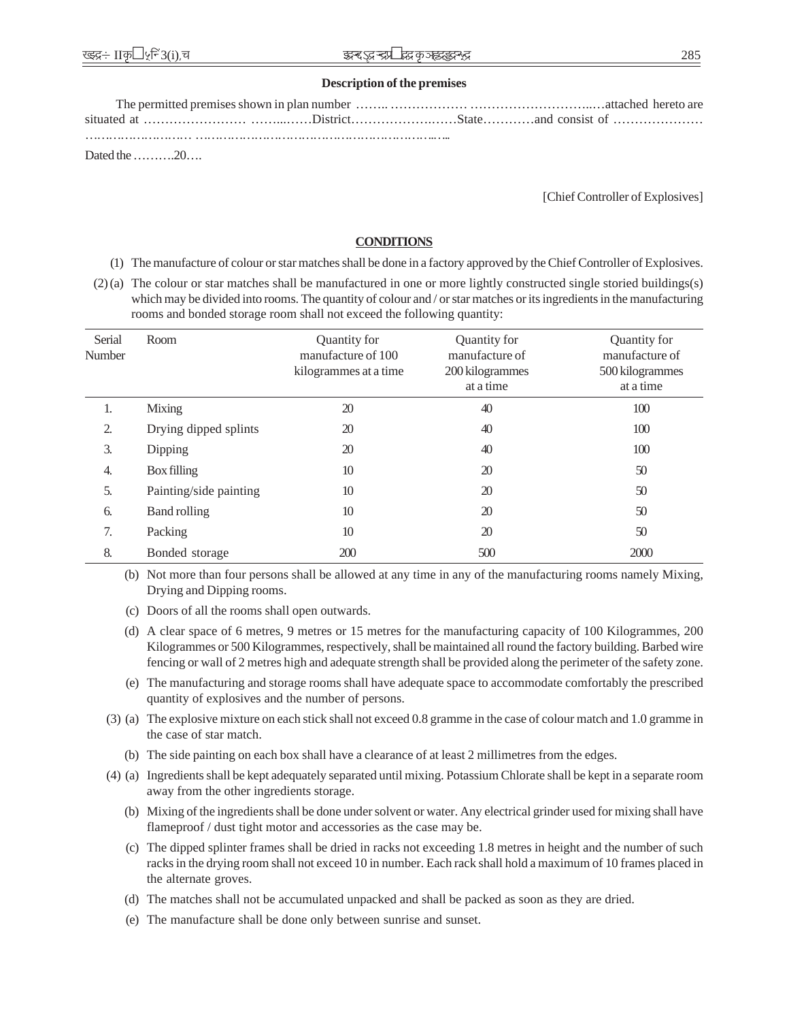## **Description of the premises**

| Dated the $\ldots \ldots \ldots 20 \ldots$ |  |  |
|--------------------------------------------|--|--|

[Chief Controller of Explosives]

# **CONDITIONS**

- (1) The manufacture of colour or star matches shall be done in a factory approved by the Chief Controller of Explosives.
- (2) (a) The colour or star matches shall be manufactured in one or more lightly constructed single storied buildings(s) which may be divided into rooms. The quantity of colour and / or star matches or its ingredients in the manufacturing rooms and bonded storage room shall not exceed the following quantity:

| Serial<br>Number | Room                   | Quantity for<br>manufacture of 100<br>kilogrammes at a time | Quantity for<br>manufacture of<br>200 kilogrammes<br>at a time | Quantity for<br>manufacture of<br>500 kilogrammes<br>at a time |
|------------------|------------------------|-------------------------------------------------------------|----------------------------------------------------------------|----------------------------------------------------------------|
| 1.               | Mixing                 | 20                                                          | 40                                                             | 100                                                            |
| 2.               | Drying dipped splints  | 20                                                          | 40                                                             | 100                                                            |
| $\mathfrak{Z}$ . | Dipping                | 20                                                          | 40                                                             | 100                                                            |
| 4.               | Box filling            | 10                                                          | 20                                                             | 50                                                             |
| 5.               | Painting/side painting | 10                                                          | 20                                                             | 50                                                             |
| 6.               | Band rolling           | 10                                                          | 20                                                             | 50                                                             |
| 7.               | Packing                | 10                                                          | 20                                                             | 50                                                             |
| 8.               | Bonded storage         | 200                                                         | 500                                                            | 2000                                                           |

(b) Not more than four persons shall be allowed at any time in any of the manufacturing rooms namely Mixing, Drying and Dipping rooms.

- (c) Doors of all the rooms shall open outwards.
- (d) A clear space of 6 metres, 9 metres or 15 metres for the manufacturing capacity of 100 Kilogrammes, 200 Kilogrammes or 500 Kilogrammes, respectively, shall be maintained all round the factory building. Barbed wire fencing or wall of 2 metres high and adequate strength shall be provided along the perimeter of the safety zone.
- (e) The manufacturing and storage rooms shall have adequate space to accommodate comfortably the prescribed quantity of explosives and the number of persons.
- (3) (a) The explosive mixture on each stick shall not exceed 0.8 gramme in the case of colour match and 1.0 gramme in the case of star match.
	- (b) The side painting on each box shall have a clearance of at least 2 millimetres from the edges.
- (4) (a) Ingredients shall be kept adequately separated until mixing. Potassium Chlorate shall be kept in a separate room away from the other ingredients storage.
	- (b) Mixing of the ingredients shall be done under solvent or water. Any electrical grinder used for mixing shall have flameproof / dust tight motor and accessories as the case may be.
	- (c) The dipped splinter frames shall be dried in racks not exceeding 1.8 metres in height and the number of such racks in the drying room shall not exceed 10 in number. Each rack shall hold a maximum of 10 frames placed in the alternate groves.
	- (d) The matches shall not be accumulated unpacked and shall be packed as soon as they are dried.
	- (e) The manufacture shall be done only between sunrise and sunset.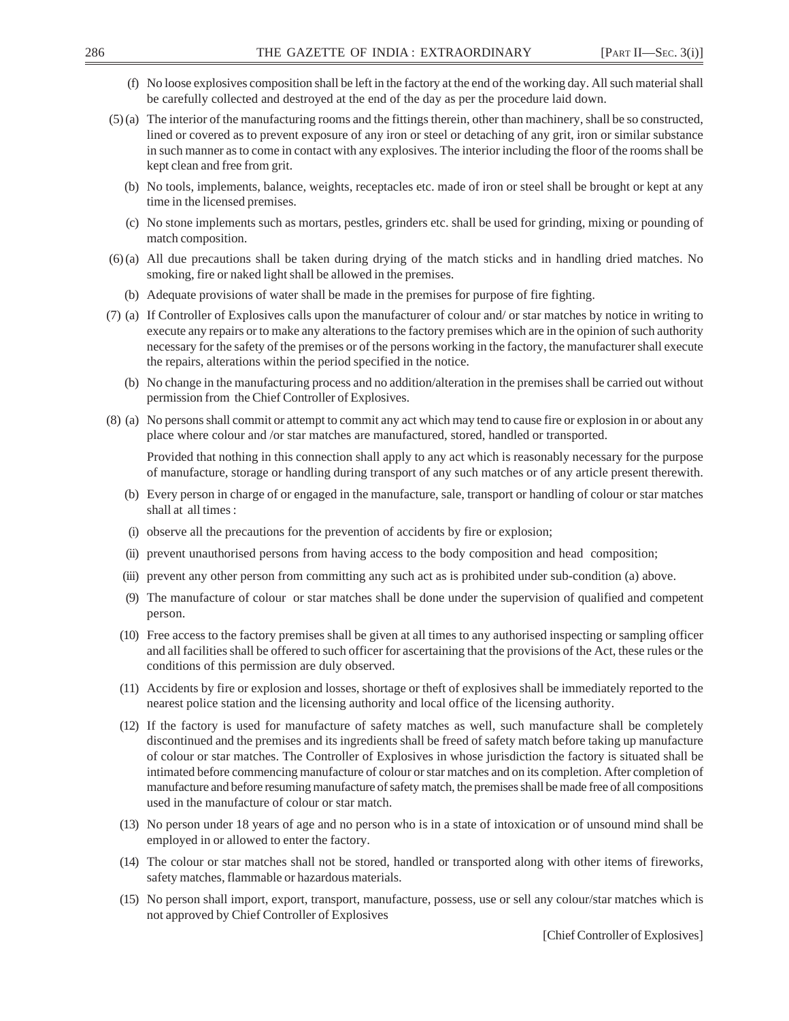- (f) No loose explosives composition shall be left in the factory at the end of the working day. All such material shall be carefully collected and destroyed at the end of the day as per the procedure laid down.
- (5) (a) The interior of the manufacturing rooms and the fittings therein, other than machinery, shall be so constructed, lined or covered as to prevent exposure of any iron or steel or detaching of any grit, iron or similar substance in such manner as to come in contact with any explosives. The interior including the floor of the rooms shall be kept clean and free from grit.
	- (b) No tools, implements, balance, weights, receptacles etc. made of iron or steel shall be brought or kept at any time in the licensed premises.
	- (c) No stone implements such as mortars, pestles, grinders etc. shall be used for grinding, mixing or pounding of match composition.
- (6) (a) All due precautions shall be taken during drying of the match sticks and in handling dried matches. No smoking, fire or naked light shall be allowed in the premises.
	- (b) Adequate provisions of water shall be made in the premises for purpose of fire fighting.
- (7) (a) If Controller of Explosives calls upon the manufacturer of colour and/ or star matches by notice in writing to execute any repairs or to make any alterations to the factory premises which are in the opinion of such authority necessary for the safety of the premises or of the persons working in the factory, the manufacturer shall execute the repairs, alterations within the period specified in the notice.
	- (b) No change in the manufacturing process and no addition/alteration in the premises shall be carried out without permission from the Chief Controller of Explosives.
- (8) (a) No persons shall commit or attempt to commit any act which may tend to cause fire or explosion in or about any place where colour and /or star matches are manufactured, stored, handled or transported.

Provided that nothing in this connection shall apply to any act which is reasonably necessary for the purpose of manufacture, storage or handling during transport of any such matches or of any article present therewith.

- (b) Every person in charge of or engaged in the manufacture, sale, transport or handling of colour or star matches shall at all times :
- (i) observe all the precautions for the prevention of accidents by fire or explosion;
- (ii) prevent unauthorised persons from having access to the body composition and head composition;
- (iii) prevent any other person from committing any such act as is prohibited under sub-condition (a) above.
- (9) The manufacture of colour or star matches shall be done under the supervision of qualified and competent person.
- (10) Free access to the factory premises shall be given at all times to any authorised inspecting or sampling officer and all facilities shall be offered to such officer for ascertaining that the provisions of the Act, these rules or the conditions of this permission are duly observed.
- (11) Accidents by fire or explosion and losses, shortage or theft of explosives shall be immediately reported to the nearest police station and the licensing authority and local office of the licensing authority.
- (12) If the factory is used for manufacture of safety matches as well, such manufacture shall be completely discontinued and the premises and its ingredients shall be freed of safety match before taking up manufacture of colour or star matches. The Controller of Explosives in whose jurisdiction the factory is situated shall be intimated before commencing manufacture of colour or star matches and on its completion. After completion of manufacture and before resuming manufacture of safety match, the premises shall be made free of all compositions used in the manufacture of colour or star match.
- (13) No person under 18 years of age and no person who is in a state of intoxication or of unsound mind shall be employed in or allowed to enter the factory.
- (14) The colour or star matches shall not be stored, handled or transported along with other items of fireworks, safety matches, flammable or hazardous materials.
- (15) No person shall import, export, transport, manufacture, possess, use or sell any colour/star matches which is not approved by Chief Controller of Explosives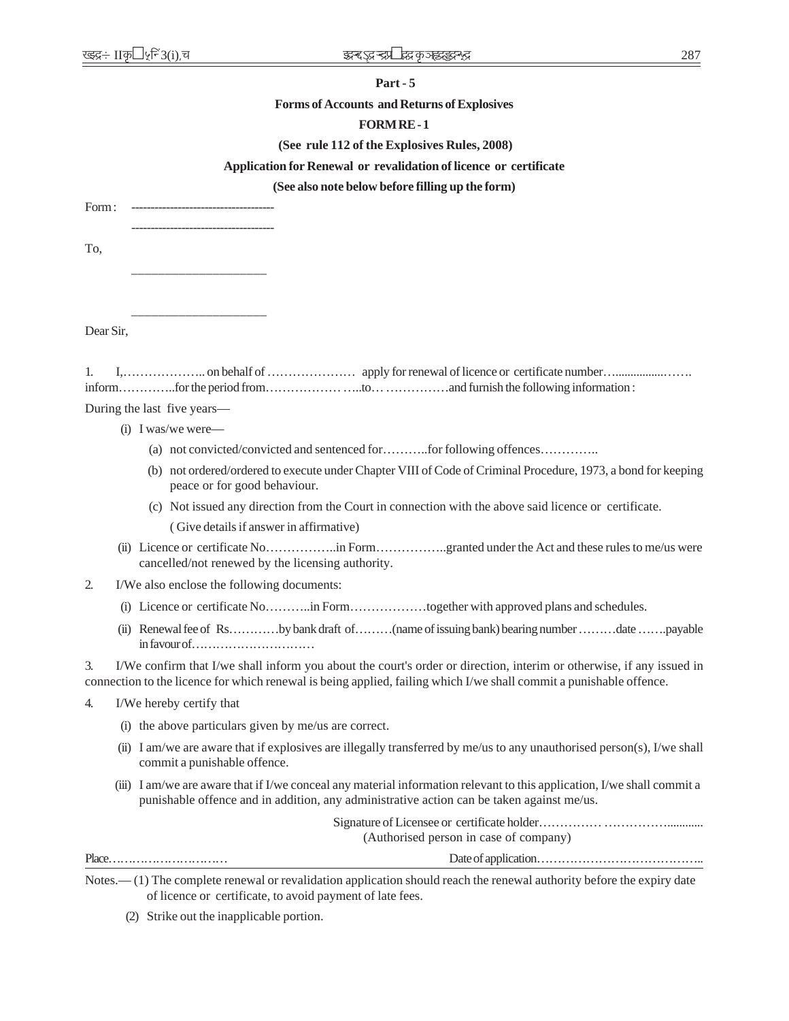## **Part - 5**

## **Forms of Accounts and Returns of Explosives**

#### **FORM RE - 1**

## **(See rule 112 of the Explosives Rules, 2008)**

#### **Application for Renewal or revalidation of licence or certificate**

#### **(See also note below before filling up the form)**

Form: -------------------------------------

\_\_\_\_\_\_\_\_\_\_\_\_\_\_\_\_\_\_\_\_

\_\_\_\_\_\_\_\_\_\_\_\_\_\_\_\_\_\_\_\_

To,

Dear Sir,

During the last five years—

- (i) I was/we were—
	- (a) not convicted/convicted and sentenced for………..for following offences…………..
	- (b) not ordered/ordered to execute under Chapter VIII of Code of Criminal Procedure, 1973, a bond for keeping peace or for good behaviour.
	- (c) Not issued any direction from the Court in connection with the above said licence or certificate. ( Give details if answer in affirmative)
- (ii) Licence or certificate No……………..in Form……………..granted under the Act and these rules to me/us were cancelled/not renewed by the licensing authority.
- 2. I/We also enclose the following documents:
	- (i) Licence or certificate No………..in Form………………together with approved plans and schedules.
	- (ii) Renewal fee of Rs…………by bank draft of………(name of issuing bank) bearing number ………date …….payable in favour of…………………………

3. I/We confirm that I/we shall inform you about the court's order or direction, interim or otherwise, if any issued in connection to the licence for which renewal is being applied, failing which I/we shall commit a punishable offence.

- 4. I/We hereby certify that
	- (i) the above particulars given by me/us are correct.
	- (ii) I am/we are aware that if explosives are illegally transferred by me/us to any unauthorised person(s), I/we shall commit a punishable offence.
	- (iii) I am/we are aware that if I/we conceal any material information relevant to this application, I/we shall commit a punishable offence and in addition, any administrative action can be taken against me/us.

| (Authorised person in case of company) |  |  |  |  |
|----------------------------------------|--|--|--|--|
|                                        |  |  |  |  |
| _ _                                    |  |  |  |  |

Notes.— (1) The complete renewal or revalidation application should reach the renewal authority before the expiry date of licence or certificate, to avoid payment of late fees.

(2) Strike out the inapplicable portion.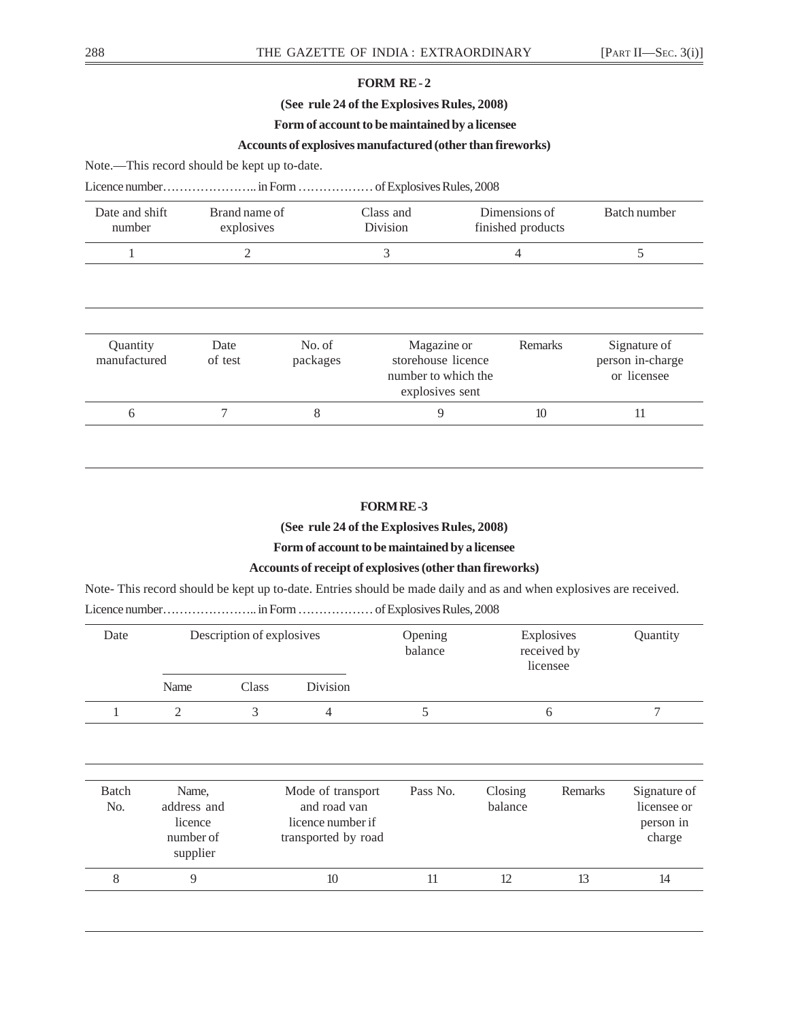# **FORM RE - 2**

# **(See rule 24 of the Explosives Rules, 2008)**

# **Form of account to be maintained by a licensee**

# **Accounts of explosives manufactured (other than fireworks)**

Note.—This record should be kept up to-date.

|--|--|--|--|--|

| Date and shift<br>number | Brand name of<br>explosives |                    | Class and<br><b>Division</b>                                                | Dimensions of<br>finished products | Batch number                                    |
|--------------------------|-----------------------------|--------------------|-----------------------------------------------------------------------------|------------------------------------|-------------------------------------------------|
|                          |                             |                    | 3                                                                           | 4                                  |                                                 |
| Quantity<br>manufactured | Date<br>of test             | No. of<br>packages | Magazine or<br>storehouse licence<br>number to which the<br>explosives sent | Remarks                            | Signature of<br>person in-charge<br>or licensee |
| 6                        |                             | 8                  | 9                                                                           | 10                                 | 11                                              |

# **FORM RE -3**

**(See rule 24 of the Explosives Rules, 2008)**

**Form of account to be maintained by a licensee**

# **Accounts of receipt of explosives (other than fireworks)**

Note- This record should be kept up to-date. Entries should be made daily and as and when explosives are received.

Licence number………………….. in Form ……………… of Explosives Rules, 2008

| Date                           | Description of explosives                                |       |                                                                               | Opening<br>balance | Explosives<br>received by<br>licensee |         | Quantity                                           |
|--------------------------------|----------------------------------------------------------|-------|-------------------------------------------------------------------------------|--------------------|---------------------------------------|---------|----------------------------------------------------|
|                                | Name                                                     | Class | Division                                                                      |                    |                                       |         |                                                    |
| 1                              | $\overline{2}$                                           | 3     | $\overline{4}$                                                                | 5                  |                                       | 6       | 7                                                  |
| <b>Batch</b><br>N <sub>o</sub> | Name,<br>address and<br>licence<br>number of<br>supplier |       | Mode of transport<br>and road van<br>licence number if<br>transported by road | Pass No.           | Closing<br>balance                    | Remarks | Signature of<br>licensee or<br>person in<br>charge |
| 8                              | 9                                                        |       | 10                                                                            | 11                 | 12                                    | 13      | 14                                                 |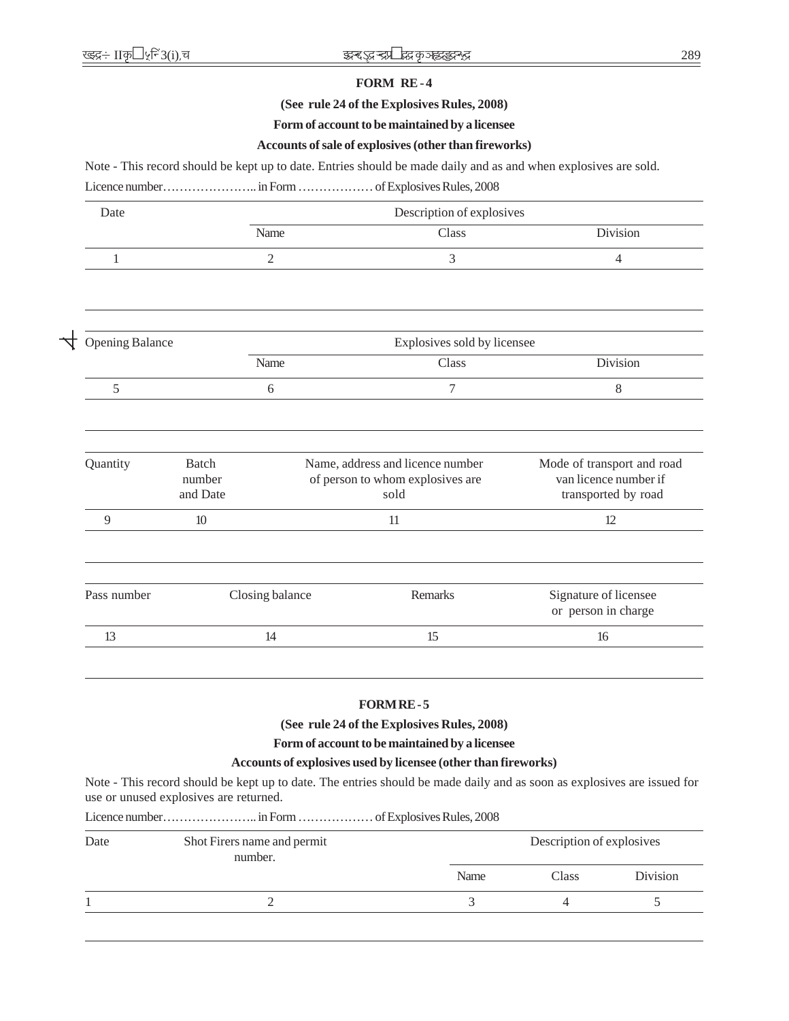# **FORM RE - 4**

# **(See rule 24 of the Explosives Rules, 2008)**

## **Form of account to be maintained by a licensee**

# **Accounts of sale of explosives (other than fireworks)**

Note - This record should be kept up to date. Entries should be made daily and as and when explosives are sold.

Licence number………………….. in Form ……………… of Explosives Rules, 2008

| Date                   |                                    | Description of explosives |                                                                              |                                                                            |  |  |  |  |
|------------------------|------------------------------------|---------------------------|------------------------------------------------------------------------------|----------------------------------------------------------------------------|--|--|--|--|
|                        |                                    | Name                      | Class                                                                        | Division                                                                   |  |  |  |  |
| 1                      |                                    | $\overline{2}$            | 3                                                                            | $\overline{4}$                                                             |  |  |  |  |
|                        |                                    |                           |                                                                              |                                                                            |  |  |  |  |
| <b>Opening Balance</b> |                                    |                           | Explosives sold by licensee                                                  |                                                                            |  |  |  |  |
|                        |                                    | Name                      | Class                                                                        | Division                                                                   |  |  |  |  |
| 5                      |                                    | 6                         | 7                                                                            | $\,8\,$                                                                    |  |  |  |  |
|                        |                                    |                           |                                                                              |                                                                            |  |  |  |  |
| Quantity               | <b>Batch</b><br>number<br>and Date |                           | Name, address and licence number<br>of person to whom explosives are<br>sold | Mode of transport and road<br>van licence number if<br>transported by road |  |  |  |  |
| 9                      | 10                                 |                           | 11                                                                           | 12                                                                         |  |  |  |  |
|                        |                                    |                           |                                                                              |                                                                            |  |  |  |  |
| Pass number            |                                    | Closing balance           | <b>Remarks</b>                                                               | Signature of licensee<br>or person in charge                               |  |  |  |  |
| 13                     |                                    | 14                        | 15                                                                           | 16                                                                         |  |  |  |  |

# **FORM RE - 5**

**(See rule 24 of the Explosives Rules, 2008)**

**Form of account to be maintained by a licensee**

## **Accounts of explosives used by licensee (other than fireworks)**

Note - This record should be kept up to date. The entries should be made daily and as soon as explosives are issued for use or unused explosives are returned.

Licence number………………….. in Form ……………… of Explosives Rules, 2008

| Date | Shot Firers name and permit<br>number. | Description of explosives |       |          |
|------|----------------------------------------|---------------------------|-------|----------|
|      |                                        | Name                      | Class | Division |
|      |                                        |                           |       |          |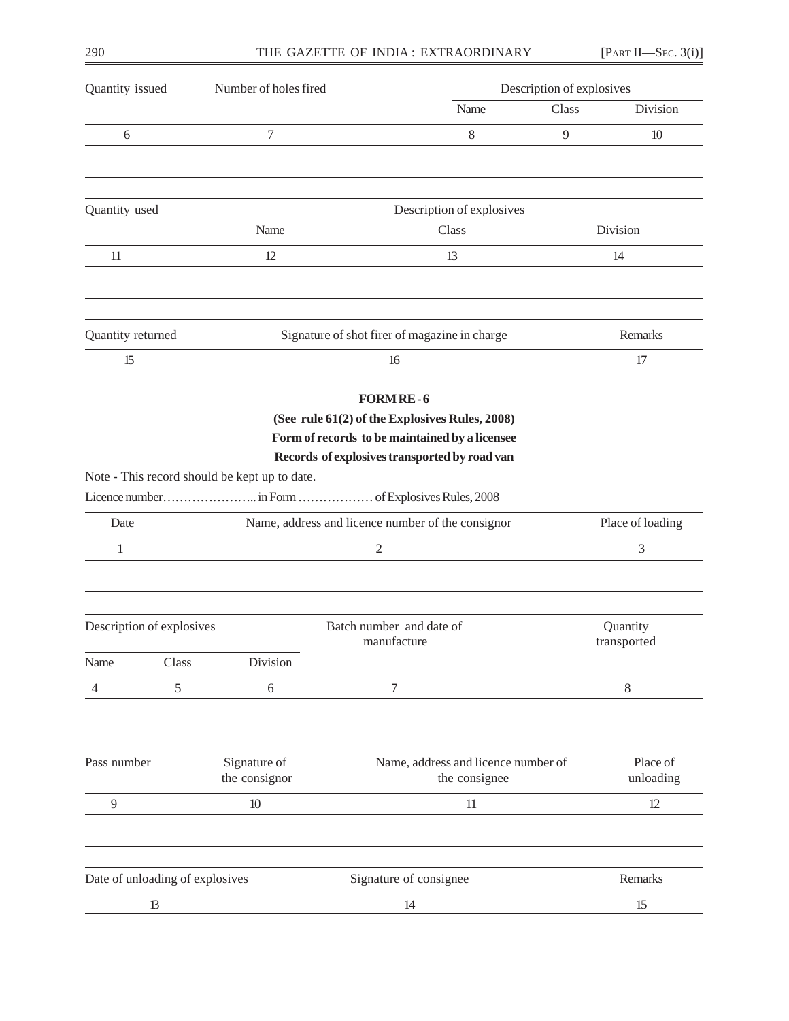| Quantity issued   |                                 | Number of holes fired                         |                                                                                                                                                                                                        | Description of explosives |                  |  |
|-------------------|---------------------------------|-----------------------------------------------|--------------------------------------------------------------------------------------------------------------------------------------------------------------------------------------------------------|---------------------------|------------------|--|
|                   |                                 |                                               | Name                                                                                                                                                                                                   | Class                     | Division         |  |
| 6                 |                                 | 7                                             | 8                                                                                                                                                                                                      | 9                         | 10               |  |
| Quantity used     |                                 |                                               | Description of explosives                                                                                                                                                                              |                           |                  |  |
|                   |                                 | Name                                          | Class                                                                                                                                                                                                  |                           | Division         |  |
| 11                |                                 | 12                                            | 13                                                                                                                                                                                                     |                           | 14               |  |
| Quantity returned |                                 |                                               | Signature of shot firer of magazine in charge                                                                                                                                                          |                           | Remarks          |  |
| 15                |                                 |                                               | 16                                                                                                                                                                                                     |                           | 17               |  |
|                   |                                 | Note - This record should be kept up to date. | (See rule 61(2) of the Explosives Rules, 2008)<br>Form of records to be maintained by a licensee<br>Records of explosives transported by road van<br>Licence number in Form  of Explosives Rules, 2008 |                           |                  |  |
| Date              |                                 |                                               | Name, address and licence number of the consignor                                                                                                                                                      |                           | Place of loading |  |
| 1                 |                                 |                                               | $\overline{2}$                                                                                                                                                                                         |                           | 3                |  |
|                   | Description of explosives       |                                               | Batch number and date of                                                                                                                                                                               |                           | Quantity         |  |
| Name              | Class                           | Division                                      | manufacture                                                                                                                                                                                            |                           | transported      |  |
| 4                 | 5                               | 6                                             | 7                                                                                                                                                                                                      |                           | 8                |  |
| Pass number       |                                 | Signature of<br>the consignor                 | Name, address and licence number of                                                                                                                                                                    |                           | Place of         |  |
|                   |                                 |                                               | the consignee                                                                                                                                                                                          |                           | unloading        |  |
| 9                 |                                 | 10                                            | 11                                                                                                                                                                                                     |                           | 12               |  |
|                   | Date of unloading of explosives |                                               | Signature of consignee                                                                                                                                                                                 |                           | Remarks          |  |
|                   | $\mathbf{B}$                    |                                               | 14                                                                                                                                                                                                     |                           | 15               |  |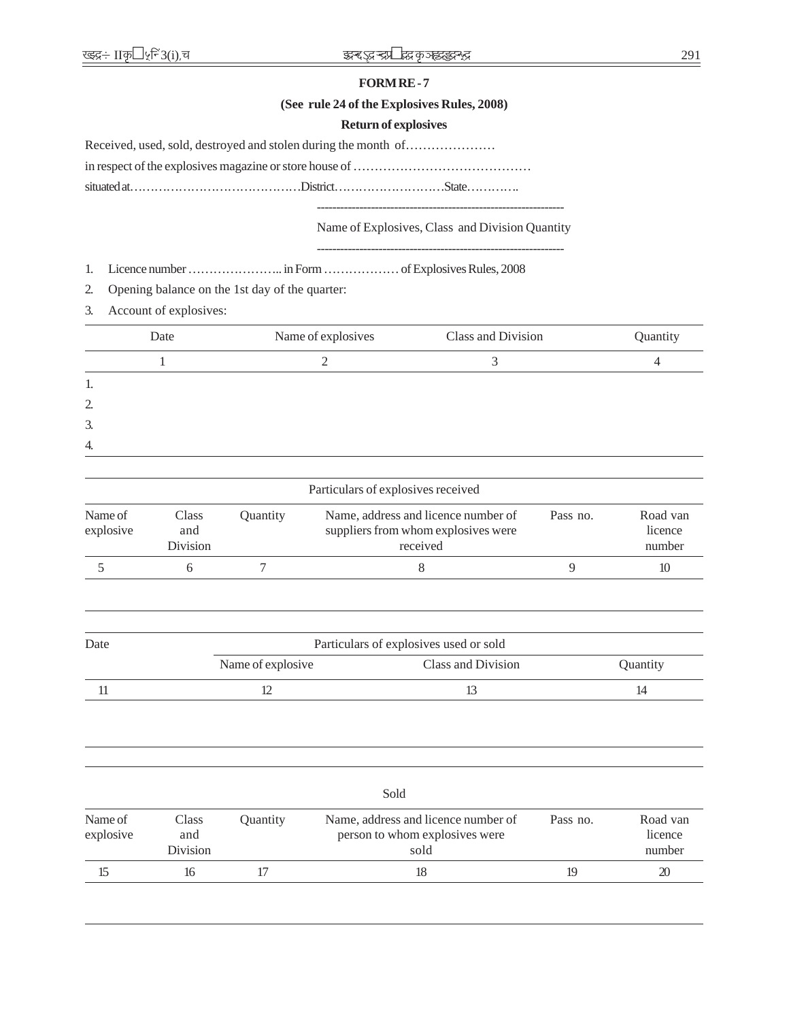# **FORM RE - 7**

# **(See rule 24 of the Explosives Rules, 2008)**

# **Return of explosives**

in respect of the explosives magazine or store house of ……………………………………

situated at……………………………………District………………………State………….

----------------------------------------------------------------

# Name of Explosives, Class and Division Quantity ----------------------------------------------------------------

1. Licence number ………………….. in Form ……………… of Explosives Rules, 2008

2. Opening balance on the 1st day of the quarter:

3. Account of explosives:

| Date | Name of explosives | Class and Division | Quantity |
|------|--------------------|--------------------|----------|
|      | ⌒                  |                    |          |
| 1.   |                    |                    |          |
| 2.   |                    |                    |          |
| 3.   |                    |                    |          |
| 4.   |                    |                    |          |
|      |                    |                    |          |

|                      |                          |                        | Particulars of explosives received                                                     |          |                               |
|----------------------|--------------------------|------------------------|----------------------------------------------------------------------------------------|----------|-------------------------------|
| Name of<br>explosive | Class<br>and<br>Division | <i><b>Ouantity</b></i> | Name, address and licence number of<br>suppliers from whom explosives were<br>received | Pass no. | Road van<br>licence<br>number |
|                      |                          |                        |                                                                                        |          | 10                            |

| Date | Particulars of explosives used or sold |                    |          |  |  |  |
|------|----------------------------------------|--------------------|----------|--|--|--|
|      | Name of explosive                      | Class and Division | Quantity |  |  |  |
|      |                                        |                    |          |  |  |  |

|                      |                                 |          | Sold                                                                          |          |                               |
|----------------------|---------------------------------|----------|-------------------------------------------------------------------------------|----------|-------------------------------|
| Name of<br>explosive | Class<br>and<br><b>Division</b> | Quantity | Name, address and licence number of<br>person to whom explosives were<br>sold | Pass no. | Road van<br>licence<br>number |
|                      | 16                              |          | 18                                                                            | 19       | 20                            |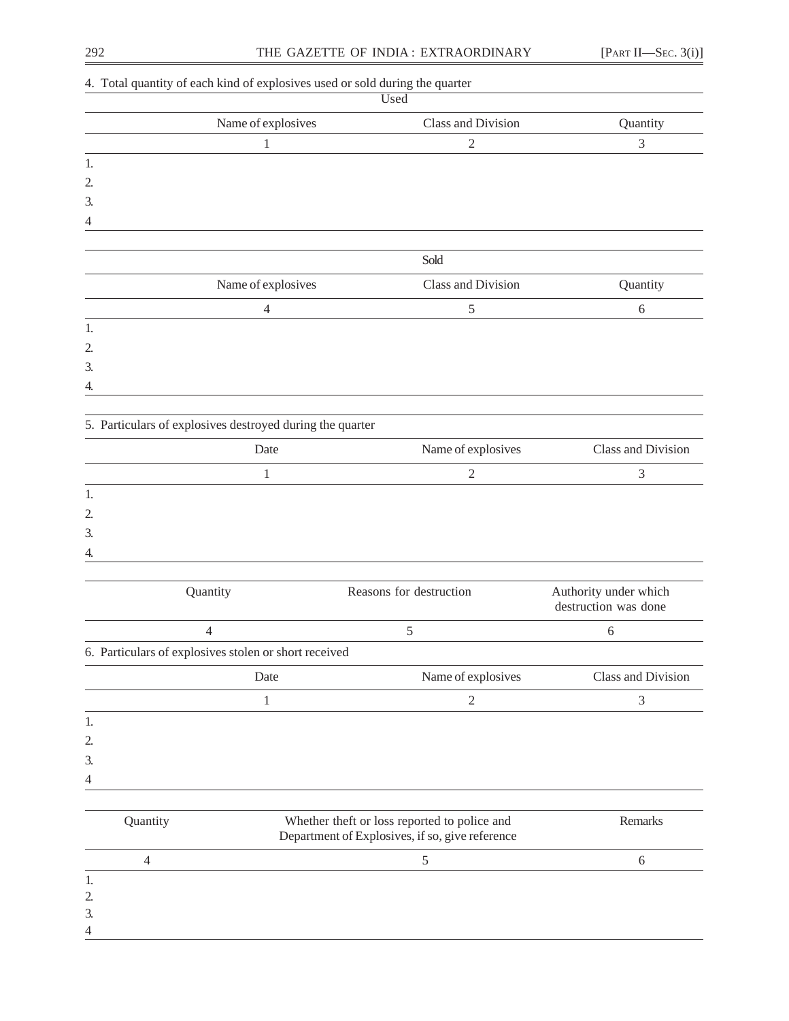3. 4

|                | 4. Total quantity of each kind of explosives used or sold during the quarter | Used                                                                                            |                                               |
|----------------|------------------------------------------------------------------------------|-------------------------------------------------------------------------------------------------|-----------------------------------------------|
|                | Name of explosives                                                           | Class and Division                                                                              | Quantity                                      |
|                | $\mathbf{1}$                                                                 | $\mathfrak{2}$                                                                                  | 3                                             |
| 1.             |                                                                              |                                                                                                 |                                               |
| 2.             |                                                                              |                                                                                                 |                                               |
| 3.             |                                                                              |                                                                                                 |                                               |
| 4              |                                                                              |                                                                                                 |                                               |
|                |                                                                              | Sold                                                                                            |                                               |
|                | Name of explosives                                                           | Class and Division                                                                              | Quantity                                      |
|                | $\overline{4}$                                                               | $\mathfrak s$                                                                                   | $\sqrt{6}$                                    |
| 1.             |                                                                              |                                                                                                 |                                               |
| 2.             |                                                                              |                                                                                                 |                                               |
| 3.             |                                                                              |                                                                                                 |                                               |
| 4.             |                                                                              |                                                                                                 |                                               |
|                | 5. Particulars of explosives destroyed during the quarter                    |                                                                                                 |                                               |
|                | Date                                                                         | Name of explosives                                                                              | Class and Division                            |
|                | $\mathbf{1}$                                                                 | $\mathfrak{2}$                                                                                  | 3                                             |
| 1.             |                                                                              |                                                                                                 |                                               |
| 2.             |                                                                              |                                                                                                 |                                               |
| 3.             |                                                                              |                                                                                                 |                                               |
| 4.             |                                                                              |                                                                                                 |                                               |
|                |                                                                              |                                                                                                 |                                               |
|                | Quantity                                                                     | Reasons for destruction                                                                         | Authority under which<br>destruction was done |
|                | 4                                                                            | 5                                                                                               | 6                                             |
|                | 6. Particulars of explosives stolen or short received                        |                                                                                                 |                                               |
|                | Date                                                                         | Name of explosives                                                                              | Class and Division                            |
|                | 1                                                                            | 2                                                                                               | $\mathfrak{Z}$                                |
| 1.             |                                                                              |                                                                                                 |                                               |
| 2.             |                                                                              |                                                                                                 |                                               |
| 3.             |                                                                              |                                                                                                 |                                               |
| 4              |                                                                              |                                                                                                 |                                               |
|                |                                                                              |                                                                                                 | Remarks                                       |
| Quantity       |                                                                              | Whether theft or loss reported to police and<br>Department of Explosives, if so, give reference |                                               |
| $\overline{4}$ |                                                                              | 5                                                                                               | $\sqrt{6}$                                    |
| 1.             |                                                                              |                                                                                                 |                                               |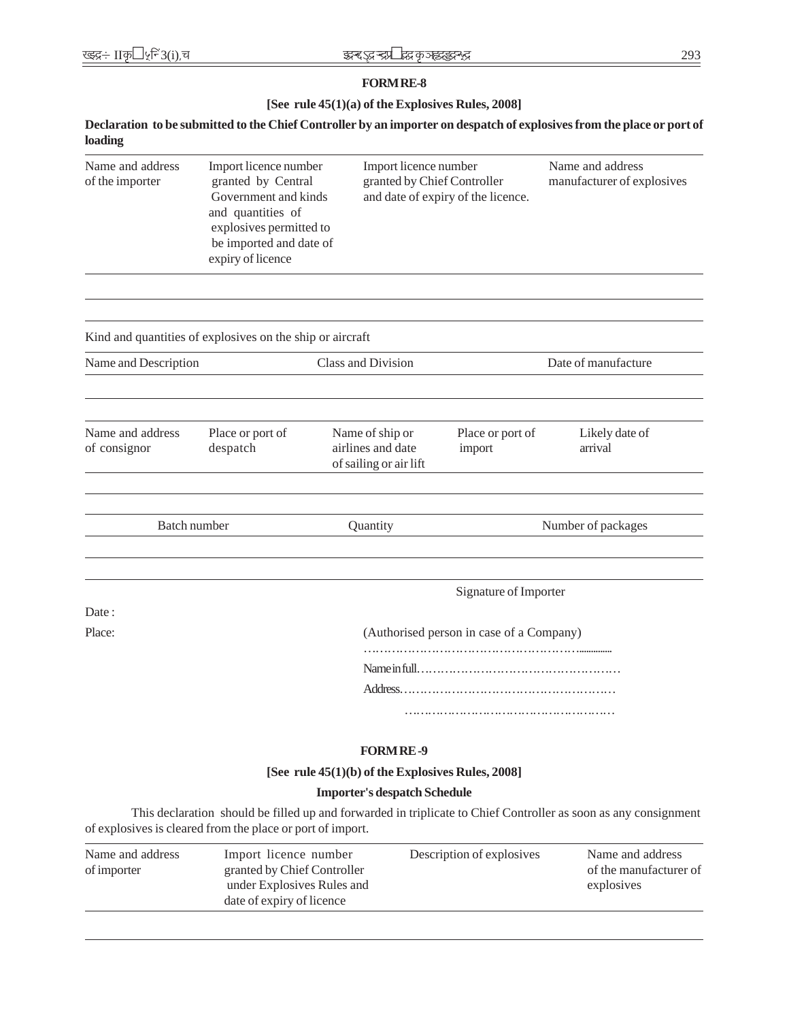# **FORM RE-8**

# **[See rule 45(1)(a) of the Explosives Rules, 2008]**

# **Declaration to be submitted to the Chief Controller by an importer on despatch of explosives from the place or port of loading**

| Name and address<br>of the importer                                                                                                                                           | Import licence number<br>granted by Central<br>Government and kinds<br>and quantities of<br>explosives permitted to<br>be imported and date of<br>expiry of licence |  | Import licence number<br>granted by Chief Controller<br>and date of expiry of the licence. |                                          | Name and address<br>manufacturer of explosives |
|-------------------------------------------------------------------------------------------------------------------------------------------------------------------------------|---------------------------------------------------------------------------------------------------------------------------------------------------------------------|--|--------------------------------------------------------------------------------------------|------------------------------------------|------------------------------------------------|
| Kind and quantities of explosives on the ship or aircraft                                                                                                                     |                                                                                                                                                                     |  |                                                                                            |                                          |                                                |
| Name and Description                                                                                                                                                          |                                                                                                                                                                     |  | Class and Division                                                                         |                                          | Date of manufacture                            |
| Name and address<br>of consignor                                                                                                                                              | Place or port of<br>despatch                                                                                                                                        |  | Name of ship or<br>airlines and date<br>of sailing or air lift                             | Place or port of<br>import               | Likely date of<br>arrival                      |
| Batch number                                                                                                                                                                  |                                                                                                                                                                     |  | Quantity                                                                                   |                                          | Number of packages                             |
|                                                                                                                                                                               |                                                                                                                                                                     |  |                                                                                            | Signature of Importer                    |                                                |
| Date:<br>Place:                                                                                                                                                               |                                                                                                                                                                     |  |                                                                                            | (Authorised person in case of a Company) |                                                |
|                                                                                                                                                                               |                                                                                                                                                                     |  |                                                                                            |                                          |                                                |
|                                                                                                                                                                               |                                                                                                                                                                     |  |                                                                                            |                                          |                                                |
|                                                                                                                                                                               |                                                                                                                                                                     |  |                                                                                            |                                          |                                                |
|                                                                                                                                                                               |                                                                                                                                                                     |  |                                                                                            |                                          |                                                |
|                                                                                                                                                                               |                                                                                                                                                                     |  | <b>FORM RE-9</b>                                                                           |                                          |                                                |
|                                                                                                                                                                               |                                                                                                                                                                     |  | [See rule 45(1)(b) of the Explosives Rules, 2008]                                          |                                          |                                                |
|                                                                                                                                                                               |                                                                                                                                                                     |  | <b>Importer's despatch Schedule</b>                                                        |                                          |                                                |
| This declaration should be filled up and forwarded in triplicate to Chief Controller as soon as any consignment<br>of explosives is cleared from the place or port of import. |                                                                                                                                                                     |  |                                                                                            |                                          |                                                |

| Name and address<br>of importer | Import licence number<br>granted by Chief Controller<br>under Explosives Rules and<br>date of expiry of licence | Description of explosives | Name and address<br>of the manufacturer of<br>explosives |
|---------------------------------|-----------------------------------------------------------------------------------------------------------------|---------------------------|----------------------------------------------------------|
|                                 |                                                                                                                 |                           |                                                          |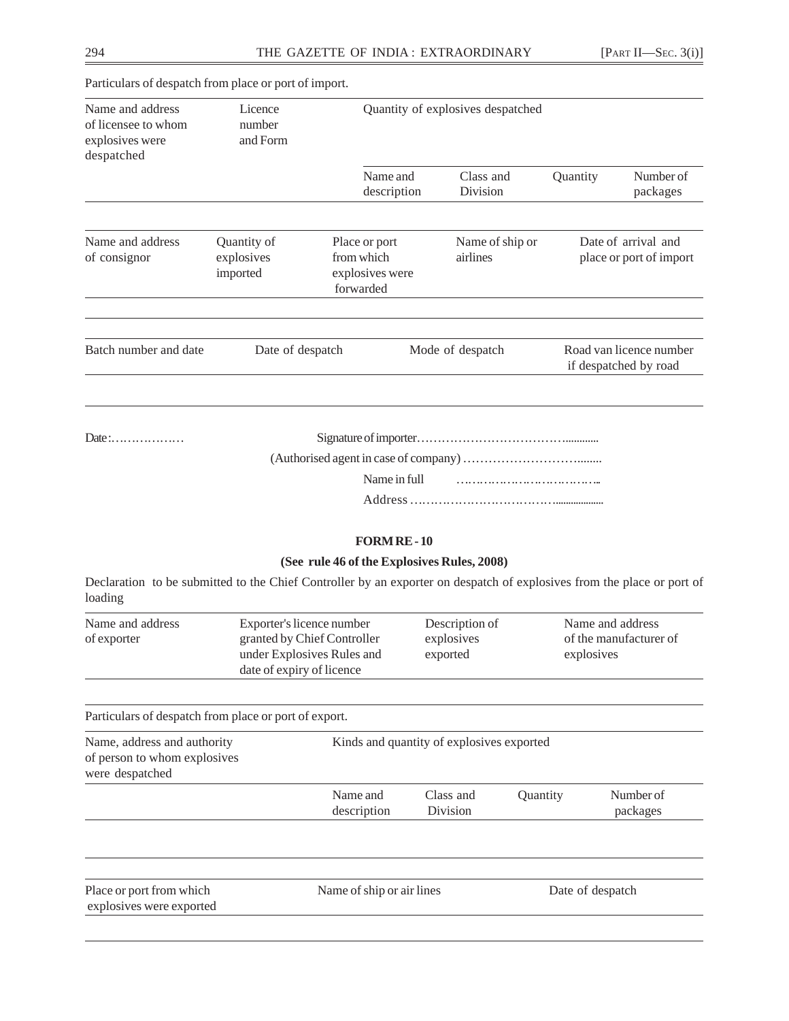|                                                                          | Particulars of despatch from place or port of import. |                                          |                                   |                             |          |                                                  |
|--------------------------------------------------------------------------|-------------------------------------------------------|------------------------------------------|-----------------------------------|-----------------------------|----------|--------------------------------------------------|
| Name and address<br>of licensee to whom<br>explosives were<br>despatched | Licence<br>number<br>and Form                         | Quantity of explosives despatched        |                                   |                             |          |                                                  |
|                                                                          |                                                       |                                          | Name and<br>description           | Class and<br>Division       | Quantity | Number of<br>packages                            |
| Name and address<br>of consignor                                         | Quantity of<br>explosives<br>imported                 | Place or port<br>from which<br>forwarded | explosives were                   | Name of ship or<br>airlines |          | Date of arrival and<br>place or port of import   |
| Batch number and date                                                    | Date of despatch                                      |                                          |                                   | Mode of despatch            |          | Road van licence number<br>if despatched by road |
| Date:                                                                    |                                                       |                                          | Name in full<br><b>FORM RE-10</b> |                             |          |                                                  |
|                                                                          |                                                       |                                          |                                   |                             |          |                                                  |

# **(See rule 46 of the Explosives Rules, 2008)**

Declaration to be submitted to the Chief Controller by an exporter on despatch of explosives from the place or port of loading

| Name and address<br>of exporter | Exporter's licence number<br>granted by Chief Controller<br>under Explosives Rules and | Description of<br>explosives<br>exported | Name and address<br>of the manufacturer of<br>explosives |
|---------------------------------|----------------------------------------------------------------------------------------|------------------------------------------|----------------------------------------------------------|
|                                 | date of expiry of licence                                                              |                                          |                                                          |

Particulars of despatch from place or port of export.

| Name, address and authority<br>of person to whom explosives<br>were despatched | Kinds and quantity of explosives exported |                       |                 |                       |
|--------------------------------------------------------------------------------|-------------------------------------------|-----------------------|-----------------|-----------------------|
|                                                                                | Name and<br>description                   | Class and<br>Division | <b>Ouantity</b> | Number of<br>packages |
|                                                                                |                                           |                       |                 |                       |

| Place or port from which | Name of ship or air lines | Date of despatch |
|--------------------------|---------------------------|------------------|
| explosives were exported |                           |                  |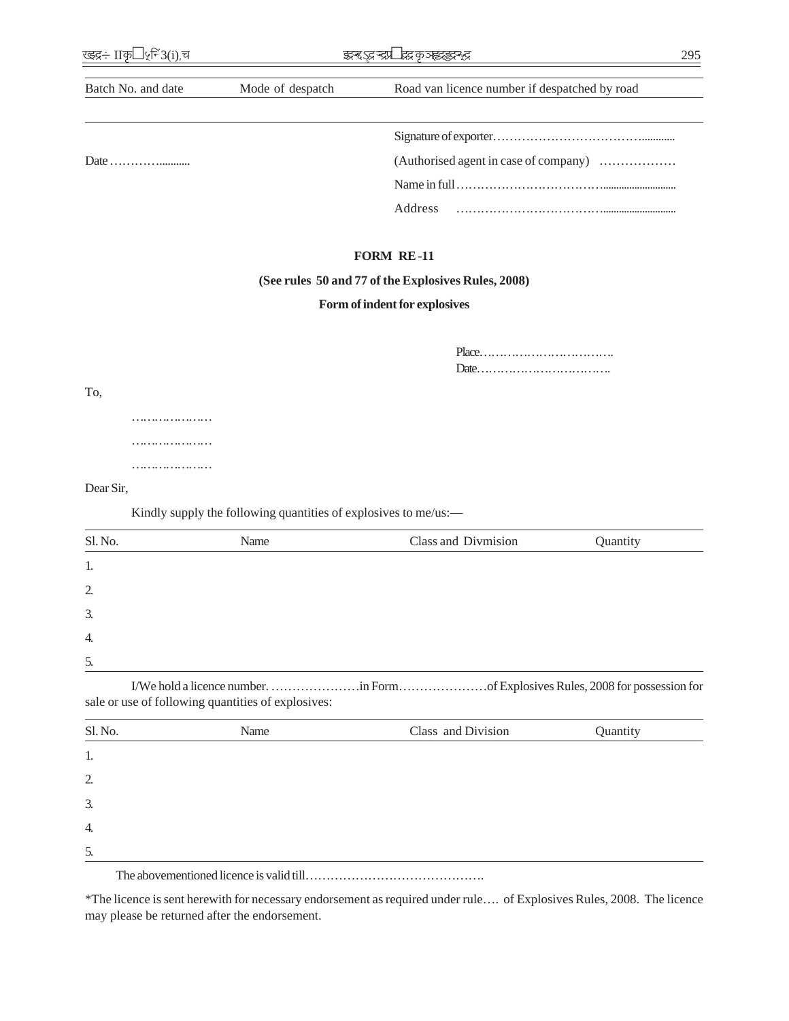| Batch No. and date | Mode of despatch | Road van licence number if despatched by road       |
|--------------------|------------------|-----------------------------------------------------|
|                    |                  |                                                     |
|                    |                  |                                                     |
|                    |                  |                                                     |
|                    |                  |                                                     |
|                    |                  |                                                     |
|                    |                  | <b>FORM RE-11</b>                                   |
|                    |                  | (See rules 50 and 77 of the Explosives Rules, 2008) |

# **Form of indent for explosives**

| To,              |                                                                 |                     |          |
|------------------|-----------------------------------------------------------------|---------------------|----------|
|                  |                                                                 |                     |          |
|                  |                                                                 |                     |          |
|                  |                                                                 |                     |          |
| Dear Sir,        |                                                                 |                     |          |
|                  | Kindly supply the following quantities of explosives to me/us:- |                     |          |
| Sl. No.          | Name                                                            | Class and Divmision | Quantity |
| 1.               |                                                                 |                     |          |
| $\overline{2}$ . |                                                                 |                     |          |
|                  |                                                                 |                     |          |
| 3.               |                                                                 |                     |          |
| 4.               |                                                                 |                     |          |

I/We hold a licence number. …………………in Form…………………of Explosives Rules, 2008 for possession for sale or use of following quantities of explosives:

| Sl. No.          | Name | Class and Division | Quantity |
|------------------|------|--------------------|----------|
| 1.               |      |                    |          |
| 2.               |      |                    |          |
| 3.               |      |                    |          |
| $\overline{4}$ . |      |                    |          |
| 5.               |      |                    |          |
|                  |      |                    |          |

The abovementioned licence is valid till…………………………………….

\*The licence is sent herewith for necessary endorsement as required under rule…. of Explosives Rules, 2008. The licence may please be returned after the endorsement.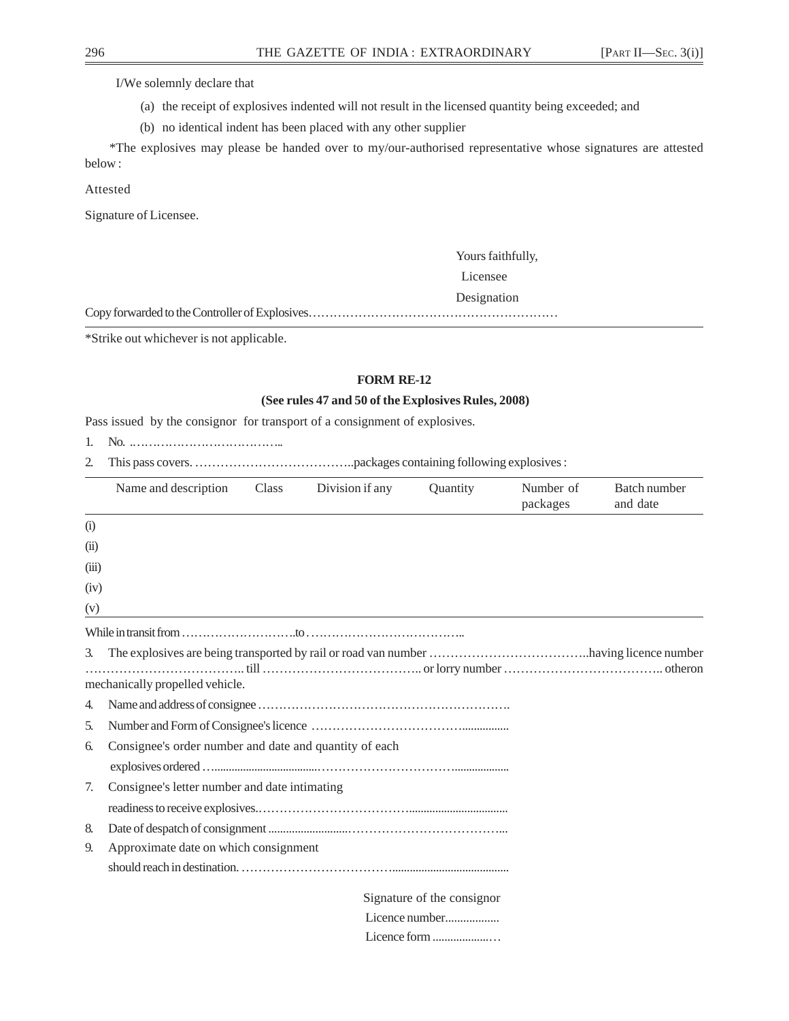I/We solemnly declare that

- (a) the receipt of explosives indented will not result in the licensed quantity being exceeded; and
- (b) no identical indent has been placed with any other supplier

 \*The explosives may please be handed over to my/our-authorised representative whose signatures are attested below :

Attested

Signature of Licensee.

Yours faithfully,

Licensee

Designation

Copy forwarded to the Controller of Explosives……………………………………………………

\*Strike out whichever is not applicable.

# **FORM RE-12**

## **(See rules 47 and 50 of the Explosives Rules, 2008)**

Pass issued by the consignor for transport of a consignment of explosives.

1. No. .………………………………..

2. This pass covers. ………………………………..packages containing following explosives :

|       | Name and description                                   | Class | Division if any | Quantity                   | Number of<br>packages | Batch number<br>and date |
|-------|--------------------------------------------------------|-------|-----------------|----------------------------|-----------------------|--------------------------|
| (i)   |                                                        |       |                 |                            |                       |                          |
| (i)   |                                                        |       |                 |                            |                       |                          |
| (iii) |                                                        |       |                 |                            |                       |                          |
| (iv)  |                                                        |       |                 |                            |                       |                          |
| (v)   |                                                        |       |                 |                            |                       |                          |
|       |                                                        |       |                 |                            |                       |                          |
| 3.    | mechanically propelled vehicle.                        |       |                 |                            |                       |                          |
| 4.    |                                                        |       |                 |                            |                       |                          |
| 5.    |                                                        |       |                 |                            |                       |                          |
| 6.    | Consignee's order number and date and quantity of each |       |                 |                            |                       |                          |
|       |                                                        |       |                 |                            |                       |                          |
| 7.    | Consignee's letter number and date intimating          |       |                 |                            |                       |                          |
|       |                                                        |       |                 |                            |                       |                          |
| 8.    |                                                        |       |                 |                            |                       |                          |
| 9.    | Approximate date on which consignment                  |       |                 |                            |                       |                          |
|       |                                                        |       |                 |                            |                       |                          |
|       |                                                        |       |                 | Signature of the consignor |                       |                          |
|       |                                                        |       |                 | Licence number             |                       |                          |
|       |                                                        |       |                 |                            |                       |                          |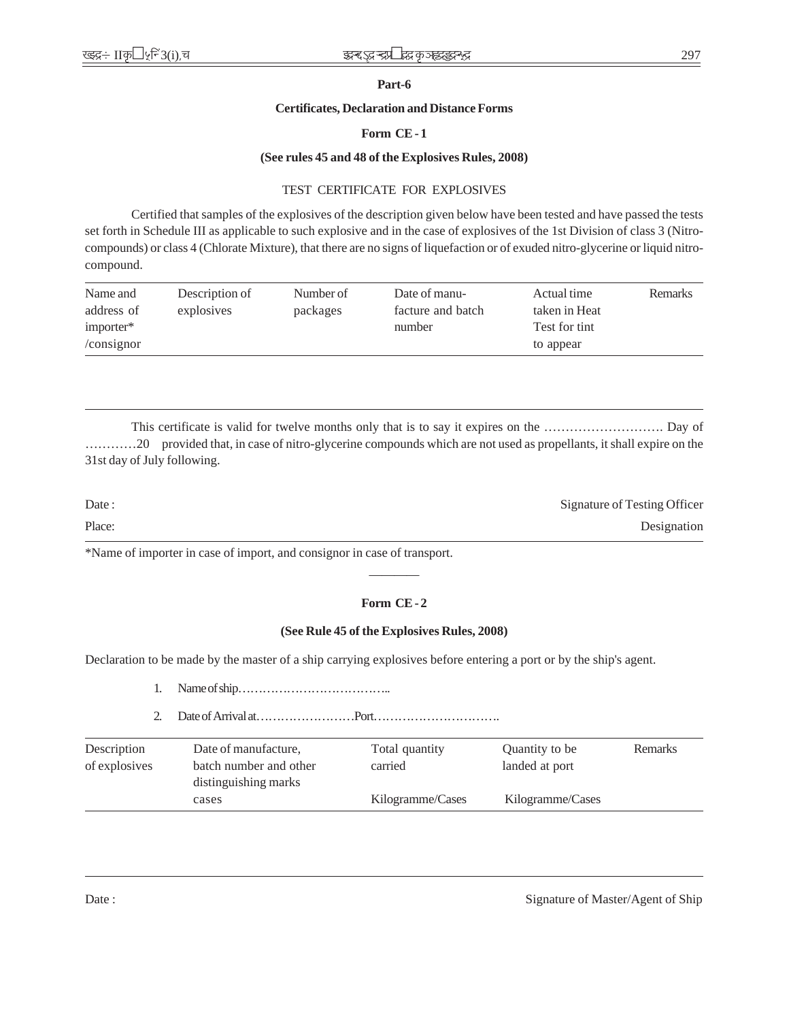# **Part-6**

# **Certificates, Declaration and Distance Forms**

# **Form CE - 1**

# **(See rules 45 and 48 of the Explosives Rules, 2008)**

# TEST CERTIFICATE FOR EXPLOSIVES

Certified that samples of the explosives of the description given below have been tested and have passed the tests set forth in Schedule III as applicable to such explosive and in the case of explosives of the 1st Division of class 3 (Nitrocompounds) or class 4 (Chlorate Mixture), that there are no signs of liquefaction or of exuded nitro-glycerine or liquid nitrocompound.

| Name and      | Description of | Number of | Date of manu-     | Actual time   | <b>Remarks</b> |
|---------------|----------------|-----------|-------------------|---------------|----------------|
| address of    | explosives     | packages  | facture and batch | taken in Heat |                |
| importer*     |                |           | number            | Test for tint |                |
| $/$ consignor |                |           |                   | to appear     |                |

This certificate is valid for twelve months only that is to say it expires on the ………………………. Day of …………20 provided that, in case of nitro-glycerine compounds which are not used as propellants, it shall expire on the 31st day of July following.

| Date:  | Signature of Testing Officer |
|--------|------------------------------|
| Place: | Designation                  |

\*Name of importer in case of import, and consignor in case of transport.

# **Form CE - 2**

————

# **(See Rule 45 of the Explosives Rules, 2008)**

Declaration to be made by the master of a ship carrying explosives before entering a port or by the ship's agent.

- 1. Name of ship………………………………..
- 2. Date of Arrival at……………………Port………………………….

| Description   | Date of manufacture,   | Total quantity   | Quantity to be   | Remarks |
|---------------|------------------------|------------------|------------------|---------|
| of explosives | batch number and other | carried          | landed at port   |         |
|               | distinguishing marks   |                  |                  |         |
|               | cases                  | Kilogramme/Cases | Kilogramme/Cases |         |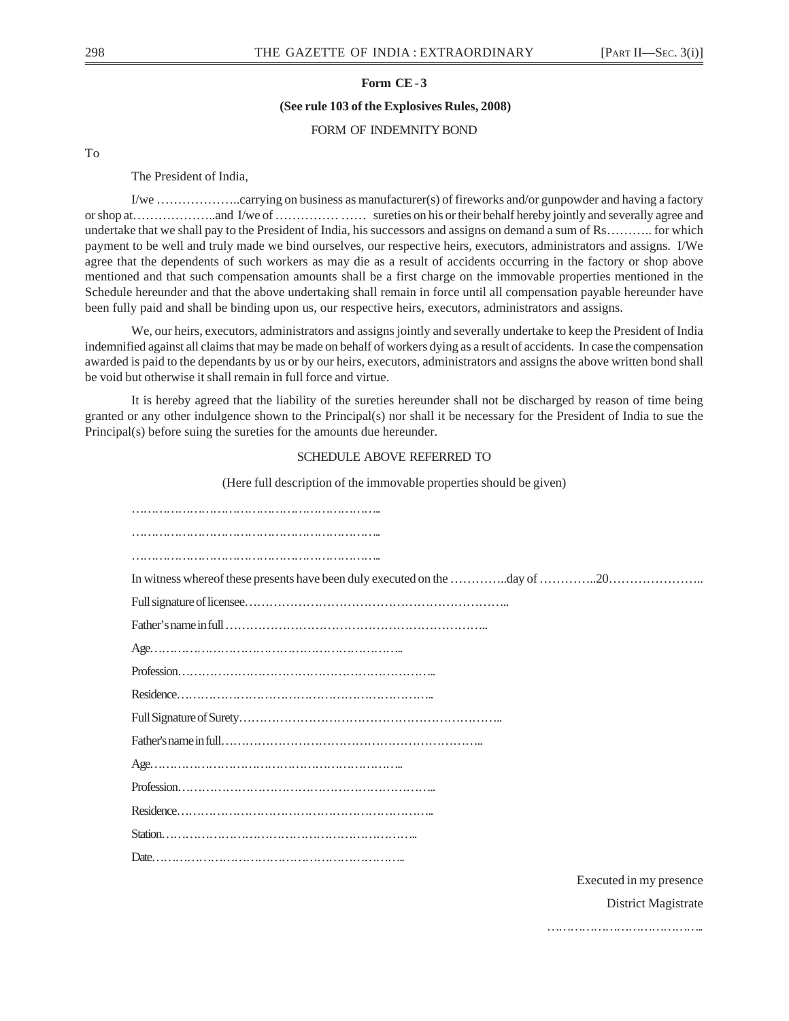# **Form CE - 3**

 **(See rule 103 of the Explosives Rules, 2008)**

## FORM OF INDEMNITY BOND

To

The President of India,

I/we ………………..carrying on business as manufacturer(s) of fireworks and/or gunpowder and having a factory or shop at………………..and I/we of …………… …… sureties on his or their behalf hereby jointly and severally agree and undertake that we shall pay to the President of India, his successors and assigns on demand a sum of Rs……….. for which payment to be well and truly made we bind ourselves, our respective heirs, executors, administrators and assigns. I/We agree that the dependents of such workers as may die as a result of accidents occurring in the factory or shop above mentioned and that such compensation amounts shall be a first charge on the immovable properties mentioned in the Schedule hereunder and that the above undertaking shall remain in force until all compensation payable hereunder have been fully paid and shall be binding upon us, our respective heirs, executors, administrators and assigns.

We, our heirs, executors, administrators and assigns jointly and severally undertake to keep the President of India indemnified against all claims that may be made on behalf of workers dying as a result of accidents. In case the compensation awarded is paid to the dependants by us or by our heirs, executors, administrators and assigns the above written bond shall be void but otherwise it shall remain in full force and virtue.

It is hereby agreed that the liability of the sureties hereunder shall not be discharged by reason of time being granted or any other indulgence shown to the Principal(s) nor shall it be necessary for the President of India to sue the Principal(s) before suing the sureties for the amounts due hereunder.

## SCHEDULE ABOVE REFERRED TO

(Here full description of the immovable properties should be given)

| In witness whereof these presents have been duly executed on the day of |
|-------------------------------------------------------------------------|
|                                                                         |
|                                                                         |
|                                                                         |
|                                                                         |
|                                                                         |
|                                                                         |
|                                                                         |
|                                                                         |
|                                                                         |
|                                                                         |
|                                                                         |
|                                                                         |
|                                                                         |

Executed in my presence

………………………………………

District Magistrate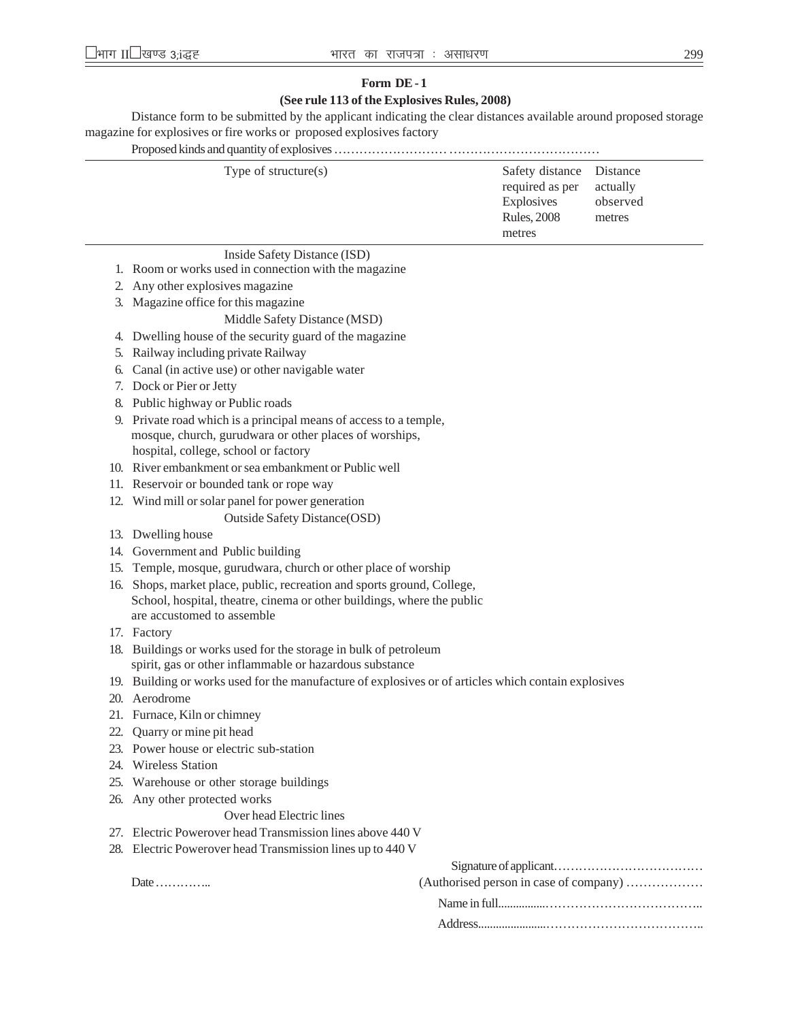# **Form DE - 1 (See rule 113 of the Explosives Rules, 2008)**

Distance form to be submitted by the applicant indicating the clear distances available around proposed storage magazine for explosives or fire works or proposed explosives factory

Proposed kinds and quantity of explosives ……………………… ………………………………

# Inside Safety Distance (ISD)

- 1. Room or works used in connection with the magazine
- 2. Any other explosives magazine
- 3. Magazine office for this magazine

# Middle Safety Distance (MSD)

- 4. Dwelling house of the security guard of the magazine
- 5. Railway including private Railway
- 6. Canal (in active use) or other navigable water
- 7. Dock or Pier or Jetty
- 8. Public highway or Public roads
- 9. Private road which is a principal means of access to a temple, mosque, church, gurudwara or other places of worships, hospital, college, school or factory
- 10. River embankment or sea embankment or Public well
- 11. Reservoir or bounded tank or rope way
- 12. Wind mill or solar panel for power generation Outside Safety Distance(OSD)
- 13. Dwelling house
- 14. Government and Public building
- 15. Temple, mosque, gurudwara, church or other place of worship
- 16. Shops, market place, public, recreation and sports ground, College, School, hospital, theatre, cinema or other buildings, where the public are accustomed to assemble
- 17. Factory
- 18. Buildings or works used for the storage in bulk of petroleum spirit, gas or other inflammable or hazardous substance
- 19. Building or works used for the manufacture of explosives or of articles which contain explosives
- 20. Aerodrome
- 21. Furnace, Kiln or chimney
- 22. Quarry or mine pit head
- 23. Power house or electric sub-station
- 24. Wireless Station
- 25. Warehouse or other storage buildings
- 26. Any other protected works

# Over head Electric lines

- 27. Electric Powerover head Transmission lines above 440 V
- 28. Electric Powerover head Transmission lines up to 440 V

Date ……………

| (Authorised person in case of company) |  |
|----------------------------------------|--|
|                                        |  |
|                                        |  |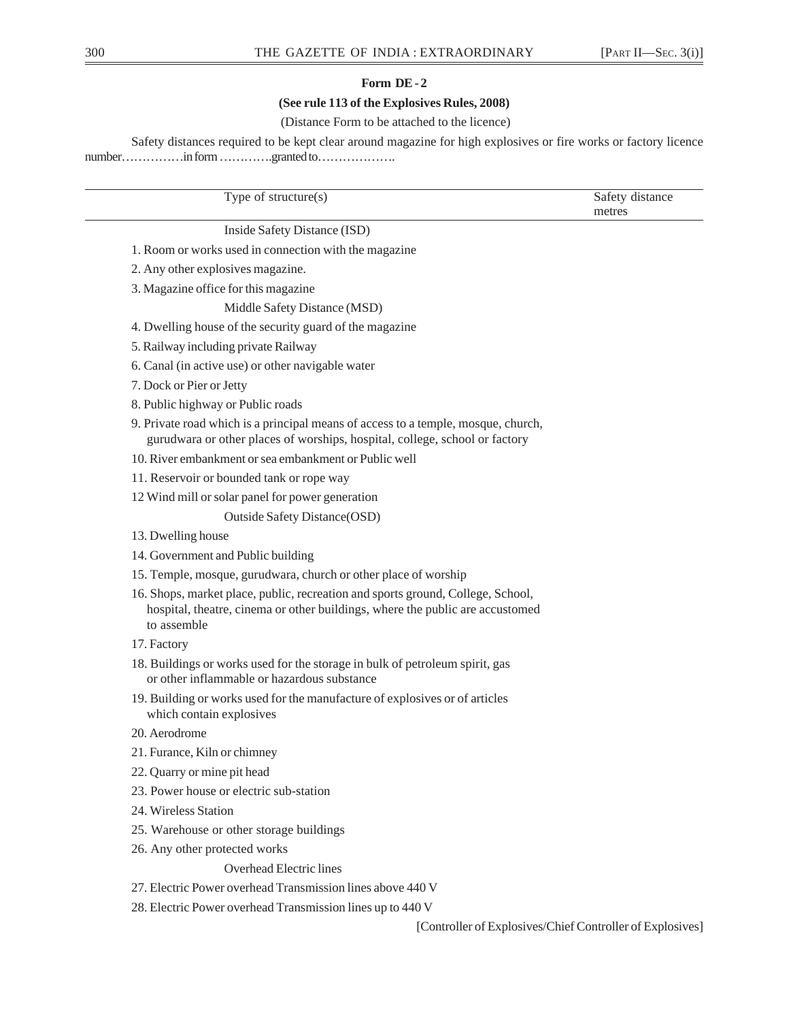# **Form DE - 2**

# **(See rule 113 of the Explosives Rules, 2008)**

# (Distance Form to be attached to the licence)

Safety distances required to be kept clear around magazine for high explosives or fire works or factory licence number……………in form ………….granted to……………….

Type of structure(s) Safety distance metres Inside Safety Distance (ISD) 1. Room or works used in connection with the magazine 2. Any other explosives magazine. 3. Magazine office for this magazine Middle Safety Distance (MSD) 4. Dwelling house of the security guard of the magazine

5. Railway including private Railway

- 6. Canal (in active use) or other navigable water
- 7. Dock or Pier or Jetty
- 8. Public highway or Public roads
- 9. Private road which is a principal means of access to a temple, mosque, church, gurudwara or other places of worships, hospital, college, school or factory
- 10. River embankment or sea embankment or Public well
- 11. Reservoir or bounded tank or rope way
- 12 Wind mill or solar panel for power generation

Outside Safety Distance(OSD)

- 13. Dwelling house
- 14. Government and Public building
- 15. Temple, mosque, gurudwara, church or other place of worship
- 16. Shops, market place, public, recreation and sports ground, College, School, hospital, theatre, cinema or other buildings, where the public are accustomed to assemble
- 17. Factory
- 18. Buildings or works used for the storage in bulk of petroleum spirit, gas or other inflammable or hazardous substance
- 19. Building or works used for the manufacture of explosives or of articles which contain explosives
- 20. Aerodrome
- 21. Furance, Kiln or chimney
- 22. Quarry or mine pit head
- 23. Power house or electric sub-station
- 24. Wireless Station
- 25. Warehouse or other storage buildings
- 26. Any other protected works
	- Overhead Electric lines
- 27. Electric Power overhead Transmission lines above 440 V
- 28. Electric Power overhead Transmission lines up to 440 V

[Controller of Explosives/Chief Controller of Explosives]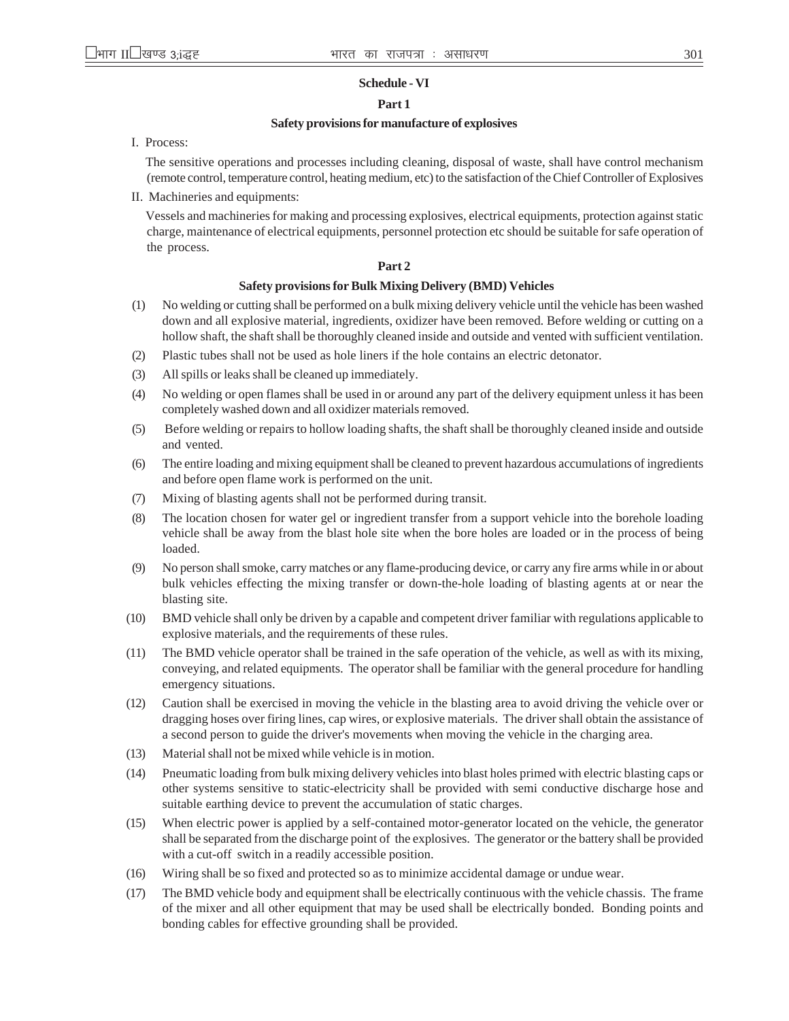## **Schedule - VI**

## **Part 1**

## **Safety provisions for manufacture of explosives**

I. Process:

The sensitive operations and processes including cleaning, disposal of waste, shall have control mechanism (remote control, temperature control, heating medium, etc) to the satisfaction of the Chief Controller of Explosives

II. Machineries and equipments:

Vessels and machineries for making and processing explosives, electrical equipments, protection against static charge, maintenance of electrical equipments, personnel protection etc should be suitable for safe operation of the process.

## **Part 2**

## **Safety provisions for Bulk Mixing Delivery (BMD) Vehicles**

- (1) No welding or cutting shall be performed on a bulk mixing delivery vehicle until the vehicle has been washed down and all explosive material, ingredients, oxidizer have been removed. Before welding or cutting on a hollow shaft, the shaft shall be thoroughly cleaned inside and outside and vented with sufficient ventilation.
- (2) Plastic tubes shall not be used as hole liners if the hole contains an electric detonator.
- (3) All spills or leaks shall be cleaned up immediately.
- (4) No welding or open flames shall be used in or around any part of the delivery equipment unless it has been completely washed down and all oxidizer materials removed.
- (5) Before welding or repairs to hollow loading shafts, the shaft shall be thoroughly cleaned inside and outside and vented.
- (6) The entire loading and mixing equipment shall be cleaned to prevent hazardous accumulations of ingredients and before open flame work is performed on the unit.
- (7) Mixing of blasting agents shall not be performed during transit.
- (8) The location chosen for water gel or ingredient transfer from a support vehicle into the borehole loading vehicle shall be away from the blast hole site when the bore holes are loaded or in the process of being loaded.
- (9) No person shall smoke, carry matches or any flame-producing device, or carry any fire arms while in or about bulk vehicles effecting the mixing transfer or down-the-hole loading of blasting agents at or near the blasting site.
- (10) BMD vehicle shall only be driven by a capable and competent driver familiar with regulations applicable to explosive materials, and the requirements of these rules.
- (11) The BMD vehicle operator shall be trained in the safe operation of the vehicle, as well as with its mixing, conveying, and related equipments. The operator shall be familiar with the general procedure for handling emergency situations.
- (12) Caution shall be exercised in moving the vehicle in the blasting area to avoid driving the vehicle over or dragging hoses over firing lines, cap wires, or explosive materials. The driver shall obtain the assistance of a second person to guide the driver's movements when moving the vehicle in the charging area.
- (13) Material shall not be mixed while vehicle is in motion.
- (14) Pneumatic loading from bulk mixing delivery vehicles into blast holes primed with electric blasting caps or other systems sensitive to static-electricity shall be provided with semi conductive discharge hose and suitable earthing device to prevent the accumulation of static charges.
- (15) When electric power is applied by a self-contained motor-generator located on the vehicle, the generator shall be separated from the discharge point of the explosives. The generator or the battery shall be provided with a cut-off switch in a readily accessible position.
- (16) Wiring shall be so fixed and protected so as to minimize accidental damage or undue wear.
- (17) The BMD vehicle body and equipment shall be electrically continuous with the vehicle chassis. The frame of the mixer and all other equipment that may be used shall be electrically bonded. Bonding points and bonding cables for effective grounding shall be provided.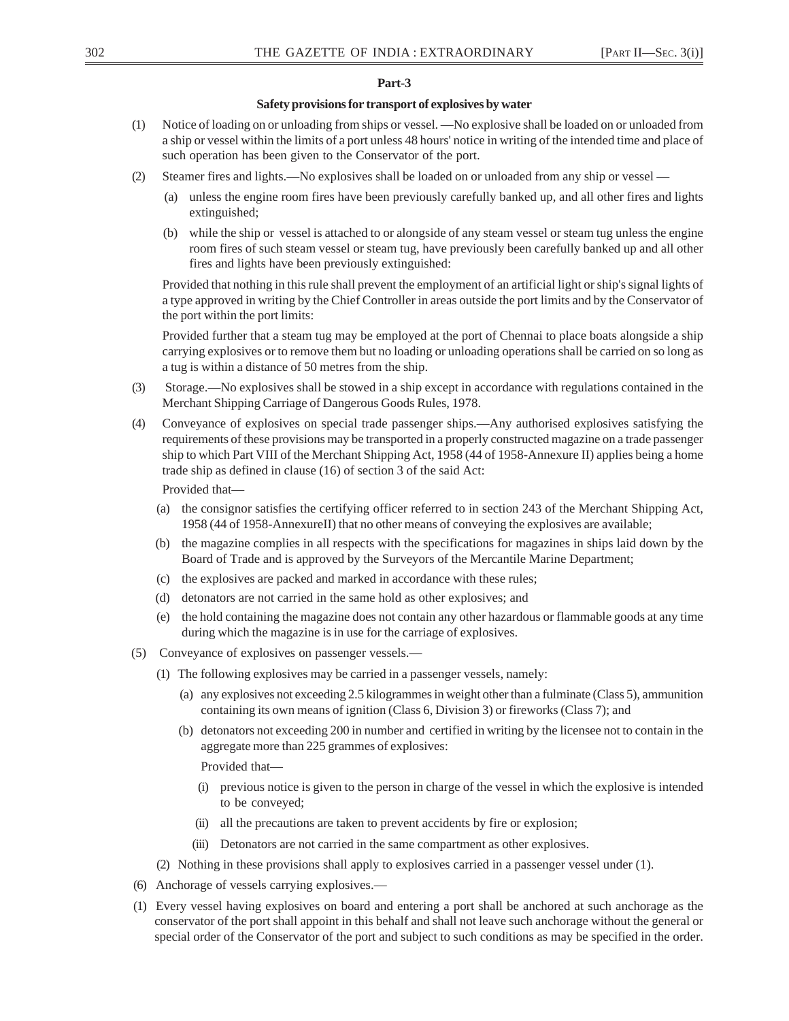## **Part-3**

## **Safety provisions for transport of explosives by water**

- (1) Notice of loading on or unloading from ships or vessel. —No explosive shall be loaded on or unloaded from a ship or vessel within the limits of a port unless 48 hours' notice in writing of the intended time and place of such operation has been given to the Conservator of the port.
- (2) Steamer fires and lights.—No explosives shall be loaded on or unloaded from any ship or vessel
	- (a) unless the engine room fires have been previously carefully banked up, and all other fires and lights extinguished;
	- (b) while the ship or vessel is attached to or alongside of any steam vessel or steam tug unless the engine room fires of such steam vessel or steam tug, have previously been carefully banked up and all other fires and lights have been previously extinguished:

Provided that nothing in this rule shall prevent the employment of an artificial light or ship's signal lights of a type approved in writing by the Chief Controller in areas outside the port limits and by the Conservator of the port within the port limits:

Provided further that a steam tug may be employed at the port of Chennai to place boats alongside a ship carrying explosives or to remove them but no loading or unloading operations shall be carried on so long as a tug is within a distance of 50 metres from the ship.

- (3) Storage.—No explosives shall be stowed in a ship except in accordance with regulations contained in the Merchant Shipping Carriage of Dangerous Goods Rules, 1978.
- (4) Conveyance of explosives on special trade passenger ships.—Any authorised explosives satisfying the requirements of these provisions may be transported in a properly constructed magazine on a trade passenger ship to which Part VIII of the Merchant Shipping Act, 1958 (44 of 1958-Annexure II) applies being a home trade ship as defined in clause (16) of section 3 of the said Act:

Provided that—

- (a) the consignor satisfies the certifying officer referred to in section 243 of the Merchant Shipping Act, 1958 (44 of 1958-AnnexureII) that no other means of conveying the explosives are available;
- (b) the magazine complies in all respects with the specifications for magazines in ships laid down by the Board of Trade and is approved by the Surveyors of the Mercantile Marine Department;
- (c) the explosives are packed and marked in accordance with these rules;
- (d) detonators are not carried in the same hold as other explosives; and
- (e) the hold containing the magazine does not contain any other hazardous or flammable goods at any time during which the magazine is in use for the carriage of explosives.
- (5) Conveyance of explosives on passenger vessels.—
	- (1) The following explosives may be carried in a passenger vessels, namely:
		- (a) any explosives not exceeding 2.5 kilogrammes in weight other than a fulminate (Class 5), ammunition containing its own means of ignition (Class 6, Division 3) or fireworks (Class 7); and
		- (b) detonators not exceeding 200 in number and certified in writing by the licensee not to contain in the aggregate more than 225 grammes of explosives:

Provided that—

- (i) previous notice is given to the person in charge of the vessel in which the explosive is intended to be conveyed;
- (ii) all the precautions are taken to prevent accidents by fire or explosion;
- (iii) Detonators are not carried in the same compartment as other explosives.
- (2) Nothing in these provisions shall apply to explosives carried in a passenger vessel under (1).
- (6) Anchorage of vessels carrying explosives.—
- (1) Every vessel having explosives on board and entering a port shall be anchored at such anchorage as the conservator of the port shall appoint in this behalf and shall not leave such anchorage without the general or special order of the Conservator of the port and subject to such conditions as may be specified in the order.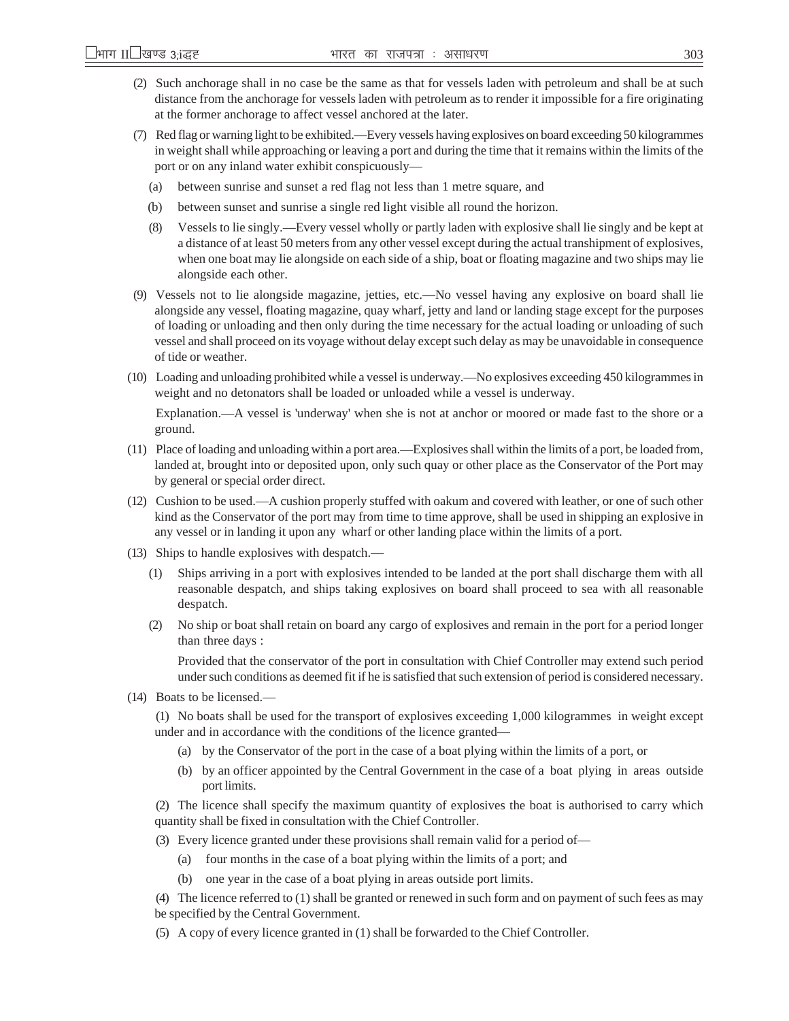- (2) Such anchorage shall in no case be the same as that for vessels laden with petroleum and shall be at such distance from the anchorage for vessels laden with petroleum as to render it impossible for a fire originating at the former anchorage to affect vessel anchored at the later.
- (7) Red flag or warning light to be exhibited.—Every vessels having explosives on board exceeding 50 kilogrammes in weight shall while approaching or leaving a port and during the time that it remains within the limits of the port or on any inland water exhibit conspicuously—
	- (a) between sunrise and sunset a red flag not less than 1 metre square, and
	- (b) between sunset and sunrise a single red light visible all round the horizon.
	- (8) Vessels to lie singly.—Every vessel wholly or partly laden with explosive shall lie singly and be kept at a distance of at least 50 meters from any other vessel except during the actual transhipment of explosives, when one boat may lie alongside on each side of a ship, boat or floating magazine and two ships may lie alongside each other.
- (9) Vessels not to lie alongside magazine, jetties, etc.—No vessel having any explosive on board shall lie alongside any vessel, floating magazine, quay wharf, jetty and land or landing stage except for the purposes of loading or unloading and then only during the time necessary for the actual loading or unloading of such vessel and shall proceed on its voyage without delay except such delay as may be unavoidable in consequence of tide or weather.
- (10) Loading and unloading prohibited while a vessel is underway.—No explosives exceeding 450 kilogrammes in weight and no detonators shall be loaded or unloaded while a vessel is underway.

Explanation.—A vessel is 'underway' when she is not at anchor or moored or made fast to the shore or a ground.

- (11) Place of loading and unloading within a port area.—Explosives shall within the limits of a port, be loaded from, landed at, brought into or deposited upon, only such quay or other place as the Conservator of the Port may by general or special order direct.
- (12) Cushion to be used.—A cushion properly stuffed with oakum and covered with leather, or one of such other kind as the Conservator of the port may from time to time approve, shall be used in shipping an explosive in any vessel or in landing it upon any wharf or other landing place within the limits of a port.
- (13) Ships to handle explosives with despatch.—
	- (1) Ships arriving in a port with explosives intended to be landed at the port shall discharge them with all reasonable despatch, and ships taking explosives on board shall proceed to sea with all reasonable despatch.
	- (2) No ship or boat shall retain on board any cargo of explosives and remain in the port for a period longer than three days :

Provided that the conservator of the port in consultation with Chief Controller may extend such period under such conditions as deemed fit if he is satisfied that such extension of period is considered necessary.

(14) Boats to be licensed.—

(1) No boats shall be used for the transport of explosives exceeding 1,000 kilogrammes in weight except under and in accordance with the conditions of the licence granted—

- (a) by the Conservator of the port in the case of a boat plying within the limits of a port, or
- (b) by an officer appointed by the Central Government in the case of a boat plying in areas outside port limits.

(2) The licence shall specify the maximum quantity of explosives the boat is authorised to carry which quantity shall be fixed in consultation with the Chief Controller.

- (3) Every licence granted under these provisions shall remain valid for a period of—
	- (a) four months in the case of a boat plying within the limits of a port; and
	- (b) one year in the case of a boat plying in areas outside port limits.

(4) The licence referred to (1) shall be granted or renewed in such form and on payment of such fees as may be specified by the Central Government.

(5) A copy of every licence granted in (1) shall be forwarded to the Chief Controller.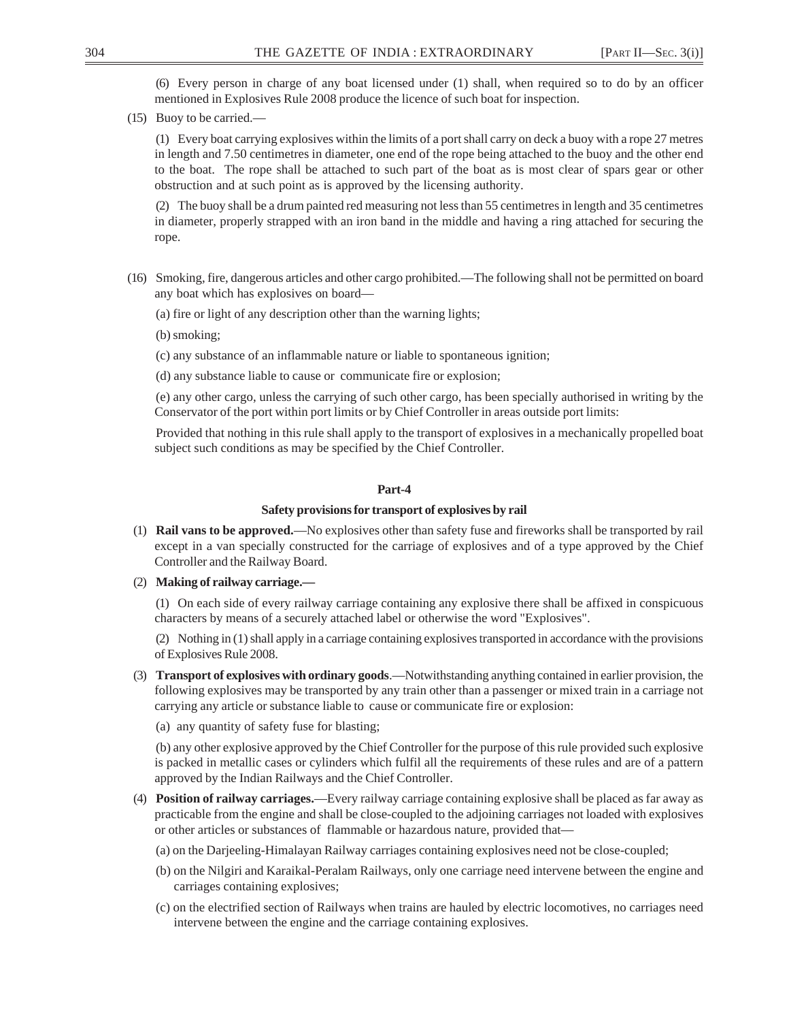(6) Every person in charge of any boat licensed under (1) shall, when required so to do by an officer mentioned in Explosives Rule 2008 produce the licence of such boat for inspection.

(15) Buoy to be carried.—

(1) Every boat carrying explosives within the limits of a port shall carry on deck a buoy with a rope 27 metres in length and 7.50 centimetres in diameter, one end of the rope being attached to the buoy and the other end to the boat. The rope shall be attached to such part of the boat as is most clear of spars gear or other obstruction and at such point as is approved by the licensing authority.

(2) The buoy shall be a drum painted red measuring not less than 55 centimetres in length and 35 centimetres in diameter, properly strapped with an iron band in the middle and having a ring attached for securing the rope.

- (16) Smoking, fire, dangerous articles and other cargo prohibited.—The following shall not be permitted on board any boat which has explosives on board—
	- (a) fire or light of any description other than the warning lights;
	- (b) smoking;
	- (c) any substance of an inflammable nature or liable to spontaneous ignition;
	- (d) any substance liable to cause or communicate fire or explosion;

(e) any other cargo, unless the carrying of such other cargo, has been specially authorised in writing by the Conservator of the port within port limits or by Chief Controller in areas outside port limits:

Provided that nothing in this rule shall apply to the transport of explosives in a mechanically propelled boat subject such conditions as may be specified by the Chief Controller.

## **Part-4**

### **Safety provisions for transport of explosives by rail**

- (1) **Rail vans to be approved.**—No explosives other than safety fuse and fireworks shall be transported by rail except in a van specially constructed for the carriage of explosives and of a type approved by the Chief Controller and the Railway Board.
- (2) **Making of railway carriage.—**

(1) On each side of every railway carriage containing any explosive there shall be affixed in conspicuous characters by means of a securely attached label or otherwise the word "Explosives".

(2) Nothing in (1) shall apply in a carriage containing explosives transported in accordance with the provisions of Explosives Rule 2008.

- (3) **Transport of explosives with ordinary goods**.—Notwithstanding anything contained in earlier provision, the following explosives may be transported by any train other than a passenger or mixed train in a carriage not carrying any article or substance liable to cause or communicate fire or explosion:
	- (a) any quantity of safety fuse for blasting;

(b) any other explosive approved by the Chief Controller for the purpose of this rule provided such explosive is packed in metallic cases or cylinders which fulfil all the requirements of these rules and are of a pattern approved by the Indian Railways and the Chief Controller.

- (4) **Position of railway carriages.**—Every railway carriage containing explosive shall be placed as far away as practicable from the engine and shall be close-coupled to the adjoining carriages not loaded with explosives or other articles or substances of flammable or hazardous nature, provided that—
	- (a) on the Darjeeling-Himalayan Railway carriages containing explosives need not be close-coupled;
	- (b) on the Nilgiri and Karaikal-Peralam Railways, only one carriage need intervene between the engine and carriages containing explosives;
	- (c) on the electrified section of Railways when trains are hauled by electric locomotives, no carriages need intervene between the engine and the carriage containing explosives.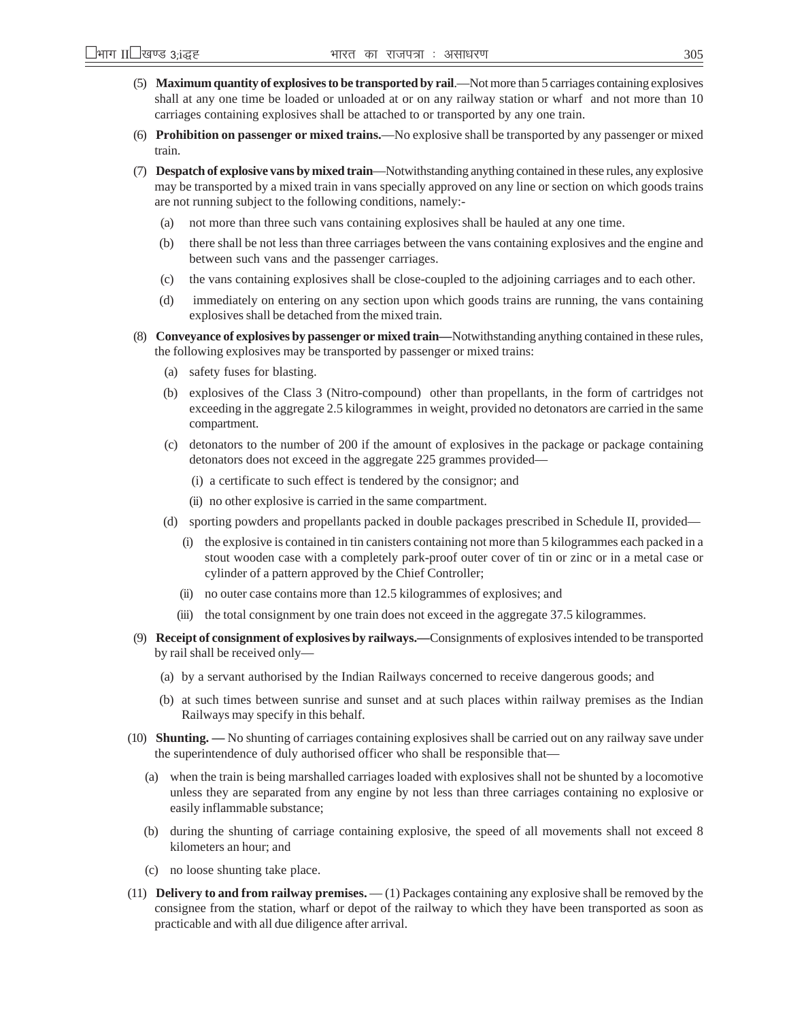- (5) **Maximum quantity of explosives to be transported by rail**.—Not more than 5 carriages containing explosives shall at any one time be loaded or unloaded at or on any railway station or wharf and not more than 10 carriages containing explosives shall be attached to or transported by any one train.
- (6) **Prohibition on passenger or mixed trains.**—No explosive shall be transported by any passenger or mixed train.
- (7) **Despatch of explosive vans by mixed train**—Notwithstanding anything contained in these rules, any explosive may be transported by a mixed train in vans specially approved on any line or section on which goods trains are not running subject to the following conditions, namely:-
	- (a) not more than three such vans containing explosives shall be hauled at any one time.
	- (b) there shall be not less than three carriages between the vans containing explosives and the engine and between such vans and the passenger carriages.
	- (c) the vans containing explosives shall be close-coupled to the adjoining carriages and to each other.
	- (d) immediately on entering on any section upon which goods trains are running, the vans containing explosives shall be detached from the mixed train.
- (8) **Conveyance of explosives by passenger or mixed train—**Notwithstanding anything contained in these rules, the following explosives may be transported by passenger or mixed trains:
	- (a) safety fuses for blasting.
	- (b) explosives of the Class 3 (Nitro-compound) other than propellants, in the form of cartridges not exceeding in the aggregate 2.5 kilogrammes in weight, provided no detonators are carried in the same compartment.
	- (c) detonators to the number of 200 if the amount of explosives in the package or package containing detonators does not exceed in the aggregate 225 grammes provided—
		- (i) a certificate to such effect is tendered by the consignor; and
		- (ii) no other explosive is carried in the same compartment.
	- (d) sporting powders and propellants packed in double packages prescribed in Schedule II, provided—
		- (i) the explosive is contained in tin canisters containing not more than 5 kilogrammes each packed in a stout wooden case with a completely park-proof outer cover of tin or zinc or in a metal case or cylinder of a pattern approved by the Chief Controller;
		- (ii) no outer case contains more than 12.5 kilogrammes of explosives; and
		- (iii) the total consignment by one train does not exceed in the aggregate 37.5 kilogrammes.
- (9) **Receipt of consignment of explosives by railways.—**Consignments of explosives intended to be transported by rail shall be received only—
	- (a) by a servant authorised by the Indian Railways concerned to receive dangerous goods; and
	- (b) at such times between sunrise and sunset and at such places within railway premises as the Indian Railways may specify in this behalf.
- (10) **Shunting. —** No shunting of carriages containing explosives shall be carried out on any railway save under the superintendence of duly authorised officer who shall be responsible that—
	- (a) when the train is being marshalled carriages loaded with explosives shall not be shunted by a locomotive unless they are separated from any engine by not less than three carriages containing no explosive or easily inflammable substance;
	- (b) during the shunting of carriage containing explosive, the speed of all movements shall not exceed 8 kilometers an hour; and
	- (c) no loose shunting take place.
- (11) **Delivery to and from railway premises.** (1) Packages containing any explosive shall be removed by the consignee from the station, wharf or depot of the railway to which they have been transported as soon as practicable and with all due diligence after arrival.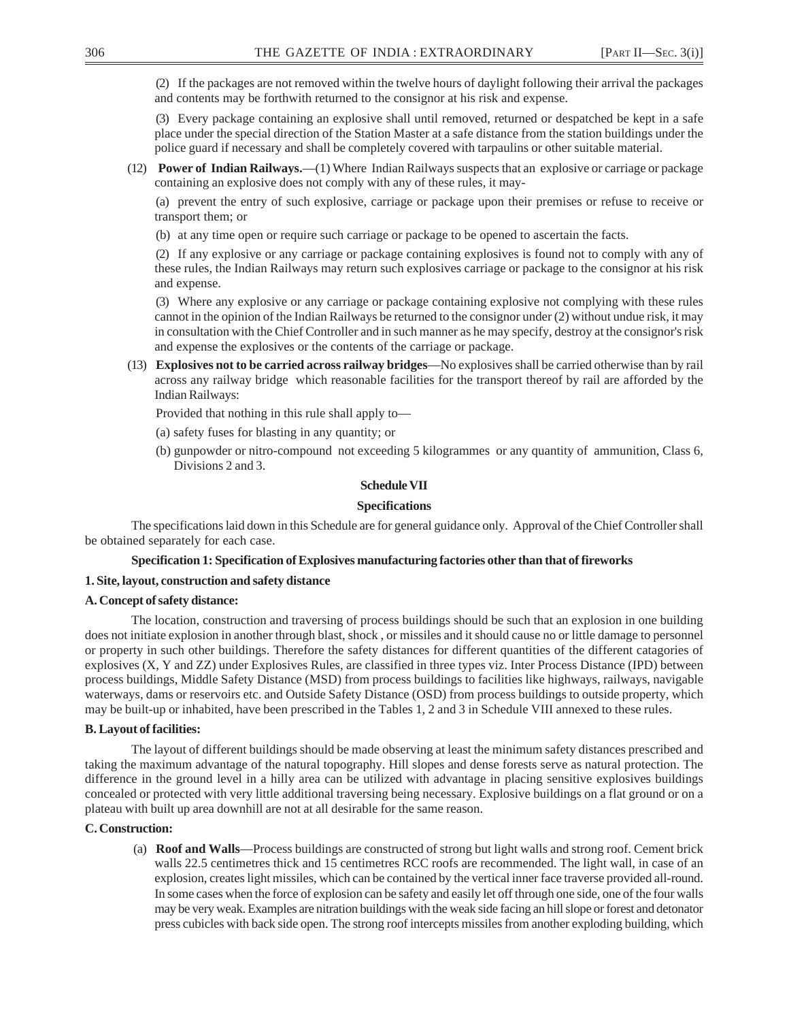(2) If the packages are not removed within the twelve hours of daylight following their arrival the packages and contents may be forthwith returned to the consignor at his risk and expense.

(3) Every package containing an explosive shall until removed, returned or despatched be kept in a safe place under the special direction of the Station Master at a safe distance from the station buildings under the police guard if necessary and shall be completely covered with tarpaulins or other suitable material.

(12) **Power of Indian Railways.**—(1) Where Indian Railways suspects that an explosive or carriage or package containing an explosive does not comply with any of these rules, it may-

(a) prevent the entry of such explosive, carriage or package upon their premises or refuse to receive or transport them; or

(b) at any time open or require such carriage or package to be opened to ascertain the facts.

(2) If any explosive or any carriage or package containing explosives is found not to comply with any of these rules, the Indian Railways may return such explosives carriage or package to the consignor at his risk and expense.

(3) Where any explosive or any carriage or package containing explosive not complying with these rules cannot in the opinion of the Indian Railways be returned to the consignor under (2) without undue risk, it may in consultation with the Chief Controller and in such manner as he may specify, destroy at the consignor's risk and expense the explosives or the contents of the carriage or package.

(13) **Explosives not to be carried across railway bridges**—No explosives shall be carried otherwise than by rail across any railway bridge which reasonable facilities for the transport thereof by rail are afforded by the Indian Railways:

Provided that nothing in this rule shall apply to—

- (a) safety fuses for blasting in any quantity; or
- (b) gunpowder or nitro-compound not exceeding 5 kilogrammes or any quantity of ammunition, Class 6, Divisions 2 and 3.

#### **Schedule VII**

#### **Specifications**

The specifications laid down in this Schedule are for general guidance only. Approval of the Chief Controller shall be obtained separately for each case.

### **Specification 1: Specification of Explosives manufacturing factories other than that of fireworks**

#### **1. Site, layout, construction and safety distance**

#### **A. Concept of safety distance:**

The location, construction and traversing of process buildings should be such that an explosion in one building does not initiate explosion in another through blast, shock , or missiles and it should cause no or little damage to personnel or property in such other buildings. Therefore the safety distances for different quantities of the different catagories of explosives (X, Y and ZZ) under Explosives Rules, are classified in three types viz. Inter Process Distance (IPD) between process buildings, Middle Safety Distance (MSD) from process buildings to facilities like highways, railways, navigable waterways, dams or reservoirs etc. and Outside Safety Distance (OSD) from process buildings to outside property, which may be built-up or inhabited, have been prescribed in the Tables 1, 2 and 3 in Schedule VIII annexed to these rules.

#### **B. Layout of facilities:**

The layout of different buildings should be made observing at least the minimum safety distances prescribed and taking the maximum advantage of the natural topography. Hill slopes and dense forests serve as natural protection. The difference in the ground level in a hilly area can be utilized with advantage in placing sensitive explosives buildings concealed or protected with very little additional traversing being necessary. Explosive buildings on a flat ground or on a plateau with built up area downhill are not at all desirable for the same reason.

### **C. Construction:**

(a) **Roof and Walls**—Process buildings are constructed of strong but light walls and strong roof. Cement brick walls 22.5 centimetres thick and 15 centimetres RCC roofs are recommended. The light wall, in case of an explosion, creates light missiles, which can be contained by the vertical inner face traverse provided all-round. In some cases when the force of explosion can be safety and easily let off through one side, one of the four walls may be very weak. Examples are nitration buildings with the weak side facing an hill slope or forest and detonator press cubicles with back side open. The strong roof intercepts missiles from another exploding building, which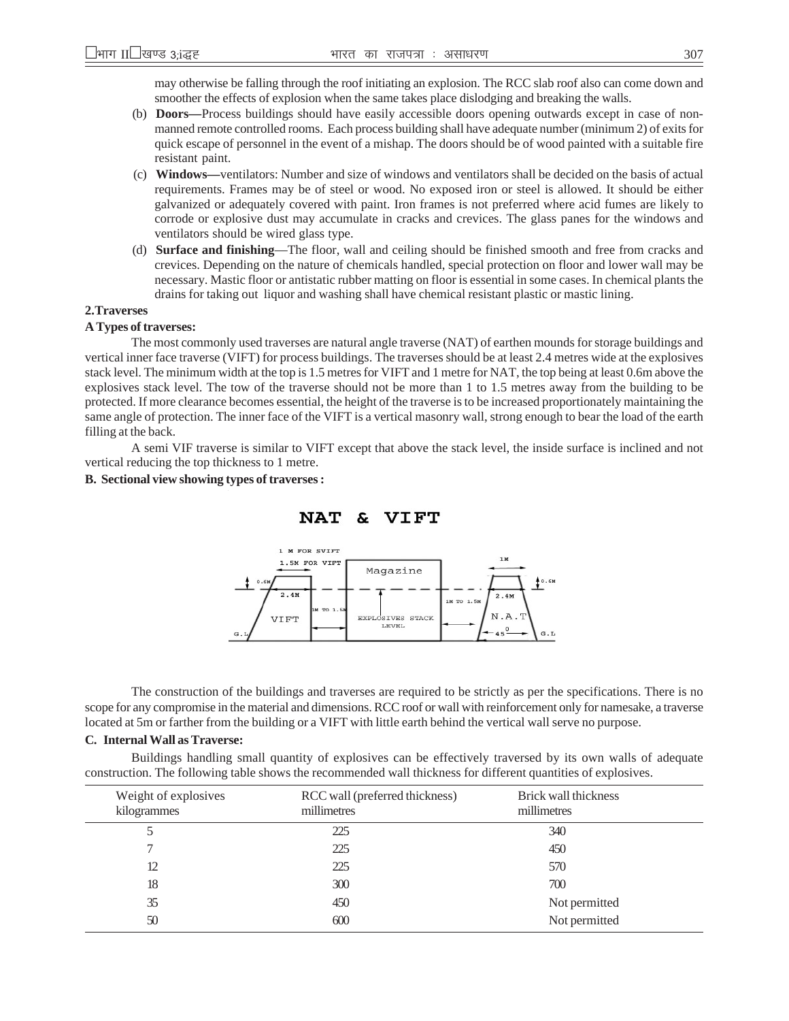may otherwise be falling through the roof initiating an explosion. The RCC slab roof also can come down and smoother the effects of explosion when the same takes place dislodging and breaking the walls.

- (b) **Doors—**Process buildings should have easily accessible doors opening outwards except in case of nonmanned remote controlled rooms. Each process building shall have adequate number (minimum 2) of exits for quick escape of personnel in the event of a mishap. The doors should be of wood painted with a suitable fire resistant paint.
- (c) **Windows—**ventilators: Number and size of windows and ventilators shall be decided on the basis of actual requirements. Frames may be of steel or wood. No exposed iron or steel is allowed. It should be either galvanized or adequately covered with paint. Iron frames is not preferred where acid fumes are likely to corrode or explosive dust may accumulate in cracks and crevices. The glass panes for the windows and ventilators should be wired glass type.
- (d) **Surface and finishing**—The floor, wall and ceiling should be finished smooth and free from cracks and crevices. Depending on the nature of chemicals handled, special protection on floor and lower wall may be necessary. Mastic floor or antistatic rubber matting on floor is essential in some cases. In chemical plants the drains for taking out liquor and washing shall have chemical resistant plastic or mastic lining.

### **2.Traverses**

### **A Types of traverses:**

The most commonly used traverses are natural angle traverse (NAT) of earthen mounds for storage buildings and vertical inner face traverse (VIFT) for process buildings. The traverses should be at least 2.4 metres wide at the explosives stack level. The minimum width at the top is 1.5 metres for VIFT and 1 metre for NAT, the top being at least 0.6m above the explosives stack level. The tow of the traverse should not be more than 1 to 1.5 metres away from the building to be protected. If more clearance becomes essential, the height of the traverse is to be increased proportionately maintaining the same angle of protection. The inner face of the VIFT is a vertical masonry wall, strong enough to bear the load of the earth filling at the back.

A semi VIF traverse is similar to VIFT except that above the stack level, the inside surface is inclined and not vertical reducing the top thickness to 1 metre.

#### **B. Sectional view showing types of traverses :**





The construction of the buildings and traverses are required to be strictly as per the specifications. There is no scope for any compromise in the material and dimensions. RCC roof or wall with reinforcement only for namesake, a traverse located at 5m or farther from the building or a VIFT with little earth behind the vertical wall serve no purpose.

#### **C. Internal Wall as Traverse:**

Buildings handling small quantity of explosives can be effectively traversed by its own walls of adequate construction. The following table shows the recommended wall thickness for different quantities of explosives.

| Weight of explosives<br>kilogrammes | RCC wall (preferred thickness)<br>millimetres | Brick wall thickness<br>millimetres |
|-------------------------------------|-----------------------------------------------|-------------------------------------|
|                                     | 225                                           | 340                                 |
|                                     | 225                                           | 450                                 |
| 12                                  | 225                                           | 570                                 |
| 18                                  | 300                                           | 700                                 |
| 35                                  | 450                                           | Not permitted                       |
| 50                                  | 600                                           | Not permitted                       |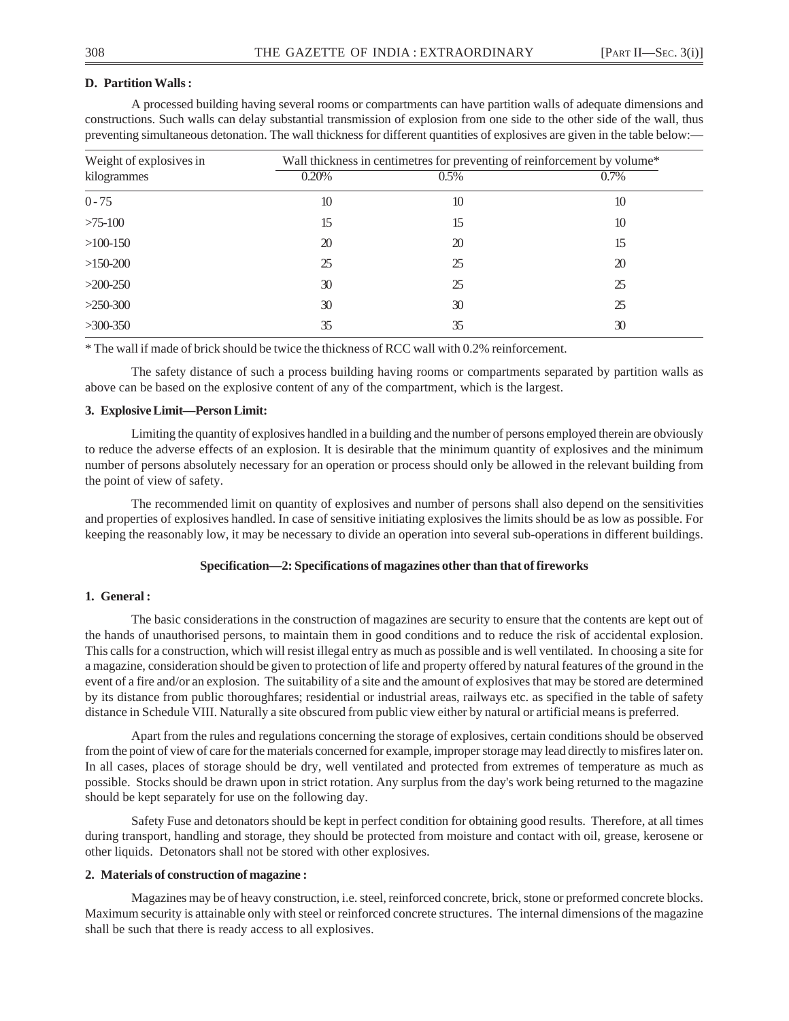### **D. Partition Walls :**

A processed building having several rooms or compartments can have partition walls of adequate dimensions and constructions. Such walls can delay substantial transmission of explosion from one side to the other side of the wall, thus preventing simultaneous detonation. The wall thickness for different quantities of explosives are given in the table below:—

| Weight of explosives in |       | Wall thickness in centimetres for preventing of reinforcement by volume* |         |
|-------------------------|-------|--------------------------------------------------------------------------|---------|
| kilogrammes             | 0.20% | $0.5\%$                                                                  | $0.7\%$ |
| $0 - 75$                | 10    | 10                                                                       | 10      |
| $>75-100$               | 15    | 15                                                                       | 10      |
| $>100-150$              | 20    | 20                                                                       | 15      |
| $>150-200$              | 25    | 25                                                                       | 20      |
| $>200-250$              | 30    | 25                                                                       | 25      |
| $>250-300$              | 30    | 30                                                                       | 25      |
| $>300-350$              | 35    | 35                                                                       | 30      |

\* The wall if made of brick should be twice the thickness of RCC wall with 0.2% reinforcement.

The safety distance of such a process building having rooms or compartments separated by partition walls as above can be based on the explosive content of any of the compartment, which is the largest.

### **3. Explosive Limit—Person Limit:**

Limiting the quantity of explosives handled in a building and the number of persons employed therein are obviously to reduce the adverse effects of an explosion. It is desirable that the minimum quantity of explosives and the minimum number of persons absolutely necessary for an operation or process should only be allowed in the relevant building from the point of view of safety.

The recommended limit on quantity of explosives and number of persons shall also depend on the sensitivities and properties of explosives handled. In case of sensitive initiating explosives the limits should be as low as possible. For keeping the reasonably low, it may be necessary to divide an operation into several sub-operations in different buildings.

### **Specification—2: Specifications of magazines other than that of fireworks**

### **1. General :**

The basic considerations in the construction of magazines are security to ensure that the contents are kept out of the hands of unauthorised persons, to maintain them in good conditions and to reduce the risk of accidental explosion. This calls for a construction, which will resist illegal entry as much as possible and is well ventilated. In choosing a site for a magazine, consideration should be given to protection of life and property offered by natural features of the ground in the event of a fire and/or an explosion. The suitability of a site and the amount of explosives that may be stored are determined by its distance from public thoroughfares; residential or industrial areas, railways etc. as specified in the table of safety distance in Schedule VIII. Naturally a site obscured from public view either by natural or artificial means is preferred.

Apart from the rules and regulations concerning the storage of explosives, certain conditions should be observed from the point of view of care for the materials concerned for example, improper storage may lead directly to misfires later on. In all cases, places of storage should be dry, well ventilated and protected from extremes of temperature as much as possible. Stocks should be drawn upon in strict rotation. Any surplus from the day's work being returned to the magazine should be kept separately for use on the following day.

Safety Fuse and detonators should be kept in perfect condition for obtaining good results. Therefore, at all times during transport, handling and storage, they should be protected from moisture and contact with oil, grease, kerosene or other liquids. Detonators shall not be stored with other explosives.

#### **2. Materials of construction of magazine :**

Magazines may be of heavy construction, i.e. steel, reinforced concrete, brick, stone or preformed concrete blocks. Maximum security is attainable only with steel or reinforced concrete structures. The internal dimensions of the magazine shall be such that there is ready access to all explosives.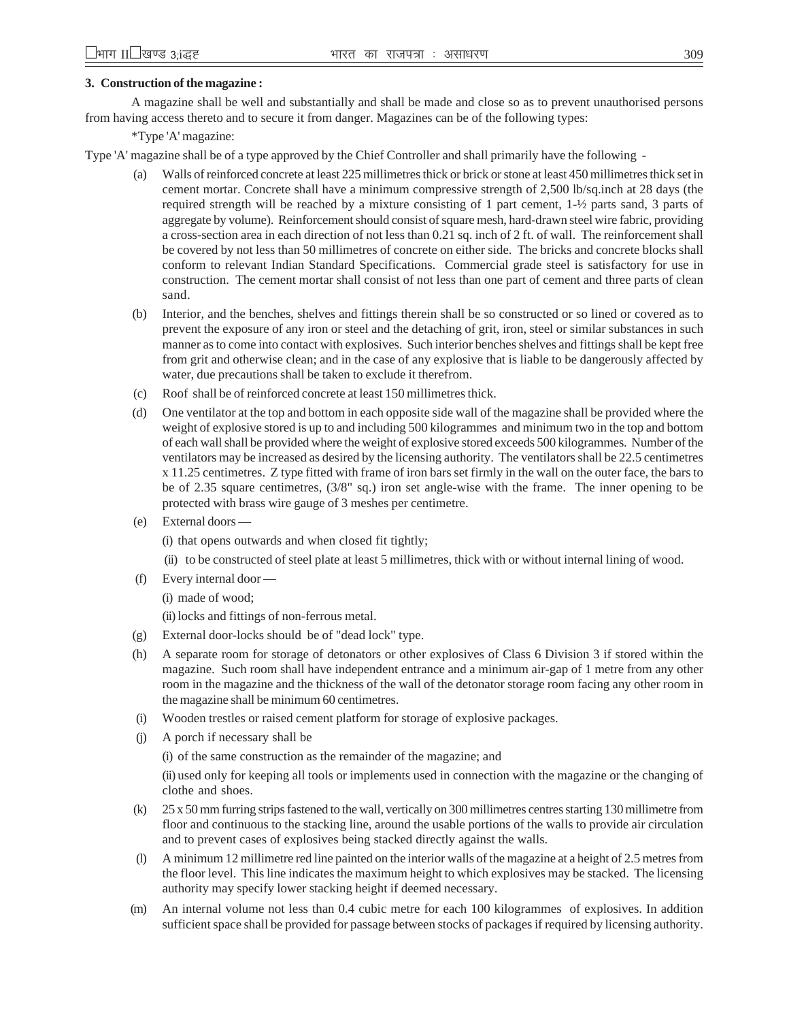## **3. Construction of the magazine :**

A magazine shall be well and substantially and shall be made and close so as to prevent unauthorised persons from having access thereto and to secure it from danger. Magazines can be of the following types:

\*Type 'A' magazine:

Type 'A' magazine shall be of a type approved by the Chief Controller and shall primarily have the following -

- Walls of reinforced concrete at least 225 millimetres thick or brick or stone at least 450 millimetres thick set in cement mortar. Concrete shall have a minimum compressive strength of 2,500 lb/sq.inch at 28 days (the required strength will be reached by a mixture consisting of 1 part cement, 1-½ parts sand, 3 parts of aggregate by volume). Reinforcement should consist of square mesh, hard-drawn steel wire fabric, providing a cross-section area in each direction of not less than 0.21 sq. inch of 2 ft. of wall. The reinforcement shall be covered by not less than 50 millimetres of concrete on either side. The bricks and concrete blocks shall conform to relevant Indian Standard Specifications. Commercial grade steel is satisfactory for use in construction. The cement mortar shall consist of not less than one part of cement and three parts of clean sand.
- (b) Interior, and the benches, shelves and fittings therein shall be so constructed or so lined or covered as to prevent the exposure of any iron or steel and the detaching of grit, iron, steel or similar substances in such manner as to come into contact with explosives. Such interior benches shelves and fittings shall be kept free from grit and otherwise clean; and in the case of any explosive that is liable to be dangerously affected by water, due precautions shall be taken to exclude it therefrom.
- (c) Roof shall be of reinforced concrete at least 150 millimetres thick.
- (d) One ventilator at the top and bottom in each opposite side wall of the magazine shall be provided where the weight of explosive stored is up to and including 500 kilogrammes and minimum two in the top and bottom of each wall shall be provided where the weight of explosive stored exceeds 500 kilogrammes. Number of the ventilators may be increased as desired by the licensing authority. The ventilators shall be 22.5 centimetres x 11.25 centimetres. Z type fitted with frame of iron bars set firmly in the wall on the outer face, the bars to be of 2.35 square centimetres, (3/8" sq.) iron set angle-wise with the frame. The inner opening to be protected with brass wire gauge of 3 meshes per centimetre.
- (e) External doors —

(i) that opens outwards and when closed fit tightly;

- (ii) to be constructed of steel plate at least 5 millimetres, thick with or without internal lining of wood.
- (f) Every internal door
	- (i) made of wood;

(ii)locks and fittings of non-ferrous metal.

- (g) External door-locks should be of "dead lock" type.
- (h) A separate room for storage of detonators or other explosives of Class 6 Division 3 if stored within the magazine. Such room shall have independent entrance and a minimum air-gap of 1 metre from any other room in the magazine and the thickness of the wall of the detonator storage room facing any other room in the magazine shall be minimum 60 centimetres.
- (i) Wooden trestles or raised cement platform for storage of explosive packages.
- (j) A porch if necessary shall be

(i) of the same construction as the remainder of the magazine; and

(ii) used only for keeping all tools or implements used in connection with the magazine or the changing of clothe and shoes.

- (k) 25 x 50 mm furring strips fastened to the wall, vertically on 300 millimetres centres starting 130 millimetre from floor and continuous to the stacking line, around the usable portions of the walls to provide air circulation and to prevent cases of explosives being stacked directly against the walls.
- (l) A minimum 12 millimetre red line painted on the interior walls of the magazine at a height of 2.5 metres from the floor level. This line indicates the maximum height to which explosives may be stacked. The licensing authority may specify lower stacking height if deemed necessary.
- (m) An internal volume not less than 0.4 cubic metre for each 100 kilogrammes of explosives. In addition sufficient space shall be provided for passage between stocks of packages if required by licensing authority.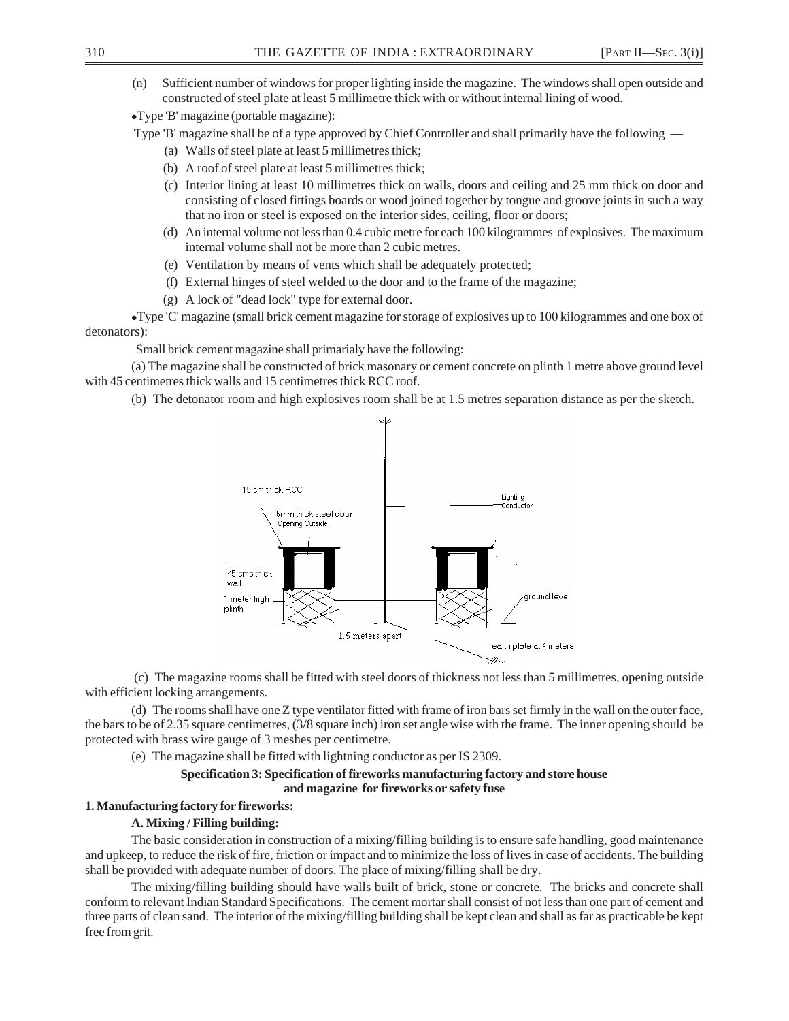(n) Sufficient number of windows for proper lighting inside the magazine. The windows shall open outside and constructed of steel plate at least 5 millimetre thick with or without internal lining of wood.

•Type 'B' magazine (portable magazine):

Type 'B' magazine shall be of a type approved by Chief Controller and shall primarily have the following —

- (a) Walls of steel plate at least 5 millimetres thick;
- (b) A roof of steel plate at least 5 millimetres thick;
- (c) Interior lining at least 10 millimetres thick on walls, doors and ceiling and 25 mm thick on door and consisting of closed fittings boards or wood joined together by tongue and groove joints in such a way that no iron or steel is exposed on the interior sides, ceiling, floor or doors;
- (d) An internal volume not less than 0.4 cubic metre for each 100 kilogrammes of explosives. The maximum internal volume shall not be more than 2 cubic metres.
- (e) Ventilation by means of vents which shall be adequately protected;
- (f) External hinges of steel welded to the door and to the frame of the magazine;
- (g) A lock of "dead lock" type for external door.

<sup>z</sup>Type 'C' magazine (small brick cement magazine for storage of explosives up to 100 kilogrammes and one box of detonators):

Small brick cement magazine shall primarialy have the following:

(a) The magazine shall be constructed of brick masonary or cement concrete on plinth 1 metre above ground level with 45 centimetres thick walls and 15 centimetres thick RCC roof.

(b) The detonator room and high explosives room shall be at 1.5 metres separation distance as per the sketch.



 (c) The magazine rooms shall be fitted with steel doors of thickness not less than 5 millimetres, opening outside with efficient locking arrangements.

(d) The rooms shall have one Z type ventilator fitted with frame of iron bars set firmly in the wall on the outer face, the bars to be of 2.35 square centimetres, (3/8 square inch) iron set angle wise with the frame. The inner opening should be protected with brass wire gauge of 3 meshes per centimetre.

(e) The magazine shall be fitted with lightning conductor as per IS 2309.

## **Specification 3: Specification of fireworks manufacturing factory and store house and magazine for fireworks or safety fuse**

# **1. Manufacturing factory for fireworks:**

## **A. Mixing / Filling building:**

The basic consideration in construction of a mixing/filling building is to ensure safe handling, good maintenance and upkeep, to reduce the risk of fire, friction or impact and to minimize the loss of lives in case of accidents. The building shall be provided with adequate number of doors. The place of mixing/filling shall be dry.

The mixing/filling building should have walls built of brick, stone or concrete. The bricks and concrete shall conform to relevant Indian Standard Specifications. The cement mortar shall consist of not less than one part of cement and three parts of clean sand. The interior of the mixing/filling building shall be kept clean and shall as far as practicable be kept free from grit.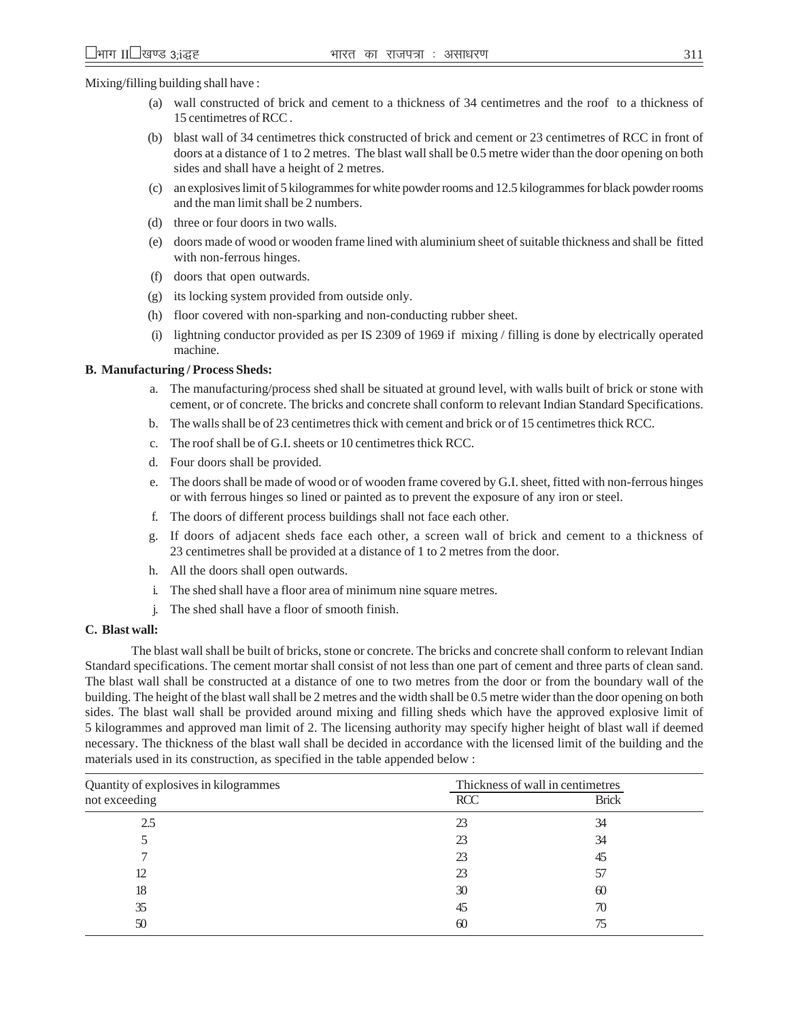Mixing/filling building shall have :

- (a) wall constructed of brick and cement to a thickness of 34 centimetres and the roof to a thickness of 15 centimetres of RCC .
- (b) blast wall of 34 centimetres thick constructed of brick and cement or 23 centimetres of RCC in front of doors at a distance of 1 to 2 metres. The blast wall shall be 0.5 metre wider than the door opening on both sides and shall have a height of 2 metres.
- (c) an explosives limit of 5 kilogrammes for white powder rooms and 12.5 kilogrammes for black powder rooms and the man limit shall be 2 numbers.
- (d) three or four doors in two walls.
- (e) doors made of wood or wooden frame lined with aluminium sheet of suitable thickness and shall be fitted with non-ferrous hinges.
- (f) doors that open outwards.
- (g) its locking system provided from outside only.
- (h) floor covered with non-sparking and non-conducting rubber sheet.
- (i) lightning conductor provided as per IS 2309 of 1969 if mixing / filling is done by electrically operated machine.

### **B. Manufacturing / Process Sheds:**

- a. The manufacturing/process shed shall be situated at ground level, with walls built of brick or stone with cement, or of concrete. The bricks and concrete shall conform to relevant Indian Standard Specifications.
- b. The walls shall be of 23 centimetres thick with cement and brick or of 15 centimetres thick RCC.
- c. The roof shall be of G.I. sheets or 10 centimetres thick RCC.
- d. Four doors shall be provided.
- e. The doors shall be made of wood or of wooden frame covered by G.I. sheet, fitted with non-ferrous hinges or with ferrous hinges so lined or painted as to prevent the exposure of any iron or steel.
- f. The doors of different process buildings shall not face each other.
- g. If doors of adjacent sheds face each other, a screen wall of brick and cement to a thickness of 23 centimetres shall be provided at a distance of 1 to 2 metres from the door.
- h. All the doors shall open outwards.
- i. The shed shall have a floor area of minimum nine square metres.
- j. The shed shall have a floor of smooth finish.

### **C. Blast wall:**

The blast wall shall be built of bricks, stone or concrete. The bricks and concrete shall conform to relevant Indian Standard specifications. The cement mortar shall consist of not less than one part of cement and three parts of clean sand. The blast wall shall be constructed at a distance of one to two metres from the door or from the boundary wall of the building. The height of the blast wall shall be 2 metres and the width shall be 0.5 metre wider than the door opening on both sides. The blast wall shall be provided around mixing and filling sheds which have the approved explosive limit of 5 kilogrammes and approved man limit of 2. The licensing authority may specify higher height of blast wall if deemed necessary. The thickness of the blast wall shall be decided in accordance with the licensed limit of the building and the materials used in its construction, as specified in the table appended below :

| Thickness of wall in centimetres |              |
|----------------------------------|--------------|
| <b>RCC</b>                       | <b>Brick</b> |
| 23                               | 34           |
| 23                               | 34           |
| 23                               | 45           |
| 23                               | 57           |
| 30                               | 60           |
| 45                               | 70           |
| 60                               | 75           |
|                                  |              |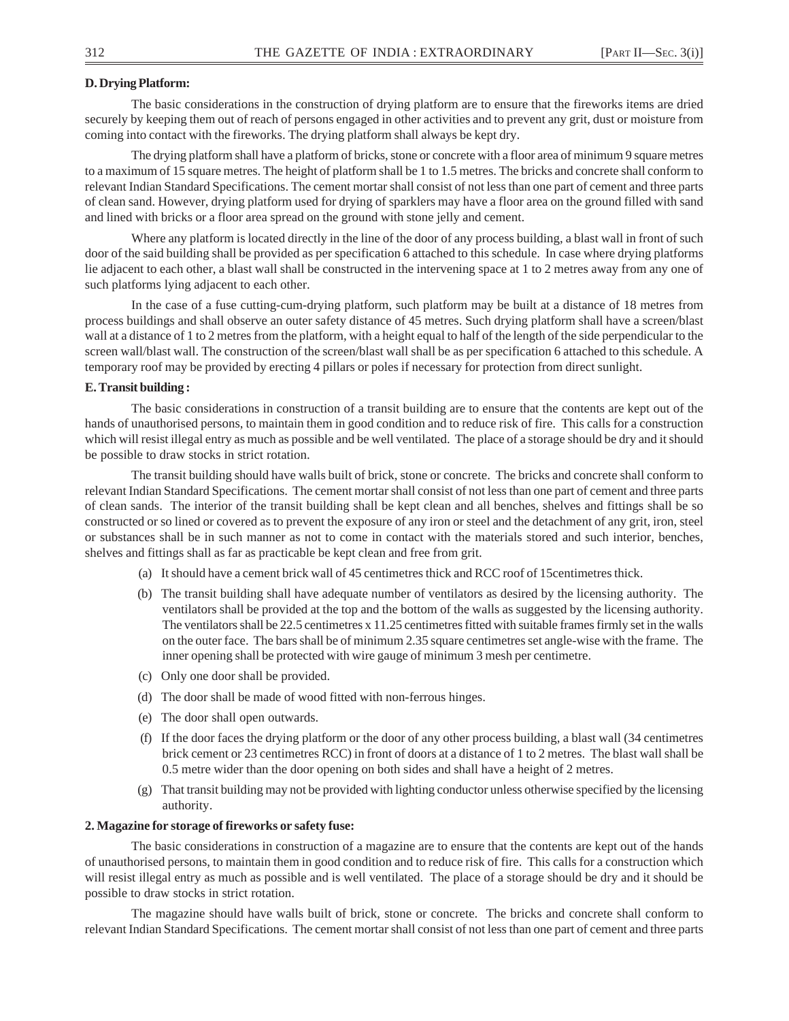### **D. Drying Platform:**

The basic considerations in the construction of drying platform are to ensure that the fireworks items are dried securely by keeping them out of reach of persons engaged in other activities and to prevent any grit, dust or moisture from coming into contact with the fireworks. The drying platform shall always be kept dry.

The drying platform shall have a platform of bricks, stone or concrete with a floor area of minimum 9 square metres to a maximum of 15 square metres. The height of platform shall be 1 to 1.5 metres. The bricks and concrete shall conform to relevant Indian Standard Specifications. The cement mortar shall consist of not less than one part of cement and three parts of clean sand. However, drying platform used for drying of sparklers may have a floor area on the ground filled with sand and lined with bricks or a floor area spread on the ground with stone jelly and cement.

Where any platform is located directly in the line of the door of any process building, a blast wall in front of such door of the said building shall be provided as per specification 6 attached to this schedule. In case where drying platforms lie adjacent to each other, a blast wall shall be constructed in the intervening space at 1 to 2 metres away from any one of such platforms lying adjacent to each other.

In the case of a fuse cutting-cum-drying platform, such platform may be built at a distance of 18 metres from process buildings and shall observe an outer safety distance of 45 metres. Such drying platform shall have a screen/blast wall at a distance of 1 to 2 metres from the platform, with a height equal to half of the length of the side perpendicular to the screen wall/blast wall. The construction of the screen/blast wall shall be as per specification 6 attached to this schedule. A temporary roof may be provided by erecting 4 pillars or poles if necessary for protection from direct sunlight.

#### **E. Transit building :**

The basic considerations in construction of a transit building are to ensure that the contents are kept out of the hands of unauthorised persons, to maintain them in good condition and to reduce risk of fire. This calls for a construction which will resist illegal entry as much as possible and be well ventilated. The place of a storage should be dry and it should be possible to draw stocks in strict rotation.

The transit building should have walls built of brick, stone or concrete. The bricks and concrete shall conform to relevant Indian Standard Specifications. The cement mortar shall consist of not less than one part of cement and three parts of clean sands. The interior of the transit building shall be kept clean and all benches, shelves and fittings shall be so constructed or so lined or covered as to prevent the exposure of any iron or steel and the detachment of any grit, iron, steel or substances shall be in such manner as not to come in contact with the materials stored and such interior, benches, shelves and fittings shall as far as practicable be kept clean and free from grit.

- (a) It should have a cement brick wall of 45 centimetres thick and RCC roof of 15centimetres thick.
- (b) The transit building shall have adequate number of ventilators as desired by the licensing authority. The ventilators shall be provided at the top and the bottom of the walls as suggested by the licensing authority. The ventilators shall be 22.5 centimetres x 11.25 centimetres fitted with suitable frames firmly set in the walls on the outer face. The bars shall be of minimum 2.35 square centimetres set angle-wise with the frame. The inner opening shall be protected with wire gauge of minimum 3 mesh per centimetre.
- (c) Only one door shall be provided.
- (d) The door shall be made of wood fitted with non-ferrous hinges.
- (e) The door shall open outwards.
- (f) If the door faces the drying platform or the door of any other process building, a blast wall (34 centimetres brick cement or 23 centimetres RCC) in front of doors at a distance of 1 to 2 metres. The blast wall shall be 0.5 metre wider than the door opening on both sides and shall have a height of 2 metres.
- (g) That transit building may not be provided with lighting conductor unless otherwise specified by the licensing authority.

#### **2. Magazine for storage of fireworks or safety fuse:**

The basic considerations in construction of a magazine are to ensure that the contents are kept out of the hands of unauthorised persons, to maintain them in good condition and to reduce risk of fire. This calls for a construction which will resist illegal entry as much as possible and is well ventilated. The place of a storage should be dry and it should be possible to draw stocks in strict rotation.

The magazine should have walls built of brick, stone or concrete. The bricks and concrete shall conform to relevant Indian Standard Specifications. The cement mortar shall consist of not less than one part of cement and three parts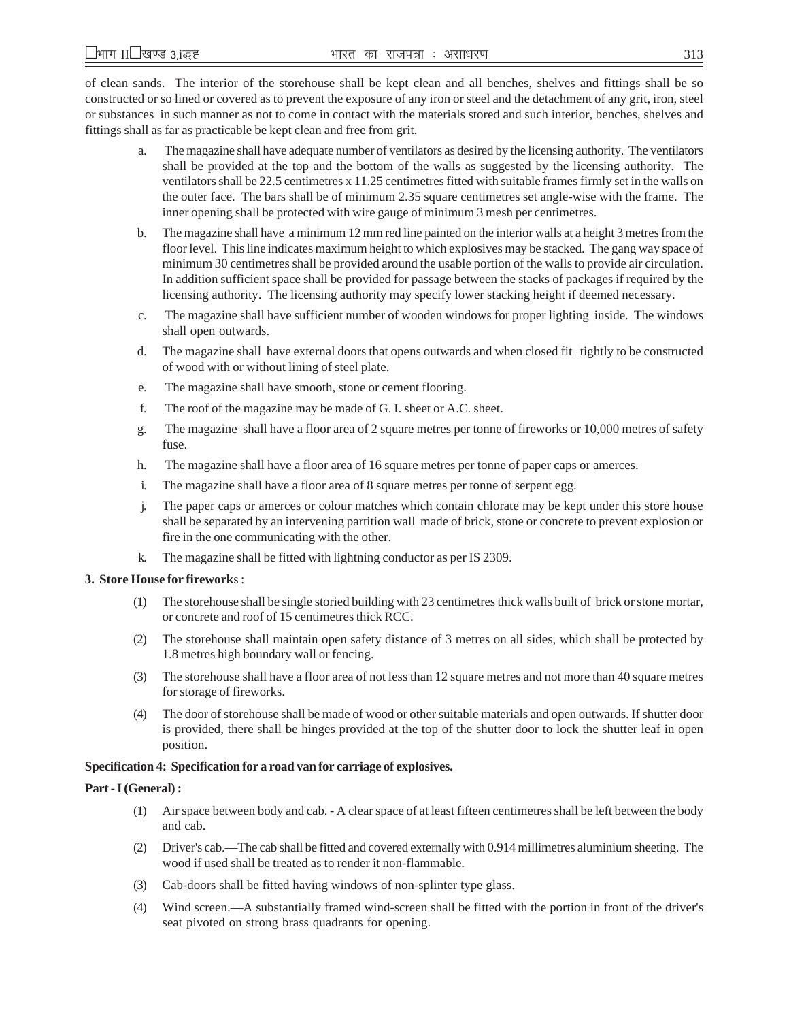of clean sands. The interior of the storehouse shall be kept clean and all benches, shelves and fittings shall be so constructed or so lined or covered as to prevent the exposure of any iron or steel and the detachment of any grit, iron, steel or substances in such manner as not to come in contact with the materials stored and such interior, benches, shelves and fittings shall as far as practicable be kept clean and free from grit.

- a. The magazine shall have adequate number of ventilators as desired by the licensing authority. The ventilators shall be provided at the top and the bottom of the walls as suggested by the licensing authority. The ventilators shall be 22.5 centimetres x 11.25 centimetres fitted with suitable frames firmly set in the walls on the outer face. The bars shall be of minimum 2.35 square centimetres set angle-wise with the frame. The inner opening shall be protected with wire gauge of minimum 3 mesh per centimetres.
- b. The magazine shall have a minimum 12 mm red line painted on the interior walls at a height 3 metres from the floor level. This line indicates maximum height to which explosives may be stacked. The gang way space of minimum 30 centimetres shall be provided around the usable portion of the walls to provide air circulation. In addition sufficient space shall be provided for passage between the stacks of packages if required by the licensing authority. The licensing authority may specify lower stacking height if deemed necessary.
- c. The magazine shall have sufficient number of wooden windows for proper lighting inside. The windows shall open outwards.
- d. The magazine shall have external doors that opens outwards and when closed fit tightly to be constructed of wood with or without lining of steel plate.
- e. The magazine shall have smooth, stone or cement flooring.
- f. The roof of the magazine may be made of G. I. sheet or A.C. sheet.
- g. The magazine shall have a floor area of 2 square metres per tonne of fireworks or 10,000 metres of safety fuse.
- h. The magazine shall have a floor area of 16 square metres per tonne of paper caps or amerces.
- i. The magazine shall have a floor area of 8 square metres per tonne of serpent egg.
- j. The paper caps or amerces or colour matches which contain chlorate may be kept under this store house shall be separated by an intervening partition wall made of brick, stone or concrete to prevent explosion or fire in the one communicating with the other.
- k. The magazine shall be fitted with lightning conductor as per IS 2309.

#### **3. Store House for firework**s :

- (1) The storehouse shall be single storied building with 23 centimetres thick walls built of brick or stone mortar, or concrete and roof of 15 centimetres thick RCC.
- (2) The storehouse shall maintain open safety distance of 3 metres on all sides, which shall be protected by 1.8 metres high boundary wall or fencing.
- (3) The storehouse shall have a floor area of not less than 12 square metres and not more than 40 square metres for storage of fireworks.
- (4) The door of storehouse shall be made of wood or other suitable materials and open outwards. If shutter door is provided, there shall be hinges provided at the top of the shutter door to lock the shutter leaf in open position.

### **Specification 4: Specification for a road van for carriage of explosives.**

#### **Part - I (General) :**

- (1) Air space between body and cab. A clear space of at least fifteen centimetres shall be left between the body and cab.
- (2) Driver's cab.—The cab shall be fitted and covered externally with 0.914 millimetres aluminium sheeting. The wood if used shall be treated as to render it non-flammable.
- (3) Cab-doors shall be fitted having windows of non-splinter type glass.
- (4) Wind screen.—A substantially framed wind-screen shall be fitted with the portion in front of the driver's seat pivoted on strong brass quadrants for opening.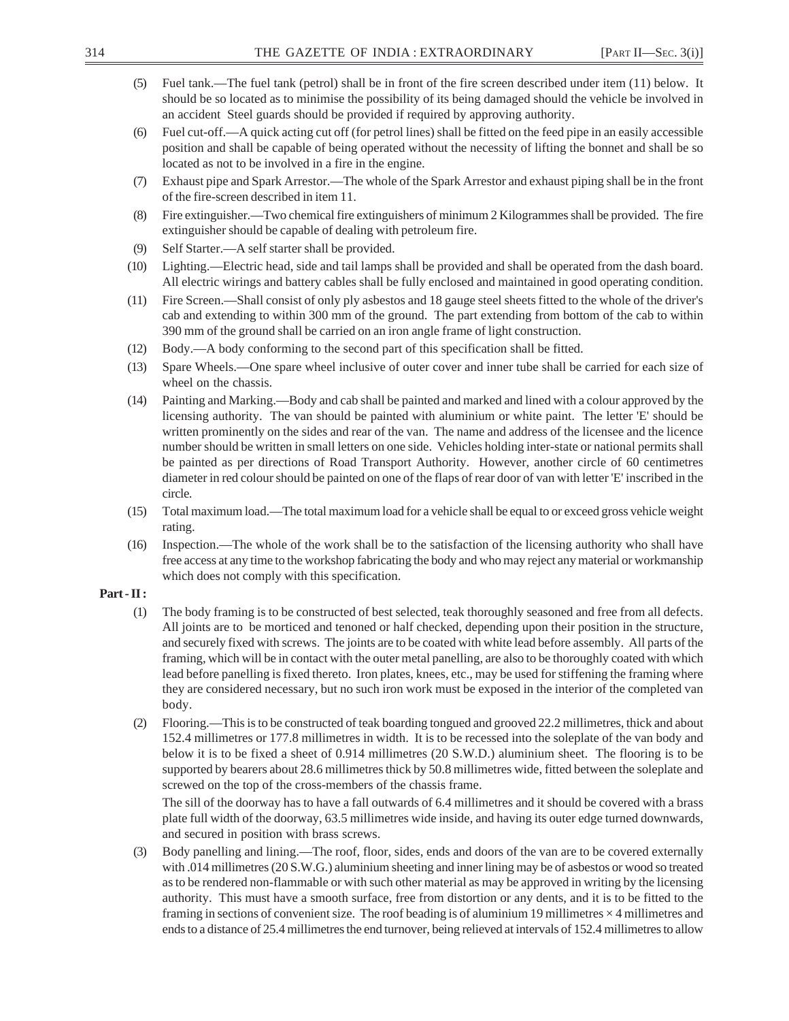- (5) Fuel tank.—The fuel tank (petrol) shall be in front of the fire screen described under item (11) below. It should be so located as to minimise the possibility of its being damaged should the vehicle be involved in an accident Steel guards should be provided if required by approving authority.
- (6) Fuel cut-off.—A quick acting cut off (for petrol lines) shall be fitted on the feed pipe in an easily accessible position and shall be capable of being operated without the necessity of lifting the bonnet and shall be so located as not to be involved in a fire in the engine.
- (7) Exhaust pipe and Spark Arrestor.—The whole of the Spark Arrestor and exhaust piping shall be in the front of the fire-screen described in item 11.
- (8) Fire extinguisher.—Two chemical fire extinguishers of minimum 2 Kilogrammes shall be provided. The fire extinguisher should be capable of dealing with petroleum fire.
- (9) Self Starter.—A self starter shall be provided.
- (10) Lighting.—Electric head, side and tail lamps shall be provided and shall be operated from the dash board. All electric wirings and battery cables shall be fully enclosed and maintained in good operating condition.
- (11) Fire Screen.—Shall consist of only ply asbestos and 18 gauge steel sheets fitted to the whole of the driver's cab and extending to within 300 mm of the ground. The part extending from bottom of the cab to within 390 mm of the ground shall be carried on an iron angle frame of light construction.
- (12) Body.—A body conforming to the second part of this specification shall be fitted.
- (13) Spare Wheels.—One spare wheel inclusive of outer cover and inner tube shall be carried for each size of wheel on the chassis.
- (14) Painting and Marking.—Body and cab shall be painted and marked and lined with a colour approved by the licensing authority. The van should be painted with aluminium or white paint. The letter 'E' should be written prominently on the sides and rear of the van. The name and address of the licensee and the licence number should be written in small letters on one side. Vehicles holding inter-state or national permits shall be painted as per directions of Road Transport Authority. However, another circle of 60 centimetres diameter in red colour should be painted on one of the flaps of rear door of van with letter 'E' inscribed in the circle.
- (15) Total maximum load.—The total maximum load for a vehicle shall be equal to or exceed gross vehicle weight rating.
- (16) Inspection.—The whole of the work shall be to the satisfaction of the licensing authority who shall have free access at any time to the workshop fabricating the body and who may reject any material or workmanship which does not comply with this specification.

### **Part - II :**

- (1) The body framing is to be constructed of best selected, teak thoroughly seasoned and free from all defects. All joints are to be morticed and tenoned or half checked, depending upon their position in the structure, and securely fixed with screws. The joints are to be coated with white lead before assembly. All parts of the framing, which will be in contact with the outer metal panelling, are also to be thoroughly coated with which lead before panelling is fixed thereto. Iron plates, knees, etc., may be used for stiffening the framing where they are considered necessary, but no such iron work must be exposed in the interior of the completed van body.
- (2) Flooring.—This is to be constructed of teak boarding tongued and grooved 22.2 millimetres, thick and about 152.4 millimetres or 177.8 millimetres in width. It is to be recessed into the soleplate of the van body and below it is to be fixed a sheet of 0.914 millimetres (20 S.W.D.) aluminium sheet. The flooring is to be supported by bearers about 28.6 millimetres thick by 50.8 millimetres wide, fitted between the soleplate and screwed on the top of the cross-members of the chassis frame.

The sill of the doorway has to have a fall outwards of 6.4 millimetres and it should be covered with a brass plate full width of the doorway, 63.5 millimetres wide inside, and having its outer edge turned downwards, and secured in position with brass screws.

(3) Body panelling and lining.—The roof, floor, sides, ends and doors of the van are to be covered externally with .014 millimetres (20 S.W.G.) aluminium sheeting and inner lining may be of asbestos or wood so treated as to be rendered non-flammable or with such other material as may be approved in writing by the licensing authority. This must have a smooth surface, free from distortion or any dents, and it is to be fitted to the framing in sections of convenient size. The roof beading is of aluminium 19 millimetres  $\times$  4 millimetres and ends to a distance of 25.4 millimetres the end turnover, being relieved at intervals of 152.4 millimetres to allow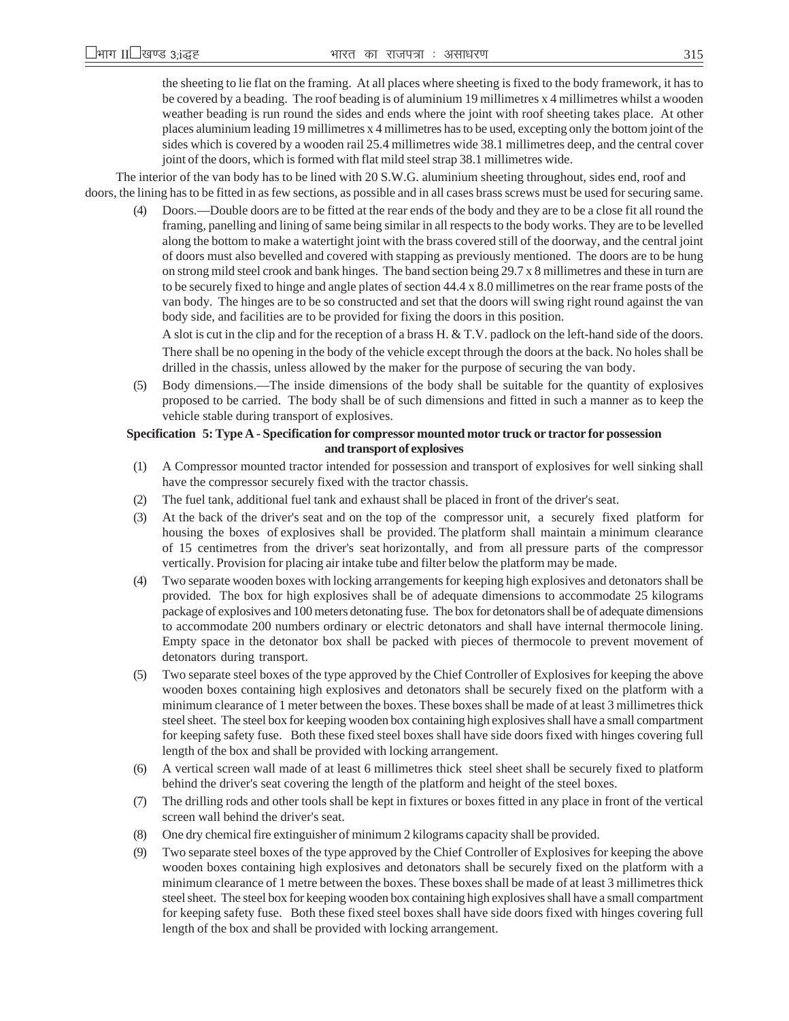the sheeting to lie flat on the framing. At all places where sheeting is fixed to the body framework, it has to be covered by a beading. The roof beading is of aluminium 19 millimetres x 4 millimetres whilst a wooden weather beading is run round the sides and ends where the joint with roof sheeting takes place. At other places aluminium leading 19 millimetres x 4 millimetres has to be used, excepting only the bottom joint of the sides which is covered by a wooden rail 25.4 millimetres wide 38.1 millimetres deep, and the central cover joint of the doors, which is formed with flat mild steel strap 38.1 millimetres wide.

The interior of the van body has to be lined with 20 S.W.G. aluminium sheeting throughout, sides end, roof and doors, the lining has to be fitted in as few sections, as possible and in all cases brass screws must be used for securing same.

Doors.—Double doors are to be fitted at the rear ends of the body and they are to be a close fit all round the framing, panelling and lining of same being similar in all respects to the body works. They are to be levelled along the bottom to make a watertight joint with the brass covered still of the doorway, and the central joint of doors must also bevelled and covered with stapping as previously mentioned. The doors are to be hung on strong mild steel crook and bank hinges. The band section being 29.7 x 8 millimetres and these in turn are to be securely fixed to hinge and angle plates of section 44.4 x 8.0 millimetres on the rear frame posts of the van body. The hinges are to be so constructed and set that the doors will swing right round against the van body side, and facilities are to be provided for fixing the doors in this position.

A slot is cut in the clip and for the reception of a brass H. & T.V. padlock on the left-hand side of the doors. There shall be no opening in the body of the vehicle except through the doors at the back. No holes shall be drilled in the chassis, unless allowed by the maker for the purpose of securing the van body.

(5) Body dimensions.—The inside dimensions of the body shall be suitable for the quantity of explosives proposed to be carried. The body shall be of such dimensions and fitted in such a manner as to keep the vehicle stable during transport of explosives.

### **Specification 5: Type A - Specification for compressor mounted motor truck or tractor for possession and transport of explosives**

- (1) A Compressor mounted tractor intended for possession and transport of explosives for well sinking shall have the compressor securely fixed with the tractor chassis.
- (2) The fuel tank, additional fuel tank and exhaust shall be placed in front of the driver's seat.
- (3) At the back of the driver's seat and on the top of the compressor unit, a securely fixed platform for housing the boxes of explosives shall be provided. The platform shall maintain a minimum clearance of 15 centimetres from the driver's seat horizontally, and from all pressure parts of the compressor vertically. Provision for placing air intake tube and filter below the platform may be made.
- (4) Two separate wooden boxes with locking arrangements for keeping high explosives and detonators shall be provided. The box for high explosives shall be of adequate dimensions to accommodate 25 kilograms package of explosives and 100 meters detonating fuse. The box for detonators shall be of adequate dimensions to accommodate 200 numbers ordinary or electric detonators and shall have internal thermocole lining. Empty space in the detonator box shall be packed with pieces of thermocole to prevent movement of detonators during transport.
- (5) Two separate steel boxes of the type approved by the Chief Controller of Explosives for keeping the above wooden boxes containing high explosives and detonators shall be securely fixed on the platform with a minimum clearance of 1 meter between the boxes. These boxes shall be made of at least 3 millimetres thick steel sheet. The steel box for keeping wooden box containing high explosives shall have a small compartment for keeping safety fuse. Both these fixed steel boxes shall have side doors fixed with hinges covering full length of the box and shall be provided with locking arrangement.
- (6) A vertical screen wall made of at least 6 millimetres thick steel sheet shall be securely fixed to platform behind the driver's seat covering the length of the platform and height of the steel boxes.
- (7) The drilling rods and other tools shall be kept in fixtures or boxes fitted in any place in front of the vertical screen wall behind the driver's seat.
- (8) One dry chemical fire extinguisher of minimum 2 kilograms capacity shall be provided.
- (9) Two separate steel boxes of the type approved by the Chief Controller of Explosives for keeping the above wooden boxes containing high explosives and detonators shall be securely fixed on the platform with a minimum clearance of 1 metre between the boxes. These boxes shall be made of at least 3 millimetres thick steel sheet. The steel box for keeping wooden box containing high explosives shall have a small compartment for keeping safety fuse. Both these fixed steel boxes shall have side doors fixed with hinges covering full length of the box and shall be provided with locking arrangement.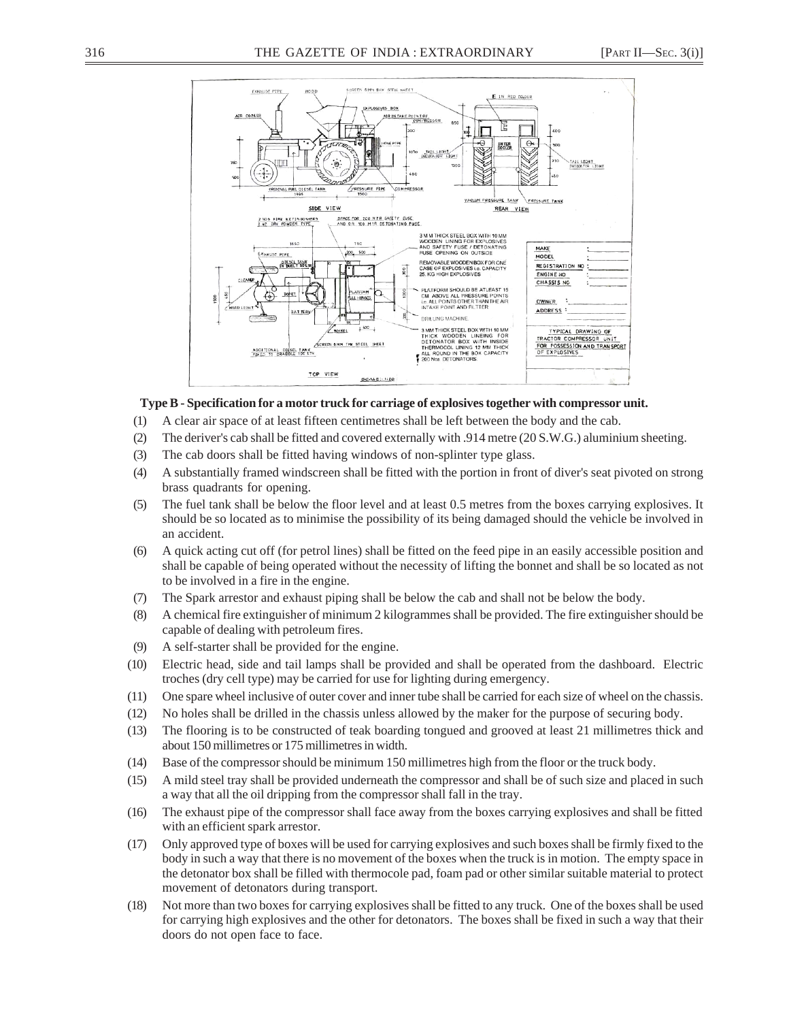

#### **Type B - Specification for a motor truck for carriage of explosives together with compressor unit.**

- (1) A clear air space of at least fifteen centimetres shall be left between the body and the cab.
- (2) The deriver's cab shall be fitted and covered externally with .914 metre (20 S.W.G.) aluminium sheeting.
- (3) The cab doors shall be fitted having windows of non-splinter type glass.
- (4) A substantially framed windscreen shall be fitted with the portion in front of diver's seat pivoted on strong brass quadrants for opening.
- (5) The fuel tank shall be below the floor level and at least 0.5 metres from the boxes carrying explosives. It should be so located as to minimise the possibility of its being damaged should the vehicle be involved in an accident.
- (6) A quick acting cut off (for petrol lines) shall be fitted on the feed pipe in an easily accessible position and shall be capable of being operated without the necessity of lifting the bonnet and shall be so located as not to be involved in a fire in the engine.
- (7) The Spark arrestor and exhaust piping shall be below the cab and shall not be below the body.
- (8) A chemical fire extinguisher of minimum 2 kilogrammes shall be provided. The fire extinguisher should be capable of dealing with petroleum fires.
- (9) A self-starter shall be provided for the engine.
- (10) Electric head, side and tail lamps shall be provided and shall be operated from the dashboard. Electric troches (dry cell type) may be carried for use for lighting during emergency.
- (11) One spare wheel inclusive of outer cover and inner tube shall be carried for each size of wheel on the chassis.
- (12) No holes shall be drilled in the chassis unless allowed by the maker for the purpose of securing body.
- (13) The flooring is to be constructed of teak boarding tongued and grooved at least 21 millimetres thick and about 150 millimetres or 175 millimetres in width.
- (14) Base of the compressor should be minimum 150 millimetres high from the floor or the truck body.
- (15) A mild steel tray shall be provided underneath the compressor and shall be of such size and placed in such a way that all the oil dripping from the compressor shall fall in the tray.
- (16) The exhaust pipe of the compressor shall face away from the boxes carrying explosives and shall be fitted with an efficient spark arrestor.
- (17) Only approved type of boxes will be used for carrying explosives and such boxes shall be firmly fixed to the body in such a way that there is no movement of the boxes when the truck is in motion. The empty space in the detonator box shall be filled with thermocole pad, foam pad or other similar suitable material to protect movement of detonators during transport.
- (18) Not more than two boxes for carrying explosives shall be fitted to any truck. One of the boxes shall be used for carrying high explosives and the other for detonators. The boxes shall be fixed in such a way that their doors do not open face to face.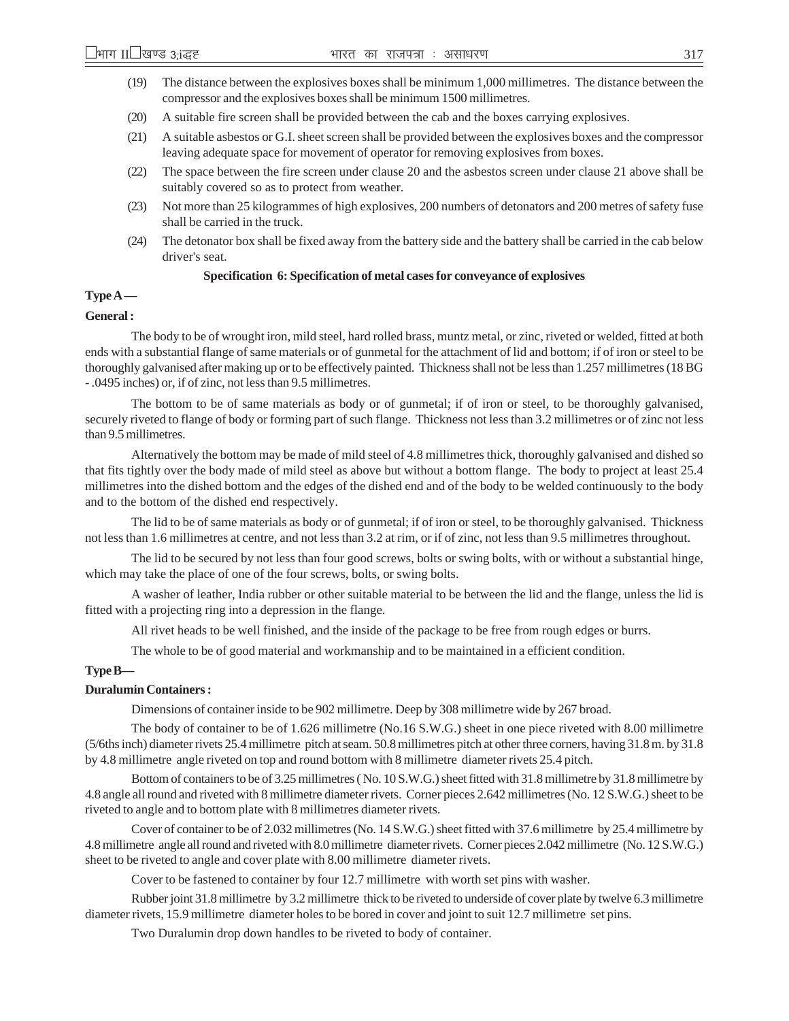- (19) The distance between the explosives boxes shall be minimum 1,000 millimetres. The distance between the compressor and the explosives boxes shall be minimum 1500 millimetres.
- (20) A suitable fire screen shall be provided between the cab and the boxes carrying explosives.
- (21) A suitable asbestos or G.I. sheet screen shall be provided between the explosives boxes and the compressor leaving adequate space for movement of operator for removing explosives from boxes.
- (22) The space between the fire screen under clause 20 and the asbestos screen under clause 21 above shall be suitably covered so as to protect from weather.
- (23) Not more than 25 kilogrammes of high explosives, 200 numbers of detonators and 200 metres of safety fuse shall be carried in the truck.
- (24) The detonator box shall be fixed away from the battery side and the battery shall be carried in the cab below driver's seat.

### **Specification 6: Specification of metal cases for conveyance of explosives**

### **Type A —**

#### **General :**

The body to be of wrought iron, mild steel, hard rolled brass, muntz metal, or zinc, riveted or welded, fitted at both ends with a substantial flange of same materials or of gunmetal for the attachment of lid and bottom; if of iron or steel to be thoroughly galvanised after making up or to be effectively painted. Thickness shall not be less than 1.257 millimetres (18 BG - .0495 inches) or, if of zinc, not less than 9.5 millimetres.

The bottom to be of same materials as body or of gunmetal; if of iron or steel, to be thoroughly galvanised, securely riveted to flange of body or forming part of such flange. Thickness not less than 3.2 millimetres or of zinc not less than 9.5 millimetres.

Alternatively the bottom may be made of mild steel of 4.8 millimetres thick, thoroughly galvanised and dished so that fits tightly over the body made of mild steel as above but without a bottom flange. The body to project at least 25.4 millimetres into the dished bottom and the edges of the dished end and of the body to be welded continuously to the body and to the bottom of the dished end respectively.

The lid to be of same materials as body or of gunmetal; if of iron or steel, to be thoroughly galvanised. Thickness not less than 1.6 millimetres at centre, and not less than 3.2 at rim, or if of zinc, not less than 9.5 millimetres throughout.

The lid to be secured by not less than four good screws, bolts or swing bolts, with or without a substantial hinge, which may take the place of one of the four screws, bolts, or swing bolts.

A washer of leather, India rubber or other suitable material to be between the lid and the flange, unless the lid is fitted with a projecting ring into a depression in the flange.

All rivet heads to be well finished, and the inside of the package to be free from rough edges or burrs.

The whole to be of good material and workmanship and to be maintained in a efficient condition.

#### **Type B—**

#### **Duralumin Containers :**

Dimensions of container inside to be 902 millimetre. Deep by 308 millimetre wide by 267 broad.

The body of container to be of 1.626 millimetre (No.16 S.W.G.) sheet in one piece riveted with 8.00 millimetre (5/6ths inch) diameter rivets 25.4 millimetre pitch at seam. 50.8 millimetres pitch at other three corners, having 31.8 m. by 31.8 by 4.8 millimetre angle riveted on top and round bottom with 8 millimetre diameter rivets 25.4 pitch.

Bottom of containers to be of 3.25 millimetres ( No. 10 S.W.G.) sheet fitted with 31.8 millimetre by 31.8 millimetre by 4.8 angle all round and riveted with 8 millimetre diameter rivets. Corner pieces 2.642 millimetres (No. 12 S.W.G.) sheet to be riveted to angle and to bottom plate with 8 millimetres diameter rivets.

Cover of container to be of 2.032 millimetres (No. 14 S.W.G.) sheet fitted with 37.6 millimetre by 25.4 millimetre by 4.8 millimetre angle all round and riveted with 8.0 millimetre diameter rivets. Corner pieces 2.042 millimetre (No. 12 S.W.G.) sheet to be riveted to angle and cover plate with 8.00 millimetre diameter rivets.

Cover to be fastened to container by four 12.7 millimetre with worth set pins with washer.

Rubber joint 31.8 millimetre by 3.2 millimetre thick to be riveted to underside of cover plate by twelve 6.3 millimetre diameter rivets, 15.9 millimetre diameter holes to be bored in cover and joint to suit 12.7 millimetre set pins.

Two Duralumin drop down handles to be riveted to body of container.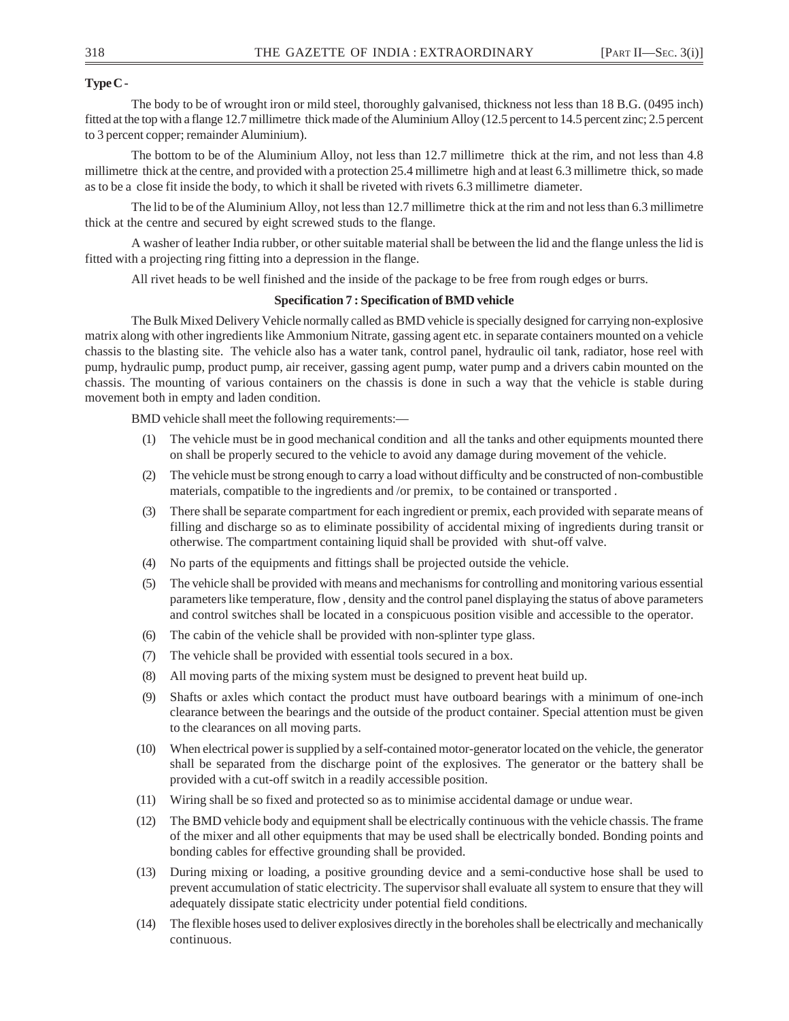### **Type C -**

The body to be of wrought iron or mild steel, thoroughly galvanised, thickness not less than 18 B.G. (0495 inch) fitted at the top with a flange 12.7 millimetre thick made of the Aluminium Alloy (12.5 percent to 14.5 percent zinc; 2.5 percent to 3 percent copper; remainder Aluminium).

The bottom to be of the Aluminium Alloy, not less than 12.7 millimetre thick at the rim, and not less than 4.8 millimetre thick at the centre, and provided with a protection 25.4 millimetre high and at least 6.3 millimetre thick, so made as to be a close fit inside the body, to which it shall be riveted with rivets 6.3 millimetre diameter.

The lid to be of the Aluminium Alloy, not less than 12.7 millimetre thick at the rim and not less than 6.3 millimetre thick at the centre and secured by eight screwed studs to the flange.

A washer of leather India rubber, or other suitable material shall be between the lid and the flange unless the lid is fitted with a projecting ring fitting into a depression in the flange.

All rivet heads to be well finished and the inside of the package to be free from rough edges or burrs.

### **Specification 7 : Specification of BMD vehicle**

The Bulk Mixed Delivery Vehicle normally called as BMD vehicle is specially designed for carrying non-explosive matrix along with other ingredients like Ammonium Nitrate, gassing agent etc. in separate containers mounted on a vehicle chassis to the blasting site. The vehicle also has a water tank, control panel, hydraulic oil tank, radiator, hose reel with pump, hydraulic pump, product pump, air receiver, gassing agent pump, water pump and a drivers cabin mounted on the chassis. The mounting of various containers on the chassis is done in such a way that the vehicle is stable during movement both in empty and laden condition.

BMD vehicle shall meet the following requirements:—

- (1) The vehicle must be in good mechanical condition and all the tanks and other equipments mounted there on shall be properly secured to the vehicle to avoid any damage during movement of the vehicle.
- (2) The vehicle must be strong enough to carry a load without difficulty and be constructed of non-combustible materials, compatible to the ingredients and /or premix, to be contained or transported .
- (3) There shall be separate compartment for each ingredient or premix, each provided with separate means of filling and discharge so as to eliminate possibility of accidental mixing of ingredients during transit or otherwise. The compartment containing liquid shall be provided with shut-off valve.
- (4) No parts of the equipments and fittings shall be projected outside the vehicle.
- (5) The vehicle shall be provided with means and mechanisms for controlling and monitoring various essential parameters like temperature, flow , density and the control panel displaying the status of above parameters and control switches shall be located in a conspicuous position visible and accessible to the operator.
- (6) The cabin of the vehicle shall be provided with non-splinter type glass.
- (7) The vehicle shall be provided with essential tools secured in a box.
- (8) All moving parts of the mixing system must be designed to prevent heat build up.
- (9) Shafts or axles which contact the product must have outboard bearings with a minimum of one-inch clearance between the bearings and the outside of the product container. Special attention must be given to the clearances on all moving parts.
- (10) When electrical power is supplied by a self-contained motor-generator located on the vehicle, the generator shall be separated from the discharge point of the explosives. The generator or the battery shall be provided with a cut-off switch in a readily accessible position.
- (11) Wiring shall be so fixed and protected so as to minimise accidental damage or undue wear.
- (12) The BMD vehicle body and equipment shall be electrically continuous with the vehicle chassis. The frame of the mixer and all other equipments that may be used shall be electrically bonded. Bonding points and bonding cables for effective grounding shall be provided.
- (13) During mixing or loading, a positive grounding device and a semi-conductive hose shall be used to prevent accumulation of static electricity. The supervisor shall evaluate all system to ensure that they will adequately dissipate static electricity under potential field conditions.
- (14) The flexible hoses used to deliver explosives directly in the boreholes shall be electrically and mechanically continuous.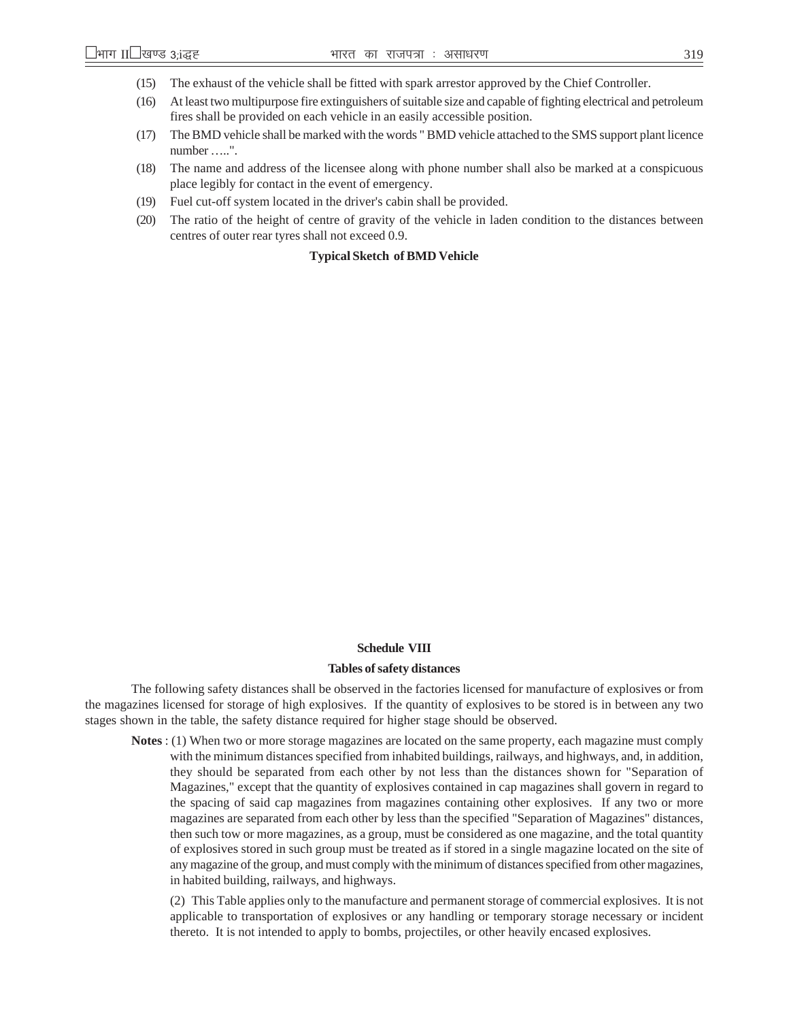- (15) The exhaust of the vehicle shall be fitted with spark arrestor approved by the Chief Controller.
- (16) At least two multipurpose fire extinguishers of suitable size and capable of fighting electrical and petroleum fires shall be provided on each vehicle in an easily accessible position.
- (17) The BMD vehicle shall be marked with the words " BMD vehicle attached to the SMS support plant licence number …..".
- (18) The name and address of the licensee along with phone number shall also be marked at a conspicuous place legibly for contact in the event of emergency.
- (19) Fuel cut-off system located in the driver's cabin shall be provided.
- (20) The ratio of the height of centre of gravity of the vehicle in laden condition to the distances between centres of outer rear tyres shall not exceed 0.9.

#### **Typical Sketch of BMD Vehicle**

#### **Schedule VIII**

#### **Tables of safety distances**

The following safety distances shall be observed in the factories licensed for manufacture of explosives or from the magazines licensed for storage of high explosives. If the quantity of explosives to be stored is in between any two stages shown in the table, the safety distance required for higher stage should be observed.

**Notes** : (1) When two or more storage magazines are located on the same property, each magazine must comply with the minimum distances specified from inhabited buildings, railways, and highways, and, in addition, they should be separated from each other by not less than the distances shown for "Separation of Magazines," except that the quantity of explosives contained in cap magazines shall govern in regard to the spacing of said cap magazines from magazines containing other explosives. If any two or more magazines are separated from each other by less than the specified "Separation of Magazines" distances, then such tow or more magazines, as a group, must be considered as one magazine, and the total quantity of explosives stored in such group must be treated as if stored in a single magazine located on the site of any magazine of the group, and must comply with the minimum of distances specified from other magazines, in habited building, railways, and highways.

(2) This Table applies only to the manufacture and permanent storage of commercial explosives. It is not applicable to transportation of explosives or any handling or temporary storage necessary or incident thereto. It is not intended to apply to bombs, projectiles, or other heavily encased explosives.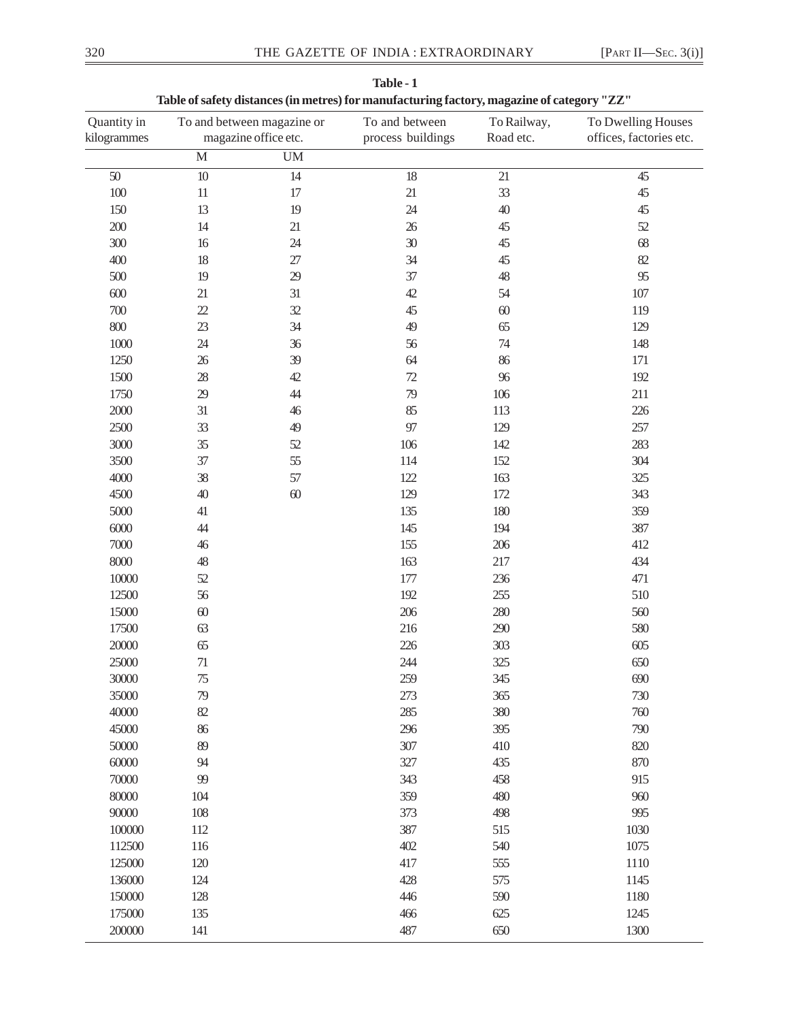| Quantity in<br>kilogrammes |                       | To and between magazine or<br>magazine office etc. | To and between<br>process buildings | To Railway,<br>Road etc. | To Dwelling Houses<br>offices, factories etc. |
|----------------------------|-----------------------|----------------------------------------------------|-------------------------------------|--------------------------|-----------------------------------------------|
|                            | $\overline{\text{M}}$ | $\mathbf{U}\mathbf{M}$                             |                                     |                          |                                               |
| $50\,$                     | $\overline{10}$       | 14                                                 | 18                                  | $\overline{21}$          | 45                                            |
| 100                        | $11\,$                | 17                                                 | 21                                  | 33                       | 45                                            |
| 150                        | 13                    | 19                                                 | 24                                  | 40                       | 45                                            |
| 200                        | 14                    | 21                                                 | 26                                  | 45                       | 52                                            |
| 300                        | 16                    | 24                                                 | 30                                  | 45                       | 68                                            |
| 400                        | 18                    | $27\,$                                             | 34                                  | 45                       | 82                                            |
| 500                        | 19                    | 29                                                 | 37                                  | 48                       | 95                                            |
| $600$                      | 21                    | 31                                                 | 42                                  | 54                       | $107\,$                                       |
| 700                        | 22                    | 32                                                 | 45                                  | 60                       | 119                                           |
| 800                        | 23                    | 34                                                 | 49                                  | 65                       | 129                                           |
| 1000                       | 24                    | 36                                                 | 56                                  | 74                       | 148                                           |
| 1250                       | 26                    | 39                                                 | 64                                  | 86                       | 171                                           |
| 1500                       | 28                    | 42                                                 | $72\,$                              | 96                       | 192                                           |
| 1750                       | 29                    | 44                                                 | 79                                  | 106                      | 211                                           |
| 2000                       | 31                    | 46                                                 | 85                                  | 113                      | 226                                           |
| 2500                       | 33                    | 49                                                 | 97                                  | 129                      | 257                                           |
| 3000                       | 35                    | 52                                                 | 106                                 | 142                      | 283                                           |
| 3500                       | 37                    | 55                                                 | 114                                 | 152                      | 304                                           |
| 4000                       | 38                    | 57                                                 | 122                                 | 163                      | 325                                           |
| 4500                       | 40                    | $60\,$                                             | 129                                 | 172                      | 343                                           |
| 5000                       | 41                    |                                                    | 135                                 | 180                      | 359                                           |
| 6000                       | 44                    |                                                    | 145                                 | 194                      | 387                                           |
| 7000                       | 46                    |                                                    | 155                                 | 206                      | 412                                           |
| $8000\,$                   | 48                    |                                                    | 163                                 | 217                      | 434                                           |
| 10000                      | 52                    |                                                    | 177                                 | 236                      | 471                                           |
| 12500                      | 56                    |                                                    | 192                                 | 255                      | 510                                           |
| 15000                      | $60$                  |                                                    | 206                                 | 280                      | 560                                           |
| 17500                      | 63                    |                                                    | 216                                 | 290                      | 580                                           |
| 20000                      | 65                    |                                                    | 226                                 | 303                      | 605                                           |
| 25000                      | $71\,$                |                                                    | 244                                 | 325                      | 650                                           |
| 30000                      | 75                    |                                                    | 259                                 | 345                      | 690                                           |
| 35000                      | 79                    |                                                    | 273                                 | 365                      | 730                                           |
| 40000                      | 82                    |                                                    | 285                                 | 380                      | 760                                           |
| 45000                      | 86                    |                                                    | 296                                 | 395                      | 790                                           |
| 50000                      | 89                    |                                                    | 307                                 | 410                      | 820                                           |
| 60000                      | 94                    |                                                    | 327                                 | 435                      | 870                                           |
| 70000                      | 99                    |                                                    | 343                                 | 458                      | 915                                           |
| 80000                      | 104                   |                                                    | 359                                 | 480                      | 960                                           |
| 90000                      | 108                   |                                                    | 373                                 | 498                      | 995                                           |
| 100000                     | 112                   |                                                    | 387                                 | 515                      | 1030                                          |
| 112500                     | 116                   |                                                    | 402                                 | 540                      | 1075                                          |
| 125000                     | 120                   |                                                    | 417                                 | 555                      | 1110                                          |
| 136000                     | 124                   |                                                    | 428                                 | 575                      | 1145                                          |
| 150000                     | 128                   |                                                    | 446                                 | 590                      | 1180                                          |
| 175000                     | 135                   |                                                    | 466                                 | 625                      | 1245                                          |
| 200000                     | 141                   |                                                    | 487                                 | 650                      | 1300                                          |

 **Table - 1 Table of safety distances (in metres) for manufacturing factory, magazine of category "ZZ"**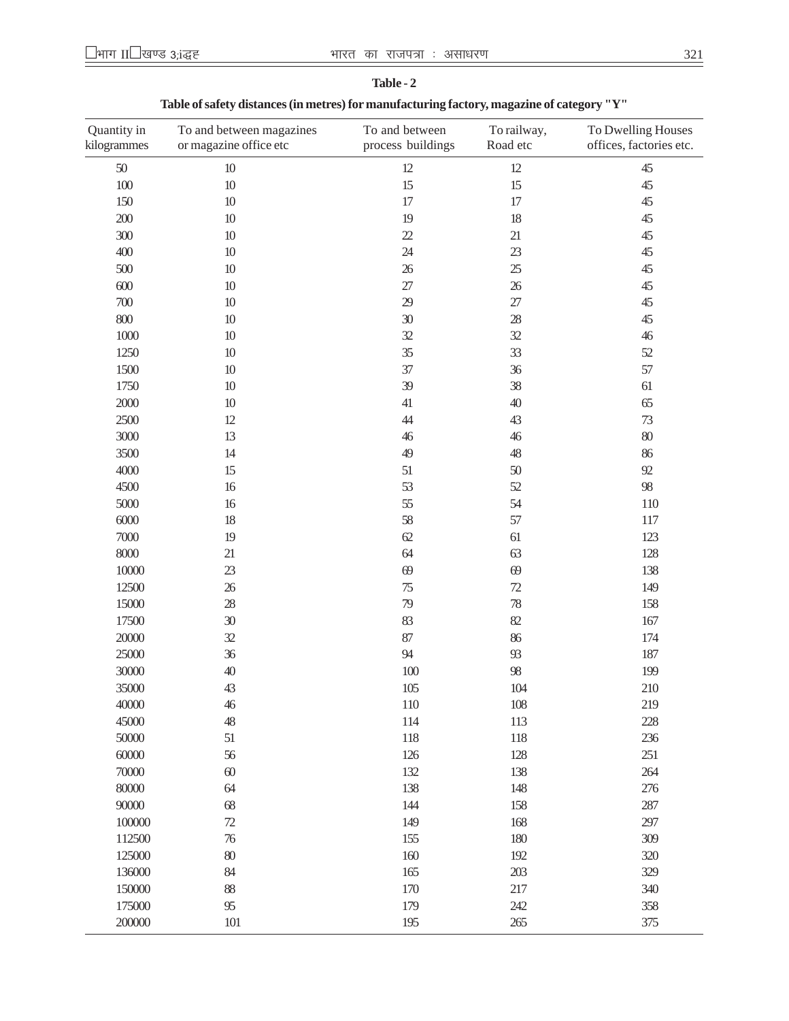| Quantity in<br>kilogrammes | To and between magazines<br>or magazine office etc | To and between<br>process buildings | To railway,<br>Road etc | To Dwelling Houses<br>offices, factories etc. |
|----------------------------|----------------------------------------------------|-------------------------------------|-------------------------|-----------------------------------------------|
| $50\,$                     | 10                                                 | 12                                  | 12                      | 45                                            |
| $100\,$                    | 10                                                 | 15                                  | 15                      | 45                                            |
| 150                        | $10\,$                                             | 17                                  | 17                      | 45                                            |
| $200\,$                    | $10\,$                                             | 19                                  | 18                      | 45                                            |
| 300                        | 10                                                 | 22                                  | 21                      | 45                                            |
| 400                        | $10\,$                                             | 24                                  | 23                      | 45                                            |
| 500                        | 10                                                 | 26                                  | 25                      | 45                                            |
| $600$                      | 10                                                 | 27                                  | 26                      | 45                                            |
| 700                        | $10\,$                                             | 29                                  | $27\,$                  | 45                                            |
| $800\,$                    | $10\,$                                             | 30                                  | 28                      | 45                                            |
| $1000\,$                   | 10                                                 | 32                                  | 32                      | 46                                            |
| 1250                       | 10                                                 | 35                                  | 33                      | $52\,$                                        |
| 1500                       | 10                                                 | 37                                  | 36                      | 57                                            |
| 1750                       | 10                                                 | 39                                  | 38                      | 61                                            |
| $2000\,$                   | 10                                                 | 41                                  | 40                      | 65                                            |
| 2500                       | 12                                                 | $44$                                | 43                      | $73\,$                                        |
| 3000                       | 13                                                 | 46                                  | 46                      | $80\,$                                        |
| 3500                       | 14                                                 | 49                                  | 48                      | 86                                            |
| 4000                       | 15                                                 | 51                                  | 50                      | $92$                                          |
| 4500                       | 16                                                 | 53                                  | 52                      | 98                                            |
| 5000                       | 16                                                 | 55                                  | 54                      | 110                                           |
| 6000                       | 18                                                 | 58                                  | 57                      | 117                                           |
| $7000\,$                   | 19                                                 | 62                                  | 61                      | 123                                           |
| 8000                       | 21                                                 | 64                                  | 63                      | 128                                           |
| $10000\,$                  | 23                                                 | 69                                  | 69                      | 138                                           |
| 12500                      | 26                                                 | 75                                  | 72                      | 149                                           |
| 15000                      | 28                                                 | 79                                  | 78                      | 158                                           |
| 17500                      | 30                                                 | 83                                  | 82                      | 167                                           |
| 20000                      | 32                                                 | 87                                  | 86                      | 174                                           |
| 25000                      | 36                                                 | 94                                  | 93                      | 187                                           |
| 30000                      | 40                                                 | 100                                 | 98                      | 199                                           |
| 35000                      | 43                                                 | 105                                 | 104                     | 210                                           |
| 40000                      | $46$                                               | 110                                 | 108                     | 219                                           |
| 45000                      | 48                                                 | 114                                 | 113                     | 228                                           |
| 50000                      | 51                                                 | 118                                 | 118                     | 236                                           |
| 60000                      | 56                                                 | 126                                 | 128                     | 251                                           |
| 70000                      | $60$                                               | 132                                 | 138                     | 264                                           |
| 80000                      | 64                                                 | 138                                 | 148                     | 276                                           |
| 90000                      | 68                                                 | 144                                 | 158                     | 287                                           |
| 100000                     | $72\,$                                             | 149                                 | 168                     | 297                                           |
| 112500                     | 76                                                 | 155                                 | 180                     | 309                                           |
| 125000                     | $80\,$                                             | 160                                 | 192                     | 320                                           |
| 136000                     | 84                                                 | 165                                 | 203                     | 329                                           |
| 150000                     | 88                                                 | 170                                 | 217                     | 340                                           |
| 175000                     | 95                                                 | 179                                 | 242                     | 358                                           |
| 200000                     | 101                                                | 195                                 | 265                     | 375                                           |

**Table - 2 Table of safety distances (in metres) for manufacturing factory, magazine of category "Y"**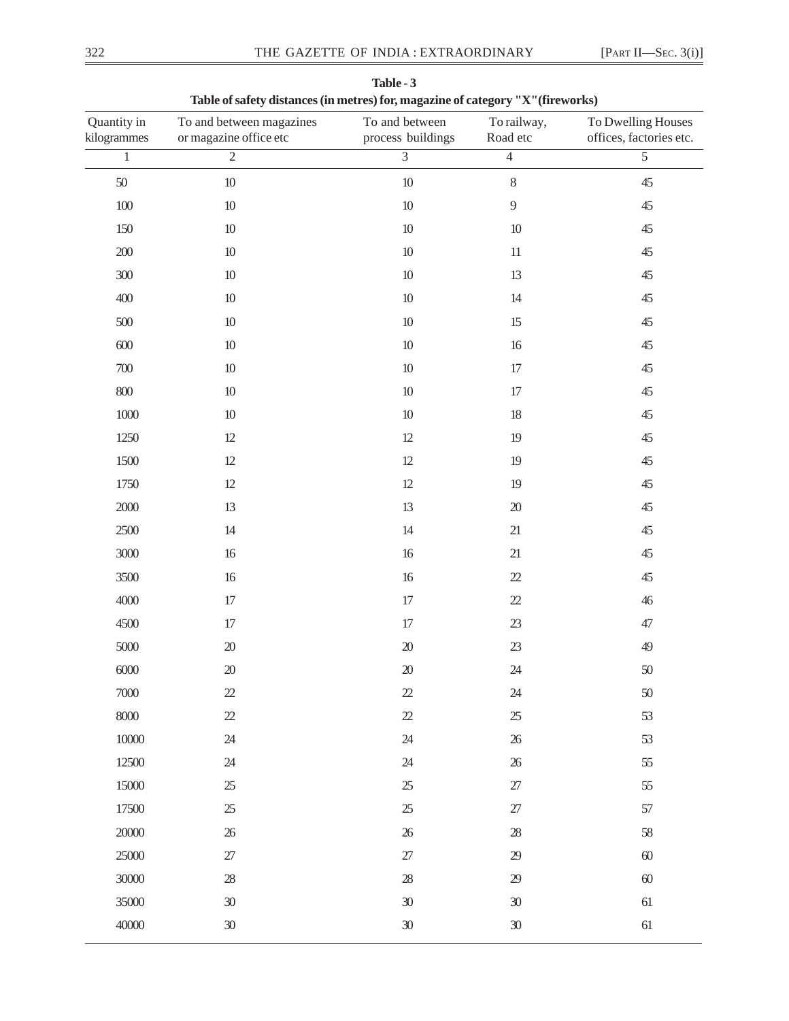| Quantity in<br>kilogrammes | To and between magazines<br>or magazine office etc | To and between<br>process buildings | To railway,<br>Road etc | To Dwelling Houses<br>offices, factories etc. |
|----------------------------|----------------------------------------------------|-------------------------------------|-------------------------|-----------------------------------------------|
| $\overline{1}$             | $\overline{2}$                                     | $\overline{3}$                      | $\overline{4}$          | $\overline{5}$                                |
| $50\,$                     | $10\,$                                             | $10\,$                              | $\,8\,$                 | 45                                            |
| $100\,$                    | $10\,$                                             | $10\,$                              | $\overline{9}$          | 45                                            |
| 150                        | $10\,$                                             | $10\,$                              | $10$                    | $45$                                          |
| $200\,$                    | $10\,$                                             | $10\,$                              | $11\,$                  | $45$                                          |
| $300\,$                    | $10\,$                                             | $10\,$                              | 13                      | $45$                                          |
| 400                        | $10\,$                                             | $10\,$                              | 14                      | 45                                            |
| 500                        | $10\,$                                             | $10\,$                              | 15                      | 45                                            |
| $600\,$                    | $10\,$                                             | $10\,$                              | 16                      | $45$                                          |
| $700\,$                    | $10\,$                                             | $10\,$                              | 17                      | $45$                                          |
| $800\,$                    | $10\,$                                             | $10\,$                              | 17                      | 45                                            |
| $1000\,$                   | $10\,$                                             | $10\,$                              | 18                      | 45                                            |
| 1250                       | $12\,$                                             | 12                                  | $19$                    | 45                                            |
| 1500                       | $12\,$                                             | 12                                  | $19$                    | $45$                                          |
| 1750                       | $12\,$                                             | $12$                                | $19$                    | 45                                            |
| $2000\,$                   | 13                                                 | 13                                  | $20\,$                  | $45$                                          |
| 2500                       | 14                                                 | 14                                  | $21\,$                  | 45                                            |
| 3000                       | $16$                                               | 16                                  | $21\,$                  | 45                                            |
| 3500                       | $16$                                               | 16                                  | $2\!2$                  | 45                                            |
| 4000                       | 17                                                 | 17                                  | $2\!2$                  | 46                                            |
| 4500                       | 17                                                 | 17                                  | $23\,$                  | $47\,$                                        |
| $5000\,$                   | $20\,$                                             | $20\,$                              | $23\,$                  | 49                                            |
| $6000$                     | $20\,$                                             | $20\,$                              | $24\,$                  | 50                                            |
| 7000                       | $22\,$                                             | $22\,$                              | $24\,$                  | 50                                            |
| $8000$                     | $2\!2$                                             | $2\!2$                              | $25\,$                  | 53                                            |
| $10000\,$                  | $24\,$                                             | $24\,$                              | $26\,$                  | 53                                            |
| 12500                      | $24\,$                                             | $24\,$                              | $26\,$                  | 55                                            |
| 15000                      | $25\,$                                             | $25\,$                              | $27\,$                  | 55                                            |
| 17500                      | $25\,$                                             | $25\,$                              | $27\,$                  | 57                                            |
| 20000                      | $26\,$                                             | $26\,$                              | $28\,$                  | 58                                            |
| 25000                      | $27\,$                                             | $27\,$                              | 29                      | $60\,$                                        |
| 30000                      | $28\,$                                             | $28\,$                              | $29\,$                  | $60\,$                                        |
| 35000                      | $30\,$                                             | $30\,$                              | $30\,$                  | $61\,$                                        |
| 40000                      | $30\,$                                             | $30\,$                              | $30\,$                  | $61\,$                                        |

**Table - 3 Table of safety distances (in metres) for, magazine of category "X"(fireworks)**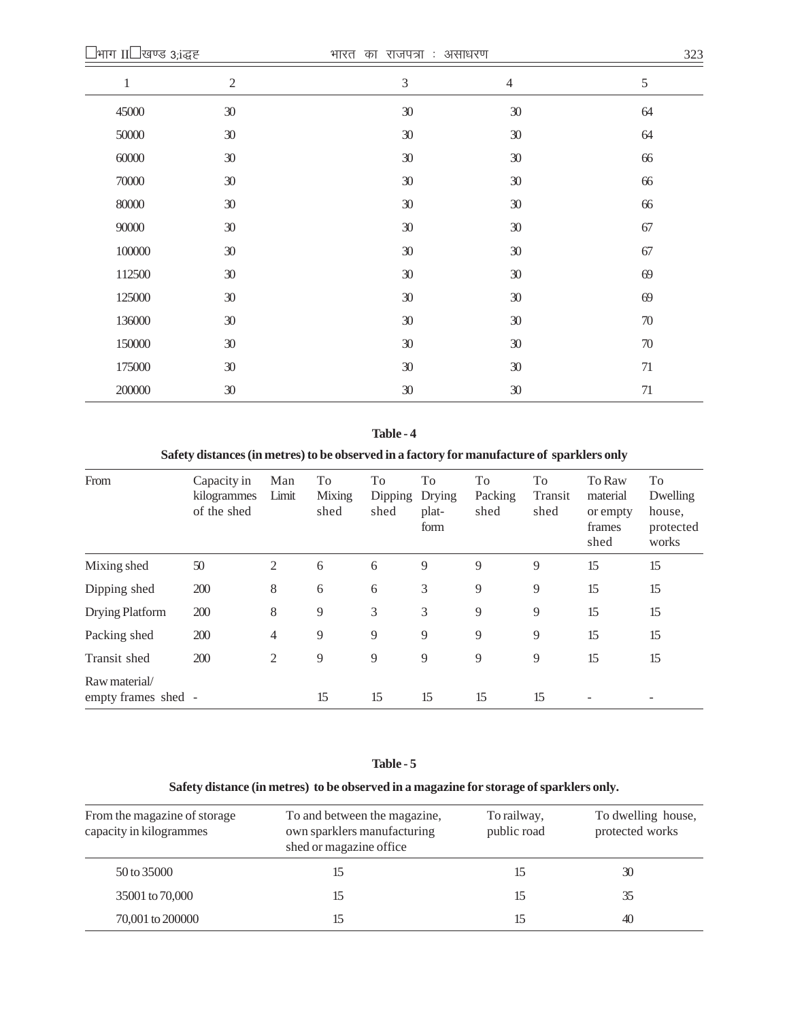| $\,1$  | $\overline{2}$ | $\ensuremath{\mathfrak{Z}}$ | $\overline{4}$ | $\sqrt{5}$ |
|--------|----------------|-----------------------------|----------------|------------|
| 45000  | $30\,$         | $30\,$                      | $30\,$         | 64         |
| 50000  | 30             | $30\,$                      | 30             | 64         |
| 60000  | 30             | $30\,$                      | $30\,$         | 66         |
| 70000  | 30             | $30\,$                      | $30\,$         | 66         |
| 80000  | 30             | $30\,$                      | $30\,$         | 66         |
| 90000  | 30             | $30\,$                      | 30             | 67         |
| 100000 | 30             | $30\,$                      | $30\,$         | 67         |
| 112500 | 30             | $30\,$                      | $30\,$         | 69         |
| 125000 | 30             | $30\,$                      | $30\,$         | 69         |
| 136000 | 30             | 30                          | $30\,$         | $70\,$     |
| 150000 | 30             | 30                          | 30             | $70\,$     |
| 175000 | $30\,$         | $30\,$                      | $30\,$         | 71         |
| 200000 | 30             | 30                          | $30\,$         | 71         |

## **Table - 4**

# **Safety distances (in metres) to be observed in a factory for manufacture of sparklers only**

| From                                 | Capacity in<br>kilogrammes<br>of the shed | Man<br>Limit   | To<br>Mixing<br>shed | To<br>Dipping<br>shed | To<br>Drying<br>plat-<br>form | To<br>Packing<br>shed | To<br>Transit<br>shed | To Raw<br>material<br>or empty<br>frames<br>shed | To<br>Dwelling<br>house,<br>protected<br>works |
|--------------------------------------|-------------------------------------------|----------------|----------------------|-----------------------|-------------------------------|-----------------------|-----------------------|--------------------------------------------------|------------------------------------------------|
| Mixing shed                          | 50                                        | 2              | 6                    | 6                     | 9                             | 9                     | 9                     | 15                                               | 15                                             |
| Dipping shed                         | 200                                       | 8              | 6                    | 6                     | 3                             | 9                     | 9                     | 15                                               | 15                                             |
| Drying Platform                      | 200                                       | 8              | 9                    | 3                     | 3                             | 9                     | 9                     | 15                                               | 15                                             |
| Packing shed                         | 200                                       | 4              | 9                    | 9                     | 9                             | 9                     | 9                     | 15                                               | 15                                             |
| Transit shed                         | 200                                       | $\overline{2}$ | 9                    | 9                     | 9                             | 9                     | 9                     | 15                                               | 15                                             |
| Raw material/<br>empty frames shed - |                                           |                | 15                   | 15                    | 15                            | 15                    | 15                    | $\overline{\phantom{m}}$                         |                                                |

## **Table - 5**

# **Safety distance (in metres) to be observed in a magazine for storage of sparklers only.**

| From the magazine of storage<br>capacity in kilogrammes | To and between the magazine,<br>own sparklers manufacturing<br>shed or magazine office | To railway,<br>public road | To dwelling house,<br>protected works |
|---------------------------------------------------------|----------------------------------------------------------------------------------------|----------------------------|---------------------------------------|
| 50 to 35000                                             |                                                                                        |                            | 30                                    |
| 35001 to 70,000                                         |                                                                                        | 15                         | 35                                    |
| 70,001 to 200000                                        |                                                                                        |                            | 40                                    |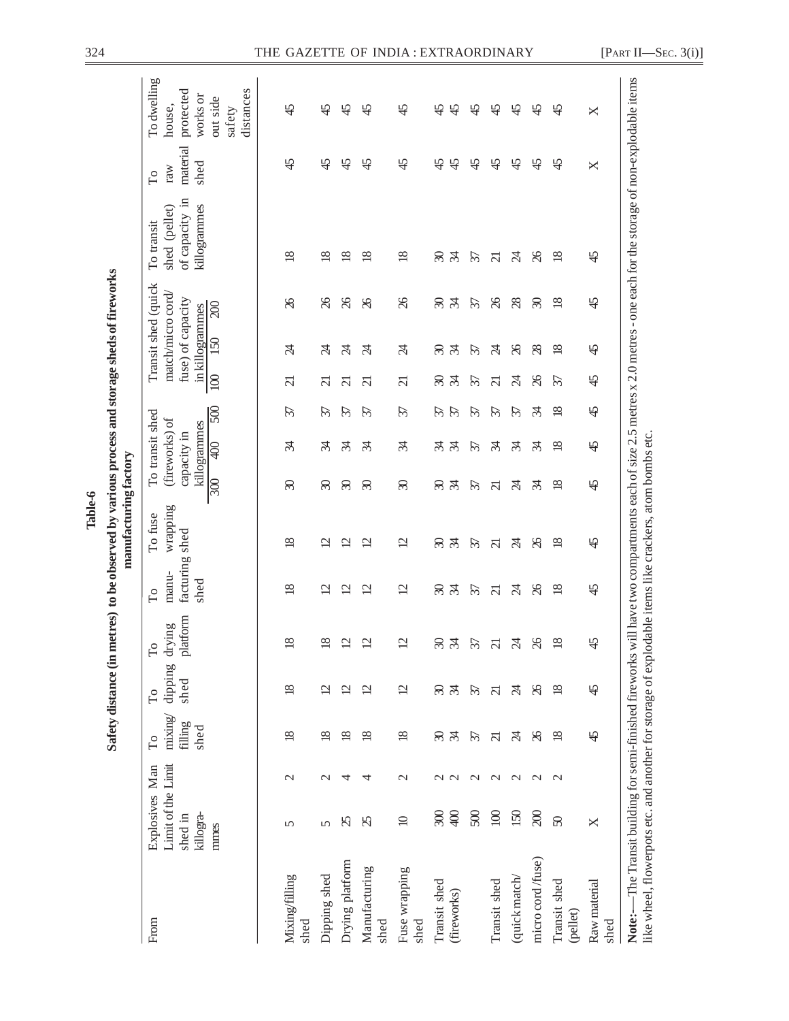| l | j<br>l      |  |
|---|-------------|--|
|   | j<br>ś<br>į |  |

| From                                                                                                   | Limit of the Limit<br>Explosives Man<br>killogra-<br>shed in |                        | mixing<br>filling<br>shed<br>$\Gamma$ o | dipping<br>shed<br>$\Gamma$ o | platform<br>drying<br>Fo  | facturing shed<br>manu-<br>shed<br>$\Gamma$ o | wrapping<br>To fuse       | capacity in                    | To transit shed<br>(fireworks) of<br>killogrammes |                     |                          | Transit shed (quick<br>match/micro cord.<br>fuse) of capacity<br>in killogrammes | of capacity in<br>killogrammes<br>shed (pellet)<br>To transit                                                                                                             | material<br>shed<br>raw<br>$\Gamma$ o | To dwelling<br>protected<br>works or<br>house, |
|--------------------------------------------------------------------------------------------------------|--------------------------------------------------------------|------------------------|-----------------------------------------|-------------------------------|---------------------------|-----------------------------------------------|---------------------------|--------------------------------|---------------------------------------------------|---------------------|--------------------------|----------------------------------------------------------------------------------|---------------------------------------------------------------------------------------------------------------------------------------------------------------------------|---------------------------------------|------------------------------------------------|
|                                                                                                        | mmes                                                         |                        |                                         |                               |                           |                                               |                           | 300                            | $\mathfrak{g}$                                    | 500                 | 100                      | 200<br>150                                                                       |                                                                                                                                                                           |                                       | distances<br>out side<br>safety                |
| Mixing/filling<br>shed                                                                                 | 5                                                            | $\mathcal{C}$          | $\overline{18}$                         | $\overline{18}$               | $\infty$                  | $\overline{18}$                               | $\overline{18}$           | $\infty$                       | र्प्र                                             | 57                  | $\overline{\mathcal{C}}$ | $\%$<br>$\overline{\mathcal{A}}$                                                 | $\overline{18}$                                                                                                                                                           | $\overline{4}$                        | $\overline{4}$                                 |
| Dipping shed                                                                                           | 5                                                            | $\mathcal{L}$          | $\overline{18}$                         | $\overline{c}$                | $\infty$                  | $\overline{\mathcal{C}}$                      | $\overline{\mathcal{C}}$  | $\infty$                       | z                                                 | 37                  | ಸ                        | $\%$<br>A                                                                        | $\overline{8}$                                                                                                                                                            | $\overline{4}$                        | $\overline{4}$                                 |
| Drying platform                                                                                        | $\mathcal{S}$                                                | 4                      | $\frac{8}{2}$                           | $\overline{c}$                | $\mathbf{\sim}$           | 의                                             | $\overline{\mathcal{C}}$  | $\mathcal{E}$                  | Æ                                                 | $\mathcal{L}$       | $\overline{\Omega}$      | $\%$<br>$\mathbb{Z}$                                                             | $\frac{8}{2}$                                                                                                                                                             | $\frac{4}{5}$                         | $\frac{5}{4}$                                  |
| Manufacturing<br>shed                                                                                  | $\mathcal{Z}$                                                | 4                      | $\overline{18}$                         | $\overline{2}$                | S                         | $\mathfrak{a}$                                | $\overline{\mathfrak{c}}$ | $\mathcal{S}$                  | र्प्र                                             | 57                  | ត                        | $\chi$<br>$\beta$                                                                | $\frac{8}{2}$                                                                                                                                                             | $\overline{4}$                        | $\frac{4}{5}$                                  |
| Fuse wrapping<br>shed                                                                                  | $\supseteq$                                                  | $\mathcal{C}$          | $\overline{18}$                         | $\overline{2}$                | $\overline{\mathcal{C}}$  | $\overline{2}$                                | $\overline{2}$            | $\infty$                       | र्प्र                                             | 57                  | $\overline{\mathcal{C}}$ | $\%$<br>$\overline{\mathcal{A}}$                                                 | $\frac{8}{2}$                                                                                                                                                             | 45                                    | 45                                             |
| Transit shed<br>(fireworks)                                                                            | $rac{1}{2}$<br>R                                             | $\mathbf{C}$<br>$\sim$ | $\mathcal{L}$<br>$\infty$               | $\infty$<br>$\mathcal{L}$     | $\infty$<br>$\mathcal{L}$ | $\infty$<br>$\mathcal{L}$                     | $\mathcal{L}$<br>R        | $\mathcal{S}$<br>$\mathcal{L}$ | $\mathcal{L}$<br>रू                               | 21<br>$\mathcal{L}$ | $\mathcal{L}$<br>ඝ       | $\mathcal{S}$<br>$\mathcal{L}$<br>$\mathcal{L}$<br>ඝ                             | $\mathcal{L}$<br>ඝ                                                                                                                                                        | $\frac{4}{5}$<br>$\frac{4}{5}$        | $\frac{45}{5}$<br>$\frac{4}{5}$                |
|                                                                                                        | 500                                                          | $\mathbf{\sim}$        | $\mathcal{L}$                           | $\mathcal{L}$                 | 57                        | $\mathcal{L}$                                 | $\mathcal{L}$             | $\mathcal{L}$                  | $\mathcal{L}$                                     | $\mathcal{L}$       | $\mathcal{L}$            | $\mathcal{L}$<br>$\mathcal{L}$                                                   | $\mathcal{L}$                                                                                                                                                             | $\frac{4}{5}$                         | $\frac{4}{5}$                                  |
| Transit shed                                                                                           | $\Xi$                                                        | $\sim$                 | $\overline{c}$                          | $\overline{c}$                | ಸ                         | $\overline{\Omega}$                           | $\overline{\Omega}$       | $\overline{\Omega}$            | र्प्र                                             | $\mathcal{L}$       | ត                        | $\%$<br>Ŕ                                                                        | $\overline{\Omega}$                                                                                                                                                       | $\frac{4}{5}$                         | $\frac{4}{5}$                                  |
| (quick match/                                                                                          | 150                                                          | $\mathcal{C}$          | Ŕ                                       | Ŕ                             | Z                         | Z4                                            | Z4                        | S4                             | र्प्र                                             | $\mathcal{L}$       | Z4                       | $\infty$<br>$\infty$                                                             | Ŕ                                                                                                                                                                         | $\overline{4}$                        | ধ                                              |
| micro cord/fuse)                                                                                       | $\infty$                                                     | $\mathbf{\sim}$        | $\chi$                                  | $\delta$                      | $\%$                      | $\%$                                          | $\%$                      | र्फ़                           | z                                                 | $\mathcal{L}$       | $\%$                     | $\mathcal{S}$<br>$\infty$                                                        | $\%$                                                                                                                                                                      | $\frac{4}{5}$                         | 45                                             |
| Transit shed<br>(pellet)                                                                               | $\infty$                                                     | $\mathbf{\sim}$        | $\overline{18}$                         | $\overline{18}$               | $\infty$                  | $\frac{8}{2}$                                 | $\frac{8}{2}$             | $\overline{18}$                | $\frac{8}{2}$                                     | $\frac{8}{2}$       | 57                       | $\overline{18}$<br>$\frac{8}{2}$                                                 | $\approx$                                                                                                                                                                 | $\overline{4}$                        | $\frac{4}{5}$                                  |
| Raw material<br>shed                                                                                   | X                                                            |                        | $\overline{4}$                          | $\overline{4}$                | S,                        | $\frac{4}{5}$                                 | $\overline{4}$            | $\overline{4}$                 | $\overline{4}$                                    | $\overline{4}$      | $\overline{4}$           | $\frac{45}{5}$<br>45                                                             | $\frac{45}{5}$                                                                                                                                                            | ×                                     | ×                                              |
| like wheel, flowerpots etc. and another for storage of explodable items like crackers, atom bombs etc. |                                                              |                        |                                         |                               |                           |                                               |                           |                                |                                                   |                     |                          |                                                                                  | Note:—The Transit building for semi-finished fireworks will have two compartments each of size 2.5 metres x 2.0 metres - one each for the storage of non-explodable items |                                       |                                                |